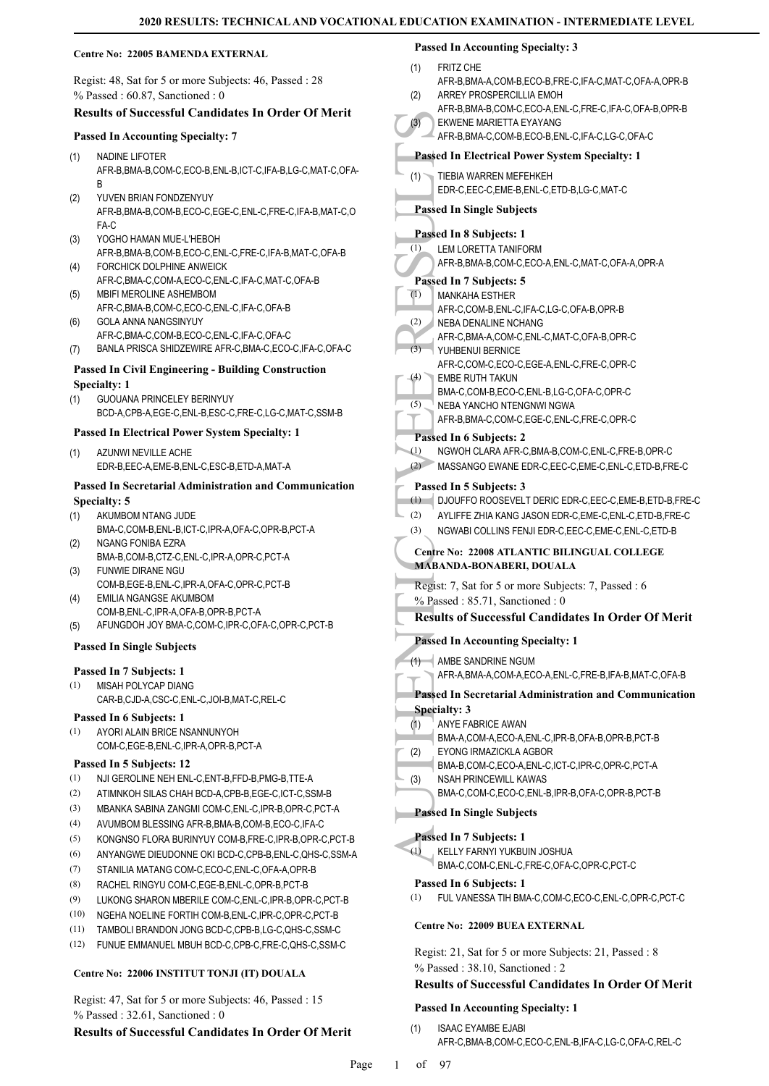### **Centre No: 22005 BAMENDA EXTERNAL**

Regist: 48, Sat for 5 or more Subjects: 46, Passed : 28 % Passed : 60.87, Sanctioned : 0

### **Results of Successful Candidates In Order Of Merit**

#### **Passed In Accounting Specialty: 7**

- NADINE LIFOTER AFR-B,BMA-B,COM-C,ECO-B,ENL-B,ICT-C,IFA-B,LG-C,MAT-C,OFA-B (1)
- YUVEN BRIAN FONDZENYUY AFR-B,BMA-B,COM-B,ECO-C,EGE-C,ENL-C,FRE-C,IFA-B,MAT-C,O FA-C (2)
- YOGHO HAMAN MUE-L'HEBOH AFR-B,BMA-B,COM-B,ECO-C,ENL-C,FRE-C,IFA-B,MAT-C,OFA-B (3)
- FORCHICK DOLPHINE ANWEICK AFR-C,BMA-C,COM-A,ECO-C,ENL-C,IFA-C,MAT-C,OFA-B (4) MBIFI MEROLINE ASHEMBOM
- AFR-C,BMA-B,COM-C,ECO-C,ENL-C,IFA-C,OFA-B (5)
- GOLA ANNA NANGSINYUY AFR-C,BMA-C,COM-B,ECO-C,ENL-C,IFA-C,OFA-C (6)
- (7) BANLA PRISCA SHIDZEWIRE AFR-C,BMA-C,ECO-C,IFA-C,OFA-C

#### **Passed In Civil Engineering - Building Construction Specialty: 1**

GUOUANA PRINCELEY BERINYUY BCD-A,CPB-A,EGE-C,ENL-B,ESC-C,FRE-C,LG-C,MAT-C,SSM-B (1)

#### **Passed In Electrical Power System Specialty: 1**

AZUNWI NEVILLE ACHE EDR-B,EEC-A,EME-B,ENL-C,ESC-B,ETD-A,MAT-A (1)

### **Passed In Secretarial Administration and Communication Specialty: 5**

- AKUMBOM NTANG JUDE (1)
- BMA-C,COM-B,ENL-B,ICT-C,IPR-A,OFA-C,OPR-B,PCT-A NGANG FONIBA EZRA (2)
- BMA-B,COM-B,CTZ-C,ENL-C,IPR-A,OPR-C,PCT-A FUNWIE DIRANE NGU (3)
- COM-B,EGE-B,ENL-C,IPR-A,OFA-C,OPR-C,PCT-B EMILIA NGANGSE AKUMBOM (4)
- COM-B,ENL-C,IPR-A,OFA-B,OPR-B,PCT-A
- (5) AFUNGDOH JOY BMA-C,COM-C,IPR-C,OFA-C,OPR-C,PCT-B

### **Passed In Single Subjects**

#### **Passed In 7 Subjects: 1**

MISAH POLYCAP DIANG CAR-B,CJD-A,CSC-C,ENL-C,JOI-B,MAT-C,REL-C (1)

#### **Passed In 6 Subjects: 1**

AYORI ALAIN BRICE NSANNUNYOH COM-C,EGE-B,ENL-C,IPR-A,OPR-B,PCT-A (1)

### **Passed In 5 Subjects: 12**

- (1) NJI GEROLINE NEH ENL-C,ENT-B,FFD-B,PMG-B,TTE-A
- (2) ATIMNKOH SILAS CHAH BCD-A,CPB-B,EGE-C,ICT-C,SSM-B
- (3) MBANKA SABINA ZANGMI COM-C,ENL-C,IPR-B,OPR-C,PCT-A
- (4) AVUMBOM BLESSING AFR-B,BMA-B,COM-B,ECO-C,IFA-C
- (5) KONGNSO FLORA BURINYUY COM-B,FRE-C,IPR-B,OPR-C,PCT-B
- (6) ANYANGWE DIEUDONNE OKI BCD-C,CPB-B,ENL-C,QHS-C,SSM-A
- (7) STANILIA MATANG COM-C,ECO-C,ENL-C,OFA-A,OPR-B
- (8) RACHEL RINGYU COM-C,EGE-B,ENL-C,OPR-B,PCT-B
- (9) LUKONG SHARON MBERILE COM-C,ENL-C,IPR-B,OPR-C,PCT-B
- (10) NGEHA NOELINE FORTIH COM-B,ENL-C,IPR-C,OPR-C,PCT-B
- (11) TAMBOLI BRANDON JONG BCD-C,CPB-B,LG-C,QHS-C,SSM-C
- (12) FUNUE EMMANUEL MBUH BCD-C,CPB-C,FRE-C,QHS-C,SSM-C

### **Centre No: 22006 INSTITUT TONJI (IT) DOUALA**

Regist: 47, Sat for 5 or more Subjects: 46, Passed : 15 % Passed : 32.61, Sanctioned : 0

### **Results of Successful Candidates In Order Of Merit**

- (3) EKWEN<br>
Passed In 1<br>
HEN EDR-C,<br>
Passed In 1<br>
EDR-C,<br>
Passed In 1<br>
EDR-C,<br>
Passed In 1<br>
EDR-C,<br>
Passed In 1<br>
EDR-C,<br>
Passed In 1<br>
MANKA<br>
AFR-C,<br>
NEBA NER-C,<br>
NEBA NER-C,<br>
NEBA NER-C,<br>
NEBA NER-C,<br>
EMBA NER-C,<br>
EMBA NER-**Passed In Accounting Specialty: 3** FRITZ CHE AFR-B,BMA-A,COM-B,ECO-B,FRE-C,IFA-C,MAT-C,OFA-A,OPR-B (1) ARREY PROSPERCILLIA EMOH AFR-B,BMA-B,COM-C,ECO-A,ENL-C,FRE-C,IFA-C,OFA-B,OPR-B (2) EKWENE MARIETTA EYAYANG AFR-B,BMA-C,COM-B,ECO-B,ENL-C,IFA-C,LG-C,OFA-C (3) **Passed In Electrical Power System Specialty: 1** TIEBIA WARREN MEFEHKEH EDR-C,EEC-C,EME-B,ENL-C,ETD-B,LG-C,MAT-C (1) **Passed In Single Subjects Passed In 8 Subjects: 1** LEM LORETTA TANIFORM AFR-B,BMA-B,COM-C,ECO-A,ENL-C,MAT-C,OFA-A,OPR-A (1) **Passed In 7 Subjects: 5** MANKAHA ESTHER AFR-C,COM-B,ENL-C,IFA-C,LG-C,OFA-B,OPR-B  $\overline{(\mathbb{1})}$ NEBA DENALINE NCHANG AFR-C,BMA-A,COM-C,ENL-C,MAT-C,OFA-B,OPR-C (2) YUHBENUI BERNICE AFR-C,COM-C,ECO-C,EGE-A,ENL-C,FRE-C,OPR-C  $(3)$ EMBE RUTH TAKUN BMA-C,COM-B,ECO-C,ENL-B,LG-C,OFA-C,OPR-C (4) NEBA YANCHO NTENGNWI NGWA AFR-B,BMA-C,COM-C,EGE-C,ENL-C,FRE-C,OPR-C (5) **Passed In 6 Subjects: 2** (1) NGWOH CLARA AFR-C,BMA-B,COM-C,ENL-C,FRE-B,OPR-C (2) MASSANGO EWANE EDR-C,EEC-C,EME-C,ENL-C,ETD-B,FRE-C **Passed In 5 Subjects: 3** (1) DJOUFFO ROOSEVELT DERIC EDR-C,EEC-C,EME-B,ETD-B,FRE-C (2) AYLIFFE ZHIA KANG JASON EDR-C,EME-C,ENL-C,ETD-B,FRE-C (3) NGWABI COLLINS FENJI EDR-C,EEC-C,EME-C,ENL-C,ETD-B **Centre No: 22008 ATLANTIC BILINGUAL COLLEGE MABANDA-BONABERI, DOUALA**  Regist: 7, Sat for 5 or more Subjects: 7, Passed : 6 % Passed : 85.71, Sanctioned : 0 **Results of Successful Candidates In Order Of Merit Passed In Accounting Specialty: 1** AMBE SANDRINE NGUM (1) AFR-A,BMA-A,COM-A,ECO-A,ENL-C,FRE-B,IFA-B,MAT-C,OFA-B **Passed In Secretarial Administration and Communication Specialty: 3** ANYE FABRICE AWAN BMA-A,COM-A,ECO-A,ENL-C,IPR-B,OFA-B,OPR-B,PCT-B (1) EYONG IRMAZICKLA AGBOR BMA-B,COM-C,ECO-A,ENL-C,ICT-C,IPR-C,OPR-C,PCT-A (2) NSAH PRINCEWILL KAWAS BMA-C,COM-C,ECO-C,ENL-B,IPR-B,OFA-C,OPR-B,PCT-B (3) **Passed In Single Subjects Passed In 7 Subjects: 1** KELLY FARNYI YUKBUIN JOSHUA (1)
	- **Passed In 6 Subjects: 1**
	- (1) FUL VANESSA TIH BMA-C,COM-C,ECO-C,ENL-C,OPR-C,PCT-C

#### **Centre No: 22009 BUEA EXTERNAL**

Regist: 21, Sat for 5 or more Subjects: 21, Passed : 8 % Passed : 38.10, Sanctioned : 2

BMA-C,COM-C,ENL-C,FRE-C,OFA-C,OPR-C,PCT-C

### **Results of Successful Candidates In Order Of Merit**

#### **Passed In Accounting Specialty: 1**

ISAAC EYAMBE EJABI AFR-C,BMA-B,COM-C,ECO-C,ENL-B,IFA-C,LG-C,OFA-C,REL-C (1)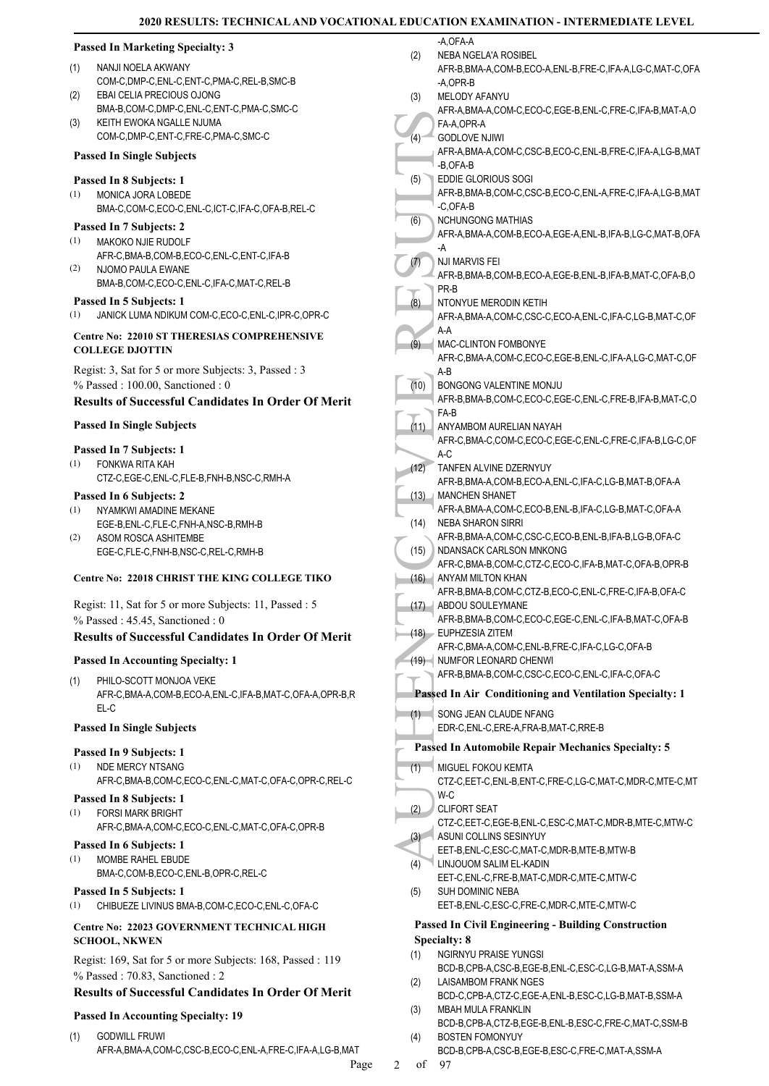| <b>Passed In Marketing Specialty: 3</b>                                                    | -A,OFA-A<br>(2)<br>NEBA NGELA'A ROSIBEL                                                         |
|--------------------------------------------------------------------------------------------|-------------------------------------------------------------------------------------------------|
| (1)<br>NANJI NOELA AKWANY                                                                  | AFR-B, BMA-A, COM-B, ECO-A, ENL-B, FRE-C, IFA-A, LG-C, MAT-C, OFA                               |
| COM-C, DMP-C, ENL-C, ENT-C, PMA-C, REL-B, SMC-B                                            | -A,OPR-B                                                                                        |
| EBAI CELIA PRECIOUS OJONG<br>(2)                                                           | (3)<br>MELODY AFANYU                                                                            |
| BMA-B,COM-C,DMP-C,ENL-C,ENT-C,PMA-C,SMC-C<br>KEITH EWOKA NGALLE NJUMA<br>(3)               | AFR-A, BMA-A, COM-C, ECO-C, EGE-B, ENL-C, FRE-C, IFA-B, MAT-A, O<br>FA-A, OPR-A                 |
| COM-C,DMP-C,ENT-C,FRE-C,PMA-C,SMC-C                                                        | <b>GODLOVE NJIWI</b><br>$(4)^{-}$                                                               |
| <b>Passed In Single Subjects</b>                                                           | AFR-A, BMA-A, COM-C, CSC-B, ECO-C, ENL-B, FRE-C, IFA-A, LG-B, MAT                               |
|                                                                                            | -B,OFA-B                                                                                        |
| Passed In 8 Subjects: 1                                                                    | (5)<br>EDDIE GLORIOUS SOGI                                                                      |
| MONICA JORA LOBEDE<br>(1)                                                                  | AFR-B, BMA-B, COM-C, CSC-B, ECO-C, ENL-A, FRE-C, IFA-A, LG-B, MAT<br>-C,OFA-B                   |
| BMA-C,COM-C,ECO-C,ENL-C,ICT-C,IFA-C,OFA-B,REL-C                                            | <b>NCHUNGONG MATHIAS</b><br>(6)                                                                 |
| Passed In 7 Subjects: 2                                                                    | AFR-A, BMA-A, COM-B, ECO-A, EGE-A, ENL-B, IFA-B, LG-C, MAT-B, OFA                               |
| (1)<br>MAKOKO NJIE RUDOLF<br>AFR-C, BMA-B, COM-B, ECO-C, ENL-C, ENT-C, IFA-B               | -A                                                                                              |
| (2)<br>NJOMO PAULA EWANE                                                                   | <b>NJI MARVIS FEI</b><br>(7)                                                                    |
| BMA-B,COM-C,ECO-C,ENL-C,IFA-C,MAT-C,REL-B                                                  | AFR-B, BMA-B, COM-B, ECO-A, EGE-B, ENL-B, IFA-B, MAT-C, OFA-B, O<br>PR-B                        |
| Passed In 5 Subjects: 1                                                                    | (8)<br>NTONYUE MERODIN KETIH                                                                    |
| JANICK LUMA NDIKUM COM-C,ECO-C,ENL-C,IPR-C,OPR-C<br>(1)                                    | AFR-A, BMA-A, COM-C, CSC-C, ECO-A, ENL-C, IFA-C, LG-B, MAT-C, OF                                |
| Centre No: 22010 ST THERESIAS COMPREHENSIVE                                                | $A-A$                                                                                           |
| <b>COLLEGE DJOTTIN</b>                                                                     | (9)<br>MAC-CLINTON FOMBONYE<br>AFR-C,BMA-A,COM-C,ECO-C,EGE-B,ENL-C,IFA-A,LG-C,MAT-C,OF          |
| Regist: 3, Sat for 5 or more Subjects: 3, Passed: 3                                        | A-B                                                                                             |
| % Passed: 100.00, Sanctioned: 0                                                            | (10)<br>BONGONG VALENTINE MONJU                                                                 |
| <b>Results of Successful Candidates In Order Of Merit</b>                                  | AFR-B, BMA-B, COM-C, ECO-C, EGE-C, ENL-C, FRE-B, IFA-B, MAT-C, O                                |
|                                                                                            | FA-B                                                                                            |
| <b>Passed In Single Subjects</b>                                                           | (11)<br>ANYAMBOM AURELIAN NAYAH                                                                 |
| Passed In 7 Subjects: 1                                                                    | AFR-C,BMA-C,COM-C,ECO-C,EGE-C,ENL-C,FRE-C,IFA-B,LG-C,OF<br>$A-C$                                |
| (1)<br>FONKWA RITA KAH                                                                     | TANFEN ALVINE DZERNYUY<br>(12)                                                                  |
| CTZ-C,EGE-C,ENL-C,FLE-B,FNH-B,NSC-C,RMH-A                                                  | AFR-B, BMA-A, COM-B, ECO-A, ENL-C, IFA-C, LG-B, MAT-B, OFA-A                                    |
| Passed In 6 Subjects: 2                                                                    | (13) / MANCHEN SHANET                                                                           |
| (1)<br>NYAMKWI AMADINE MEKANE                                                              | AFR-A, BMA-A, COM-C, ECO-B, ENL-B, IFA-C, LG-B, MAT-C, OFA-A                                    |
| EGE-B,ENL-C,FLE-C,FNH-A,NSC-B,RMH-B                                                        | (14)<br><b>NEBA SHARON SIRRI</b>                                                                |
| (2)<br>ASOM ROSCA ASHITEMBE<br>EGE-C,FLE-C,FNH-B,NSC-C,REL-C,RMH-B                         | AFR-B, BMA-A, COM-C, CSC-C, ECO-B, ENL-B, IFA-B, LG-B, OFA-C<br>(15)<br>NDANSACK CARLSON MNKONG |
|                                                                                            | AFR-C, BMA-B, COM-C, CTZ-C, ECO-C, IFA-B, MAT-C, OFA-B, OPR-B                                   |
| Centre No: 22018 CHRIST THE KING COLLEGE TIKO                                              | (16) ANYAM MILTON KHAN                                                                          |
|                                                                                            | AFR-B, BMA-B, COM-C, CTZ-B, ECO-C, ENL-C, FRE-C, IFA-B, OFA-C                                   |
| Regist: 11, Sat for 5 or more Subjects: 11, Passed : 5<br>$%$ Passed: 45.45, Sanctioned: 0 | (17) ABDOU SOULEYMANE<br>AFR-B, BMA-B, COM-C, ECO-C, EGE-C, ENL-C, IFA-B, MAT-C, OFA-B          |
| <b>Results of Successful Candidates In Order Of Merit</b>                                  | (18) - EUPHZESIA ZITEM                                                                          |
|                                                                                            | AFR-C, BMA-A, COM-C, ENL-B, FRE-C, IFA-C, LG-C, OFA-B                                           |
| <b>Passed In Accounting Specialty: 1</b>                                                   | (19) NUMFOR LEONARD CHENWI                                                                      |
| PHILO-SCOTT MONJOA VEKE<br>(1)                                                             | AFR-B, BMA-B, COM-C, CSC-C, ECO-C, ENL-C, IFA-C, OFA-C                                          |
| AFR-C, BMA-A, COM-B, ECO-A, ENL-C, IFA-B, MAT-C, OFA-A, OPR-B, R                           | Passed In Air Conditioning and Ventilation Specialty: 1                                         |
| EL-C                                                                                       | (1)<br>SONG JEAN CLAUDE NFANG                                                                   |
| <b>Passed In Single Subjects</b>                                                           | EDR-C,ENL-C,ERE-A,FRA-B,MAT-C,RRE-B                                                             |
| Passed In 9 Subjects: 1                                                                    | <b>Passed In Automobile Repair Mechanics Specialty: 5</b>                                       |
| (1)<br>NDE MERCY NTSANG                                                                    | (1)<br>MIGUEL FOKOU KEMTA                                                                       |
| AFR-C,BMA-B,COM-C,ECO-C,ENL-C,MAT-C,OFA-C,OPR-C,REL-C                                      | CTZ-C,EET-C,ENL-B,ENT-C,FRE-C,LG-C,MAT-C,MDR-C,MTE-C,MT                                         |
| Passed In 8 Subjects: 1                                                                    | W-C                                                                                             |
| (1)<br><b>FORSI MARK BRIGHT</b>                                                            | <b>CLIFORT SEAT</b><br>(2)<br>CTZ-C,EET-C,EGE-B,ENL-C,ESC-C,MAT-C,MDR-B,MTE-C,MTW-C             |
| AFR-C, BMA-A, COM-C, ECO-C, ENL-C, MAT-C, OFA-C, OPR-B                                     | (3)<br>ASUNI COLLINS SESINYUY                                                                   |
| Passed In 6 Subjects: 1                                                                    | EET-B, ENL-C, ESC-C, MAT-C, MDR-B, MTE-B, MTW-B                                                 |
| (1)<br>MOMBE RAHEL EBUDE                                                                   | LINJOUOM SALIM EL-KADIN<br>(4)                                                                  |
| BMA-C,COM-B,ECO-C,ENL-B,OPR-C,REL-C                                                        | EET-C, ENL-C, FRE-B, MAT-C, MDR-C, MTE-C, MTW-C                                                 |
| Passed In 5 Subjects: 1<br>(1)<br>CHIBUEZE LIVINUS BMA-B,COM-C,ECO-C,ENL-C,OFA-C           | (5)<br>SUH DOMINIC NEBA<br>EET-B, ENL-C, ESC-C, FRE-C, MDR-C, MTE-C, MTW-C                      |
|                                                                                            | <b>Passed In Civil Engineering - Building Construction</b>                                      |
| Centre No: 22023 GOVERNMENT TECHNICAL HIGH<br><b>SCHOOL, NKWEN</b>                         | <b>Specialty: 8</b>                                                                             |
|                                                                                            | NGIRNYU PRAISE YUNGSI<br>(1)                                                                    |
| Regist: 169, Sat for 5 or more Subjects: 168, Passed: 119                                  | BCD-B,CPB-A,CSC-B,EGE-B,ENL-C,ESC-C,LG-B,MAT-A,SSM-A                                            |
| % Passed: 70.83, Sanctioned: 2                                                             | LAISAMBOM FRANK NGES<br>(2)                                                                     |
| <b>Results of Successful Candidates In Order Of Merit</b>                                  | BCD-C,CPB-A,CTZ-C,EGE-A,ENL-B,ESC-C,LG-B,MAT-B,SSM-A                                            |
| <b>Passed In Accounting Specialty: 19</b>                                                  | (3)<br>MBAH MULA FRANKLIN<br>BCD-B,CPB-A,CTZ-B,EGE-B,ENL-B,ESC-C,FRE-C,MAT-C,SSM-B              |
|                                                                                            |                                                                                                 |

- GODWILL FRUWI AFR-A,BMA-A,COM-C,CSC-B,ECO-C,ENL-A,FRE-C,IFA-A,LG-B,MAT (1)
- BOSTEN FOMONYUY BCD-B,CPB-A,CSC-B,EGE-B,ESC-C,FRE-C,MAT-A,SSM-A

(4)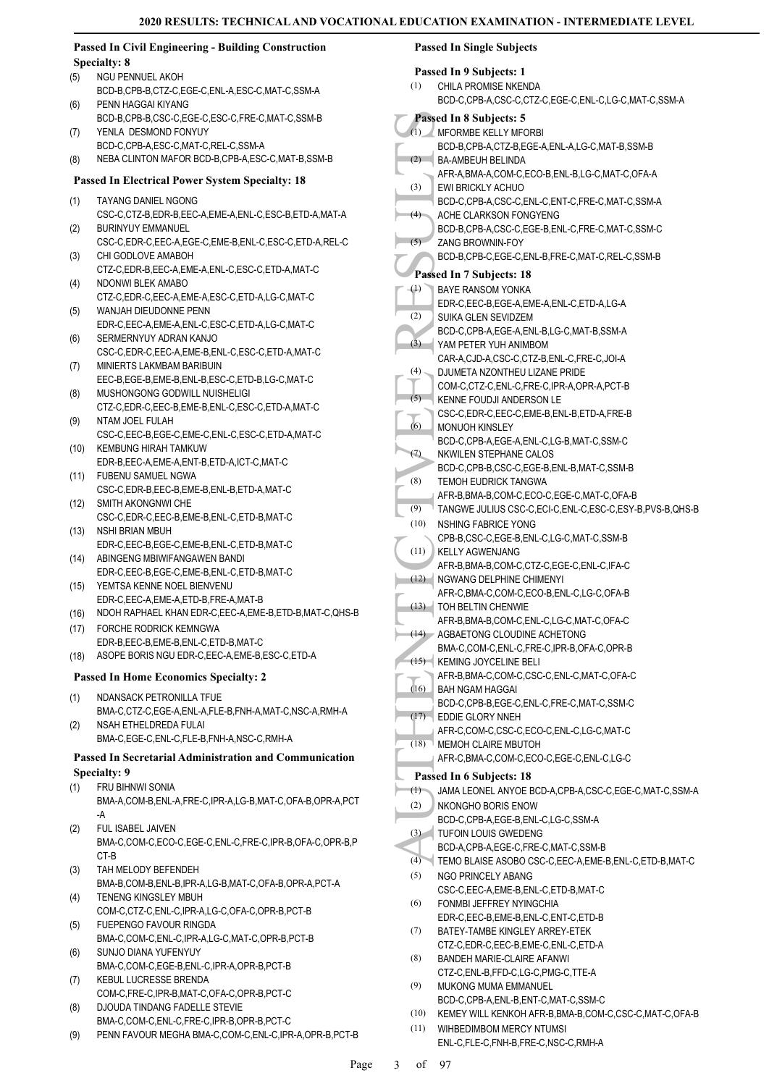#### **Passed In Civil Engineering - Building Construction Specialty: 8** NGU PENNUEL AKOH BCD-B,CPB-B,CTZ-C,EGE-C,ENL-A,ESC-C,MAT-C,SSM-A (5) PENN HAGGAI KIYANG BCD-B,CPB-B,CSC-C,EGE-C,ESC-C,FRE-C,MAT-C,SSM-B (6) YENLA DESMOND FONYUY BCD-C,CPB-A,ESC-C,MAT-C,REL-C,SSM-A (7) (8) NEBA CLINTON MAFOR BCD-B,CPB-A,ESC-C,MAT-B,SSM-B **Passed In Electrical Power System Specialty: 18** TAYANG DANIEL NGONG CSC-C,CTZ-B,EDR-B,EEC-A,EME-A,ENL-C,ESC-B,ETD-A,MAT-A (1) BURINYUY EMMANUEL CSC-C,EDR-C,EEC-A,EGE-C,EME-B,ENL-C,ESC-C,ETD-A,REL-C (2) CHI GODLOVE AMABOH CTZ-C,EDR-B,EEC-A,EME-A,ENL-C,ESC-C,ETD-A,MAT-C (3) NDONWI BLEK AMABO CTZ-C,EDR-C,EEC-A,EME-A,ESC-C,ETD-A,LG-C,MAT-C (4) WANJAH DIEUDONNE PENN EDR-C,EEC-A,EME-A,ENL-C,ESC-C,ETD-A,LG-C,MAT-C (5) SERMERNYUY ADRAN KANJO CSC-C,EDR-C,EEC-A,EME-B,ENL-C,ESC-C,ETD-A,MAT-C (6) MINIERTS LAKMBAM BARIBUIN EEC-B,EGE-B,EME-B,ENL-B,ESC-C,ETD-B,LG-C,MAT-C (7) MUSHONGONG GODWILL NUISHELIGI CTZ-C,EDR-C,EEC-B,EME-B,ENL-C,ESC-C,ETD-A,MAT-C (8) NTAM JOEL FULAH CSC-C,EEC-B,EGE-C,EME-C,ENL-C,ESC-C,ETD-A,MAT-C (9) (10) KEMBUNG HIRAH TAMKUW EDR-B,EEC-A,EME-A,ENT-B,ETD-A,ICT-C,MAT-C FUBENU SAMUEL NGWA (11) CSC-C,EDR-B,EEC-B,EME-B,ENL-B,ETD-A,MAT-C (12) SMITH AKONGNWI CHE CSC-C,EDR-C,EEC-B,EME-B,ENL-C,ETD-B,MAT-C (13) NSHI BRIAN MBUH EDR-C,EEC-B,EGE-C,EME-B,ENL-C,ETD-B,MAT-C ABINGENG MBIWIFANGAWEN BANDI (14) EDR-C,EEC-B,EGE-C,EME-B,ENL-C,ETD-B,MAT-C YEMTSA KENNE NOEL BIENVENU (15) EDR-C,EEC-A,EME-A,ETD-B,FRE-A,MAT-B (16) NDOH RAPHAEL KHAN EDR-C,EEC-A,EME-B,ETD-B,MAT-C,QHS-B FORCHE RODRICK KEMNGWA (17) EDR-B,EEC-B,EME-B,ENL-C,ETD-B,MAT-C (18) ASOPE BORIS NGU EDR-C,EEC-A,EME-B,ESC-C,ETD-A **Passed In Home Economics Specialty: 2** NDANSACK PETRONILLA TFUE BMA-C,CTZ-C,EGE-A,ENL-A,FLE-B,FNH-A,MAT-C,NSC-A,RMH-A (1) NSAH FTHELDREDA FULAI BMA-C,EGE-C,ENL-C,FLE-B,FNH-A,NSC-C,RMH-A (2) **Passed In Secretarial Administration and Communication Specialty: 9** FRU BIHNWI SONIA BMA-A,COM-B,ENL-A,FRE-C,IPR-A,LG-B,MAT-C,OFA-B,OPR-A,PCT -A (1) FUL ISABEL JAIVEN BMA-C,COM-C,ECO-C,EGE-C,ENL-C,FRE-C,IPR-B,OFA-C,OPR-B,P CT-B (2) TAH MELODY BEFENDEH BMA-B,COM-B,ENL-B,IPR-A,LG-B,MAT-C,OFA-B,OPR-A,PCT-A (3) TENENG KINGSLEY MBUH COM-C,CTZ-C,ENL-C,IPR-A,LG-C,OFA-C,OPR-B,PCT-B (4) FUEPENGO FAVOUR RINGDA BMA-C,COM-C,ENL-C,IPR-A,LG-C,MAT-C,OPR-B,PCT-B (5) SUNJO DIANA YUFENYUY BMA-C,COM-C,EGE-B,ENL-C,IPR-A,OPR-B,PCT-B (6) KEBUL LUCRESSE BRENDA COM-C,FRE-C,IPR-B,MAT-C,OFA-C,OPR-B,PCT-C (7) DJOUDA TINDANG FADELLE STEVIE BMA-C,COM-C,ENL-C,FRE-C,IPR-B,OPR-B,PCT-C (8) (9) PENN FAVOUR MEGHA BMA-C,COM-C,ENL-C,IPR-A,OPR-B,PCT-B **Passed In Single Subjects** (11) WIHBEDIMBOM MERCY NTUMSI

| Passed In 9 Subjects: 1 |                                                                           |  |
|-------------------------|---------------------------------------------------------------------------|--|
| (1)                     | CHILA PROMISE NKENDA                                                      |  |
|                         | BCD-C,CPB-A,CSC-C,CTZ-C,EGE-C,ENL-C,LG-C,MAT-C,SSM-A                      |  |
|                         | Passed In 8 Subjects: 5                                                   |  |
|                         | (1) MFORMBE KELLY MFORBI                                                  |  |
|                         | BCD-B,CPB-A,CTZ-B,EGE-A,ENL-A,LG-C,MAT-B,SSM-B                            |  |
| (2)                     | BA-AMBEUH BELINDA                                                         |  |
|                         | AFR-A, BMA-A, COM-C, ECO-B, ENL-B, LG-C, MAT-C, OFA-A                     |  |
| (3)                     | EWI BRICKLY ACHUO                                                         |  |
| (4)                     | BCD-C,CPB-A,CSC-C,ENL-C,ENT-C,FRE-C,MAT-C,SSM-A<br>ACHE CLARKSON FONGYENG |  |
|                         | BCD-B,CPB-A,CSC-C,EGE-B,ENL-C,FRE-C,MAT-C,SSM-C                           |  |
| (5)                     | <b>ZANG BROWNIN-FOY</b>                                                   |  |
|                         | BCD-B,CPB-C,EGE-C,ENL-B,FRE-C,MAT-C,REL-C,SSM-B                           |  |
|                         | Passed In 7 Subjects: 18                                                  |  |
| $\left( 1\right)$       | <b>BAYE RANSOM YONKA</b>                                                  |  |
|                         | EDR-C,EEC-B,EGE-A,EME-A,ENL-C,ETD-A,LG-A                                  |  |
| (2)                     | SUIKA GLEN SEVIDZEM                                                       |  |
|                         | BCD-C,CPB-A,EGE-A,ENL-B,LG-C,MAT-B,SSM-A                                  |  |
| $\overline{3})$         | YAM PETER YUH ANIMBOM                                                     |  |
|                         | CAR-A,CJD-A,CSC-C,CTZ-B,ENL-C,FRE-C,JOI-A                                 |  |
| (4)                     | DJUMETA NZONTHEU LIZANE PRIDE                                             |  |
|                         | COM-C,CTZ-C,ENL-C,FRE-C,IPR-A,OPR-A,PCT-B                                 |  |
| (5)                     | <b>KENNE FOUDJI ANDERSON LE</b>                                           |  |
|                         | CSC-C,EDR-C,EEC-C,EME-B,ENL-B,ETD-A,FRE-B                                 |  |
| (6)                     | <b>MONUOH KINSLEY</b><br>BCD-C,CPB-A,EGE-A,ENL-C,LG-B,MAT-C,SSM-C         |  |
| (7)                     | NKWILEN STEPHANE CALOS                                                    |  |
|                         | BCD-C,CPB-B,CSC-C,EGE-B,ENL-B,MAT-C,SSM-B                                 |  |
| (8)                     | TEMOH EUDRICK TANGWA                                                      |  |
|                         | AFR-B, BMA-B, COM-C, ECO-C, EGE-C, MAT-C, OFA-B                           |  |
| (9)                     | TANGWE JULIUS CSC-C,ECI-C,ENL-C,ESC-C,ESY-B,PVS-B,QHS-B                   |  |
| (10)                    | <b>NSHING FABRICE YONG</b>                                                |  |
|                         | CPB-B,CSC-C,EGE-B,ENL-C,LG-C,MAT-C,SSM-B                                  |  |
| (11)                    | <b>KELLY AGWENJANG</b>                                                    |  |
|                         | AFR-B, BMA-B, COM-C, CTZ-C, EGE-C, ENL-C, IFA-C                           |  |
| (12)                    | NGWANG DELPHINE CHIMENYI                                                  |  |
| (13)                    | AFR-C, BMA-C, COM-C, ECO-B, ENL-C, LG-C, OFA-B<br>TOH BELTIN CHENWIE      |  |
|                         | AFR-B, BMA-B, COM-C, ENL-C, LG-C, MAT-C, OFA-C                            |  |
|                         | $(14)$ AGBAETONG CLOUDINE ACHETONG                                        |  |
|                         | BMA-C,COM-C,ENL-C,FRE-C,IPR-B,OFA-C,OPR-B                                 |  |
| (15)                    | KEMING JOYCELINE BELI                                                     |  |
|                         | AFR-B, BMA-C, COM-C, CSC-C, ENL-C, MAT-C, OFA-C                           |  |
| (16)                    | BAH NGAM HAGGAI                                                           |  |
|                         | BCD-C,CPB-B,EGE-C,ENL-C,FRE-C,MAT-C,SSM-C                                 |  |
| (17)                    | EDDIE GLORY NNEH                                                          |  |
| (18)                    | AFR-C,COM-C,CSC-C,ECO-C,ENL-C,LG-C,MAT-C<br><b>MEMOH CLAIRE MBUTOH</b>    |  |
|                         | AFR-C.BMA-C.COM-C.ECO-C.EGE-C.ENL-C.LG-C                                  |  |
|                         | Passed In 6 Subjects: 18                                                  |  |
| (1)                     | JAMA LEONEL ANYOE BCD-A,CPB-A,CSC-C,EGE-C,MAT-C,SSM-A                     |  |
| (2)                     | NKONGHO BORIS ENOW                                                        |  |
|                         | BCD-C,CPB-A,EGE-B,ENL-C,LG-C,SSM-A                                        |  |
| (3)                     | <b>TUFOIN LOUIS GWEDENG</b>                                               |  |
|                         | BCD-A,CPB-A,EGE-C,FRE-C,MAT-C,SSM-B                                       |  |
| (4)                     | TEMO BLAISE ASOBO CSC-C, EEC-A, EME-B, ENL-C, ETD-B, MAT-C                |  |
| (5)                     | NGO PRINCELY ABANG                                                        |  |
|                         | CSC-C.EEC-A.EME-B.ENL-C.ETD-B.MAT-C                                       |  |
| (6)                     | FONMBI JEFFREY NYINGCHIA                                                  |  |
|                         | EDR-C,EEC-B,EME-B,ENL-C,ENT-C,ETD-B                                       |  |
| (7)                     | BATEY-TAMBE KINGLEY ARREY-ETEK                                            |  |
|                         | CTZ-C,EDR-C,EEC-B,EME-C,ENL-C,ETD-A                                       |  |
| (8)                     | <b>BANDEH MARIE-CLAIRE AFANWI</b>                                         |  |
| (9)                     | CTZ-C, ENL-B, FFD-C, LG-C, PMG-C, TTE-A<br>MUKONG MUMA EMMANUEL           |  |
|                         | BCD-C.CPB-A.ENL-B.ENT-C.MAT-C.SSM-C                                       |  |
| (10)                    | KEMEY WILL KENKOH AFR-B, BMA-B, COM-C, CSC-C, MAT-C, OFA-B                |  |

ENL-C,FLE-C,FNH-B,FRE-C,NSC-C,RMH-A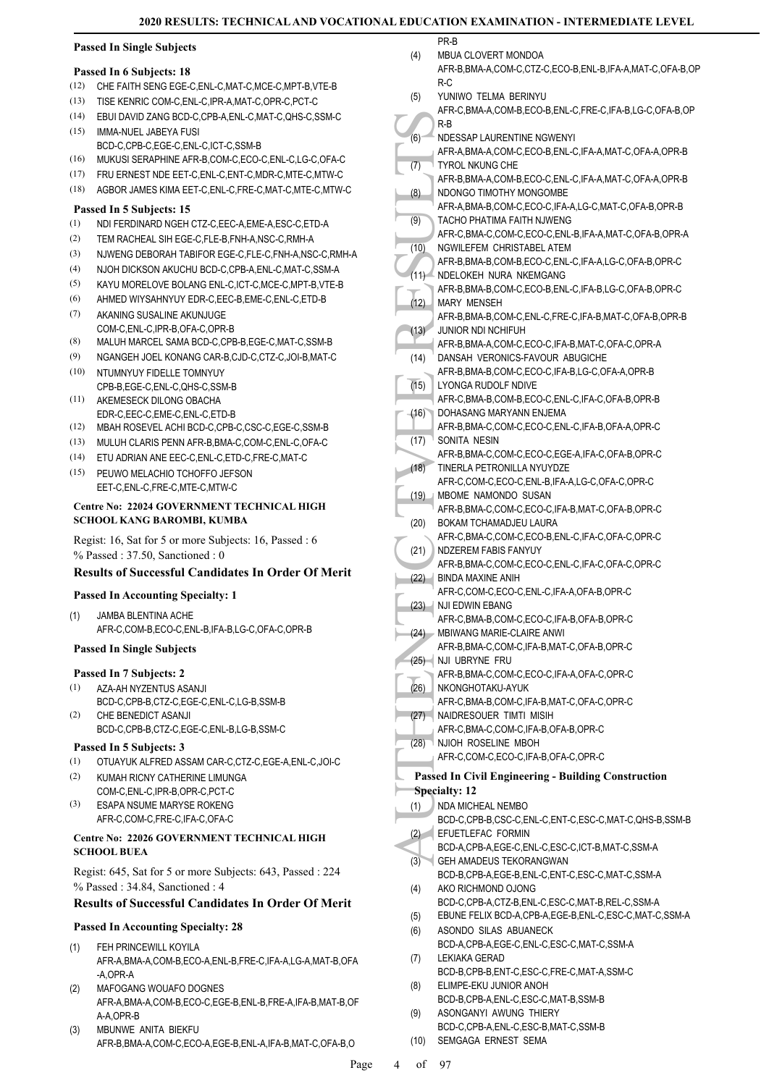(5)

### **Passed In Single Subjects**

#### **Passed In 6 Subjects: 18**

- (12) CHE FAITH SENG EGE-C,ENL-C,MAT-C,MCE-C,MPT-B,VTE-B
- (13) TISE KENRIC COM-C,ENL-C,IPR-A,MAT-C,OPR-C,PCT-C
- (14) EBUI DAVID ZANG BCD-C,CPB-A,ENL-C,MAT-C,QHS-C,SSM-C
- IMMA-NUEL JABEYA FUSI BCD-C,CPB-C,EGE-C,ENL-C,ICT-C,SSM-B (15)
- (16) MUKUSI SERAPHINE AFR-B,COM-C,ECO-C,ENL-C,LG-C,OFA-C
- (17) FRU ERNEST NDE EET-C,ENL-C,ENT-C,MDR-C,MTE-C,MTW-C
- (18) AGBOR JAMES KIMA EET-C,ENL-C,FRE-C,MAT-C,MTE-C,MTW-C

#### **Passed In 5 Subjects: 15**

- (1) NDI FERDINARD NGEH CTZ-C,EEC-A,EME-A,ESC-C,ETD-A
- (2) TEM RACHEAL SIH EGE-C,FLE-B,FNH-A,NSC-C,RMH-A
- (3) NJWENG DEBORAH TABIFOR EGE-C,FLE-C,FNH-A,NSC-C,RMH-A
- (4) NJOH DICKSON AKUCHU BCD-C,CPB-A,ENL-C,MAT-C,SSM-A
- (5) KAYU MORELOVE BOLANG ENL-C,ICT-C,MCE-C,MPT-B,VTE-B
- (6) AHMED WIYSAHNYUY EDR-C,EEC-B,EME-C,ENL-C,ETD-B
- AKANING SUSALINE AKUNJUGE COM-C,ENL-C,IPR-B,OFA-C,OPR-B (7)
- (8) MALUH MARCEL SAMA BCD-C,CPB-B,EGE-C,MAT-C,SSM-B
- (9) NGANGEH JOEL KONANG CAR-B,CJD-C,CTZ-C,JOI-B,MAT-C (10) NTUMNYUY FIDELLE TOMNYUY
- CPB-B,EGE-C,ENL-C,QHS-C,SSM-B AKEMESECK DILONG OBACHA (11)
- EDR-C,EEC-C,EME-C,ENL-C,ETD-B
- (12) MBAH ROSEVEL ACHI BCD-C,CPB-C,CSC-C,EGE-C,SSM-B
- (13) MULUH CLARIS PENN AFR-B,BMA-C,COM-C,ENL-C,OFA-C
- (14) ETU ADRIAN ANE EEC-C,ENL-C,ETD-C,FRE-C,MAT-C
- PEUWO MELACHIO TCHOFFO JEFSON EET-C,ENL-C,FRE-C,MTE-C,MTW-C  $(15)$

#### **Centre No: 22024 GOVERNMENT TECHNICAL HIGH SCHOOL KANG BAROMBI, KUMBA**

Regist: 16, Sat for 5 or more Subjects: 16, Passed : 6 % Passed : 37.50, Sanctioned : 0

### **Results of Successful Candidates In Order Of Merit**

### **Passed In Accounting Specialty: 1**

JAMBA BLENTINA ACHE AFR-C,COM-B,ECO-C,ENL-B,IFA-B,LG-C,OFA-C,OPR-B (1)

#### **Passed In Single Subjects**

#### **Passed In 7 Subjects: 2**

- AZA-AH NYZENTUS ASANJI (1)
- BCD-C,CPB-B,CTZ-C,EGE-C,ENL-C,LG-B,SSM-B CHE BENEDICT ASANJI (2)
- BCD-C,CPB-B,CTZ-C,EGE-C,ENL-B,LG-B,SSM-C

### **Passed In 5 Subjects: 3**

- (1) OTUAYUK ALFRED ASSAM CAR-C,CTZ-C,EGE-A,ENL-C,JOI-C
- KUMAH RICNY CATHERINE LIMUNGA COM-C,ENL-C,IPR-B,OPR-C,PCT-C (2)
- ESAPA NSUME MARYSE ROKENG AFR-C,COM-C,FRE-C,IFA-C,OFA-C (3)

#### **Centre No: 22026 GOVERNMENT TECHNICAL HIGH SCHOOL BUEA**

Regist: 645, Sat for 5 or more Subjects: 643, Passed : 224 % Passed : 34.84, Sanctioned : 4

### **Results of Successful Candidates In Order Of Merit**

### **Passed In Accounting Specialty: 28**

- FEH PRINCEWILL KOYILA AFR-A,BMA-A,COM-B,ECO-A,ENL-B,FRE-C,IFA-A,LG-A,MAT-B,OFA -A,OPR-A (1)
- MAFOGANG WOUAFO DOGNES AFR-A,BMA-A,COM-B,ECO-C,EGE-B,ENL-B,FRE-A,IFA-B,MAT-B,OF A-A,OPR-B (2)
- MBUNWE ANITA BIEKFU AFR-B,BMA-A,COM-C,ECO-A,EGE-B,ENL-A,IFA-B,MAT-C,OFA-B,O (3)

PR-B MBUA CLOVERT MONDOA (4)

YUNIWO TELMA BERINYU

- AFR-B,BMA-A,COM-C,CTZ-C,ECO-B,ENL-B,IFA-A,MAT-C,OFA-B,OP R-C
- (6) AFR-A, TYROL (6) AFR-A, TYROL (6) AFR-A, TYROL AFR-A, TYROL AFR-A, TYROL AFR-A, TACHO AFR-A, TACHO AFR-A, TACHO AFR-A, TACHO AFR-B, NDELO AFR-B, NDANSA AFR-B, UNARY AFR-B, UNARY AFR-B, UNARY AFR-B, UNARY AFR-B, UNARY A AFR-C,BMA-A,COM-B,ECO-B,ENL-C,FRE-C,IFA-B,LG-C,OFA-B,OP R-B NDESSAP LAURENTINE NGWENYI AFR-A,BMA-A,COM-C,ECO-B,ENL-C,IFA-A,MAT-C,OFA-A,OPR-B (6) TYROL NKUNG CHE AFR-B,BMA-A,COM-B,ECO-C,ENL-C,IFA-A,MAT-C,OFA-A,OPR-B (7) NDONGO TIMOTHY MONGOMBE AFR-A,BMA-B,COM-C,ECO-C,IFA-A,LG-C,MAT-C,OFA-B,OPR-B (8) TACHO PHATIMA FAITH NJWENG (9)
	- AFR-C,BMA-C,COM-C,ECO-C,ENL-B,IFA-A,MAT-C,OFA-B,OPR-A NGWILEFEM CHRISTABEL ATEM  $(10)$
- AFR-B,BMA-B,COM-B,ECO-C,ENL-C,IFA-A,LG-C,OFA-B,OPR-C NDELOKEH NURA NKEMGANG  $(11)$
- AFR-B,BMA-B,COM-C,ECO-B,ENL-C,IFA-B,LG-C,OFA-B,OPR-C MARY MENSEH AFR-B,BMA-B,COM-C,ENL-C,FRE-C,IFA-B,MAT-C,OFA-B,OPR-B  $(12)$
- JUNIOR NDI NCHIFUH (13)
- AFR-B,BMA-A,COM-C,ECO-C,IFA-B,MAT-C,OFA-C,OPR-A DANSAH VERONICS-FAVOUR ABUGICHE (14)
- AFR-B,BMA-B,COM-C,ECO-C,IFA-B,LG-C,OFA-A,OPR-B LYONGA RUDOLF NDIVE (15)
- AFR-C,BMA-B,COM-B,ECO-C,ENL-C,IFA-C,OFA-B,OPR-B DOHASANG MARYANN ENJEMA  $(16)$
- AFR-B,BMA-C,COM-C,ECO-C,ENL-C,IFA-B,OFA-A,OPR-C  $^{\mathsf{\tiny{\rm{\top}}}}$  SONITA NESIN (17)
- AFR-B,BMA-C,COM-C,ECO-C,EGE-A,IFA-C,OFA-B,OPR-C TINERLA PETRONILLA NYUYDZE (18)
- AFR-C,COM-C,ECO-C,ENL-B,IFA-A,LG-C,OFA-C,OPR-C MBOME NAMONDO SUSAN (19)
- AFR-B,BMA-C,COM-C,ECO-C,IFA-B,MAT-C,OFA-B,OPR-C BOKAM TCHAMADJEU LAURA (20)
- AFR-C,BMA-C,COM-C,ECO-B,ENL-C,IFA-C,OFA-C,OPR-C NDZEREM FABIS FANYUY (21)
- AFR-B,BMA-C,COM-C,ECO-C,ENL-C,IFA-C,OFA-C,OPR-C
- BINDA MAXINE ANIH (22) AFR-C,COM-C,ECO-C,ENL-C,IFA-A,OFA-B,OPR-C
- (23) NJI EDWIN EBANG AFR-C,BMA-B,COM-C,ECO-C,IFA-B,OFA-B,OPR-C
- (24) MBIWANG MARIE-CLAIRE ANWI
- AFR-B,BMA-C,COM-C,IFA-B,MAT-C,OFA-B,OPR-C (25) NJI UBRYNE FRU
- AFR-B,BMA-C,COM-C,ECO-C,IFA-A,OFA-C,OPR-C
- NKONGHOTAKU-AYUK (26)
- AFR-C,BMA-B,COM-C,IFA-B,MAT-C,OFA-C,OPR-C
	- NAIDRESOUER TIMTI MISIH (27) AFR-C,BMA-C,COM-C,IFA-B,OFA-B,OPR-C
- NJIOH ROSELINE MBOH (28)
- AFR-C,COM-C,ECO-C,IFA-B,OFA-C,OPR-C
- 
- **Passed In Civil Engineering Building Construction Specialty: 12**
- NDA MICHEAL NEMBO (1)
- BCD-C,CPB-B,CSC-C,ENL-C,ENT-C,ESC-C,MAT-C,QHS-B,SSM-B EFUETLEFAC FORMIN  $(2)$
- BCD-A,CPB-A,EGE-C,ENL-C,ESC-C,ICT-B,MAT-C,SSM-A
- GEH AMADEUS TEKORANGWAN BCD-B,CPB-A,EGE-B,ENL-C,ENT-C,ESC-C,MAT-C,SSM-A (3) AKO RICHMOND OJONG
- BCD-C,CPB-A,CTZ-B,ENL-C,ESC-C,MAT-B,REL-C,SSM-A (4)
- (5) EBUNE FELIX BCD-A,CPB-A,EGE-B,ENL-C,ESC-C,MAT-C,SSM-A
- ASONDO SILAS ABUANECK BCD-A,CPB-A,EGE-C,ENL-C,ESC-C,MAT-C,SSM-A (6)
- LEKIAKA GERAD BCD-B,CPB-B,ENT-C,ESC-C,FRE-C,MAT-A,SSM-C (7)
- ELIMPE-EKU JUNIOR ANOH (8)
	- BCD-B,CPB-A,ENL-C,ESC-C,MAT-B,SSM-B
- ASONGANYI AWUNG THIERY BCD-C,CPB-A,ENL-C,ESC-B,MAT-C,SSM-B (9)
- (10) SEMGAGA ERNEST SEMA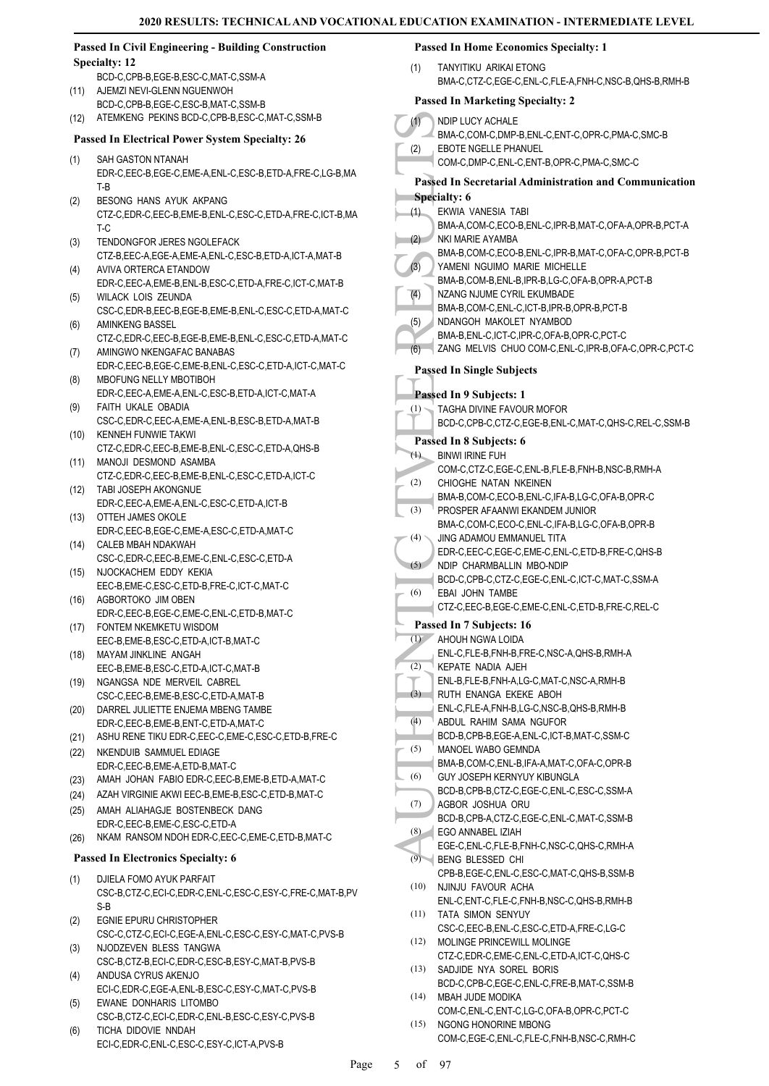#### **Passed In Civil Engineering - Building Construction Specialty: 12** BCD-C,CPB-B,EGE-B,ESC-C,MAT-C,SSM-A (11) AJEMZI NEVI-GLENN NGUENWOH BCD-C,CPB-B,EGE-C,ESC-B,MAT-C,SSM-B (12) ATEMKENG PEKINS BCD-C,CPB-B,ESC-C,MAT-C,SSM-B **Passed In Electrical Power System Specialty: 26** SAH GASTON NTANAH EDR-C,EEC-B,EGE-C,EME-A,ENL-C,ESC-B,ETD-A,FRE-C,LG-B,MA T-B BESONG HANS AYUK AKPANG CTZ-C,EDR-C,EEC-B,EME-B,ENL-C,ESC-C,ETD-A,FRE-C,ICT-B,MA T-C TENDONGFOR JERES NGOLEFACK CTZ-B,EEC-A,EGE-A,EME-A,ENL-C,ESC-B,ETD-A,ICT-A,MAT-B AVIVA ORTERCA ETANDOW EDR-C,EEC-A,EME-B,ENL-B,ESC-C,ETD-A,FRE-C,ICT-C,MAT-B WILACK LOIS ZEUNDA CSC-C,EDR-B,EEC-B,EGE-B,EME-B,ENL-C,ESC-C,ETD-A,MAT-C AMINKENG BASSEL CTZ-C,EDR-C,EEC-B,EGE-B,EME-B,ENL-C,ESC-C,ETD-A,MAT-C AMINGWO NKENGAFAC BANABAS EDR-C,EEC-B,EGE-C,EME-B,ENL-C,ESC-C,ETD-A,ICT-C,MAT-C MBOFUNG NELLY MBOTIBOH EDR-C,EEC-A,EME-A,ENL-C,ESC-B,ETD-A,ICT-C,MAT-A FAITH UKALE OBADIA CSC-C,EDR-C,EEC-A,EME-A,ENL-B,ESC-B,ETD-A,MAT-B KENNEH FUNWIE TAKWI CTZ-C,EDR-C,EEC-B,EME-B,ENL-C,ESC-C,ETD-A,QHS-B (10) (11) MANOJI DESMOND ASAMBA CTZ-C,EDR-C,EEC-B,EME-B,ENL-C,ESC-C,ETD-A,ICT-C TABI JOSEPH AKONGNUE (12) EDR-C,EEC-A,EME-A,ENL-C,ESC-C,ETD-A,ICT-B (13) OTTEH JAMES OKOLE EDR-C,EEC-B,EGE-C,EME-A,ESC-C,ETD-A,MAT-C CALEB MBAH NDAKWAH (14) CSC-C,EDR-C,EEC-B,EME-C,ENL-C,ESC-C,ETD-A (15) NJOCKACHEM EDDY KEKIA EEC-B,EME-C,ESC-C,ETD-B,FRE-C,ICT-C,MAT-C (16) AGBORTOKO JIM OBEN EDR-C,EEC-B,EGE-C,EME-C,ENL-C,ETD-B,MAT-C FONTEM NKEMKETU WISDOM (17) EEC-B,EME-B,ESC-C,ETD-A,ICT-B,MAT-C MAYAM JINKLINE ANGAH (18) EEC-B,EME-B,ESC-C,ETD-A,ICT-C,MAT-B (19) NGANGSA NDE MERVEIL CABREL CSC-C,EEC-B,EME-B,ESC-C,ETD-A,MAT-B (20) DARREL JULIETTE ENJEMA MBENG TAMBE EDR-C,EEC-B,EME-B,ENT-C,ETD-A,MAT-C (21) ASHU RENE TIKU EDR-C,EEC-C,EME-C,ESC-C,ETD-B,FRE-C (22) NKENDUIB SAMMUEL EDIAGE EDR-C,EEC-B,EME-A,ETD-B,MAT-C (23) AMAH JOHAN FABIO EDR-C,EEC-B,EME-B,ETD-A,MAT-C (24) AZAH VIRGINIE AKWI EEC-B,EME-B,ESC-C,ETD-B,MAT-C AMAH ALIAHAGJE BOSTENBECK DANG EDR-C,EEC-B,EME-C,ESC-C,ETD-A (25) (26) NKAM RANSOM NDOH EDR-C,EEC-C,EME-C,ETD-B,MAT-C **Passed In Electronics Specialty: 6** DJIELA FOMO AYUK PARFAIT CSC-B,CTZ-C,ECI-C,EDR-C,ENL-C,ESC-C,ESY-C,FRE-C,MAT-B,PV S-B EGNIE EPURU CHRISTOPHER CSC-C,CTZ-C,ECI-C,EGE-A,ENL-C,ESC-C,ESY-C,MAT-C,PVS-B NJODZEVEN BLESS TANGWA CSC-B,CTZ-B,ECI-C,EDR-C,ESC-B,ESY-C,MAT-B,PVS-B ANDUSA CYRUS AKENJO ECI-C,EDR-C,EGE-A,ENL-B,ESC-C,ESY-C,MAT-C,PVS-B EWANE DONHARIS LITOMBO CSC-B,CTZ-C,ECI-C,EDR-C,ENL-B,ESC-C,ESY-C,PVS-B (1) (1) (2) (1) (2) (3) (4) (5) (1) (1) (2) (3) (4) (5) (6) (1) (2) (3) (4) (5) (6) (7) (8) (9) (10) (11) (12) (13) (14) (15)

(1)

(2)

(3)

(4)

(5)

(6)

(7)

(8)

(9)

(1)

(2)

(3)

(4)

(5)

TICHA DIDOVIE NNDAH ECI-C,EDR-C,ENL-C,ESC-C,ESY-C,ICT-A,PVS-B (6)

### **Passed In Home Economics Specialty: 1**

TANYITIKU ARIKAI ETONG BMA-C,CTZ-C,EGE-C,ENL-C,FLE-A,FNH-C,NSC-B,QHS-B,RMH-B

### **Passed In Marketing Specialty: 2**

| (1)               | NDIP LUCY ACHALE                                                             |
|-------------------|------------------------------------------------------------------------------|
|                   | BMA-C,COM-C,DMP-B,ENL-C,ENT-C,OPR-C,PMA-C,SMC-B                              |
| (2)               | EBOTE NGELLE PHANUEL                                                         |
|                   | COM-C,DMP-C,ENL-C,ENT-B,OPR-C,PMA-C,SMC-C                                    |
|                   | <b>Passed In Secretarial Administration and Communication</b>                |
|                   | <b>Specialty: 6</b>                                                          |
| (1)               | EKWIA VANESIA TABI                                                           |
|                   | BMA-A,COM-C,ECO-B,ENL-C,IPR-B,MAT-C,OFA-A,OPR-B,PCT-A                        |
| (2)               | NKI MARIE AYAMBA                                                             |
|                   | BMA-B,COM-C,ECO-B,ENL-C,IPR-B,MAT-C,OFA-C,OPR-B,PCT-B                        |
| (3)               | YAMENI NGUIMO MARIE MICHELLE                                                 |
|                   | BMA-B,COM-B,ENL-B,IPR-B,LG-C,OFA-B,OPR-A,PCT-B                               |
| (4)               | NZANG NJUME CYRIL EKUMBADE                                                   |
|                   | BMA-B,COM-C,ENL-C,ICT-B,IPR-B,OPR-B,PCT-B                                    |
| (5)               | NDANGOH MAKOLET NYAMBOD                                                      |
|                   | BMA-B, ENL-C, ICT-C, IPR-C, OFA-B, OPR-C, PCT-C                              |
| (6)               | ZANG MELVIS CHUO COM-C, ENL-C, IPR-B, OFA-C, OPR-C, PCT-C                    |
|                   | <b>Passed In Single Subjects</b>                                             |
|                   |                                                                              |
|                   | Passed In 9 Subjects: 1                                                      |
| (1)               | TAGHA DIVINE FAVOUR MOFOR                                                    |
|                   | BCD-C,CPB-C,CTZ-C,EGE-B,ENL-C,MAT-C,QHS-C,REL-C,SSM-B                        |
|                   | Passed In 8 Subjects: 6                                                      |
| $^{(1)}$          | <b>BINWI IRINE FUH</b>                                                       |
|                   | COM-C,CTZ-C,EGE-C,ENL-B,FLE-B,FNH-B,NSC-B,RMH-A                              |
| (2)               | CHIOGHE NATAN NKEINEN                                                        |
|                   | BMA-B,COM-C,ECO-B,ENL-C,IFA-B,LG-C,OFA-B,OPR-C                               |
| $\overline{3})$   | PROSPER AFAANWI EKANDEM JUNIOR                                               |
|                   | BMA-C,COM-C,ECO-C,ENL-C,IFA-B,LG-C,OFA-B,OPR-B                               |
| (4)               | JING ADAMOU EMMANUEL TITA                                                    |
| (5)               | EDR-C,EEC-C,EGE-C,EME-C,ENL-C,ETD-B,FRE-C,QHS-B<br>NDIP CHARMBALLIN MBO-NDIP |
|                   | BCD-C,CPB-C,CTZ-C,EGE-C,ENL-C,ICT-C,MAT-C,SSM-A                              |
| (6)               | EBAI JOHN TAMBE                                                              |
|                   | CTZ-C.EEC-B.EGE-C.EME-C.ENL-C.ETD-B.FRE-C.REL-C                              |
|                   | Passed In 7 Subjects: 16                                                     |
| $\left( 1\right)$ | AHOUH NGWA LOIDA                                                             |
|                   | ENL-C,FLE-B,FNH-B,FRE-C,NSC-A,QHS-B,RMH-A                                    |
| (2)               | KEPATE NADIA AJEH                                                            |
|                   | ENL-B,FLE-B,FNH-A,LG-C,MAT-C,NSC-A,RMH-B                                     |
| (3)               | RUTH ENANGA EKEKE ABOH                                                       |
|                   | ENL-C, FLE-A, FNH-B, LG-C, NSC-B, QHS-B, RMH-B                               |
| (4)               | ABDUL RAHIM SAMA NGUFOR                                                      |
|                   | BCD-B,CPB-B,EGE-A,ENL-C,ICT-B,MAT-C,SSM-C                                    |
| (5)               | MANOEL WABO GEMNDA                                                           |
|                   | BMA-B,COM-C,ENL-B,IFA-A,MAT-C,OFA-C,OPR-B                                    |
| (6)               | GUY JOSEPH KERNYUY KIBUNGLA                                                  |
| (7)               | BCD-B,CPB-B,CTZ-C,EGE-C,ENL-C,ESC-C,SSM-A<br>AGBOR JOSHUA ORU                |
|                   | BCD-B,CPB-A,CTZ-C,EGE-C,ENL-C,MAT-C,SSM-B                                    |
| (8)               | EGO ANNABEL IZIAH                                                            |
|                   | EGE-C.ENL-C.FLE-B.FNH-C.NSC-C.QHS-C.RMH-A                                    |
| (9)               | <b>BENG BLESSED CHI</b>                                                      |
|                   | CPB-B,EGE-C,ENL-C,ESC-C,MAT-C,QHS-B,SSM-B                                    |
| (10)              | NJINJU FAVOUR ACHA                                                           |
|                   | ENL-C, ENT-C, FLE-C, FNH-B, NSC-C, QHS-B, RMH-B                              |
| (11)              | TATA SIMON SENYUY                                                            |
|                   | CSC-C,EEC-B,ENL-C,ESC-C,ETD-A,FRE-C,LG-C                                     |
| (12)              | MOLINGE PRINCEWILL MOLINGE                                                   |
|                   | CTZ-C,EDR-C,EME-C,ENL-C,ETD-A,ICT-C,QHS-C                                    |
| (13)              | SADJIDE NYA SOREL BORIS                                                      |
|                   | BCD-C,CPB-C,EGE-C,ENL-C,FRE-B,MAT-C,SSM-B                                    |
| (14)              | MBAH JUDE MODIKA                                                             |
| (15)              | COM-C, ENL-C, ENT-C, LG-C, OFA-B, OPR-C, PCT-C<br>NGONG HONORINE MBONG       |
|                   | COM-C,EGE-C,ENL-C,FLE-C,FNH-B,NSC-C,RMH-C                                    |
|                   |                                                                              |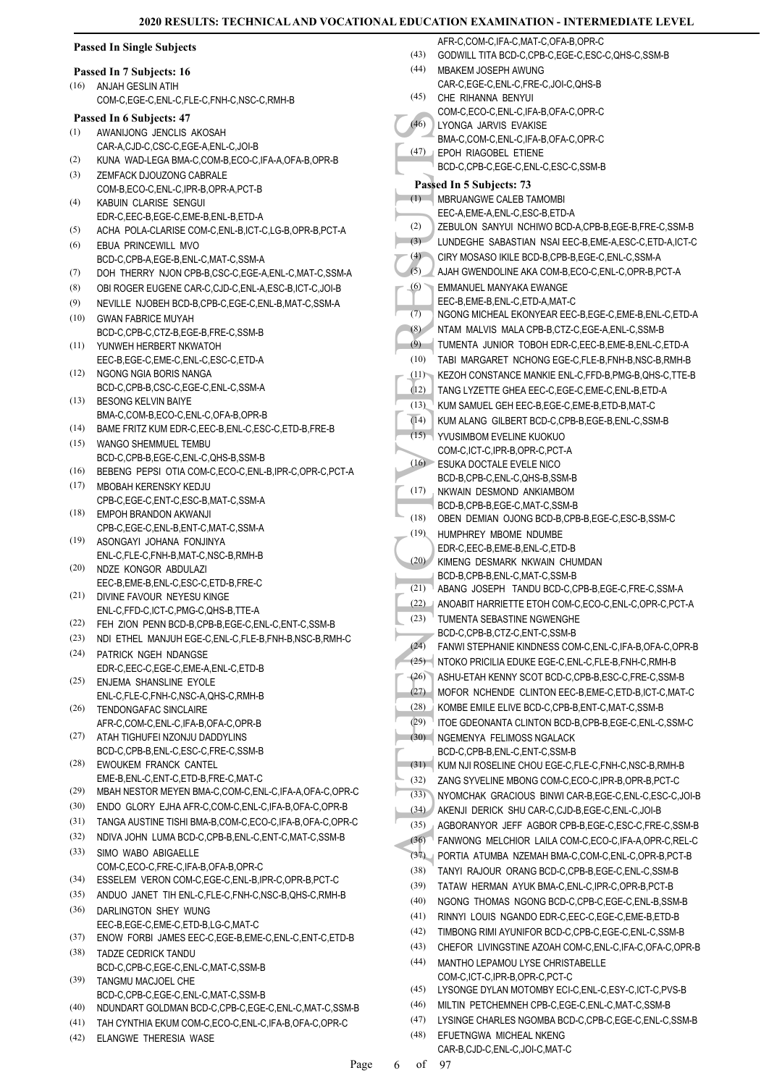| <b>Passed In Single Subjects</b> |                                                                                              |          | AFR-C,COM-C,IFA-C,MAT-C,OFA-B,OPR-C                                     |
|----------------------------------|----------------------------------------------------------------------------------------------|----------|-------------------------------------------------------------------------|
|                                  |                                                                                              | (43)     | GODWILL TITA BCD-C,CPB-C,EGE-C,ESC-C,QHS-C,SSM-B                        |
|                                  | Passed In 7 Subjects: 16                                                                     | (44)     | MBAKEM JOSEPH AWUNG                                                     |
| (16)                             | ANJAH GESLIN ATIH                                                                            | (45)     | CAR-C,EGE-C,ENL-C,FRE-C,JOI-C,QHS-B<br>CHE RIHANNA BENYUI               |
|                                  | COM-C,EGE-C,ENL-C,FLE-C,FNH-C,NSC-C,RMH-B                                                    |          | COM-C,ECO-C,ENL-C,IFA-B,OFA-C,OPR-C                                     |
|                                  | Passed In 6 Subjects: 47                                                                     | (46)     | LYONGA JARVIS EVAKISE                                                   |
| (1)                              | AWANIJONG JENCLIS AKOSAH                                                                     |          | BMA-C,COM-C,ENL-C,IFA-B,OFA-C,OPR-C                                     |
|                                  | CAR-A,CJD-C,CSC-C,EGE-A,ENL-C,JOI-B                                                          |          | (47)   EPOH RIAGOBEL ETIENE                                             |
| (2)                              | KUNA WAD-LEGA BMA-C,COM-B,ECO-C,IFA-A,OFA-B,OPR-B                                            |          | BCD-C,CPB-C,EGE-C,ENL-C,ESC-C,SSM-B                                     |
| (3)                              | ZEMFACK DJOUZONG CABRALE                                                                     |          | Passed In 5 Subjects: 73                                                |
| (4)                              | COM-B,ECO-C,ENL-C,IPR-B,OPR-A,PCT-B<br>KABUIN CLARISE SENGUI                                 | (1)      | MBRUANGWE CALEB TAMOMBI                                                 |
|                                  | EDR-C, EEC-B, EGE-C, EME-B, ENL-B, ETD-A                                                     |          | EEC-A,EME-A,ENL-C,ESC-B,ETD-A                                           |
| (5)                              | ACHA POLA-CLARISE COM-C, ENL-B, ICT-C, LG-B, OPR-B, PCT-A                                    | (2)      | ZEBULON SANYUI NCHIWO BCD-A, CPB-B, EGE-B, FRE-C, SSM-B                 |
| (6)                              | EBUA PRINCEWILL MVO                                                                          | (3)      | LUNDEGHE SABASTIAN NSAI EEC-B, EME-A, ESC-C, ETD-A, ICT-C               |
|                                  | BCD-C,CPB-A,EGE-B,ENL-C,MAT-C,SSM-A                                                          | (4)      | CIRY MOSASO IKILE BCD-B,CPB-B,EGE-C,ENL-C,SSM-A                         |
| (7)                              | DOH THERRY NJON CPB-B,CSC-C,EGE-A,ENL-C,MAT-C,SSM-A                                          | (5)      | AJAH GWENDOLINE AKA COM-B, ECO-C, ENL-C, OPR-B, PCT-A                   |
| (8)                              | OBI ROGER EUGENE CAR-C,CJD-C,ENL-A,ESC-B,ICT-C,JOI-B                                         | (6)      | EMMANUEL MANYAKA EWANGE                                                 |
| (9)                              | NEVILLE NJOBEH BCD-B,CPB-C,EGE-C,ENL-B,MAT-C,SSM-A                                           |          | EEC-B,EME-B,ENL-C,ETD-A,MAT-C                                           |
| (10)                             | <b>GWAN FABRICE MUYAH</b>                                                                    | (7)      | NGONG MICHEAL EKONYEAR EEC-B,EGE-C,EME-B,ENL-C,ETD-A                    |
|                                  | BCD-C,CPB-C,CTZ-B,EGE-B,FRE-C,SSM-B                                                          | (8)      | NTAM MALVIS MALA CPB-B, CTZ-C, EGE-A, ENL-C, SSM-B                      |
| (11)                             | YUNWEH HERBERT NKWATOH                                                                       | (9)      | TUMENTA JUNIOR TOBOH EDR-C, EEC-B, EME-B, ENL-C, ETD-A                  |
|                                  | EEC-B,EGE-C,EME-C,ENL-C,ESC-C,ETD-A                                                          | (10)     | TABI MARGARET NCHONG EGE-C, FLE-B, FNH-B, NSC-B, RMH-B                  |
| (12)                             | NGONG NGIA BORIS NANGA                                                                       | (11)     | KEZOH CONSTANCE MANKIE ENL-C, FFD-B, PMG-B, QHS-C, TTE-B                |
|                                  | BCD-C,CPB-B,CSC-C,EGE-C,ENL-C,SSM-A                                                          | (12)     | TANG LYZETTE GHEA EEC-C,EGE-C,EME-C,ENL-B,ETD-A                         |
| (13)                             | <b>BESONG KELVIN BAIYE</b>                                                                   | (13)     | KUM SAMUEL GEH EEC-B,EGE-C,EME-B,ETD-B,MAT-C                            |
|                                  | BMA-C,COM-B,ECO-C,ENL-C,OFA-B,OPR-B                                                          | (14)     | KUM ALANG GILBERT BCD-C, CPB-B, EGE-B, ENL-C, SSM-B                     |
| (14)                             | BAME FRITZ KUM EDR-C, EEC-B, ENL-C, ESC-C, ETD-B, FRE-B                                      |          | (15) YVUSIMBOM EVELINE KUOKUO                                           |
| (15)                             | WANGO SHEMMUEL TEMBU                                                                         |          | COM-C,ICT-C,IPR-B,OPR-C,PCT-A                                           |
| (16)                             | BCD-C,CPB-B,EGE-C,ENL-C,QHS-B,SSM-B<br>BEBENG PEPSI OTIA COM-C,ECO-C,ENL-B,IPR-C,OPR-C,PCT-A |          | (16) ESUKA DOCTALE EVELE NICO                                           |
| (17)                             | MBOBAH KERENSKY KEDJU                                                                        |          | BCD-B,CPB-C,ENL-C,QHS-B,SSM-B                                           |
|                                  | CPB-C,EGE-C,ENT-C,ESC-B,MAT-C,SSM-A                                                          | (17)     | NKWAIN DESMOND ANKIAMBOM                                                |
| (18)                             | EMPOH BRANDON AKWANJI                                                                        |          | BCD-B,CPB-B,EGE-C,MAT-C,SSM-B                                           |
|                                  | CPB-C,EGE-C,ENL-B,ENT-C,MAT-C,SSM-A                                                          | (18)     | OBEN DEMIAN OJONG BCD-B,CPB-B,EGE-C,ESC-B,SSM-C                         |
| (19)                             | ASONGAYI JOHANA FONJINYA                                                                     | (19)     | HUMPHREY MBOME NDUMBE                                                   |
|                                  | ENL-C, FLE-C, FNH-B, MAT-C, NSC-B, RMH-B                                                     |          | EDR-C, EEC-B, EME-B, ENL-C, ETD-B<br>(20) KIMENG DESMARK NKWAIN CHUMDAN |
| (20)                             | NDZE KONGOR ABDULAZI                                                                         |          | BCD-B,CPB-B,ENL-C,MAT-C,SSM-B                                           |
|                                  | EEC-B,EME-B,ENL-C,ESC-C,ETD-B,FRE-C                                                          |          | (21) ABANG JOSEPH TANDU BCD-C, CPB-B, EGE-C, FRE-C, SSM-A               |
| (21)                             | DIVINE FAVOUR NEYESU KINGE                                                                   |          | (22) ANOABIT HARRIETTE ETOH COM-C,ECO-C,ENL-C,OPR-C,PCT-A               |
| (22)                             | ENL-C,FFD-C,ICT-C,PMG-C,QHS-B,TTE-A<br>FEH ZION PENN BCD-B,CPB-B,EGE-C,ENL-C,ENT-C,SSM-B     | (23)     | TUMENTA SEBASTINE NGWENGHE                                              |
| (23)                             | NDI ETHEL MANJUH EGE-C, ENL-C, FLE-B, FNH-B, NSC-B, RMH-C                                    |          | BCD-C,CPB-B,CTZ-C,ENT-C,SSM-B                                           |
| (24)                             | PATRICK NGEH NDANGSE                                                                         | (24)     | FANWI STEPHANIE KINDNESS COM-C, ENL-C, IFA-B, OFA-C, OPR-B              |
|                                  | EDR-C,EEC-C,EGE-C,EME-A,ENL-C,ETD-B                                                          |          | (25) NTOKO PRICILIA EDUKE EGE-C, ENL-C, FLE-B, FNH-C, RMH-B             |
| (25)                             | ENJEMA SHANSLINE EYOLE                                                                       | $- (26)$ | ASHU-ETAH KENNY SCOT BCD-C,CPB-B,ESC-C,FRE-C,SSM-B                      |
|                                  | ENL-C,FLE-C,FNH-C,NSC-A,QHS-C,RMH-B                                                          | (27)     | MOFOR NCHENDE CLINTON EEC-B, EME-C, ETD-B, ICT-C, MAT-C                 |
| (26)                             | TENDONGAFAC SINCLAIRE                                                                        | (28)     | KOMBE EMILE ELIVE BCD-C,CPB-B,ENT-C,MAT-C,SSM-B                         |
|                                  | AFR-C,COM-C,ENL-C,IFA-B,OFA-C,OPR-B                                                          | (29)     | ITOE GDEONANTA CLINTON BCD-B,CPB-B,EGE-C,ENL-C,SSM-C                    |
| (27)                             | ATAH TIGHUFEI NZONJU DADDYLINS                                                               | (30)     | NGEMENYA FELIMOSS NGALACK                                               |
|                                  | BCD-C,CPB-B,ENL-C,ESC-C,FRE-C,SSM-B                                                          |          | BCD-C,CPB-B,ENL-C,ENT-C,SSM-B                                           |
| (28)                             | EWOUKEM FRANCK CANTEL                                                                        |          | (31) KUM NJI ROSELINE CHOU EGE-C, FLE-C, FNH-C, NSC-B, RMH-B            |
|                                  | EME-B, ENL-C, ENT-C, ETD-B, FRE-C, MAT-C                                                     | (32)     | ZANG SYVELINE MBONG COM-C.ECO-C.IPR-B.OPR-B.PCT-C                       |
| (29)                             | MBAH NESTOR MEYEN BMA-C,COM-C,ENL-C,IFA-A,OFA-C,OPR-C                                        | (33)     | NYOMCHAK GRACIOUS BINWI CAR-B, EGE-C, ENL-C, ESC-C, JOI-B               |
| (30)                             | ENDO GLORY EJHA AFR-C,COM-C,ENL-C,IFA-B,OFA-C,OPR-B                                          |          | (34) AKENJI DERICK SHU CAR-C, CJD-B, EGE-C, ENL-C, JOI-B                |
| (31)                             | TANGA AUSTINE TISHI BMA-B,COM-C,ECO-C,IFA-B,OFA-C,OPR-C                                      | (35)     | AGBORANYOR JEFF AGBOR CPB-B,EGE-C,ESC-C,FRE-C,SSM-B                     |
| (32)                             | NDIVA JOHN LUMA BCD-C, CPB-B, ENL-C, ENT-C, MAT-C, SSM-B                                     | (36)     | FANWONG MELCHIOR LAILA COM-C,ECO-C, IFA-A, OPR-C, REL-C                 |
| (33)                             | SIMO WABO ABIGAELLE                                                                          |          | (37) PORTIA ATUMBA NZEMAH BMA-C,COM-C,ENL-C,OPR-B,PCT-B                 |
|                                  | COM-C,ECO-C,FRE-C,IFA-B,OFA-B,OPR-C                                                          | (38)     | TANYI RAJOUR ORANG BCD-C,CPB-B,EGE-C,ENL-C,SSM-B                        |
| (34)                             | ESSELEM VERON COM-C,EGE-C,ENL-B,IPR-C,OPR-B,PCT-C                                            | (39)     | TATAW HERMAN AYUK BMA-C, ENL-C, IPR-C, OPR-B, PCT-B                     |
| (35)                             | ANDUO JANET TIH ENL-C, FLE-C, FNH-C, NSC-B, QHS-C, RMH-B                                     | (40)     | NGONG THOMAS NGONG BCD-C, CPB-C, EGE-C, ENL-B, SSM-B                    |
| (36)                             | DARLINGTON SHEY WUNG                                                                         | (41)     | RINNYI LOUIS NGANDO EDR-C,EEC-C,EGE-C,EME-B,ETD-B                       |
| (37)                             | EEC-B,EGE-C,EME-C,ETD-B,LG-C,MAT-C<br>ENOW FORBI JAMES EEC-C,EGE-B,EME-C,ENL-C,ENT-C,ETD-B   | (42)     | TIMBONG RIMI AYUNIFOR BCD-C,CPB-C,EGE-C,ENL-C,SSM-B                     |
| (38)                             | TADZE CEDRICK TANDU                                                                          | (43)     | CHEFOR LIVINGSTINE AZOAH COM-C, ENL-C, IFA-C, OFA-C, OPR-B              |
|                                  | BCD-C,CPB-C,EGE-C,ENL-C,MAT-C,SSM-B                                                          | (44)     | MANTHO LEPAMOU LYSE CHRISTABELLE                                        |
| (39)                             | TANGMU MACJOEL CHE                                                                           |          | COM-C,ICT-C,IPR-B,OPR-C,PCT-C                                           |
|                                  | BCD-C,CPB-C,EGE-C,ENL-C,MAT-C,SSM-B                                                          | (45)     | LYSONGE DYLAN MOTOMBY ECI-C, ENL-C, ESY-C, ICT-C, PVS-B                 |
| (40)                             | NDUNDART GOLDMAN BCD-C,CPB-C,EGE-C,ENL-C,MAT-C,SSM-B                                         | (46)     | MILTIN PETCHEMNEH CPB-C,EGE-C,ENL-C,MAT-C,SSM-B                         |
| (41)                             | TAH CYNTHIA EKUM COM-C,ECO-C,ENL-C,IFA-B,OFA-C,OPR-C                                         | (47)     | LYSINGE CHARLES NGOMBA BCD-C,CPB-C,EGE-C,ENL-C,SSM-B                    |
| (42)                             | ELANGWE THERESIA WASE                                                                        | (48)     | EFUETNGWA MICHEAL NKENG                                                 |
|                                  |                                                                                              |          | CAR-B,CJD-C,ENL-C,JOI-C,MAT-C                                           |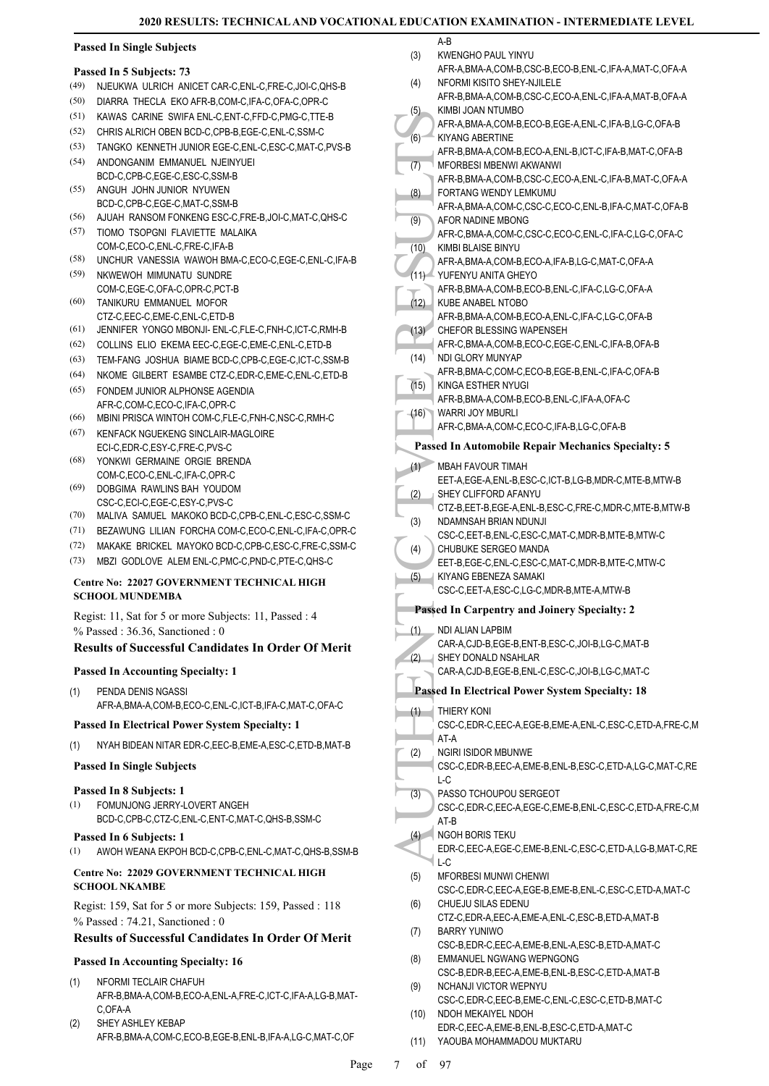### **Passed In Single Subjects**

### **Passed In 5 Subjects: 73**

- (49) NJEUKWA ULRICH ANICET CAR-C,ENL-C,FRE-C,JOI-C,QHS-B
- (50) DIARRA THECLA EKO AFR-B,COM-C,IFA-C,OFA-C,OPR-C
- (51) KAWAS CARINE SWIFA ENL-C,ENT-C,FFD-C,PMG-C,TTE-B
- (52) CHRIS ALRICH OBEN BCD-C,CPB-B,EGE-C,ENL-C,SSM-C
- (53) TANGKO KENNETH JUNIOR EGE-C,ENL-C,ESC-C,MAT-C,PVS-B
- ANDONGANIM EMMANUEL NJEINYUEI BCD-C,CPB-C,EGE-C,ESC-C,SSM-B (54)
- ANGUH JOHN JUNIOR NYUWEN BCD-C,CPB-C,EGE-C,MAT-C,SSM-B (55)
- (56) AJUAH RANSOM FONKENG ESC-C,FRE-B,JOI-C,MAT-C,QHS-C
- TIOMO TSOPGNI FLAVIETTE MALAIKA COM-C,ECO-C,ENL-C,FRE-C,IFA-B (57)
- (58) UNCHUR VANESSIA WAWOH BMA-C,ECO-C,EGE-C,ENL-C,IFA-B
- NKWEWOH MIMUNATU SUNDRE COM-C,EGE-C,OFA-C,OPR-C,PCT-B (59)
- TANIKURU EMMANUEL MOFOR CTZ-C,EEC-C,EME-C,ENL-C,ETD-B (60)
- (61) JENNIFER YONGO MBONJI- ENL-C,FLE-C,FNH-C,ICT-C,RMH-B
- (62) COLLINS ELIO EKEMA EEC-C,EGE-C,EME-C,ENL-C,ETD-B
- (63) TEM-FANG JOSHUA BIAME BCD-C,CPB-C,EGE-C,ICT-C,SSM-B
- (64) NKOME GILBERT ESAMBE CTZ-C,EDR-C,EME-C,ENL-C,ETD-B
- FONDEM JUNIOR ALPHONSE AGENDIA AFR-C,COM-C,ECO-C,IFA-C,OPR-C (65)
- (66) MBINI PRISCA WINTOH COM-C,FLE-C,FNH-C,NSC-C,RMH-C
- KENFACK NGUEKENG SINCLAIR-MAGLOIRE ECI-C,EDR-C,ESY-C,FRE-C,PVS-C (67)
- YONKWI GERMAINE ORGIE BRENDA COM-C, FCO-C, ENL-C, IFA-C, OPR-C (68)
- DOBGIMA RAWLINS BAH YOUDOM CSC-C,ECI-C,EGE-C,ESY-C,PVS-C (69)
- (70) MALIVA SAMUEL MAKOKO BCD-C,CPB-C,ENL-C,ESC-C,SSM-C
- (71) BEZAWUNG LILIAN FORCHA COM-C,ECO-C,ENL-C,IFA-C,OPR-C
- (72) MAKAKE BRICKEL MAYOKO BCD-C,CPB-C,ESC-C,FRE-C,SSM-C
- (73) MBZI GODLOVE ALEM ENL-C,PMC-C,PND-C,PTE-C,QHS-C

### **Centre No: 22027 GOVERNMENT TECHNICAL HIGH SCHOOL MUNDEMBA**

Regist: 11, Sat for 5 or more Subjects: 11, Passed : 4 % Passed : 36.36, Sanctioned : 0

### **Results of Successful Candidates In Order Of Merit**

### **Passed In Accounting Specialty: 1**

PENDA DENIS NGASSI AFR-A,BMA-A,COM-B,ECO-C,ENL-C,ICT-B,IFA-C,MAT-C,OFA-C (1)

### **Passed In Electrical Power System Specialty: 1**

- (1) NYAH BIDEAN NITAR EDR-C,EEC-B,EME-A,ESC-C,ETD-B,MAT-B
- **Passed In Single Subjects**

## **Passed In 8 Subjects: 1**

FOMUNJONG JERRY-LOVERT ANGEH BCD-C,CPB-C,CTZ-C,ENL-C,ENT-C,MAT-C,QHS-B,SSM-C (1)

#### **Passed In 6 Subjects: 1**

(1) AWOH WEANA EKPOH BCD-C,CPB-C,ENL-C,MAT-C,QHS-B,SSM-B

### **Centre No: 22029 GOVERNMENT TECHNICAL HIGH SCHOOL NKAMBE**

Regist: 159, Sat for 5 or more Subjects: 159, Passed : 118 % Passed : 74.21, Sanctioned : 0

### **Results of Successful Candidates In Order Of Merit**

### **Passed In Accounting Specialty: 16**

- NFORMI TECLAIR CHAFUH AFR-B,BMA-A,COM-B,ECO-A,ENL-A,FRE-C,ICT-C,IFA-A,LG-B,MAT-C,OFA-A (1)
- SHEY ASHLEY KEBAP AFR-B,BMA-A,COM-C,ECO-B,EGE-B,ENL-B,IFA-A,LG-C,MAT-C,OF (2)
- A-B KWENGHO PAUL YINYU (3)
- AFR-A,BMA-A,COM-B,CSC-B,ECO-B,ENL-C,IFA-A,MAT-C,OFA-A NFORMI KISITO SHEY-NJILELE AFR-B,BMA-A,COM-B,CSC-C,ECO-A,ENL-C,IFA-A,MAT-B,OFA-A (4) KIMBI JOAN NTUMBO (5)
- AFR-A,BMA-A,COM-B,FCO-B,FGE-A,ENL-C, IFA-B,LG-C, OFA-B KIYANG ABERTINE (6)

AFR-B,BMA-A,COM-B,ECO-A,ENL-B,ICT-C,IFA-B,MAT-C,OFA-B

- MFORBESI MBENWI AKWANWI (7)
- AFR-B,BMA-A,COM-B,CSC-C,ECO-A,ENL-C,IFA-B,MAT-C,OFA-A FORTANG WENDY LEMKUMU (8)
- AFR-A,BMA-A,COM-C,CSC-C,ECO-C,ENL-B,IFA-C,MAT-C,OFA-B AFOR NADINE MBONG (9)
- AFR-C,BMA-A,COM-C,CSC-C,ECO-C,ENL-C,IFA-C,LG-C,OFA-C KIMBI BLAISE BINYU (10)
- AFR-A,BMA-A,COM-B,ECO-A,IFA-B,LG-C,MAT-C,OFA-A YUFENYU ANITA GHEYO  $(11)$
- AFR-B,BMA-A,COM-B,ECO-B,ENL-C,IFA-C,LG-C,OFA-A KUBE ANABEL NTOBO  $(12)$
- AFR-B,BMA-A,COM-B,ECO-A,ENL-C,IFA-C,LG-C,OFA-B CHEFOR BLESSING WAPENSEH (13)
- AFR-C,BMA-A,COM-B,ECO-C,EGE-C,ENL-C,IFA-B,OFA-B NDI GLORY MUNYAP (14)
- AFR-B,BMA-C,COM-C,ECO-B,EGE-B,ENL-C,IFA-C,OFA-B
	- KINGA ESTHER NYUGI AFR-B,BMA-A,COM-B,ECO-B,ENL-C,IFA-A,OFA-C  $(15)$
	- WARRI JOY MBURLI  $(16)$ 
		- AFR-C,BMA-A,COM-C,ECO-C,IFA-B,LG-C,OFA-B

### **Passed In Automobile Repair Mechanics Specialty: 5**

- MBAH FAVOUR TIMAH EET-A,EGE-A,ENL-B,ESC-C,ICT-B,LG-B,MDR-C,MTE-B,MTW-B  $(1)$ SHEY CLIFFORD AFANYU (2)
- CTZ-B,EET-B,EGE-A,ENL-B,ESC-C,FRE-C,MDR-C,MTE-B,MTW-B NDAMNSAH BRIAN NDUNJI (3)
- CSC-C,EET-B,ENL-C,ESC-C,MAT-C,MDR-B,MTE-B,MTW-C CHUBUKE SERGEO MANDA (4)
- EET-B,EGE-C,ENL-C,ESC-C,MAT-C,MDR-B,MTE-C,MTW-C KIYANG EBENEZA SAMAKI (5)
- CSC-C,EET-A,ESC-C,LG-C,MDR-B,MTE-A,MTW-B

### **Passed In Carpentry and Joinery Specialty: 2**

- NDI ALIAN LAPBIM CAR-A,CJD-B,EGE-B,ENT-B,ESC-C,JOI-B,LG-C,MAT-B (1)
- SHEY DONALD NSAHLAR CAR-A,CJD-B,EGE-B,ENL-C,ESC-C,JOI-B,LG-C,MAT-C (2)

## **Passed In Electrical Power System Specialty: 18**

- (6) KIYANCORE<br>
(6) KIYANCORE<br>
(6) KIYANCORE<br>
(7) AFR-B, MIFORE<br>
(7) AFR-B, MIFORE<br>
(7) AFR-A, AFR-B, AFR-A, AFR-A, AFR-A, AFR-A, AFR-A, AFR-A, AFR-A, AFR-C, KIMBIE<br>
(11) AFR-B, KUBE AFR-B, WARR AFR-B, WARR AFR-B, CHEFO<br>
(1 THIERY KONI CSC-C,EDR-C,EEC-A,EGE-B,EME-A,ENL-C,ESC-C,ETD-A,FRE-C,M AT-A  $(1)$ NGIRI ISIDOR MBUNWE CSC-C,EDR-B,EEC-A,EME-B,ENL-B,ESC-C,ETD-A,LG-C,MAT-C,RE  $L-C$ (2) PASSO TCHOUPOU SERGEOT CSC-C,EDR-C,EEC-A,EGE-C,EME-B,ENL-C,ESC-C,ETD-A,FRE-C,M (3)
	- AT-B
	- NGOH BORIS TEKU EDR-C,EEC-A,EGE-C,EME-B,ENL-C,ESC-C,ETD-A,LG-B,MAT-C,RE  $L_{\rm C}$ (4)
	- MFORBESI MUNWI CHENWI CSC-C,EDR-C,EEC-A,EGE-B,EME-B,ENL-C,ESC-C,ETD-A,MAT-C (5) CHUEJU SILAS EDENU (6)
	- CTZ-C,EDR-A,EEC-A,EME-A,ENL-C,ESC-B,ETD-A,MAT-B BARRY YUNIWO (7)
	- CSC-B,EDR-C,EEC-A,EME-B,ENL-A,ESC-B,ETD-A,MAT-C EMMANUEL NGWANG WEPNGONG (8)
	- CSC-B,EDR-B,EEC-A,EME-B,ENL-B,ESC-C,ETD-A,MAT-B NCHANJI VICTOR WEPNYU (9)
	- CSC-C,EDR-C,EEC-B,EME-C,ENL-C,ESC-C,ETD-B,MAT-C NDOH MEKAIYEL NDOH (10)
	- EDR-C,EEC-A,EME-B,ENL-B,ESC-C,ETD-A,MAT-C (11) YAOUBA MOHAMMADOU MUKTARU
	-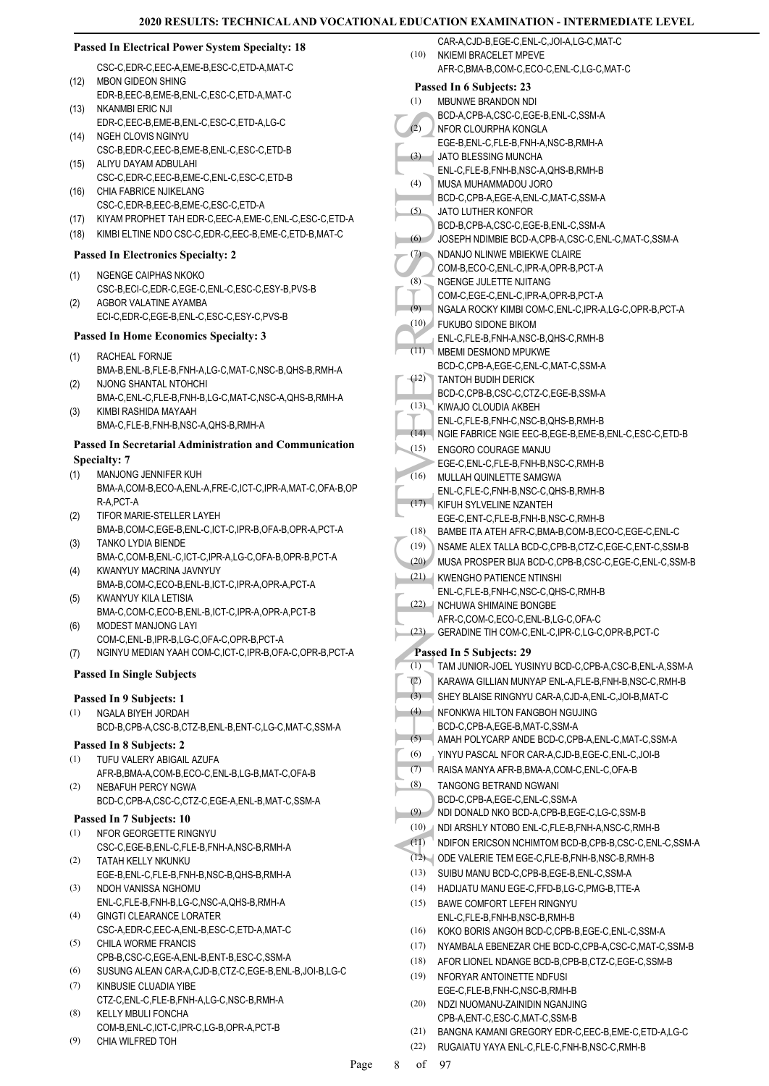### **Passed In Electrical Power System Specialty: 18**

- CSC-C,EDR-C,EEC-A,EME-B,ESC-C,ETD-A,MAT-C MBON GIDEON SHING (12)
- EDR-B,EEC-B,EME-B,ENL-C,ESC-C,ETD-A,MAT-C NKANMRI ERIC NJI (13)
- EDR-C,EEC-B,EME-B,ENL-C,ESC-C,ETD-A,LG-C NGEH CLOVIS NGINYU  $(14)$
- CSC-B,EDR-C,EEC-B,EME-B,ENL-C,ESC-C,ETD-B ALIYU DAYAM ADBULAHI (15)
- CSC-C,EDR-C,EEC-B,EME-C,ENL-C,ESC-C,ETD-B CHIA FABRICE NJIKELANG (16)
- CSC-C,EDR-B,EEC-B,EME-C,ESC-C,ETD-A
- (17) KIYAM PROPHET TAH EDR-C,EEC-A,EME-C,ENL-C,ESC-C,ETD-A
- (18) KIMBI ELTINE NDO CSC-C,EDR-C,EEC-B,EME-C,ETD-B,MAT-C

### **Passed In Electronics Specialty: 2**

- NGENGE CAIPHAS NKOKO CSC-B,ECI-C,EDR-C,EGE-C,ENL-C,ESC-C,ESY-B,PVS-B (1)
- AGBOR VALATINE AYAMBA ECI-C,EDR-C,EGE-B,ENL-C,ESC-C,ESY-C,PVS-B (2)

#### **Passed In Home Economics Specialty: 3**

- RACHEAL FORNJE BMA-B,ENL-B,FLE-B,FNH-A,LG-C,MAT-C,NSC-B,QHS-B,RMH-A (1)
- NJONG SHANTAL NTOHCHI BMA-C,ENL-C,FLE-B,FNH-B,LG-C,MAT-C,NSC-A,QHS-B,RMH-A (2)
- KIMBI RASHIDA MAYAAH BMA-C,FLE-B,FNH-B,NSC-A,QHS-B,RMH-A (3)

### **Passed In Secretarial Administration and Communication Specialty: 7**

- MANJONG JENNIFER KUH (1)
- BMA-A,COM-B,ECO-A,ENL-A,FRE-C,ICT-C,IPR-A,MAT-C,OFA-B,OP R-A PCT-A
- TIFOR MARIE-STELLER LAYEH (2)
- BMA-B,COM-C,EGE-B,ENL-C,ICT-C,IPR-B,OFA-B,OPR-A,PCT-A TANKO LYDIA BIENDE (3)
- BMA-C,COM-B,ENL-C,ICT-C,IPR-A,LG-C,OFA-B,OPR-B,PCT-A KWANYUY MACRINA JAVNYUY (4)
- BMA-B,COM-C,ECO-B,ENL-B,ICT-C,IPR-A,OPR-A,PCT-A KWANYUY KILA LETISIA (5)
- BMA-C,COM-C,ECO-B,ENL-B,ICT-C,IPR-A,OPR-A,PCT-B MODEST MANJONG LAYI (6)
- COM-C,ENL-B,IPR-B,LG-C,OFA-C,OPR-B,PCT-A (7) NGINYU MEDIAN YAAH COM-C,ICT-C,IPR-B,OFA-C,OPR-B,PCT-A

#### **Passed In Single Subjects**

### **Passed In 9 Subjects: 1**

- NGALA BIYEH JORDAH (1)
	- BCD-B,CPB-A,CSC-B,CTZ-B,ENL-B,ENT-C,LG-C,MAT-C,SSM-A

### **Passed In 8 Subjects: 2**

- TUFU VALERY ABIGAIL AZUFA (1)
- AFR-B,BMA-A,COM-B,ECO-C,ENL-B,LG-B,MAT-C,OFA-B NEBAFUH PERCY NGWA (2)

# BCD-C,CPB-A,CSC-C,CTZ-C,EGE-A,ENL-B,MAT-C,SSM-A

## **Passed In 7 Subjects: 10**

- NFOR GEORGETTE RINGNYU CSC-C,EGE-B,ENL-C,FLE-B,FNH-A,NSC-B,RMH-A (1)
- TATAH KELLY NKUNKU EGE-B,ENL-C,FLE-B,FNH-B,NSC-B,QHS-B,RMH-A (2) NDOH VANISSA NGHOMU (3)
- ENL-C,FLE-B,FNH-B,LG-C,NSC-A,QHS-B,RMH-A
- GINGTI CLEARANCE LORATER CSC-A,EDR-C,EEC-A,ENL-B,ESC-C,ETD-A,MAT-C (4)
- CHILA WORME FRANCIS CPB-B,CSC-C,EGE-A,ENL-B,ENT-B,ESC-C,SSM-A (5)
- (6) SUSUNG ALEAN CAR-A,CJD-B,CTZ-C,EGE-B,ENL-B,JOI-B,LG-C
- KINBUSIE CLUADIA YIRE CTZ-C,ENL-C,FLE-B,FNH-A,LG-C,NSC-B,RMH-A (7) KELLY MBULI FONCHA (8)
- COM-B,ENL-C,ICT-C,IPR-C,LG-B,OPR-A,PCT-B
- CHIA WILFRED TOH (9)
- CAR-A,CJD-B,EGE-C,ENL-C,JOI-A,LG-C,MAT-C NKIEMI BRACELET MPEVE  $(10)$
- AFR-C,BMA-B,COM-C,ECO-C,ENL-C,LG-C,MAT-C
- ECREAN COMENCES (3)<br>
(4) BCD-A, NFOR (CGE-B, JATO REGE-B, JATO REGE-B, JATO REGE-B, JATO REGE-B, JATO REMENCE, (4) BCD-C, JATO REGE-C, JATO REGE-C, COMENCE COMENCE COMENCE COMENCE REGE-C, CU2) RENEVE ENL-C, IT NUSLE FOR RE **Passed In 6 Subjects: 23** MBUNWE BRANDON NDI BCD-A,CPB-A,CSC-C,EGE-B,ENL-C,SSM-A (1) NFOR CLOURPHA KONGLA EGE-B,ENL-C,FLE-B,FNH-A,NSC-B,RMH-A  $(2)$ JATO BLESSING MUNCHA ENL-C,FLE-B,FNH-B,NSC-A,QHS-B,RMH-B  $(3)$ MUSA MUHAMMADOU JORO BCD-C,CPB-A,EGE-A,ENL-C,MAT-C,SSM-A (4) JATO LUTHER KONFOR BCD-B,CPB-A,CSC-C,EGE-B,ENL-C,SSM-A (5) (6) JOSEPH NDIMBIE BCD-A,CPB-A,CSC-C,ENL-C,MAT-C,SSM-A NDANJO NI INWE MBIFKWE CLAIRE COM-B,ECO-C,ENL-C,IPR-A,OPR-B,PCT-A (7) NGENGE JULETTE NJITANG COM-C,EGE-C,ENL-C,IPR-A,OPR-B,PCT-A (8) (9) NGALA ROCKY KIMBI COM-C,ENL-C,IPR-A,LG-C,OPR-B,PCT-A FUKUBO SIDONE BIKOM (10) ENL-C,FLE-B,FNH-A,NSC-B,QHS-C,RMH-B MBEMI DESMOND MPUKWE BCD-C,CPB-A,EGE-C,ENL-C,MAT-C,SSM-A (11) TANTOH BUDIH DERICK BCD-C,CPB-B,CSC-C,CTZ-C,EGE-B,SSM-A (12) KIWAJO CLOUDIA AKBEH ENL-C,FLE-B,FNH-C,NSC-B,QHS-B,RMH-B (13) (14) NGIE FABRICE NGIE EEC-B,EGE-B,EME-B,ENL-C,ESC-C,ETD-B ENGORO COURAGE MANJU EGE-C,ENL-C,FLE-B,FNH-B,NSC-C,RMH-B (15) MULLAH QUINLETTE SAMGWA ENL-C,FLE-C,FNH-B,NSC-C,QHS-B,RMH-B (16) (17) | KIFUH SYLVELINE NZANTEH EGE-C,ENT-C,FLE-B,FNH-B,NSC-C,RMH-B (18) BAMBE ITA ATEH AFR-C,BMA-B,COM-B,ECO-C,EGE-C,ENL-C (19) NSAME ALEX TALLA BCD-C,CPB-B,CTZ-C,EGE-C,ENT-C,SSM-B (20) MUSA PROSPER BIJA BCD-C,CPB-B,CSC-C,EGE-C,ENL-C,SSM-B (21) KWENGHO PATIENCE NTINSHI ENL-C,FLE-B,FNH-C,NSC-C,QHS-C,RMH-B NCHUWA SHIMAINE BONGBE AFR-C,COM-C,ECO-C,ENL-B,LG-C,OFA-C  $(22)$ (23) GERADINE TIH COM-C,ENL-C,IPR-C,LG-C,OPR-B,PCT-C **Passed In 5 Subjects: 29** (1) TAM JUNIOR-JOEL YUSINYU BCD-C,CPB-A,CSC-B,ENL-A,SSM-A (2) KARAWA GILLIAN MUNYAP ENL-A,FLE-B,FNH-B,NSC-C,RMH-B (3) SHEY BLAISE RINGNYU CAR-A,CJD-A,ENL-C,JOI-B,MAT-C NFONKWA HILTON FANGBOH NGUJING BCD-C,CPB-A,EGE-B,MAT-C,SSM-A  $(4)$ (5) AMAH POLYCARP ANDE BCD-C,CPB-A,ENL-C,MAT-C,SSM-A (6) YINYU PASCAL NFOR CAR-A,CJD-B,EGE-C,ENL-C,JOI-B (7) RAISA MANYA AFR-B,BMA-A,COM-C,ENL-C,OFA-B TANGONG BETRAND NGWANI BCD-C,CPB-A,EGE-C,ENL-C,SSM-A (8) (9) NDI DONALD NKO BCD-A,CPB-B,EGE-C,LG-C,SSM-B (10) NDI ARSHLY NTOBO ENL-C,FLE-B,FNH-A,NSC-C,RMH-B (11) NDIFON ERICSON NCHIMTOM BCD-B,CPB-B,CSC-C,ENL-C,SSM-A (12) ODE VALERIE TEM EGE-C,FLE-B,FNH-B,NSC-B,RMH-B (13) SUIBU MANU BCD-C,CPB-B,EGE-B,ENL-C,SSM-A (14) HADIJATU MANU EGE-C,FFD-B,LG-C,PMG-B,TTE-A BAWE COMFORT LEFEH RINGNYU (15) ENL-C,FLE-B,FNH-B,NSC-B,RMH-B (16) KOKO BORIS ANGOH BCD-C,CPB-B,EGE-C,ENL-C,SSM-A (17) NYAMBALA EBENEZAR CHE BCD-C,CPB-A,CSC-C,MAT-C,SSM-B (18) AFOR LIONEL NDANGE BCD-B,CPB-B,CTZ-C,EGE-C,SSM-B NFORYAR ANTOINETTE NDFUSI EGE-C,FLE-B,FNH-C,NSC-B,RMH-B (19) NDZI NUOMANU-ZAINIDIN NGANJING CPB-A,ENT-C,ESC-C,MAT-C,SSM-B (20) (21) BANGNA KAMANI GREGORY EDR-C,EEC-B,EME-C,ETD-A,LG-C (22) RUGAIATU YAYA ENL-C,FLE-C,FNH-B,NSC-C,RMH-B Page 8 of 97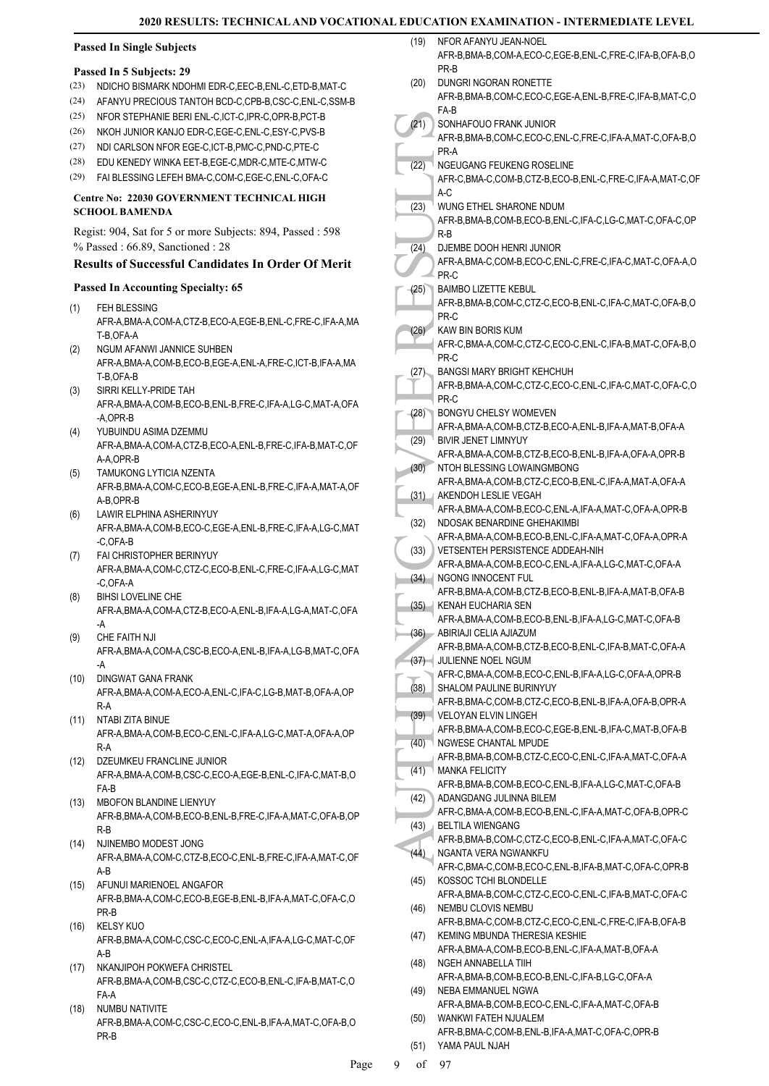### **Passed In Single Subjects**

#### **Passed In 5 Subjects: 29**

- (23) NDICHO BISMARK NDOHMI EDR-C,EEC-B,ENL-C,ETD-B,MAT-C
- (24) AFANYU PRECIOUS TANTOH BCD-C,CPB-B,CSC-C,ENL-C,SSM-B
- (25) NFOR STEPHANIE BERI ENL-C,ICT-C,IPR-C,OPR-B,PCT-B
- (26) NKOH JUNIOR KANJO EDR-C,EGE-C,ENL-C,ESY-C,PVS-B
- (27) NDI CARLSON NFOR EGE-C,ICT-B,PMC-C,PND-C,PTE-C
- (28) EDU KENEDY WINKA EET-B,EGE-C,MDR-C,MTE-C,MTW-C
- (29) FAI BLESSING LEFEH BMA-C,COM-C,EGE-C,ENL-C,OFA-C

#### **Centre No: 22030 GOVERNMENT TECHNICAL HIGH SCHOOL BAMENDA**

### Regist: 904, Sat for 5 or more Subjects: 894, Passed : 598 % Passed : 66.89, Sanctioned : 28

#### **Results of Successful Candidates In Order Of Merit**

#### **Passed In Accounting Specialty: 65**

- FEH BLESSING AFR-A,BMA-A,COM-A,CTZ-B,ECO-A,EGE-B,ENL-C,FRE-C,IFA-A,MA T-B,OFA-A (1)
- NGUM AFANWI JANNICE SUHBEN AFR-A,BMA-A,COM-B,ECO-B,EGE-A,ENL-A,FRE-C,ICT-B,IFA-A,MA T-B,OFA-B (2)
- SIRRI KELLY-PRIDE TAH AFR-A,BMA-A,COM-B,ECO-B,ENL-B,FRE-C,IFA-A,LG-C,MAT-A,OFA  $-$ AOPR-B (3)
- YUBUINDU ASIMA DZEMMU AFR-A,BMA-A,COM-A,CTZ-B,ECO-A,ENL-B,FRE-C,IFA-B,MAT-C,OF A-A,OPR-B (4)
- TAMUKONG LYTICIA NZENTA AFR-B,BMA-A,COM-C,ECO-B,EGE-A,ENL-B,FRE-C,IFA-A,MAT-A,OF A-B,OPR-B (5)
- LAWIR ELPHINA ASHERINYUY AFR-A,BMA-A,COM-B,ECO-C,EGE-A,ENL-B,FRE-C,IFA-A,LG-C,MAT -C,OFA-B (6)
- FAI CHRISTOPHER BERINYUY (7) AFR-A,BMA-A,COM-C,CTZ-C,ECO-B,ENL-C,FRE-C,IFA-A,LG-C,MAT -C,OFA-A
- BIHSI LOVELINE CHE AFR-A,BMA-A,COM-A,CTZ-B,ECO-A,ENL-B,IFA-A,LG-A,MAT-C,OFA -A (8)
- CHE FAITH NJI AFR-A,BMA-A,COM-A,CSC-B,ECO-A,ENL-B,IFA-A,LG-B,MAT-C,OFA -A (9)
- (10) DINGWAT GANA FRANK AFR-A,BMA-A,COM-A,ECO-A,ENL-C,IFA-C,LG-B,MAT-B,OFA-A,OP R-A
- (11) NTABI ZITA BINUE AFR-A,BMA-A,COM-B,ECO-C,ENL-C,IFA-A,LG-C,MAT-A,OFA-A,OP R-A
- (12) DZEUMKEU FRANCLINE JUNIOR AFR-A,BMA-A,COM-B,CSC-C,ECO-A,EGE-B,ENL-C,IFA-C,MAT-B,O FA-B
- MBOFON BLANDINE LIENYUY (13) AFR-B,BMA-A,COM-B,ECO-B,ENL-B,FRE-C,IFA-A,MAT-C,OFA-B,OP R-B
- (14) NJINEMBO MODEST JONG AFR-A,BMA-A,COM-C,CTZ-B,ECO-C,ENL-B,FRE-C,IFA-A,MAT-C,OF A-B
- (15) AFUNUI MARIENOEL ANGAFOR AFR-B,BMA-A,COM-C,ECO-B,EGE-B,ENL-B,IFA-A,MAT-C,OFA-C,O PR-B
- KELSY KUO AFR-B,BMA-A,COM-C,CSC-C,ECO-C,ENL-A,IFA-A,LG-C,MAT-C,OF A-B (16)
- (17) NKANJIPOH POKWEFA CHRISTEL AFR-B,BMA-A,COM-B,CSC-C,CTZ-C,ECO-B,ENL-C,IFA-B,MAT-C,O FA-A
- NUMBU NATIVITE AFR-B,BMA-A,COM-C,CSC-C,ECO-C,ENL-B,IFA-A,MAT-C,OFA-B,O PR-B (18)

| (19) | NFOR AFANYU JEAN-NOEL<br>AFR-B, BMA-B, COM-A, ECO-C, EGE-B, ENL-C, FRE-C, IFA-B, OFA-B, O<br>PR-B     |
|------|-------------------------------------------------------------------------------------------------------|
| (20) | DUNGRI NGORAN RONETTE<br>AFR-B, BMA-B, COM-C, ECO-C, EGE-A, ENL-B, FRE-C, IFA-B, MAT-C, O             |
| (21) | FA-B<br>SONHAFOUO FRANK JUNIOR                                                                        |
|      | AFR-B, BMA-B, COM-C, ECO-C, ENL-C, FRE-C, IFA-A, MAT-C, OFA-B, O<br>PR-A                              |
| (22) | NGEUGANG FEUKENG ROSELINE<br>AFR-C, BMA-C, COM-B, CTZ-B, ECO-B, ENL-C, FRE-C, IFA-A, MAT-C, OF<br>A-C |
| (23) | WUNG ETHEL SHARONE NDUM<br>AFR-B, BMA-B, COM-B, ECO-B, ENL-C, IFA-C, LG-C, MAT-C, OFA-C, OP           |
| (24) | $R-B$<br>DJEMBE DOOH HENRI JUNIOR                                                                     |
|      | AFR-A, BMA-C, COM-B, ECO-C, ENL-C, FRE-C, IFA-C, MAT-C, OFA-A, O<br>PR-C                              |
| (25) | <b>BAIMBO LIZETTE KEBUL</b><br>AFR-B, BMA-B, COM-C, CTZ-C, ECO-B, ENL-C, IFA-C, MAT-C, OFA-B, O       |
| (26) | PR-C<br>KAW BIN BORIS KUM                                                                             |
|      | AFR-C, BMA-A, COM-C, CTZ-C, ECO-C, ENL-C, IFA-B, MAT-C, OFA-B, O<br>PR-C                              |
| (27) | <b>BANGSI MARY BRIGHT KEHCHUH</b><br>AFR-B, BMA-A, COM-C, CTZ-C, ECO-C, ENL-C, IFA-C, MAT-C, OFA-C, O |
|      | PR-C<br><b>BONGYU CHELSY WOMEVEN</b>                                                                  |
| (28) | AFR-A, BMA-A, COM-B, CTZ-B, ECO-A, ENL-B, IFA-A, MAT-B, OFA-A                                         |
| (29) | BIVIR JENET LIMNYUY<br>AFR-A, BMA-A, COM-B, CTZ-B, ECO-B, ENL-B, IFA-A, OFA-A, OPR-B                  |
| (30) | NTOH BLESSING LOWAINGMBONG<br>AFR-A, BMA-A, COM-B, CTZ-C, ECO-B, ENL-C, IFA-A, MAT-A, OFA-A           |
| (31) | AKENDOH LESLIE VEGAH<br>AFR-A, BMA-A, COM-B, ECO-C, ENL-A, IFA-A, MAT-C, OFA-A, OPR-B                 |
| (32) | NDOSAK BENARDINE GHEHAKIMBI                                                                           |
| (33) | AFR-A, BMA-A, COM-B, ECO-B, ENL-C, IFA-A, MAT-C, OFA-A, OPR-A<br>VETSENTEH PERSISTENCE ADDEAH-NIH     |
| (34) | AFR-A, BMA-A, COM-B, ECO-C, ENL-A, IFA-A, LG-C, MAT-C, OFA-A<br><b>NGONG INNOCENT FUL</b>             |
| (35) | AFR-B, BMA-A, COM-B, CTZ-B, ECO-B, ENL-B, IFA-A, MAT-B, OFA-B<br>KENAH EUCHARIA SEN                   |
| (36) | AFR-A, BMA-A, COM-B, ECO-B, ENL-B, IFA-A, LG-C, MAT-C, OFA-B<br>ABIRIAJI CELIA AJIAZUM                |
| (37) | AFR-B, BMA-A, COM-B, CTZ-B, ECO-B, ENL-C, IFA-B, MAT-C, OFA-A<br>JULIENNE NOEL NGUM                   |
| (38) | AFR-C,BMA-A,COM-B,ECO-C,ENL-B,IFA-A,LG-C,OFA-A,OPR-B<br>SHALOM PAULINE BURINYUY                       |
|      | AFR-B, BMA-C, COM-B, CTZ-C, ECO-B, ENL-B, IFA-A, OFA-B, OPR-A                                         |
| (39) | VELOYAN ELVIN LINGEH<br>AFR-B, BMA-A, COM-B, ECO-C, EGE-B, ENL-B, IFA-C, MAT-B, OFA-B                 |
| (40) | NGWESE CHANTAL MPUDE<br>AFR-B, BMA-B, COM-B, CTZ-C, ECO-C, ENL-C, IFA-A, MAT-C, OFA-A                 |
| (41) | <b>MANKA FELICITY</b><br>AFR-B, BMA-B, COM-B, ECO-C, ENL-B, IFA-A, LG-C, MAT-C, OFA-B                 |
| (42) | ADANGDANG JULINNA BILEM<br>AFR-C, BMA-A, COM-B, ECO-B, ENL-C, IFA-A, MAT-C, OFA-B, OPR-C              |
| (43) | <b>BELTILA WIENGANG</b>                                                                               |
| (44) | AFR-B, BMA-B, COM-C, CTZ-C, ECO-B, ENL-C, IFA-A, MAT-C, OFA-C<br>NGANTA VERA NGWANKFU                 |
| (45) | AFR-C, BMA-C, COM-B, ECO-C, ENL-B, IFA-B, MAT-C, OFA-C, OPR-B<br>KOSSOC TCHI BLONDELLE                |
| (46) | AFR-A, BMA-B, COM-C, CTZ-C, ECO-C, ENL-C, IFA-B, MAT-C, OFA-C<br>NEMBU CLOVIS NEMBU                   |
| (47) | AFR-B, BMA-C, COM-B, CTZ-C, ECO-C, ENL-C, FRE-C, IFA-B, OFA-B<br>KEMING MBUNDA THERESIA KESHIE        |
| (48) | AFR-A, BMA-A, COM-B, ECO-B, ENL-C, IFA-A, MAT-B, OFA-A<br>NGEH ANNABELLA TIIH                         |
|      | AFR-A, BMA-B, COM-B, ECO-B, ENL-C, IFA-B, LG-C, OFA-A                                                 |
| (49) | NEBA EMMANUEL NGWA<br>AFR-A, BMA-B, COM-B, ECO-C, ENL-C, IFA-A, MAT-C, OFA-B                          |
| (50) | WANKWI FATEH NJUALEM<br>AFR-B, BMA-C, COM-B, ENL-B, IFA-A, MAT-C, OFA-C, OPR-B                        |
| (51) | YAMA PAUL NJAH                                                                                        |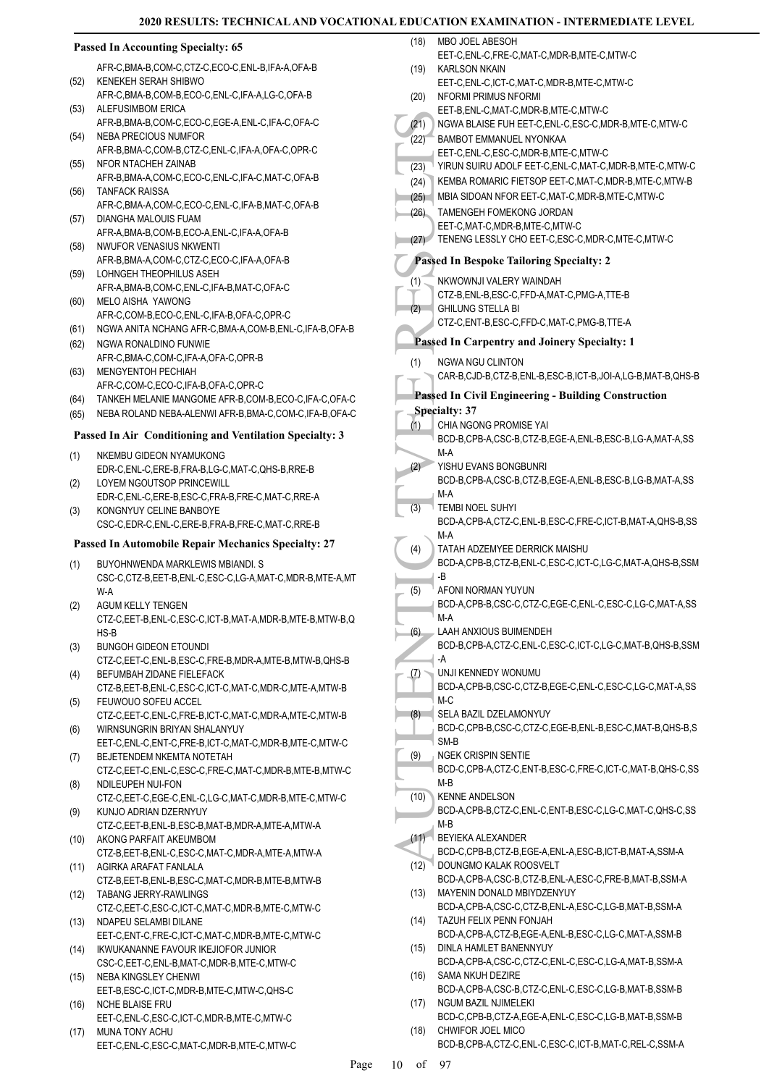#### (21) NGWA<br>
(22) BAMBC<br>
EET-C,<br>
(23) KEMBA S<br>
(24) KEMBA MBIA S<br>
(25) TAMEN<br>
EET-C,<br>
(27) KEMBA B<br>
EET-C,<br>
TENEN<br>
MBIA S<br>
EET-C,<br>
TENEN<br>
EET-C,<br>
TENEN<br>
CIZ-B,<br>
TENEN<br>
CIZ-B,<br>
CHILUN CTZ-C,<br>
Passed In (NGWA CAR-B,<br>
Passed In **Passed In Accounting Specialty: 65** AFR-C,BMA-B,COM-C,CTZ-C,ECO-C,ENL-B,IFA-A,OFA-B KENEKEH SERAH SHIBWO AFR-C,BMA-B,COM-B,ECO-C,ENL-C,IFA-A,LG-C,OFA-B (52) ALEFUSIMBOM ERICA AFR-B,BMA-B,COM-C,ECO-C,EGE-A,ENL-C,IFA-C,OFA-C (53) NEBA PRECIOUS NUMFOR AFR-B,BMA-C,COM-B,CTZ-C,ENL-C,IFA-A,OFA-C,OPR-C (54) (55) NFOR NTACHEH ZAINAB AFR-B,BMA-A,COM-C,ECO-C,ENL-C,IFA-C,MAT-C,OFA-B TANFACK RAISSA AFR-C,BMA-A,COM-C,ECO-C,ENL-C,IFA-B,MAT-C,OFA-B (56) DIANGHA MALOUIS FUAM AFR-A,BMA-B,COM-B,ECO-A,ENL-C,IFA-A,OFA-B (57) NWUFOR VENASIUS NKWENTI AFR-B,BMA-A,COM-C,CTZ-C,ECO-C,IFA-A,OFA-B (58) LOHNGEH THEOPHILUS ASEH AFR-A,BMA-B,COM-C,ENL-C,IFA-B,MAT-C,OFA-C (59) MELO AISHA YAWONG AFR-C,COM-B,ECO-C,ENL-C,IFA-B,OFA-C,OPR-C (60) (61) NGWA ANITA NCHANG AFR-C,BMA-A,COM-B,ENL-C,IFA-B,OFA-B (62) NGWA RONALDINO FUNWIE AFR-C,BMA-C,COM-C,IFA-A,OFA-C,OPR-B MENGYENTOH PECHIAH (63) AFR-C,COM-C,ECO-C,IFA-B,OFA-C,OPR-C (64) TANKEH MELANIE MANGOME AFR-B,COM-B,ECO-C,IFA-C,OFA-C (65) NEBA ROLAND NEBA-ALENWI AFR-B,BMA-C,COM-C,IFA-B,OFA-C **Passed In Air Conditioning and Ventilation Specialty: 3** NKEMBU GIDEON NYAMUKONG EDR-C,ENL-C,ERE-B,FRA-B,LG-C,MAT-C,QHS-B,RRE-B (1) LOYEM NGOUTSOP PRINCEWILL EDR-C,ENL-C,ERE-B,ESC-C,FRA-B,FRE-C,MAT-C,RRE-A (2) KONGNYUY CELINE BANBOYE CSC-C,EDR-C,ENL-C,ERE-B,FRA-B,FRE-C,MAT-C,RRE-B (3) **Passed In Automobile Repair Mechanics Specialty: 27** BUYOHNWENDA MARKLEWIS MBIANDI. S CSC-C,CTZ-B,EET-B,ENL-C,ESC-C,LG-A,MAT-C,MDR-B,MTE-A,MT W-A (1) AGUM KELLY TENGEN CTZ-C,EET-B,ENL-C,ESC-C,ICT-B,MAT-A,MDR-B,MTE-B,MTW-B,Q HS-B (2) BUNGOH GIDEON ETOUNDI CTZ-C,EET-C,ENL-B,ESC-C,FRE-B,MDR-A,MTE-B,MTW-B,QHS-B (3) BEFUMBAH ZIDANE FIELEFACK CTZ-B,EET-B,ENL-C,ESC-C,ICT-C,MAT-C,MDR-C,MTE-A,MTW-B (4) FEUWOUO SOFEU ACCEL CTZ-C,EET-C,ENL-C,FRE-B,ICT-C,MAT-C,MDR-A,MTE-C,MTW-B (5) WIRNSUNGRIN BRIYAN SHALANYUY EET-C,ENL-C,ENT-C,FRE-B,ICT-C,MAT-C,MDR-B,MTE-C,MTW-C (6) BEJETENDEM NKEMTA NOTETAH CTZ-C,EET-C,ENL-C,ESC-C,FRE-C,MAT-C,MDR-B,MTE-B,MTW-C (7) NDILEUPEH NUI-FON CTZ-C,EET-C,EGE-C,ENL-C,LG-C,MAT-C,MDR-B,MTE-C,MTW-C (8) KUNJO ADRIAN DZERNYUY CTZ-C,EET-B,ENL-B,ESC-B,MAT-B,MDR-A,MTE-A,MTW-A (9) AKONG PARFAIT AKEUMBOM CTZ-B,EET-B,ENL-C,ESC-C,MAT-C,MDR-A,MTE-A,MTW-A (10) AGIRKA ARAFAT FANLALA CTZ-B,EET-B,ENL-B,ESC-C,MAT-C,MDR-B,MTE-B,MTW-B (11) TABANG JERRY-RAWLINGS (12) CTZ-C,EET-C,ESC-C,ICT-C,MAT-C,MDR-B,MTE-C,MTW-C (13) NDAPEU SELAMBI DILANE EET-C,ENT-C,FRE-C,ICT-C,MAT-C,MDR-B,MTE-C,MTW-C (14) IKWUKANANNE FAVOUR IKEJIOFOR JUNIOR CSC-C,EET-C,ENL-B,MAT-C,MDR-B,MTE-C,MTW-C NEBA KINGSLEY CHENWI EET-B,ESC-C,ICT-C,MDR-B,MTE-C,MTW-C,QHS-C (15) NCHE BLAISE FRU EET-C,ENL-C,ESC-C,ICT-C,MDR-B,MTE-C,MTW-C (16) MUNA TONY ACHU EET-C,ENL-C,ESC-C,MAT-C,MDR-B,MTE-C,MTW-C (17) MBO JOEL ABESOH EET-C,ENL-C,FRE-C,MAT-C,MDR-B,MTE-C,MTW-C (18) KARI SON NKAIN EET-C,ENL-C,ICT-C,MAT-C,MDR-B,MTE-C,MTW-C (19) NFORMI PRIMUS NFORMI EET-B,ENL-C,MAT-C,MDR-B,MTE-C,MTW-C (20) (21) NGWA BLAISE FUH EET-C,ENL-C,ESC-C,MDR-B,MTE-C,MTW-C BAMBOT EMMANUEL NYONKAA EET-C,ENL-C,ESC-C,MDR-B,MTE-C,MTW-C (22) (23) YIRUN SUIRU ADOLF EET-C,ENL-C,MAT-C,MDR-B,MTE-C,MTW-C (24) KEMBA ROMARIC FIETSOP EET-C,MAT-C,MDR-B,MTE-C,MTW-B (25) MBIA SIDOAN NFOR EET-C,MAT-C,MDR-B,MTE-C,MTW-C TAMENGEH FOMEKONG JORDAN EET-C,MAT-C,MDR-B,MTE-C,MTW-C (26) (27) TENENG LESSLY CHO EET-C,ESC-C,MDR-C,MTE-C,MTW-C **Passed In Bespoke Tailoring Specialty: 2** NKWOWNJI VALERY WAINDAH CTZ-B,ENL-B,ESC-C,FFD-A,MAT-C,PMG-A,TTE-B (1) GHILUNG STELLA BI CTZ-C,ENT-B,ESC-C,FFD-C,MAT-C,PMG-B,TTE-A (2) **Passed In Carpentry and Joinery Specialty: 1** NGWA NGU CLINTON CAR-B,CJD-B,CTZ-B,ENL-B,ESC-B,ICT-B,JOI-A,LG-B,MAT-B,QHS-B (1) **Passed In Civil Engineering - Building Construction Specialty: 37** CHIA NGONG PROMISE YAI BCD-B,CPB-A,CSC-B,CTZ-B,EGE-A,ENL-B,ESC-B,LG-A,MAT-A,SS M-A (1) YISHU EVANS BONGBUNRI BCD-B,CPB-A,CSC-B,CTZ-B,EGE-A,ENL-B,ESC-B,LG-B,MAT-A,SS M-A  $(2)$ TEMBI NOEL SUHYI BCD-A,CPB-A,CTZ-C,ENL-B,ESC-C,FRE-C,ICT-B,MAT-A,QHS-B,SS M-A (3) TATAH ADZEMYEE DERRICK MAISHU BCD-A,CPB-B,CTZ-B,ENL-C,ESC-C,ICT-C,LG-C,MAT-A,QHS-B,SSM -B (4) AFONI NORMAN YUYUN BCD-A,CPB-B,CSC-C,CTZ-C,EGE-C,ENL-C,ESC-C,LG-C,MAT-A,SS M-A (5) LAAH ANXIOUS BUIMENDEH BCD-B,CPB-A,CTZ-C,ENL-C,ESC-C,ICT-C,LG-C,MAT-B,QHS-B,SSM -A (6) UNJI KENNEDY WONUMU BCD-A,CPB-B,CSC-C,CTZ-B,EGE-C,ENL-C,ESC-C,LG-C,MAT-A,SS M-C (7) SELA BAZIL DZELAMONYUY BCD-C,CPB-B,CSC-C,CTZ-C,EGE-B,ENL-B,ESC-C,MAT-B,QHS-B,S SM-B (8) NGEK CRISPIN SENTIE BCD-C,CPB-A,CTZ-C,ENT-B,ESC-C,FRE-C,ICT-C,MAT-B,QHS-C,SS M-B (9) KENNE ANDELSON BCD-A,CPB-B,CTZ-C,ENL-C,ENT-B,ESC-C,LG-C,MAT-C,QHS-C,SS M-B  $(10)$ BEYIEKA ALEXANDER BCD-C,CPB-B,CTZ-B,EGE-A,ENL-A,ESC-B,ICT-B,MAT-A,SSM-A  $(11)$ DOUNGMO KALAK ROOSVELT BCD-A,CPB-A,CSC-B,CTZ-B,ENL-A,ESC-C,FRE-B,MAT-B,SSM-A  $(12)$ MAYENIN DONALD MBIYDZENYUY BCD-A,CPB-A,CSC-C,CTZ-B,ENL-A,ESC-C,LG-B,MAT-B,SSM-A (13) TAZUH FELIX PENN FONJAH BCD-A,CPB-A,CTZ-B,EGE-A,ENL-B,ESC-C,LG-C,MAT-A,SSM-B (14) DINLA HAMLET BANENNYUY BCD-A,CPB-A,CSC-C,CTZ-C,ENL-C,ESC-C,LG-A,MAT-B,SSM-A (15) SAMA NKUH DEZIRE BCD-A,CPB-A,CSC-B,CTZ-C,ENL-C,ESC-C,LG-B,MAT-B,SSM-B  $(16)$ NGUM BAZIL NJIMELEKI BCD-C,CPB-B,CTZ-A,EGE-A,ENL-C,ESC-C,LG-B,MAT-B,SSM-B (17) CHWIFOR JOEL MICO BCD-B,CPB-A,CTZ-C,ENL-C,ESC-C,ICT-B,MAT-C,REL-C,SSM-A (18) Page 10 of 97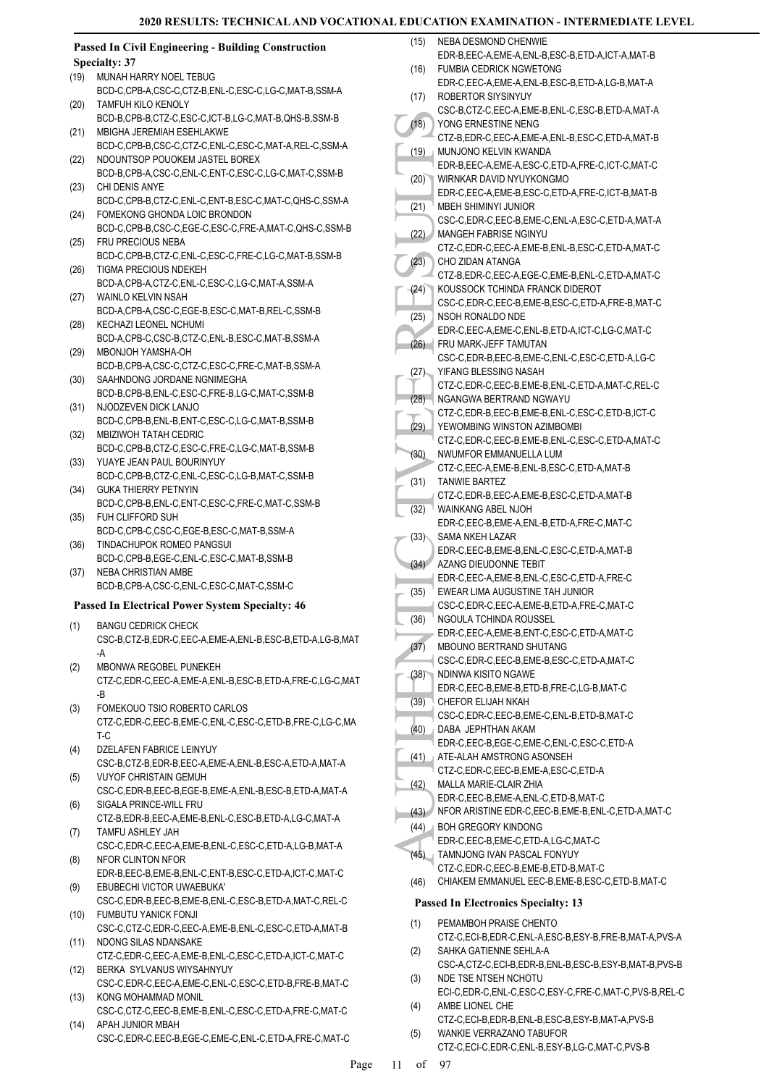NEBA DESMOND CHENWIE

### **Passed In Civil Engineering - Building Construction Specialty: 37**

- MUNAH HARRY NOEL TEBUG BCD-C,CPB-A,CSC-C,CTZ-B,ENL-C,ESC-C,LG-C,MAT-B,SSM-A (19) TAMFUH KILO KENOLY (20)
- BCD-B,CPB-B,CTZ-C,ESC-C,ICT-B,LG-C,MAT-B,QHS-B,SSM-B MBIGHA JEREMIAH ESEHLAKWE (21)
- BCD-C,CPB-B,CSC-C,CTZ-C,ENL-C,ESC-C,MAT-A,REL-C,SSM-A NDOUNTSOP POUOKEM JASTEL BOREX (22)
- BCD-B,CPB-A,CSC-C,ENL-C,ENT-C,ESC-C,LG-C,MAT-C,SSM-B CHI DENIS ANYE (23)
- BCD-C,CPB-B,CTZ-C,ENL-C,ENT-B,ESC-C,MAT-C,QHS-C,SSM-A FOMEKONG GHONDA LOIC BRONDON (24)
- BCD-C,CPB-B,CSC-C,EGE-C,ESC-C,FRE-A,MAT-C,QHS-C,SSM-B FRU PRECIOUS NEBA (25)
- BCD-C,CPB-B,CTZ-C,ENL-C,ESC-C,FRE-C,LG-C,MAT-B,SSM-B TIGMA PRECIOUS NDEKEH (26)
- BCD-A,CPB-A,CTZ-C,ENL-C,ESC-C,LG-C,MAT-A,SSM-A WAINLO KELVIN NSAH (27)
- BCD-A,CPB-A,CSC-C,EGE-B,ESC-C,MAT-B,REL-C,SSM-B KECHAZI LEONEL NCHUMI (28)
- BCD-A,CPB-C,CSC-B,CTZ-C,ENL-B,ESC-C,MAT-B,SSM-A MBONJOH YAMSHA-OH  $(29)$
- BCD-B,CPB-A,CSC-C,CTZ-C,ESC-C,FRE-C,MAT-B,SSM-A SAAHNDONG JORDANE NGNIMEGHA (30)
- BCD-B,CPB-B,ENL-C,ESC-C,FRE-B,LG-C,MAT-C,SSM-B NJODZEVEN DICK LANJO (31)
- BCD-C,CPB-B,ENL-B,ENT-C,ESC-C,LG-C,MAT-B,SSM-B MBIZIWOH TATAH CEDRIC (32)
- BCD-C,CPB-B,CTZ-C,ESC-C,FRE-C,LG-C,MAT-B,SSM-B YUAYE JEAN PAUL BOURINYUY (33)
- BCD-C,CPB-B,CTZ-C,ENL-C,ESC-C,LG-B,MAT-C,SSM-B GUKA THIERRY PETNYIN (34)
- BCD-C,CPB-B,ENL-C,ENT-C,ESC-C,FRE-C,MAT-C,SSM-B FUH CLIFFORD SUH (35)
- BCD-C,CPB-C,CSC-C,EGE-B,ESC-C,MAT-B,SSM-A TINDACHUPOK ROMEO PANGSUI (36)
- BCD-C,CPB-B,EGE-C,ENL-C,ESC-C,MAT-B,SSM-B NEBA CHRISTIAN AMBE (37)
- BCD-B,CPB-A,CSC-C,ENL-C,ESC-C,MAT-C,SSM-C

### **Passed In Electrical Power System Specialty: 46**

- BANGU CEDRICK CHECK CSC-B,CTZ-B,EDR-C,EEC-A,EME-A,ENL-B,ESC-B,ETD-A,LG-B,MAT -A (1)
- MBONWA REGOBEL PUNEKEH (2)
- CTZ-C,EDR-C,EEC-A,EME-A,ENL-B,ESC-B,ETD-A,FRE-C,LG-C,MAT -B
- FOMEKOUO TSIO ROBERTO CARLOS CTZ-C,EDR-C,EEC-B,EME-C,ENL-C,ESC-C,ETD-B,FRE-C,LG-C,MA T-C (3)
- DZELAFEN FABRICE LEINYUY CSC-B,CTZ-B,EDR-B,EEC-A,EME-A,ENL-B,ESC-A,ETD-A,MAT-A (4) VUYOF CHRISTAIN GEMUH (5)
- CSC-C,EDR-B,EEC-B,EGE-B,EME-A,ENL-B,ESC-B,ETD-A,MAT-A SIGALA PRINCE-WILL FRU (6)
- CTZ-B,EDR-B,EEC-A,EME-B,ENL-C,ESC-B,ETD-A,LG-C,MAT-A TAMFU ASHLEY JAH (7)
- CSC-C,EDR-C,EEC-A,EME-B,ENL-C,ESC-C,ETD-A,LG-B,MAT-A NFOR CLINTON NFOR (8)
- EDR-B,EEC-B,EME-B,ENL-C,ENT-B,ESC-C,ETD-A,ICT-C,MAT-C EBUBECHI VICTOR UWAEBUKA' (9)
- CSC-C,EDR-B,EEC-B,EME-B,ENL-C,ESC-B,ETD-A,MAT-C,REL-C FUMBUTU YANICK FONJI (10)
- CSC-C,CTZ-C,EDR-C,EEC-A,EME-B,ENL-C,ESC-C,ETD-A,MAT-B NDONG SILAS NDANSAKE (11)
- CTZ-C,EDR-C,EEC-A,EME-B,ENL-C,ESC-C,ETD-A,ICT-C,MAT-C BERKA SYLVANUS WIYSAHNYUY (12)
- CSC-C,EDR-C,EEC-A,EME-C,ENL-C,ESC-C,ETD-B,FRE-B,MAT-C KONG MOHAMMAD MONIL (13)
- CSC-C,CTZ-C,EEC-B,EME-B,ENL-C,ESC-C,ETD-A,FRE-C,MAT-C APAH JUNIOR MBAH  $(14)$
- CSC-C,EDR-C,EEC-B,EGE-C,EME-C,ENL-C,ETD-A,FRE-C,MAT-C
- (18) WORREN (19) WORREN (19) COURTS (19) COURTS (19) COURTS (20) COURTS (21) COURTS (21) COURTS (22) CHO ZI CALL (23) COURTS (24) COURTS (24) COURTS (26) COURTS (26) COURTS (27) COURTS (27) COURTS (27) COURTS (27) COURTS ( EDR-B,EEC-A,EME-A,ENL-B,ESC-B,ETD-A,ICT-A,MAT-B FUMBIA CEDRICK NGWETONG EDR-C,EEC-A,EME-A,ENL-B,ESC-B,ETD-A,LG-B,MAT-A (16) ROBERTOR SIYSINYUY CSC-B,CTZ-C,EEC-A,EME-B,ENL-C,ESC-B,ETD-A,MAT-A (17) YONG ERNESTINE NENG CTZ-B,EDR-C,EEC-A,EME-A,ENL-B,ESC-C,ETD-A,MAT-B  $(18)$ MUNJONO KELVIN KWANDA EDR-B,EEC-A,EME-A,ESC-C,ETD-A,FRE-C,ICT-C,MAT-C (19) WIRNKAR DAVID NYUYKONGMO EDR-C,EEC-A,EME-B,ESC-C,ETD-A,FRE-C,ICT-B,MAT-B (20) MBEH SHIMINYI JUNIOR CSC-C,EDR-C,EEC-B,EME-C,ENL-A,ESC-C,ETD-A,MAT-A (21) MANGEH FABRISE NGINYU CTZ-C,EDR-C,EEC-A,EME-B,ENL-B,ESC-C,ETD-A,MAT-C (22) CHO ZIDAN ATANGA CTZ-B,EDR-C,EEC-A,EGE-C,EME-B,ENL-C,ETD-A,MAT-C (23) KOUSSOCK TCHINDA FRANCK DIDEROT CSC-C,EDR-C,EEC-B,EME-B,ESC-C,ETD-A,FRE-B,MAT-C (24) NSOH RONALDO NDE EDR-C,EEC-A,EME-C,ENL-B,ETD-A,ICT-C,LG-C,MAT-C (25) FRU MARK-JEFF TAMUTAN (26) CSC-C,EDR-B,EEC-B,EME-C,ENL-C,ESC-C,ETD-A,LG-C YIFANG BLESSING NASAH CTZ-C,EDR-C,EEC-B,EME-B,ENL-C,ETD-A,MAT-C,REL-C  $(27)$ (28) NGANGWA BERTRAND NGWAYU CTZ-C,EDR-B,EEC-B,EME-B,ENL-C,ESC-C,ETD-B,ICT-C YEWOMBING WINSTON AZIMBOMBI CTZ-C,EDR-C,EEC-B,EME-B,ENL-C,ESC-C,ETD-A,MAT-C (29) NWUMFOR EMMANUELLA LUM CTZ-C,EEC-A,EME-B,ENL-B,ESC-C,ETD-A,MAT-B (30) TANWIE BARTEZ (31) CTZ-C,EDR-B,EEC-A,EME-B,ESC-C,ETD-A,MAT-B WAINKANG ABEL NJOH EDR-C,EEC-B,EME-A,ENL-B,ETD-A,FRE-C,MAT-C (32) SAMA NKEH LAZAR EDR-C,EEC-B,EME-B,ENL-C,ESC-C,ETD-A,MAT-B (33) AZANG DIEUDONNE TEBIT EDR-C,EEC-A,EME-B,ENL-C,ESC-C,ETD-A,FRE-C (34) EWEAR LIMA AUGUSTINE TAH JUNIOR CSC-C,EDR-C,EEC-A,EME-B,ETD-A,FRE-C,MAT-C (35) NGOULA TCHINDA ROUSSEL EDR-C,EEC-A,EME-B,ENT-C,ESC-C,ETD-A,MAT-C (36) MBOUNO BERTRAND SHUTANG CSC-C,EDR-C,EEC-B,EME-B,ESC-C,ETD-A,MAT-C (37) NDINWA KISITO NGAWE EDR-C,EEC-B,EME-B,ETD-B,FRE-C,LG-B,MAT-C (38) CHEFOR ELIJAH NKAH CSC-C,EDR-C,EEC-B,EME-C,ENL-B,ETD-B,MAT-C (39) DABA JEPHTHAN AKAM EDR-C,EEC-B,EGE-C,EME-C,ENL-C,ESC-C,ETD-A (40) ATE-ALAH AMSTRONG ASONSEH CTZ-C,EDR-C,EEC-B,EME-A,ESC-C,ETD-A (41) MALLA MARIE-CLAIR ZHIA EDR-C,EEC-B,EME-A,ENL-C,ETD-B,MAT-C (42) (43) NFOR ARISTINE EDR-C,EEC-B,EME-B,ENL-C,ETD-A,MAT-C BOH GREGORY KINDONG EDR-C,EEC-B,EME-C,ETD-A,LG-C,MAT-C (44) TAMNJONG IVAN PASCAL FONYUY (45) CTZ-C,EDR-C,EEC-B,EME-B,ETD-B,MAT-C (46) CHIAKEM EMMANUEL EEC-B,EME-B,ESC-C,ETD-B,MAT-C **Passed In Electronics Specialty: 13**
	- PEMAMBOH PRAISE CHENTO (1)
	- CTZ-C,ECI-B,EDR-C,ENL-A,ESC-B,ESY-B,FRE-B,MAT-A,PVS-A SAHKA GATIENNE SEHLA-A (2)
	- CSC-A,CTZ-C,ECI-B,EDR-B,ENL-B,ESC-B,ESY-B,MAT-B,PVS-B NDE TSE NTSEH NCHOTU (3)
	- ECI-C,EDR-C,ENL-C,ESC-C,ESY-C,FRE-C,MAT-C,PVS-B,REL-C AMBE LIONEL CHE (4)
	- CTZ-C,ECI-B,EDR-B,ENL-B,ESC-B,ESY-B,MAT-A,PVS-B WANKIE VERRAZANO TABUFOR (5)
		- CTZ-C,ECI-C,EDR-C,ENL-B,ESY-B,LG-C,MAT-C,PVS-B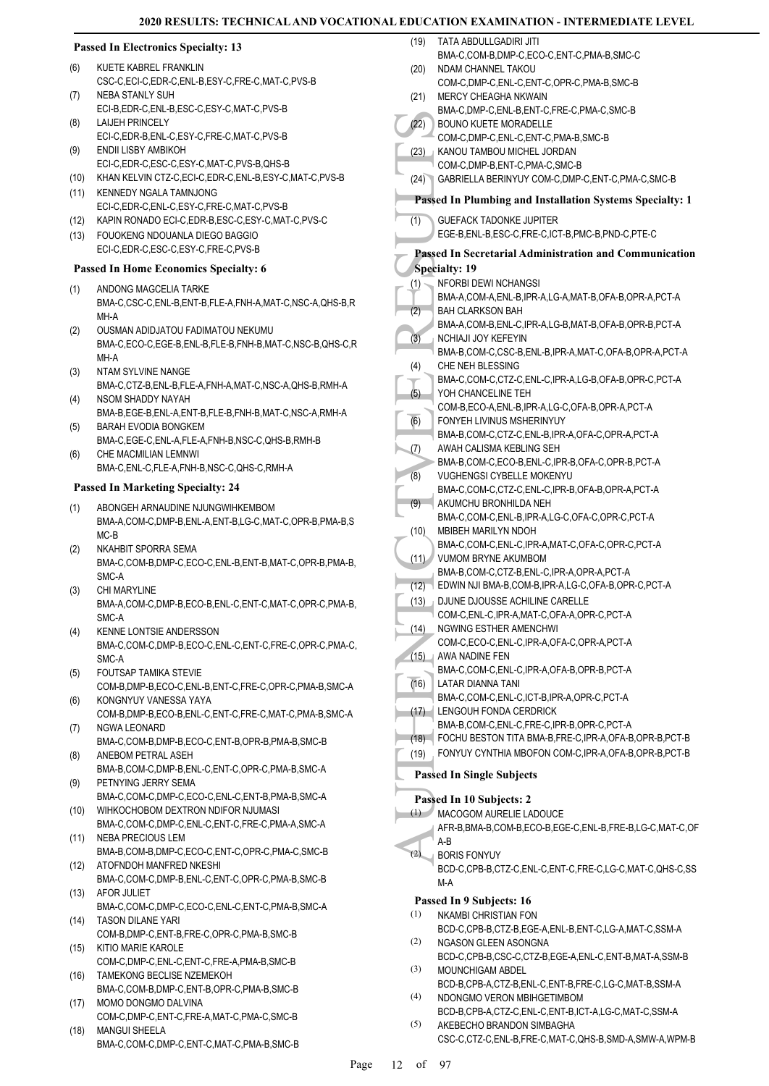### **Passed In Electronics Specialty: 13**

- KUETE KABREL FRANKLIN CSC-C,ECI-C,EDR-C,ENL-B,ESY-C,FRE-C,MAT-C,PVS-B (6)
- NEBA STANLY SUH ECI-B,EDR-C,ENL-B,ESC-C,ESY-C,MAT-C,PVS-B (7) LAIJEH PRINCELY (8)
- ECI-C,EDR-B,ENL-C,ESY-C,FRE-C,MAT-C,PVS-B ENDII LISBY AMBIKOH (9)
- ECI-C,EDR-C,ESC-C,ESY-C,MAT-C,PVS-B,QHS-B (10) KHAN KELVIN CTZ-C,ECI-C,EDR-C,ENL-B,ESY-C,MAT-C,PVS-B
- (11) KENNEDY NGALA TAMNJONG ECI-C,EDR-C,ENL-C,ESY-C,FRE-C,MAT-C,PVS-B
- (12) KAPIN RONADO ECI-C,EDR-B,ESC-C,ESY-C,MAT-C,PVS-C
- FOUOKENG NDOUANLA DIEGO BAGGIO ECI-C,EDR-C,ESC-C,ESY-C,FRE-C,PVS-B  $(13)$

### **Passed In Home Economics Specialty: 6**

- ANDONG MAGCELIA TARKE BMA-C,CSC-C,ENL-B,ENT-B,FLE-A,FNH-A,MAT-C,NSC-A,QHS-B,R MH-A (1)
- OUSMAN ADIDJATOU FADIMATOU NEKUMU BMA-C,ECO-C,EGE-B,ENL-B,FLE-B,FNH-B,MAT-C,NSC-B,QHS-C,R MH-A (2)
- NTAM SYLVINE NANGE (3)
- BMA-C,CTZ-B,ENL-B,FLE-A,FNH-A,MAT-C,NSC-A,QHS-B,RMH-A NSOM SHADDY NAYAH (4)
- BMA-B,EGE-B,ENL-A,ENT-B,FLE-B,FNH-B,MAT-C,NSC-A,RMH-A BARAH EVODIA BONGKEM (5)
- BMA-C,EGE-C,ENL-A,FLE-A,FNH-B,NSC-C,QHS-B,RMH-B CHE MACMILIAN LEMNWI (6)
- BMA-C,ENL-C,FLE-A,FNH-B,NSC-C,QHS-C,RMH-A

### **Passed In Marketing Specialty: 24**

- ABONGEH ARNAUDINE NJUNGWIHKEMBOM BMA-A,COM-C,DMP-B,ENL-A,ENT-B,LG-C,MAT-C,OPR-B,PMA-B,S MC-B (1)
- NKAHBIT SPORRA SEMA BMA-C,COM-B,DMP-C,ECO-C,ENL-B,ENT-B,MAT-C,OPR-B,PMA-B, SMC-A (2)
- CHI MARYLINE BMA-A,COM-C,DMP-B,ECO-B,ENL-C,ENT-C,MAT-C,OPR-C,PMA-B, SMC-A (3)
- KENNE LONTSIE ANDERSSON BMA-C,COM-C,DMP-B,ECO-C,ENL-C,ENT-C,FRE-C,OPR-C,PMA-C, SMC-A (4)
- FOUTSAP TAMIKA STEVIE COM-B,DMP-B,ECO-C,ENL-B,ENT-C,FRE-C,OPR-C,PMA-B,SMC-A (5)
- KONGNYUY VANESSA YAYA (6)
- COM-B,DMP-B,ECO-B,ENL-C,ENT-C,FRE-C,MAT-C,PMA-B,SMC-A NGWA LEONARD (7)
- BMA-C,COM-B,DMP-B,ECO-C,ENT-B,OPR-B,PMA-B,SMC-B ANEBOM PETRAL ASEH (8)
- BMA-B,COM-C,DMP-B,ENL-C,ENT-C,OPR-C,PMA-B,SMC-A PETNYING JERRY SEMA (9)
- BMA-C,COM-C,DMP-C,ECO-C,ENL-C,ENT-B,PMA-B,SMC-A WIHKOCHOBOM DEXTRON NDIFOR NJUMASI (10)
- BMA-C,COM-C,DMP-C,ENL-C,ENT-C,FRE-C,PMA-A,SMC-A NEBA PRECIOUS LEM (11)
- BMA-B,COM-B,DMP-C,ECO-C,ENT-C,OPR-C,PMA-C,SMC-B (12) ATOFNDOH MANFRED NKESHI
- BMA-C,COM-C,DMP-B,ENL-C,ENT-C,OPR-C,PMA-B,SMC-B (13) AFOR JULIET
- BMA-C,COM-C,DMP-C,ECO-C,ENL-C,ENT-C,PMA-B,SMC-A TASON DILANE YARI (14)
- COM-B,DMP-C,ENT-B,FRE-C,OPR-C,PMA-B,SMC-B KITIO MARIE KAROLE (15)
- COM-C,DMP-C,ENL-C,ENT-C,FRE-A,PMA-B,SMC-B TAMEKONG BECLISE NZEMEKOH (16)
- BMA-C,COM-B,DMP-C,ENT-B,OPR-C,PMA-B,SMC-B MOMO DONGMO DALVINA (17)
- COM-C,DMP-C,ENT-C,FRE-A,MAT-C,PMA-C,SMC-B MANGUI SHEELA (18)
- BMA-C,COM-C,DMP-C,ENT-C,MAT-C,PMA-B,SMC-B
- (22) BOUNC<br>
(23) BOUNC<br>
COM-C<br>
(23) BOUNC<br>
COM-C<br>
(24) GABRIE<br>
Passed In 1<br>
GUEFA<br>
EGE-B,<br>
Passed In 1<br>
Specialty:<br>
NEORE<br>
RESULTS BOUNC<br>
(2) BOUNC BENA-A,<br>
BAA-A,<br>
BAA-A,<br>
BAA-A,<br>
BAA-A,<br>
BAA-A,<br>
BAA-A,<br>
BAA-A,<br>
DEMA-A,<br> TATA ABDULLGADIRI JITI BMA-C,COM-B,DMP-C,ECO-C,ENT-C,PMA-B,SMC-C (19) NDAM CHANNEL TAKOU COM-C,DMP-C,ENL-C,ENT-C,OPR-C,PMA-B,SMC-B (20) MERCY CHEAGHA NKWAIN BMA-C,DMP-C,ENL-B,ENT-C,FRE-C,PMA-C,SMC-B (21) BOUNO KUETE MORADELLE COM-C,DMP-C,ENL-C,ENT-C,PMA-B,SMC-B (22) KANOU TAMBOU MICHEL JORDAN COM-C,DMP-B,ENT-C,PMA-C,SMC-B (23) (24) GABRIELLA BERINYUY COM-C,DMP-C,ENT-C,PMA-C,SMC-B **Passed In Plumbing and Installation Systems Specialty: 1** GUEFACK TADONKE JUPITER EGE-B,ENL-B,ESC-C,FRE-C,ICT-B,PMC-B,PND-C,PTE-C (1) **Passed In Secretarial Administration and Communication Specialty: 19** NFORBI DEWI NCHANGSI BMA-A,COM-A,ENL-B,IPR-A,LG-A,MAT-B,OFA-B,OPR-A,PCT-A (1) BAH CLARKSON BAH BMA-A,COM-B,ENL-C,IPR-A,LG-B,MAT-B,OFA-B,OPR-B,PCT-A (2) NCHIAJI JOY KEFEYIN BMA-B,COM-C,CSC-B,ENL-B,IPR-A,MAT-C,OFA-B,OPR-A,PCT-A (3) CHE NEH BLESSING BMA-C,COM-C,CTZ-C,ENL-C,IPR-A,LG-B,OFA-B,OPR-C,PCT-A (4) YOH CHANCELINE TEH COM-B,ECO-A,ENL-B,IPR-A,LG-C,OFA-B,OPR-A,PCT-A (5) FONYEH LIVINUS MSHERINYUY BMA-B,COM-C,CTZ-C,ENL-B,IPR-A,OFA-C,OPR-A,PCT-A (6) AWAH CALISMA KEBLING SEH BMA-B,COM-C,ECO-B,ENL-C,IPR-B,OFA-C,OPR-B,PCT-A (7) VUGHENGSI CYBELLE MOKENYU BMA-C,COM-C,CTZ-C,ENL-C,IPR-B,OFA-B,OPR-A,PCT-A (8) AKUMCHU BRONHILDA NEH BMA-C,COM-C,ENL-B,IPR-A,LG-C,OFA-C,OPR-C,PCT-A (9) MBIBEH MARILYN NDOH BMA-C,COM-C,ENL-C,IPR-A,MAT-C,OFA-C,OPR-C,PCT-A (10) VUMOM BRYNE AKUMBOM BMA-B,COM-C,CTZ-B,ENL-C,IPR-A,OPR-A,PCT-A  $(11)$ (12) EDWIN NJI BMA-B,COM-B,IPR-A,LG-C,OFA-B,OPR-C,PCT-A DJUNE DJOUSSE ACHILINE CARELLE COM-C,ENL-C,IPR-A,MAT-C,OFA-A,OPR-C,PCT-A (13) NGWING ESTHER AMENCHWI COM-C,ECO-C,ENL-C,IPR-A,OFA-C,OPR-A,PCT-A  $(14)$ AWA NADINE FEN (15) BMA-C,COM-C,ENL-C,IPR-A,OFA-B,OPR-B,PCT-A LATAR DIANNA TANI BMA-C,COM-C,ENL-C,ICT-B,IPR-A,OPR-C,PCT-A (16) LENGOUH FONDA CERDRICK (17) BMA-B,COM-C,ENL-C,FRE-C,IPR-B,OPR-C,PCT-A (18) FOCHU BESTON TITA BMA-B,FRE-C,IPR-A,OFA-B,OPR-B,PCT-B (19) FONYUY CYNTHIA MBOFON COM-C,IPR-A,OFA-B,OPR-B,PCT-B **Passed In Single Subjects Passed In 10 Subjects: 2** MACOGOM AURELIE LADOUCE (1) AFR-B,BMA-B,COM-B,ECO-B,EGE-C,ENL-B,FRE-B,LG-C,MAT-C,OF A-B BORIS FONYUY BCD-C,CPB-B,CTZ-C,ENL-C,ENT-C,FRE-C,LG-C,MAT-C,QHS-C,SS M-A (2) **Passed In 9 Subjects: 16** NKAMBI CHRISTIAN FON BCD-C,CPB-B,CTZ-B,EGE-A,ENL-B,ENT-C,LG-A,MAT-C,SSM-A (1) NGASON GLEEN ASONGNA BCD-C,CPB-B,CSC-C,CTZ-B,EGE-A,ENL-C,ENT-B,MAT-A,SSM-B (2) MOUNCHIGAM ABDEL BCD-B,CPB-A,CTZ-B,ENL-C,ENT-B,FRE-C,LG-C,MAT-B,SSM-A (3) NDONGMO VERON MBIHGETIMBOM BCD-B,CPB-A,CTZ-C,ENL-C,ENT-B,ICT-A,LG-C,MAT-C,SSM-A (4)
- Page 12 of 97

(5)

AKEBECHO BRANDON SIMBAGHA

CSC-C,CTZ-C,ENL-B,FRE-C,MAT-C,QHS-B,SMD-A,SMW-A,WPM-B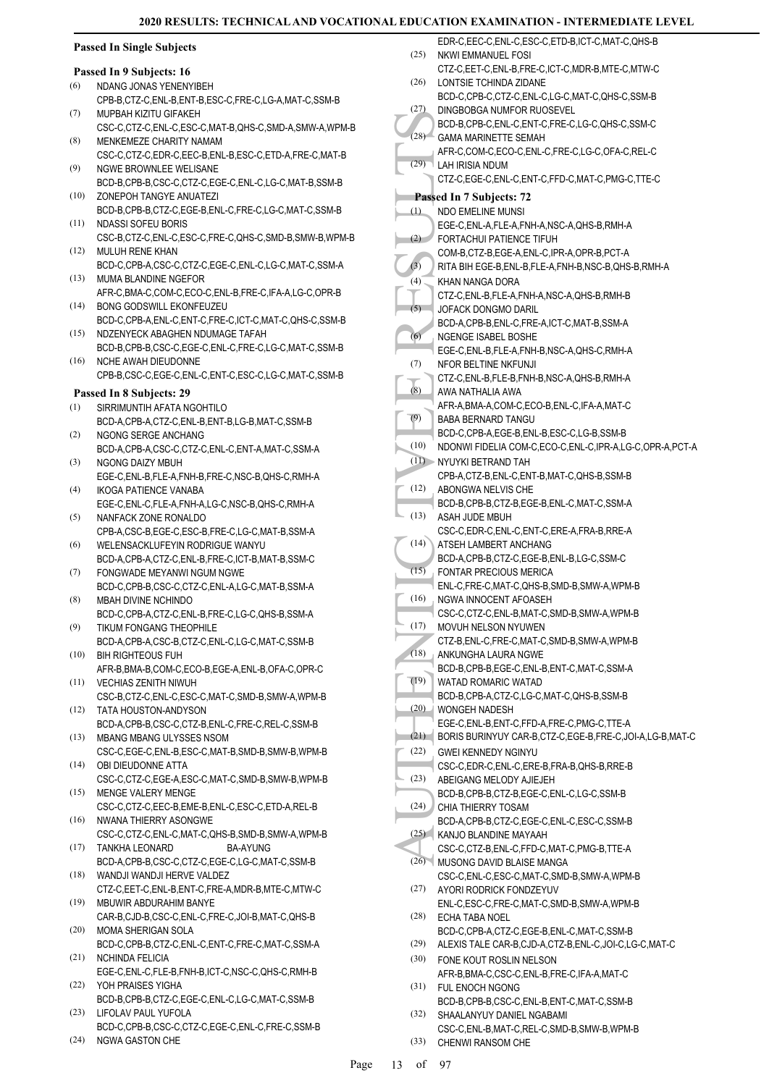(25)

### **Passed In Single Subjects**

#### **Passed In 9 Subjects: 16**

- NDANG JONAS YENENYIBEH (6)
- CPB-B,CTZ-C,ENL-B,ENT-B,ESC-C,FRE-C,LG-A,MAT-C,SSM-B MUPBAH KIZITU GIFAKEH (7)
- CSC-C,CTZ-C,ENL-C,ESC-C,MAT-B,QHS-C,SMD-A,SMW-A,WPM-B MENKEMEZE CHARITY NAMAM (8)
- CSC-C,CTZ-C,EDR-C,EEC-B,ENL-B,ESC-C,ETD-A,FRE-C,MAT-B NGWE BROWNLEE WELISANE (9)
- BCD-B,CPB-B,CSC-C,CTZ-C,EGE-C,ENL-C,LG-C,MAT-B,SSM-B ZONEPOH TANGYE ANUATEZI (10)
- BCD-B,CPB-B,CTZ-C,EGE-B,ENL-C,FRE-C,LG-C,MAT-C,SSM-B NDASSI SOFEU BORIS (11)
- CSC-B,CTZ-C,ENL-C,ESC-C,FRE-C,QHS-C,SMD-B,SMW-B,WPM-B MULUH RENE KHAN (12)
- BCD-C,CPB-A,CSC-C,CTZ-C,EGE-C,ENL-C,LG-C,MAT-C,SSM-A MUMA BLANDINE NGEFOR (13)
- AFR-C,BMA-C,COM-C,ECO-C,ENL-B,FRE-C,IFA-A,LG-C,OPR-B BONG GODSWILL EKONFEUZEU (14)
- BCD-C,CPB-A,ENL-C,ENT-C,FRE-C,ICT-C,MAT-C,QHS-C,SSM-B NDZENYECK ABAGHEN NDUMAGE TAFAH  $(15)$
- BCD-B,CPB-B,CSC-C,EGE-C,ENL-C,FRE-C,LG-C,MAT-C,SSM-B NCHE AWAH DIEUDONNE (16)
- CPB-B,CSC-C,EGE-C,ENL-C,ENT-C,ESC-C,LG-C,MAT-C,SSM-B

### **Passed In 8 Subjects: 29**

- SIRRIMUNTIH AFATA NGOHTILO BCD-A,CPB-A,CTZ-C,ENL-B,ENT-B,LG-B,MAT-C,SSM-B (1) NGONG SERGE ANCHANG (2)
- BCD-A,CPB-A,CSC-C,CTZ-C,ENL-C,ENT-A,MAT-C,SSM-A NGONG DAIZY MBUH (3)
- EGE-C,ENL-B,FLE-A,FNH-B,FRE-C,NSC-B,QHS-C,RMH-A IKOGA PATIENCE VANABA (4)
- EGE-C,ENL-C,FLE-A,FNH-A,LG-C,NSC-B,QHS-C,RMH-A NANFACK ZONE RONALDO (5)
- CPB-A,CSC-B,EGE-C,ESC-B,FRE-C,LG-C,MAT-B,SSM-A WELENSACKLUFEYIN RODRIGUE WANYU (6)
- BCD-A,CPB-A,CTZ-C,ENL-B,FRE-C,ICT-B,MAT-B,SSM-C FONGWADE MEYANWI NGUM NGWE (7)
- BCD-C,CPB-B,CSC-C,CTZ-C,ENL-A,LG-C,MAT-B,SSM-A MBAH DIVINE NCHINDO (8)
- BCD-C,CPB-A,CTZ-C,ENL-B,FRE-C,LG-C,QHS-B,SSM-A TIKUM FONGANG THEOPHILE (9)
- BCD-A,CPB-A,CSC-B,CTZ-C,ENL-C,LG-C,MAT-C,SSM-B BIH RIGHTEOUS FUH (10)
- AFR-B,BMA-B,COM-C,ECO-B,EGE-A,ENL-B,OFA-C,OPR-C VECHIAS ZENITH NIWUH (11)
- CSC-B,CTZ-C,ENL-C,ESC-C,MAT-C,SMD-B,SMW-A,WPM-B TATA HOUSTON-ANDYSON  $(12)$
- BCD-A,CPB-B,CSC-C,CTZ-B,ENL-C,FRE-C,REL-C,SSM-B MBANG MBANG ULYSSES NSOM (13)
- CSC-C,EGE-C,ENL-B,ESC-C,MAT-B,SMD-B,SMW-B,WPM-B OBI DIEUDONNE ATTA (14)
- CSC-C,CTZ-C,EGE-A,ESC-C,MAT-C,SMD-B,SMW-B,WPM-B MENGE VALERY MENGE (15)
- CSC-C,CTZ-C,EEC-B,EME-B,ENL-C,ESC-C,ETD-A,REL-B NWANA THIERRY ASONGWE (16)
- CSC-C,CTZ-C,ENL-C,MAT-C,QHS-B,SMD-B,SMW-A,WPM-B TANKHA LEONARD BA-AYUNG (17)
- BCD-A,CPB-B,CSC-C,CTZ-C,EGE-C,LG-C,MAT-C,SSM-B WANDJI WANDJI HERVE VALDEZ (18)
- CTZ-C,EET-C,ENL-B,ENT-C,FRE-A,MDR-B,MTE-C,MTW-C MBUWIR ABDURAHIM BANYE (19)
- CAR-B,CJD-B,CSC-C,ENL-C,FRE-C,JOI-B,MAT-C,QHS-B MOMA SHERIGAN SOLA (20)
- BCD-C,CPB-B,CTZ-C,ENL-C,ENT-C,FRE-C,MAT-C,SSM-A NCHINDA FELICIA (21)
- EGE-C,ENL-C,FLE-B,FNH-B,ICT-C,NSC-C,QHS-C,RMH-B YOH PRAISES YIGHA (22)
- BCD-B,CPB-B,CTZ-C,EGE-C,ENL-C,LG-C,MAT-C,SSM-B LIFOLAV PAUL YUFOLA (23)
- BCD-C,CPB-B,CSC-C,CTZ-C,EGE-C,ENL-C,FRE-C,SSM-B (24) NGWA GASTON CHE
- (28) BCD-B, GAMA N, CTZ-C, CAMA N, CTZ-C, CAMA N, CTZ-C, CAMA N, CTZ-C, CAMA N, CTZ-C, COM-B, RITA B, CTZ-C, COM-B, RITA B, CTZ-C, COM-B, RITA B, CTZ-C, COM-B, RITA B, CTZ-C, COM-B, RITA B, CTZ-C, COM-B, RITA B, CTZ-C, COM CTZ-C,EET-C,ENL-B,FRE-C,ICT-C,MDR-B,MTE-C,MTW-C LONTSIE TCHINDA ZIDANE BCD-C,CPB-C,CTZ-C,ENL-C,LG-C,MAT-C,QHS-C,SSM-B (26) DINGBOBGA NUMFOR RUOSEVEL BCD-B,CPB-C,ENL-C,ENT-C,FRE-C,LG-C,QHS-C,SSM-C (27) GAMA MARINETTE SEMAH AFR-C,COM-C,ECO-C,ENL-C,FRE-C,LG-C,OFA-C,REL-C  $(28)$ LAH IRISIA NDUM CTZ-C,EGE-C,ENL-C,ENT-C,FFD-C,MAT-C,PMG-C,TTE-C (29) **Passed In 7 Subjects: 72** NDO EMELINE MUNSI EGE-C,ENL-A,FLE-A,FNH-A,NSC-A,QHS-B,RMH-A (1) FORTACHUI PATIENCE TIFUH COM-B,CTZ-B,EGE-A,ENL-C,IPR-A,OPR-B,PCT-A (2) (3) RITA BIH EGE-B,ENL-B,FLE-A,FNH-B,NSC-B,QHS-B,RMH-A KHAN NANGA DORA CTZ-C,ENL-B,FLE-A,FNH-A,NSC-A,QHS-B,RMH-B  $(4)$ JOFACK DONGMO DARIL BCD-A,CPB-B,ENL-C,FRE-A,ICT-C,MAT-B,SSM-A (5) NGENGE ISABEL BOSHE EGE-C,ENL-B,FLE-A,FNH-B,NSC-A,QHS-C,RMH-A (6) NFOR BELTINE NKFUNJI CTZ-C,ENL-B,FLE-B,FNH-B,NSC-A,QHS-B,RMH-A (7) AWA NATHALIA AWA AFR-A,BMA-A,COM-C,ECO-B,ENL-C,IFA-A,MAT-C (8) BABA BERNARD TANGU BCD-C,CPB-A,EGE-B,ENL-B,ESC-C,LG-B,SSM-B (9) (10) NDONWI FIDELIA COM-C,ECO-C,ENL-C,IPR-A,LG-C,OPR-A,PCT-A NYUYKI BETRAND TAH (11) CPB-A,CTZ-B,ENL-C,ENT-B,MAT-C,QHS-B,SSM-B ABONGWA NELVIS CHE BCD-B,CPB-B,CTZ-B,EGE-B,ENL-C,MAT-C,SSM-A (12) ASAH JUDE MBUH CSC-C,EDR-C,ENL-C,ENT-C,ERE-A,FRA-B,RRE-A (13) ATSEH LAMBERT ANCHANG BCD-A,CPB-B,CTZ-C,EGE-B,ENL-B,LG-C,SSM-C (14) FONTAR PRECIOUS MERICA ENL-C,FRE-C,MAT-C,QHS-B,SMD-B,SMW-A,WPM-B  $(15)$ NGWA INNOCENT AFOASEH CSC-C,CTZ-C,ENL-B,MAT-C,SMD-B,SMW-A,WPM-B (16) MOVUH NELSON NYUWEN CTZ-B,ENL-C,FRE-C,MAT-C,SMD-B,SMW-A,WPM-B (17) ANKUNGHA LAURA NGWE BCD-B,CPB-B,EGE-C,ENL-B,ENT-C,MAT-C,SSM-A (18) WATAD ROMARIC WATAD BCD-B,CPB-A,CTZ-C,LG-C,MAT-C,QHS-B,SSM-B (19) WONGEH NADESH EGE-C,ENL-B,ENT-C,FFD-A,FRE-C,PMG-C,TTE-A (20) (21) BORIS BURINYUY CAR-B,CTZ-C,EGE-B,FRE-C,JOI-A,LG-B,MAT-C GWEI KENNEDY NGINYU CSC-C,EDR-C,ENL-C,ERE-B,FRA-B,QHS-B,RRE-B (22) ABEIGANG MELODY AJIEJEH BCD-B,CPB-B,CTZ-B,EGE-C,ENL-C,LG-C,SSM-B (23) CHIA THIERRY TOSAM BCD-A,CPB-B,CTZ-C,EGE-C,ENL-C,ESC-C,SSM-B (24) KANJO BLANDINE MAYAAH (25) CSC-C,CTZ-B,ENL-C,FFD-C,MAT-C,PMG-B,TTE-A MUSONG DAVID BLAISE MANGA (26) CSC-C,ENL-C,ESC-C,MAT-C,SMD-B,SMW-A,WPM-B AYORI RODRICK FONDZEYUV ENL-C,ESC-C,FRE-C,MAT-C,SMD-B,SMW-A,WPM-B (27) ECHA TABA NOEL (28) BCD-C,CPB-A,CTZ-C,EGE-B,ENL-C,MAT-C,SSM-B (29) ALEXIS TALE CAR-B,CJD-A,CTZ-B,ENL-C,JOI-C,LG-C,MAT-C FONE KOUT ROSLIN NELSON (30) AFR-B,BMA-C,CSC-C,ENL-B,FRE-C,IFA-A,MAT-C (31) FUL ENOCH NGONG BCD-B,CPB-B,CSC-C,ENL-B,ENT-C,MAT-C,SSM-B SHAALANYUY DANIEL NGABAMI (32)

EDR-C,EEC-C,ENL-C,ESC-C,ETD-B,ICT-C,MAT-C,QHS-B

NKWI EMMANUEL FOSI

CSC-C,ENL-B,MAT-C,REL-C,SMD-B,SMW-B,WPM-B (33) CHENWI RANSOM CHE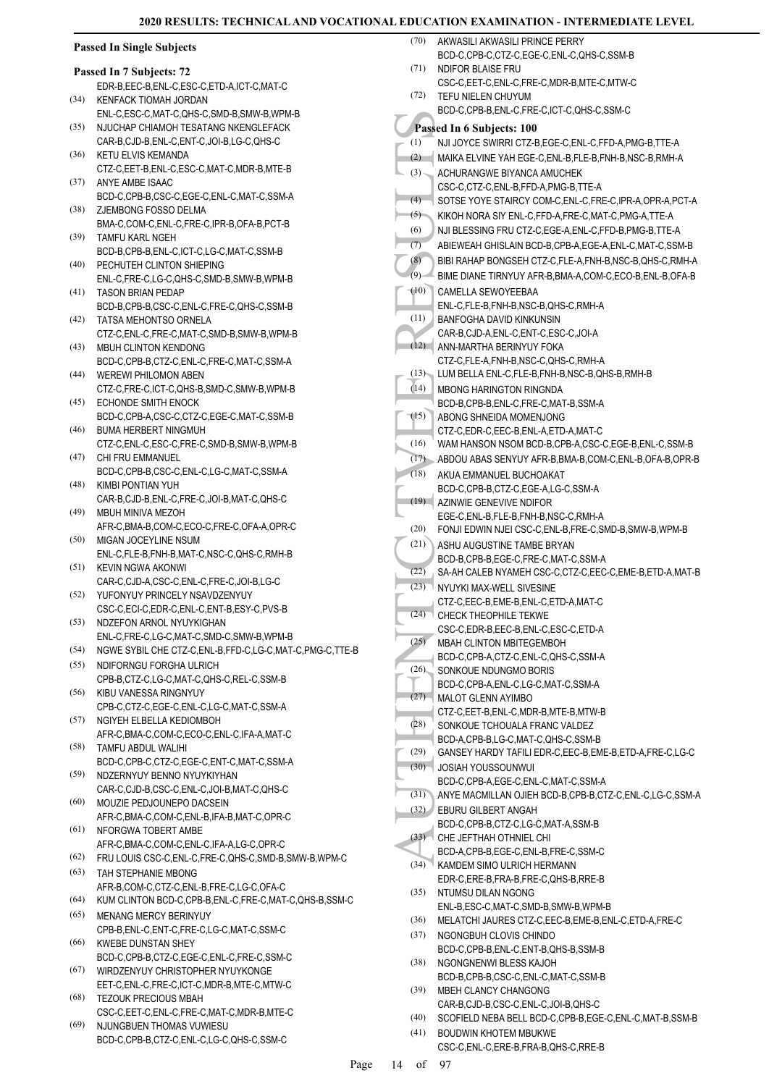|              | <b>Passed In Single Subjects</b>                                                                                |              | (70) AKWASILI AKWASILI PRINCE PERRY                                                                                |
|--------------|-----------------------------------------------------------------------------------------------------------------|--------------|--------------------------------------------------------------------------------------------------------------------|
|              |                                                                                                                 | (71)         | BCD-C,CPB-C,CTZ-C,EGE-C,ENL-C,QHS-C,SSM-B<br>NDIFOR BLAISE FRU                                                     |
|              | Passed In 7 Subjects: 72<br>EDR-B.EEC-B.ENL-C.ESC-C.ETD-A.ICT-C.MAT-C                                           |              | CSC-C,EET-C,ENL-C,FRE-C,MDR-B,MTE-C,MTW-C                                                                          |
| (34)         | KENFACK TIOMAH JORDAN                                                                                           | (72)         | TEFU NIELEN CHUYUM                                                                                                 |
|              | ENL-C,ESC-C,MAT-C,QHS-C,SMD-B,SMW-B,WPM-B                                                                       |              | BCD-C.CPB-B.ENL-C.FRE-C.ICT-C.QHS-C.SSM-C                                                                          |
| (35)         | NJUCHAP CHIAMOH TESATANG NKENGLEFACK                                                                            |              | Passed In 6 Subjects: 100                                                                                          |
|              | CAR-B,CJD-B,ENL-C,ENT-C,JOI-B,LG-C,QHS-C                                                                        | (1)          | NJI JOYCE SWIRRI CTZ-B,EGE-C,ENL-C,FFD-A,PMG-B,TTE-A                                                               |
| (36)         | KETU ELVIS KEMANDA                                                                                              | (2)          | MAIKA ELVINE YAH EGE-C, ENL-B, FLE-B, FNH-B, NSC-B, RMH-A                                                          |
|              | CTZ-C,EET-B,ENL-C,ESC-C,MAT-C,MDR-B,MTE-B                                                                       | (3)          | ACHURANGWE BIYANCA AMUCHEK                                                                                         |
| (37)         | ANYE AMBE ISAAC<br>BCD-C,CPB-B,CSC-C,EGE-C,ENL-C,MAT-C,SSM-A                                                    |              | CSC-C,CTZ-C,ENL-B,FFD-A,PMG-B,TTE-A                                                                                |
| (38)         | ZJEMBONG FOSSO DELMA                                                                                            | (4)          | SOTSE YOYE STAIRCY COM-C, ENL-C, FRE-C, IPR-A, OPR-A, PCT-A                                                        |
|              | BMA-C,COM-C,ENL-C,FRE-C,IPR-B,OFA-B,PCT-B                                                                       | (5)<br>(6)   | KIKOH NORA SIY ENL-C, FFD-A, FRE-C, MAT-C, PMG-A, TTE-A                                                            |
| (39)         | TAMFU KARL NGEH                                                                                                 | (7)          | NJI BLESSING FRU CTZ-C, EGE-A, ENL-C, FFD-B, PMG-B, TTE-A<br>ABIEWEAH GHISLAIN BCD-B,CPB-A,EGE-A,ENL-C,MAT-C,SSM-B |
|              | BCD-B,CPB-B,ENL-C,ICT-C,LG-C,MAT-C,SSM-B                                                                        | (8)          | BIBI RAHAP BONGSEH CTZ-C, FLE-A, FNH-B, NSC-B, QHS-C, RMH-A                                                        |
| (40)         | PECHUTEH CLINTON SHIEPING                                                                                       | (9)          | BIME DIANE TIRNYUY AFR-B, BMA-A, COM-C, ECO-B, ENL-B, OFA-B                                                        |
| (41)         | ENL-C, FRE-C, LG-C, QHS-C, SMD-B, SMW-B, WPM-B<br><b>TASON BRIAN PEDAP</b>                                      | (10)         | CAMELLA SEWOYEEBAA                                                                                                 |
|              | BCD-B,CPB-B,CSC-C,ENL-C,FRE-C,QHS-C,SSM-B                                                                       |              | ENL-C, FLE-B, FNH-B, NSC-B, QHS-C, RMH-A                                                                           |
| (42)         | TATSA MEHONTSO ORNELA                                                                                           | (11)         | BANFOGHA DAVID KINKUNSIN                                                                                           |
|              | CTZ-C,ENL-C,FRE-C,MAT-C,SMD-B,SMW-B,WPM-B                                                                       |              | CAR-B,CJD-A,ENL-C,ENT-C,ESC-C,JOI-A                                                                                |
| (43)         | <b>MBUH CLINTON KENDONG</b>                                                                                     |              | (12) ANN-MARTHA BERINYUY FOKA                                                                                      |
|              | BCD-C,CPB-B,CTZ-C,ENL-C,FRE-C,MAT-C,SSM-A                                                                       |              | CTZ-C,FLE-A,FNH-B,NSC-C,QHS-C,RMH-A<br>(13) LUM BELLA ENL-C, FLE-B, FNH-B, NSC-B, QHS-B, RMH-B                     |
| (44)         | WEREWI PHILOMON ABEN<br>CTZ-C,FRE-C,ICT-C,QHS-B,SMD-C,SMW-B,WPM-B                                               | (14)         | <b>MBONG HARINGTON RINGNDA</b>                                                                                     |
| (45)         | ECHONDE SMITH ENOCK                                                                                             |              | BCD-B,CPB-B,ENL-C,FRE-C,MAT-B,SSM-A                                                                                |
|              | BCD-C,CPB-A,CSC-C,CTZ-C,EGE-C,MAT-C,SSM-B                                                                       | (15)         | ABONG SHNEIDA MOMENJONG                                                                                            |
| (46)         | <b>BUMA HERBERT NINGMUH</b>                                                                                     |              | CTZ-C,EDR-C,EEC-B,ENL-A,ETD-A,MAT-C                                                                                |
|              | CTZ-C,ENL-C,ESC-C,FRE-C,SMD-B,SMW-B,WPM-B                                                                       | (16)         | WAM HANSON NSOM BCD-B,CPB-A,CSC-C,EGE-B,ENL-C,SSM-B                                                                |
| (47)         | CHI FRU EMMANUEL                                                                                                | (17)         | ABDOU ABAS SENYUY AFR-B, BMA-B, COM-C, ENL-B, OFA-B, OPR-B                                                         |
| (48)         | BCD-C,CPB-B,CSC-C,ENL-C,LG-C,MAT-C,SSM-A<br>KIMBI PONTIAN YUH                                                   | (18)         | AKUA EMMANUEL BUCHOAKAT                                                                                            |
|              | CAR-B,CJD-B,ENL-C,FRE-C,JOI-B,MAT-C,QHS-C                                                                       |              | BCD-C,CPB-B,CTZ-C,EGE-A,LG-C,SSM-A<br>(19) AZINWIE GENEVIVE NDIFOR                                                 |
| (49)         | <b>MBUH MINIVA MEZOH</b>                                                                                        |              | EGE-C,ENL-B,FLE-B,FNH-B,NSC-C,RMH-A                                                                                |
|              | AFR-C, BMA-B, COM-C, ECO-C, FRE-C, OFA-A, OPR-C                                                                 | (20)         | FONJI EDWIN NJEI CSC-C,ENL-B,FRE-C,SMD-B,SMW-B,WPM-B                                                               |
| (50)         | MIGAN JOCEYLINE NSUM                                                                                            | (21)         | ASHU AUGUSTINE TAMBE BRYAN                                                                                         |
| (51)         | ENL-C,FLE-B,FNH-B,MAT-C,NSC-C,QHS-C,RMH-B<br>KEVIN NGWA AKONWI                                                  |              | BCD-B,CPB-B,EGE-C,FRE-C,MAT-C,SSM-A                                                                                |
|              | CAR-C,CJD-A,CSC-C,ENL-C,FRE-C,JOI-B,LG-C                                                                        | (22)         | SA-AH CALEB NYAMEH CSC-C,CTZ-C,EEC-C,EME-B,ETD-A,MAT-B                                                             |
| (52)         | YUFONYUY PRINCELY NSAVDZENYUY                                                                                   | (23)         | NYUYKI MAX-WELL SIVESINE<br>CTZ-C,EEC-B,EME-B,ENL-C,ETD-A,MAT-C                                                    |
|              | CSC-C,ECI-C,EDR-C,ENL-C,ENT-B,ESY-C,PVS-B                                                                       |              | (24) CHECK THEOPHILE TEKWE                                                                                         |
| (53)         | NDZEFON ARNOL NYUYKIGHAN                                                                                        |              | CSC-C,EDR-B,EEC-B,ENL-C,ESC-C,ETD-A                                                                                |
| (54)         | ENL-C, FRE-C, LG-C, MAT-C, SMD-C, SMW-B, WPM-B<br>NGWE SYBIL CHE CTZ-C, ENL-B, FFD-C, LG-C, MAT-C, PMG-C, TTE-B | (25)         | <b>MBAH CLINTON MBITEGEMBOH</b>                                                                                    |
| (55)         | NDIFORNGU FORGHA ULRICH                                                                                         |              | BCD-C,CPB-A,CTZ-C,ENL-C,QHS-C,SSM-A                                                                                |
|              | CPB-B,CTZ-C,LG-C,MAT-C,QHS-C,REL-C,SSM-B                                                                        | (26)         | SONKOUE NDUNGMO BORIS<br>BCD-C,CPB-A,ENL-C,LG-C,MAT-C,SSM-A                                                        |
| (56)         | KIBU VANESSA RINGNYUY                                                                                           |              | (27) MALOT GLENN AYIMBO                                                                                            |
|              | CPB-C,CTZ-C,EGE-C,ENL-C,LG-C,MAT-C,SSM-A                                                                        |              | CTZ-C,EET-B,ENL-C,MDR-B,MTE-B,MTW-B                                                                                |
| (57)         | NGIYEH ELBELLA KEDIOMBOH                                                                                        | (28)         | SONKOUE TCHOUALA FRANC VALDEZ                                                                                      |
| (58)         | AFR-C, BMA-C, COM-C, ECO-C, ENL-C, IFA-A, MAT-C<br>TAMFU ABDUL WALIHI                                           |              | BCD-A,CPB-B,LG-C,MAT-C,QHS-C,SSM-B                                                                                 |
|              | BCD-C,CPB-C,CTZ-C,EGE-C,ENT-C,MAT-C,SSM-A                                                                       | (29)<br>(30) | GANSEY HARDY TAFILI EDR-C, EEC-B, EME-B, ETD-A, FRE-C, LG-C<br><b>JOSIAH YOUSSOUNWUI</b>                           |
| (59)         | NDZERNYUY BENNO NYUYKIYHAN                                                                                      |              | BCD-C,CPB-A,EGE-C,ENL-C,MAT-C,SSM-A                                                                                |
|              | CAR-C,CJD-B,CSC-C,ENL-C,JOI-B,MAT-C,QHS-C                                                                       | (31)         | ANYE MACMILLAN OJIEH BCD-B,CPB-B,CTZ-C,ENL-C,LG-C,SSM-A                                                            |
| (60)         | MOUZIE PEDJOUNEPO DACSEIN<br>AFR-C, BMA-C, COM-C, ENL-B, IFA-B, MAT-C, OPR-C                                    |              | (32) EBURU GILBERT ANGAH                                                                                           |
| (61)         | NFORGWA TOBERT AMBE                                                                                             |              | BCD-C,CPB-B,CTZ-C,LG-C,MAT-A,SSM-B                                                                                 |
|              | AFR-C,BMA-C,COM-C,ENL-C,IFA-A,LG-C,OPR-C                                                                        |              | (33) CHE JEFTHAH OTHNIEL CHI                                                                                       |
| (62)         | FRU LOUIS CSC-C, ENL-C, FRE-C, QHS-C, SMD-B, SMW-B, WPM-C                                                       |              | BCD-A,CPB-B,EGE-C,ENL-B,FRE-C,SSM-C<br>(34) KAMDEM SIMO ULRICH HERMANN                                             |
| (63)         | TAH STEPHANIE MBONG                                                                                             |              | EDR-C,ERE-B,FRA-B,FRE-C,QHS-B,RRE-B                                                                                |
|              | AFR-B,COM-C,CTZ-C,ENL-B,FRE-C,LG-C,OFA-C                                                                        | (35)         | NTUMSU DILAN NGONG                                                                                                 |
| (64)<br>(65) | KUM CLINTON BCD-C,CPB-B,ENL-C,FRE-C,MAT-C,QHS-B,SSM-C<br><b>MENANG MERCY BERINYUY</b>                           |              | ENL-B,ESC-C,MAT-C,SMD-B,SMW-B,WPM-B                                                                                |
|              | CPB-B,ENL-C,ENT-C,FRE-C,LG-C,MAT-C,SSM-C                                                                        | (36)         | MELATCHI JAURES CTZ-C, EEC-B, EME-B, ENL-C, ETD-A, FRE-C                                                           |
| (66)         | KWEBE DUNSTAN SHEY                                                                                              | (37)         | NGONGBUH CLOVIS CHINDO<br>BCD-C,CPB-B,ENL-C,ENT-B,QHS-B,SSM-B                                                      |
|              | BCD-C,CPB-B,CTZ-C,EGE-C,ENL-C,FRE-C,SSM-C                                                                       | (38)         | NGONGNENWI BLESS KAJOH                                                                                             |
| (67)         | WIRDZENYUY CHRISTOPHER NYUYKONGE                                                                                |              | BCD-B,CPB-B,CSC-C,ENL-C,MAT-C,SSM-B                                                                                |
| (68)         | EET-C, ENL-C, FRE-C, ICT-C, MDR-B, MTE-C, MTW-C                                                                 | (39)         | MBEH CLANCY CHANGONG                                                                                               |
|              | <b>TEZOUK PRECIOUS MBAH</b><br>CSC-C,EET-C,ENL-C,FRE-C,MAT-C,MDR-B,MTE-C                                        |              | CAR-B,CJD-B,CSC-C,ENL-C,JOI-B,QHS-C                                                                                |
| (69)         | NJUNGBUEN THOMAS VUWIESU                                                                                        | (40)         | SCOFIELD NEBA BELL BCD-C,CPB-B,EGE-C,ENL-C,MAT-B,SSM-B                                                             |
|              | BCD-C,CPB-B,CTZ-C,ENL-C,LG-C,QHS-C,SSM-C                                                                        | (41)         | <b>BOUDWIN KHOTEM MBUKWE</b><br>CSC-C,ENL-C,ERE-B,FRA-B,QHS-C,RRE-B                                                |
|              |                                                                                                                 |              |                                                                                                                    |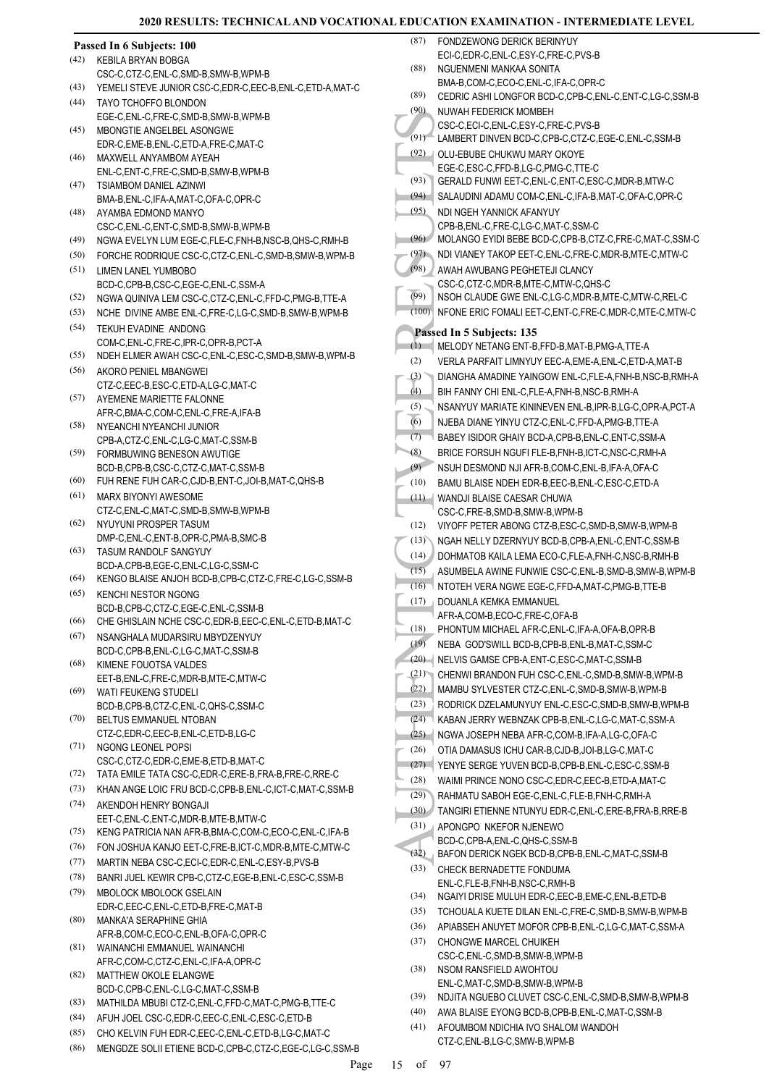|              | Passed In 6 Subjects: 100                                                                       |
|--------------|-------------------------------------------------------------------------------------------------|
| (42)         | <b>KEBILA BRYAN BOBGA</b>                                                                       |
|              | CSC-C,CTZ-C,ENL-C,SMD-B,SMW-B,WPM-B                                                             |
| (43)         | YEMELI STEVE JUNIOR CSC-C,EDR-C,EEC-B,ENL-C,ETD-A,MAT-C                                         |
| (44)         | TAYO TCHOFFO BLONDON                                                                            |
|              | EGE-C, ENL-C, FRE-C, SMD-B, SMW-B, WPM-B                                                        |
| (45)         | MBONGTIE ANGELBEL ASONGWE                                                                       |
| (46)         | EDR-C,EME-B,ENL-C,ETD-A,FRE-C,MAT-C<br>MAXWELL ANYAMBOM AYEAH                                   |
|              | ENL-C, ENT-C, FRE-C, SMD-B, SMW-B, WPM-B                                                        |
| (47)         | <b>TSIAMBOM DANIEL AZINWI</b>                                                                   |
|              | BMA-B, ENL-C, IFA-A, MAT-C, OFA-C, OPR-C                                                        |
| (48)         | AYAMBA EDMOND MANYO                                                                             |
|              | CSC-C, ENL-C, ENT-C, SMD-B, SMW-B, WPM-B                                                        |
| (49)         | NGWA EVELYN LUM EGE-C,FLE-C,FNH-B,NSC-B,QHS-C,RMH-B                                             |
| (50)         | FORCHE RODRIQUE CSC-C, CTZ-C, ENL-C, SMD-B, SMW-B, WPM-B                                        |
| (51)         | LIMEN LANEL YUMBOBO                                                                             |
|              | BCD-C.CPB-B.CSC-C.EGE-C.ENL-C.SSM-A                                                             |
| (52)         | NGWA QUINIVA LEM CSC-C,CTZ-C,ENL-C,FFD-C,PMG-B,TTE-A                                            |
| (53)         | NCHE DIVINE AMBE ENL-C, FRE-C, LG-C, SMD-B, SMW-B, WPM-B                                        |
| (54)         | <b>TEKUH EVADINE ANDONG</b>                                                                     |
| (55)         | COM-C,ENL-C,FRE-C,IPR-C,OPR-B,PCT-A<br>NDEH ELMER AWAH CSC-C, ENL-C, ESC-C, SMD-B, SMW-B, WPM-B |
| (56)         | AKORO PENIEL MBANGWEI                                                                           |
|              | CTZ-C,EEC-B,ESC-C,ETD-A,LG-C,MAT-C                                                              |
| (57)         | AYEMENE MARIETTE FALONNE                                                                        |
|              | AFR-C,BMA-C,COM-C,ENL-C,FRE-A,IFA-B                                                             |
| (58)         | NYEANCHI NYEANCHI JUNIOR                                                                        |
|              | CPB-A,CTZ-C,ENL-C,LG-C,MAT-C,SSM-B                                                              |
| (59)         | FORMBUWING BENESON AWUTIGE                                                                      |
|              | BCD-B,CPB-B,CSC-C,CTZ-C,MAT-C,SSM-B                                                             |
| (60)         | FUH RENE FUH CAR-C,CJD-B,ENT-C,JOI-B,MAT-C,QHS-B                                                |
| (61)         | <b>MARX BIYONYI AWESOME</b>                                                                     |
| (62)         | CTZ-C,ENL-C,MAT-C,SMD-B,SMW-B,WPM-B<br>NYUYUNI PROSPER TASUM                                    |
|              | DMP-C, ENL-C, ENT-B, OPR-C, PMA-B, SMC-B                                                        |
| (63)         | <b>TASUM RANDOLF SANGYUY</b>                                                                    |
|              | BCD-A,CPB-B,EGE-C,ENL-C,LG-C,SSM-C                                                              |
| (64)         | KENGO BLAISE ANJOH BCD-B,CPB-C,CTZ-C,FRE-C,LG-C,SSM-B                                           |
| (65)         | <b>KENCHI NESTOR NGONG</b>                                                                      |
|              | BCD-B,CPB-C,CTZ-C,EGE-C,ENL-C,SSM-B                                                             |
| (66)         | CHE GHISLAIN NCHE CSC-C, EDR-B, EEC-C, ENL-C, ETD-B, MAT-C                                      |
| (67)         | NSANGHALA MUDARSIRU MBYDZENYUY                                                                  |
| (68)         | BCD-C,CPB-B,ENL-C,LG-C,MAT-C,SSM-B<br>KIMENE FOUOTSA VALDES                                     |
|              | EET-B,ENL-C,FRE-C,MDR-B,MTE-C,MTW-C                                                             |
| (69)         | WATI FEUKENG STUDELI                                                                            |
|              | BCD-B,CPB-B,CTZ-C,ENL-C,QHS-C,SSM-C                                                             |
| (70)         | BELTUS EMMANUEL NTOBAN                                                                          |
|              | CTZ-C,EDR-C,EEC-B,ENL-C,ETD-B,LG-C                                                              |
| (71)         | <b>NGONG LEONEL POPSI</b>                                                                       |
|              | CSC-C,CTZ-C,EDR-C,EME-B,ETD-B,MAT-C<br>TATA EMILE TATA CSC-C, EDR-C, ERE-B, FRA-B, FRE-C, RRE-C |
| (72)<br>(73) | KHAN ANGE LOIC FRU BCD-C, CPB-B, ENL-C, ICT-C, MAT-C, SSM-B                                     |
| (74)         | AKENDOH HENRY BONGAJI                                                                           |
|              | EET-C, ENL-C, ENT-C, MDR-B, MTE-B, MTW-C                                                        |
| (75)         | KENG PATRICIA NAN AFR-B, BMA-C, COM-C, ECO-C, ENL-C, IFA-B                                      |
| (76)         | FON JOSHUA KANJO EET-C, FRE-B, ICT-C, MDR-B, MTE-C, MTW-C                                       |
| (77)         | MARTIN NEBA CSC-C, ECI-C, EDR-C, ENL-C, ESY-B, PVS-B                                            |
| (78)         | BANRI JUEL KEWIR CPB-C, CTZ-C, EGE-B, ENL-C, ESC-C, SSM-B                                       |
| (79)         | MBOLOCK MBOLOCK GSELAIN                                                                         |
|              | EDR-C,EEC-C,ENL-C,ETD-B,FRE-C,MAT-B                                                             |
| (80)         | MANKA'A SERAPHINE GHIA                                                                          |
|              | AFR-B,COM-C,ECO-C,ENL-B,OFA-C,OPR-C                                                             |
| (81)         | WAINANCHI EMMANUEL WAINANCHI                                                                    |
|              | AFR-C,COM-C,CTZ-C,ENL-C,IFA-A,OPR-C                                                             |
| (82)         | MATTHEW OKOLE ELANGWE                                                                           |
| (83)         | BCD-C,CPB-C,ENL-C,LG-C,MAT-C,SSM-B<br>MATHILDA MBUBI CTZ-C, ENL-C, FFD-C, MAT-C, PMG-B, TTE-C   |
| (84)         | AFUH JOEL CSC-C, EDR-C, EEC-C, ENL-C, ESC-C, ETD-B                                              |
| (85)         | CHO KELVIN FUH EDR-C, EEC-C, ENL-C, ETD-B, LG-C, MAT-C                                          |
|              |                                                                                                 |

(86) MENGDZE SOLII ETIENE BCD-C,CPB-C,CTZ-C,EGE-C,LG-C,SSM-B

| (87)         | FONDZEWONG DERICK BERINYUY                                                                                        |
|--------------|-------------------------------------------------------------------------------------------------------------------|
|              | ECI-C.EDR-C.ENL-C.ESY-C.FRE-C.PVS-B                                                                               |
| (88)         | NGUENMENI MANKAA SONITA<br>BMA-B.COM-C.ECO-C.ENL-C.IFA-C.OPR-C                                                    |
| (89)         | CEDRIC ASHI LONGFOR BCD-C,CPB-C,ENL-C,ENT-C,LG-C,SSM-B                                                            |
| (90)         | NUWAH FEDERICK MOMBEH                                                                                             |
|              | CSC-C.ECI-C.ENL-C.ESY-C.FRE-C.PVS-B                                                                               |
| (91)         | LAMBERT DINVEN BCD-C,CPB-C,CTZ-C,EGE-C,ENL-C,SSM-B                                                                |
| (92)         | OLU-EBUBE CHUKWU MARY OKOYE                                                                                       |
|              | EGE-C,ESC-C,FFD-B,LG-C,PMG-C,TTE-C                                                                                |
| (93)<br>(94) | GERALD FUNWI EET-C, ENL-C, ENT-C, ESC-C, MDR-B, MTW-C<br>SALAUDINI ADAMU COM-C, ENL-C, IFA-B, MAT-C, OFA-C, OPR-C |
| (95)         | NDI NGEH YANNICK AFANYUY                                                                                          |
|              | CPB-B.ENL-C.FRE-C.LG-C.MAT-C.SSM-C                                                                                |
| (96)         | MOLANGO EYIDI BEBE BCD-C,CPB-B,CTZ-C,FRE-C,MAT-C,SSM-C                                                            |
| (97)         | NDI VIANEY TAKOP EET-C, ENL-C, FRE-C, MDR-B, MTE-C, MTW-C                                                         |
| (98)         | AWAH AWUBANG PEGHETEJI CLANCY                                                                                     |
|              | CSC-C.CTZ-C.MDR-B.MTE-C.MTW-C.QHS-C                                                                               |
| (99)         | NSOH CLAUDE GWE ENL-C,LG-C,MDR-B,MTE-C,MTW-C,REL-C                                                                |
| (100)        | NFONE ERIC FOMALI EET-C, ENT-C, FRE-C, MDR-C, MTE-C, MTW-C                                                        |
|              | Passed In 5 Subjects: 135                                                                                         |
| (1)          | MELODY NETANG ENT-B,FFD-B,MAT-B,PMG-A,TTE-A                                                                       |
| (2)          | VERLA PARFAIT LIMNYUY EEC-A, EME-A, ENL-C, ETD-A, MAT-B                                                           |
| (3)<br>(4)   | DIANGHA AMADINE YAINGOW ENL-C, FLE-A, FNH-B, NSC-B, RMH-A<br>BIH FANNY CHI ENL-C,FLE-A,FNH-B,NSC-B,RMH-A          |
| (5)          | NSANYUY MARIATE KININEVEN ENL-B, IPR-B, LG-C, OPR-A, PCT-A                                                        |
| (6)          | NJEBA DIANE YINYU CTZ-C, ENL-C, FFD-A, PMG-B, TTE-A                                                               |
| (7)          | BABEY ISIDOR GHAIY BCD-A,CPB-B,ENL-C,ENT-C,SSM-A                                                                  |
| (8)          | BRICE FORSUH NGUFI FLE-B.FNH-B.ICT-C.NSC-C.RMH-A                                                                  |
| (9)          | NSUH DESMOND NJI AFR-B,COM-C,ENL-B,IFA-A,OFA-C                                                                    |
| (10)         | BAMU BLAISE NDEH EDR-B,EEC-B,ENL-C,ESC-C,ETD-A                                                                    |
| (11)         | WANDJI BLAISE CAESAR CHUWA                                                                                        |
|              | CSC-C,FRE-B,SMD-B,SMW-B,WPM-B                                                                                     |
| (12)<br>(13) | VIYOFF PETER ABONG CTZ-B,ESC-C,SMD-B,SMW-B,WPM-B<br>NGAH NELLY DZERNYUY BCD-B,CPB-A,ENL-C,ENT-C,SSM-B             |
| (14)         | DOHMATOB KAILA LEMA ECO-C,FLE-A,FNH-C,NSC-B,RMH-B                                                                 |
| (15)         | ASUMBELA AWINE FUNWIE CSC-C, ENL-B, SMD-B, SMW-B, WPM-B                                                           |
| (16)         | NTOTEH VERA NGWE EGE-C, FFD-A, MAT-C, PMG-B, TTE-B                                                                |
| (17)         | DOUANLA KEMKA EMMANUEL                                                                                            |
|              | AFR-A,COM-B,ECO-C,FRE-C,OFA-B                                                                                     |
| (18)         | PHONTUM MICHAEL AFR-C, ENL-C, IFA-A, OFA-B, OPR-B                                                                 |
| (19)         | NEBA GOD'SWILL BCD-B,CPB-B,ENL-B,MAT-C,SSM-C                                                                      |
| (20)<br>(21) | NELVIS GAMSE CPB-A, ENT-C, ESC-C, MAT-C, SSM-B<br>CHENWI BRANDON FUH CSC-C, ENL-C, SMD-B, SMW-B, WPM-B            |
| (22)         | MAMBU SYLVESTER CTZ-C,ENL-C,SMD-B,SMW-B,WPM-B                                                                     |
| (23)         | RODRICK DZELAMUNYUY ENL-C, ESC-C, SMD-B, SMW-B, WPM-B                                                             |
| (24)         | KABAN JERRY WEBNZAK CPB-B, ENL-C, LG-C, MAT-C, SSM-A                                                              |
| (25)         | NGWA JOSEPH NEBA AFR-C,COM-B, IFA-A, LG-C, OFA-C                                                                  |
| (26)         | OTIA DAMASUS ICHU CAR-B,CJD-B,JOI-B,LG-C,MAT-C                                                                    |
| (27)         | YENYE SERGE YUVEN BCD-B,CPB-B,ENL-C,ESC-C,SSM-B                                                                   |
| (28)         | WAIMI PRINCE NONO CSC-C, EDR-C, EEC-B, ETD-A, MAT-C                                                               |
| (29)         | RAHMATU SABOH EGE-C, ENL-C, FLE-B, FNH-C, RMH-A                                                                   |
| (30)         | TANGIRI ETIENNE NTUNYU EDR-C, ENL-C, ERE-B, FRA-B, RRE-B                                                          |
| (31)         | APONGPO NKEFOR NJENEWO<br>BCD-C,CPB-A,ENL-C,QHS-C,SSM-B                                                           |
| (32)         | BAFON DERICK NGEK BCD-B,CPB-B,ENL-C,MAT-C,SSM-B                                                                   |
| (33)         | CHECK BERNADETTE FONDUMA                                                                                          |
|              | ENL-C, FLE-B, FNH-B, NSC-C, RMH-B                                                                                 |
| (34)         | NGAIYI DRISE MULUH EDR-C, EEC-B, EME-C, ENL-B, ETD-B                                                              |
| (35)         | TCHOUALA KUETE DILAN ENL-C, FRE-C, SMD-B, SMW-B, WPM-B                                                            |
| (36)         | APIABSEH ANUYET MOFOR CPB-B, ENL-C, LG-C, MAT-C, SSM-A                                                            |
| (37)         | <b>CHONGWE MARCEL CHUIKEH</b><br>CSC-C.ENL-C.SMD-B.SMW-B.WPM-B                                                    |
| (38)         | NSOM RANSFIELD AWOHTOU                                                                                            |
|              | ENL-C, MAT-C, SMD-B, SMW-B, WPM-B                                                                                 |
| (39)         | NDJITA NGUEBO CLUVET CSC-C, ENL-C, SMD-B, SMW-B, WPM-B                                                            |
| (40)         | AWA BLAISE EYONG BCD-B,CPB-B,ENL-C,MAT-C,SSM-B                                                                    |
| (41)         | AFOUMBOM NDICHIA IVO SHALOM WANDOH                                                                                |

CTZ-C,ENL-B,LG-C,SMW-B,WPM-B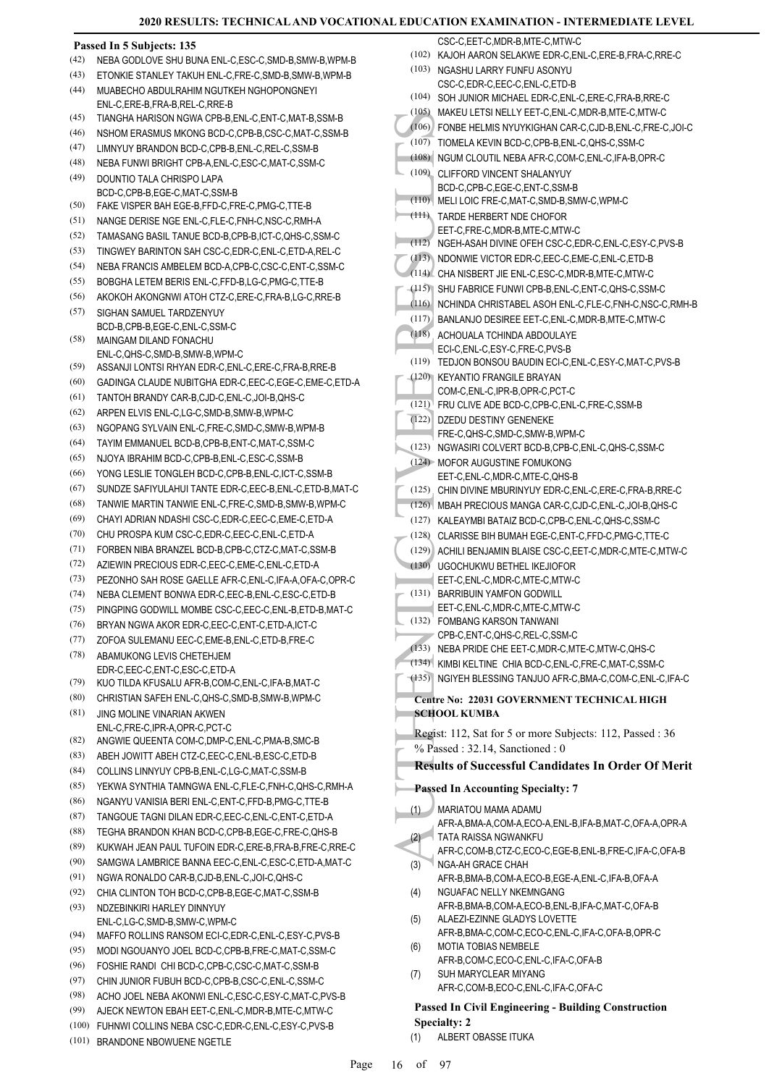#### (105) MARED FOR (107) TOME<br>
(106) FONBE<br>
(107) TOME (107) TOME (108) NGUM (109) CLIFFC BCD-C,<br>
(110) MELILL(<br>
(111) TARDE EET-C,<br>
(112) NGEH-V<br>
(114) CHA NI CHA NI (115) SHU FA NI (115) SHU FA NI (117) BANLAI (117) BANLAI **Passed In 5 Subjects: 135** (42) NEBA GODLOVE SHU BUNA ENL-C,ESC-C,SMD-B,SMW-B,WPM-B (43) ETONKIE STANLEY TAKUH ENL-C,FRE-C,SMD-B,SMW-B,WPM-B MUABECHO ABDULRAHIM NGUTKEH NGHOPONGNEYI ENL-C,ERE-B,FRA-B,REL-C,RRE-B (44) (45) TIANGHA HARISON NGWA CPB-B,ENL-C,ENT-C,MAT-B,SSM-B (46) NSHOM ERASMUS MKONG BCD-C,CPB-B,CSC-C,MAT-C,SSM-B (47) LIMNYUY BRANDON BCD-C,CPB-B,ENL-C,REL-C,SSM-B (48) NEBA FUNWI BRIGHT CPB-A,ENL-C,ESC-C,MAT-C,SSM-C DOUNTIO TALA CHRISPO LAPA BCD-C,CPB-B,EGE-C,MAT-C,SSM-B (49) (50) FAKE VISPER BAH EGE-B,FFD-C,FRE-C,PMG-C,TTE-B (51) NANGE DERISE NGE ENL-C,FLE-C,FNH-C,NSC-C,RMH-A (52) TAMASANG BASIL TANUE BCD-B,CPB-B,ICT-C,QHS-C,SSM-C (53) TINGWEY BARINTON SAH CSC-C,EDR-C,ENL-C,ETD-A,REL-C (54) NEBA FRANCIS AMBELEM BCD-A,CPB-C,CSC-C,ENT-C,SSM-C (55) BOBGHA LETEM BERIS ENL-C,FFD-B,LG-C,PMG-C,TTE-B (56) AKOKOH AKONGNWI ATOH CTZ-C,ERE-C,FRA-B,LG-C,RRE-B SIGHAN SAMUEL TARDZENYUY BCD-B,CPB-B,EGE-C,ENL-C,SSM-C (57) MAINGAM DILAND FONACHU ENL-C,QHS-C,SMD-B,SMW-B,WPM-C (58) (59) ASSANJI LONTSI RHYAN EDR-C,ENL-C,ERE-C,FRA-B,RRE-B (60) GADINGA CLAUDE NUBITGHA EDR-C,EEC-C,EGE-C,EME-C,ETD-A (61) TANTOH BRANDY CAR-B,CJD-C,ENL-C,JOI-B,QHS-C (62) ARPEN ELVIS ENL-C,LG-C,SMD-B,SMW-B,WPM-C (63) NGOPANG SYLVAIN ENL-C,FRE-C,SMD-C,SMW-B,WPM-B (64) TAYIM EMMANUEL BCD-B,CPB-B,ENT-C,MAT-C,SSM-C (65) NJOYA IBRAHIM BCD-C,CPB-B,ENL-C,ESC-C,SSM-B (66) YONG LESLIE TONGLEH BCD-C,CPB-B,ENL-C,ICT-C,SSM-B (67) SUNDZE SAFIYULAHUI TANTE EDR-C,EEC-B,ENL-C,ETD-B,MAT-C (68) TANWIE MARTIN TANWIE ENL-C,FRE-C,SMD-B,SMW-B,WPM-C (69) CHAYI ADRIAN NDASHI CSC-C,EDR-C,EEC-C,EME-C,ETD-A (70) CHU PROSPA KUM CSC-C,EDR-C,EEC-C,ENL-C,ETD-A (71) FORBEN NIBA BRANZEL BCD-B,CPB-C,CTZ-C,MAT-C,SSM-B (72) AZIEWIN PRECIOUS EDR-C,EEC-C,EME-C,ENL-C,ETD-A (73) PEZONHO SAH ROSE GAELLE AFR-C,ENL-C,IFA-A,OFA-C,OPR-C (74) NEBA CLEMENT BONWA EDR-C, EEC-B, ENL-C, ESC-C, ETD-B (75) PINGPING GODWILL MOMBE CSC-C,EEC-C,ENL-B,ETD-B,MAT-C (76) BRYAN NGWA AKOR EDR-C,EEC-C,ENT-C,ETD-A,ICT-C (77) ZOFOA SULEMANU EEC-C,EME-B,ENL-C,ETD-B,FRE-C ABAMUKONG LEVIS CHETEHJEM EDR-C,EEC-C,ENT-C,ESC-C,ETD-A (78) (79) KUO TILDA KFUSALU AFR-B,COM-C,ENL-C,IFA-B,MAT-C (80) CHRISTIAN SAFEH ENL-C,QHS-C,SMD-B,SMW-B,WPM-C JING MOLINE VINARIAN AKWEN ENL-C,FRE-C,IPR-A,OPR-C,PCT-C (81) (82) ANGWIE QUEENTA COM-C,DMP-C,ENL-C,PMA-B,SMC-B (83) ABEH JOWITT ABEH CTZ-C,EEC-C,ENL-B,ESC-C,ETD-B (84) COLLINS LINNYUY CPB-B,ENL-C,LG-C,MAT-C,SSM-B (85) YEKWA SYNTHIA TAMNGWA ENL-C,FLE-C,FNH-C,QHS-C,RMH-A (86) NGANYU VANISIA BERI ENL-C,ENT-C,FFD-B,PMG-C,TTE-B (87) TANGOUE TAGNI DILAN EDR-C,EEC-C,ENL-C,ENT-C,ETD-A (88) TEGHA BRANDON KHAN BCD-C,CPB-B,EGE-C,FRE-C,QHS-B (89) KUKWAH JEAN PAUL TUFOIN EDR-C,ERE-B,FRA-B,FRE-C,RRE-C (90) SAMGWA LAMBRICE BANNA EEC-C,ENL-C,ESC-C,ETD-A,MAT-C (91) NGWA RONALDO CAR-B,CJD-B,ENL-C,JOI-C,QHS-C (92) CHIA CLINTON TOH BCD-C,CPB-B,EGE-C,MAT-C,SSM-B NDZEBINKIRI HARLEY DINNYUY ENL-C,LG-C,SMD-B,SMW-C,WPM-C (93) (94) MAFFO ROLLINS RANSOM ECI-C,EDR-C,ENL-C,ESY-C,PVS-B (95) MODI NGOUANYO JOEL BCD-C,CPB-B,FRE-C,MAT-C,SSM-C (96) FOSHIE RANDI CHI BCD-C,CPB-C,CSC-C,MAT-C,SSM-B (97) CHIN JUNIOR FUBUH BCD-C,CPB-B,CSC-C,ENL-C,SSM-C (98) ACHO JOEL NEBA AKONWI ENL-C,ESC-C,ESY-C,MAT-C,PVS-B (99) AJECK NEWTON EBAH EET-C,ENL-C,MDR-B,MTE-C,MTW-C CSC-C, EET-C, MDR-B, MTE-C, MTW-C (102) KAJOH AARON SELAKWE EDR-C,ENL-C,ERE-B,FRA-C,RRE-C (103) NGASHU LARRY FUNFU ASONYU CSC-C,EDR-C,EEC-C,ENL-C,ETD-B (104) SOH JUNIOR MICHAEL EDR-C,ENL-C,ERE-C,FRA-B,RRE-C (105) MAKEU LETSI NELLY EET-C,ENL-C,MDR-B,MTE-C,MTW-C (106) FONBE HELMIS NYUYKIGHAN CAR-C,CJD-B,ENL-C,FRE-C,JOI-C (107) TIOMELA KEVIN BCD-C,CPB-B,ENL-C,QHS-C,SSM-C (108) NGUM CLOUTIL NEBA AFR-C,COM-C,ENL-C,IFA-B,OPR-C CLIFFORD VINCENT SHALANYUY BCD-C,CPB-C,EGE-C,ENT-C,SSM-B (109) (110) MELI LOIC FRE-C,MAT-C,SMD-B,SMW-C,WPM-C TARDE HERBERT NDE CHOFOR EET-C,FRE-C,MDR-B,MTE-C,MTW-C (111) (112) NGEH-ASAH DIVINE OFEH CSC-C,EDR-C,ENL-C,ESY-C,PVS-B (113) NDONWIE VICTOR EDR-C,EEC-C,EME-C,ENL-C,ETD-B (114) CHA NISBERT JIE ENL-C,ESC-C,MDR-B,MTE-C,MTW-C (115) SHU FABRICE FUNWI CPB-B,ENL-C,ENT-C,QHS-C,SSM-C (116) NCHINDA CHRISTABEL ASOH ENL-C,FLE-C,FNH-C,NSC-C,RMH-B (117) BANLANJO DESIREE EET-C,ENL-C,MDR-B,MTE-C,MTW-C ACHOUALA TCHINDA ABDOULAYE (118) ECI-C,ENL-C,ESY-C,FRE-C,PVS-B (119) TEDJON BONSOU BAUDIN ECI-C,ENL-C,ESY-C,MAT-C,PVS-B KEYANTIO FRANGILE BRAYAN (120) COM-C,ENL-C,IPR-B,OPR-C,PCT-C (121) FRU CLIVE ADE BCD-C,CPB-C,ENL-C,FRE-C,SSM-B DZEDU DESTINY GENENEKE FRE-C,QHS-C,SMD-C,SMW-B,WPM-C (122) (123) NGWASIRI COLVERT BCD-B,CPB-C,ENL-C,QHS-C,SSM-C (124) MOFOR AUGUSTINE FOMUKONG EET-C,ENL-C,MDR-C,MTE-C,QHS-B (125) CHIN DIVINE MBURINYUY EDR-C,ENL-C,ERE-C,FRA-B,RRE-C (126) MBAH PRECIOUS MANGA CAR-C,CJD-C,ENL-C,JOI-B,QHS-C (127) KALEAYMBI BATAIZ BCD-C,CPB-C,ENL-C,QHS-C,SSM-C (128) CLARISSE BIH BUMAH EGE-C,ENT-C,FFD-C,PMG-C,TTE-C (129) ACHILI BENJAMIN BLAISE CSC-C,EET-C,MDR-C,MTE-C,MTW-C UGOCHUKWU BETHEL IKEJIOFOR (130) EET-C,ENL-C,MDR-C,MTE-C,MTW-C (131) BARRIBUIN YAMFON GODWILL EET-C,ENL-C,MDR-C,MTE-C,MTW-C FOMBANG KARSON TANWANI (132) CPB-C,ENT-C,QHS-C,REL-C,SSM-C (133) NEBA PRIDE CHE EET-C,MDR-C,MTE-C,MTW-C,QHS-C (134) KIMBI KELTINE CHIA BCD-C,ENL-C,FRE-C,MAT-C,SSM-C (135) NGIYEH BLESSING TANJUO AFR-C,BMA-C,COM-C,ENL-C,IFA-C **Centre No: 22031 GOVERNMENT TECHNICAL HIGH SCHOOL KUMBA**  Regist: 112, Sat for 5 or more Subjects: 112, Passed : 36 % Passed : 32.14, Sanctioned : 0 **Results of Successful Candidates In Order Of Merit Passed In Accounting Specialty: 7** MARIATOU MAMA ADAMU AFR-A,BMA-A,COM-A,ECO-A,ENL-B,IFA-B,MAT-C,OFA-A,OPR-A (1) TATA RAISSA NGWANKFU AFR-C,COM-B,CTZ-C,ECO-C,EGE-B,ENL-B,FRE-C,IFA-C,OFA-B (2) NGA-AH GRACE CHAH AFR-B,BMA-B,COM-A,ECO-B,EGE-A,ENL-C,IFA-B,OFA-A (3) NGUAFAC NELLY NKEMNGANG AFR-B,BMA-B,COM-A,ECO-B,ENL-B,IFA-C,MAT-C,OFA-B (4) ALAEZI-EZINNE GLADYS LOVETTE AFR-B,BMA-C,COM-C,ECO-C,ENL-C,IFA-C,OFA-B,OPR-C (5) MOTIA TOBIAS NEMBELE AFR-B,COM-C,ECO-C,ENL-C,IFA-C,OFA-B (6) SUH MARYCLEAR MIYANG AFR-C,COM-B,ECO-C,ENL-C,IFA-C,OFA-C (7) **Passed In Civil Engineering - Building Construction**

(100) FUHNWI COLLINS NEBA CSC-C,EDR-C,ENL-C,ESY-C,PVS-B

(101) BRANDONE NBOWUENE NGETLE

**Specialty: 2** (1) ALBERT OBASSE ITUKA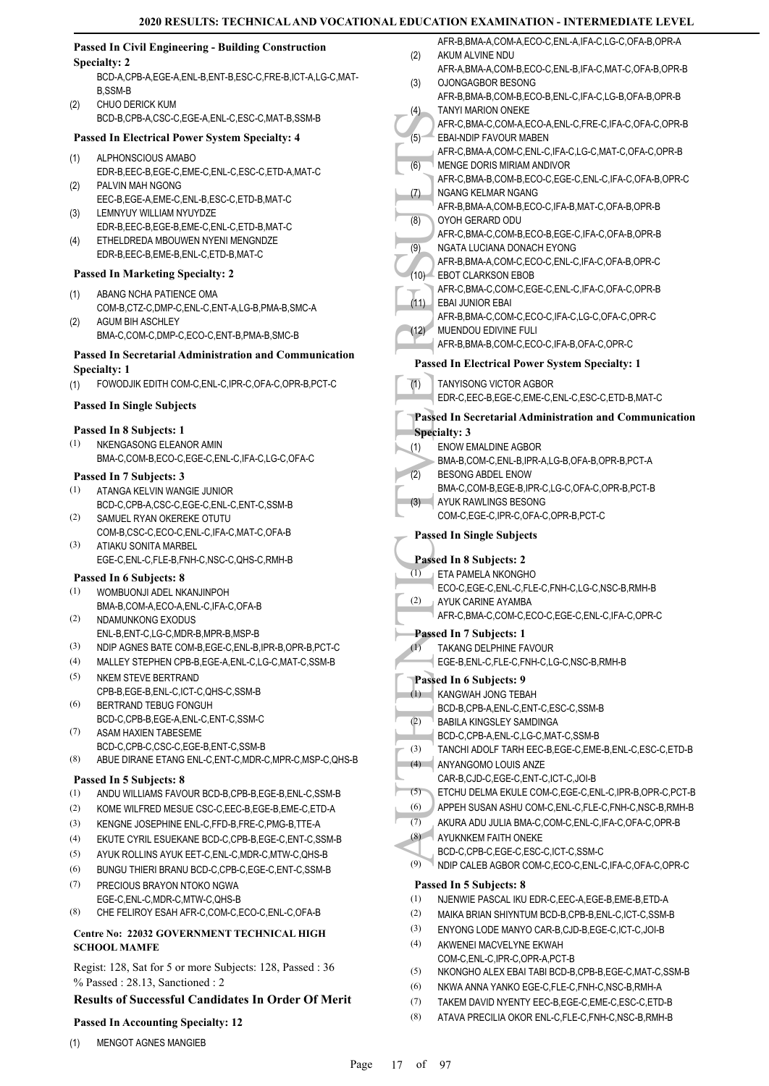(2)

(1)

(2)

(3)

(4)

(1)

(2)

(1)

(1)

(2)

(3)

(1)

(2)

(5)

(6)

(7)

(7)

(1) MENGOT AGNES MANGIEB

|     | <b>Passed In Civil Engineering - Building Construction</b>   |                  | AFR-B,BMA-A,COM-A,ECO-C,ENL-A,IFA-C,LG-C,OFA-B,OPR-A                                        |
|-----|--------------------------------------------------------------|------------------|---------------------------------------------------------------------------------------------|
|     | <b>Specialty: 2</b>                                          | (2)              | AKUM ALVINE NDU                                                                             |
|     | BCD-A,CPB-A,EGE-A,ENL-B,ENT-B,ESC-C,FRE-B,ICT-A,LG-C,MAT-    |                  | AFR-A, BMA-A, COM-B, ECO-C, ENL-B, IFA-C, MAT-C, OFA-B, OPR-B                               |
|     | <b>B,SSM-B</b>                                               | (3)              | OJONGAGBOR BESONG                                                                           |
| (2) | CHUO DERICK KUM                                              |                  | AFR-B, BMA-B, COM-B, ECO-B, ENL-C, IFA-C, LG-B, OFA-B, OPR-B<br><b>TANYI MARION ONEKE</b>   |
|     | BCD-B,CPB-A,CSC-C,EGE-A,ENL-C,ESC-C,MAT-B,SSM-B              | (4)              | AFR-C, BMA-C, COM-A, ECO-A, ENL-C, FRE-C, IFA-C, OFA-C, OPR-B                               |
|     | Passed In Electrical Power System Specialty: 4               | $(5)^{-}$        | EBAI-NDIP FAVOUR MABEN                                                                      |
| (1) | ALPHONSCIOUS AMABO                                           |                  | AFR-C, BMA-A, COM-C, ENL-C, IFA-C, LG-C, MAT-C, OFA-C, OPR-B                                |
|     | EDR-B,EEC-B,EGE-C,EME-C,ENL-C,ESC-C,ETD-A,MAT-C              | (6)              | MENGE DORIS MIRIAM ANDIVOR                                                                  |
| (2) | PALVIN MAH NGONG                                             |                  | AFR-C, BMA-B, COM-B, ECO-C, EGE-C, ENL-C, IFA-C, OFA-B, OPR-C                               |
|     | EEC-B,EGE-A,EME-C,ENL-B,ESC-C,ETD-B,MAT-C                    | (7)              | NGANG KELMAR NGANG<br>AFR-B, BMA-A, COM-B, ECO-C, IFA-B, MAT-C, OFA-B, OPR-B                |
| (3) | LEMNYUY WILLIAM NYUYDZE                                      | (8)              | OYOH GERARD ODU                                                                             |
|     | EDR-B,EEC-B,EGE-B,EME-C,ENL-C,ETD-B,MAT-C                    |                  | AFR-C, BMA-C, COM-B, ECO-B, EGE-C, IFA-C, OFA-B, OPR-B                                      |
| (4) | ETHELDREDA MBOUWEN NYENI MENGNDZE                            | (9)              | NGATA LUCIANA DONACH EYONG                                                                  |
|     | EDR-B,EEC-B,EME-B,ENL-C,ETD-B,MAT-C                          |                  | AFR-B, BMA-A, COM-C, ECO-C, ENL-C, IFA-C, OFA-B, OPR-C                                      |
|     | <b>Passed In Marketing Specialty: 2</b>                      |                  | (10) EBOT CLARKSON EBOB                                                                     |
| (1) | ABANG NCHA PATIENCE OMA                                      |                  | AFR-C,BMA-C,COM-C,EGE-C,ENL-C,IFA-C,OFA-C,OPR-B                                             |
|     | COM-B,CTZ-C,DMP-C,ENL-C,ENT-A,LG-B,PMA-B,SMC-A               |                  | (11) EBAI JUNIOR EBAI                                                                       |
| (2) | <b>AGUM BIH ASCHLEY</b>                                      |                  | AFR-B, BMA-C, COM-C, ECO-C, IFA-C, LG-C, OFA-C, OPR-C                                       |
|     | BMA-C,COM-C,DMP-C,ECO-C,ENT-B,PMA-B,SMC-B                    | (12)             | MUENDOU EDIVINE FULI                                                                        |
|     | Passed In Secretarial Administration and Communication       |                  | AFR-B, BMA-B, COM-C, ECO-C, IFA-B, OFA-C, OPR-C                                             |
|     | <b>Specialty: 1</b>                                          |                  | Passed In Electrical Power System Specialty: 1                                              |
| (1) | FOWODJIK EDITH COM-C, ENL-C, IPR-C, OFA-C, OPR-B, PCT-C      | $\overline{(1)}$ | TANYISONG VICTOR AGBOR                                                                      |
|     |                                                              |                  | EDR-C,EEC-B,EGE-C,EME-C,ENL-C,ESC-C,ETD-B,MAT-C                                             |
|     | <b>Passed In Single Subjects</b>                             |                  | <b>Passed In Secretarial Administration and Communication</b>                               |
|     | Passed In 8 Subjects: 1                                      |                  | <b>Specialty: 3</b>                                                                         |
| (1) | NKENGASONG ELEANOR AMIN                                      | (1)              | <b>ENOW EMALDINE AGBOR</b>                                                                  |
|     | BMA-C,COM-B,ECO-C,EGE-C,ENL-C,IFA-C,LG-C,OFA-C               |                  | BMA-B,COM-C,ENL-B,IPR-A,LG-B,OFA-B,OPR-B,PCT-A                                              |
|     | Passed In 7 Subjects: 3                                      | (2)              | BESONG ABDEL ENOW                                                                           |
| (1) | ATANGA KELVIN WANGIE JUNIOR                                  |                  | BMA-C,COM-B,EGE-B,IPR-C,LG-C,OFA-C,OPR-B,PCT-B                                              |
|     | BCD-C,CPB-A,CSC-C,EGE-C,ENL-C,ENT-C,SSM-B                    |                  | (3) AYUK RAWLINGS BESONG                                                                    |
| (2) | SAMUEL RYAN OKEREKE OTUTU                                    |                  | COM-C,EGE-C,IPR-C,OFA-C,OPR-B,PCT-C                                                         |
|     | COM-B,CSC-C,ECO-C,ENL-C,IFA-C,MAT-C,OFA-B                    |                  | <b>Passed In Single Subjects</b>                                                            |
| (3) | ATIAKU SONITA MARBEL                                         |                  |                                                                                             |
|     | EGE-C,ENL-C,FLE-B,FNH-C,NSC-C,QHS-C,RMH-B                    |                  | Passed In 8 Subjects: 2                                                                     |
|     | Passed In 6 Subjects: 8                                      | (1)              | ETA PAMELA NKONGHO<br>ECO-C,EGE-C,ENL-C,FLE-C,FNH-C,LG-C,NSC-B,RMH-B                        |
| (1) | WOMBUONJI ADEL NKANJINPOH                                    | (2)              | AYUK CARINE AYAMBA                                                                          |
| (2) | BMA-B,COM-A,ECO-A,ENL-C,IFA-C,OFA-B                          |                  | 』AFR-C,BMA-C,COM-C,ECO-C,EGE-C,ENL-C,IFA-C,OPR-C                                            |
|     | NDAMUNKONG EXODUS<br>ENL-B, ENT-C, LG-C, MDR-B, MPR-B, MSP-B |                  | Passed In 7 Subjects: 1                                                                     |
| (3) | NDIP AGNES BATE COM-B, EGE-C, ENL-B, IPR-B, OPR-B, PCT-C     | (1)              | TAKANG DELPHINE FAVOUR                                                                      |
| (4) | MALLEY STEPHEN CPB-B,EGE-A,ENL-C,LG-C,MAT-C,SSM-B            |                  | EGE-B,ENL-C,FLE-C,FNH-C,LG-C,NSC-B,RMH-B                                                    |
| (5) | NKEM STEVE BERTRAND                                          |                  | Passed In 6 Subjects: 9                                                                     |
|     | CPB-B,EGE-B,ENL-C,ICT-C,QHS-C,SSM-B                          | (1)              | KANGWAH JONG TEBAH                                                                          |
| (6) | BERTRAND TEBUG FONGUH                                        |                  | BCD-B,CPB-A,ENL-C,ENT-C,ESC-C,SSM-B                                                         |
|     | BCD-C.CPB-B.EGE-A.ENL-C.ENT-C.SSM-C                          | (2)              | BABILA KINGSLEY SAMDINGA                                                                    |
| (7) | ASAM HAXIEN TABESEME                                         |                  | BCD-C,CPB-A,ENL-C,LG-C,MAT-C,SSM-B                                                          |
|     | BCD-C,CPB-C,CSC-C,EGE-B,ENT-C,SSM-B                          | (3)              | TANCHI ADOLF TARH EEC-B,EGE-C,EME-B,ENL-C,ESC-C,ETD-B                                       |
| (8) | ABUE DIRANE ETANG ENL-C, ENT-C, MDR-C, MPR-C, MSP-C, QHS-B   | (4)              | ANYANGOMO LOUIS ANZE                                                                        |
|     | Passed In 5 Subjects: 8                                      |                  | CAR-B,CJD-C,EGE-C,ENT-C,ICT-C,JOI-B                                                         |
| (1) | ANDU WILLIAMS FAVOUR BCD-B,CPB-B,EGE-B,ENL-C,SSM-B           | (5)              | ETCHU DELMA EKULE COM-C,EGE-C,ENL-C,IPR-B,OPR-C,PCT-B                                       |
| (2) | KOME WILFRED MESUE CSC-C, EEC-B, EGE-B, EME-C, ETD-A         | (6)              | APPEH SUSAN ASHU COM-C, ENL-C, FLE-C, FNH-C, NSC-B, RMH-B                                   |
| (3) | KENGNE JOSEPHINE ENL-C, FFD-B, FRE-C, PMG-B, TTE-A           | (7)              | AKURA ADU JULIA BMA-C,COM-C,ENL-C,IFA-C,OFA-C,OPR-B                                         |
| (4) | EKUTE CYRIL ESUEKANE BCD-C,CPB-B,EGE-C,ENT-C,SSM-B           | (8)              | AYUKNKEM FAITH ONEKE                                                                        |
| (5) | AYUK ROLLINS AYUK EET-C, ENL-C, MDR-C, MTW-C, QHS-B          | (9)              | BCD-C,CPB-C,EGE-C,ESC-C,ICT-C,SSM-C<br>NDIP CALEB AGBOR COM-C,ECO-C,ENL-C,IFA-C,OFA-C,OPR-C |
| (6) | BUNGU THIERI BRANU BCD-C,CPB-C,EGE-C,ENT-C,SSM-B             |                  |                                                                                             |
| (7) | PRECIOUS BRAYON NTOKO NGWA                                   |                  | Passed In 5 Subjects: 8                                                                     |
|     | EGE-C, ENL-C, MDR-C, MTW-C, QHS-B                            | (1)              | NJENWIE PASCAL IKU EDR-C, EEC-A, EGE-B, EME-B, ETD-A                                        |
| (8) | CHE FELIROY ESAH AFR-C,COM-C,ECO-C,ENL-C,OFA-B               | (2)              | MAIKA BRIAN SHIYNTUM BCD-B,CPB-B,ENL-C,ICT-C,SSM-B                                          |
|     | Centre No: 22032 GOVERNMENT TECHNICAL HIGH                   | (3)              | ENYONG LODE MANYO CAR-B,CJD-B,EGE-C,ICT-C,JOI-B                                             |
|     | <b>SCHOOL MAMFE</b>                                          | (4)              | AKWENEI MACVELYNE EKWAH                                                                     |
|     | Regist: 128, Sat for 5 or more Subjects: 128, Passed: 36     | (5)              | COM-C, ENL-C, IPR-C, OPR-A, PCT-B<br>NKONGHO ALEX EBAI TABI BCD-B,CPB-B,EGE-C,MAT-C,SSM-B   |
|     | % Passed: 28.13, Sanctioned: 2                               | (6)              | NKWA ANNA YANKO EGE-C,FLE-C,FNH-C,NSC-B,RMH-A                                               |
|     | <b>Results of Successful Candidates In Order Of Merit</b>    | (7)              | TAKEM DAVID NYENTY EEC-B,EGE-C,EME-C,ESC-C,ETD-B                                            |
|     |                                                              | (8)              | ATAVA PRECILIA OKOR ENL-C, FLE-C, FNH-C, NSC-B, RMH-B                                       |
|     | <b>Passed In Accounting Specialty: 12</b>                    |                  |                                                                                             |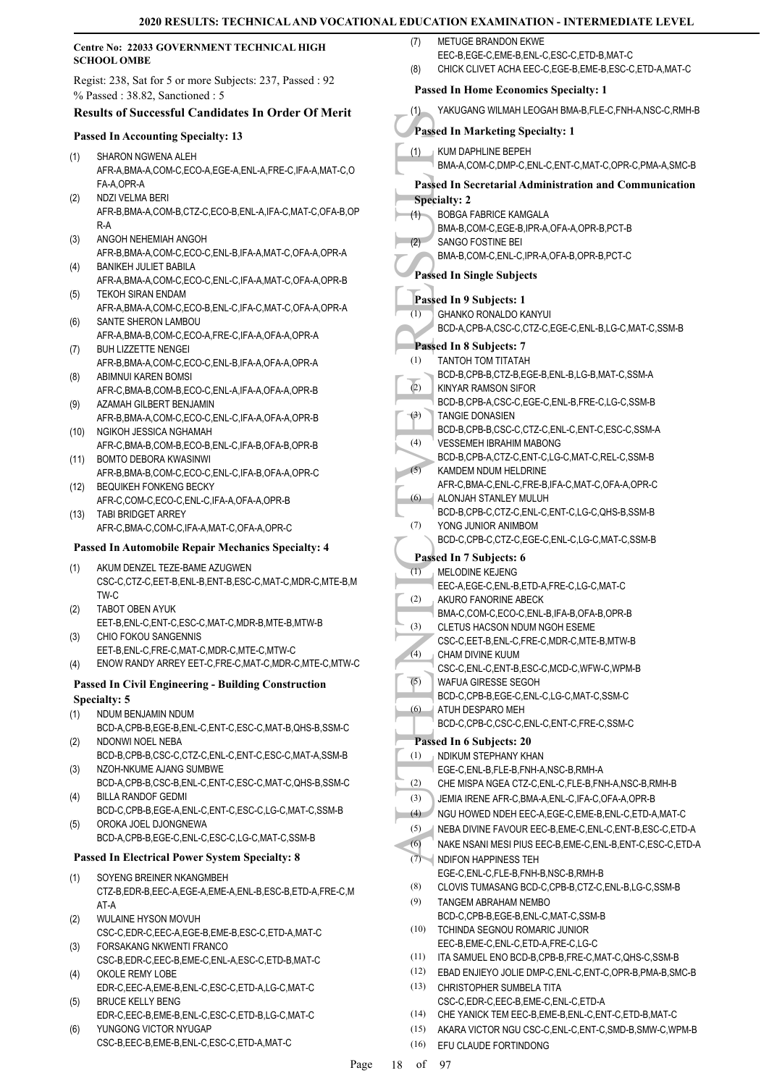#### **Centre No: 22033 GOVERNMENT TECHNICAL HIGH SCHOOL OMBE**

Regist: 238, Sat for 5 or more Subjects: 237, Passed : 92 % Passed : 38.82, Sanctioned : 5

### **Results of Successful Candidates In Order Of Merit**

### **Passed In Accounting Specialty: 13**

- SHARON NGWENA ALEH AFR-A,BMA-A,COM-C,ECO-A,EGE-A,ENL-A,FRE-C,IFA-A,MAT-C,O FA-A,OPR-A (1)
- NDZI VELMA BERI AFR-B,BMA-A,COM-B,CTZ-C,ECO-B,ENL-A,IFA-C,MAT-C,OFA-B,OP R-A (2)
- ANGOH NEHEMIAH ANGOH AFR-B,BMA-A,COM-C,ECO-C,ENL-B,IFA-A,MAT-C,OFA-A,OPR-A (3)
- BANIKEH JULIET BABILA AFR-A,BMA-A,COM-C,ECO-C,ENL-C,IFA-A,MAT-C,OFA-A,OPR-B (4)
- TEKOH SIRAN ENDAM AFR-A,BMA-A,COM-C,ECO-B,ENL-C,IFA-C,MAT-C,OFA-A,OPR-A (5) SANTE SHERON LAMBOU (6)
- AFR-A,BMA-B,COM-C,ECO-A,FRE-C,IFA-A,OFA-A,OPR-A BUH LIZZETTE NENGEI (7)
- AFR-B,BMA-A,COM-C,ECO-C,ENL-B,IFA-A,OFA-A,OPR-A ABIMNUI KAREN BOMSI (8)
- AFR-C,BMA-B,COM-B,ECO-C,ENL-A,IFA-A,OFA-A,OPR-B AZAMAH GILBERT BENJAMIN (9)
- AFR-B,BMA-A,COM-C,ECO-C,ENL-C,IFA-A,OFA-A,OPR-B (10) NGIKOH JESSICA NGHAMAH
- AFR-C,BMA-B,COM-B,ECO-B,ENL-C,IFA-B,OFA-B,OPR-B BOMTO DEBORA KWASINWI (11)
- AFR-B,BMA-B,COM-C,ECO-C,ENL-C,IFA-B,OFA-A,OPR-C BEQUIKEH FONKENG BECKY (12)
- AFR-C,COM-C,ECO-C,ENL-C,IFA-A,OFA-A,OPR-B (13) TABI BRIDGET ARREY
	- AFR-C,BMA-C,COM-C,IFA-A,MAT-C,OFA-A,OPR-C

### **Passed In Automobile Repair Mechanics Specialty: 4**

- AKUM DENZEL TEZE-BAME AZUGWEN CSC-C,CTZ-C,EET-B,ENL-B,ENT-B,ESC-C,MAT-C,MDR-C,MTE-B,M TW-C (1)
- TABOT OBEN AYUK (2)
- EET-B,ENL-C,ENT-C,ESC-C,MAT-C,MDR-B,MTE-B,MTW-B CHIO FOKOU SANGENNIS EET-B,ENL-C,FRE-C,MAT-C,MDR-C,MTE-C,MTW-C (3)
- (4) ENOW RANDY ARREY EET-C,FRE-C,MAT-C,MDR-C,MTE-C,MTW-C

### **Passed In Civil Engineering - Building Construction Specialty: 5**

- NDUM BENJAMIN NDUM (1)
- BCD-A,CPB-B,EGE-B,ENL-C,ENT-C,ESC-C,MAT-B,QHS-B,SSM-C NDONWI NOEL NEBA (2)
- BCD-B,CPB-B,CSC-C,CTZ-C,ENL-C,ENT-C,ESC-C,MAT-A,SSM-B NZOH-NKUME AJANG SUMBWE (3)
- BCD-A,CPB-B,CSC-B,ENL-C,ENT-C,ESC-C,MAT-C,QHS-B,SSM-C BILLA RANDOF GEDMI (4)
- BCD-C,CPB-B,EGE-A,ENL-C,ENT-C,ESC-C,LG-C,MAT-C,SSM-B OROKA JOEL DJONGNEWA (5)
	- BCD-A,CPB-B,EGE-C,ENL-C,ESC-C,LG-C,MAT-C,SSM-B

### **Passed In Electrical Power System Specialty: 8**

- SOYENG BREINER NKANGMBEH CTZ-B,EDR-B,EEC-A,EGE-A,EME-A,ENL-B,ESC-B,ETD-A,FRE-C,M AT-A (1)
- WULAINE HYSON MOVUH (2)
- CSC-C,EDR-C,EEC-A,EGE-B,EME-B,ESC-C,ETD-A,MAT-C FORSAKANG NKWENTI FRANCO (3)
- CSC-B,EDR-C,EEC-B,EME-C,ENL-A,ESC-C,ETD-B,MAT-C OKOLE REMY LOBE (4)
- EDR-C,EEC-A,EME-B,ENL-C,ESC-C,ETD-A,LG-C,MAT-C BRUCE KELLY BENG (5)
- EDR-C,EEC-B,EME-B,ENL-C,ESC-C,ETD-B,LG-C,MAT-C YUNGONG VICTOR NYUGAP (6)
- CSC-B,EEC-B,EME-B,ENL-C,ESC-C,ETD-A,MAT-C
- METUGE BRANDON EKWE  $(7)$ 
	- EEC-B,EGE-C,EME-B,ENL-C,ESC-C,ETD-B,MAT-C

| (8)          | EEC-B,EGE-C,EME-B,ENL-C,ESC-C,ETD-B,MAT-C<br>CHICK CLIVET ACHA EEC-C, EGE-B, EME-B, ESC-C, ETD-A, MAT-C                 |
|--------------|-------------------------------------------------------------------------------------------------------------------------|
|              |                                                                                                                         |
|              | <b>Passed In Home Economics Specialty: 1</b>                                                                            |
| (1)          | YAKUGANG WILMAH LEOGAH BMA-B, FLE-C, FNH-A, NSC-C, RMH-B                                                                |
|              | <b>Passed In Marketing Specialty: 1</b>                                                                                 |
| (1)          | KUM DAPHLINE BEPEH<br>BMA-A,COM-C,DMP-C,ENL-C,ENT-C,MAT-C,OPR-C,PMA-A,SMC-B                                             |
|              | <b>Passed In Secretarial Administration and Communication</b>                                                           |
|              | <b>Specialty: 2</b>                                                                                                     |
| (1)          | BOBGA FABRICE KAMGALA<br>BMA-B,COM-C,EGE-B,IPR-A,OFA-A,OPR-B,PCT-B                                                      |
| (2)          | SANGO FOSTINE BEI                                                                                                       |
|              | BMA-B,COM-C,ENL-C,IPR-A,OFA-B,OPR-B,PCT-C                                                                               |
|              | <b>Passed In Single Subjects</b>                                                                                        |
|              | Passed In 9 Subjects: 1                                                                                                 |
| (1)          | <b>GHANKO RONALDO KANYUL</b><br>BCD-A,CPB-A,CSC-C,CTZ-C,EGE-C,ENL-B,LG-C,MAT-C,SSM-B                                    |
|              | Passed In 8 Subjects: 7                                                                                                 |
| (1)          | TANTOH TOM TITATAH                                                                                                      |
|              | BCD-B,CPB-B,CTZ-B,EGE-B,ENL-B,LG-B,MAT-C,SSM-A                                                                          |
| (2)          | KINYAR RAMSON SIFOR<br>BCD-B,CPB-A,CSC-C,EGE-C,ENL-B,FRE-C,LG-C,SSM-B                                                   |
| (3)          | TANGIE DONASIEN                                                                                                         |
|              | BCD-B,CPB-B,CSC-C,CTZ-C,ENL-C,ENT-C,ESC-C,SSM-A                                                                         |
| (4)          | VESSEMEH IBRAHIM MABONG<br>BCD-B,CPB-A,CTZ-C,ENT-C,LG-C,MAT-C,REL-C,SSM-B                                               |
| (5)          | KAMDEM NDUM HELDRINE                                                                                                    |
|              | AFR-C, BMA-C, ENL-C, FRE-B, IFA-C, MAT-C, OFA-A, OPR-C                                                                  |
| (6)          | ALONJAH STANLEY MULUH                                                                                                   |
| (7)          | BCD-B,CPB-C,CTZ-C,ENL-C,ENT-C,LG-C,QHS-B,SSM-B<br>YONG JUNIOR ANIMBOM                                                   |
|              | BCD-C,CPB-C,CTZ-C,EGE-C,ENL-C,LG-C,MAT-C,SSM-B                                                                          |
|              | Passed In 7 Subjects: 6                                                                                                 |
| (1)          | <b>MELODINE KEJENG</b><br>EEC-A,EGE-C,ENL-B,ETD-A,FRE-C,LG-C,MAT-C                                                      |
| (2)          | AKURO FANORINE ABECK                                                                                                    |
|              | BMA-C,COM-C,ECO-C,ENL-B,IFA-B,OFA-B,OPR-B                                                                               |
| (3)          | <b>CLETUS HACSON NDUM NGOH ESEME</b><br>CSC-C, EET-B, ENL-C, FRE-C, MDR-C, MTE-B, MTW-B                                 |
| (4)          | CHAM DIVINE KUUM                                                                                                        |
|              | CSC-C,ENL-C,ENT-B,ESC-C,MCD-C,WFW-C,WPM-B                                                                               |
| (5)          | WAFUA GIRESSE SEGOH<br>BCD-C,CPB-B,EGE-C,ENL-C,LG-C,MAT-C,SSM-C                                                         |
| (6)          | ATUH DESPARO MEH                                                                                                        |
|              | BCD-C,CPB-C,CSC-C,ENL-C,ENT-C,FRE-C,SSM-C                                                                               |
|              | Passed In 6 Subjects: 20                                                                                                |
| (1)          | NDIKUM STEPHANY KHAN<br>EGE-C.ENL-B.FLE-B.FNH-A.NSC-B.RMH-A                                                             |
| (2)          | CHE MISPA NGEA CTZ-C, ENL-C, FLE-B, FNH-A, NSC-B, RMH-B                                                                 |
| (3)          | JEMIA IRENE AFR-C, BMA-A, ENL-C, IFA-C, OFA-A, OPR-B                                                                    |
| (4)          | NGU HOWED NDEH EEC-A,EGE-C,EME-B,ENL-C,ETD-A,MAT-C                                                                      |
| (5)<br>(6)   | NEBA DIVINE FAVOUR EEC-B, EME-C, ENL-C, ENT-B, ESC-C, ETD-A<br>NAKE NSANI MESI PIUS EEC-B,EME-C,ENL-B,ENT-C,ESC-C,ETD-A |
| (7)          | <b>NDIFON HAPPINESS TEH</b>                                                                                             |
|              | EGE-C, ENL-C, FLE-B, FNH-B, NSC-B, RMH-B                                                                                |
| (8)          | CLOVIS TUMASANG BCD-C, CPB-B, CTZ-C, ENL-B, LG-C, SSM-B                                                                 |
| (9)          | TANGEM ABRAHAM NEMBO<br>BCD-C.CPB-B.EGE-B.ENL-C.MAT-C.SSM-B                                                             |
| (10)         | TCHINDA SEGNOU ROMARIC JUNIOR                                                                                           |
|              | EEC-B,EME-C,ENL-C,ETD-A,FRE-C,LG-C                                                                                      |
| (11)         | ITA SAMUEL ENO BCD-B,CPB-B,FRE-C,MAT-C,QHS-C,SSM-B                                                                      |
| (12)<br>(13) | EBAD ENJIEYO JOLIE DMP-C, ENL-C, ENT-C, OPR-B, PMA-B, SMC-B<br>CHRISTOPHER SUMBELA TITA                                 |
|              | CSC-C.EDR-C.EEC-B.EME-C.ENL-C.ETD-A                                                                                     |
| (14)         | CHE YANICK TEM EEC-B,EME-B,ENL-C,ENT-C,ETD-B,MAT-C                                                                      |
| (15)         | AKARA VICTOR NGU CSC-C, ENL-C, ENT-C, SMD-B, SMW-C, WPM-B                                                               |
| (16)         | EFU CLAUDE FORTINDONG                                                                                                   |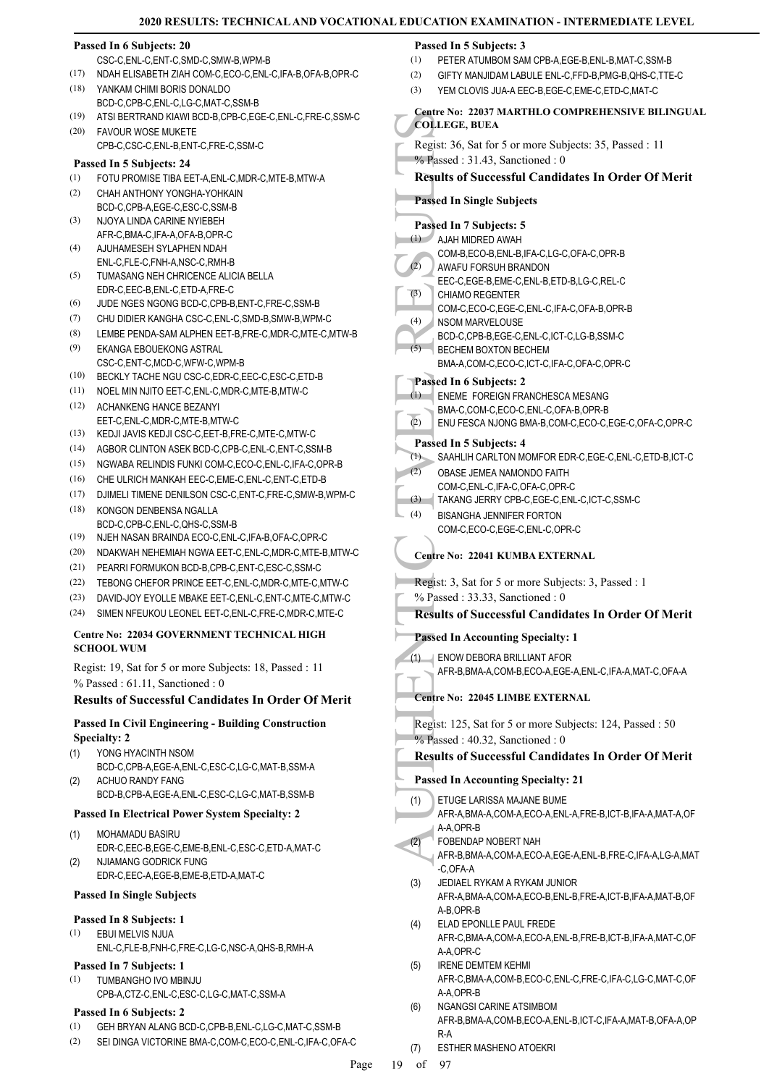#### **Passed In 6 Subjects: 20**

- CSC-C,ENL-C,ENT-C,SMD-C,SMW-B,WPM-B
- (17) NDAH ELISABETH ZIAH COM-C,ECO-C,ENL-C,IFA-B,OFA-B,OPR-C
- YANKAM CHIMI BORIS DONALDO BCD-C, CPB-C, ENL-C, LG-C, MAT-C, SSM-B (18)
- (19) ATSI BERTRAND KIAWI BCD-B,CPB-C,EGE-C,ENL-C,FRE-C,SSM-C
- FAVOUR WOSE MUKETE CPB-C,CSC-C,ENL-B,ENT-C,FRE-C,SSM-C  $(20)$

#### **Passed In 5 Subjects: 24**

- (1) FOTU PROMISE TIBA EET-A,ENL-C,MDR-C,MTE-B,MTW-A
- CHAH ANTHONY YONGHA-YOHKAIN BCD-C,CPB-A,EGE-C,ESC-C,SSM-B (2)
- NJOYA LINDA CARINE NYIEBEH AFR-C,BMA-C,IFA-A,OFA-B,OPR-C (3)
- AJUHAMESEH SYLAPHEN NDAH ENL-C,FLE-C,FNH-A,NSC-C,RMH-B (4)
- TUMASANG NEH CHRICENCE ALICIA BELLA EDR-C,EEC-B,ENL-C,ETD-A,FRE-C (5)
- (6) JUDE NGES NGONG BCD-C,CPB-B,ENT-C,FRE-C,SSM-B
- (7) CHU DIDIER KANGHA CSC-C,ENL-C,SMD-B,SMW-B,WPM-C
- (8) LEMBE PENDA-SAM ALPHEN EET-B,FRE-C,MDR-C,MTE-C,MTW-B (9)
- EKANGA EBOUEKONG ASTRAL CSC-C,ENT-C,MCD-C,WFW-C,WPM-B
- (10) BECKLY TACHE NGU CSC-C,EDR-C,EEC-C,ESC-C,ETD-B
- (11) NOEL MIN NJITO EET-C,ENL-C,MDR-C,MTE-B,MTW-C ACHANKENG HANCE BEZANYI (12)
- EET-C,ENL-C,MDR-C,MTE-B,MTW-C
- (13) KEDJI JAVIS KEDJI CSC-C,EET-B,FRE-C,MTE-C,MTW-C
- (14) AGBOR CLINTON ASEK BCD-C,CPB-C,ENL-C,ENT-C,SSM-B
- (15) NGWABA RELINDIS FUNKI COM-C,ECO-C,ENL-C,IFA-C,OPR-B
- (16) CHE ULRICH MANKAH EEC-C,EME-C,ENL-C,ENT-C,ETD-B
- (17) DJIMELI TIMENE DENILSON CSC-C,ENT-C,FRE-C,SMW-B,WPM-C KONGON DENBENSA NGALLA (18)
- BCD-C,CPB-C,ENL-C,QHS-C,SSM-B (19) NJEH NASAN BRAINDA ECO-C,ENL-C,IFA-B,OFA-C,OPR-C
- (20) NDAKWAH NEHEMIAH NGWA EET-C,ENL-C,MDR-C,MTE-B,MTW-C
- (21) PEARRI FORMUKON BCD-B,CPB-C,ENT-C,ESC-C,SSM-C
- (22) TEBONG CHEFOR PRINCE EET-C,ENL-C,MDR-C,MTE-C,MTW-C
- (23) DAVID-JOY EYOLLE MBAKE EET-C,ENL-C,ENT-C,MTE-C,MTW-C
- (24) SIMEN NFEUKOU LEONEL EET-C,ENL-C,FRE-C,MDR-C,MTE-C

### **Centre No: 22034 GOVERNMENT TECHNICAL HIGH SCHOOL WUM**

Regist: 19, Sat for 5 or more Subjects: 18, Passed : 11 % Passed : 61.11, Sanctioned : 0

### **Results of Successful Candidates In Order Of Merit**

### **Passed In Civil Engineering - Building Construction Specialty: 2**

- YONG HYACINTH NSOM BCD-C,CPB-A,EGE-A,ENL-C,ESC-C,LG-C,MAT-B,SSM-A (1) ACHUO RANDY FANG (2)
	- BCD-B,CPB-A,EGE-A,ENL-C,ESC-C,LG-C,MAT-B,SSM-B

### **Passed In Electrical Power System Specialty: 2**

- MOHAMADU BASIRU EDR-C,EEC-B,EGE-C,EME-B,ENL-C,ESC-C,ETD-A,MAT-C (1) NJIAMANG GODRICK FUNG (2)
- EDR-C,EEC-A,EGE-B,EME-B,ETD-A,MAT-C

### **Passed In Single Subjects**

### **Passed In 8 Subjects: 1**

- EBUI MELVIS NJUA (1)
- ENL-C,FLE-B,FNH-C,FRE-C,LG-C,NSC-A,QHS-B,RMH-A

#### **Passed In 7 Subjects: 1** TUMBANGHO IVO MBINJU (1)

CPB-A,CTZ-C,ENL-C,ESC-C,LG-C,MAT-C,SSM-A

### **Passed In 6 Subjects: 2**

- (1) GEH BRYAN ALANG BCD-C,CPB-B,ENL-C,LG-C,MAT-C,SSM-B
- (2) SEI DINGA VICTORINE BMA-C,COM-C,ECO-C,ENL-C,IFA-C,OFA-C

### **Passed In 5 Subjects: 3**

- (1) PETER ATUMBOM SAM CPB-A,EGE-B,ENL-B,MAT-C,SSM-B
- (2) GIFTY MANJIDAM LABULE ENL-C,FFD-B,PMG-B,QHS-C,TTE-C
- (3) YEM CLOVIS JUA-A FEC-B, EGE-C, EME-C, ETD-C, MAT-C

#### **Centre No: 22037 MARTHLO COMPREHENSIVE BILINGUAL COLLEGE, BUEA**

- Regist: 36, Sat for 5 or more Subjects: 35, Passed : 11
- % Passed : 31.43, Sanctioned : 0

### **Results of Successful Candidates In Order Of Merit**

# **Passed In Single Subjects**

### **Passed In 7 Subjects: 5**

- AJAH MIDRED AWAH (1)
	- COM-B,ECO-B,ENL-B,IFA-C,LG-C,OFA-C,OPR-B
- AWAFU FORSUH BRANDON  $(2)$ 
	- EEC-C,EGE-B,EME-C,ENL-B,ETD-B,LG-C,REL-C
- CHIAMO REGENTER (3)
- COM-C,ECO-C,EGE-C,ENL-C,IFA-C,OFA-B,OPR-B
- NSOM MARVELOUSE (4)
- BCD-C,CPB-B,EGE-C,ENL-C,ICT-C,LG-B,SSM-C BECHEM BOXTON BECHEM  $(5)$ 
	- BMA-A,COM-C,ECO-C,ICT-C,IFA-C,OFA-C,OPR-C

### **Passed In 6 Subjects: 2**

- ENEME FOREIGN FRANCHESCA MESANG  $(1)$
- BMA-C,COM-C,ECO-C,ENL-C,OFA-B,OPR-B
- (2) ENU FESCA NJONG BMA-B,COM-C,ECO-C,EGE-C,OFA-C,OPR-C

### **Passed In 5 Subjects: 4**

- (1) SAAHLIH CARLTON MOMFOR EDR-C,EGE-C,ENL-C,ETD-B,ICT-C
- OBASE JEMEA NAMONDO FAITH  $(2)$ 
	- COM-C,ENL-C,IFA-C,OFA-C,OPR-C
- (3) TAKANG JERRY CPB-C,EGE-C,ENL-C,ICT-C,SSM-C
- BISANGHA JENNIFER FORTON (4)
	- COM-C,ECO-C,EGE-C,ENL-C,OPR-C

### **Centre No: 22041 KUMBA EXTERNAL**

- Regist: 3, Sat for 5 or more Subjects: 3, Passed : 1
- % Passed : 33.33, Sanctioned : 0

### **Results of Successful Candidates In Order Of Merit**

### **Passed In Accounting Specialty: 1**

- ENOW DEBORA BRILLIANT AFOR (1)
- AFR-B,BMA-A,COM-B,ECO-A,EGE-A,ENL-C,IFA-A,MAT-C,OFA-A

### **Centre No: 22045 LIMBE EXTERNAL**

Regist: 125, Sat for 5 or more Subjects: 124, Passed : 50 % Passed: 40.32, Sanctioned: 0

## **Results of Successful Candidates In Order Of Merit**

**Passed In Accounting Specialty: 21**

- Colleges (Colleges Colleges Colleges Colleges Colleges Colleges Colleges Colleges Colleges (4)<br>
(4) AUAH N COM-B AWAFU<br>
(4) AUAH N COM-C N SOM N BCD-C, (5) BECHE BMA-A,<br>
(4) BCD-C, BECHE BMA-A,<br>
Passed In (1) ENEME COM-C C ETUGE LARISSA MAJANE BUME AFR-A,BMA-A,COM-A,ECO-A,ENL-A,FRE-B,ICT-B,IFA-A,MAT-A,OF (1)
	- A-A,OPR-B
	- FOBENDAP NOBERT NAH (2)
		- AFR-B,BMA-A,COM-A,ECO-A,EGE-A,ENL-B,FRE-C,IFA-A,LG-A,MAT -C,OFA-A
	- JEDIAEL RYKAM A RYKAM JUNIOR AFR-A,BMA-A,COM-A,ECO-B,ENL-B,FRE-A,ICT-B,IFA-A,MAT-B,OF A-B,OPR-B (3)
	- ELAD EPONLLE PAUL FREDE AFR-C,BMA-A,COM-A,ECO-A,ENL-B,FRE-B,ICT-B,IFA-A,MAT-C,OF A-A,OPR-C (4)
	- IRENE DEMTEM KEHMI AFR-C,BMA-A,COM-B,ECO-C,ENL-C,FRE-C,IFA-C,LG-C,MAT-C,OF A-A,OPR-B (5)
	- NGANGSI CARINE ATSIMBOM AFR-B,BMA-A,COM-B,ECO-A,ENL-B,ICT-C,IFA-A,MAT-B,OFA-A,OP R-A (6)
	- (7) ESTHER MASHENO ATOEKRI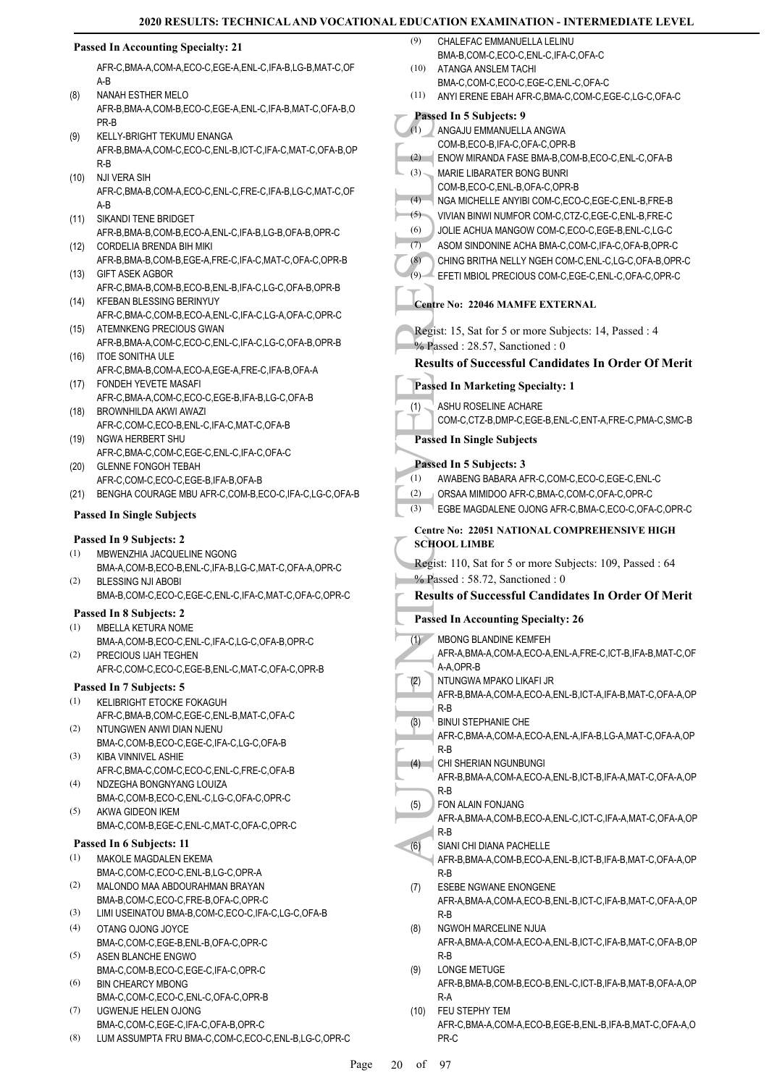#### Passed In Sand COM-B<br>
(1) ANGAJ<br>
COM-B<br>
ENOW MARIE<br>
(3) NARIE<br>
(3) VIVIAN<br>
(5) VIVIAN<br>
(6) JOLIE A SOM S<br>
(7) ASOM S<br>
(7) ASOM S<br>
(8) CHING FFETI<br>
Centre No:<br>
Regist: 15,<br>
(7) ASHUF<br>
COM-C<br>
Passed In S<br>
(1) ASHUF<br>
COM-C<br>
P **Passed In Accounting Specialty: 21** AFR-C,BMA-A,COM-A,ECO-C,EGE-A,ENL-C,IFA-B,LG-B,MAT-C,OF A-B NANAH ESTHER MELO AFR-B,BMA-A,COM-B,ECO-C,EGE-A,ENL-C,IFA-B,MAT-C,OFA-B,O PR-B (8) KELLY-BRIGHT TEKUMU ENANGA AFR-B,BMA-A,COM-C,ECO-C,ENL-B,ICT-C,IFA-C,MAT-C,OFA-B,OP R-B (9) NJI VERA SIH AFR-C,BMA-B,COM-A,ECO-C,ENL-C,FRE-C,IFA-B,LG-C,MAT-C,OF A-B (10) SIKANDI TENE BRIDGET AFR-B,BMA-B,COM-B,ECO-A,ENL-C,IFA-B,LG-B,OFA-B,OPR-C (11) CORDELIA BRENDA BIH MIKI AFR-B,BMA-B,COM-B,EGE-A,FRE-C,IFA-C,MAT-C,OFA-C,OPR-B (12) GIFT ASEK AGBOR AFR-C,BMA-B,COM-B,ECO-B,ENL-B,IFA-C,LG-C,OFA-B,OPR-B  $(13)$ (14) KFEBAN BLESSING BERINYUY AFR-C,BMA-C,COM-B,ECO-A,ENL-C,IFA-C,LG-A,OFA-C,OPR-C (15) ATEMNKENG PRECIOUS GWAN AFR-B,BMA-A,COM-C,ECO-C,ENL-C,IFA-C,LG-C,OFA-B,OPR-B (16) ITOE SONITHA ULE AFR-C,BMA-B,COM-A,ECO-A,EGE-A,FRE-C,IFA-B,OFA-A FONDEH YEVETE MASAFI (17) AFR-C,BMA-A,COM-C,ECO-C,EGE-B,IFA-B,LG-C,OFA-B BROWNHILDA AKWI AWAZI AFR-C,COM-C,ECO-B,ENL-C,IFA-C,MAT-C,OFA-B (18) (19) NGWA HERBERT SHU AFR-C,BMA-C,COM-C,EGE-C,ENL-C,IFA-C,OFA-C GLENNE FONGOH TEBAH AFR-C,COM-C,ECO-C,EGE-B,IFA-B,OFA-B (20) (21) BENGHA COURAGE MBU AFR-C,COM-B,ECO-C,IFA-C,LG-C,OFA-B **Passed In Single Subjects Passed In 9 Subjects: 2** MBWENZHIA JACQUELINE NGONG BMA-A,COM-B,ECO-B,ENL-C,IFA-B,LG-C,MAT-C,OFA-A,OPR-C (1) BLESSING NJI ABOBI BMA-B,COM-C,ECO-C,EGE-C,ENL-C,IFA-C,MAT-C,OFA-C,OPR-C (2) **Passed In 8 Subjects: 2** MBELLA KETURA NOME BMA-A,COM-B,ECO-C,ENL-C,IFA-C,LG-C,OFA-B,OPR-C (1) PRECIOUS IJAH TEGHEN AFR-C,COM-C,ECO-C,EGE-B,ENL-C,MAT-C,OFA-C,OPR-B (2) **Passed In 7 Subjects: 5** KELIBRIGHT ETOCKE FOKAGUH AFR-C,BMA-B,COM-C,EGE-C,ENL-B,MAT-C,OFA-C (1) NTUNGWEN ANWI DIAN NJENU BMA-C,COM-B,ECO-C,EGE-C,IFA-C,LG-C,OFA-B (2) KIBA VINNIVEL ASHIE AFR-C,BMA-C,COM-C,ECO-C,ENL-C,FRE-C,OFA-B (3) NDZEGHA BONGNYANG LOUIZA BMA-C,COM-B,ECO-C,ENL-C,LG-C,OFA-C,OPR-C (4) AKWA GIDEON IKEM BMA-C,COM-B,EGE-C,ENL-C,MAT-C,OFA-C,OPR-C (5) **Passed In 6 Subjects: 11** MAKOLE MAGDALEN EKEMA BMA-C,COM-C,ECO-C,ENL-B,LG-C,OPR-A (1) MALONDO MAA ABDOURAHMAN BRAYAN BMA-B,COM-C,ECO-C,FRE-B,OFA-C,OPR-C (2) (3) LIMI USEINATOU BMA-B,COM-C,ECO-C,IFA-C,LG-C,OFA-B OTANG OJONG JOYCE BMA-C,COM-C,EGE-B,ENL-B,OFA-C,OPR-C (4) ASEN BLANCHE ENGWO BMA-C,COM-B,ECO-C,EGE-C,IFA-C,OPR-C (5) BIN CHEARCY MBONG BMA-C,COM-C,ECO-C,ENL-C,OFA-C,OPR-B (6) UGWENJE HELEN OJONG BMA-C,COM-C,EGE-C,IFA-C,OFA-B,OPR-C (7) (8) LUM ASSUMPTA FRU BMA-C,COM-C,ECO-C,ENL-B,LG-C,OPR-C CHALEFAC EMMANUELLA LELINU BMA-B,COM-C,ECO-C,ENL-C,IFA-C,OFA-C (9) ATANGA ANSLEM TACHI BMA-C,COM-C,ECO-C,EGE-C,ENL-C,OFA-C  $(10)$ (11) ANYI ERENE EBAH AFR-C,BMA-C,COM-C,EGE-C,LG-C,OFA-C **Passed In 5 Subjects: 9** ANGAJU EMMANUELLA ANGWA COM-B,ECO-B,IFA-C,OFA-C,OPR-B  $\overline{(\mathbf{1})}$ (2) ENOW MIRANDA FASE BMA-B,COM-B,ECO-C,ENL-C,OFA-B MARIE LIBARATER BONG BUNRI COM-B,ECO-C,ENL-B,OFA-C,OPR-B (3) (4) NGA MICHELLE ANYIBI COM-C,ECO-C,EGE-C,ENL-B,FRE-B (5) VIVIAN BINWI NUMFOR COM-C,CTZ-C,EGE-C,ENL-B,FRE-C (6) JOLIE ACHUA MANGOW COM-C,ECO-C,EGE-B,ENL-C,LG-C (7) ASOM SINDONINE ACHA BMA-C,COM-C,IFA-C,OFA-B,OPR-C (8) CHING BRITHA NELLY NGEH COM-C,ENL-C,LG-C,OFA-B,OPR-C (9) EFETI MBIOL PRECIOUS COM-C,EGE-C,ENL-C,OFA-C,OPR-C **Centre No: 22046 MAMFE EXTERNAL**  Regist: 15, Sat for 5 or more Subjects: 14, Passed : 4 % Passed : 28.57, Sanctioned : 0 **Results of Successful Candidates In Order Of Merit Passed In Marketing Specialty: 1** ASHU ROSELINE ACHARE COM-C,CTZ-B,DMP-C,EGE-B,ENL-C,ENT-A,FRE-C,PMA-C,SMC-B (1) **Passed In Single Subjects Passed In 5 Subjects: 3** (1) AWABENG BABARA AFR-C,COM-C,ECO-C,EGE-C,ENL-C (2) ORSAA MIMIDOO AFR-C,BMA-C,COM-C,OFA-C,OPR-C (3) EGBE MAGDALENE OJONG AFR-C,BMA-C,ECO-C,OFA-C,OPR-C **Centre No: 22051 NATIONAL COMPREHENSIVE HIGH SCHOOL LIMBE**  Regist: 110, Sat for 5 or more Subjects: 109, Passed : 64 % Passed : 58.72, Sanctioned : 0 **Results of Successful Candidates In Order Of Merit Passed In Accounting Specialty: 26** MBONG BLANDINE KEMFEH AFR-A,BMA-A,COM-A,ECO-A,ENL-A,FRE-C,ICT-B,IFA-B,MAT-C,OF A-A,OPR-B  $(1)$ NTUNGWA MPAKO LIKAFI JR AFR-B,BMA-A,COM-A,ECO-A,ENL-B,ICT-A,IFA-B,MAT-C,OFA-A,OP R-B (2) BINUI STEPHANIE CHE AFR-C,BMA-A,COM-A,ECO-A,ENL-A,IFA-B,LG-A,MAT-C,OFA-A,OP R-B (3) CHI SHERIAN NGUNBUNGI AFR-B,BMA-A,COM-A,ECO-A,ENL-B,ICT-B,IFA-A,MAT-C,OFA-A,OP R-B  $(4)$ FON ALAIN FONJANG AFR-A,BMA-A,COM-B,ECO-A,ENL-C,ICT-C,IFA-A,MAT-C,OFA-A,OP R-B (5) SIANI CHI DIANA PACHELLE AFR-B,BMA-A,COM-B,ECO-A,ENL-B,ICT-B,IFA-B,MAT-C,OFA-A,OP R-B (6) ESEBE NGWANE ENONGENE AFR-A,BMA-A,COM-A,ECO-B,ENL-B,ICT-C,IFA-B,MAT-C,OFA-A,OP R-B (7) NGWOH MARCELINE NJUA AFR-A,BMA-A,COM-A,ECO-A,ENL-B,ICT-C,IFA-B,MAT-C,OFA-B,OP R-B (8) LONGE METUGE AFR-B,BMA-B,COM-B,ECO-B,ENL-C,ICT-B,IFA-B,MAT-B,OFA-A,OP R-A (9) FEU STEPHY TEM AFR-C,BMA-A,COM-A,ECO-B,EGE-B,ENL-B,IFA-B,MAT-C,OFA-A,O PR-C  $(10)$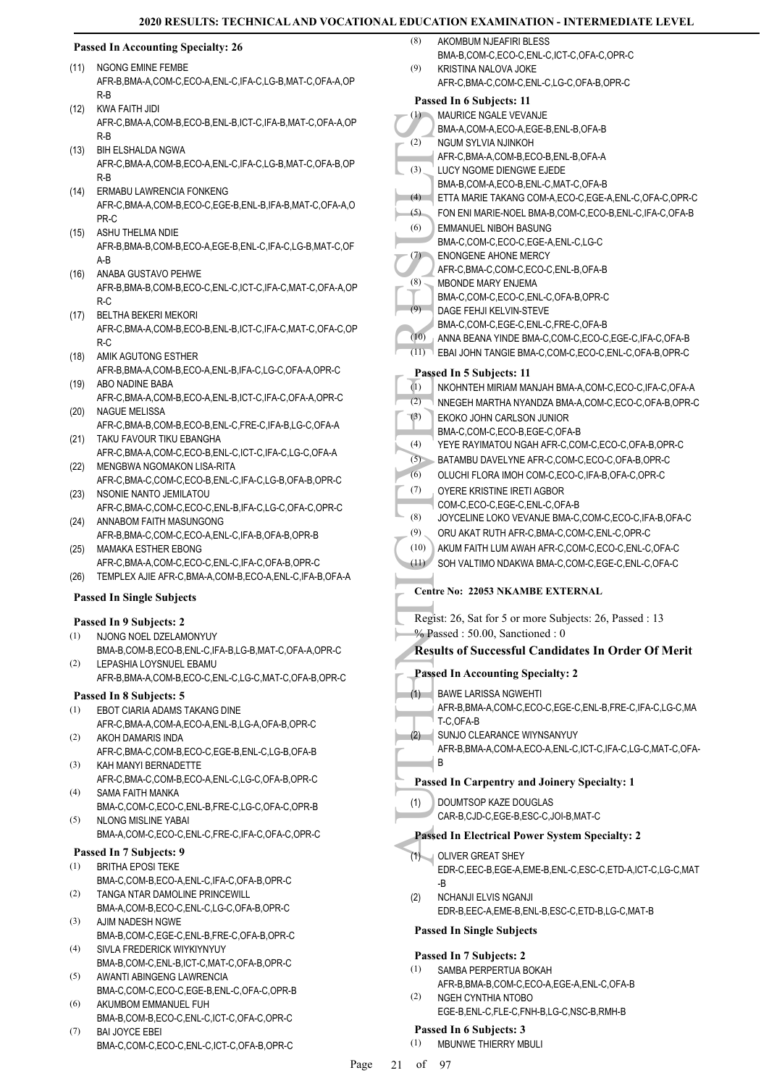#### **Passed In Accounting Specialty: 26**

- (11) NGONG EMINE FEMBE AFR-B,BMA-A,COM-C,ECO-A,ENL-C,IFA-C,LG-B,MAT-C,OFA-A,OP R-B
- KWA FAITH JIDI AFR-C,BMA-A,COM-B,ECO-B,ENL-B,ICT-C,IFA-B,MAT-C,OFA-A,OP R-B (12)
- BIH ELSHALDA NGWA (13) AFR-C,BMA-A,COM-B,ECO-A,ENL-C,IFA-C,LG-B,MAT-C,OFA-B,OP R-B
- ERMABU LAWRENCIA FONKENG (14) AFR-C,BMA-A,COM-B,ECO-C,EGE-B,ENL-B,IFA-B,MAT-C,OFA-A,O PR-C
- ASHU THELMA NDIE AFR-B,BMA-B,COM-B,ECO-A,EGE-B,ENL-C,IFA-C,LG-B,MAT-C,OF A-B (15)
- ANABA GUSTAVO PEHWE AFR-B,BMA-B,COM-B,ECO-C,ENL-C,ICT-C,IFA-C,MAT-C,OFA-A,OP R-C (16)
- BELTHA BEKERI MEKORI AFR-C,BMA-A,COM-B,ECO-B,ENL-B,ICT-C,IFA-C,MAT-C,OFA-C,OP R-C (17)
- (18) AMIK AGUTONG ESTHER AFR-B,BMA-A,COM-B,ECO-A,ENL-B,IFA-C,LG-C,OFA-A,OPR-C
- ABO NADINE BABA (19) AFR-C,BMA-A,COM-B,ECO-A,ENL-B,ICT-C,IFA-C,OFA-A,OPR-C
- (20) NAGUE MELISSA AFR-C,BMA-B,COM-B,ECO-B,ENL-C,FRE-C,IFA-B,LG-C,OFA-A TAKU FAVOUR TIKU EBANGHA (21)
- AFR-C,BMA-A,COM-C,ECO-B,ENL-C,ICT-C,IFA-C,LG-C,OFA-A MENGBWA NGOMAKON LISA-RITA (22)
- AFR-C,BMA-C,COM-C,ECO-B,ENL-C,IFA-C,LG-B,OFA-B,OPR-C (23) NSONIE NANTO JEMILATOU
- AFR-C,BMA-C,COM-C,ECO-C,ENL-B,IFA-C,LG-C,OFA-C,OPR-C (24) ANNABOM FAITH MASUNGONG
	- AFR-B,BMA-C,COM-C,ECO-A,ENL-C,IFA-B,OFA-B,OPR-B
- MAMAKA ESTHER EBONG AFR-C,BMA-A,COM-C,ECO-C,ENL-C,IFA-C,OFA-B,OPR-C (25)
- (26) TEMPLEX AJIE AFR-C,BMA-A,COM-B,ECO-A,ENL-C,IFA-B,OFA-A

### **Passed In Single Subjects**

### **Passed In 9 Subjects: 2**

- NJONG NOEL DZELAMONYUY BMA-B,COM-B,ECO-B,ENL-C,IFA-B,LG-B,MAT-C,OFA-A,OPR-C (1)
- LEPASHIA LOYSNUEL EBAMU AFR-B,BMA-A,COM-B,ECO-C,ENL-C,LG-C,MAT-C,OFA-B,OPR-C (2)

#### **Passed In 8 Subjects: 5**

- EBOT CIARIA ADAMS TAKANG DINE (1)
- AFR-C,BMA-A,COM-A,ECO-A,ENL-B,LG-A,OFA-B,OPR-C AKOH DAMARIS INDA (2)
- AFR-C,BMA-C,COM-B,ECO-C,EGE-B,ENL-C,LG-B,OFA-B KAH MANYI BERNADETTE (3)
- AFR-C,BMA-C,COM-B,ECO-A,ENL-C,LG-C,OFA-B,OPR-C SAMA FAITH MANKA (4)
- BMA-C,COM-C,ECO-C,ENL-B,FRE-C,LG-C,OFA-C,OPR-B NLONG MISLINE YABAI (5)
- BMA-A,COM-C,ECO-C,ENL-C,FRE-C,IFA-C,OFA-C,OPR-C

#### **Passed In 7 Subjects: 9**

- BRITHA EPOSI TEKE BMA-C,COM-B,ECO-A,ENL-C,IFA-C,OFA-B,OPR-C (1)
- TANGA NTAR DAMOLINE PRINCEWILL BMA-A,COM-B,ECO-C,ENL-C,LG-C,OFA-B,OPR-C (2)
- AJIM NADESH NGWE (3)
- BMA-B,COM-C,EGE-C,ENL-B,FRE-C,OFA-B,OPR-C SIVLA FREDERICK WIYKIYNYUY (4)
- BMA-B,COM-C,ENL-B,ICT-C,MAT-C,OFA-B,OPR-C AWANTI ABINGENG LAWRENCIA (5)
- BMA-C,COM-C,ECO-C,EGE-B,ENL-C,OFA-C,OPR-B AKUMBOM EMMANUEL FUH (6)
- BMA-B,COM-B,ECO-C,ENL-C,ICT-C,OFA-C,OPR-C BAI JOYCE EBEI (7)
- BMA-C,COM-C,ECO-C,ENL-C,ICT-C,OFA-B,OPR-C
- AKOMBUM NJEAFIRI BLESS (8)
- BMA-B,COM-C,ECO-C,ENL-C,ICT-C,OFA-C,OPR-C KRISTINA NALOVA JOKE AFR-C,BMA-C,COM-C,ENL-C,LG-C,OFA-B,OPR-C (9)

|      | Passed In 6 Subjects: 11                                                                            |
|------|-----------------------------------------------------------------------------------------------------|
| (1)  | MAURICE NGALE VEVANJE                                                                               |
| (2)  | BMA-A,COM-A,ECO-A,EGE-B,ENL-B,OFA-B<br>NGUM SYLVIA NJINKOH                                          |
|      | AFR-C, BMA-A, COM-B, ECO-B, ENL-B, OFA-A                                                            |
| (3)  | LUCY NGOME DIENGWE EJEDE                                                                            |
|      | BMA-B,COM-A,ECO-B,ENL-C,MAT-C,OFA-B                                                                 |
| (4)  | ETTA MARIE TAKANG COM-A, ECO-C, EGE-A, ENL-C, OFA-C, OPR-C                                          |
| (5)  | FON ENI MARIE-NOEL BMA-B,COM-C,ECO-B,ENL-C,IFA-C,OFA-B                                              |
| (6)  | <b>EMMANUEL NIBOH BASUNG</b>                                                                        |
|      | BMA-C,COM-C,ECO-C,EGE-A,ENL-C,LG-C<br>ENONGENE AHONE MERCY                                          |
| (7)  | AFR-C, BMA-C, COM-C, ECO-C, ENL-B, OFA-B                                                            |
| (8)  | <b>MBONDE MARY ENJEMA</b>                                                                           |
|      | BMA-C,COM-C,ECO-C,ENL-C,OFA-B,OPR-C                                                                 |
| (9)  | DAGE FEHJI KELVIN-STEVE                                                                             |
|      | BMA-C,COM-C,EGE-C,ENL-C,FRE-C,OFA-B                                                                 |
| (10) | ANNA BEANA YINDE BMA-C,COM-C,ECO-C,EGE-C,IFA-C,OFA-B                                                |
| (11) | EBAI JOHN TANGIE BMA-C,COM-C,ECO-C,ENL-C,OFA-B,OPR-C                                                |
|      | Passed In 5 Subjects: 11                                                                            |
| (1)  | NKOHNTEH MIRIAM MANJAH BMA-A,COM-C,ECO-C,IFA-C,OFA-A                                                |
| (2)  | NNEGEH MARTHA NYANDZA BMA-A,COM-C,ECO-C,OFA-B,OPR-C                                                 |
| (3)  | EKOKO JOHN CARLSON JUNIOR<br>BMA-C,COM-C,ECO-B,EGE-C,OFA-B                                          |
| (4)  | YEYE RAYIMATOU NGAH AFR-C,COM-C,ECO-C,OFA-B,OPR-C                                                   |
| (5)  | BATAMBU DAVELYNE AFR-C,COM-C,ECO-C,OFA-B,OPR-C                                                      |
| (6)  | OLUCHI FLORA IMOH COM-C,ECO-C,IFA-B,OFA-C,OPR-C                                                     |
| (7)  | OYERE KRISTINE IRETI AGBOR                                                                          |
|      | COM-C,ECO-C,EGE-C,ENL-C,OFA-B                                                                       |
| (8)  | JOYCELINE LOKO VEVANJE BMA-C, COM-C, ECO-C, IFA-B, OFA-C                                            |
| (9)  | ORU AKAT RUTH AFR-C, BMA-C, COM-C, ENL-C, OPR-C                                                     |
| (10) | AKUM FAITH LUM AWAH AFR-C,COM-C,ECO-C,ENL-C,OFA-C                                                   |
| (11) | SOH VALTIMO NDAKWA BMA-C,COM-C,EGE-C,ENL-C,OFA-C                                                    |
|      | Centre No: 22053 NKAMBE EXTERNAL                                                                    |
|      | Regist: 26, Sat for 5 or more Subjects: 26, Passed: 13                                              |
|      | % Passed: 50.00, Sanctioned: 0                                                                      |
|      | <b>Results of Successful Candidates In Order Of Merit</b>                                           |
|      | <b>Passed In Accounting Specialty: 2</b>                                                            |
|      |                                                                                                     |
| (1)  | <b>BAWE LARISSA NGWEHTI</b>                                                                         |
|      | AFR-B, BMA-A, COM-C, ECO-C, EGE-C, ENL-B, FRE-C, IFA-C, LG-C, MA<br>T-C.OFA-B                       |
| (2)  | SUNJO CLEARANCE WIYNSANYUY                                                                          |
|      | AFR-B, BMA-A, COM-A, ECO-A, ENL-C, ICT-C, IFA-C, LG-C, MAT-C, OFA-                                  |
|      | В                                                                                                   |
|      | <b>Passed In Carpentry and Joinery Specialty: 1</b>                                                 |
| (1)  | DOUMTSOP KAZE DOUGLAS                                                                               |
|      | CAR-B,CJD-C,EGE-B,ESC-C,JOI-B,MAT-C                                                                 |
|      | <b>Passed In Electrical Power System Specialty: 2</b>                                               |
|      |                                                                                                     |
| (1)  | <b>OLIVER GREAT SHEY</b><br>EDR-C, EEC-B, EGE-A, EME-B, ENL-C, ESC-C, ETD-A, ICT-C, LG-C, MAT<br>-B |
| (2)  | <b>NCHANJI ELVIS NGANJI</b><br>EDR-B,EEC-A,EME-B,ENL-B,ESC-C,ETD-B,LG-C,MAT-B                       |
|      | <b>Passed In Single Subjects</b>                                                                    |
|      |                                                                                                     |
|      | Passed In 7 Subjects: 2                                                                             |
| (1)  | SAMBA PERPERTUA BOKAH<br>AFR-B, BMA-B, COM-C, ECO-A, EGE-A, ENL-C, OFA-B                            |
| (2)  | NGEH CYNTHIA NTOBO                                                                                  |
|      | EGE-B,ENL-C,FLE-C,FNH-B,LG-C,NSC-B,RMH-B                                                            |
|      | Passed In 6 Subjects: 3                                                                             |
|      | $(1)$ MRUNWE THIFRRY MRULL                                                                          |

Page 21 of 97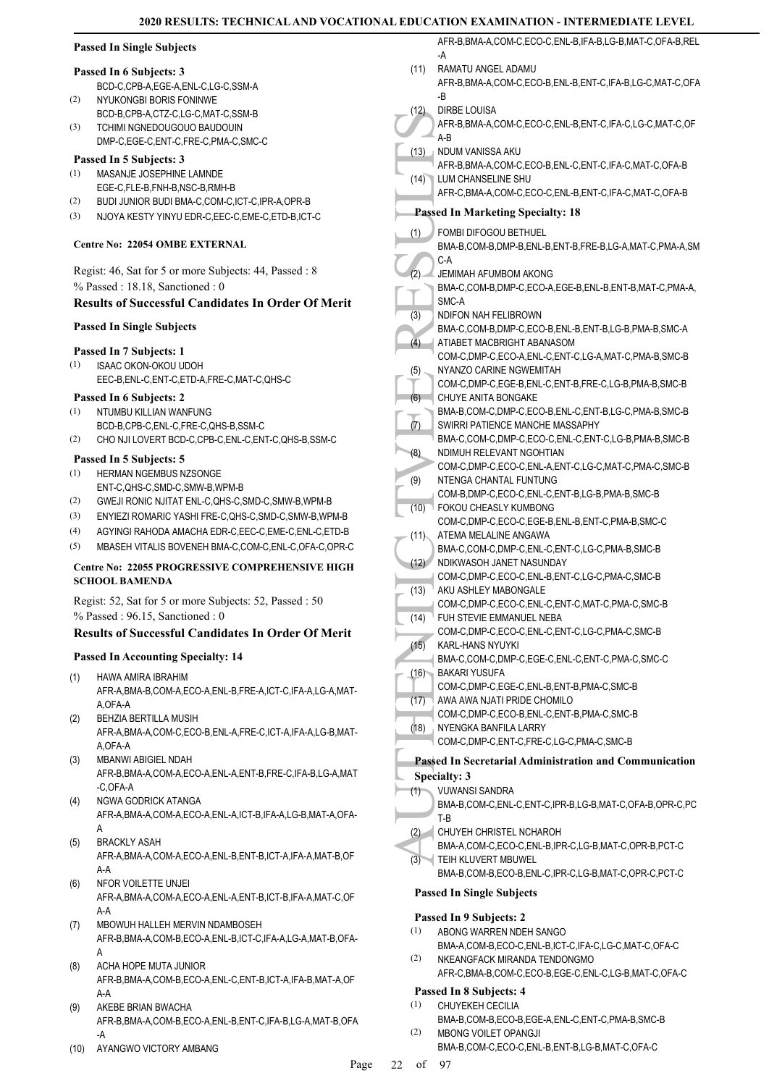### **Passed In Single Subjects**

#### **Passed In 6 Subjects: 3**

- BCD-C,CPB-A,EGE-A,ENL-C,LG-C,SSM-A NYUKONGBI BORIS FONINWE (2)
- BCD-B,CPB-A,CTZ-C,LG-C,MAT-C,SSM-B TCHIMI NGNEDOUGOUO BAUDOUIN DMP-C,EGE-C,ENT-C,FRE-C,PMA-C,SMC-C (3)

#### **Passed In 5 Subjects: 3**

- MASANJE JOSEPHINE LAMNDE EGE-C,FLE-B,FNH-B,NSC-B,RMH-B (1)
- (2) BUDI JUNIOR BUDI BMA-C,COM-C,ICT-C,IPR-A,OPR-B
- (3) NJOYA KESTY YINYU EDR-C,EEC-C,EME-C,ETD-B,ICT-C

#### **Centre No: 22054 OMBE EXTERNAL**

Regist: 46, Sat for 5 or more Subjects: 44, Passed : 8 % Passed : 18.18, Sanctioned : 0

### **Results of Successful Candidates In Order Of Merit**

#### **Passed In Single Subjects**

#### **Passed In 7 Subjects: 1**

ISAAC OKON-OKOU UDOH EEC-B,ENL-C,ENT-C,ETD-A,FRE-C,MAT-C,QHS-C (1)

#### **Passed In 6 Subjects: 2**

- NTUMBU KILLIAN WANFUNG (1)
- BCD-B,CPB-C,ENL-C,FRE-C,QHS-B,SSM-C
- (2) CHO NJI LOVERT BCD-C,CPB-C,ENL-C,ENT-C,QHS-B,SSM-C

#### **Passed In 5 Subjects: 5**

- HERMAN NGEMBUS NZSONGE (1) ENT-C,QHS-C,SMD-C,SMW-B,WPM-B
- (2) GWEJI RONIC NJITAT ENL-C,QHS-C,SMD-C,SMW-B,WPM-B
- (3) ENYIEZI ROMARIC YASHI FRE-C,QHS-C,SMD-C,SMW-B,WPM-B
- (4) AGYINGI RAHODA AMACHA EDR-C,EEC-C,EME-C,ENL-C,ETD-B
- (5) MBASEH VITALIS BOVENEH BMA-C,COM-C,ENL-C,OFA-C,OPR-C

#### **Centre No: 22055 PROGRESSIVE COMPREHENSIVE HIGH SCHOOL BAMENDA**

Regist: 52, Sat for 5 or more Subjects: 52, Passed : 50 % Passed : 96.15, Sanctioned : 0

### **Results of Successful Candidates In Order Of Merit**

#### **Passed In Accounting Specialty: 14**

- HAWA AMIRA IBRAHIM AFR-A,BMA-B,COM-A,ECO-A,ENL-B,FRE-A,ICT-C,IFA-A,LG-A,MAT-A,OFA-A (1)
- BEHZIA BERTILLA MUSIH (2)
- AFR-A,BMA-A,COM-C,ECO-B,ENL-A,FRE-C,ICT-A,IFA-A,LG-B,MAT-A,OFA-A
- MBANWI ABIGIEL NDAH AFR-B,BMA-A,COM-A,ECO-A,ENL-A,ENT-B,FRE-C,IFA-B,LG-A,MAT -C,OFA-A (3)
- NGWA GODRICK ATANGA AFR-A,BMA-A,COM-A,ECO-A,ENL-A,ICT-B,IFA-A,LG-B,MAT-A,OFA-A (4)
- BRACKLY ASAH AFR-A,BMA-A,COM-A,ECO-A,ENL-B,ENT-B,ICT-A,IFA-A,MAT-B,OF A-A (5)
- NFOR VOILETTE UNJEI AFR-A,BMA-A,COM-A,ECO-A,ENL-A,ENT-B,ICT-B,IFA-A,MAT-C,OF A-A (6)
- MBOWUH HALLEH MERVIN NDAMBOSEH AFR-B,BMA-A,COM-B,ECO-A,ENL-B,ICT-C,IFA-A,LG-A,MAT-B,OFA-A (7)
- ACHA HOPE MUTA JUNIOR AFR-B,BMA-A,COM-B,ECO-A,ENL-C,ENT-B,ICT-A,IFA-B,MAT-A,OF A-A (8)
- AKEBE BRIAN BWACHA AFR-B,BMA-A,COM-B,ECO-A,ENL-B,ENT-C,IFA-B,LG-A,MAT-B,OFA -A (9)
- (10) AYANGWO VICTORY AMBANG

|                  | AFR-B, BMA-A, COM-C, ECO-C, ENL-B, IFA-B, LG-B, MAT-C, OFA-B, REL                                   |
|------------------|-----------------------------------------------------------------------------------------------------|
| (11)             | -A<br>RAMATU ANGEL ADAMU<br>AFR-B, BMA-A, COM-C, ECO-B, ENL-B, ENT-C, IFA-B, LG-C, MAT-C, OFA<br>-B |
| (12)             | DIRBE LOUISA<br>AFR-B, BMA-A, COM-C, ECO-C, ENL-B, ENT-C, IFA-C, LG-C, MAT-C, OF                    |
|                  | A-B                                                                                                 |
| (13)             | NDUM VANISSA AKU<br>AFR-B, BMA-A, COM-C, ECO-B, ENL-C, ENT-C, IFA-C, MAT-C, OFA-B                   |
| (14)             | LUM CHANSELINE SHU<br>AFR-C, BMA-A, COM-C, ECO-C, ENL-B, ENT-C, IFA-C, MAT-C, OFA-B                 |
|                  | <b>Passed In Marketing Specialty: 18</b>                                                            |
| (1)              | FOMBI DIFOGOU BETHUEL                                                                               |
|                  | BMA-B,COM-B,DMP-B,ENL-B,ENT-B,FRE-B,LG-A,MAT-C,PMA-A,SM<br>C-A                                      |
| (2)              | JEMIMAH AFUMBOM AKONG                                                                               |
|                  | BMA-C,COM-B,DMP-C,ECO-A,EGE-B,ENL-B,ENT-B,MAT-C,PMA-A,<br>SMC-A                                     |
| (3)              | <b>NDIFON NAH FELIBROWN</b>                                                                         |
|                  | BMA-C,COM-B,DMP-C,ECO-B,ENL-B,ENT-B,LG-B,PMA-B,SMC-A                                                |
| $(\overline{4})$ | ATIABET MACBRIGHT ABANASOM                                                                          |
| (5)              | COM-C,DMP-C,ECO-A,ENL-C,ENT-C,LG-A,MAT-C,PMA-B,SMC-B<br>NYANZO CARINE NGWEMITAH                     |
|                  | COM-C,DMP-C,EGE-B,ENL-C,ENT-B,FRE-C,LG-B,PMA-B,SMC-B                                                |
| (6)              | CHUYE ANITA BONGAKE                                                                                 |
|                  | BMA-B,COM-C,DMP-C,ECO-B,ENL-C,ENT-B,LG-C,PMA-B,SMC-B                                                |
| (7)              | SWIRRI PATIENCE MANCHE MASSAPHY<br>BMA-C,COM-C,DMP-C,ECO-C,ENL-C,ENT-C,LG-B,PMA-B,SMC-B             |
| (8)              | NDIMUH RELEVANT NGOHTIAN                                                                            |
|                  | COM-C,DMP-C,ECO-C,ENL-A,ENT-C,LG-C,MAT-C,PMA-C,SMC-B                                                |
| (9)              | NTENGA CHANTAL FUNTUNG                                                                              |
| (10)             | COM-B,DMP-C,ECO-C,ENL-C,ENT-B,LG-B,PMA-B,SMC-B<br>FOKOU CHEASLY KUMBONG                             |
|                  | COM-C,DMP-C,ECO-C,EGE-B,ENL-B,ENT-C,PMA-B,SMC-C                                                     |
| (11)             | ATEMA MELALINE ANGAWA                                                                               |
|                  | BMA-C,COM-C,DMP-C,ENL-C,ENT-C,LG-C,PMA-B,SMC-B                                                      |
| (12)             | NDIKWASOH JANET NASUNDAY<br>COM-C,DMP-C,ECO-C,ENL-B,ENT-C,LG-C,PMA-C,SMC-B                          |
| (13)             | AKU ASHLEY MABONGALE                                                                                |
|                  | COM-C,DMP-C,ECO-C,ENL-C,ENT-C,MAT-C,PMA-C,SMC-B                                                     |
| (14)             | FUH STEVIE EMMANUEL NEBA                                                                            |
| (15)             | COM-C,DMP-C,ECO-C,ENL-C,ENT-C,LG-C,PMA-C,SMC-B<br>KARL-HANS NYUYKI                                  |
|                  | BMA-C,COM-C,DMP-C,EGE-C,ENL-C,ENT-C,PMA-C,SMC-C                                                     |
| (16)             | <b>BAKARI YUSUFA</b>                                                                                |
|                  | COM-C,DMP-C,EGE-C,ENL-B,ENT-B,PMA-C,SMC-B                                                           |
| (17)             | AWA AWA NJATI PRIDE CHOMILO<br>COM-C,DMP-C,ECO-B,ENL-C,ENT-B,PMA-C,SMC-B                            |
| (18)             | NYENGKA BANFILA LARRY                                                                               |
|                  | COM-C,DMP-C,ENT-C,FRE-C,LG-C,PMA-C,SMC-B                                                            |
|                  | <b>Passed In Secretarial Administration and Communication</b>                                       |
|                  | <b>Specialty: 3</b>                                                                                 |
| (1)              | <b>VUWANSI SANDRA</b>                                                                               |
|                  | BMA-B,COM-C,ENL-C,ENT-C,IPR-B,LG-B,MAT-C,OFA-B,OPR-C,PC                                             |
| (2)              | T-B<br>CHUYEH CHRISTEL NCHAROH                                                                      |
|                  | BMA-A,COM-C,ECO-C,ENL-B,IPR-C,LG-B,MAT-C,OPR-B,PCT-C                                                |
| (3)              | TEIH KLUVERT MBUWEL                                                                                 |
|                  | BMA-B.COM-B.ECO-B.ENL-C.IPR-C.LG-B.MAT-C.OPR-C.PCT-C                                                |

**Passed In Single Subjects**

### **Passed In 9 Subjects: 2**

- ABONG WARREN NDEH SANGO BMA-A,COM-B,ECO-C,ENL-B,ICT-C,IFA-C,LG-C,MAT-C,OFA-C (1)
- NKEANGFACK MIRANDA TENDONGMO AFR-C,BMA-B,COM-C,ECO-B,EGE-C,ENL-C,LG-B,MAT-C,OFA-C (2)

### **Passed In 8 Subjects: 4**

- CHUYEKEH CECILIA (1)
- BMA-B,COM-B,ECO-B,EGE-A,ENL-C,ENT-C,PMA-B,SMC-B MBONG VOILET OPANGJI (2)
	- BMA-B,COM-C,ECO-C,ENL-B,ENT-B,LG-B,MAT-C,OFA-C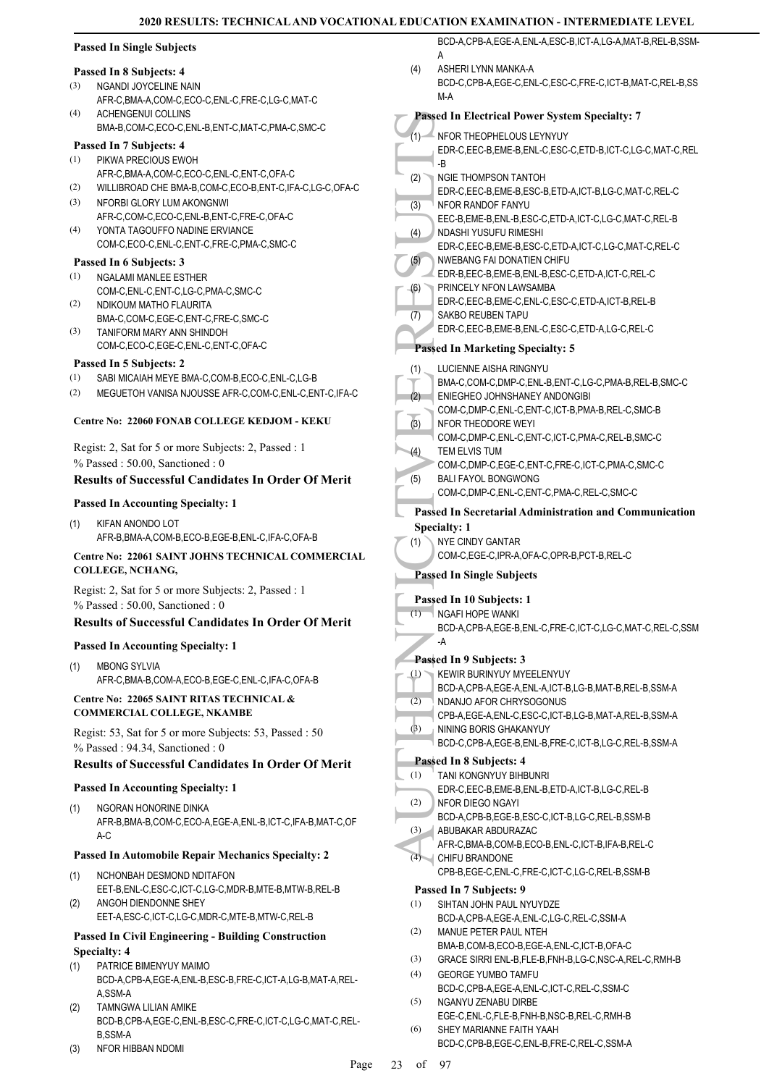|            | <b>Passed In Single Subjects</b>                                                                        |     | BCD-A,CPB-A,EGE-A,ENL-A,ESC-B,ICT-A,LG-A,MAT-B,REL-B,SSM-                                         |
|------------|---------------------------------------------------------------------------------------------------------|-----|---------------------------------------------------------------------------------------------------|
|            |                                                                                                         | (4) | A<br>ASHERI LYNN MANKA-A                                                                          |
| (3)        | Passed In 8 Subjects: 4<br>NGANDI JOYCELINE NAIN                                                        |     | BCD-C,CPB-A,EGE-C,ENL-C,ESC-C,FRE-C,ICT-B,MAT-C,REL-B,SS                                          |
|            | AFR-C, BMA-A, COM-C, ECO-C, ENL-C, FRE-C, LG-C, MAT-C                                                   |     | M-A                                                                                               |
| (4)        | <b>ACHENGENUI COLLINS</b>                                                                               |     | Passed In Electrical Power System Specialty: 7                                                    |
|            | BMA-B,COM-C,ECO-C,ENL-B,ENT-C,MAT-C,PMA-C,SMC-C<br>Passed In 7 Subjects: 4                              |     | (1) NFOR THEOPHELOUS LEYNYUY                                                                      |
| (1)        | PIKWA PRECIOUS EWOH                                                                                     |     | EDR-C,EEC-B,EME-B,ENL-C,ESC-C,ETD-B,ICT-C,LG-C,MAT-C,REL<br>-B                                    |
|            | AFR-C, BMA-A, COM-C, ECO-C, ENL-C, ENT-C, OFA-C                                                         | (2) | NGIE THOMPSON TANTOH                                                                              |
| (2)        | WILLIBROAD CHE BMA-B,COM-C,ECO-B,ENT-C,IFA-C,LG-C,OFA-C                                                 |     | EDR-C,EEC-B,EME-B,ESC-B,ETD-A,ICT-B,LG-C,MAT-C,REL-C                                              |
| (3)        | NFORBI GLORY LUM AKONGNWI<br>AFR-C,COM-C,ECO-C,ENL-B,ENT-C,FRE-C,OFA-C                                  | (3) | NFOR RANDOF FANYU<br>EEC-B,EME-B,ENL-B,ESC-C,ETD-A,ICT-C,LG-C,MAT-C,REL-B                         |
| (4)        | YONTA TAGOUFFO NADINE ERVIANCE                                                                          | (4) | NDASHI YUSUFU RIMESHI                                                                             |
|            | COM-C,ECO-C,ENL-C,ENT-C,FRE-C,PMA-C,SMC-C                                                               |     | EDR-C, EEC-B, EME-B, ESC-C, ETD-A, ICT-C, LG-C, MAT-C, REL-C                                      |
| (1)        | Passed In 6 Subjects: 3<br>NGALAMI MANLEE ESTHER                                                        | (5) | NWEBANG FAI DONATIEN CHIFU<br>EDR-B,EEC-B,EME-B,ENL-B,ESC-C,ETD-A,ICT-C,REL-C                     |
|            | COM-C, ENL-C, ENT-C, LG-C, PMA-C, SMC-C                                                                 | (6) | PRINCELY NFON LAWSAMBA                                                                            |
| (2)        | NDIKOUM MATHO FLAURITA                                                                                  | (7) | EDR-C,EEC-B,EME-C,ENL-C,ESC-C,ETD-A,ICT-B,REL-B<br>SAKBO REUBEN TAPU                              |
| (3)        | BMA-C,COM-C,EGE-C,ENT-C,FRE-C,SMC-C<br>TANIFORM MARY ANN SHINDOH                                        |     | EDR-C, EEC-B, EME-B, ENL-C, ESC-C, ETD-A, LG-C, REL-C                                             |
|            | COM-C,ECO-C,EGE-C,ENL-C,ENT-C,OFA-C                                                                     |     | <b>Passed In Marketing Specialty: 5</b>                                                           |
|            | Passed In 5 Subjects: 2                                                                                 | (1) | LUCIENNE AISHA RINGNYU                                                                            |
| (1)<br>(2) | SABI MICAIAH MEYE BMA-C,COM-B,ECO-C,ENL-C,LG-B<br>MEGUETOH VANISA NJOUSSE AFR-C,COM-C,ENL-C,ENT-C,IFA-C |     | BMA-C,COM-C,DMP-C,ENL-B,ENT-C,LG-C,PMA-B,REL-B,SMC-C                                              |
|            |                                                                                                         | (2) | ENIEGHEO JOHNSHANEY ANDONGIBI<br>COM-C,DMP-C,ENL-C,ENT-C,ICT-B,PMA-B,REL-C,SMC-B                  |
|            | Centre No: 22060 FONAB COLLEGE KEDJOM - KEKU                                                            | (3) | NFOR THEODORE WEYI                                                                                |
|            | Regist: 2, Sat for 5 or more Subjects: 2, Passed : 1                                                    |     | COM-C,DMP-C,ENL-C,ENT-C,ICT-C,PMA-C,REL-B,SMC-C                                                   |
|            | % Passed: 50.00, Sanctioned: 0                                                                          | (4) | TEM ELVIS TUM<br>COM-C,DMP-C,EGE-C,ENT-C,FRE-C,ICT-C,PMA-C,SMC-C                                  |
|            | <b>Results of Successful Candidates In Order Of Merit</b>                                               | (5) | <b>BALI FAYOL BONGWONG</b>                                                                        |
|            | <b>Passed In Accounting Specialty: 1</b>                                                                |     | COM-C,DMP-C,ENL-C,ENT-C,PMA-C,REL-C,SMC-C                                                         |
| (1)        | KIFAN ANONDO LOT                                                                                        |     | Passed In Secretarial Administration and Communication<br><b>Specialty: 1</b>                     |
|            | AFR-B, BMA-A, COM-B, ECO-B, EGE-B, ENL-C, IFA-C, OFA-B                                                  | (1) | <b>NYE CINDY GANTAR</b>                                                                           |
|            | Centre No: 22061 SAINT JOHNS TECHNICAL COMMERCIAL                                                       |     | COM-C,EGE-C,IPR-A,OFA-C,OPR-B,PCT-B,REL-C                                                         |
|            | COLLEGE, NCHANG,                                                                                        |     | <b>Passed In Single Subjects</b>                                                                  |
|            | Regist: 2, Sat for 5 or more Subjects: 2, Passed : 1<br>% Passed: 50.00, Sanctioned: 0                  |     | Passed In 10 Subjects: 1                                                                          |
|            | <b>Results of Successful Candidates In Order Of Merit</b>                                               |     | $(1)$ NGAFI HOPE WANKI<br>BCD-A,CPB-A,EGE-B,ENL-C,FRE-C,ICT-C,LG-C,MAT-C,REL-C,SSM                |
|            | <b>Passed In Accounting Specialty: 1</b>                                                                |     | -A                                                                                                |
| (1)        | <b>MBONG SYLVIA</b>                                                                                     |     | Passed In 9 Subjects: 3                                                                           |
|            | AFR-C, BMA-B, COM-A, ECO-B, EGE-C, ENL-C, IFA-C, OFA-B                                                  | (1) | KEWIR BURINYUY MYEELENYUY                                                                         |
|            | Centre No: 22065 SAINT RITAS TECHNICAL &                                                                | (2) | BCD-A,CPB-A,EGE-A,ENL-A,ICT-B,LG-B,MAT-B,REL-B,SSM-A<br>NDANJO AFOR CHRYSOGONUS                   |
|            | COMMERCIAL COLLEGE, NKAMBE                                                                              |     | CPB-A,EGE-A,ENL-C,ESC-C,ICT-B,LG-B,MAT-A,REL-B,SSM-A                                              |
|            | Regist: 53, Sat for 5 or more Subjects: 53, Passed: 50                                                  | (3) | NINING BORIS GHAKANYUY<br>BCD-C,CPB-A,EGE-B,ENL-B,FRE-C,ICT-B,LG-C,REL-B,SSM-A                    |
|            | % Passed: 94.34, Sanctioned: 0                                                                          |     | Passed In 8 Subjects: 4                                                                           |
|            | <b>Results of Successful Candidates In Order Of Merit</b>                                               | (1) | TANI KONGNYUY BIHBUNRI                                                                            |
|            | <b>Passed In Accounting Specialty: 1</b>                                                                | (2) | EDR-C, EEC-B, EME-B, ENL-B, ETD-A, ICT-B, LG-C, REL-B<br>NFOR DIEGO NGAYI                         |
| (1)        | NGORAN HONORINE DINKA<br>AFR-B, BMA-B, COM-C, ECO-A, EGE-A, ENL-B, ICT-C, IFA-B, MAT-C, OF              |     | BCD-A,CPB-B,EGE-B,ESC-C,ICT-B,LG-C,REL-B,SSM-B                                                    |
|            | A-C                                                                                                     | (3) | ABUBAKAR ABDURAZAC                                                                                |
|            | Passed In Automobile Repair Mechanics Specialty: 2                                                      |     | AFR-C, BMA-B, COM-B, ECO-B, ENL-C, ICT-B, IFA-B, REL-C<br>(4) CHIFU BRANDONE                      |
| (1)        | NCHONBAH DESMOND NDITAFON                                                                               |     | CPB-B,EGE-C,ENL-C,FRE-C,ICT-C,LG-C,REL-B,SSM-B                                                    |
|            | EET-B, ENL-C, ESC-C, ICT-C, LG-C, MDR-B, MTE-B, MTW-B, REL-B                                            |     | Passed In 7 Subjects: 9                                                                           |
| (2)        | ANGOH DIENDONNE SHEY<br>EET-A, ESC-C, ICT-C, LG-C, MDR-C, MTE-B, MTW-C, REL-B                           | (1) | SIHTAN JOHN PAUL NYUYDZE<br>BCD-A,CPB-A,EGE-A,ENL-C,LG-C,REL-C,SSM-A                              |
|            | <b>Passed In Civil Engineering - Building Construction</b>                                              | (2) | MANUE PETER PAUL NTEH                                                                             |
|            | <b>Specialty: 4</b>                                                                                     | (3) | BMA-B,COM-B,ECO-B,EGE-A,ENL-C,ICT-B,OFA-C<br>GRACE SIRRI ENL-B,FLE-B,FNH-B,LG-C,NSC-A,REL-C,RMH-B |
| (1)        | PATRICE BIMENYUY MAIMO                                                                                  | (4) | <b>GEORGE YUMBO TAMFU</b>                                                                         |
|            | BCD-A,CPB-A,EGE-A,ENL-B,ESC-B,FRE-C,ICT-A,LG-B,MAT-A,REL-<br>A,SSM-A                                    |     | BCD-C,CPB-A,EGE-A,ENL-C,ICT-C,REL-C,SSM-C                                                         |
| (2)        | TAMNGWA LILIAN AMIKE                                                                                    | (5) | NGANYU ZENABU DIRBE<br>EGE-C,ENL-C,FLE-B,FNH-B,NSC-B,REL-C,RMH-B                                  |
|            | BCD-B,CPB-A,EGE-C,ENL-B,ESC-C,FRE-C,ICT-C,LG-C,MAT-C,REL-<br>B,SSM-A                                    | (6) | SHEY MARIANNE FAITH YAAH                                                                          |
| (3)        | NFOR HIBBAN NDOMI                                                                                       |     | BCD-C,CPB-B,EGE-C,ENL-B,FRE-C,REL-C,SSM-A                                                         |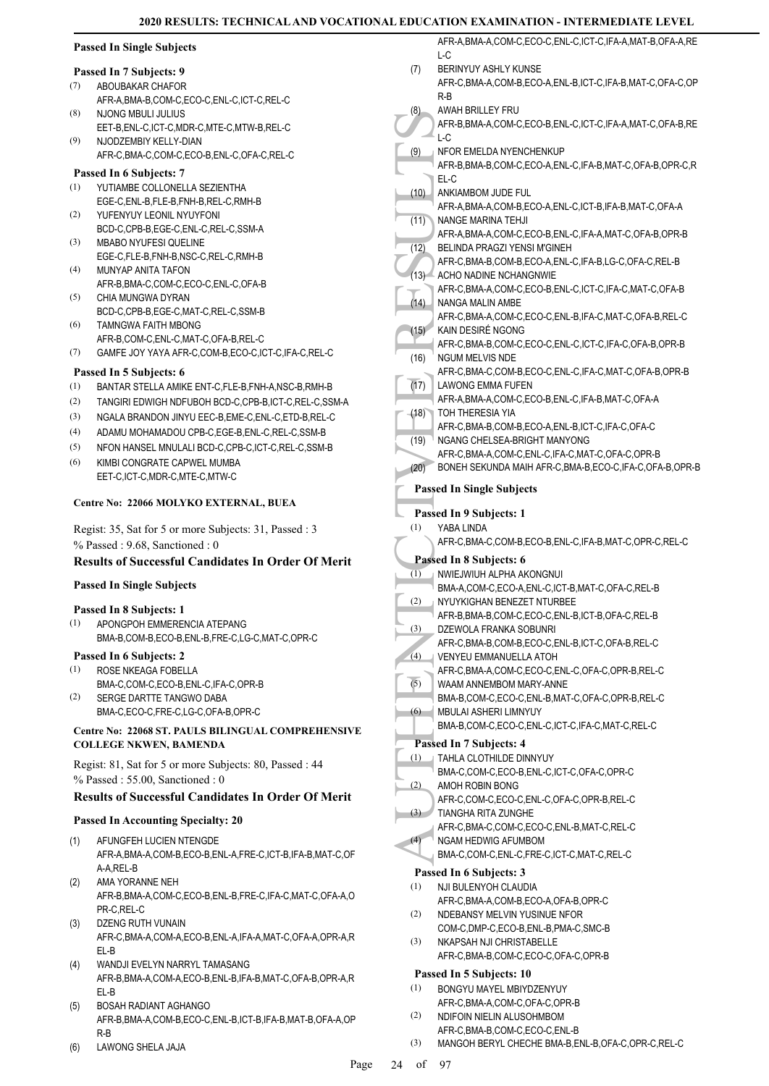| <b>Passed In Single Subjects</b> |  |  |
|----------------------------------|--|--|
|----------------------------------|--|--|

#### **Passed In 7 Subjects: 9**

- ABOUBAKAR CHAFOR AFR-A,BMA-B,COM-C,ECO-C,ENL-C,ICT-C,REL-C (7)
- NJONG MBULI JULIUS EET-B,ENL-C,ICT-C,MDR-C,MTE-C,MTW-B,REL-C (8)
- NJODZEMBIY KELLY-DIAN AFR-C,BMA-C,COM-C,ECO-B,ENL-C,OFA-C,REL-C (9)

#### **Passed In 6 Subjects: 7**

- YUTIAMBE COLLONELLA SEZIENTHA EGE-C,ENL-B,FLE-B,FNH-B,REL-C,RMH-B (1)
- YUFENYUY LEONIL NYUYFONI BCD-C,CPB-B,EGE-C,ENL-C,REL-C,SSM-A (2) MBABO NYUFESI QUELINE (3)
- EGE-C,FLE-B,FNH-B,NSC-C,REL-C,RMH-B MUNYAP ANITA TAFON (4)
- AFR-B,BMA-C,COM-C,ECO-C,ENL-C,OFA-B (5)
- CHIA MUNGWA DYRAN BCD-C,CPB-B,EGE-C,MAT-C,REL-C,SSM-B
- TAMNGWA FAITH MBONG AFR-B,COM-C,ENL-C,MAT-C,OFA-B,REL-C (6)
- (7) GAMFE JOY YAYA AFR-C,COM-B,ECO-C,ICT-C,IFA-C,REL-C

### **Passed In 5 Subjects: 6**

- (1) BANTAR STELLA AMIKE ENT-C,FLE-B,FNH-A,NSC-B,RMH-B
- (2) TANGIRI EDWIGH NDFUBOH BCD-C,CPB-B,ICT-C,REL-C,SSM-A
- (3) NGALA BRANDON JINYU EEC-B,EME-C,ENL-C,ETD-B,REL-C
- (4) ADAMU MOHAMADOU CPB-C,EGE-B,ENL-C,REL-C,SSM-B
- (5) NFON HANSEL MNULALI BCD-C,CPB-C,ICT-C,REL-C,SSM-B
- KIMBI CONGRATE CAPWEL MUMBA EET-C,ICT-C,MDR-C,MTE-C,MTW-C (6)

#### **Centre No: 22066 MOLYKO EXTERNAL, BUEA**

Regist: 35, Sat for 5 or more Subjects: 31, Passed : 3 % Passed : 9.68, Sanctioned : 0

### **Results of Successful Candidates In Order Of Merit**

**Passed In Single Subjects**

## **Passed In 8 Subjects: 1**

APONGPOH EMMERENCIA ATEPANG BMA-B,COM-B,ECO-B,ENL-B,FRE-C,LG-C,MAT-C,OPR-C (1)

#### **Passed In 6 Subjects: 2**

- ROSE NKEAGA FOBELLA (1)
- BMA-C,COM-C,ECO-B,ENL-C,IFA-C,OPR-B SERGE DARTTE TANGWO DABA (2)
- BMA-C,ECO-C,FRE-C,LG-C,OFA-B,OPR-C

#### **Centre No: 22068 ST. PAULS BILINGUAL COMPREHENSIVE COLLEGE NKWEN, BAMENDA**

Regist: 81, Sat for 5 or more Subjects: 80, Passed : 44 % Passed : 55.00, Sanctioned : 0

### **Results of Successful Candidates In Order Of Merit**

### **Passed In Accounting Specialty: 20**

- AFUNGFEH LUCIEN NTENGDE AFR-A,BMA-A,COM-B,ECO-B,ENL-A,FRE-C,ICT-B,IFA-B,MAT-C,OF A-A,REL-B (1)
- AMA YORANNE NEH AFR-B,BMA-A,COM-C,ECO-B,ENL-B,FRE-C,IFA-C,MAT-C,OFA-A,O PR-C,REL-C (2)
- DZENG RUTH VUNAIN AFR-C,BMA-A,COM-A,ECO-B,ENL-A,IFA-A,MAT-C,OFA-A,OPR-A,R EL-B (3)
- WANDJI EVELYN NARRYL TAMASANG AFR-B,BMA-A,COM-A,ECO-B,ENL-B,IFA-B,MAT-C,OFA-B,OPR-A,R EL-B (4)
- BOSAH RADIANT AGHANGO AFR-B,BMA-A,COM-B,ECO-C,ENL-B,ICT-B,IFA-B,MAT-B,OFA-A,OP R-B (5)
- (6) LAWONG SHELA JAJA

(9) AFR-B, UCC (10) AFR-B, UCC (10) AFR-B, UCC (10) AFR-B, UCC (10) AFR-A, NANGE (11) AFR-A, NANGE AFR-A, NANGE AFR-A, NANGE AFR-C, ACHO I AFR-C, ACHO I AFR-C, UCC AFR-C, UCC AFR-C, UCC AFR-C, UCC AFR-C, UCC AFR-C, UCC AFR AFR-A,BMA-A,COM-C,ECO-C,ENL-C,ICT-C,IFA-A,MAT-B,OFA-A,RE  $L_{\rm C}$ BERINYUY ASHLY KUNSE AFR-C,BMA-A,COM-B,ECO-A,ENL-B,ICT-C,IFA-B,MAT-C,OFA-C,OP R-B (7) AWAH BRILLEY FRU AFR-B,BMA-A,COM-C,ECO-B,ENL-C,ICT-C,IFA-A,MAT-C,OFA-B,RE  $L-C$ (8) NFOR EMELDA NYENCHENKUP AFR-B,BMA-B,COM-C,ECO-A,ENL-C,IFA-B,MAT-C,OFA-B,OPR-C,R EL-C (9) ANKIAMBOM JUDE FUL AFR-A,BMA-A,COM-B,ECO-A,ENL-C,ICT-B,IFA-B,MAT-C,OFA-A (10) NANGE MARINA TEHJI AFR-A,BMA-A,COM-C,ECO-B,ENL-C,IFA-A,MAT-C,OFA-B,OPR-B  $(11)$ BELINDA PRAGZI YENSI M'GINEH AFR-C,BMA-B,COM-B,ECO-A,ENL-C,IFA-B,LG-C,OFA-C,REL-B  $(12)$ (13) ACHO NADINE NCHANGNWIE AFR-C,BMA-A,COM-C,ECO-B,ENL-C,ICT-C,IFA-C,MAT-C,OFA-B NANGA MALIN AMBE AFR-C,BMA-A,COM-C,ECO-C,ENL-B,IFA-C,MAT-C,OFA-B,REL-C (14) KAIN DESIRÉ NGONG AFR-C,BMA-B,COM-C,ECO-C,ENL-C,ICT-C,IFA-C,OFA-B,OPR-B (15) NGUM MELVIS NDE AFR-C,BMA-C,COM-B,ECO-C,ENL-C,IFA-C,MAT-C,OFA-B,OPR-B (16) LAWONG EMMA FUFEN AFR-A,BMA-A,COM-C,ECO-B,ENL-C,IFA-B,MAT-C,OFA-A  $(17)$ TOH THERESIA YIA AFR-C,BMA-B,COM-B,ECO-A,ENL-B,ICT-C,IFA-C,OFA-C  $(18)$ **NGANG CHELSEA-BRIGHT MANYONG** AFR-C,BMA-A,COM-C,ENL-C,IFA-C,MAT-C,OFA-C,OPR-B (19) (20) BONEH SEKUNDA MAIH AFR-C,BMA-B,ECO-C,IFA-C,OFA-B,OPR-B **Passed In Single Subjects Passed In 9 Subjects: 1** YARA LINDA AFR-C,BMA-C,COM-B,ECO-B,ENL-C,IFA-B,MAT-C,OPR-C,REL-C (1) **Passed In 8 Subjects: 6** NWIEJWIUH ALPHA AKONGNUI BMA-A,COM-C,ECO-A,ENL-C,ICT-B,MAT-C,OFA-C,REL-B (1) NYUYKIGHAN BENEZET NTURBEE AFR-B,BMA-B,COM-C,ECO-C,ENL-B,ICT-B,OFA-C,REL-B (2) DZEWOLA FRANKA SOBUNRI AFR-C,BMA-B,COM-B,ECO-C,ENL-B,ICT-C,OFA-B,REL-C (3) VENYEU EMMANUELLA ATOH AFR-C,BMA-A,COM-C,ECO-C,ENL-C,OFA-C,OPR-B,REL-C (4) WAAM ANNEMBOM MARY-ANNE BMA-B,COM-C,ECO-C,ENL-B,MAT-C,OFA-C,OPR-B,REL-C (5) MBULAI ASHERI LIMNYUY BMA-B,COM-C,ECO-C,ENL-C,ICT-C,IFA-C,MAT-C,REL-C  $(6)$ **Passed In 7 Subjects: 4** TAHLA CLOTHILDE DINNYUY BMA-C,COM-C,ECO-B,ENL-C,ICT-C,OFA-C,OPR-C (1) AMOH ROBIN BONG AFR-C,COM-C,ECO-C,ENL-C,OFA-C,OPR-B,REL-C (2) TIANGHA RITA ZUNGHE AFR-C,BMA-C,COM-C,ECO-C,ENL-B,MAT-C,REL-C (3) NGAM HEDWIG AFUMBOM BMA-C,COM-C,ENL-C,FRE-C,ICT-C,MAT-C,REL-C (4) **Passed In 6 Subjects: 3** NJI BULENYOH CLAUDIA AFR-C,BMA-A,COM-B,ECO-A,OFA-B,OPR-C (1) NDEBANSY MELVIN YUSINUE NFOR COM-C,DMP-C,ECO-B,ENL-B,PMA-C,SMC-B (2) NKAPSAH NJI CHRISTABELLE AFR-C,BMA-B,COM-C,ECO-C,OFA-C,OPR-B (3)

### **Passed In 5 Subjects: 10**

- BONGYU MAYEL MBIYDZENYUY AFR-C,BMA-A,COM-C,OFA-C,OPR-B (1)
- NDIFOIN NIELIN ALUSOHMBOM AFR-C,BMA-B,COM-C,ECO-C,ENL-B (2)
- (3) MANGOH BERYL CHECHE BMA-B,ENL-B,OFA-C,OPR-C,REL-C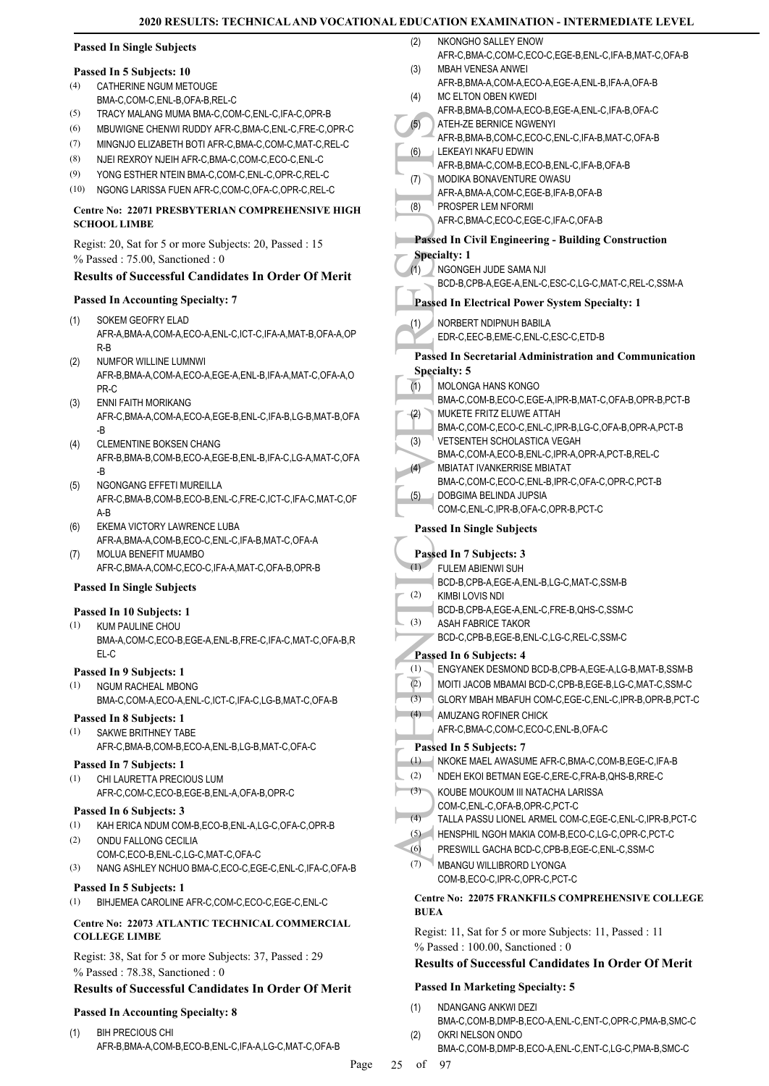NKONGHO SALLEY ENOW

### **Passed In Single Subjects**

### **Passed In 5 Subjects: 10**

- CATHERINE NGUM METOUGE BMA-C,COM-C,ENL-B,OFA-B,REL-C (4)
- (5) TRACY MALANG MUMA BMA-C,COM-C,ENL-C,IFA-C,OPR-B
- (6) MBUWIGNE CHENWI RUDDY AFR-C,BMA-C,ENL-C,FRE-C,OPR-C
- (7) MINGNJO ELIZABETH BOTI AFR-C,BMA-C,COM-C,MAT-C,REL-C
- (8) NJEI REXROY NJEIH AFR-C,BMA-C,COM-C,ECO-C,ENL-C
- (9) YONG ESTHER NTEIN BMA-C,COM-C,ENL-C,OPR-C,REL-C
- (10) NGONG LARISSA FUEN AFR-C,COM-C,OFA-C,OPR-C,REL-C

### **Centre No: 22071 PRESBYTERIAN COMPREHENSIVE HIGH SCHOOL LIMBE**

Regist: 20, Sat for 5 or more Subjects: 20, Passed : 15 % Passed : 75.00, Sanctioned : 0

### **Results of Successful Candidates In Order Of Merit**

### **Passed In Accounting Specialty: 7**

- SOKEM GEOFRY ELAD AFR-A,BMA-A,COM-A,ECO-A,ENL-C,ICT-C,IFA-A,MAT-B,OFA-A,OP R-B (1)
- NUMFOR WILLINE LUMNWI AFR-B,BMA-A,COM-A,ECO-A,EGE-A,ENL-B,IFA-A,MAT-C,OFA-A,O PR-C (2)
- ENNI FAITH MORIKANG AFR-C,BMA-A,COM-A,ECO-A,EGE-B,ENL-C,IFA-B,LG-B,MAT-B,OFA -B (3)
- CLEMENTINE BOKSEN CHANG AFR-B,BMA-B,COM-B,ECO-A,EGE-B,ENL-B,IFA-C,LG-A,MAT-C,OFA -B (4)
- NGONGANG EFFETI MUREILLA AFR-C,BMA-B,COM-B,ECO-B,ENL-C,FRE-C,ICT-C,IFA-C,MAT-C,OF A-B (5)
- EKEMA VICTORY LAWRENCE LUBA AFR-A,BMA-A,COM-B,ECO-C,ENL-C,IFA-B,MAT-C,OFA-A (6) MOLUA BENEFIT MUAMBO (7)
	- AFR-C,BMA-A,COM-C,ECO-C,IFA-A,MAT-C,OFA-B,OPR-B

### **Passed In Single Subjects**

### **Passed In 10 Subjects: 1**

KUM PAULINE CHOU BMA-A,COM-C,ECO-B,EGE-A,ENL-B,FRE-C,IFA-C,MAT-C,OFA-B,R EL-C (1)

### **Passed In 9 Subjects: 1**

NGUM RACHEAL MBONG BMA-C,COM-A,ECO-A,ENL-C,ICT-C,IFA-C,LG-B,MAT-C,OFA-B (1)

## **Passed In 8 Subjects: 1**

- SAKWE BRITHNEY TABE (1)
- AFR-C,BMA-B,COM-B,ECO-A,ENL-B,LG-B,MAT-C,OFA-C

## **Passed In 7 Subjects: 1**

CHI LAURETTA PRECIOUS LUM AFR-C,COM-C,ECO-B,EGE-B,ENL-A,OFA-B,OPR-C (1)

#### **Passed In 6 Subjects: 3**

- (1) KAH ERICA NDUM COM-B,ECO-B,ENL-A,LG-C,OFA-C,OPR-B
- ONDU FALLONG CECILIA (2)
- COM-C,ECO-B,ENL-C,LG-C,MAT-C,OFA-C
- (3) NANG ASHLEY NCHUO BMA-C,ECO-C,EGE-C,ENL-C,IFA-C,OFA-B

### **Passed In 5 Subjects: 1**

(1) BIHJEMEA CAROLINE AFR-C,COM-C,ECO-C,EGE-C,ENL-C

### **Centre No: 22073 ATLANTIC TECHNICAL COMMERCIAL COLLEGE LIMBE**

Regist: 38, Sat for 5 or more Subjects: 37, Passed : 29 % Passed : 78.38, Sanctioned : 0

### **Results of Successful Candidates In Order Of Merit**

### **Passed In Accounting Specialty: 8**

BIH PRECIOUS CHI AFR-B,BMA-A,COM-B,ECO-B,ENL-C,IFA-A,LG-C,MAT-C,OFA-B (1)

| (2)         | NKONGHO SALLEY ENOW                                                                         |
|-------------|---------------------------------------------------------------------------------------------|
|             | AFR-C, BMA-C, COM-C, ECO-C, EGE-B, ENL-C, IFA-B, MAT-C, OFA-B                               |
| (3)         | MBAH VENESA ANWEI<br>AFR-B, BMA-A, COM-A, ECO-A, EGE-A, ENL-B, IFA-A, OFA-B                 |
| (4)         | MC ELTON OBEN KWEDI                                                                         |
|             | AFR-B, BMA-B, COM-A, ECO-B, EGE-A, ENL-C, IFA-B, OFA-C                                      |
| (5)         | ATEH-ZE BERNICE NGWENYI                                                                     |
|             | AFR-B, BMA-B, COM-C, ECO-C, ENL-C, IFA-B, MAT-C, OFA-B                                      |
| (6)         | LEKEAYI NKAFU EDWIN                                                                         |
|             | AFR-B, BMA-C, COM-B, ECO-B, ENL-C, IFA-B, OFA-B                                             |
| (7)         | MODIKA BONAVENTURE OWASU                                                                    |
| (8)         | AFR-A, BMA-A, COM-C, EGE-B, IFA-B, OFA-B<br>PROSPER LEM NFORMI                              |
|             | AFR-C, BMA-C, ECO-C, EGE-C, IFA-C, OFA-B                                                    |
|             |                                                                                             |
|             | <b>Passed In Civil Engineering - Building Construction</b><br><b>Specialty: 1</b>           |
| (1)         | NGONGEH JUDE SAMA NJI                                                                       |
|             | BCD-B,CPB-A,EGE-A,ENL-C,ESC-C,LG-C,MAT-C,REL-C,SSM-A                                        |
|             | <b>Passed In Electrical Power System Specialty: 1</b>                                       |
|             |                                                                                             |
| (1)         | NORBERT NDIPNUH BABILA                                                                      |
|             | EDR-C, EEC-B, EME-C, ENL-C, ESC-C, ETD-B                                                    |
|             | Passed In Secretarial Administration and Communication                                      |
|             | <b>Specialty: 5</b>                                                                         |
| (1)         | MOLONGA HANS KONGO                                                                          |
|             | BMA-C,COM-B,ECO-C,EGE-A,IPR-B,MAT-C,OFA-B,OPR-B,PCT-B                                       |
| (2)         | MUKETE FRITZ ELUWE ATTAH<br>BMA-C,COM-C,ECO-C,ENL-C,IPR-B,LG-C,OFA-B,OPR-A,PCT-B            |
| (3)         | VETSENTEH SCHOLASTICA VEGAH                                                                 |
|             | BMA-C,COM-A,ECO-B,ENL-C,IPR-A,OPR-A,PCT-B,REL-C                                             |
| (4)         | <b>MBIATAT IVANKERRISE MBIATAT</b>                                                          |
|             | BMA-C,COM-C,ECO-C,ENL-B,IPR-C,OFA-C,OPR-C,PCT-B                                             |
| (5)         | DOBGIMA BELINDA JUPSIA                                                                      |
|             | COM-C, ENL-C, IPR-B, OFA-C, OPR-B, PCT-C                                                    |
|             | <b>Passed In Single Subjects</b>                                                            |
|             |                                                                                             |
| (1)         | Passed In 7 Subjects: 3                                                                     |
|             | <b>FULEM ABIENWI SUH</b><br>BCD-B,CPB-A,EGE-A,ENL-B,LG-C,MAT-C,SSM-B                        |
| (2)         | <b>KIMBI LOVIS NDI</b>                                                                      |
|             | BCD-B,CPB-A,EGE-A,ENL-C,FRE-B,QHS-C,SSM-C                                                   |
| (3)         | ASAH FABRICE TAKOR                                                                          |
|             | BCD-C,CPB-B,EGE-B,ENL-C,LG-C,REL-C,SSM-C                                                    |
|             | Passed In 6 Subjects: 4                                                                     |
| (1)         | ENGYANEK DESMOND BCD-B,CPB-A,EGE-A,LG-B,MAT-B,SSM-B                                         |
| (2)         | MOITI JACOB MBAMAI BCD-C,CPB-B,EGE-B,LG-C,MAT-C,SSM-C                                       |
| (3)         | GLORY MBAH MBAFUH COM-C, EGE-C, ENL-C, IPR-B, OPR-B, PCT-C                                  |
| (4)         | AMUZANG ROFINER CHICK                                                                       |
|             | AFR-C,BMA-C,COM-C,ECO-C,ENL-B,OFA-C                                                         |
|             | Passed In 5 Subjects: 7                                                                     |
| (1)         | NKOKE MAEL AWASUME AFR-C, BMA-C, COM-B, EGE-C, IFA-B                                        |
| (2)         | NDEH EKOI BETMAN EGE-C, ERE-C, FRA-B, QHS-B, RRE-C                                          |
| (3)         | KOUBE MOUKOUM III NATACHA LARISSA                                                           |
| (4)         | COM-C,ENL-C,OFA-B,OPR-C,PCT-C<br>TALLA PASSU LIONEL ARMEL COM-C, EGE-C, ENL-C, IPR-B, PCT-C |
| (5)         | HENSPHIL NGOH MAKIA COM-B,ECO-C,LG-C,OPR-C,PCT-C                                            |
| (6)         | PRESWILL GACHA BCD-C,CPB-B,EGE-C,ENL-C,SSM-C                                                |
| (7)         | <b>MBANGU WILLIBRORD LYONGA</b>                                                             |
|             | COM-B,ECO-C,IPR-C,OPR-C,PCT-C                                                               |
|             | <b>Centre No: 22075 FRANKFILS COMPREHENSIVE COLLEGE</b>                                     |
| <b>BUEA</b> |                                                                                             |
|             |                                                                                             |
|             | Regist: 11, Sat for 5 or more Subjects: 11, Passed : 11                                     |
|             | % Passed: 100.00, Sanctioned: 0                                                             |

### **Results of Successful Candidates In Order Of Merit**

### **Passed In Marketing Specialty: 5**

- NDANGANG ANKWI DEZI (1)
- BMA-C,COM-B,DMP-B,ECO-A,ENL-C,ENT-C,OPR-C,PMA-B,SMC-C OKRI NELSON ONDO (2)
	- BMA-C,COM-B,DMP-B,ECO-A,ENL-C,ENT-C,LG-C,PMA-B,SMC-C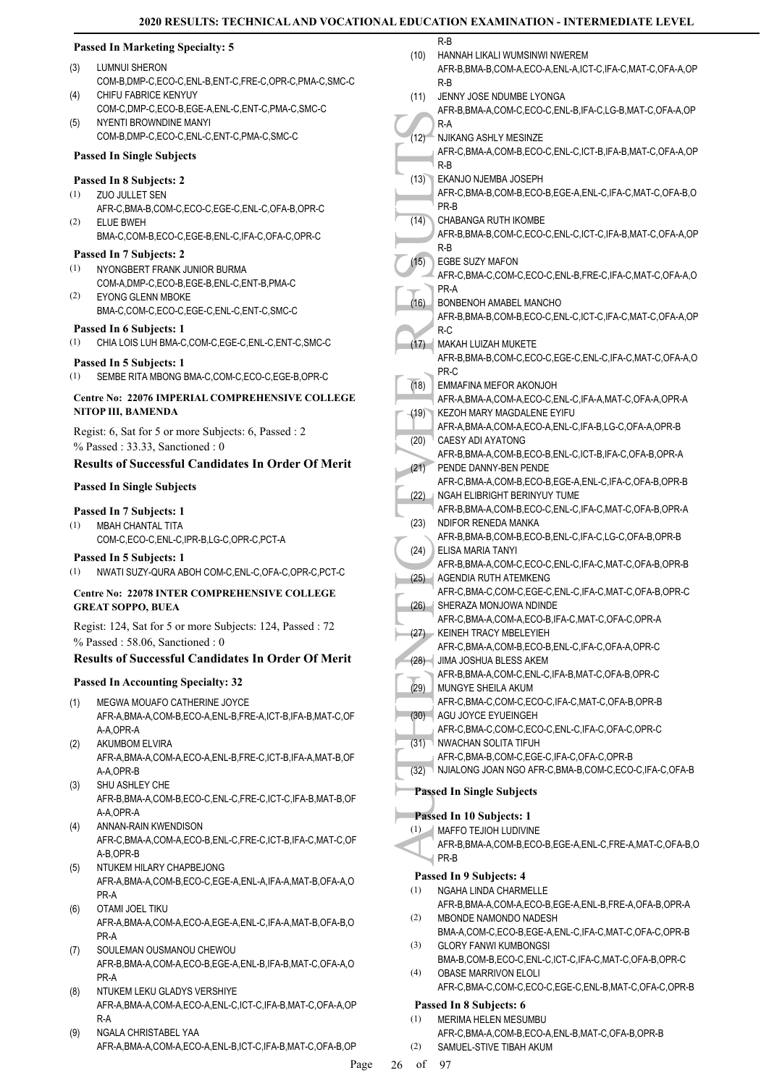#### (12) R-A NJIKAN<br>
(12) R-A NJIKAN<br>
R-B EKANJI<br>
R-B EKANJI<br>
R-B EKANJI<br>
PR-B EKANJI<br>
PR-B CHABA<br>
AFR-C, PR-B CHABA<br>
AFR-C, PR-A BONBE<br>
AFR-C, PR-A BONBE<br>
AFR-C, PR-A BONBE<br>
AFR-B, PR-C MAKAH<br>
AFR-B, PR-C MAKAH<br>
AFR-B, PR-C M **Passed In Marketing Specialty: 5** LUMNUI SHERON COM-B,DMP-C,ECO-C,ENL-B,ENT-C,FRE-C,OPR-C,PMA-C,SMC-C (3) CHIFU FABRICE KENYUY COM-C,DMP-C,ECO-B,EGE-A,ENL-C,ENT-C,PMA-C,SMC-C  $(4)$ NYENTI BROWNDINE MANYI COM-B,DMP-C,ECO-C,ENL-C,ENT-C,PMA-C,SMC-C (5) **Passed In Single Subjects Passed In 8 Subjects: 2** ZUO JULLET SEN AFR-C,BMA-B,COM-C,ECO-C,EGE-C,ENL-C,OFA-B,OPR-C (1) ELUE BWEH BMA-C,COM-B,ECO-C,EGE-B,ENL-C,IFA-C,OFA-C,OPR-C (2) **Passed In 7 Subjects: 2** NYONGBERT FRANK JUNIOR BURMA COM-A,DMP-C,ECO-B,EGE-B,ENL-C,ENT-B,PMA-C (1) EYONG GLENN MBOKE BMA-C,COM-C,ECO-C,EGE-C,ENL-C,ENT-C,SMC-C (2) **Passed In 6 Subjects: 1** (1) CHIA LOIS LUH BMA-C,COM-C,EGE-C,ENL-C,ENT-C,SMC-C **Passed In 5 Subjects: 1** (1) SEMBE RITA MBONG BMA-C,COM-C,ECO-C,EGE-B,OPR-C **Centre No: 22076 IMPERIAL COMPREHENSIVE COLLEGE NITOP III, BAMENDA**  Regist: 6, Sat for 5 or more Subjects: 6, Passed : 2 % Passed : 33.33, Sanctioned : 0 **Results of Successful Candidates In Order Of Merit Passed In Single Subjects Passed In 7 Subjects: 1** MBAH CHANTAL TITA COM-C,ECO-C,ENL-C,IPR-B,LG-C,OPR-C,PCT-A (1) **Passed In 5 Subjects: 1** (1) NWATI SUZY-QURA ABOH COM-C,ENL-C,OFA-C,OPR-C,PCT-C **Centre No: 22078 INTER COMPREHENSIVE COLLEGE GREAT SOPPO, BUEA**  Regist: 124, Sat for 5 or more Subjects: 124, Passed : 72 % Passed : 58.06, Sanctioned : 0 **Results of Successful Candidates In Order Of Merit Passed In Accounting Specialty: 32** MEGWA MOUAFO CATHERINE JOYCE AFR-A,BMA-A,COM-B,ECO-A,ENL-B,FRE-A,ICT-B,IFA-B,MAT-C,OF A-A,OPR-A (1) AKUMBOM ELVIRA AFR-A,BMA-A,COM-A,ECO-A,ENL-B,FRE-C,ICT-B,IFA-A,MAT-B,OF A-A,OPR-B (2) SHU ASHLEY CHE AFR-B,BMA-A,COM-B,ECO-C,ENL-C,FRE-C,ICT-C,IFA-B,MAT-B,OF A-A,OPR-A (3) ANNAN-RAIN KWENDISON AFR-C,BMA-A,COM-A,ECO-B,ENL-C,FRE-C,ICT-B,IFA-C,MAT-C,OF A-B,OPR-B (4) NTUKEM HILARY CHAPBEJONG AFR-A,BMA-A,COM-B,ECO-C,EGE-A,ENL-A,IFA-A,MAT-B,OFA-A,O PR-A (5) OTAMI JOEL TIKU AFR-A,BMA-A,COM-A,ECO-A,EGE-A,ENL-C,IFA-A,MAT-B,OFA-B,O PR-A (6) (7) SOULEMAN OUSMANOU CHEWOU AFR-B,BMA-A,COM-A,ECO-B,EGE-A,ENL-B,IFA-B,MAT-C,OFA-A,O PR-A NTUKEM LEKU GLADYS VERSHIYE AFR-A,BMA-A,COM-A,ECO-A,ENL-C,ICT-C,IFA-B,MAT-C,OFA-A,OP (8)  $\overline{\phantom{a}}$ R-B (10) JENNY JOSE NDUMBE LYONGA R-A (11) NJIKANG ASHLY MESINZE R-B (12) EKANJO NJEMBA JOSEPH PR-B (13) CHABANGA RUTH IKOMBE R-B (14) EGBE SUZY MAFON PR-A (15) BONBENOH AMABEL MANCHO R-C (16) MAKAH LUIZAH MUKETE PR-C (17) EMMAFINA MEFOR AKONJOH (18) (19) CAESY ADI AYATONG (20) PENDE DANNY-BEN PENDE (21) (22) NDIFOR RENEDA MANKA (23) ELISA MARIA TANYI (24) AGENDIA RUTH ATEMKENG (25) SHERAZA MONJOWA NDINDE (26) KEINEH TRACY MBELEYIEH (27) JIMA JOSHUA BLESS AKEM (28) MUNGYE SHEILA AKUM (29) AGU JOYCE EYUEINGEH (30) NWACHAN SOLITA TIFUH (31) **Passed In Single Subjects Passed In 10 Subjects: 1** MAFFO TEJIOH LUDIVINE PR-B (1) **Passed In 9 Subjects: 4** NGAHA LINDA CHARMELLE (1) MBONDE NAMONDO NADESH (2) GLORY FANWI KUMBONGSI (3) OBASE MARRIVON ELOLI (4) **Passed In 8 Subjects: 6**

R-A NGALA CHRISTABEL YAA AFR-A,BMA-A,COM-A,ECO-A,ENL-B,ICT-C,IFA-B,MAT-C,OFA-B,OP (9)

| (10) | HANNAH LIKALI WUMSINWI NWEREM<br>AFR-B, BMA-B, COM-A, ECO-A, ENL-A, ICT-C, IFA-C, MAT-C, OFA-A, OP<br>R-B |
|------|-----------------------------------------------------------------------------------------------------------|
| (11) | JENNY JOSE NDUMBE LYONGA<br>AFR-B, BMA-A, COM-C, ECO-C, ENL-B, IFA-C, LG-B, MAT-C, OFA-A, OP<br>R-A       |
| (12) | NJIKANG ASHLY MESINZE                                                                                     |
|      | AFR-C, BMA-A, COM-B, ECO-C, ENL-C, ICT-B, IFA-B, MAT-C, OFA-A, OP<br>R-B                                  |
| (13) | EKANJO NJEMBA JOSEPH                                                                                      |
|      | AFR-C, BMA-B, COM-B, ECO-B, EGE-A, ENL-C, IFA-C, MAT-C, OFA-B, O<br>PR-B                                  |
| (14) | CHABANGA RUTH IKOMBE<br>AFR-B, BMA-B, COM-C, ECO-C, ENL-C, ICT-C, IFA-B, MAT-C, OFA-A, OP<br>$R-B$        |
| (15) | <b>EGBE SUZY MAFON</b><br>AFR-C,BMA-C,COM-C,ECO-C,ENL-B,FRE-C,IFA-C,MAT-C,OFA-A,O<br>PR-A                 |
| (16) | BONBENOH AMABEL MANCHO                                                                                    |
|      | AFR-B, BMA-B, COM-B, ECO-C, ENL-C, ICT-C, IFA-C, MAT-C, OFA-A, OP                                         |
|      | $R-C$                                                                                                     |
| (17) | MAKAH LUIZAH MUKETE                                                                                       |
|      | AFR-B,BMA-B,COM-C,ECO-C,EGE-C,ENL-C,IFA-C,MAT-C,OFA-A,O<br>PR-C                                           |
| (18) | EMMAFINA MEFOR AKONJOH                                                                                    |
|      | AFR-A, BMA-A, COM-A, ECO-C, ENL-C, IFA-A, MAT-C, OFA-A, OPR-A<br>KEZOH MARY MAGDALENE EYIFU               |
| (19) | AFR-A, BMA-A, COM-A, ECO-A, ENL-C, IFA-B, LG-C, OFA-A, OPR-B                                              |
| (20) | CAESY ADI AYATONG                                                                                         |
|      | AFR-B, BMA-A, COM-B, ECO-B, ENL-C, ICT-B, IFA-C, OFA-B, OPR-A                                             |
| (21) | PENDE DANNY-BEN PENDE                                                                                     |
|      | AFR-C,BMA-A,COM-B,ECO-B,EGE-A,ENL-C,IFA-C,OFA-B,OPR-B                                                     |
| (22) | NGAH ELIBRIGHT BERINYUY TUME                                                                              |
| (23) | AFR-B, BMA-A, COM-B, ECO-C, ENL-C, IFA-C, MAT-C, OFA-B, OPR-A<br>NDIFOR RENEDA MANKA                      |
|      | AFR-B, BMA-B, COM-B, ECO-B, ENL-C, IFA-C, LG-C, OFA-B, OPR-B                                              |
| (24) | ELISA MARIA TANYI                                                                                         |
|      | AFR-B, BMA-A, COM-C, ECO-C, ENL-C, IFA-C, MAT-C, OFA-B, OPR-B                                             |
| (25) | AGENDIA RUTH ATEMKENG                                                                                     |
|      | AFR-C,BMA-C,COM-C,EGE-C,ENL-C,IFA-C,MAT-C,OFA-B,OPR-C                                                     |
| (26) | SHERAZA MONJOWA NDINDE                                                                                    |
|      | AFR-C,BMA-A,COM-A,ECO-B,IFA-C,MAT-C,OFA-C,OPR-A<br>(27) KEINEH TRACY MBELEYIEH                            |
|      | AFR-C,BMA-A,COM-B,ECO-B,ENL-C,IFA-C,OFA-A,OPR-C                                                           |
| (28) | JIMA JOSHUA BLESS AKEM                                                                                    |
|      | AFR-B, BMA-A, COM-C, ENL-C, IFA-B, MAT-C, OFA-B, OPR-C                                                    |
| (29) | MUNGYE SHEILA AKUM                                                                                        |
| (30) | AFR-C, BMA-C, COM-C, ECO-C, IFA-C, MAT-C, OFA-B, OPR-B<br>AGU JOYCE EYUEINGEH                             |
|      | AFR-C,BMA-C,COM-C,ECO-C,ENL-C,IFA-C,OFA-C,OPR-C                                                           |
| (31) | NWACHAN SOLITA TIFUH                                                                                      |
|      | AFR-C, BMA-B, COM-C, EGE-C, IFA-C, OFA-C, OPR-B                                                           |
| (32) | NJIALONG JOAN NGO AFR-C, BMA-B, COM-C, ECO-C, IFA-C, OFA-B                                                |
|      | <b>Passed In Single Subjects</b>                                                                          |
|      | Passed In 10 Subjects: 1                                                                                  |
| (1)  | MAFFO TEJIOH LUDIVINE                                                                                     |
|      | AFR-B, BMA-A, COM-B, ECO-B, EGE-A, ENL-C, FRE-A, MAT-C, OFA-B, O<br>PR-B                                  |
|      | Passed In 9 Subjects: 4                                                                                   |
| (1)  | NGAHA LINDA CHARMELLE                                                                                     |
|      | AFR-B, BMA-A, COM-A, ECO-B, EGE-A, ENL-B, FRE-A, OFA-B, OPR-A                                             |
| (2)  | MBONDE NAMONDO NADESH                                                                                     |
|      | BMA-A,COM-C,ECO-B,EGE-A,ENL-C,IFA-C,MAT-C,OFA-C,OPR-B                                                     |
| (3)  | <b>GLORY FANWI KUMBONGSI</b>                                                                              |
| (4)  | BMA-B,COM-B,ECO-C,ENL-C,ICT-C,IFA-C,MAT-C,OFA-B,OPR-C<br><b>OBASE MARRIVON ELOLI</b>                      |
|      | AFR-C,BMA-C,COM-C,ECO-C,EGE-C,ENL-B,MAT-C,OFA-C,OPR-B                                                     |
|      |                                                                                                           |
|      | Passed In 8 Subjects: 6                                                                                   |

(1)

MERIMA HELEN MESUMBU

SAMUEL-STIVE TIBAH AKUM (2)

AFR-C,BMA-A,COM-B,ECO-A,ENL-B,MAT-C,OFA-B,OPR-B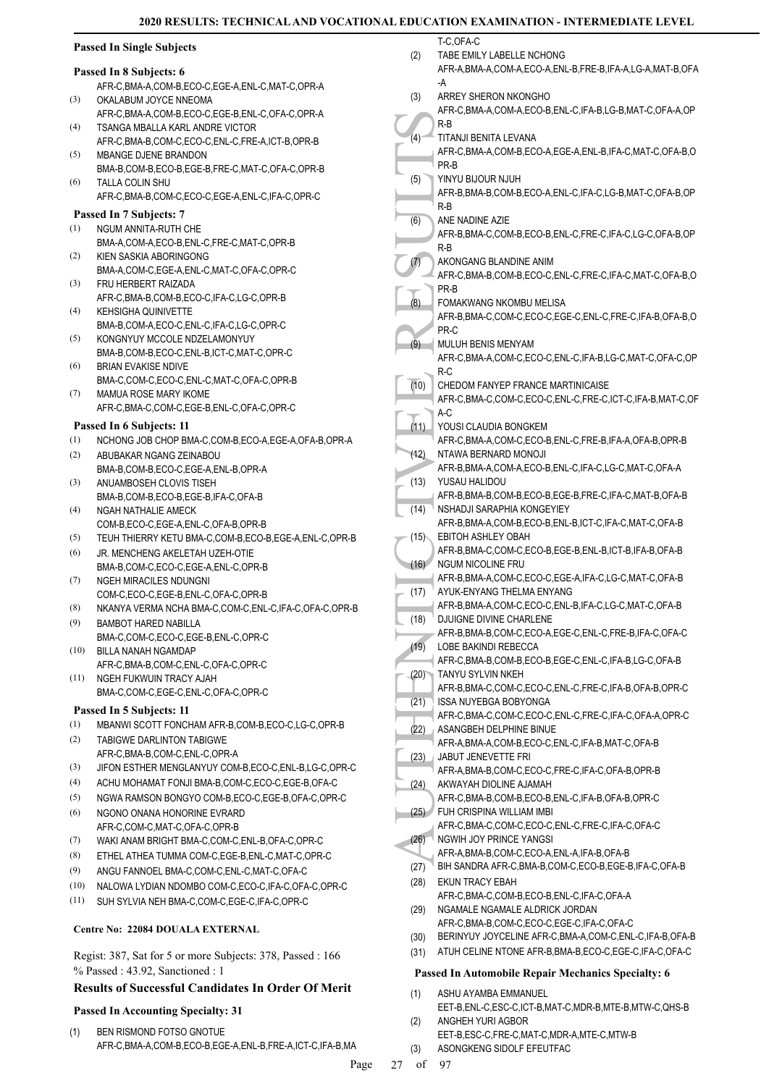T-C,OFA-C

### **Passed In Single Subjects**

#### **Passed In 8 Subjects: 6**

- AFR-C,BMA-A,COM-B,ECO-C,EGE-A,ENL-C,MAT-C,OPR-A OKALABUM JOYCE NNEOMA (3)
- AFR-C,BMA-A,COM-B,ECO-C,EGE-B,ENL-C,OFA-C,OPR-A TSANGA MBALLA KARL ANDRE VICTOR  $(4)$
- AFR-C,BMA-B,COM-C,ECO-C,ENL-C,FRE-A,ICT-B,OPR-B MBANGE DJENE BRANDON (5)
- BMA-B,COM-B,ECO-B,EGE-B,FRE-C,MAT-C,OFA-C,OPR-B TALLA COLIN SHU (6)
- AFR-C,BMA-B,COM-C,ECO-C,EGE-A,ENL-C,IFA-C,OPR-C

### **Passed In 7 Subjects: 7**

- NGUM ANNITA-RUTH CHE BMA-A,COM-A,ECO-B,ENL-C,FRE-C,MAT-C,OPR-B (1) KIEN SASKIA ABORINGONG (2)
- BMA-A,COM-C,EGE-A,ENL-C,MAT-C,OFA-C,OPR-C FRU HERBERT RAIZADA (3)
- AFR-C,BMA-B,COM-B,ECO-C,IFA-C,LG-C,OPR-B KEHSIGHA QUINIVETTE (4)
- BMA-B,COM-A,ECO-C,ENL-C,IFA-C,LG-C,OPR-C KONGNYUY MCCOLE NDZELAMONYUY (5)
- BMA-B,COM-B,ECO-C,ENL-B,ICT-C,MAT-C,OPR-C BRIAN EVAKISE NDIVE (6)
- BMA-C,COM-C,ECO-C,ENL-C,MAT-C,OFA-C,OPR-B MAMUA ROSE MARY IKOME (7)
	- AFR-C,BMA-C,COM-C,EGE-B,ENL-C,OFA-C,OPR-C

### **Passed In 6 Subjects: 11**

- (1) NCHONG JOB CHOP BMA-C,COM-B,ECO-A,EGE-A,OFA-B,OPR-A ABUBAKAR NGANG ZEINABOU (2)
- BMA-B,COM-B,ECO-C,EGE-A,ENL-B,OPR-A ANUAMBOSEH CLOVIS TISEH (3)
- BMA-B,COM-B,ECO-B,EGE-B,IFA-C,OFA-B NGAH NATHALIE AMECK (4)
- COM-B,ECO-C,EGE-A,ENL-C,OFA-B,OPR-B (5) TEUH THIERRY KETU BMA-C,COM-B,ECO-B,EGE-A,ENL-C,OPR-B
- JR. MENCHENG AKELETAH UZEH-OTIE BMA-B,COM-C,ECO-C,EGE-A,ENL-C,OPR-B (6)
- NGEH MIRACILES NDUNGNI COM-C,ECO-C,EGE-B,ENL-C,OFA-C,OPR-B (7) (8) NKANYA VERMA NCHA BMA-C,COM-C,ENL-C,IFA-C,OFA-C,OPR-B
- BAMBOT HARED NABILLA BMA-C,COM-C,ECO-C,EGE-B,ENL-C,OPR-C (9)
- BILLA NANAH NGAMDAP AFR-C,BMA-B,COM-C,ENL-C,OFA-C,OPR-C (10)
- NGEH FUKWUIN TRACY AJAH BMA-C,COM-C,EGE-C,ENL-C,OFA-C,OPR-C (11)

### **Passed In 5 Subjects: 11**

- (1) MBANWI SCOTT FONCHAM AFR-B,COM-B,ECO-C,LG-C,OPR-B
- TABIGWE DARLINTON TABIGWE AFR-C,BMA-B,COM-C,ENL-C,OPR-A (2)
- (3) JIFON ESTHER MENGLANYUY COM-B,ECO-C,ENL-B,LG-C,OPR-C
- (4) ACHU MOHAMAT FONJI BMA-B,COM-C,ECO-C,EGE-B,OFA-C
- (5) NGWA RAMSON BONGYO COM-B,ECO-C,EGE-B,OFA-C,OPR-C
- NGONO ONANA HONORINE EVRARD AFR-C,COM-C,MAT-C,OFA-C,OPR-B (6)
- (7) WAKI ANAM BRIGHT BMA-C,COM-C,ENL-B,OFA-C,OPR-C
- (8) ETHEL ATHEA TUMMA COM-C,EGE-B,ENL-C,MAT-C,OPR-C
- (9) ANGU FANNOEL BMA-C,COM-C,ENL-C,MAT-C,OFA-C
- (10) NALOWA LYDIAN NDOMBO COM-C,ECO-C,IFA-C,OFA-C,OPR-C
- (11) SUH SYLVIA NEH BMA-C,COM-C,EGE-C,IFA-C,OPR-C

### **Centre No: 22084 DOUALA EXTERNAL**

Regist: 387, Sat for 5 or more Subjects: 378, Passed : 166 % Passed : 43.92, Sanctioned : 1

### **Results of Successful Candidates In Order Of Merit**

### **Passed In Accounting Specialty: 31**

- BEN RISMOND FOTSO GNOTUE AFR-C,BMA-A,COM-B,ECO-B,EGE-A,ENL-B,FRE-A,ICT-C,IFA-B,MA (1)
- (4) R-B<br>
(4) R-B<br>
(5) R-B<br>
(5) R-B<br>
(6) AFR-B,<br>
(6) AFR-B,<br>
(7) AFR-B,<br>
(7) AFR-B,<br>
(8) AFR-C,<br>
(8) AFR-C,<br>
(11) AFR-C,<br>
(11) AFR-C,<br>
(11) AFR-C,<br>
(11) AFR-C,<br>
(11) AFR-C,<br>
(11) AFR-C,<br>
(11) AFR-B,<br>
(12) AFR-B,<br>
(13) YUSAU TABE EMILY LABELLE NCHONG AFR-A,BMA-A,COM-A,ECO-A,ENL-B,FRE-B,IFA-A,LG-A,MAT-B,OFA -A (2) ARREY SHERON NKONGHO AFR-C,BMA-A,COM-A,ECO-B,ENL-C,IFA-B,LG-B,MAT-C,OFA-A,OP R-B (3) TITANJI BENITA LEVANA AFR-C,BMA-A,COM-B,ECO-A,EGE-A,ENL-B,IFA-C,MAT-C,OFA-B,O PR-B  $(4)$ YINYU BIJOUR NJUH AFR-B,BMA-B,COM-B,ECO-A,ENL-C,IFA-C,LG-B,MAT-C,OFA-B,OP R-B (5) ANE NADINE AZIE AFR-B,BMA-C,COM-B,ECO-B,ENL-C,FRE-C,IFA-C,LG-C,OFA-B,OP R-B (6) AKONGANG BLANDINE ANIM AFR-C,BMA-B,COM-B,ECO-C,ENL-C,FRE-C,IFA-C,MAT-C,OFA-B,O PR-B (7) FOMAKWANG NKOMBU MELISA AFR-B,BMA-C,COM-C,ECO-C,EGE-C,ENL-C,FRE-C,IFA-B,OFA-B,O PR-C (8) MULUH BENIS MENYAM AFR-C,BMA-A,COM-C,ECO-C,ENL-C,IFA-B,LG-C,MAT-C,OFA-C,OP R-C  $(9)$ CHEDOM FANYEP FRANCE MARTINICAISE AFR-C,BMA-C,COM-C,ECO-C,ENL-C,FRE-C,ICT-C,IFA-B,MAT-C,OF A-C (10) YOUSI CLAUDIA BONGKEM AFR-C,BMA-A,COM-C,ECO-B,ENL-C,FRE-B,IFA-A,OFA-B,OPR-B (11) NTAWA BERNARD MONOJI AFR-B,BMA-A,COM-A,ECO-B,ENL-C,IFA-C,LG-C,MAT-C,OFA-A (12) YUSAU HALIDOU AFR-B,BMA-B,COM-B,ECO-B,EGE-B,FRE-C,IFA-C,MAT-B,OFA-B (13) NSHADJI SARAPHIA KONGEYIEY AFR-B,BMA-A,COM-B,ECO-B,ENL-B,ICT-C,IFA-C,MAT-C,OFA-B (14) EBITOH ASHLEY OBAH AFR-B,BMA-C,COM-C,ECO-B,EGE-B,ENL-B,ICT-B,IFA-B,OFA-B  $(15)$ NGUM NICOLINE FRU AFR-B,BMA-A,COM-C,ECO-C,EGE-A,IFA-C,LG-C,MAT-C,OFA-B  $(16)$ AYUK-ENYANG THELMA ENYANG AFR-B,BMA-A,COM-C,ECO-C,ENL-B,IFA-C,LG-C,MAT-C,OFA-B (17) DJUIGNE DIVINE CHARLENE AFR-B,BMA-B,COM-C,ECO-A,EGE-C,ENL-C,FRE-B,IFA-C,OFA-C (18) LOBE BAKINDI REBECCA AFR-C,BMA-B,COM-B,ECO-B,EGE-C,ENL-C,IFA-B,LG-C,OFA-B (19) TANYU SYLVIN NKEH AFR-B,BMA-C,COM-C,ECO-C,ENL-C,FRE-C,IFA-B,OFA-B,OPR-C (20) ISSA NUYEBGA BOBYONGA AFR-C,BMA-C,COM-C,ECO-C,ENL-C,FRE-C,IFA-C,OFA-A,OPR-C (21) ASANGBEH DELPHINE BINUE AFR-A,BMA-A,COM-B,ECO-C,ENL-C,IFA-B,MAT-C,OFA-B (22) JABUT JENEVETTE FRI AFR-A,BMA-B,COM-C,ECO-C,FRE-C,IFA-C,OFA-B,OPR-B (23) AKWAYAH DIOLINE AJAMAH AFR-C,BMA-B,COM-B,ECO-B,ENL-C,IFA-B,OFA-B,OPR-C (24) FUH CRISPINA WILLIAM IMBI AFR-C,BMA-C,COM-C,ECO-C,ENL-C,FRE-C,IFA-C,OFA-C (25) NGWIH JOY PRINCE YANGSI AFR-A,BMA-B,COM-C,ECO-A,ENL-A,IFA-B,OFA-B (26) (27) BIH SANDRA AFR-C,BMA-B,COM-C,ECO-B,EGE-B,IFA-C,OFA-B EKUN TRACY EBAH AFR-C,BMA-C,COM-B,ECO-B,ENL-C,IFA-C,OFA-A (28) NGAMALE NGAMALE ALDRICK JORDAN AFR-C,BMA-B,COM-C,ECO-C,EGE-C,IFA-C,OFA-C (29)
	- (30) BERINYUY JOYCELINE AFR-C,BMA-A,COM-C,ENL-C,IFA-B,OFA-B
	- (31) ATUH CELINE NTONE AFR-B,BMA-B,ECO-C,EGE-C,IFA-C,OFA-C

### **Passed In Automobile Repair Mechanics Specialty: 6**

- ASHU AYAMBA EMMANUEL EET-B,ENL-C,ESC-C,ICT-B,MAT-C,MDR-B,MTE-B,MTW-C,QHS-B (1) ANGHEH YURI AGBOR (2)
	- EET-B,ESC-C,FRE-C,MAT-C,MDR-A,MTE-C,MTW-B
- (3) ASONGKENG SIDOLF EFEUTFAC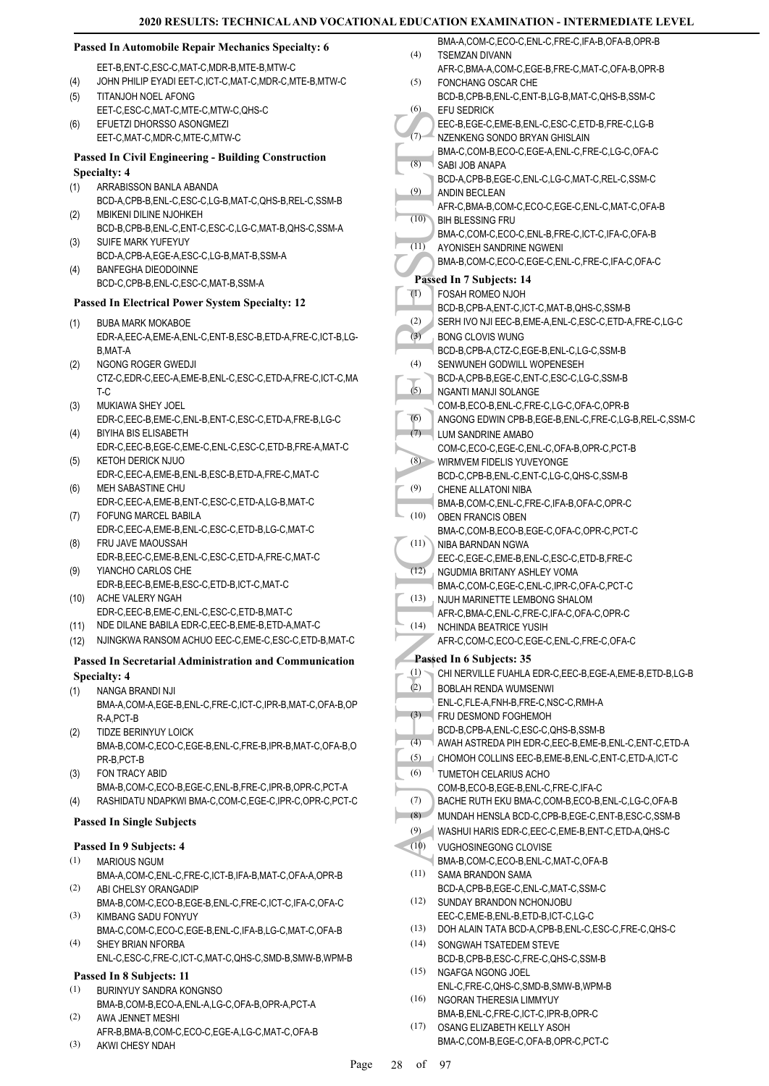#### **Passed In Automobile Repair Mechanics Specialty: 6**

EET-B,ENT-C,ESC-C,MAT-C,MDR-B,MTE-B,MTW-C

- (4) JOHN PHILIP EYADI EET-C,ICT-C,MAT-C,MDR-C,MTE-B,MTW-C TITANJOH NOEL AFONG (5)
- EET-C,ESC-C,MAT-C,MTE-C,MTW-C,QHS-C
- EFUETZI DHORSSO ASONGMEZI EET-C,MAT-C,MDR-C,MTE-C,MTW-C  $(6)$

### **Passed In Civil Engineering - Building Construction Specialty: 4**

- ARRABISSON BANLA ABANDA (1)
- BCD-A,CPB-B,ENL-C,ESC-C,LG-B,MAT-C,QHS-B,REL-C,SSM-B MBIKENI DILINE NJOHKEH (2)
- BCD-B,CPB-B,ENL-C,ENT-C,ESC-C,LG-C,MAT-B,QHS-C,SSM-A SUIFE MARK YUFEYUY (3)
- BCD-A,CPB-A,EGE-A,ESC-C,LG-B,MAT-B,SSM-A BANFEGHA DIEODOINNE (4)
- BCD-C,CPB-B,ENL-C,ESC-C,MAT-B,SSM-A

### **Passed In Electrical Power System Specialty: 12**

- BUBA MARK MOKABOE EDR-A,EEC-A,EME-A,ENL-C,ENT-B,ESC-B,ETD-A,FRE-C,ICT-B,LG-B,MAT-A (1)
- NGONG ROGER GWEDJI CTZ-C,EDR-C,EEC-A,EME-B,ENL-C,ESC-C,ETD-A,FRE-C,ICT-C,MA T-C (2)
- MUKIAWA SHEY JOEL EDR-C,EEC-B,EME-C,ENL-B,ENT-C,ESC-C,ETD-A,FRE-B,LG-C (3)
- BIYIHA BIS ELISABETH EDR-C,EEC-B,EGE-C,EME-C,ENL-C,ESC-C,ETD-B,FRE-A,MAT-C (4) KETOH DERICK NJUO (5)
- EDR-C,EEC-A,EME-B,ENL-B,ESC-B,ETD-A,FRE-C,MAT-C MEH SABASTINE CHU (6)
- EDR-C,EEC-A,EME-B,ENT-C,ESC-C,ETD-A,LG-B,MAT-C FOFUNG MARCEL BABILA (7)
- EDR-C,EEC-A,EME-B,ENL-C,ESC-C,ETD-B,LG-C,MAT-C FRU JAVE MAOUSSAH (8)
- EDR-B,EEC-C,EME-B,ENL-C,ESC-C,ETD-A,FRE-C,MAT-C YIANCHO CARLOS CHE (9)
- EDR-B,EEC-B,EME-B,ESC-C,ETD-B,ICT-C,MAT-C (10) ACHE VALERY NGAH
- EDR-C,EEC-B,EME-C,ENL-C,ESC-C,ETD-B,MAT-C
- (11) NDE DILANE BABILA EDR-C,EEC-B,EME-B,ETD-A,MAT-C
- (12) NJINGKWA RANSOM ACHUO EEC-C,EME-C,ESC-C,ETD-B,MAT-C

### **Passed In Secretarial Administration and Communication Specialty: 4**

- NANGA BRANDI NJI (1)
- BMA-A,COM-A,EGE-B,ENL-C,FRE-C,ICT-C,IPR-B,MAT-C,OFA-B,OP R-A,PCT-B
- TIDZE BERINYUY LOICK BMA-B,COM-C,ECO-C,EGE-B,ENL-C,FRE-B,IPR-B,MAT-C,OFA-B,O PR-B,PCT-B (2)
- FON TRACY ABID BMA-B,COM-C,ECO-B,EGE-C,ENL-B,FRE-C,IPR-B,OPR-C,PCT-A (3)
- (4) RASHIDATU NDAPKWI BMA-C,COM-C,EGE-C,IPR-C,OPR-C,PCT-C

### **Passed In Single Subjects**

### **Passed In 9 Subjects: 4**

- MARIOUS NGUM (1)
- BMA-A,COM-C,ENL-C,FRE-C,ICT-B,IFA-B,MAT-C,OFA-A,OPR-B ABI CHELSY ORANGADIP (2)
- BMA-B,COM-C,ECO-B,EGE-B,ENL-C,FRE-C,ICT-C,IFA-C,OFA-C KIMBANG SADU FONYUY (3)
- BMA-C,COM-C,ECO-C,EGE-B,ENL-C,IFA-B,LG-C,MAT-C,OFA-B SHEY BRIAN NFORBA (4)
	- ENL-C,ESC-C,FRE-C,ICT-C,MAT-C,QHS-C,SMD-B,SMW-B,WPM-B

### **Passed In 8 Subjects: 11**

- BURINYUY SANDRA KONGNSO (1) BMA-B,COM-B,ECO-A,ENL-A,LG-C,OFA-B,OPR-A,PCT-A
- AWA JENNET MESHI AFR-B,BMA-B,COM-C,ECO-C,EGE-A,LG-C,MAT-C,OFA-B (2)
- AKWI CHESY NDAH (3)

|                  | BMA-A,COM-C,ECO-C,ENL-C,FRE-C,IFA-B,OFA-B,OPR-B                            |
|------------------|----------------------------------------------------------------------------|
| (4)              | TSEMZAN DIVANN                                                             |
|                  | AFR-C, BMA-A, COM-C, EGE-B, FRE-C, MAT-C, OFA-B, OPR-B                     |
| (5)              | FONCHANG OSCAR CHE                                                         |
|                  | BCD-B,CPB-B,ENL-C,ENT-B,LG-B,MAT-C,QHS-B,SSM-C                             |
| (6)              | EFU SEDRICK                                                                |
|                  | EEC-B,EGE-C,EME-B,ENL-C,ESC-C,ETD-B,FRE-C,LG-B                             |
| (7)              | NZENKENG SONDO BRYAN GHISLAIN                                              |
|                  | BMA-C,COM-B,ECO-C,EGE-A,ENL-C,FRE-C,LG-C,OFA-C                             |
| (8)              | SABI JOB ANAPA                                                             |
|                  | BCD-A,CPB-B,EGE-C,ENL-C,LG-C,MAT-C,REL-C,SSM-C                             |
| (9)              | ANDIN BECLEAN                                                              |
| (10)             | AFR-C, BMA-B, COM-C, ECO-C, EGE-C, ENL-C, MAT-C, OFA-B                     |
|                  | <b>BIH BLESSING FRU</b><br>BMA-C,COM-C,ECO-C,ENL-B,FRE-C,ICT-C,IFA-C,OFA-B |
| (11)             | AYONISEH SANDRINE NGWENI                                                   |
|                  | BMA-B,COM-C,ECO-C,EGE-C,ENL-C,FRE-C,IFA-C,OFA-C                            |
|                  | Passed In 7 Subjects: 14                                                   |
| $\left(1\right)$ | FOSAH ROMEO NJOH                                                           |
|                  | BCD-B,CPB-A,ENT-C,ICT-C,MAT-B,QHS-C,SSM-B                                  |
| (2)              | SERH IVO NJI EEC-B, EME-A, ENL-C, ESC-C, ETD-A, FRE-C, LG-C                |
| (3)              | <b>BONG CLOVIS WUNG</b>                                                    |
|                  | BCD-B,CPB-A,CTZ-C,EGE-B,ENL-C,LG-C,SSM-B                                   |
| (4)              | SENWUNEH GODWILL WOPENESEH                                                 |
|                  | BCD-A,CPB-B,EGE-C,ENT-C,ESC-C,LG-C,SSM-B                                   |
| (5)              | NGANTI MANJI SOLANGE                                                       |
|                  | COM-B,ECO-B,ENL-C,FRE-C,LG-C,OFA-C,OPR-B                                   |
| (6)              | ANGONG EDWIN CPB-B,EGE-B,ENL-C,FRE-C,LG-B,REL-C,SSM-C                      |
| (7)              | LUM SANDRINE AMABO                                                         |
|                  | COM-C,ECO-C,EGE-C,ENL-C,OFA-B,OPR-C,PCT-B                                  |
| (8)              | WIRMVEM FIDELIS YUVEYONGE                                                  |
|                  | BCD-C,CPB-B,ENL-C,ENT-C,LG-C,QHS-C,SSM-B                                   |
| (9)              | CHENE ALLATONI NIBA                                                        |
|                  | BMA-B,COM-C,ENL-C,FRE-C,IFA-B,OFA-C,OPR-C                                  |
| (10)             | OBEN FRANCIS OBEN                                                          |
|                  | BMA-C,COM-B,ECO-B,EGE-C,OFA-C,OPR-C,PCT-C                                  |
| (11)             | NIBA BARNDAN NGWA<br>EEC-C,EGE-C,EME-B,ENL-C,ESC-C,ETD-B,FRE-C             |
| (12)             | NGUDMIA BRITANY ASHLEY VOMA                                                |
|                  | BMA-C,COM-C,EGE-C,ENL-C,IPR-C,OFA-C,PCT-C                                  |
| (13)             | NJUH MARINETTE LEMBONG SHALOM                                              |
|                  | AFR-C,BMA-C,ENL-C,FRE-C,IFA-C,OFA-C,OPR-C                                  |
| (14)             | NCHINDA BEATRICE YUSIH                                                     |
|                  | AFR-C,COM-C,ECO-C,EGE-C,ENL-C,FRE-C,OFA-C                                  |
|                  | Passed In 6 Subjects: 35                                                   |
| (1)              | CHI NERVILLE FUAHLA EDR-C, EEC-B, EGE-A, EME-B, ETD-B, LG-B                |
| (2)              | BOBLAH RENDA WUMSENWI                                                      |
|                  | ENL-C, FLE-A, FNH-B, FRE-C, NSC-C, RMH-A                                   |
| (3)              | FRU DESMOND FOGHEMOH                                                       |
|                  | BCD-B,CPB-A,ENL-C,ESC-C,QHS-B,SSM-B                                        |
| (4)              | AWAH ASTREDA PIH EDR-C, EEC-B, EME-B, ENL-C, ENT-C, ETD-A                  |
| (5)              | CHOMOH COLLINS EEC-B, EME-B, ENL-C, ENT-C, ETD-A, ICT-C                    |
| (6)              | TUMETOH CELARIUS ACHO                                                      |
|                  | COM-B,ECO-B,EGE-B,ENL-C,FRE-C,IFA-C                                        |
| (7)              | BACHE RUTH EKU BMA-C,COM-B,ECO-B,ENL-C,LG-C,OFA-B                          |
| (8)              | MUNDAH HENSLA BCD-C, CPB-B, EGE-C, ENT-B, ESC-C, SSM-B                     |
| (9)              | WASHUI HARIS EDR-C, EEC-C, EME-B, ENT-C, ETD-A, QHS-C                      |
| (10)             | VUGHOSINEGONG CLOVISE                                                      |
|                  | BMA-B,COM-C,ECO-B,ENL-C,MAT-C,OFA-B                                        |
| (11)             | SAMA BRANDON SAMA                                                          |
| (12)             | BCD-A,CPB-B,EGE-C,ENL-C,MAT-C,SSM-C<br>SUNDAY BRANDON NCHONJOBU            |
|                  | EEC-C,EME-B,ENL-B,ETD-B,ICT-C,LG-C                                         |
| (13)             | DOH ALAIN TATA BCD-A,CPB-B,ENL-C,ESC-C,FRE-C,QHS-C                         |
| (14)             | SONGWAH TSATEDEM STEVE                                                     |
|                  | BCD-B,CPB-B,ESC-C,FRE-C,QHS-C,SSM-B                                        |
| (15)             | NGAFGA NGONG JOEL                                                          |
|                  | ENL-C,FRE-C,QHS-C,SMD-B,SMW-B,WPM-B                                        |
| (16)             | NGORAN THERESIA LIMMYUY                                                    |
|                  | BMA-B, ENL-C, FRE-C, ICT-C, IPR-B, OPR-C                                   |

(17) OSANG ELIZABETH KELLY ASOH

BMA-C,COM-B,EGE-C,OFA-B,OPR-C,PCT-C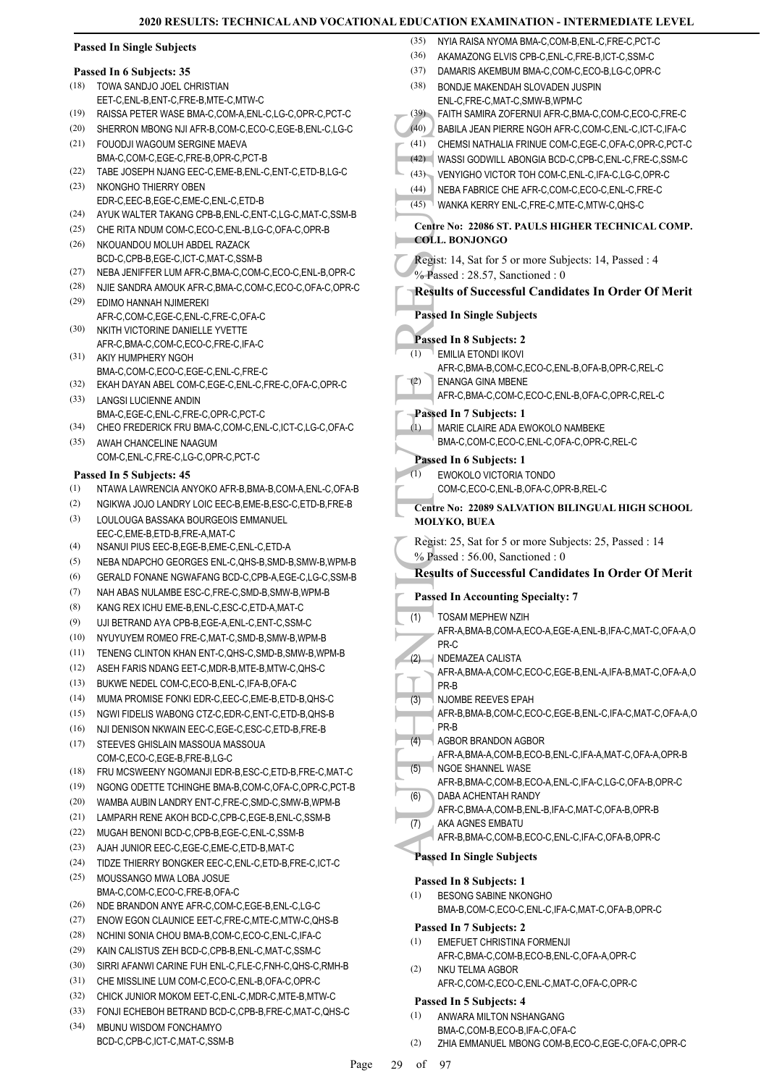|                          | <b>Passed In Single Subjects</b>                                                                                         | (35)         | NYIA RAISA NYOMA BMA-C,COM-B,ENL-C,FRE-C,PCT-C                                                |
|--------------------------|--------------------------------------------------------------------------------------------------------------------------|--------------|-----------------------------------------------------------------------------------------------|
|                          |                                                                                                                          | (36)<br>(37) | AKAMAZONG ELVIS CPB-C, ENL-C, FRE-B, ICT-C, SSM-C                                             |
| Passed In 6 Subjects: 35 |                                                                                                                          |              | DAMARIS AKEMBUM BMA-C,COM-C,ECO-B,LG-C,OPR-C                                                  |
| (18)                     | TOWA SANDJO JOEL CHRISTIAN                                                                                               | (38)         | BONDJE MAKENDAH SLOVADEN JUSPIN                                                               |
| (19)                     | EET-C, ENL-B, ENT-C, FRE-B, MTE-C, MTW-C<br>RAISSA PETER WASE BMA-C,COM-A,ENL-C,LG-C,OPR-C,PCT-C                         |              | ENL-C,FRE-C,MAT-C,SMW-B,WPM-C<br>(39) FAITH SAMIRA ZOFERNUI AFR-C, BMA-C, COM-C, ECO-C, FRE-C |
| (20)                     | SHERRON MBONG NJI AFR-B, COM-C, ECO-C, EGE-B, ENL-C, LG-C                                                                | (40)         | BABILA JEAN PIERRE NGOH AFR-C, COM-C, ENL-C, ICT-C, IFA-C                                     |
| (21)                     | FOUODJI WAGOUM SERGINE MAEVA                                                                                             | (41)         | CHEMSI NATHALIA FRINUE COM-C,EGE-C,OFA-C,OPR-C,PCT-C                                          |
|                          | BMA-C,COM-C,EGE-C,FRE-B,OPR-C,PCT-B                                                                                      | (42)         | WASSI GODWILL ABONGIA BCD-C,CPB-C,ENL-C,FRE-C,SSM-C                                           |
| (22)                     | TABE JOSEPH NJANG EEC-C, EME-B, ENL-C, ENT-C, ETD-B, LG-C                                                                |              | (43) VENYIGHO VICTOR TOH COM-C, ENL-C, IFA-C, LG-C, OPR-C                                     |
| (23)                     | NKONGHO THIERRY OBEN                                                                                                     | (44)         | NEBA FABRICE CHE AFR-C,COM-C,ECO-C,ENL-C,FRE-C                                                |
|                          | EDR-C,EEC-B,EGE-C,EME-C,ENL-C,ETD-B                                                                                      | (45)         | WANKA KERRY ENL-C,FRE-C,MTE-C,MTW-C,QHS-C                                                     |
| (24)                     | AYUK WALTER TAKANG CPB-B,ENL-C,ENT-C,LG-C,MAT-C,SSM-B                                                                    |              |                                                                                               |
| (25)                     | CHE RITA NDUM COM-C,ECO-C,ENL-B,LG-C,OFA-C,OPR-B                                                                         |              | Centre No: 22086 ST. PAULS HIGHER TECHNICAL COMP.<br><b>COLL. BONJONGO</b>                    |
| (26)                     | NKOUANDOU MOLUH ABDEL RAZACK                                                                                             |              |                                                                                               |
| (27)                     | BCD-C,CPB-B,EGE-C,ICT-C,MAT-C,SSM-B                                                                                      |              | Regist: 14, Sat for 5 or more Subjects: 14, Passed: 4                                         |
| (28)                     | NEBA JENIFFER LUM AFR-C, BMA-C, COM-C, ECO-C, ENL-B, OPR-C<br>NJIE SANDRA AMOUK AFR-C, BMA-C, COM-C, ECO-C, OFA-C, OPR-C |              | % Passed: 28.57, Sanctioned: 0                                                                |
| (29)                     | EDIMO HANNAH NJIMEREKI                                                                                                   |              | <b>Results of Successful Candidates In Order Of Merit</b>                                     |
|                          | AFR-C,COM-C,EGE-C,ENL-C,FRE-C,OFA-C                                                                                      |              | <b>Passed In Single Subjects</b>                                                              |
| (30)                     | NKITH VICTORINE DANIELLE YVETTE                                                                                          |              |                                                                                               |
|                          | AFR-C, BMA-C, COM-C, ECO-C, FRE-C, IFA-C                                                                                 |              | Passed In 8 Subjects: 2                                                                       |
| (31)                     | AKIY HUMPHERY NGOH                                                                                                       | (1)          | <b>EMILIA ETONDI IKOVI</b>                                                                    |
|                          | BMA-C,COM-C,ECO-C,EGE-C,ENL-C,FRE-C                                                                                      | (2)          | AFR-C, BMA-B, COM-C, ECO-C, ENL-B, OFA-B, OPR-C, REL-C<br><b>ENANGA GINA MBENE</b>            |
| (32)                     | EKAH DAYAN ABEL COM-C,EGE-C,ENL-C,FRE-C,OFA-C,OPR-C                                                                      |              | AFR-C,BMA-C,COM-C,ECO-C,ENL-B,OFA-C,OPR-C,REL-C                                               |
| (33)                     | LANGSI LUCIENNE ANDIN<br>BMA-C,EGE-C,ENL-C,FRE-C,OPR-C,PCT-C                                                             |              | Passed In 7 Subjects: 1                                                                       |
| (34)                     | CHEO FREDERICK FRU BMA-C,COM-C,ENL-C,ICT-C,LG-C,OFA-C                                                                    | (1)          | MARIE CLAIRE ADA EWOKOLO NAMBEKE                                                              |
| (35)                     | AWAH CHANCELINE NAAGUM                                                                                                   |              | BMA-C,COM-C,ECO-C,ENL-C,OFA-C,OPR-C,REL-C                                                     |
|                          | COM-C,ENL-C,FRE-C,LG-C,OPR-C,PCT-C                                                                                       |              | Passed In 6 Subjects: 1                                                                       |
|                          | Passed In 5 Subjects: 45                                                                                                 | (1)          | EWOKOLO VICTORIA TONDO                                                                        |
| (1)                      | NTAWA LAWRENCIA ANYOKO AFR-B, BMA-B, COM-A, ENL-C, OFA-B                                                                 |              | COM-C,ECO-C,ENL-B,OFA-C,OPR-B,REL-C                                                           |
| (2)                      | NGIKWA JOJO LANDRY LOIC EEC-B, EME-B, ESC-C, ETD-B, FRE-B                                                                |              | <b>Centre No: 22089 SALVATION BILINGUAL HIGH SCHOOL</b>                                       |
| (3)                      | LOULOUGA BASSAKA BOURGEOIS EMMANUEL                                                                                      |              | <b>MOLYKO, BUEA</b>                                                                           |
|                          | EEC-C,EME-B,ETD-B,FRE-A,MAT-C                                                                                            |              | Regist: 25, Sat for 5 or more Subjects: 25, Passed: 14                                        |
| (4)                      | NSANUI PIUS EEC-B,EGE-B,EME-C,ENL-C,ETD-A                                                                                |              | % Passed: 56.00, Sanctioned: 0                                                                |
| (5)                      | NEBA NDAPCHO GEORGES ENL-C, QHS-B, SMD-B, SMW-B, WPM-B                                                                   |              | <b>Results of Successful Candidates In Order Of Merit</b>                                     |
| (6)                      | GERALD FONANE NGWAFANG BCD-C,CPB-A,EGE-C,LG-C,SSM-B                                                                      |              |                                                                                               |
| (7)                      | NAH ABAS NULAMBE ESC-C, FRE-C, SMD-B, SMW-B, WPM-B                                                                       |              | <b>Passed In Accounting Specialty: 7</b>                                                      |
| (8)                      | KANG REX ICHU EME-B, ENL-C, ESC-C, ETD-A, MAT-C                                                                          | (1)          | TOSAM MEPHEW NZIH                                                                             |
| (9)                      | UJI BETRAND AYA CPB-B,EGE-A,ENL-C,ENT-C,SSM-C                                                                            |              | AFR-A, BMA-B, COM-A, ECO-A, EGE-A, ENL-B, IFA-C, MAT-C, OFA-A, O                              |
| (10)<br>(11)             | NYUYUYEM ROMEO FRE-C, MAT-C, SMD-B, SMW-B, WPM-B<br>TENENG CLINTON KHAN ENT-C, QHS-C, SMD-B, SMW-B, WPM-B                |              | PR-C                                                                                          |
| (12)                     | ASEH FARIS NDANG EET-C, MDR-B, MTE-B, MTW-C, QHS-C                                                                       | (2)          | NDEMAZEA CALISTA                                                                              |
| (13)                     | BUKWE NEDEL COM-C,ECO-B,ENL-C,IFA-B,OFA-C                                                                                |              | AFR-A, BMA-A, COM-C, ECO-C, EGE-B, ENL-A, IFA-B, MAT-C, OFA-A, O<br>PR-B                      |
| (14)                     | MUMA PROMISE FONKI EDR-C, EEC-C, EME-B, ETD-B, QHS-C                                                                     | (3)          | NJOMBE REEVES EPAH                                                                            |
| (15)                     | NGWI FIDELIS WABONG CTZ-C,EDR-C,ENT-C,ETD-B,QHS-B                                                                        |              | AFR-B, BMA-B, COM-C, ECO-C, EGE-B, ENL-C, IFA-C, MAT-C, OFA-A, O                              |
| (16)                     | NJI DENISON NKWAIN EEC-C,EGE-C,ESC-C,ETD-B,FRE-B                                                                         |              | PR-B                                                                                          |
| (17)                     | STEEVES GHISLAIN MASSOUA MASSOUA                                                                                         | (4)          | <b>AGBOR BRANDON AGBOR</b>                                                                    |
|                          | COM-C,ECO-C,EGE-B,FRE-B,LG-C                                                                                             |              | AFR-A, BMA-A, COM-B, ECO-B, ENL-C, IFA-A, MAT-C, OFA-A, OPR-B                                 |
| (18)                     | FRU MCSWEENY NGOMANJI EDR-B,ESC-C,ETD-B,FRE-C,MAT-C                                                                      | (5)          | <b>NGOE SHANNEL WASE</b>                                                                      |
| (19)                     | NGONG ODETTE TCHINGHE BMA-B,COM-C,OFA-C,OPR-C,PCT-B                                                                      |              | AFR-B, BMA-C, COM-B, ECO-A, ENL-C, IFA-C, LG-C, OFA-B, OPR-C<br>DABA ACHENTAH RANDY           |
| (20)                     | WAMBA AUBIN LANDRY ENT-C,FRE-C,SMD-C,SMW-B,WPM-B                                                                         | (6)          | AFR-C, BMA-A, COM-B, ENL-B, IFA-C, MAT-C, OFA-B, OPR-B                                        |
| (21)                     | LAMPARH RENE AKOH BCD-C, CPB-C, EGE-B, ENL-C, SSM-B                                                                      | (7)          | AKA AGNES EMBATU                                                                              |
| (22)                     | MUGAH BENONI BCD-C, CPB-B, EGE-C, ENL-C, SSM-B                                                                           |              | AFR-B, BMA-C, COM-B, ECO-C, ENL-C, IFA-C, OFA-B, OPR-C                                        |
| (23)                     | AJAH JUNIOR EEC-C, EGE-C, EME-C, ETD-B, MAT-C                                                                            |              | <b>Passed In Single Subjects</b>                                                              |
| (24)                     | TIDZE THIERRY BONGKER EEC-C, ENL-C, ETD-B, FRE-C, ICT-C                                                                  |              |                                                                                               |
| (25)                     | MOUSSANGO MWA LOBA JOSUE                                                                                                 |              | Passed In 8 Subjects: 1                                                                       |
| (26)                     | BMA-C,COM-C,ECO-C,FRE-B,OFA-C<br>NDE BRANDON ANYE AFR-C,COM-C,EGE-B,ENL-C,LG-C                                           | (1)          | <b>BESONG SABINE NKONGHO</b>                                                                  |
| (27)                     | ENOW EGON CLAUNICE EET-C, FRE-C, MTE-C, MTW-C, QHS-B                                                                     |              | BMA-B,COM-C,ECO-C,ENL-C,IFA-C,MAT-C,OFA-B,OPR-C                                               |
| (28)                     | NCHINI SONIA CHOU BMA-B,COM-C,ECO-C,ENL-C,IFA-C                                                                          |              | Passed In 7 Subjects: 2                                                                       |
| (29)                     | KAIN CALISTUS ZEH BCD-C, CPB-B, ENL-C, MAT-C, SSM-C                                                                      | (1)          | EMEFUET CHRISTINA FORMENJI                                                                    |
| (30)                     | SIRRI AFANWI CARINE FUH ENL-C, FLE-C, FNH-C, QHS-C, RMH-B                                                                | (2)          | AFR-C, BMA-C, COM-B, ECO-B, ENL-C, OFA-A, OPR-C<br>NKU TELMA AGBOR                            |
| (31)                     | CHE MISSLINE LUM COM-C, ECO-C, ENL-B, OFA-C, OPR-C                                                                       |              | AFR-C,COM-C,ECO-C,ENL-C,MAT-C,OFA-C,OPR-C                                                     |
| (32)                     | CHICK JUNIOR MOKOM EET-C, ENL-C, MDR-C, MTE-B, MTW-C                                                                     |              | Passed In 5 Subjects: 4                                                                       |
| (33)                     | FONJI ECHEBOH BETRAND BCD-C,CPB-B,FRE-C,MAT-C,QHS-C                                                                      | (1)          | ANWARA MILTON NSHANGANG                                                                       |

(34) MBUNU WISDOM FONCHAMYO BCD-C,CPB-C,ICT-C,MAT-C,SSM-B

BMA-C,COM-B,ECO-B,IFA-C,OFA-C

(2) ZHIA EMMANUEL MBONG COM-B,ECO-C,EGE-C,OFA-C,OPR-C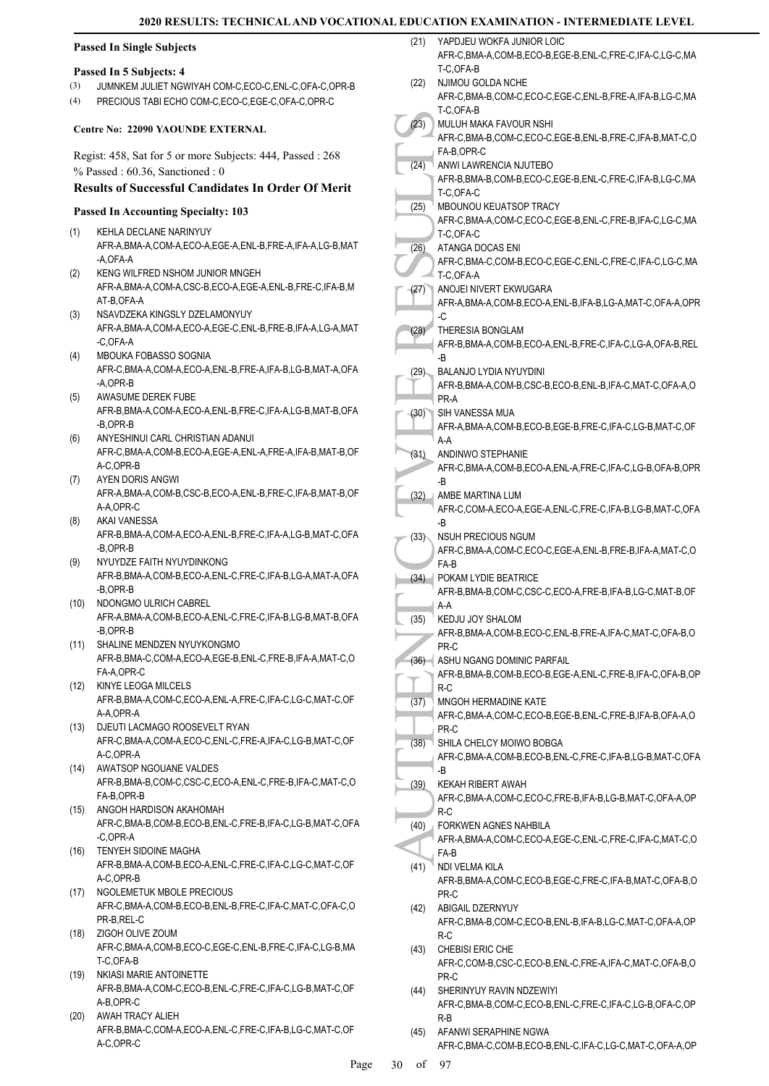(1)

(2)

(3)

(4)

(5)

(6)

(7)

(9)

(10)

(11)

(12)

(17)

| <b>Passed In Single Subjects</b> |                                                                                                 | (21) | YAPDJEU WOKFA JUNIOR LOIC<br>AFR-C,BMA-A,COM-B,ECO-B,EGE-B,ENL-C,FRE-C,IFA-C,LG-C,MA              |
|----------------------------------|-------------------------------------------------------------------------------------------------|------|---------------------------------------------------------------------------------------------------|
|                                  | Passed In 5 Subjects: 4                                                                         |      | T-C,OFA-B                                                                                         |
| (3)                              | JUMNKEM JULIET NGWIYAH COM-C,ECO-C,ENL-C,OFA-C,OPR-B                                            | (22) | NJIMOU GOLDA NCHE                                                                                 |
| (4)                              | PRECIOUS TABI ECHO COM-C,ECO-C,EGE-C,OFA-C,OPR-C                                                |      | AFR-C, BMA-B, COM-C, ECO-C, EGE-C, ENL-B, FRE-A, IFA-B, LG-C, MA                                  |
|                                  |                                                                                                 |      | T-C,OFA-B                                                                                         |
|                                  | <b>Centre No: 22090 YAOUNDE EXTERNAL</b>                                                        | (23) | MULUH MAKA FAVOUR NSHI<br>AFR-C, BMA-B, COM-C, ECO-C, EGE-B, ENL-B, FRE-C, IFA-B, MAT-C, O        |
|                                  |                                                                                                 |      | FA-B,OPR-C                                                                                        |
|                                  | Regist: 458, Sat for 5 or more Subjects: 444, Passed: 268<br>$%$ Passed: 60.36, Sanctioned: 0   | (24) | ANWI LAWRENCIA NJUTEBO                                                                            |
|                                  | <b>Results of Successful Candidates In Order Of Merit</b>                                       |      | AFR-B, BMA-B, COM-B, ECO-C, EGE-B, ENL-C, FRE-C, IFA-B, LG-C, MA                                  |
|                                  |                                                                                                 |      | T-C,OFA-C                                                                                         |
|                                  | <b>Passed In Accounting Specialty: 103</b>                                                      | (25) | MBOUNOU KEUATSOP TRACY<br>AFR-C.BMA-A.COM-C.ECO-C.EGE-B.ENL-C.FRE-B.IFA-C.LG-C.MA                 |
| (1)                              | KEHLA DECLANE NARINYUY                                                                          |      | T-C,OFA-C                                                                                         |
|                                  | AFR-A, BMA-A, COM-A, ECO-A, EGE-A, ENL-B, FRE-A, IFA-A, LG-B, MAT                               | (26) | ATANGA DOCAS ENI                                                                                  |
|                                  | -A,OFA-A                                                                                        |      | AFR-C,BMA-C,COM-B,ECO-C,EGE-C,ENL-C,FRE-C,IFA-C,LG-C,MA                                           |
| (2)                              | KENG WILFRED NSHOM JUNIOR MNGEH                                                                 |      | T-C, OFA-A                                                                                        |
|                                  | AFR-A, BMA-A, COM-A, CSC-B, ECO-A, EGE-A, ENL-B, FRE-C, IFA-B, M<br>AT-B, OFA-A                 | (27) | ANOJEI NIVERT EKWUGARA<br>AFR-A, BMA-A, COM-B, ECO-A, ENL-B, IFA-B, LG-A, MAT-C, OFA-A, OPR       |
| (3)                              | NSAVDZEKA KINGSLY DZELAMONYUY                                                                   |      | -C                                                                                                |
|                                  | AFR-A, BMA-A, COM-A, ECO-A, EGE-C, ENL-B, FRE-B, IFA-A, LG-A, MAT                               | (28) | THERESIA BONGLAM                                                                                  |
|                                  | -C,OFA-A                                                                                        |      | AFR-B, BMA-A, COM-B, ECO-A, ENL-B, FRE-C, IFA-C, LG-A, OFA-B, REL                                 |
| (4)                              | MBOUKA FOBASSO SOGNIA                                                                           |      | -B                                                                                                |
|                                  | AFR-C, BMA-A, COM-A, ECO-A, ENL-B, FRE-A, IFA-B, LG-B, MAT-A, OFA<br>-A,OPR-B                   | (29) | <b>BALANJO LYDIA NYUYDINI</b><br>AFR-B, BMA-A, COM-B, CSC-B, ECO-B, ENL-B, IFA-C, MAT-C, OFA-A, O |
| (5)                              | AWASUME DEREK FUBE                                                                              |      | PR-A                                                                                              |
|                                  | AFR-B, BMA-A, COM-A, ECO-A, ENL-B, FRE-C, IFA-A, LG-B, MAT-B, OFA                               | (30) | SIH VANESSA MUA                                                                                   |
|                                  | -B,OPR-B                                                                                        |      | AFR-A, BMA-A, COM-B, ECO-B, EGE-B, FRE-C, IFA-C, LG-B, MAT-C, OF                                  |
| (6)                              | ANYESHINUI CARL CHRISTIAN ADANUI                                                                |      | $A-A$                                                                                             |
|                                  | AFR-C, BMA-A, COM-B, ECO-A, EGE-A, ENL-A, FRE-A, IFA-B, MAT-B, OF<br>A-C,OPR-B                  | (31) | ANDINWO STEPHANIE                                                                                 |
| (7)                              | AYEN DORIS ANGWI                                                                                |      | AFR-C, BMA-A, COM-B, ECO-A, ENL-A, FRE-C, IFA-C, LG-B, OFA-B, OPR<br>-B                           |
|                                  | AFR-A, BMA-A, COM-B, CSC-B, ECO-A, ENL-B, FRE-C, IFA-B, MAT-B, OF                               | (32) | AMBE MARTINA LUM                                                                                  |
|                                  | A-A,OPR-C                                                                                       |      | AFR-C,COM-A,ECO-A,EGE-A,ENL-C,FRE-C,IFA-B,LG-B,MAT-C,OFA                                          |
| (8)                              | AKAI VANESSA                                                                                    |      | -B                                                                                                |
|                                  | AFR-B, BMA-A, COM-A, ECO-A, ENL-B, FRE-C, IFA-A, LG-B, MAT-C, OFA<br>-B,OPR-B                   | (33) | <b>NSUH PRECIOUS NGUM</b>                                                                         |
| (9)                              | NYUYDZE FAITH NYUYDINKONG                                                                       |      | AFR-C,BMA-A,COM-C,ECO-C,EGE-A,ENL-B,FRE-B,IFA-A,MAT-C,O<br>FA-B                                   |
|                                  | AFR-B, BMA-A, COM-B, ECO-A, ENL-C, FRE-C, IFA-B, LG-A, MAT-A, OFA                               |      | (34) POKAM LYDIE BEATRICE                                                                         |
|                                  | -B,OPR-B                                                                                        |      | AFR-B, BMA-B, COM-C, CSC-C, ECO-A, FRE-B, IFA-B, LG-C, MAT-B, OF                                  |
| (10)                             | NDONGMO ULRICH CABREL                                                                           |      | A-A                                                                                               |
|                                  | AFR-A, BMA-A, COM-B, ECO-A, ENL-C, FRE-C, IFA-B, LG-B, MAT-B, OFA<br>-B.OPR-B                   | (35) | KEDJU JOY SHALOM                                                                                  |
| (11)                             | SHALINE MENDZEN NYUYKONGMO                                                                      |      | AFR-B,BMA-A,COM-B,ECO-C,ENL-B,FRE-A,IFA-C,MAT-C,OFA-B,O<br>PR-C                                   |
|                                  | AFR-B, BMA-C, COM-A, ECO-A, EGE-B, ENL-C, FRE-B, IFA-A, MAT-C, O                                | (36) | ASHU NGANG DOMINIC PARFAIL                                                                        |
|                                  | FA-A,OPR-C                                                                                      |      | AFR-B, BMA-B, COM-B, ECO-B, EGE-A, ENL-C, FRE-B, IFA-C, OFA-B, OP                                 |
| (12)                             | KINYE LEOGA MILCELS<br>AFR-B, BMA-A, COM-C, ECO-A, ENL-A, FRE-C, IFA-C, LG-C, MAT-C, OF         |      | $R-C$                                                                                             |
|                                  | A-A,OPR-A                                                                                       | (37) | MNGOH HERMADINE KATE<br>AFR-C,BMA-A,COM-C,ECO-B,EGE-B,ENL-C,FRE-B,IFA-B,OFA-A,O                   |
| (13)                             | DJEUTI LACMAGO ROOSEVELT RYAN                                                                   |      | PR-C                                                                                              |
|                                  | AFR-C, BMA-A, COM-A, ECO-C, ENL-C, FRE-A, IFA-C, LG-B, MAT-C, OF                                | (38) | SHILA CHELCY MOIWO BOBGA                                                                          |
|                                  | A-C.OPR-A                                                                                       |      | AFR-C, BMA-A, COM-B, ECO-B, ENL-C, FRE-C, IFA-B, LG-B, MAT-C, OFA                                 |
| (14)                             | AWATSOP NGOUANE VALDES<br>AFR-B, BMA-B, COM-C, CSC-C, ECO-A, ENL-C, FRE-B, IFA-C, MAT-C, O      |      | -B                                                                                                |
|                                  | FA-B, OPR-B                                                                                     | (39) | KEKAH RIBERT AWAH<br>AFR-C, BMA-A, COM-C, ECO-C, FRE-B, IFA-B, LG-B, MAT-C, OFA-A, OP             |
| (15)                             | ANGOH HARDISON AKAHOMAH                                                                         |      | $R-C$                                                                                             |
|                                  | AFR-C, BMA-B, COM-B, ECO-B, ENL-C, FRE-B, IFA-C, LG-B, MAT-C, OFA                               |      | (40) FORKWEN AGNES NAHBILA                                                                        |
|                                  | -C,OPR-A                                                                                        |      | AFR-A, BMA-A, COM-C, ECO-A, EGE-C, ENL-C, FRE-C, IFA-C, MAT-C, O                                  |
| (16)                             | <b>TENYEH SIDOINE MAGHA</b><br>AFR-B, BMA-A, COM-B, ECO-A, ENL-C, FRE-C, IFA-C, LG-C, MAT-C, OF |      | FA-B                                                                                              |
|                                  | A-C, OPR-B                                                                                      | (41) | NDI VELMA KILA<br>AFR-B, BMA-A, COM-C, ECO-B, EGE-C, FRE-C, IFA-B, MAT-C, OFA-B, O                |
| (17)                             | NGOLEMETUK MBOLE PRECIOUS                                                                       |      | PR-C                                                                                              |
|                                  | AFR-C, BMA-A, COM-B, ECO-B, ENL-B, FRE-C, IFA-C, MAT-C, OFA-C, O                                | (42) | ABIGAIL DZERNYUY                                                                                  |
|                                  | PR-B, REL-C                                                                                     |      | AFR-C, BMA-B, COM-C, ECO-B, ENL-B, IFA-B, LG-C, MAT-C, OFA-A, OP                                  |
| (18)                             | ZIGOH OLIVE ZOUM<br>AFR-C, BMA-A, COM-B, ECO-C, EGE-C, ENL-B, FRE-C, IFA-C, LG-B, MA            |      | $R-C$                                                                                             |
|                                  | T-C,OFA-B                                                                                       | (43) | CHEBISI ERIC CHE<br>AFR-C,COM-B,CSC-C,ECO-B,ENL-C,FRE-A,IFA-C,MAT-C,OFA-B,O                       |
| (19)                             | NKIASI MARIE ANTOINETTE                                                                         |      | PR-C                                                                                              |
|                                  | AFR-B, BMA-A, COM-C, ECO-B, ENL-C, FRE-C, IFA-C, LG-B, MAT-C, OF                                | (44) | SHERINYUY RAVIN NDZEWIYI                                                                          |
|                                  | A-B, OPR-C                                                                                      |      | AFR-C, BMA-B, COM-C, ECO-B, ENL-C, FRE-C, IFA-C, LG-B, OFA-C, OP                                  |
| (20)                             | AWAH TRACY ALIEH                                                                                |      | $R-B$                                                                                             |
|                                  | AFR-B, BMA-C, COM-A, ECO-A, ENL-C, FRE-C, IFA-B, LG-C, MAT-C, OF<br>A-C,OPR-C                   | (45) | AFANWI SERAPHINE NGWA<br>AFR-C,BMA-C,COM-B,ECO-B,ENL-C,IFA-C,LG-C,MAT-C,OFA-A,OP                  |
|                                  |                                                                                                 |      |                                                                                                   |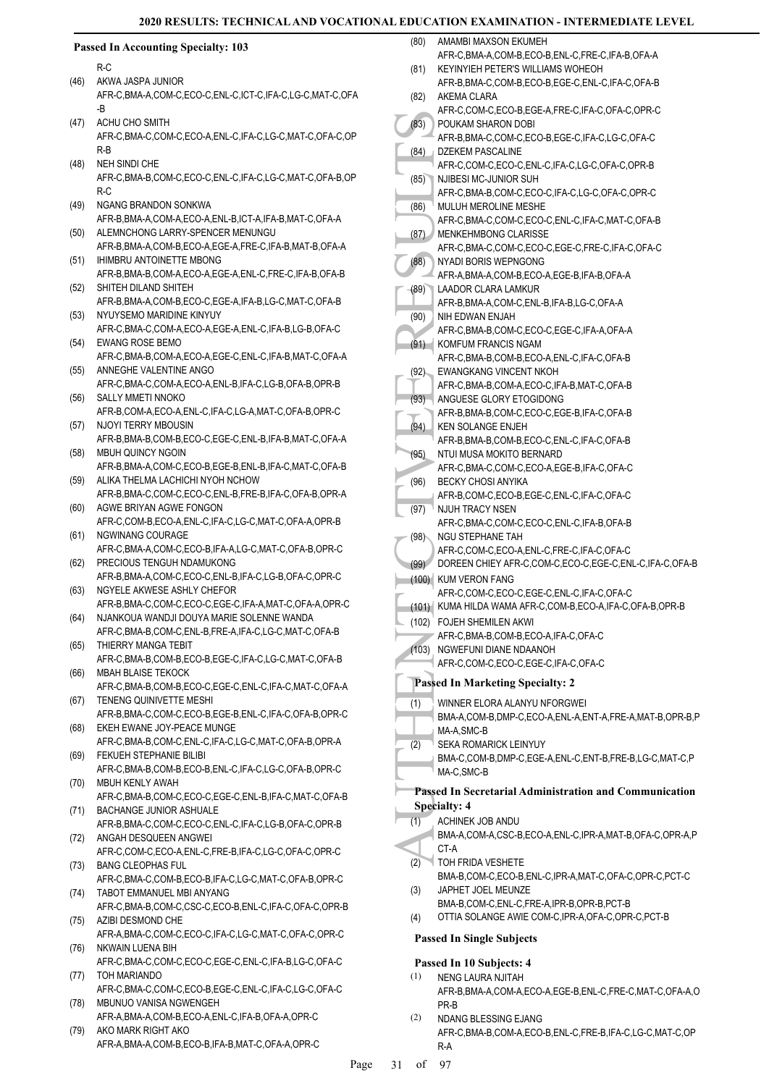#### (83) POUKA AFR-B, DZEKE<br>
(84) DZEKE<br>
(84) DZEKE<br>
(85) NUILUH<br>
AFR-C, MENKE<br>
(86) MENKE<br>
(87) MENKE<br>
AFR-C, MYADI<br>
AFR-C, MYADI<br>
AFR-C, MYADI<br>
AFR-C, NYADI<br>
AFR-C, EWANC AFR-C, EWANC<br>
(91) AFR-C, EWANC AFR-B, NTULM<br>
AFR-C, **Passed In Accounting Specialty: 103** R-C AKWA JASPA JUNIOR AFR-C,BMA-A,COM-C,ECO-C,ENL-C,ICT-C,IFA-C,LG-C,MAT-C,OFA -B (46) ACHU CHO SMITH AFR-C,BMA-C,COM-C,ECO-A,ENL-C,IFA-C,LG-C,MAT-C,OFA-C,OP R-B (47) NEH SINDI CHE AFR-C,BMA-B,COM-C,ECO-C,ENL-C,IFA-C,LG-C,MAT-C,OFA-B,OP R-C (48) NGANG BRANDON SONKWA AFR-B,BMA-A,COM-A,ECO-A,ENL-B,ICT-A,IFA-B,MAT-C,OFA-A (49) (50) ALEMNCHONG LARRY-SPENCER MENUNGU AFR-B,BMA-A,COM-B,ECO-A,EGE-A,FRE-C,IFA-B,MAT-B,OFA-A IHIMBRU ANTOINETTE MBONG AFR-B,BMA-B,COM-A,ECO-A,EGE-A,ENL-C,FRE-C,IFA-B,OFA-B (51) SHITEH DILAND SHITEH AFR-B,BMA-A,COM-B,ECO-C,EGE-A,IFA-B,LG-C,MAT-C,OFA-B (52) (53) NYUYSEMO MARIDINE KINYUY AFR-C,BMA-C,COM-A,ECO-A,EGE-A,ENL-C,IFA-B,LG-B,OFA-C EWANG ROSE BEMO (54) AFR-C,BMA-B,COM-A,ECO-A,EGE-C,ENL-C,IFA-B,MAT-C,OFA-A (55) ANNEGHE VALENTINE ANGO AFR-C,BMA-C,COM-A,ECO-A,ENL-B,IFA-C,LG-B,OFA-B,OPR-B SALLY MMETI NNOKC AFR-B,COM-A,ECO-A,ENL-C,IFA-C,LG-A,MAT-C,OFA-B,OPR-C (56) NJOYI TERRY MBOUSIN AFR-B,BMA-B,COM-B,ECO-C,EGE-C,ENL-B,IFA-B,MAT-C,OFA-A (57) MBUH QUINCY NGOIN AFR-B,BMA-A,COM-C,ECO-B,EGE-B,ENL-B,IFA-C,MAT-C,OFA-B (58) ALIKA THELMA LACHICHI NYOH NCHOW AFR-B,BMA-C,COM-C,ECO-C,ENL-B,FRE-B,IFA-C,OFA-B,OPR-A (59) (60) AGWE BRIYAN AGWE FONGON AFR-C,COM-B,ECO-A,ENL-C,IFA-C,LG-C,MAT-C,OFA-A,OPR-B NGWINANG COURAGE AFR-C,BMA-A,COM-C,ECO-B,IFA-A,LG-C,MAT-C,OFA-B,OPR-C (61) PRECIOUS TENGUH NDAMUKONG AFR-B,BMA-A,COM-C,ECO-C,ENL-B,IFA-C,LG-B,OFA-C,OPR-C (62) NGYELE AKWESE ASHLY CHEFOR AFR-B,BMA-C,COM-C,ECO-C,EGE-C,IFA-A,MAT-C,OFA-A,OPR-C (63) (64) NJANKOUA WANDJI DOUYA MARIE SOLENNE WANDA AFR-C,BMA-B,COM-C,ENL-B,FRE-A,IFA-C,LG-C,MAT-C,OFA-B (65) THIERRY MANGA TEBIT AFR-C,BMA-B,COM-B,ECO-B,EGE-C,IFA-C,LG-C,MAT-C,OFA-B MBAH BLAISE TEKOCK AFR-C,BMA-B,COM-B,ECO-C,EGE-C,ENL-C,IFA-C,MAT-C,OFA-A (66) (67) TENENG QUINIVETTE MESHI AFR-B,BMA-C,COM-C,ECO-B,EGE-B,ENL-C,IFA-C,OFA-B,OPR-C EKEH EWANE JOY-PEACE MUNGE AFR-C,BMA-B,COM-C,ENL-C,IFA-C,LG-C,MAT-C,OFA-B,OPR-A (68) FEKUEH STEPHANIE BILIBI (69) AFR-C,BMA-B,COM-B,ECO-B,ENL-C,IFA-C,LG-C,OFA-B,OPR-C MBUH KENLY AWAH AFR-C,BMA-B,COM-C,ECO-C,EGE-C,ENL-B,IFA-C,MAT-C,OFA-B (70) BACHANGE JUNIOR ASHUALE AFR-B,BMA-C,COM-C,ECO-C,ENL-C,IFA-C,LG-B,OFA-C,OPR-B (71) ANGAH DESQUEEN ANGWEI AFR-C,COM-C,ECO-A,ENL-C,FRE-B,IFA-C,LG-C,OFA-C,OPR-C (72) BANG CLEOPHAS FUL AFR-C,BMA-C,COM-B,ECO-B,IFA-C,LG-C,MAT-C,OFA-B,OPR-C (73) (74) TABOT EMMANUEL MBI ANYANG AFR-C,BMA-B,COM-C,CSC-C,ECO-B,ENL-C,IFA-C,OFA-C,OPR-B (75) AZIBI DESMOND CHE AFR-A,BMA-C,COM-C,ECO-C,IFA-C,LG-C,MAT-C,OFA-C,OPR-C (76) NKWAIN LUENA BIH AFR-C,BMA-C,COM-C,ECO-C,EGE-C,ENL-C,IFA-B,LG-C,OFA-C (77) TOH MARIANDO AFR-C,BMA-C,COM-C,ECO-B,EGE-C,ENL-C,IFA-C,LG-C,OFA-C MBUNUO VANISA NGWENGEH AFR-A,BMA-A,COM-B,ECO-A,ENL-C,IFA-B,OFA-A,OPR-C (78) AKO MARK RIGHT AKO (79) AMAMBI MAXSON EKUMEH AFR-C, BMA-A, COM-B, FCO-B, ENL-C, FRE-C, IFA-B, OFA-A (80) KEYINYIEH PETER'S WILLIAMS WOHEOH AFR-B,BMA-C,COM-B,ECO-B,EGE-C,ENL-C,IFA-C,OFA-B (81) AKEMA CLARA AFR-C,COM-C,ECO-B,EGE-A,FRE-C,IFA-C,OFA-C,OPR-C (82) POUKAM SHARON DOBI AFR-B,BMA-C,COM-C,ECO-B,EGE-C,IFA-C,LG-C,OFA-C (83) DZEKEM PASCALINE AFR-C,COM-C,ECO-C,ENL-C,IFA-C,LG-C,OFA-C,OPR-B (84) NJIBESI MC-JUNIOR SUH AFR-C,BMA-B,COM-C,ECO-C,IFA-C,LG-C,OFA-C,OPR-C (85) MULUH MEROLINE MESHE AFR-C,BMA-C,COM-C,ECO-C,ENL-C,IFA-C,MAT-C,OFA-B (86) MENKEHMBONG CLARISSE AFR-C,BMA-C,COM-C,ECO-C,EGE-C,FRE-C,IFA-C,OFA-C (87) NYADI BORIS WEPNGONG AFR-A,BMA-A,COM-B,ECO-A,EGE-B,IFA-B,OFA-A (88) LAADOR CLARA LAMKUR AFR-B,BMA-A,COM-C,ENL-B,IFA-B,LG-C,OFA-A (89) NIH EDWAN ENJAH AFR-C,BMA-B,COM-C,ECO-C,EGE-C,IFA-A,OFA-A (90) (91) KOMFUM FRANCIS NGAM AFR-C,BMA-B,COM-B,ECO-A,ENL-C,IFA-C,OFA-B EWANGKANG VINCENT NKOH AFR-C,BMA-B,COM-A,ECO-C,IFA-B,MAT-C,OFA-B (92) ANGUESE GLORY ETOGIDONG AFR-B,BMA-B,COM-C,ECO-C,EGE-B,IFA-C,OFA-B (93) KEN SOLANGE ENJEH AFR-B,BMA-B,COM-B,ECO-C,ENL-C,IFA-C,OFA-B (94) NTUI MUSA MOKITO BERNARD AFR-C,BMA-C,COM-C,ECO-A,EGE-B,IFA-C,OFA-C (95) BECKY CHOSI ANYIKA AFR-B,COM-C,ECO-B,EGE-C,ENL-C,IFA-C,OFA-C (96) NJUH TRACY NSEN AFR-C,BMA-C,COM-C,ECO-C,ENL-C,IFA-B,OFA-B (97) NGU STEPHANE TAH AFR-C,COM-C,ECO-A,ENL-C,FRE-C,IFA-C,OFA-C (98) (99) DOREEN CHIEY AFR-C,COM-C,ECO-C,EGE-C,ENL-C,IFA-C,OFA-B (100) KUM VERON FANG AFR-C,COM-C,ECO-C,EGE-C,ENL-C,IFA-C,OFA-C (101) KUMA HILDA WAMA AFR-C,COM-B,ECO-A,IFA-C,OFA-B,OPR-B FOJEH SHEMILEN AKWI (102) AFR-C,BMA-B,COM-B,ECO-A,IFA-C,OFA-C (103) NGWEFUNI DIANE NDAANOH AFR-C,COM-C,ECO-C,EGE-C,IFA-C,OFA-C **Passed In Marketing Specialty: 2** WINNER ELORA ALANYU NFORGWEI BMA-A,COM-B,DMP-C,ECO-A,ENL-A,ENT-A,FRE-A,MAT-B,OPR-B,P MA-A,SMC-B (1) SEKA ROMARICK LEINYUY BMA-C,COM-B,DMP-C,EGE-A,ENL-C,ENT-B,FRE-B,LG-C,MAT-C,P MA-C,SMC-B (2) **Passed In Secretarial Administration and Communication Specialty: 4** ACHINEK JOB ANDU BMA-A,COM-A,CSC-B,ECO-A,ENL-C,IPR-A,MAT-B,OFA-C,OPR-A,P CT-A (1) TOH FRIDA VESHETE BMA-B,COM-C,ECO-B,ENL-C,IPR-A,MAT-C,OFA-C,OPR-C,PCT-C (2) JAPHET JOEL MEUNZE BMA-B,COM-C,ENL-C,FRE-A,IPR-B,OPR-B,PCT-B (3) (4) OTTIA SOLANGE AWIE COM-C,IPR-A,OFA-C,OPR-C,PCT-B **Passed In Single Subjects Passed In 10 Subjects: 4** NENG LAURA NJITAH AFR-B,BMA-A,COM-A,ECO-A,EGE-B,ENL-C,FRE-C,MAT-C,OFA-A,O PR-B (1) NDANG BLESSING EJANG AFR-C,BMA-B,COM-A,ECO-B,ENL-C,FRE-B,IFA-C,LG-C,MAT-C,OP (2)

AFR-A,BMA-A,COM-B,ECO-B,IFA-B,MAT-C,OFA-A,OPR-C

R-A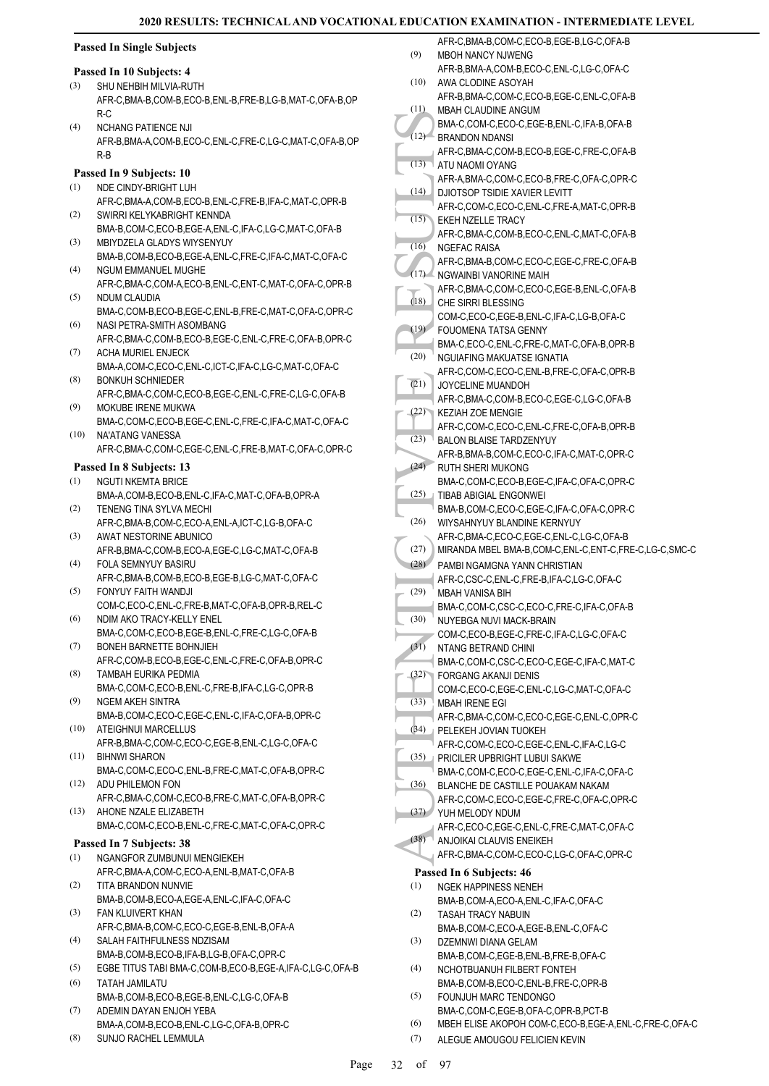| <b>Passed In Single Subjects</b> |  |  |
|----------------------------------|--|--|
|----------------------------------|--|--|

#### **Passed In 10 Subjects: 4**

- SHU NEHBIH MILVIA-RUTH AFR-C,BMA-B,COM-B,ECO-B,ENL-B,FRE-B,LG-B,MAT-C,OFA-B,OP R-C (3)
- NCHANG PATIFNCE NJI AFR-B,BMA-A,COM-B,ECO-C,ENL-C,FRE-C,LG-C,MAT-C,OFA-B,OP R-B  $(4)$

### **Passed In 9 Subjects: 10**

- NDE CINDY-BRIGHT LUH AFR-C,BMA-A,COM-B,ECO-B,ENL-C,FRE-B,IFA-C,MAT-C,OPR-B (1)
- SWIRRI KELYKABRIGHT KENNDA BMA-B,COM-C,ECO-B,EGE-A,ENL-C,IFA-C,LG-C,MAT-C,OFA-B (2)
- MBIYDZELA GLADYS WIYSENYUY BMA-B,COM-B,ECO-B,EGE-A,ENL-C,FRE-C,IFA-C,MAT-C,OFA-C (3)
- NGUM EMMANUEL MUGHE AFR-C,BMA-C,COM-A,ECO-B,ENL-C,ENT-C,MAT-C,OFA-C,OPR-B (4)
- NDUM CLAUDIA BMA-C,COM-B,ECO-B,EGE-C,ENL-B,FRE-C,MAT-C,OFA-C,OPR-C (5)
- NASI PETRA-SMITH ASOMBANG (6)
- AFR-C,BMA-C,COM-B,ECO-B,EGE-C,ENL-C,FRE-C,OFA-B,OPR-C ACHA MURIEL ENJECK (7)
- BMA-A,COM-C,ECO-C,ENL-C,ICT-C,IFA-C,LG-C,MAT-C,OFA-C BONKUH SCHNIEDER (8)
- AFR-C,BMA-C,COM-C,ECO-B,EGE-C,ENL-C,FRE-C,LG-C,OFA-B MOKUBE IRENE MUKWA (9)
- BMA-C,COM-C,ECO-B,EGE-C,ENL-C,FRE-C,IFA-C,MAT-C,OFA-C NA'ATANG VANESSA (10)
- AFR-C,BMA-C,COM-C,EGE-C,ENL-C,FRE-B,MAT-C,OFA-C,OPR-C

### **Passed In 8 Subjects: 13**

- NGUTI NKEMTA BRICE (1)
- BMA-A,COM-B,ECO-B,ENL-C,IFA-C,MAT-C,OFA-B,OPR-A TENENG TINA SYLVA MECHI (2)
- AFR-C,BMA-B,COM-C,ECO-A,ENL-A,ICT-C,LG-B,OFA-C AWAT NESTORINE ABUNICO (3)
- AFR-B,BMA-C,COM-B,ECO-A,EGE-C,LG-C,MAT-C,OFA-B FOLA SEMNYUY BASIRU (4)
- AFR-C,BMA-B,COM-B,ECO-B,EGE-B,LG-C,MAT-C,OFA-C FONYUY FAITH WANDJI (5)
- COM-C,ECO-C,ENL-C,FRE-B,MAT-C,OFA-B,OPR-B,REL-C NDIM AKO TRACY-KELLY ENEL (6)
- BMA-C,COM-C,ECO-B,EGE-B,ENL-C,FRE-C,LG-C,OFA-B BONEH BARNETTE BOHNJIEH (7)
- AFR-C,COM-B,ECO-B,EGE-C,ENL-C,FRE-C,OFA-B,OPR-C TAMBAH EURIKA PEDMIA (8)
- BMA-C,COM-C,ECO-B,ENL-C,FRE-B,IFA-C,LG-C,OPR-B NGEM AKEH SINTRA (9)
- BMA-B,COM-C,ECO-C,EGE-C,ENL-C,IFA-C,OFA-B,OPR-C ATEIGHNUI MARCELLUS (10)
- AFR-B,BMA-C,COM-C,ECO-C,EGE-B,ENL-C,LG-C,OFA-C BIHNWI SHARON (11)
- BMA-C,COM-C,ECO-C,ENL-B,FRE-C,MAT-C,OFA-B,OPR-C ADU PHILEMON FON (12)
- AFR-C,BMA-C,COM-C,ECO-B,FRE-C,MAT-C,OFA-B,OPR-C AHONE NZALE ELIZABETH (13)
- BMA-C,COM-C,ECO-B,ENL-C,FRE-C,MAT-C,OFA-C,OPR-C

### **Passed In 7 Subjects: 38**

- NGANGFOR ZUMBUNUI MENGIEKEH AFR-C,BMA-A,COM-C,ECO-A,ENL-B,MAT-C,OFA-B (1)
- TITA BRANDON NUNVIE BMA-B,COM-B,ECO-A,EGE-A,ENL-C,IFA-C,OFA-C (2)
- FAN KLUIVERT KHAN AFR-C,BMA-B,COM-C,ECO-C,EGE-B,ENL-B,OFA-A (3)
- SALAH FAITHFULNESS NDZISAM BMA-B,COM-B,ECO-B,IFA-B,LG-B,OFA-C,OPR-C (4)
- (5) EGBE TITUS TABI BMA-C,COM-B,ECO-B,EGE-A,IFA-C,LG-C,OFA-B
- TATAH JAMILATU BMA-B,COM-B,ECO-B,EGE-B,ENL-C,LG-C,OFA-B (6)
- ADEMIN DAYAN ENJOH YEBA BMA-A,COM-B,ECO-B,ENL-C,LG-C,OFA-B,OPR-C (7)
- SUNJO RACHEL LEMMULA (8)

|      | AFR-C, BMA-B, COM-C, ECO-B, EGE-B, LG-C, OFA-B        |
|------|-------------------------------------------------------|
| (9)  | <b>MBOH NANCY NJWENG</b>                              |
|      | AFR-B, BMA-A, COM-B, ECO-C, ENL-C, LG-C, OFA-C        |
| (10) | AWA CLODINE ASOYAH                                    |
|      | AFR-B, BMA-C, COM-C, ECO-B, EGE-C, ENL-C, OFA-B       |
| (11) | <b>MBAH CLAUDINE ANGUM</b>                            |
|      | BMA-C,COM-C,ECO-C,EGE-B,ENL-C,IFA-B,OFA-B             |
| (12) | <b>BRANDON NDANSI</b>                                 |
|      | AFR-C, BMA-C, COM-B, ECO-B, EGE-C, FRE-C, OFA-B       |
| (13) | ATU NAOMI OYANG                                       |
|      | AFR-A, BMA-C, COM-C, ECO-B, FRE-C, OFA-C, OPR-C       |
| (14) | DJIOTSOP TSIDIE XAVIER LEVITT                         |
|      | AFR-C,COM-C,ECO-C,ENL-C,FRE-A,MAT-C,OPR-B             |
| (15) | EKEH NZELLE TRACY                                     |
|      | AFR-C, BMA-C, COM-B, ECO-C, ENL-C, MAT-C, OFA-B       |
| (16) |                                                       |
|      | NGEFAC RAISA                                          |
|      | AFR-C, BMA-B, COM-C, ECO-C, EGE-C, FRE-C, OFA-B       |
| (17) | NGWAINBI VANORINE MAIH                                |
| (18) | AFR-C, BMA-C, COM-C, ECO-C, EGE-B, ENL-C, OFA-B       |
|      | CHE SIRRI BLESSING                                    |
|      | COM-C,ECO-C,EGE-B,ENL-C,IFA-C,LG-B,OFA-C              |
| (19) | <b>FOUOMENA TATSA GENNY</b>                           |
|      | BMA-C,ECO-C,ENL-C,FRE-C,MAT-C,OFA-B,OPR-B             |
| (20) | NGUIAFING MAKUATSE IGNATIA                            |
|      | AFR-C,COM-C,ECO-C,ENL-B,FRE-C,OFA-C,OPR-B             |
| (21) | JOYCELINE MUANDOH                                     |
|      | AFR-C,BMA-C,COM-B,ECO-C,EGE-C,LG-C,OFA-B              |
| (22) | <b>KEZIAH ZOE MENGIE</b>                              |
|      | AFR-C,COM-C,ECO-C,ENL-C,FRE-C,OFA-B,OPR-B             |
| (23) | <b>BALON BLAISE TARDZENYUY</b>                        |
|      | AFR-B, BMA-B, COM-C, ECO-C, IFA-C, MAT-C, OPR-C       |
| (24) | RUTH SHERI MUKONG                                     |
|      | BMA-C,COM-C,ECO-B,EGE-C,IFA-C,OFA-C,OPR-C             |
| (25) | TIBAB ABIGIAL ENGONWEI                                |
|      | BMA-B,COM-C,ECO-C,EGE-C,IFA-C,OFA-C,OPR-C             |
| (26) | WIYSAHNYUY BLANDINE KERNYUY                           |
|      | AFR-C, BMA-C, ECO-C, EGE-C, ENL-C, LG-C, OFA-B        |
| (27) | MIRANDA MBEL BMA-B,COM-C,ENL-C,ENT-C,FRE-C,LG-C,SMC-C |
| (28) | PAMBI NGAMGNA YANN CHRISTIAN                          |
|      | AFR-C,CSC-C,ENL-C,FRE-B,IFA-C,LG-C,OFA-C              |
| (29) | MBAH VANISA BIH                                       |
|      | BMA-C.COM-C.CSC-C.ECO-C.FRE-C.IFA-C.OFA-B             |
| (30) | NUYEBGA NUVI MACK-BRAIN                               |
|      | COM-C,ECO-B,EGE-C,FRE-C,IFA-C,LG-C,OFA-C              |
| (31) | NTANG BETRAND CHINI                                   |
|      | BMA-C,COM-C,CSC-C,ECO-C,EGE-C,IFA-C,MAT-C             |
| (32) | FORGANG AKANJI DENIS                                  |
|      | COM-C,ECO-C,EGE-C,ENL-C,LG-C,MAT-C,OFA-C              |
| (33) | <b>MBAH IRENE EGI</b>                                 |
|      | AFR-C,BMA-C,COM-C,ECO-C,EGE-C,ENL-C,OPR-C             |
| (34) | PELEKEH JOVIAN TUOKEH                                 |
|      | AFR-C,COM-C,ECO-C,EGE-C,ENL-C,IFA-C,LG-C              |
| (35) | PRICILER UPBRIGHT LUBUI SAKWE                         |
|      | BMA-C,COM-C,ECO-C,EGE-C,ENL-C,IFA-C,OFA-C             |
| (36) | BLANCHE DE CASTILLE POUAKAM NAKAM                     |
|      | AFR-C,COM-C,ECO-C,EGE-C,FRE-C,OFA-C,OPR-C             |
| (37) | YUH MELODY NDUM                                       |
|      | AFR-C,ECO-C,EGE-C,ENL-C,FRE-C,MAT-C,OFA-C             |
| (38) | ANJOIKAI CLAUVIS ENEIKEH                              |
|      |                                                       |
|      | AFR-C,BMA-C,COM-C,ECO-C,LG-C,OFA-C,OPR-C              |
|      | Passed In 6 Subjects: 46                              |
| (1)  | <b>NGEK HAPPINESS NENEH</b>                           |
|      | BMA-B,COM-A,ECO-A,ENL-C,IFA-C,OFA-C                   |
|      |                                                       |
| (2)  | TASAH TRACY NABUIN                                    |
|      | BMA-B,COM-C,ECO-A,EGE-B,ENL-C,OFA-C                   |
| (3)  | DZEMNWI DIANA GELAM                                   |
|      | BMA-B,COM-C,EGE-B,ENL-B,FRE-B,OFA-C                   |
| (4)  | NCHOTBUANUH FILBERT FONTEH                            |
|      | BMA-B,COM-B,ECO-C,ENL-B,FRE-C,OPR-B                   |
| (5)  | FOUNJUH MARC TENDONGO                                 |
|      | BMA-C.COM-C.EGE-B.OFA-C.OPR-B.PCT-B                   |

- (6) MBEH ELISE AKOPOH COM-C,ECO-B,EGE-A,ENL-C,FRE-C,OFA-C
- ALEGUE AMOUGOU FELICIEN KEVIN (7)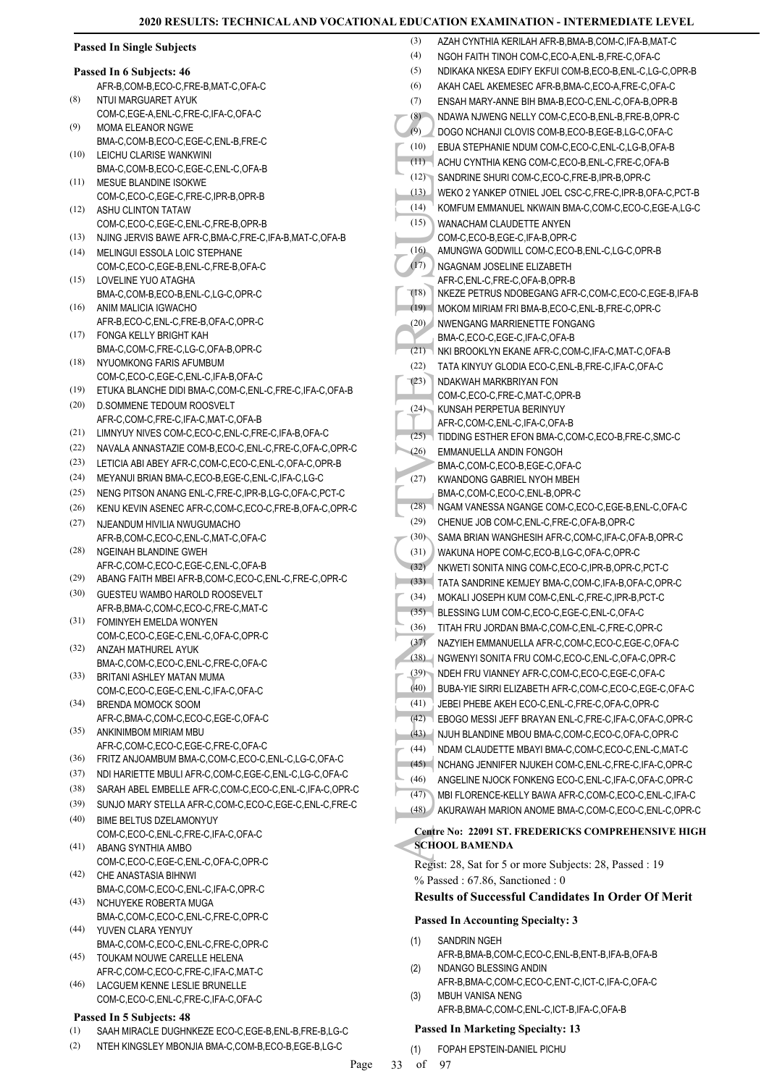| <b>Passed In Single Subjects</b> |                                                                    | (3)          | AZAH CYNTHIA KERILAH AFR-B,BMA-B,COM-C,IFA-B,MAT-C                                                              |
|----------------------------------|--------------------------------------------------------------------|--------------|-----------------------------------------------------------------------------------------------------------------|
| Passed In 6 Subjects: 46         |                                                                    | (4)<br>(5)   | NGOH FAITH TINOH COM-C.ECO-A.ENL-B.FRE-C.OFA-C<br>NDIKAKA NKESA EDIFY EKFUI COM-B,ECO-B,ENL-C,LG-C,OPR-B        |
|                                  | AFR-B,COM-B,ECO-C,FRE-B,MAT-C,OFA-C                                | (6)          | AKAH CAEL AKEMESEC AFR-B, BMA-C, ECO-A, FRE-C, OFA-C                                                            |
| (8)                              | NTUI MARGUARET AYUK                                                | (7)          | ENSAH MARY-ANNE BIH BMA-B, ECO-C, ENL-C, OFA-B, OPR-B                                                           |
|                                  | COM-C,EGE-A,ENL-C,FRE-C,IFA-C,OFA-C                                | (8)          | NDAWA NJWENG NELLY COM-C,ECO-B,ENL-B,FRE-B,OPR-C                                                                |
| (9)                              | <b>MOMA ELEANOR NGWE</b>                                           | (9)          | DOGO NCHANJI CLOVIS COM-B,ECO-B,EGE-B,LG-C,OFA-C                                                                |
|                                  | BMA-C,COM-B,ECO-C,EGE-C,ENL-B,FRE-C                                | (10)         | EBUA STEPHANIE NDUM COM-C,ECO-C,ENL-C,LG-B,OFA-B                                                                |
| (10)                             | LEICHU CLARISE WANKWINI                                            | (11)         | ACHU CYNTHIA KENG COM-C,ECO-B,ENL-C,FRE-C,OFA-B                                                                 |
| (11)                             | BMA-C,COM-B,ECO-C,EGE-C,ENL-C,OFA-B<br>MESUE BLANDINE ISOKWE       | (12)         | SANDRINE SHURI COM-C,ECO-C,FRE-B,IPR-B,OPR-C                                                                    |
|                                  | COM-C,ECO-C,EGE-C,FRE-C,IPR-B,OPR-B                                | (13)         | WEKO 2 YANKEP OTNIEL JOEL CSC-C, FRE-C, IPR-B, OFA-C, PCT-B                                                     |
| (12)                             | ASHU CLINTON TATAW                                                 | (14)         | KOMFUM EMMANUEL NKWAIN BMA-C,COM-C,ECO-C,EGE-A,LG-C                                                             |
|                                  | COM-C,ECO-C,EGE-C,ENL-C,FRE-B,OPR-B                                | (15)         | WANACHAM CLAUDETTE ANYEN                                                                                        |
| (13)                             | NJING JERVIS BAWE AFR-C, BMA-C, FRE-C, IFA-B, MAT-C, OFA-B         |              | COM-C,ECO-B,EGE-C,IFA-B,OPR-C                                                                                   |
| (14)                             | MELINGUI ESSOLA LOIC STEPHANE                                      | (16)         | AMUNGWA GODWILL COM-C,ECO-B,ENL-C,LG-C,OPR-B                                                                    |
| (15)                             | COM-C,ECO-C,EGE-B,ENL-C,FRE-B,OFA-C<br>LOVELINE YUO ATAGHA         | (17)         | NGAGNAM JOSELINE ELIZABETH<br>AFR-C, ENL-C, FRE-C, OFA-B, OPR-B                                                 |
|                                  | BMA-C,COM-B,ECO-B,ENL-C,LG-C,OPR-C                                 | (18)         | NKEZE PETRUS NDOBEGANG AFR-C,COM-C,ECO-C,EGE-B,IFA-B                                                            |
| (16)                             | ANIM MALICIA IGWACHO                                               | (19)         | MOKOM MIRIAM FRI BMA-B, ECO-C, ENL-B, FRE-C, OPR-C                                                              |
|                                  | AFR-B,ECO-C,ENL-C,FRE-B,OFA-C,OPR-C                                | (20)         | NWENGANG MARRIENETTE FONGANG                                                                                    |
|                                  | (17) FONGA KELLY BRIGHT KAH                                        |              | BMA-C,ECO-C,EGE-C,IFA-C,OFA-B                                                                                   |
|                                  | BMA-C,COM-C,FRE-C,LG-C,OFA-B,OPR-C                                 | (21)         | NKI BROOKLYN EKANE AFR-C,COM-C,IFA-C,MAT-C,OFA-B                                                                |
| (18)                             | NYUOMKONG FARIS AFUMBUM<br>COM-C,ECO-C,EGE-C,ENL-C,IFA-B,OFA-C     | (22)         | TATA KINYUY GLODIA ECO-C, ENL-B, FRE-C, IFA-C, OFA-C                                                            |
| (19)                             | ETUKA BLANCHE DIDI BMA-C,COM-C,ENL-C,FRE-C,IFA-C,OFA-B             | (23)         | NDAKWAH MARKBRIYAN FON                                                                                          |
| (20)                             | D.SOMMENE TEDOUM ROOSVELT                                          |              | COM-C,ECO-C,FRE-C,MAT-C,OPR-B<br>(24) KUNSAH PERPETUA BERINYUY                                                  |
|                                  | AFR-C,COM-C,FRE-C,IFA-C,MAT-C,OFA-B                                |              | AFR-C,COM-C,ENL-C,IFA-C,OFA-B                                                                                   |
| (21)                             | LIMNYUY NIVES COM-C,ECO-C,ENL-C,FRE-C,IFA-B,OFA-C                  |              | (25) TIDDING ESTHER EFON BMA-C,COM-C,ECO-B,FRE-C,SMC-C                                                          |
| (22)                             | NAVALA ANNASTAZIE COM-B,ECO-C,ENL-C,FRE-C,OFA-C,OPR-C              | (26)         | EMMANUELLA ANDIN FONGOH                                                                                         |
| (23)                             | LETICIA ABI ABEY AFR-C,COM-C,ECO-C,ENL-C,OFA-C,OPR-B               |              | BMA-C,COM-C,ECO-B,EGE-C,OFA-C                                                                                   |
| (24)                             | MEYANUI BRIAN BMA-C, ECO-B, EGE-C, ENL-C, IFA-C, LG-C              | (27)         | KWANDONG GABRIEL NYOH MBEH                                                                                      |
| (25)                             | NENG PITSON ANANG ENL-C, FRE-C, IPR-B, LG-C, OFA-C, PCT-C          | (28)         | BMA-C,COM-C,ECO-C,ENL-B,OPR-C<br>NGAM VANESSA NGANGE COM-C,ECO-C,EGE-B,ENL-C,OFA-C                              |
| (26)                             | KENU KEVIN ASENEC AFR-C,COM-C,ECO-C,FRE-B,OFA-C,OPR-C              | (29)         | CHENUE JOB COM-C, ENL-C, FRE-C, OFA-B, OPR-C                                                                    |
| (27)                             | NJEANDUM HIVILIA NWUGUMACHO<br>AFR-B,COM-C,ECO-C,ENL-C,MAT-C,OFA-C | (30)         | SAMA BRIAN WANGHESIH AFR-C,COM-C, IFA-C, OFA-B, OPR-C                                                           |
| (28)                             | NGEINAH BLANDINE GWEH                                              | (31)         | WAKUNA HOPE COM-C,ECO-B,LG-C,OFA-C,OPR-C                                                                        |
|                                  | AFR-C,COM-C,ECO-C,EGE-C,ENL-C,OFA-B                                | (32)         | NKWETI SONITA NING COM-C,ECO-C,IPR-B,OPR-C,PCT-C                                                                |
| (29)                             | ABANG FAITH MBEI AFR-B,COM-C,ECO-C,ENL-C,FRE-C,OPR-C               | (33)         | TATA SANDRINE KEMJEY BMA-C,COM-C,IFA-B,OFA-C,OPR-C                                                              |
| (30)                             | GUESTEU WAMBO HAROLD ROOSEVELT                                     | (34)         | MOKALI JOSEPH KUM COM-C, ENL-C, FRE-C, IPR-B, PCT-C                                                             |
|                                  | AFR-B, BMA-C, COM-C, ECO-C, FRE-C, MAT-C                           | (35)         | BLESSING LUM COM-C,ECO-C,EGE-C,ENL-C,OFA-C                                                                      |
| (31)                             | FOMINYEH EMELDA WONYEN<br>COM-C,ECO-C,EGE-C,ENL-C,OFA-C,OPR-C      | (36)         | TITAH FRU JORDAN BMA-C,COM-C,ENL-C,FRE-C,OPR-C                                                                  |
| (32)                             | ANZAH MATHUREL AYUK                                                | (37)         | NAZYIEH EMMANUELLA AFR-C,COM-C,ECO-C,EGE-C,OFA-C                                                                |
|                                  | BMA-C,COM-C,ECO-C,ENL-C,FRE-C,OFA-C                                | (38)         | NGWENYI SONITA FRU COM-C,ECO-C,ENL-C,OFA-C,OPR-C                                                                |
| (33)                             | BRITANI ASHLEY MATAN MUMA                                          | (39)         | NDEH FRU VIANNEY AFR-C,COM-C,ECO-C,EGE-C,OFA-C                                                                  |
|                                  | COM-C,ECO-C,EGE-C,ENL-C,IFA-C,OFA-C                                | (40)         | BUBA-YIE SIRRI ELIZABETH AFR-C,COM-C,ECO-C,EGE-C,OFA-C                                                          |
| (34)                             | <b>BRENDA MOMOCK SOOM</b><br>AFR-C,BMA-C,COM-C,ECO-C,EGE-C,OFA-C   | (41)<br>(42) | JEBEI PHEBE AKEH ECO-C, ENL-C, FRE-C, OFA-C, OPR-C<br>EBOGO MESSI JEFF BRAYAN ENL-C, FRE-C, IFA-C, OFA-C, OPR-C |
| (35)                             | ANKINIMBOM MIRIAM MBU                                              |              | (43) NJUH BLANDINE MBOU BMA-C, COM-C, ECO-C, OFA-C, OPR-C                                                       |
|                                  | AFR-C,COM-C,ECO-C,EGE-C,FRE-C,OFA-C                                | (44)         | NDAM CLAUDETTE MBAYI BMA-C,COM-C,ECO-C,ENL-C,MAT-C                                                              |
| (36)                             | FRITZ ANJOAMBUM BMA-C,COM-C,ECO-C,ENL-C,LG-C,OFA-C                 |              | (45) NCHANG JENNIFER NJUKEH COM-C, ENL-C, FRE-C, IFA-C, OPR-C                                                   |
| (37)                             | NDI HARIETTE MBULI AFR-C,COM-C,EGE-C,ENL-C,LG-C,OFA-C              | (46)         | ANGELINE NJOCK FONKENG ECO-C, ENL-C, IFA-C, OFA-C, OPR-C                                                        |
| (38)                             | SARAH ABEL EMBELLE AFR-C, COM-C, ECO-C, ENL-C, IFA-C, OPR-C        | (47)         | MBI FLORENCE-KELLY BAWA AFR-C,COM-C,ECO-C,ENL-C,IFA-C                                                           |
| (39)                             | SUNJO MARY STELLA AFR-C,COM-C,ECO-C,EGE-C,ENL-C,FRE-C              |              | (48) AKURAWAH MARION ANOME BMA-C,COM-C,ECO-C,ENL-C,OPR-C                                                        |
| (40)                             | BIME BELTUS DZELAMONYUY                                            |              | Centre No: 22091 ST. FREDERICKS COMPREHENSIVE HIGH                                                              |
| (41)                             | COM-C,ECO-C,ENL-C,FRE-C,IFA-C,OFA-C<br>ABANG SYNTHIA AMBO          |              | <b>SCHOOL BAMENDA</b>                                                                                           |
|                                  | COM-C,ECO-C,EGE-C,ENL-C,OFA-C,OPR-C                                |              | Regist: 28, Sat for 5 or more Subjects: 28, Passed : 19                                                         |
| (42)                             | CHE ANASTASIA BIHNWI                                               |              | $%$ Passed: 67.86, Sanctioned: 0                                                                                |
|                                  | BMA-C,COM-C,ECO-C,ENL-C,IFA-C,OPR-C                                |              | <b>Results of Successful Candidates In Order Of Merit</b>                                                       |
| (43)                             | NCHUYEKE ROBERTA MUGA                                              |              |                                                                                                                 |
|                                  | BMA-C,COM-C,ECO-C,ENL-C,FRE-C,OPR-C                                |              | <b>Passed In Accounting Specialty: 3</b>                                                                        |
| (44)                             | YUVEN CLARA YENYUY<br>BMA-C,COM-C,ECO-C,ENL-C,FRE-C,OPR-C          | (1)          | SANDRIN NGEH                                                                                                    |
| (45)                             | TOUKAM NOUWE CARELLE HELENA                                        |              | AFR-B, BMA-B, COM-C, ECO-C, ENL-B, ENT-B, IFA-B, OFA-B                                                          |
|                                  | AFR-C,COM-C,ECO-C,FRE-C,IFA-C,MAT-C                                | (2)          | NDANGO BLESSING ANDIN                                                                                           |
| (46)                             | LACGUEM KENNE LESLIE BRUNELLE                                      |              | AFR-B, BMA-C, COM-C, ECO-C, ENT-C, ICT-C, IFA-C, OFA-C                                                          |
|                                  | COM-C,ECO-C,ENL-C,FRE-C,IFA-C,OFA-C                                | (3)          | MBUH VANISA NENG                                                                                                |
|                                  | Passed In 5 Subjects: 48                                           |              | AFR-B, BMA-C, COM-C, ENL-C, ICT-B, IFA-C, OFA-B                                                                 |

### **Passed In Marketing Specialty: 13**

(1) FOPAH EPSTEIN-DANIEL PICHU

(1) SAAH MIRACLE DUGHNKEZE ECO-C,EGE-B,ENL-B,FRE-B,LG-C (2) NTEH KINGSLEY MBONJIA BMA-C,COM-B,ECO-B,EGE-B,LG-C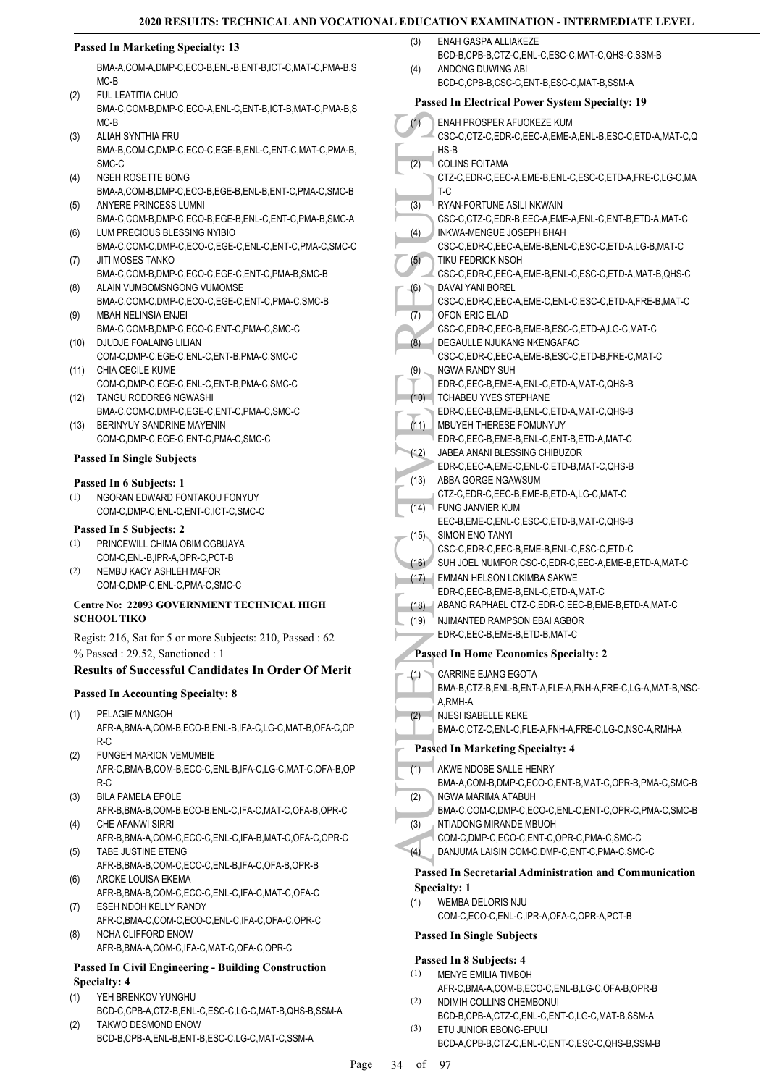### **Passed In Marketing Specialty: 13**

BMA-A,COM-A,DMP-C,ECO-B,ENL-B,ENT-B,ICT-C,MAT-C,PMA-B,S MC-B

- FUL LEATITIA CHUO BMA-C,COM-B,DMP-C,ECO-A,ENL-C,ENT-B,ICT-B,MAT-C,PMA-B,S MC-B (2)
- ALIAH SYNTHIA FRU BMA-B,COM-C,DMP-C,ECO-C,EGE-B,ENL-C,ENT-C,MAT-C,PMA-B, SMC-C (3)
- (4) NGEH ROSETTE BONG BMA-A,COM-B,DMP-C,ECO-B,EGE-B,ENL-B,ENT-C,PMA-C,SMC-B
- ANYERE PRINCESS LUMNI BMA-C,COM-B,DMP-C,ECO-B,EGE-B,ENL-C,ENT-C,PMA-B,SMC-A (5) LUM PRECIOUS BLESSING NYIBIO (6)
- BMA-C,COM-C,DMP-C,ECO-C,EGE-C,ENL-C,ENT-C,PMA-C,SMC-C JITI MOSES TANKO (7)
- BMA-C,COM-B,DMP-C,ECO-C,EGE-C,ENT-C,PMA-B,SMC-B ALAIN VUMBOMSNGONG VUMOMSE (8)
- BMA-C,COM-C,DMP-C,ECO-C,EGE-C,ENT-C,PMA-C,SMC-B MBAH NELINSIA ENJEI (9)
- BMA-C,COM-B,DMP-C,ECO-C,ENT-C,PMA-C,SMC-C (10) DJUDJE FOALAING LILIAN
- COM-C,DMP-C,EGE-C,ENL-C,ENT-B,PMA-C,SMC-C
- (11) CHIA CECILE KUME COM-C,DMP-C,EGE-C,ENL-C,ENT-B,PMA-C,SMC-C TANGU RODDREG NGWASHI (12)
- BMA-C,COM-C,DMP-C,EGE-C,ENT-C,PMA-C,SMC-C (13) BERINYUY SANDRINE MAYENIN
- COM-C,DMP-C,EGE-C,ENT-C,PMA-C,SMC-C

### **Passed In Single Subjects**

#### **Passed In 6 Subjects: 1**

NGORAN EDWARD FONTAKOU FONYUY COM-C,DMP-C,ENL-C,ENT-C,ICT-C,SMC-C (1)

#### **Passed In 5 Subjects: 2**

- PRINCEWILL CHIMA OBIM OGBUAYA COM-C,ENL-B,IPR-A,OPR-C,PCT-B (1)
- NEMBU KACY ASHLEH MAFOR COM-C,DMP-C,ENL-C,PMA-C,SMC-C (2)

#### **Centre No: 22093 GOVERNMENT TECHNICAL HIGH SCHOOL TIKO**

Regist: 216, Sat for 5 or more Subjects: 210, Passed : 62 % Passed : 29.52, Sanctioned : 1

#### **Results of Successful Candidates In Order Of Merit**

#### **Passed In Accounting Specialty: 8**

- PELAGIE MANGOH AFR-A,BMA-A,COM-B,ECO-B,ENL-B,IFA-C,LG-C,MAT-B,OFA-C,OP R-C (1)
- FUNGEH MARION VEMUMBIE AFR-C,BMA-B,COM-B,ECO-C,ENL-B,IFA-C,LG-C,MAT-C,OFA-B,OP R-C (2)
- BILA PAMELA EPOLE AFR-B,BMA-B,COM-B,ECO-B,ENL-C,IFA-C,MAT-C,OFA-B,OPR-C (3) CHE AFANWI SIRRI
- AFR-B,BMA-A,COM-C,ECO-C,ENL-C,IFA-B,MAT-C,OFA-C,OPR-C (4) TABE JUSTINE ETENG
- AFR-B,BMA-B,COM-C,ECO-C,ENL-B,IFA-C,OFA-B,OPR-B (5) AROKE LOUISA EKEMA (6)
- AFR-B,BMA-B,COM-C,ECO-C,ENL-C,IFA-C,MAT-C,OFA-C ESEH NDOH KELLY RANDY (7)
- AFR-C,BMA-C,COM-C,ECO-C,ENL-C,IFA-C,OFA-C,OPR-C NCHA CLIFFORD ENOW (8)
- AFR-B,BMA-A,COM-C,IFA-C,MAT-C,OFA-C,OPR-C

### **Passed In Civil Engineering - Building Construction Specialty: 4**

- YEH BRENKOV YUNGHU BCD-C,CPB-A,CTZ-B,ENL-C,ESC-C,LG-C,MAT-B,QHS-B,SSM-A (1)
- TAKWO DESMOND ENOW BCD-B,CPB-A,ENL-B,ENT-B,ESC-C,LG-C,MAT-C,SSM-A (2)
- ENAH GASPA ALLIAKEZE (3)
- BCD-B,CPB-B,CTZ-C,ENL-C,ESC-C,MAT-C,QHS-C,SSM-B ANDONG DUWING ABI (4)
	- BCD-C,CPB-B,CSC-C,ENT-B,ESC-C,MAT-B,SSM-A

### **Passed In Electrical Power System Specialty: 19**

| (1)              | ENAH PROSPER AFUOKEZE KUM                                                                     |
|------------------|-----------------------------------------------------------------------------------------------|
|                  | CSC-C,CTZ-C,EDR-C,EEC-A,EME-A,ENL-B,ESC-C,ETD-A,MAT-C,Q<br>$HS-B$                             |
| (2)              | <b>COLINS FOITAMA</b>                                                                         |
|                  | CTZ-C,EDR-C,EEC-A,EME-B,ENL-C,ESC-C,ETD-A,FRE-C,LG-C,MA                                       |
|                  | T-C                                                                                           |
| (3)              | RYAN-FORTUNE ASILI NKWAIN                                                                     |
| (4)              | CSC-C,CTZ-C,EDR-B,EEC-A,EME-A,ENL-C,ENT-B,ETD-A,MAT-C<br>INKWA-MENGUE JOSEPH BHAH             |
|                  | CSC-C.EDR-C.EEC-A.EME-B.ENL-C.ESC-C.ETD-A.LG-B.MAT-C                                          |
| (5)              | TIKU FEDRICK NSOH                                                                             |
|                  | CSC-C,EDR-C,EEC-A,EME-B,ENL-C,ESC-C,ETD-A,MAT-B,QHS-C                                         |
| (6)              | DAVAI YANI BOREL<br>CSC-C,EDR-C,EEC-A,EME-C,ENL-C,ESC-C,ETD-A,FRE-B,MAT-C                     |
| (7)              | OFON ERIC ELAD                                                                                |
|                  | CSC-C,EDR-C,EEC-B,EME-B,ESC-C,ETD-A,LG-C,MAT-C                                                |
| $(\overline{8})$ | DEGAULLE NJUKANG NKENGAFAC                                                                    |
|                  | CSC-C,EDR-C,EEC-A,EME-B,ESC-C,ETD-B,FRE-C,MAT-C                                               |
| (9)              | NGWA RANDY SUH<br>EDR-C, EEC-B, EME-A, ENL-C, ETD-A, MAT-C, QHS-B                             |
| (10)             | <b>TCHABEU YVES STEPHANE</b>                                                                  |
|                  | EDR-C.EEC-B.EME-B.ENL-C.ETD-A.MAT-C.QHS-B                                                     |
| (11)             | <b>MBUYEH THERESE FOMUNYUY</b>                                                                |
| (12)             | EDR-C,EEC-B,EME-B,ENL-C,ENT-B,ETD-A,MAT-C<br>JABEA ANANI BLESSING CHIBUZOR                    |
|                  | EDR-C, EEC-A, EME-C, ENL-C, ETD-B, MAT-C, QHS-B                                               |
| (13)             | ABBA GORGE NGAWSUM                                                                            |
|                  | CTZ-C,EDR-C,EEC-B,EME-B,ETD-A,LG-C,MAT-C                                                      |
| (14)             | FUNG JANVIER KUM<br>EEC-B,EME-C,ENL-C,ESC-C,ETD-B,MAT-C,QHS-B                                 |
| (15)             | SIMON ENO TANYI                                                                               |
|                  | CSC-C,EDR-C,EEC-B,EME-B,ENL-C,ESC-C,ETD-C                                                     |
| (16)             | SUH JOEL NUMFOR CSC-C, EDR-C, EEC-A, EME-B, ETD-A, MAT-C                                      |
| (17)             | EMMAN HELSON LOKIMBA SAKWE                                                                    |
| (18)             | EDR-C, EEC-B, EME-B, ENL-C, ETD-A, MAT-C<br>ABANG RAPHAEL CTZ-C,EDR-C,EEC-B,EME-B,ETD-A,MAT-C |
| (19)             | NJIMANTED RAMPSON EBAI AGBOR                                                                  |
|                  | EDR-C, EEC-B, EME-B, ETD-B, MAT-C                                                             |
|                  | <b>Passed In Home Economics Specialty: 2</b>                                                  |
| (1)              | CARRINE EJANG EGOTA                                                                           |
|                  | BMA-B,CTZ-B,ENL-B,ENT-A,FLE-A,FNH-A,FRE-C,LG-A,MAT-B,NSC-                                     |
|                  | A,RMH-A                                                                                       |
| (2)              | NJESI ISABELLE KEKE                                                                           |
|                  | BMA-C,CTZ-C,ENL-C,FLE-A,FNH-A,FRE-C,LG-C,NSC-A,RMH-A                                          |
|                  | <b>Passed In Marketing Specialty: 4</b>                                                       |
| (1)              | AKWE NDOBE SALLE HENRY                                                                        |
| (2)              | BMA-A,COM-B,DMP-C,ECO-C,ENT-B,MAT-C,OPR-B,PMA-C,SMC-B<br>NGWA MARIMA ATABUH                   |
|                  | BMA-C,COM-C,DMP-C,ECO-C,ENL-C,ENT-C,OPR-C,PMA-C,SMC-B                                         |
| (3)              | NTIADONG MIRANDE MBUOH                                                                        |
|                  | COM-C,DMP-C,ECO-C,ENT-C,OPR-C,PMA-C,SMC-C                                                     |
| (4)              | DANJUMA LAISIN COM-C, DMP-C, ENT-C, PMA-C, SMC-C                                              |
|                  | <b>Passed In Secretarial Administration and Communication</b>                                 |
|                  | <b>Specialty: 1</b>                                                                           |
| (1)              | WEMBA DELORIS NJU<br>COM-C,ECO-C,ENL-C,IPR-A,OFA-C,OPR-A,PCT-B                                |
|                  | <b>Passed In Single Subjects</b>                                                              |
|                  |                                                                                               |
| (1)              | Passed In 8 Subjects: 4<br>MENYE EMILIA TIMBOH                                                |
|                  | A ED C DMA A COM D ECO C ENIDIC C O EA D O D D B                                              |

- AFR-C,BMA-A,COM-B,ECO-C,ENL-B,LG-C,OFA-B,OPR-B NDIMIH COLLINS CHEMBONUI (2)
- BCD-B,CPB-A,CTZ-C,ENL-C,ENT-C,LG-C,MAT-B,SSM-A ETU JUNIOR EBONG-EPULI (3)
	- BCD-A,CPB-B,CTZ-C,ENL-C,ENT-C,ESC-C,QHS-B,SSM-B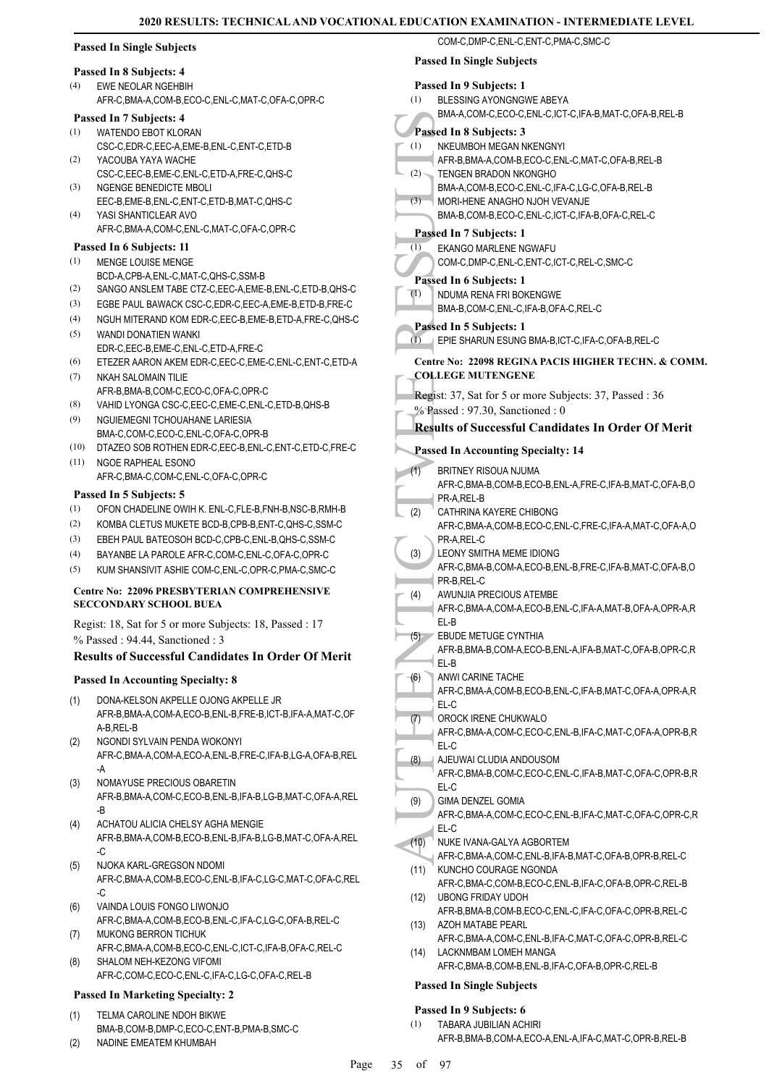| <b>Passed In Single Subjects</b>                                   | COM-C,DMP-C,ENL-C,ENT-C,PMA-C,SMC-C                                                          |
|--------------------------------------------------------------------|----------------------------------------------------------------------------------------------|
| Passed In 8 Subjects: 4                                            | <b>Passed In Single Subjects</b>                                                             |
| (4)<br>EWE NEOLAR NGEHBIH                                          | Passed In 9 Subjects: 1                                                                      |
| AFR-C, BMA-A, COM-B, ECO-C, ENL-C, MAT-C, OFA-C, OPR-C             | (1)<br>BLESSING AYONGNGWE ABEYA                                                              |
|                                                                    | BMA-A,COM-C,ECO-C,ENL-C,ICT-C,IFA-B,MAT-C,OFA-B,REL-B                                        |
| Passed In 7 Subjects: 4                                            |                                                                                              |
| (1)<br>WATENDO EBOT KLORAN                                         | Passed In 8 Subjects: 3                                                                      |
| CSC-C,EDR-C,EEC-A,EME-B,ENL-C,ENT-C,ETD-B                          | NKEUMBOH MEGAN NKENGNYI<br>(1)                                                               |
| (2)<br>YACOUBA YAYA WACHE                                          | AFR-B, BMA-A, COM-B, ECO-C, ENL-C, MAT-C, OFA-B, REL-B                                       |
| CSC-C,EEC-B,EME-C,ENL-C,ETD-A,FRE-C,QHS-C                          | (2) TENGEN BRADON NKONGHO                                                                    |
| (3)<br>NGENGE BENEDICTE MBOLI                                      | BMA-A,COM-B,ECO-C,ENL-C,IFA-C,LG-C,OFA-B,REL-B                                               |
| EEC-B,EME-B,ENL-C,ENT-C,ETD-B,MAT-C,QHS-C                          | (3)<br>MORI-HENE ANAGHO NJOH VEVANJE                                                         |
| (4)<br>YASI SHANTICLEAR AVO                                        | BMA-B,COM-B,ECO-C,ENL-C,ICT-C,IFA-B,OFA-C,REL-C                                              |
| AFR-C, BMA-A, COM-C, ENL-C, MAT-C, OFA-C, OPR-C                    | Passed In 7 Subjects: 1                                                                      |
| Passed In 6 Subjects: 11                                           | EKANGO MARLENE NGWAFU<br>(1)                                                                 |
| (1)<br>MENGE LOUISE MENGE                                          | COM-C,DMP-C,ENL-C,ENT-C,ICT-C,REL-C,SMC-C                                                    |
| BCD-A,CPB-A,ENL-C,MAT-C,QHS-C,SSM-B                                | Passed In 6 Subjects: 1                                                                      |
| (2)<br>SANGO ANSLEM TABE CTZ-C, EEC-A, EME-B, ENL-C, ETD-B, QHS-C  | (1)<br>NDUMA RENA FRI BOKENGWE                                                               |
| (3)<br>EGBE PAUL BAWACK CSC-C,EDR-C,EEC-A,EME-B,ETD-B,FRE-C        | BMA-B,COM-C,ENL-C,IFA-B,OFA-C,REL-C                                                          |
| (4)<br>NGUH MITERAND KOM EDR-C, EEC-B, EME-B, ETD-A, FRE-C, QHS-C  |                                                                                              |
| (5)<br>WANDI DONATIEN WANKI                                        | Passed In 5 Subjects: 1                                                                      |
| EDR-C,EEC-B,EME-C,ENL-C,ETD-A,FRE-C                                | (1)<br>EPIE SHARUN ESUNG BMA-B, ICT-C, IFA-C, OFA-B, REL-C                                   |
| (6)<br>ETEZER AARON AKEM EDR-C,EEC-C,EME-C,ENL-C,ENT-C,ETD-A       | Centre No: 22098 REGINA PACIS HIGHER TECHN. & COMM.                                          |
| (7)<br>NKAH SALOMAIN TILIE                                         | <b>COLLEGE MUTENGENE</b>                                                                     |
| AFR-B, BMA-B, COM-C, ECO-C, OFA-C, OPR-C                           |                                                                                              |
| (8)<br>VAHID LYONGA CSC-C,EEC-C,EME-C,ENL-C,ETD-B,QHS-B            | Regist: 37, Sat for 5 or more Subjects: 37, Passed: 36                                       |
| (9)<br>NGUIEMEGNI TCHOUAHANE LARIESIA                              | % Passed: 97.30, Sanctioned: 0                                                               |
| BMA-C,COM-C,ECO-C,ENL-C,OFA-C,OPR-B                                | <b>Results of Successful Candidates In Order Of Merit</b>                                    |
| DTAZEO SOB ROTHEN EDR-C, EEC-B, ENL-C, ENT-C, ETD-C, FRE-C<br>(10) |                                                                                              |
| (11)<br>NGOE RAPHEAL ESONO                                         | <b>Passed In Accounting Specialty: 14</b>                                                    |
| AFR-C, BMA-C, COM-C, ENL-C, OFA-C, OPR-C                           | (1)<br>BRITNEY RISOUA NJUMA                                                                  |
|                                                                    | AFR-C, BMA-B, COM-B, ECO-B, ENL-A, FRE-C, IFA-B, MAT-C, OFA-B, O                             |
| Passed In 5 Subjects: 5                                            | PR-A,REL-B                                                                                   |
| OFON CHADELINE OWIH K. ENL-C, FLE-B, FNH-B, NSC-B, RMH-B<br>(1)    | CATHRINA KAYERE CHIBONG<br>(2)                                                               |
| (2)<br>KOMBA CLETUS MUKETE BCD-B,CPB-B,ENT-C,QHS-C,SSM-C           | AFR-C, BMA-A, COM-B, ECO-C, ENL-C, FRE-C, IFA-A, MAT-C, OFA-A, O                             |
| (3)<br>EBEH PAUL BATEOSOH BCD-C,CPB-C,ENL-B,QHS-C,SSM-C            | PR-A,REL-C                                                                                   |
| BAYANBE LA PAROLE AFR-C,COM-C,ENL-C,OFA-C,OPR-C<br>(4)             | (3)<br>LEONY SMITHA MEME IDIONG                                                              |
| (5)<br>KUM SHANSIVIT ASHIE COM-C, ENL-C, OPR-C, PMA-C, SMC-C       | AFR-C, BMA-B, COM-A, ECO-B, ENL-B, FRE-C, IFA-B, MAT-C, OFA-B, O                             |
| <b>Centre No: 22096 PRESBYTERIAN COMPREHENSIVE</b>                 | PR-B,REL-C                                                                                   |
|                                                                    | (4)<br>AWUNJIA PRECIOUS ATEMBE                                                               |
| <b>SECCONDARY SCHOOL BUEA</b>                                      | AFR-C,BMA-A,COM-A,ECO-B,ENL-C,IFA-A,MAT-B,OFA-A,OPR-A,R                                      |
| Regist: 18, Sat for 5 or more Subjects: 18, Passed : 17            | EL-B                                                                                         |
| % Passed: 94.44, Sanctioned: 3                                     | EBUDE METUGE CYNTHIA<br>(5)                                                                  |
| <b>Results of Successful Candidates In Order Of Merit</b>          | AFR-B, BMA-B, COM-A, ECO-B, ENL-A, IFA-B, MAT-C, OFA-B, OPR-C, R                             |
|                                                                    | EL-B                                                                                         |
| <b>Passed In Accounting Specialty: 8</b>                           | ANWI CARINE TACHE<br>(6)                                                                     |
| (1)<br>DONA-KELSON AKPELLE OJONG AKPELLE JR                        | AFR-C, BMA-A, COM-B, ECO-B, ENL-C, IFA-B, MAT-C, OFA-A, OPR-A, R                             |
| AFR-B,BMA-A,COM-A,ECO-B,ENL-B,FRE-B,ICT-B,IFA-A,MAT-C,OF           | EL-C                                                                                         |
| A-B, REL-B                                                         | OROCK IRENE CHUKWALO<br>(7)                                                                  |
| (2)<br>NGONDI SYLVAIN PENDA WOKONYI                                | AFR-C, BMA-A, COM-C, ECO-C, ENL-B, IFA-C, MAT-C, OFA-A, OPR-B, R                             |
| AFR-C, BMA-A, COM-A, ECO-A, ENL-B, FRE-C, IFA-B, LG-A, OFA-B, REL  | EL-C                                                                                         |
| -A                                                                 | (8)<br>AJEUWAI CLUDIA ANDOUSOM                                                               |
| NOMAYUSE PRECIOUS OBARETIN<br>(3)                                  | AFR-C, BMA-B, COM-C, ECO-C, ENL-C, IFA-B, MAT-C, OFA-C, OPR-B, R                             |
| AFR-B, BMA-A, COM-C, ECO-B, ENL-B, IFA-B, LG-B, MAT-C, OFA-A, REL  | EL-C                                                                                         |
| -B                                                                 | GIMA DENZEL GOMIA<br>(9)<br>AFR-C, BMA-A, COM-C, ECO-C, ENL-B, IFA-C, MAT-C, OFA-C, OPR-C, R |
| (4)<br>ACHATOU ALICIA CHELSY AGHA MENGIE                           | EL-C                                                                                         |
| AFR-B, BMA-A, COM-B, ECO-B, ENL-B, IFA-B, LG-B, MAT-C, OFA-A, REL  | (10)<br>NUKE IVANA-GALYA AGBORTEM                                                            |
| -C                                                                 | AFR-C, BMA-A, COM-C, ENL-B, IFA-B, MAT-C, OFA-B, OPR-B, REL-C                                |
| (5)<br>NJOKA KARL-GREGSON NDOMI                                    | KUNCHO COURAGE NGONDA<br>(11)                                                                |
| AFR-C,BMA-A,COM-B,ECO-C,ENL-B,IFA-C,LG-C,MAT-C,OFA-C,REL           | AFR-C,BMA-C,COM-B,ECO-C,ENL-B,IFA-C,OFA-B,OPR-C,REL-B                                        |
| -C                                                                 | <b>UBONG FRIDAY UDOH</b><br>(12)                                                             |
| VAINDA LOUIS FONGO LIWONJO<br>(6)                                  | AFR-B, BMA-B, COM-B, ECO-C, ENL-C, IFA-C, OFA-C, OPR-B, REL-C                                |
| AFR-C,BMA-A,COM-B,ECO-B,ENL-C,IFA-C,LG-C,OFA-B,REL-C               | AZOH MATABE PEARL<br>(13)                                                                    |
| <b>MUKONG BERRON TICHUK</b><br>(7)                                 | AFR-C, BMA-A, COM-C, ENL-B, IFA-C, MAT-C, OFA-C, OPR-B, REL-C                                |
| AFR-C, BMA-A, COM-B, ECO-C, ENL-C, ICT-C, IFA-B, OFA-C, REL-C      | LACKNMBAM LOMEH MANGA<br>(14)                                                                |
| SHALOM NEH-KEZONG VIFOMI<br>(8)                                    | AFR-C, BMA-B, COM-B, ENL-B, IFA-C, OFA-B, OPR-C, REL-B                                       |
| AFR-C,COM-C,ECO-C,ENL-C,IFA-C,LG-C,OFA-C,REL-B                     |                                                                                              |
|                                                                    | <b>Passed In Single Subjects</b>                                                             |

#### **Passed In Marketing Specialty: 2**

- TELMA CAROLINE NDOH BIKWE BMA-B,COM-B,DMP-C,ECO-C,ENT-B,PMA-B,SMC-C (1)
- (2) NADINE EMEATEM KHUMBAH

**Passed In 9 Subjects: 6** TABARA JUBILIAN ACHIRI (1)

AFR-B,BMA-B,COM-A,ECO-A,ENL-A,IFA-C,MAT-C,OPR-B,REL-B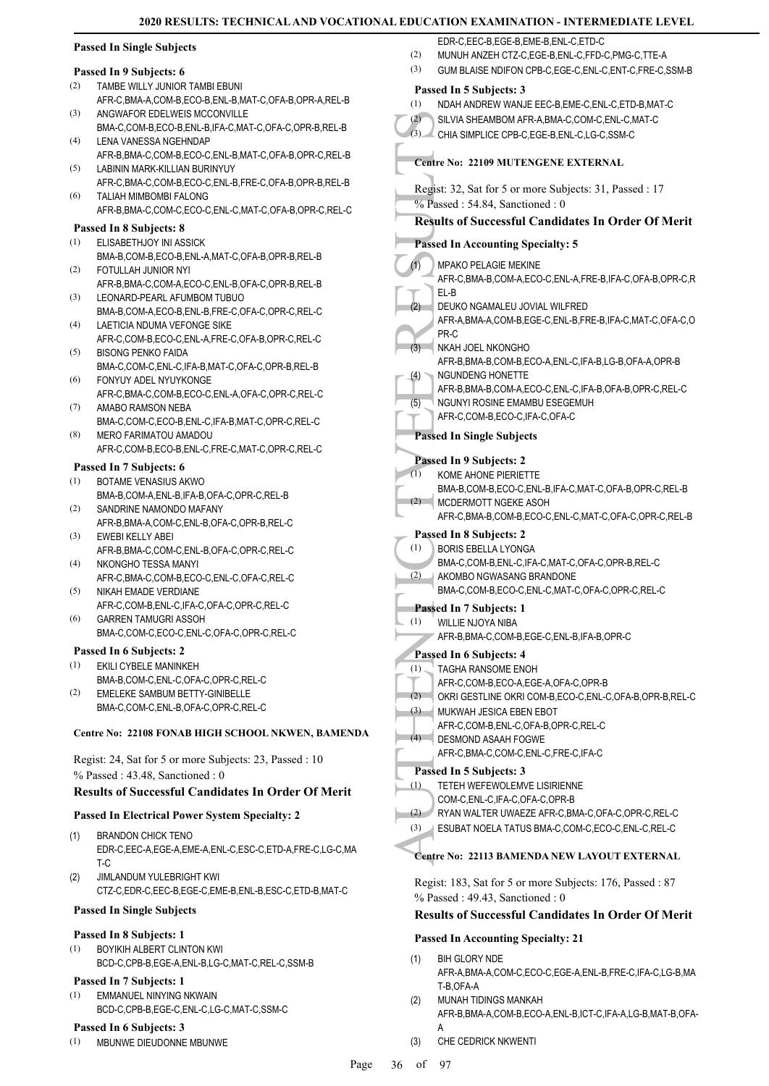EDR-C,EEC-B,EGE-B,EME-B,ENL-C,ETD-C

### **Passed In Single Subjects**

#### **Passed In 9 Subjects: 6**

- TAMBE WILLY JUNIOR TAMBI EBUNI (2)
- AFR-C,BMA-A,COM-B,ECO-B,ENL-B,MAT-C,OFA-B,OPR-A,REL-B ANGWAFOR EDELWEIS MCCONVILLE (3)
- BMA-C,COM-B,ECO-B,ENL-B,IFA-C,MAT-C,OFA-C,OPR-B,REL-B LENA VANESSA NGEHNDAP (4)
- AFR-B,BMA-C,COM-B,ECO-C,ENL-B,MAT-C,OFA-B,OPR-C,REL-B LABININ MARK-KILLIAN BURINYUY (5)
- AFR-C,BMA-C,COM-B,ECO-C,ENL-B,FRE-C,OFA-B,OPR-B,REL-B TALIAH MIMBOMBI FALONG (6)
- AFR-B,BMA-C,COM-C,ECO-C,ENL-C,MAT-C,OFA-B,OPR-C,REL-C

### **Passed In 8 Subjects: 8**

- ELISABETHJOY INI ASSICK BMA-B,COM-B,ECO-B,ENL-A,MAT-C,OFA-B,OPR-B,REL-B (1)
- FOTULLAH JUNIOR NYI AFR-B,BMA-C,COM-A,ECO-C,ENL-B,OFA-C,OPR-B,REL-B (2)
- LEONARD-PEARL AFUMBOM TUBUO BMA-B,COM-A,ECO-B,ENL-B,FRE-C,OFA-C,OPR-C,REL-C (3)
- LAETICIA NDUMA VEFONGE SIKE AFR-C,COM-B,ECO-C,ENL-A,FRE-C,OFA-B,OPR-C,REL-C (4)
- BISONG PENKO FAIDA (5)
- BMA-C,COM-C,ENL-C,IFA-B,MAT-C,OFA-C,OPR-B,REL-B FONYUY ADEL NYUYKONGE (6)
- AFR-C,BMA-C,COM-B,ECO-C,ENL-A,OFA-C,OPR-C,REL-C AMABO RAMSON NEBA (7)
- BMA-C,COM-C,ECO-B,ENL-C,IFA-B,MAT-C,OPR-C,REL-C MERO FARIMATOU AMADOU (8)
- AFR-C,COM-B,ECO-B,ENL-C,FRE-C,MAT-C,OPR-C,REL-C

### **Passed In 7 Subjects: 6**

- BOTAME VENASIUS AKWO (1)
- BMA-B,COM-A,ENL-B,IFA-B,OFA-C,OPR-C,REL-B SANDRINE NAMONDO MAFANY (2)
- AFR-B,BMA-A,COM-C,ENL-B,OFA-C,OPR-B,REL-C EWEBI KELLY ABEI (3)
- AFR-B,BMA-C,COM-C,ENL-B,OFA-C,OPR-C,REL-C NKONGHO TESSA MANYI (4)
- AFR-C,BMA-C,COM-B,ECO-C,ENL-C,OFA-C,REL-C NIKAH EMADE VERDIANE (5)
- AFR-C,COM-B,ENL-C,IFA-C,OFA-C,OPR-C,REL-C GARREN TAMUGRI ASSOH (6)
- BMA-C,COM-C,ECO-C,ENL-C,OFA-C,OPR-C,REL-C

### **Passed In 6 Subjects: 2**

- EKILI CYBELE MANINKEH (1)
- BMA-B,COM-C,ENL-C,OFA-C,OPR-C,REL-C EMELEKE SAMBUM BETTY-GINIBELLE BMA-C,COM-C,ENL-B,OFA-C,OPR-C,REL-C (2)

### **Centre No: 22108 FONAB HIGH SCHOOL NKWEN, BAMENDA**

Regist: 24, Sat for 5 or more Subjects: 23, Passed : 10 % Passed : 43.48, Sanctioned : 0

### **Results of Successful Candidates In Order Of Merit**

### **Passed In Electrical Power System Specialty: 2**

- BRANDON CHICK TENO EDR-C,EEC-A,EGE-A,EME-A,ENL-C,ESC-C,ETD-A,FRE-C,LG-C,MA  $T-C$ (1)
- JIMLANDUM YULEBRIGHT KWI CTZ-C,EDR-C,EEC-B,EGE-C,EME-B,ENL-B,ESC-C,ETD-B,MAT-C (2)

### **Passed In Single Subjects**

### **Passed In 8 Subjects: 1**

BOYIKIH ALBERT CLINTON KWI BCD-C,CPB-B,EGE-A,ENL-B,LG-C,MAT-C,REL-C,SSM-B (1)

### **Passed In 7 Subjects: 1**

EMMANUEL NINYING NKWAIN BCD-C,CPB-B,EGE-C,ENL-C,LG-C,MAT-C,SSM-C (1)

### **Passed In 6 Subjects: 3**

MBUNWE DIEUDONNE MBUNWE (1)

(2) SILVIA S<br>
Centre No:<br>
Regist: 32,<br>
% Passed :<br>
Results of<br>
Passed In /<br>
MPAKC<br>
AFR-C,<br>
EL-B<br>
DEUKC<br>
AFR-C,<br>
EL-B<br>
DEUKC<br>
AFR-C,<br>
PR-C MKAH J<br>
AFR-B,<br>
NGUNI AFR-B,<br>
NGUNI AFR-B,<br>
NGUNI AFR-B,<br>
NGUNI AFR-B,<br>
NGUNI AFR-B, (2) MUNUH ANZEH CTZ-C,EGE-B,ENL-C,FFD-C,PMG-C,TTE-A (3) GUM BLAISE NDIFON CPB-C,EGE-C,ENL-C,ENT-C,FRE-C,SSM-B **Passed In 5 Subjects: 3** (1) NDAH ANDREW WANJE EEC-B,EME-C,ENL-C,ETD-B,MAT-C (2) SILVIA SHEAMBOM AFR-A,BMA-C,COM-C,ENL-C,MAT-C (3) CHIA SIMPLICE CPB-C,EGE-B,ENL-C,LG-C,SSM-C **Centre No: 22109 MUTENGENE EXTERNAL**  Regist: 32, Sat for 5 or more Subjects: 31, Passed : 17 % Passed : 54.84, Sanctioned : 0 **Results of Successful Candidates In Order Of Merit Passed In Accounting Specialty: 5** MPAKO PELAGIE MEKINE AFR-C,BMA-B,COM-A,ECO-C,ENL-A,FRE-B,IFA-C,OFA-B,OPR-C,R EL-B (1) DEUKO NGAMALEU JOVIAL WILFRED AFR-A,BMA-A,COM-B,EGE-C,ENL-B,FRE-B,IFA-C,MAT-C,OFA-C,O PR-C (2) NKAH JOEL NKONGHO AFR-B,BMA-B,COM-B,ECO-A,ENL-C,IFA-B,LG-B,OFA-A,OPR-B  $(3)$ NGUNDENG HONETTE AFR-B,BMA-B,COM-A,ECO-C,ENL-C,IFA-B,OFA-B,OPR-C,REL-C (4) NGUNYI ROSINE EMAMBU ESEGEMUH AFR-C,COM-B,ECO-C,IFA-C,OFA-C (5) **Passed In Single Subjects Passed In 9 Subjects: 2** KOME AHONE PIERIETTE BMA-B,COM-B,ECO-C,ENL-B,IFA-C,MAT-C,OFA-B,OPR-C,REL-B (1) MCDERMOTT NGEKE ASOH AFR-C,BMA-B,COM-B,ECO-C,ENL-C,MAT-C,OFA-C,OPR-C,REL-B  $(2)$ **Passed In 8 Subjects: 2** BORIS EBELLA LYONGA BMA-C,COM-B,ENL-C,IFA-C,MAT-C,OFA-C,OPR-B,REL-C (1) AKOMBO NGWASANG BRANDONE BMA-C,COM-B,ECO-C,ENL-C,MAT-C,OFA-C,OPR-C,REL-C (2) **Passed In 7 Subjects: 1** WILLIE NJOYA NIBA AFR-B,BMA-C,COM-B,EGE-C,ENL-B,IFA-B,OPR-C (1) **Passed In 6 Subjects: 4** TAGHA RANSOME ENOH AFR-C,COM-B,ECO-A,EGE-A,OFA-C,OPR-B (1) (2) OKRI GESTLINE OKRI COM-B,ECO-C,ENL-C,OFA-B,OPR-B,REL-C MUKWAH JESICA EBEN EBOT AFR-C,COM-B,ENL-C,OFA-B,OPR-C,REL-C  $(3)$ DESMOND ASAAH FOGWE AFR-C,BMA-C,COM-C,ENL-C,FRE-C,IFA-C  $(4)$ **Passed In 5 Subjects: 3** TETEH WEFEWOLEMVE LISIRIENNE COM-C,ENL-C,IFA-C,OFA-C,OPR-B (1) (2) RYAN WALTER UWAEZE AFR-C,BMA-C,OFA-C,OPR-C,REL-C (3) ESUBAT NOELA TATUS BMA-C,COM-C,ECO-C,ENL-C,REL-C **Centre No: 22113 BAMENDA NEW LAYOUT EXTERNAL**  Regist: 183, Sat for 5 or more Subjects: 176, Passed : 87 % Passed : 49.43, Sanctioned : 0 **Results of Successful Candidates In Order Of Merit**

### **Passed In Accounting Specialty: 21**

- BIH GLORY NDE AFR-A,BMA-A,COM-C,ECO-C,EGE-A,ENL-B,FRE-C,IFA-C,LG-B,MA T-B,OFA-A (1)
- MUNAH TIDINGS MANKAH AFR-B,BMA-A,COM-B,ECO-A,ENL-B,ICT-C,IFA-A,LG-B,MAT-B,OFA-A (2)
- (3) CHE CEDRICK NKWENTI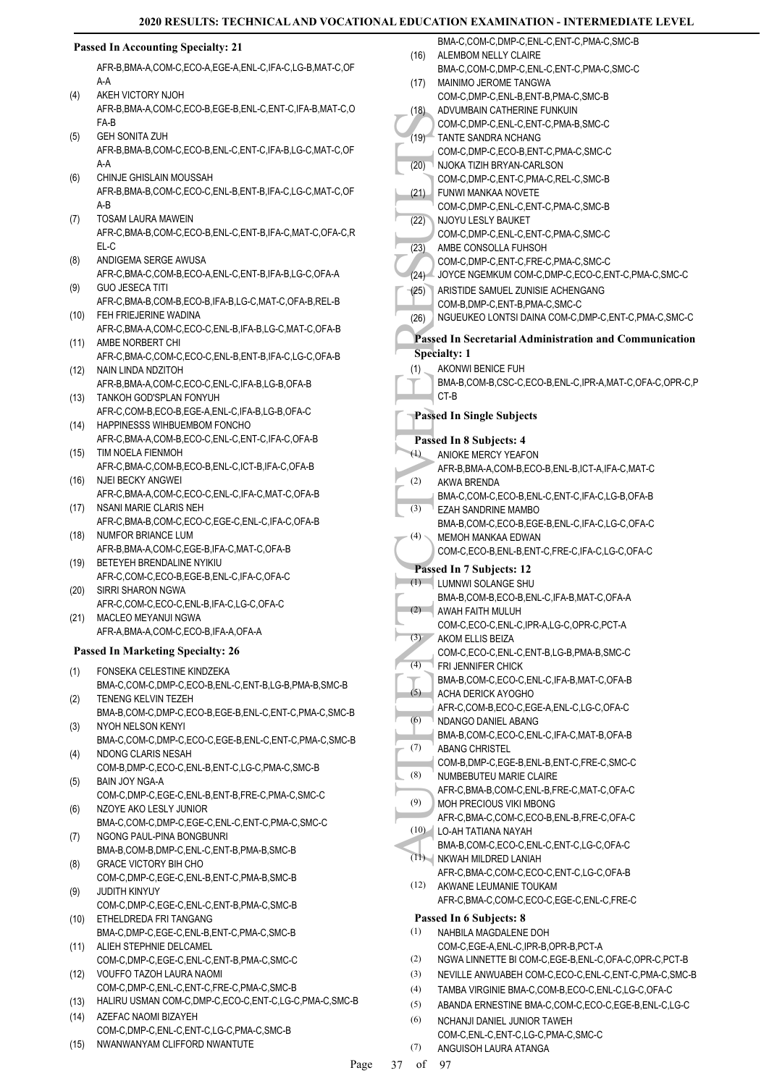#### (19) TANTE (20) MUCHAND COM-C<br>
(20) COM-C<br>
(20) COM-C<br>
(20) COM-C<br>
(21) COM-C<br>
(22) ARISTII COM-C<br>
(22) ARISTII COM-C<br>
(23) ARISTII COM-C<br>
(24) JOYCE<br>
(25) ARISTII COM-C<br>
(26) ARISTII COM-B<br>
Rassed In S<br>
(4) AKONN BMA-B, C **Passed In Accounting Specialty: 21** AFR-B,BMA-A,COM-C,ECO-A,EGE-A,ENL-C,IFA-C,LG-B,MAT-C,OF A-A AKEH VICTORY NJOH AFR-B,BMA-A,COM-C,ECO-B,EGE-B,ENL-C,ENT-C,IFA-B,MAT-C,O FA-B  $(4)$ GEH SONITA ZUH AFR-B,BMA-B,COM-C,ECO-B,ENL-C,ENT-C,IFA-B,LG-C,MAT-C,OF A-A (5) CHINJE GHISLAIN MOUSSAH AFR-B,BMA-B,COM-C,ECO-C,ENL-B,ENT-B,IFA-C,LG-C,MAT-C,OF A-B (6) TOSAM LAURA MAWEIN AFR-C,BMA-B,COM-C,ECO-B,ENL-C,ENT-B,IFA-C,MAT-C,OFA-C,R EL-C (7) ANDIGEMA SERGE AWUSA AFR-C,BMA-C,COM-B,ECO-A,ENL-C,ENT-B,IFA-B,LG-C,OFA-A (8) GUO JESECA TITI AFR-C,BMA-B,COM-B,ECO-B,IFA-B,LG-C,MAT-C,OFA-B,REL-B (9) FEH FRIEJERINE WADINA (10) AFR-C,BMA-A,COM-C,ECO-C,ENL-B,IFA-B,LG-C,MAT-C,OFA-B (11) AMBE NORBERT CHI AFR-C,BMA-C,COM-C,ECO-C,ENL-B,ENT-B,IFA-C,LG-C,OFA-B (12) NAIN LINDA NDZITOH AFR-B,BMA-A,COM-C,ECO-C,ENL-C,IFA-B,LG-B,OFA-B TANKOH GOD'SPLAN FONYUH (13) AFR-C,COM-B,ECO-B,EGE-A,ENL-C,IFA-B,LG-B,OFA-C (14) HAPPINESSS WIHBUEMBOM FONCHO AFR-C,BMA-A,COM-B,ECO-C,ENL-C,ENT-C,IFA-C,OFA-B (15) TIM NOELA FIENMOH AFR-C,BMA-C,COM-B,ECO-B,ENL-C,ICT-B,IFA-C,OFA-B NJEI BECKY ANGWEI AFR-C,BMA-A,COM-C,ECO-C,ENL-C,IFA-C,MAT-C,OFA-B (16) (17) NSANI MARIE CLARIS NEH AFR-C,BMA-B,COM-C,ECO-C,EGE-C,ENL-C,IFA-C,OFA-B NUMFOR BRIANCE LUM AFR-B,BMA-A,COM-C,EGE-B,IFA-C,MAT-C,OFA-B (18) BETEYEH BRENDALINE NYIKIU (19) AFR-C,COM-C,ECO-B,EGE-B,ENL-C,IFA-C,OFA-C SIRRI SHARON NGWA AFR-C,COM-C,ECO-C,ENL-B,IFA-C,LG-C,OFA-C (20) MACLEO MEYANUI NGWA AFR-A,BMA-A,COM-C,ECO-B,IFA-A,OFA-A (21) **Passed In Marketing Specialty: 26** FONSEKA CELESTINE KINDZEKA BMA-C,COM-C,DMP-C,ECO-B,ENL-C,ENT-B,LG-B,PMA-B,SMC-B (1) TENENG KELVIN TEZEH BMA-B,COM-C,DMP-C,ECO-B,EGE-B,ENL-C,ENT-C,PMA-C,SMC-B (2) NYOH NELSON KENYI BMA-C,COM-C,DMP-C,ECO-C,EGE-B,ENL-C,ENT-C,PMA-C,SMC-B (3) NDONG CLARIS NESAH COM-B,DMP-C,ECO-C,ENL-B,ENT-C,LG-C,PMA-C,SMC-B (4) BAIN JOY NGA-A COM-C,DMP-C,EGE-C,ENL-B,ENT-B,FRE-C,PMA-C,SMC-C (5) NZOYE AKO LESLY JUNIOR BMA-C,COM-C,DMP-C,EGE-C,ENL-C,ENT-C,PMA-C,SMC-C (6) NGONG PAUL-PINA BONGBUNRI BMA-B,COM-B,DMP-C,ENL-C,ENT-B,PMA-B,SMC-B (7) GRACE VICTORY BIH CHO COM-C,DMP-C,EGE-C,ENL-B,ENT-C,PMA-B,SMC-B (8) JUDITH KINYUY COM-C,DMP-C,EGE-C,ENL-C,ENT-B,PMA-C,SMC-B (9) ETHELDREDA FRI TANGANG (10) BMA-C,DMP-C,EGE-C,ENL-B,ENT-C,PMA-C,SMC-B (11) ALIEH STEPHNIE DELCAMEL COM-C,DMP-C,EGE-C,ENL-C,ENT-B,PMA-C,SMC-C VOUFFO TAZOH LAURA NAOMI COM-C,DMP-C,ENL-C,ENT-C,FRE-C,PMA-C,SMC-B (12) (13) HALIRU USMAN COM-C,DMP-C,ECO-C,ENT-C,LG-C,PMA-C,SMC-B AZEFAC NAOMI BIZAYEH COM-C,DMP-C,ENL-C,ENT-C,LG-C,PMA-C,SMC-B  $(14)$ (15) NWANWANYAM CLIFFORD NWANTUTE BMA-C,COM-C,DMP-C,ENL-C,ENT-C,PMA-C,SMC-B ALEMBOM NELLY CLAIRE BMA-C,COM-C,DMP-C,ENL-C,ENT-C,PMA-C,SMC-C (16) MAINIMO JEROME TANGWA COM-C,DMP-C,ENL-B,ENT-B,PMA-C,SMC-B (17) ADVUMBAIN CATHERINE FUNKUIN COM-C,DMP-C,ENL-C,ENT-C,PMA-B,SMC-C  $(18)$ TANTE SANDRA NCHANG (19) COM-C,DMP-C,ECO-B,ENT-C,PMA-C,SMC-C NJOKA TIZIH BRYAN-CARLSON COM-C,DMP-C,ENT-C,PMA-C,REL-C,SMC-B (20) FUNWI MANKAA NOVETE COM-C,DMP-C,ENL-C,ENT-C,PMA-C,SMC-B (21) NJOYU LESLY BAUKET COM-C,DMP-C,ENL-C,ENT-C,PMA-C,SMC-C (22) AMBE CONSOLLA FUHSOH COM-C,DMP-C,ENT-C,FRE-C,PMA-C,SMC-C (23) (24) JOYCE NGEMKUM COM-C,DMP-C,ECO-C,ENT-C,PMA-C,SMC-C ARISTIDE SAMUEL ZUNISIE ACHENGANG COM-B,DMP-C,ENT-B,PMA-C,SMC-C (25) (26) NGUEUKEO LONTSI DAINA COM-C,DMP-C,ENT-C,PMA-C,SMC-C **Passed In Secretarial Administration and Communication Specialty: 1** AKONWI BENICE FUH BMA-B,COM-B,CSC-C,ECO-B,ENL-C,IPR-A,MAT-C,OFA-C,OPR-C,P CT-B (1) **Passed In Single Subjects Passed In 8 Subjects: 4** ANIOKE MERCY YEAFON AFR-B,BMA-A,COM-B,ECO-B,ENL-B,ICT-A,IFA-C,MAT-C (1) AKWA BRENDA BMA-C,COM-C,ECO-B,ENL-C,ENT-C,IFA-C,LG-B,OFA-B (2) EZAH SANDRINE MAMBO BMA-B,COM-C,ECO-B,EGE-B,ENL-C,IFA-C,LG-C,OFA-C (3) MEMOH MANKAA EDWAN COM-C,ECO-B,ENL-B,ENT-C,FRE-C,IFA-C,LG-C,OFA-C (4) **Passed In 7 Subjects: 12** LUMNWI SOLANGE SHU (1) BMA-B,COM-B,ECO-B,ENL-C,IFA-B,MAT-C,OFA-A AWAH FAITH MULUH COM-C,ECO-C,ENL-C,IPR-A,LG-C,OPR-C,PCT-A  $(2)$ AKOM ELLIS BEIZA COM-C,ECO-C,ENL-C,ENT-B,LG-B,PMA-B,SMC-C  $(3)$ FRI JENNIFER CHICK BMA-B,COM-C,ECO-C,ENL-C,IFA-B,MAT-C,OFA-B (4) ACHA DERICK AYOGHO AFR-C,COM-B,ECO-C,EGE-A,ENL-C,LG-C,OFA-C (5) NDANGO DANIEL ABANG BMA-B,COM-C,ECO-C,ENL-C,IFA-C,MAT-B,OFA-B (6) ABANG CHRISTEL COM-B,DMP-C,EGE-B,ENL-B,ENT-C,FRE-C,SMC-C (7) NUMBEBUTEU MARIE CLAIRE AFR-C,BMA-B,COM-C,ENL-B,FRE-C,MAT-C,OFA-C (8) MOH PRECIOUS VIKI MBONG AFR-C,BMA-C,COM-C,ECO-B,ENL-B,FRE-C,OFA-C (9) LO-AH TATIANA NAYAH (10) BMA-B,COM-C,ECO-C,ENL-C,ENT-C,LG-C,OFA-C NKWAH MILDRED LANIAH (11) AFR-C,BMA-C,COM-C,ECO-C,ENT-C,LG-C,OFA-B (12) AKWANE LEUMANIE TOUKAM AFR-C,BMA-C,COM-C,ECO-C,EGE-C,ENL-C,FRE-C **Passed In 6 Subjects: 8** NAHBILA MAGDALENE DOH COM-C,EGE-A,ENL-C,IPR-B,OPR-B,PCT-A (1) (2) NGWA LINNETTE BI COM-C,EGE-B,ENL-C,OFA-C,OPR-C,PCT-B (3) NEVILLE ANWUABEH COM-C,ECO-C,ENL-C,ENT-C,PMA-C,SMC-B (4) TAMBA VIRGINIE BMA-C,COM-B,ECO-C,ENL-C,LG-C,OFA-C (5) ABANDA ERNESTINE BMA-C,COM-C,ECO-C,EGE-B,ENL-C,LG-C NCHANJI DANIEL JUNIOR TAWEH COM-C,ENL-C,ENT-C,LG-C,PMA-C,SMC-C (6) ANGUISOH LAURA ATANGA (7)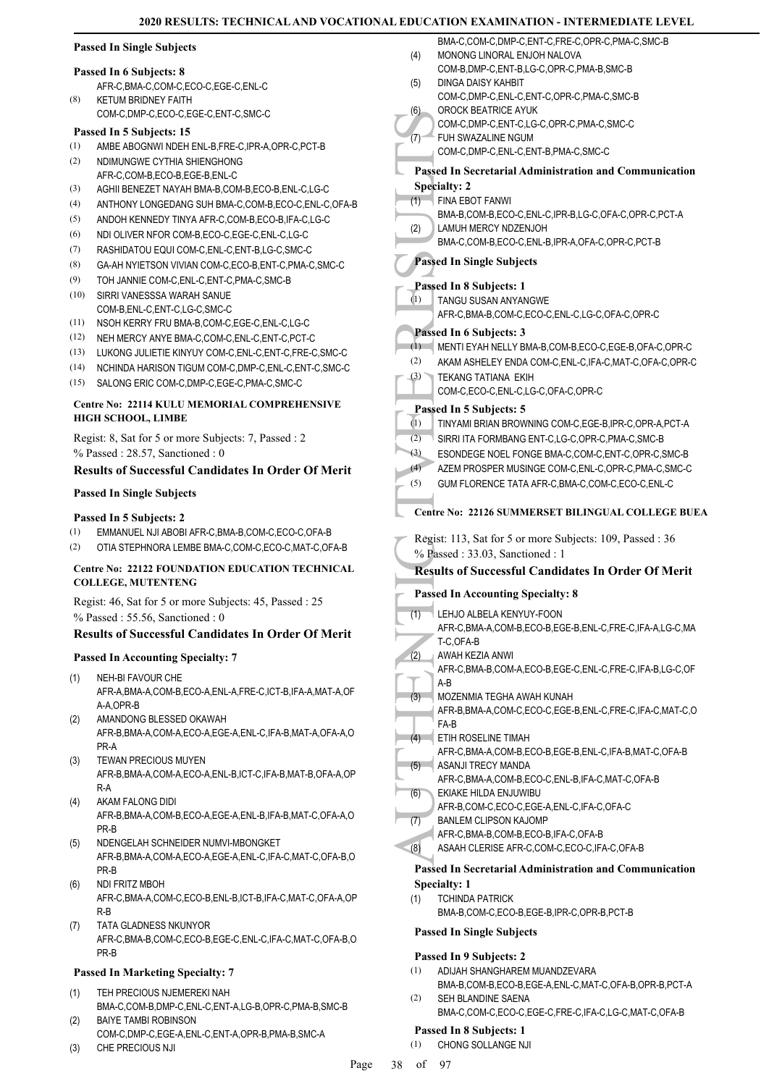|  | <b>Passed In Single Subjects</b> |  |
|--|----------------------------------|--|
|  |                                  |  |

#### **Passed In 6 Subjects: 8**

AFR-C,BMA-C,COM-C,ECO-C,EGE-C,ENL-C KETUM BRIDNEY FAITH (8)

COM-C,DMP-C,ECO-C,EGE-C,ENT-C,SMC-C

#### **Passed In 5 Subjects: 15**

- (1) AMBE ABOGNWI NDEH ENL-B,FRE-C,IPR-A,OPR-C,PCT-B
- NDIMUNGWE CYTHIA SHIENGHONG AFR-C, COM-B, ECO-B, EGE-B, ENL-C (2)
- (3) AGHII BENEZET NAYAH BMA-B,COM-B,ECO-B,ENL-C,LG-C
- (4) ANTHONY LONGEDANG SUH BMA-C,COM-B,ECO-C,ENL-C,OFA-B
- (5) ANDOH KENNEDY TINYA AFR-C,COM-B,ECO-B,IFA-C,LG-C
- (6) NDI OLIVER NFOR COM-B,ECO-C,EGE-C,ENL-C,LG-C
- (7) RASHIDATOU EQUI COM-C,ENL-C,ENT-B,LG-C,SMC-C
- (8) GA-AH NYIETSON VIVIAN COM-C,ECO-B,ENT-C,PMA-C,SMC-C
- (9) TOH JANNIE COM-C,ENL-C,ENT-C,PMA-C,SMC-B
- SIRRI VANESSSA WARAH SANUE (10) COM-B,ENL-C,ENT-C,LG-C,SMC-C
- (11) NSOH KERRY FRU BMA-B,COM-C,EGE-C,ENL-C,LG-C
- (12) NEH MERCY ANYE BMA-C,COM-C,ENL-C,ENT-C,PCT-C
- (13) LUKONG JULIETIE KINYUY COM-C,ENL-C,ENT-C,FRE-C,SMC-C
- (14) NCHINDA HARISON TIGUM COM-C,DMP-C,ENL-C,ENT-C,SMC-C
- (15) SALONG ERIC COM-C,DMP-C,EGE-C,PMA-C,SMC-C

#### **Centre No: 22114 KULU MEMORIAL COMPREHENSIVE HIGH SCHOOL, LIMBE**

Regist: 8, Sat for 5 or more Subjects: 7, Passed : 2 % Passed : 28.57, Sanctioned : 0

# **Results of Successful Candidates In Order Of Merit**

## **Passed In Single Subjects**

### **Passed In 5 Subjects: 2**

- (1) EMMANUEL NJI ABOBI AFR-C,BMA-B,COM-C,ECO-C,OFA-B
- (2) OTIA STEPHNORA LEMBE BMA-C,COM-C,ECO-C,MAT-C,OFA-B

#### **Centre No: 22122 FOUNDATION EDUCATION TECHNICAL COLLEGE, MUTENTENG**

Regist: 46, Sat for 5 or more Subjects: 45, Passed : 25 % Passed : 55.56, Sanctioned : 0

# **Results of Successful Candidates In Order Of Merit**

# **Passed In Accounting Specialty: 7**

- NEH-BI FAVOUR CHE AFR-A,BMA-A,COM-B,ECO-A,ENL-A,FRE-C,ICT-B,IFA-A,MAT-A,OF A-A,OPR-B (1)
- AMANDONG BLESSED OKAWAH AFR-B,BMA-A,COM-A,ECO-A,EGE-A,ENL-C,IFA-B,MAT-A,OFA-A,O PR-A (2)
- TEWAN PRECIOUS MUYEN AFR-B,BMA-A,COM-A,ECO-A,ENL-B,ICT-C,IFA-B,MAT-B,OFA-A,OP R-A (3)
- AKAM FALONG DIDI AFR-B,BMA-A,COM-B,ECO-A,EGE-A,ENL-B,IFA-B,MAT-C,OFA-A,O PR-B (4)
- NDENGELAH SCHNEIDER NUMVI-MBONGKET AFR-B,BMA-A,COM-A,ECO-A,EGE-A,ENL-C,IFA-C,MAT-C,OFA-B,O PR-B (5)
- NDI FRITZ MBOH AFR-C,BMA-A,COM-C,ECO-B,ENL-B,ICT-B,IFA-C,MAT-C,OFA-A,OP R-B (6)
- TATA GLADNESS NKUNYOR AFR-C,BMA-B,COM-C,ECO-B,EGE-C,ENL-C,IFA-C,MAT-C,OFA-B,O PR-B (7)

# **Passed In Marketing Specialty: 7**

- TEH PRECIOUS NJEMEREKI NAH BMA-C,COM-B,DMP-C,ENL-C,ENT-A,LG-B,OPR-C,PMA-B,SMC-B (1) BAIYE TAMBI ROBINSON (2)
- COM-C,DMP-C,EGE-A,ENL-C,ENT-A,OPR-B,PMA-B,SMC-A
- (3) CHE PRECIOUS NJI

|     | BMA-C,COM-C,DMP-C,ENT-C,FRE-C,OPR-C,PMA-C,SMC-B                                      |
|-----|--------------------------------------------------------------------------------------|
| (4) | MONONG LINORAL ENJOH NALOVA<br>COM-B, DMP-C, ENT-B, LG-C, OPR-C, PMA-B, SMC-B        |
| (5) | DINGA DAISY KAHBIT                                                                   |
|     | COM-C,DMP-C,ENL-C,ENT-C,OPR-C,PMA-C,SMC-B                                            |
| (6) | OROCK BEATRICE AYUK                                                                  |
|     | COM-C,DMP-C,ENT-C,LG-C,OPR-C,PMA-C,SMC-C                                             |
| (7) | FUH SWAZALINE NGUM<br>COM-C,DMP-C,ENL-C,ENT-B,PMA-C,SMC-C                            |
|     |                                                                                      |
|     | <b>Passed In Secretarial Administration and Communication</b><br><b>Specialty: 2</b> |
| (1) | FINA EBOT FANWI                                                                      |
|     | BMA-B,COM-B,ECO-C,ENL-C,IPR-B,LG-C,OFA-C,OPR-C,PCT-A                                 |
| (2) | LAMUH MERCY NDZENJOH                                                                 |
|     | BMA-C,COM-B,ECO-C,ENL-B,IPR-A,OFA-C,OPR-C,PCT-B                                      |
|     | <b>Passed In Single Subjects</b>                                                     |
|     | Passed In 8 Subjects: 1                                                              |
| (1) | <b>TANGU SUSAN ANYANGWE</b>                                                          |
|     | AFR-C, BMA-B, COM-C, ECO-C, ENL-C, LG-C, OFA-C, OPR-C                                |
|     | Passed In 6 Subjects: 3                                                              |
| (1) | MENTI EYAH NELLY BMA-B,COM-B,ECO-C,EGE-B,OFA-C,OPR-C                                 |
| (2) | AKAM ASHELEY ENDA COM-C, ENL-C, IFA-C, MAT-C, OFA-C, OPR-C                           |
| (3) | <b>TEKANG TATIANA EKIH</b>                                                           |
|     | COM-C,ECO-C,ENL-C,LG-C,OFA-C,OPR-C                                                   |
| (1) | Passed In 5 Subjects: 5<br>TINYAMI BRIAN BROWNING COM-C, EGE-B, IPR-C, OPR-A, PCT-A  |
| (2) | SIRRI ITA FORMBANG ENT-C,LG-C,OPR-C,PMA-C,SMC-B                                      |
| (3) | ESONDEGE NOEL FONGE BMA-C, COM-C, ENT-C, OPR-C, SMC-B                                |
| (4) | AZEM PROSPER MUSINGE COM-C, ENL-C, OPR-C, PMA-C, SMC-C                               |
| (5) | GUM FLORENCE TATA AFR-C, BMA-C, COM-C, ECO-C, ENL-C                                  |
|     |                                                                                      |
|     |                                                                                      |
|     | <b>Centre No: 22126 SUMMERSET BILINGUAL COLLEGE BUEA</b>                             |
|     | Regist: 113, Sat for 5 or more Subjects: 109, Passed: 36                             |
|     | % Passed: 33.03, Sanctioned: 1                                                       |
|     | <b>Results of Successful Candidates In Order Of Merit</b>                            |
|     | <b>Passed In Accounting Specialty: 8</b>                                             |
|     |                                                                                      |
| (1) | LEHJO ALBELA KENYUY-FOON<br>AFR-C,BMA-A,COM-B,ECO-B,EGE-B,ENL-C,FRE-C,IFA-A,LG-C,MA  |
|     | T-C,OFA-B                                                                            |
| (2) | AWAH KEZIA ANWI                                                                      |
|     | AFR-C,BMA-B,COM-A,ECO-B,EGE-C,ENL-C,FRE-C,IFA-B,LG-C,OF<br>A-B                       |
| (3) | MOZENMIA TEGHA AWAH KUNAH                                                            |
|     | AFR-B, BMA-A, COM-C, ECO-C, EGE-B, ENL-C, FRE-C, IFA-C, MAT-C, O                     |
|     | FA-B                                                                                 |
| (4) | ETIH ROSELINE TIMAH<br>AFR-C, BMA-A, COM-B, ECO-B, EGE-B, ENL-C, IFA-B, MAT-C, OFA-B |
| (5) | ASANJI TRECY MANDA                                                                   |
|     | AFR-C, BMA-A, COM-B, ECO-C, ENL-B, IFA-C, MAT-C, OFA-B                               |
| (6) | EKIAKE HILDA ENJUWIBU                                                                |
|     | AFR-B,COM-C,ECO-C,EGE-A,ENL-C,IFA-C,OFA-C<br><b>BANLEM CLIPSON KAJOMP</b>            |
| (7) | AFR-C, BMA-B, COM-B, ECO-B, IFA-C, OFA-B                                             |
| (8) | ASAAH CLERISE AFR-C,COM-C,ECO-C,IFA-C,OFA-B                                          |
|     | <b>Passed In Secretarial Administration and Communication</b>                        |
|     | <b>Specialty: 1</b>                                                                  |
| (1) | <b>TCHINDA PATRICK</b>                                                               |
|     | BMA-B,COM-C,ECO-B,EGE-B,IPR-C,OPR-B,PCT-B                                            |
|     | <b>Passed In Single Subjects</b>                                                     |
|     | Passed In 9 Subjects: 2                                                              |

#### BMA-B,COM-B,ECO-B,EGE-A,ENL-C,MAT-C,OFA-B,OPR-B,PCT-A SEH BLANDINE SAENA (2)

BMA-C,COM-C,ECO-C,EGE-C,FRE-C,IFA-C,LG-C,MAT-C,OFA-B

# **Passed In 8 Subjects: 1**

(1) CHONG SOLLANGE NJI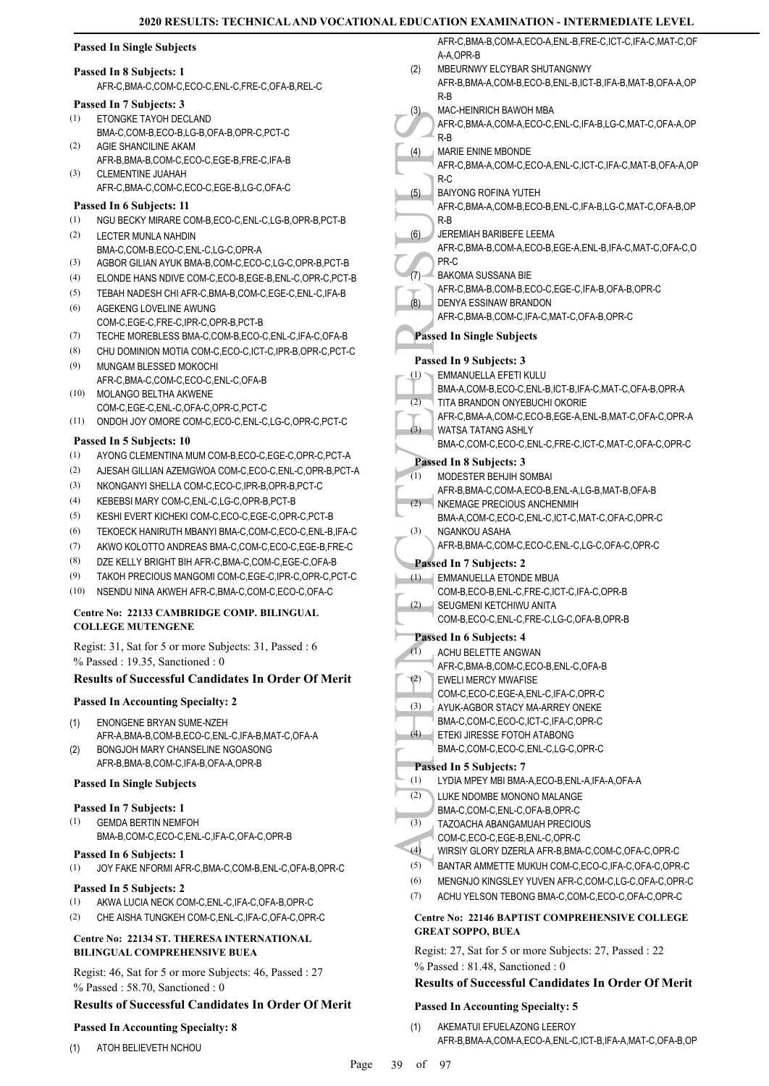# **Passed In Single Subjects**

#### **Passed In 8 Subjects: 1**

AFR-C,BMA-C,COM-C,ECO-C,ENL-C,FRE-C,OFA-B,REL-C

# **Passed In 7 Subjects: 3**

- ETONGKE TAYOH DECLAND BMA-C,COM-B,ECO-B,LG-B,OFA-B,OPR-C,PCT-C (1)
- AGIE SHANCILINE AKAM AFR-B,BMA-B,COM-C,ECO-C,EGE-B,FRE-C,IFA-B (2)
- CLEMENTINE JUAHAH AFR-C,BMA-C,COM-C,ECO-C,EGE-B,LG-C,OFA-C (3)

### **Passed In 6 Subjects: 11**

- (1) NGU BECKY MIRARE COM-B,ECO-C,ENL-C,LG-B,OPR-B,PCT-B LECTER MUNLA NAHDIN (2)
- BMA-C,COM-B,ECO-C,ENL-C,LG-C,OPR-A
- (3) AGBOR GILIAN AYUK BMA-B,COM-C,ECO-C,LG-C,OPR-B,PCT-B
- (4) ELONDE HANS NDIVE COM-C,ECO-B,EGE-B,ENL-C,OPR-C,PCT-B
- (5) TEBAH NADESH CHI AFR-C,BMA-B,COM-C,EGE-C,ENL-C,IFA-B AGEKENG LOVELINE AWUNG (6)
- COM-C,EGE-C,FRE-C,IPR-C,OPR-B,PCT-B
- (7) TECHE MOREBLESS BMA-C,COM-B,ECO-C,ENL-C,IFA-C,OFA-B
- (8) CHU DOMINION MOTIA COM-C,ECO-C,ICT-C,IPR-B,OPR-C,PCT-C
- MUNGAM BLESSED MOKOCHI AFR-C,BMA-C,COM-C,ECO-C,ENL-C,OFA-B (9)
- MOLANGO BELTHA AKWENE COM-C,EGE-C,ENL-C,OFA-C,OPR-C,PCT-C (10)
- (11) ONDOH JOY OMORE COM-C,ECO-C,ENL-C,LG-C,OPR-C,PCT-C

# **Passed In 5 Subjects: 10**

- (1) AYONG CLEMENTINA MUM COM-B,ECO-C,EGE-C,OPR-C,PCT-A
- (2) AJESAH GILLIAN AZEMGWOA COM-C,ECO-C,ENL-C,OPR-B,PCT-A
- (3) NKONGANYI SHELLA COM-C,ECO-C,IPR-B,OPR-B,PCT-C
- (4) KEBEBSI MARY COM-C,ENL-C,LG-C,OPR-B,PCT-B
- (5) KESHI EVERT KICHEKI COM-C,ECO-C,EGE-C,OPR-C,PCT-B
- (6) TEKOECK HANIRUTH MBANYI BMA-C,COM-C,ECO-C,ENL-B,IFA-C
- (7) AKWO KOLOTTO ANDREAS BMA-C,COM-C,ECO-C,EGE-B,FRE-C
- (8) DZE KELLY BRIGHT BIH AFR-C,BMA-C,COM-C,EGE-C,OFA-B
- (9) TAKOH PRECIOUS MANGOMI COM-C,EGE-C,IPR-C,OPR-C,PCT-C
- (10) NSENDU NINA AKWEH AFR-C,BMA-C,COM-C,ECO-C,OFA-C

# **Centre No: 22133 CAMBRIDGE COMP. BILINGUAL COLLEGE MUTENGENE**

Regist: 31, Sat for 5 or more Subjects: 31, Passed : 6 % Passed : 19.35, Sanctioned : 0

# **Results of Successful Candidates In Order Of Merit**

# **Passed In Accounting Specialty: 2**

- ENONGENE BRYAN SUME-NZEH AFR-A,BMA-B,COM-B,ECO-C,ENL-C,IFA-B,MAT-C,OFA-A (1)
- BONGJOH MARY CHANSELINE NGOASONG AFR-B,BMA-B,COM-C,IFA-B,OFA-A,OPR-B (2)

# **Passed In Single Subjects**

# **Passed In 7 Subjects: 1**

- GEMDA BERTIN NEMFOH (1)
- BMA-B,COM-C,ECO-C,ENL-C,IFA-C,OFA-C,OPR-B
- **Passed In 6 Subjects: 1**
- (1) JOY FAKE NFORMI AFR-C,BMA-C,COM-B,ENL-C,OFA-B,OPR-C

#### **Passed In 5 Subjects: 2**

- (1) AKWA LUCIA NECK COM-C,ENL-C,IFA-C,OFA-B,OPR-C
- (2) CHE AISHA TUNGKEH COM-C,ENL-C,IFA-C,OFA-C,OPR-C

#### **Centre No: 22134 ST. THERESA INTERNATIONAL BILINGUAL COMPREHENSIVE BUEA**

Regist: 46, Sat for 5 or more Subjects: 46, Passed : 27 % Passed : 58.70, Sanctioned : 0

# **Results of Successful Candidates In Order Of Merit**

# **Passed In Accounting Specialty: 8**

AFR-C,BMA-B,COM-A,ECO-A,ENL-B,FRE-C,ICT-C,IFA-C,MAT-C,OF A-A OPR-B

- MBEURNWY ELCYBAR SHUTANGNWY AFR-B,BMA-A,COM-B,ECO-B,ENL-B,ICT-B,IFA-B,MAT-B,OFA-A,OP (2)
- R-B MAC-HEINRICH BAWOH MBA (3)
- AFR-C,BMA-A,COM-A,ECO-C,ENL-C,IFA-B,LG-C,MAT-C,OFA-A,OP R-B
- MARIE ENINE MBONDE  $(4)$
- AFR-C,BMA-A,COM-C,ECO-A,ENL-C,ICT-C,IFA-C,MAT-B,OFA-A,OP R-C
- BAIYONG ROFINA YUTEH (5)
- AFR-C,BMA-A,COM-B,ECO-B,ENL-C,IFA-B,LG-C,MAT-C,OFA-B,OP R-B
- JEREMIAH BARIBEFE LEEMA (6)
- AFR-C,BMA-B,COM-A,ECO-B,EGE-A,ENL-B,IFA-C,MAT-C,OFA-C,O PR-C
- BAKOMA SUSSANA BIE (7)
- AFR-C,BMA-B,COM-B,ECO-C,EGE-C,IFA-B,OFA-B,OPR-C
- DENYA ESSINAW BRANDON (8)
	- AFR-C,BMA-B,COM-C,IFA-C,MAT-C,OFA-B,OPR-C

# **Passed In Single Subjects**

# **Passed In 9 Subjects: 3**

- EMMANUELLA EFETI KULU (1)
- BMA-A,COM-B,ECO-C,ENL-B,ICT-B,IFA-C,MAT-C,OFA-B,OPR-A TITA BRANDON ONYEBUCHI OKORIE (2)
- AFR-C,BMA-A,COM-C,ECO-B,EGE-A,ENL-B,MAT-C,OFA-C,OPR-A (3)

#### WATSA TATANG ASHLY BMA-C,COM-C,ECO-C,ENL-C,FRE-C,ICT-C,MAT-C,OFA-C,OPR-C

# **Passed In 8 Subjects: 3**

| (1) | MODESTER BEHJIH SOMBAI                          |
|-----|-------------------------------------------------|
|     | AFR-B.BMA-C.COM-A.ECO-B.ENL-A.LG-B.MAT-B.OFA-B  |
| (2) | NKEMAGE PRECIOUS ANCHENMIH                      |
|     | BMA-A,COM-C,ECO-C,ENL-C,ICT-C,MAT-C,OFA-C,OPR-C |
| (3) | NGANKOU ASAHA                                   |
|     | .                                               |

AFR-B,BMA-C,COM-C,ECO-C,ENL-C,LG-C,OFA-C,OPR-C

# **Passed In 7 Subjects: 2**

- EMMANUELLA ETONDE MBUA (1)
- COM-B,ECO-B,ENL-C,FRE-C,ICT-C,IFA-C,OPR-B
- SEUGMENI KETCHIWU ANITA (2)
- COM-B,ECO-C,ENL-C,FRE-C,LG-C,OFA-B,OPR-B

# **Passed In 6 Subjects: 4**

- (a) MARIE<br>
(a) AFR-C,<br>
(a) AFR-C,<br>
(b) AFR-C,<br>
(b) AFR-C,<br>
(a) AFR-C,<br>
(c) R-B<br>
AFR-C,<br>
(c) R-B<br>
AFR-C,<br>
(d) AFR-C,<br>
(a) AFR-C,<br>
(a) EMMAA,<br>
TITA BHA-A,<br>
TITA BHA-A,<br>
TITA BHA-A,<br>
(1) MODES<br>
AFR-C,<br>
(3) NATSA<br>
BMA-A,<br>
TITA ACHU BELETTE ANGWAN AFR-C,BMA-B,COM-C,ECO-B,ENL-C,OFA-B  $(1)$ EWELI MERCY MWAFISE COM-C,ECO-C,EGE-A,ENL-C,IFA-C,OPR-C (2) AYUK-AGBOR STACY MA-ARREY ONEKE BMA-C,COM-C,ECO-C,ICT-C,IFA-C,OPR-C (3) ETEKI JIRESSE FOTOH ATABONG BMA-C,COM-C,ECO-C,ENL-C,LG-C,OPR-C (4) **Passed In 5 Subjects: 7** (1) LYDIA MPEY MBI BMA-A,ECO-B,ENL-A,IFA-A,OFA-A LUKE NDOMBE MONONO MALANGE BMA-C,COM-C,ENL-C,OFA-B,OPR-C (2) TAZOACHA ABANGAMUAH PRECIOUS COM-C,ECO-C,EGE-B,ENL-C,OPR-C (3) (4) WIRSIY GLORY DZERLA AFR-B,BMA-C,COM-C,OFA-C,OPR-C
	- (5) BANTAR AMMETTE MUKUH COM-C,ECO-C,IFA-C,OFA-C,OPR-C
	- (6) MENGNJO KINGSLEY YUVEN AFR-C,COM-C,LG-C,OFA-C,OPR-C
	- (7) ACHU YELSON TEBONG BMA-C,COM-C,ECO-C,OFA-C,OPR-C

# **Centre No: 22146 BAPTIST COMPREHENSIVE COLLEGE GREAT SOPPO, BUEA**

Regist: 27, Sat for 5 or more Subjects: 27, Passed : 22 % Passed : 81.48, Sanctioned : 0

# **Results of Successful Candidates In Order Of Merit**

# **Passed In Accounting Specialty: 5**

AKEMATUI EFUELAZONG LEEROY AFR-B,BMA-A,COM-A,ECO-A,ENL-C,ICT-B,IFA-A,MAT-C,OFA-B,OP (1)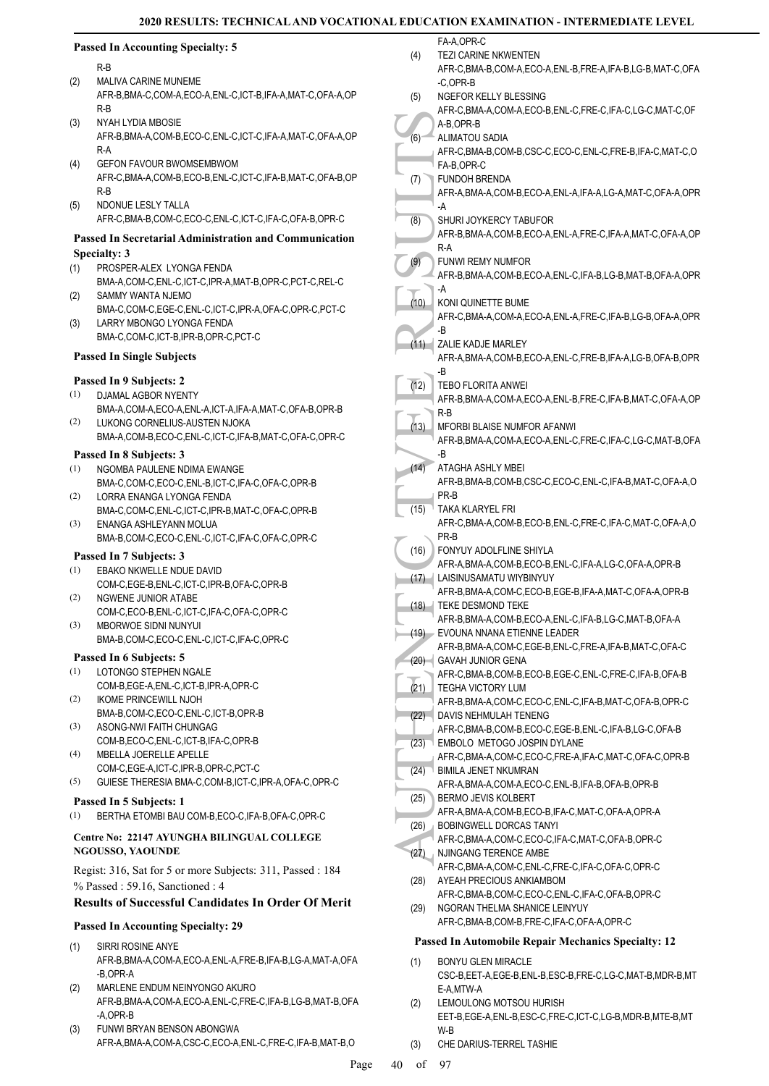FA-A OPR-C

# **Passed In Accounting Specialty: 5**

R-B

- MALIVA CARINE MUNEME
- AFR-B,BMA-C,COM-A,ECO-A,ENL-C,ICT-B,IFA-A,MAT-C,OFA-A,OP R-B (2)
- NYAH LYDIA MBOSIE AFR-B,BMA-A,COM-B,ECO-C,ENL-C,ICT-C,IFA-A,MAT-C,OFA-A,OP R-A (3)
- GEFON FAVOUR BWOMSEMBWOM AFR-C,BMA-A,COM-B,ECO-B,ENL-C,ICT-C,IFA-B,MAT-C,OFA-B,OP R-B (4)
- NDONUE LESLY TALLA AFR-C,BMA-B,COM-C,ECO-C,ENL-C,ICT-C,IFA-C,OFA-B,OPR-C (5)

# **Passed In Secretarial Administration and Communication Specialty: 3**

- PROSPER-ALEX LYONGA FENDA BMA-A,COM-C,ENL-C,ICT-C,IPR-A,MAT-B,OPR-C,PCT-C,REL-C (1)
- SAMMY WANTA NJEMO BMA-C,COM-C,EGE-C,ENL-C,ICT-C,IPR-A,OFA-C,OPR-C,PCT-C (2)
- LARRY MBONGO LYONGA FENDA BMA-C,COM-C,ICT-B,IPR-B,OPR-C,PCT-C (3)

# **Passed In Single Subjects**

# **Passed In 9 Subjects: 2**

- DJAMAL AGBOR NYENTY BMA-A,COM-A,ECO-A,ENL-A,ICT-A,IFA-A,MAT-C,OFA-B,OPR-B (1)
- LUKONG CORNELIUS-AUSTEN NJOKA BMA-A,COM-B,ECO-C,ENL-C,ICT-C,IFA-B,MAT-C,OFA-C,OPR-C (2)

# **Passed In 8 Subjects: 3**

- (1) NGOMBA PAULENE NDIMA EWANGE BMA-C,COM-C,ECO-C,ENL-B,ICT-C,IFA-C,OFA-C,OPR-B
- LORRA ENANGA LYONGA FENDA BMA-C,COM-C,ENL-C,ICT-C,IPR-B,MAT-C,OFA-C,OPR-B (2) ENANGA ASHLEYANN MOLUA (3)
- BMA-B,COM-C,ECO-C,ENL-C,ICT-C,IFA-C,OFA-C,OPR-C

### **Passed In 7 Subjects: 3**

- EBAKO NKWELLE NDUE DAVID COM-C,EGE-B,ENL-C,ICT-C,IPR-B,OFA-C,OPR-B (1)
- NGWENE JUNIOR ATABE COM-C,ECO-B,ENL-C,ICT-C,IFA-C,OFA-C,OPR-C (2)
- MBORWOE SIDNI NUNYUI BMA-B,COM-C,ECO-C,ENL-C,ICT-C,IFA-C,OPR-C (3)

# **Passed In 6 Subjects: 5**

- LOTONGO STEPHEN NGALE (1) COM-B,EGE-A,ENL-C,ICT-B,IPR-A,OPR-C
- IKOME PRINCEWILL NJOH BMA-B,COM-C,ECO-C,ENL-C,ICT-B,OPR-B (2)
- ASONG-NWI FAITH CHUNGAG COM-B,ECO-C,ENL-C,ICT-B,IFA-C,OPR-B (3)
- MBELLA JOERELLE APELLE (4) COM-C,EGE-A,ICT-C,IPR-B,OPR-C,PCT-C
- (5) GUIESE THERESIA BMA-C,COM-B,ICT-C,IPR-A,OFA-C,OPR-C

## **Passed In 5 Subjects: 1**

(1) BERTHA ETOMBI BAU COM-B,ECO-C,IFA-B,OFA-C,OPR-C

#### **Centre No: 22147 AYUNGHA BILINGUAL COLLEGE NGOUSSO, YAOUNDE**

Regist: 316, Sat for 5 or more Subjects: 311, Passed : 184 % Passed : 59.16, Sanctioned : 4

# **Results of Successful Candidates In Order Of Merit**

# **Passed In Accounting Specialty: 29**

- SIRRI ROSINE ANYE AFR-B,BMA-A,COM-A,ECO-A,ENL-A,FRE-B,IFA-B,LG-A,MAT-A,OFA -B,OPR-A (1)
- MARLENE ENDUM NEINYONGO AKURO (2) AFR-B,BMA-A,COM-A,ECO-A,ENL-C,FRE-C,IFA-B,LG-B,MAT-B,OFA -A,OPR-B
- FUNWI BRYAN BENSON ABONGWA AFR-A,BMA-A,COM-A,CSC-C,ECO-A,ENL-C,FRE-C,IFA-B,MAT-B,O (3)

| (4)  | TEZI CARINE NKWENTEN<br>AFR-C,BMA-B,COM-A,ECO-A,ENL-B,FRE-A,IFA-B,LG-B,MAT-C,OFA                 |
|------|--------------------------------------------------------------------------------------------------|
| (5)  | -C.OPR-B<br>NGEFOR KELLY BLESSING<br>AFR-C,BMA-A,COM-A,ECO-B,ENL-C,FRE-C,IFA-C,LG-C,MAT-C,OF     |
|      | A-B,OPR-B                                                                                        |
| (6)  | ALIMATOU SADIA<br>AFR-C, BMA-B, COM-B, CSC-C, ECO-C, ENL-C, FRE-B, IFA-C, MAT-C, O               |
|      | FA-B,OPR-C                                                                                       |
| (7)  | FUNDOH BRENDA<br>AFR-A, BMA-A, COM-B, ECO-A, ENL-A, IFA-A, LG-A, MAT-C, OFA-A, OPR               |
|      | -A<br>SHURI JOYKERCY TABUFOR                                                                     |
| (8)  | AFR-B, BMA-A, COM-B, ECO-A, ENL-A, FRE-C, IFA-A, MAT-C, OFA-A, OP<br>R-A                         |
| (9)  | <b>FUNWI REMY NUMFOR</b><br>AFR-B, BMA-A, COM-B, ECO-A, ENL-C, IFA-B, LG-B, MAT-B, OFA-A, OPR    |
|      | -A                                                                                               |
| (10) | KONI QUINETTE BUME<br>AFR-C,BMA-A,COM-A,ECO-A,ENL-A,FRE-C,IFA-B,LG-B,OFA-A,OPR<br>-B             |
| (11) | ZALIE KADJE MARLEY                                                                               |
|      | AFR-A, BMA-A, COM-B, ECO-A, ENL-C, FRE-B, IFA-A, LG-B, OFA-B, OPR<br>-B                          |
| (12) | <b>TEBO FLORITA ANWEI</b>                                                                        |
|      | AFR-B, BMA-A, COM-A, ECO-A, ENL-B, FRE-C, IFA-B, MAT-C, OFA-A, OP                                |
|      | R-B                                                                                              |
| (13) | MFORBI BLAISE NUMFOR AFANWI<br>AFR-B, BMA-A, COM-A, ECO-A, ENL-C, FRE-C, IFA-C, LG-C, MAT-B, OFA |
|      | -B                                                                                               |
| (14) | ATAGHA ASHLY MBEI                                                                                |
|      | AFR-B, BMA-B, COM-B, CSC-C, ECO-C, ENL-C, IFA-B, MAT-C, OFA-A, O                                 |
|      | PR-B                                                                                             |
| (15) | TAKA KLARYEL FRI                                                                                 |
|      | AFR-C, BMA-A, COM-B, ECO-B, ENL-C, FRE-C, IFA-C, MAT-C, OFA-A, O                                 |
|      | PR-B                                                                                             |
| (16) | FONYUY ADOLFLINE SHIYLA                                                                          |
|      | AFR-A, BMA-A, COM-B, ECO-B, ENL-C, IFA-A, LG-C, OFA-A, OPR-B                                     |
| (17) | LAISINUSAMATU WIYBINYUY                                                                          |
|      | AFR-B, BMA-A, COM-C, ECO-B, EGE-B, IFA-A, MAT-C, OFA-A, OPR-B                                    |
| (18) | TEKE DESMOND TEKE<br>AFR-B, BMA-A, COM-B, ECO-A, ENL-C, IFA-B, LG-C, MAT-B, OFA-A                |
| (19) | EVOUNA NNANA ETIENNE LEADER                                                                      |
|      | AFR-B, BMA-A, COM-C, EGE-B, ENL-C, FRE-A, IFA-B, MAT-C, OFA-C                                    |
| (20) | <b>GAVAH JUNIOR GENA</b>                                                                         |
|      | AFR-C, BMA-B, COM-B, ECO-B, EGE-C, ENL-C, FRE-C, IFA-B, OFA-B                                    |
| (21) | TEGHA VICTORY LUM                                                                                |
|      | AFR-B, BMA-A, COM-C, ECO-C, ENL-C, IFA-B, MAT-C, OFA-B, OPR-C                                    |
| (22) | DAVIS NEHMULAH TENENG                                                                            |
|      | AFR-C.BMA-B.COM-B.ECO-C.EGE-B.ENL-C.IFA-B.LG-C.OFA-B                                             |
| (23) | EMBOLO METOGO JOSPIN DYLANE                                                                      |
|      | AFR-C, BMA-A, COM-C, ECO-C, FRE-A, IFA-C, MAT-C, OFA-C, OPR-B<br><b>BIMILA JENET NKUMRAN</b>     |
| (24) | AFR-A, BMA-A, COM-A, ECO-C, ENL-B, IFA-B, OFA-B, OPR-B                                           |
| (25) | BERMO JEVIS KOLBERT                                                                              |
|      | AFR-A, BMA-A, COM-B, ECO-B, IFA-C, MAT-C, OFA-A, OPR-A                                           |
| (26) | BOBINGWELL DORCAS TANYI                                                                          |
|      | AFR-C, BMA-A, COM-C, ECO-C, IFA-C, MAT-C, OFA-B, OPR-C                                           |
| (27) | NJINGANG TERENCE AMBE                                                                            |
|      | AFR-C, BMA-A, COM-C, ENL-C, FRE-C, IFA-C, OFA-C, OPR-C                                           |
| (28) | AYEAH PRECIOUS ANKIAMBOM                                                                         |
|      | AFR-C, BMA-B, COM-C, ECO-C, ENL-C, IFA-C, OFA-B, OPR-C                                           |
| (29) | NGORAN THELMA SHANICE LEINYUY                                                                    |
|      | AFR-C, BMA-B, COM-B, FRE-C, IFA-C, OFA-A, OPR-C                                                  |
| (1)  | <b>Passed In Automobile Repair Mechanics Specialty: 12</b><br><b>BONYU GLEN MIRACLE</b>          |
|      | CSC-B, EET-A, EGE-B, ENL-B, ESC-B, FRE-C, LG-C, MAT-B, MDR-B, MT                                 |
|      | E-A,MTW-A                                                                                        |
| (2)  | LEMOULONG MOTSOU HURISH                                                                          |

- EET-B,EGE-A,ENL-B,ESC-C,FRE-C,ICT-C,LG-B,MDR-B,MTE-B,MT W-B
- (3) CHE DARIUS-TERREL TASHIE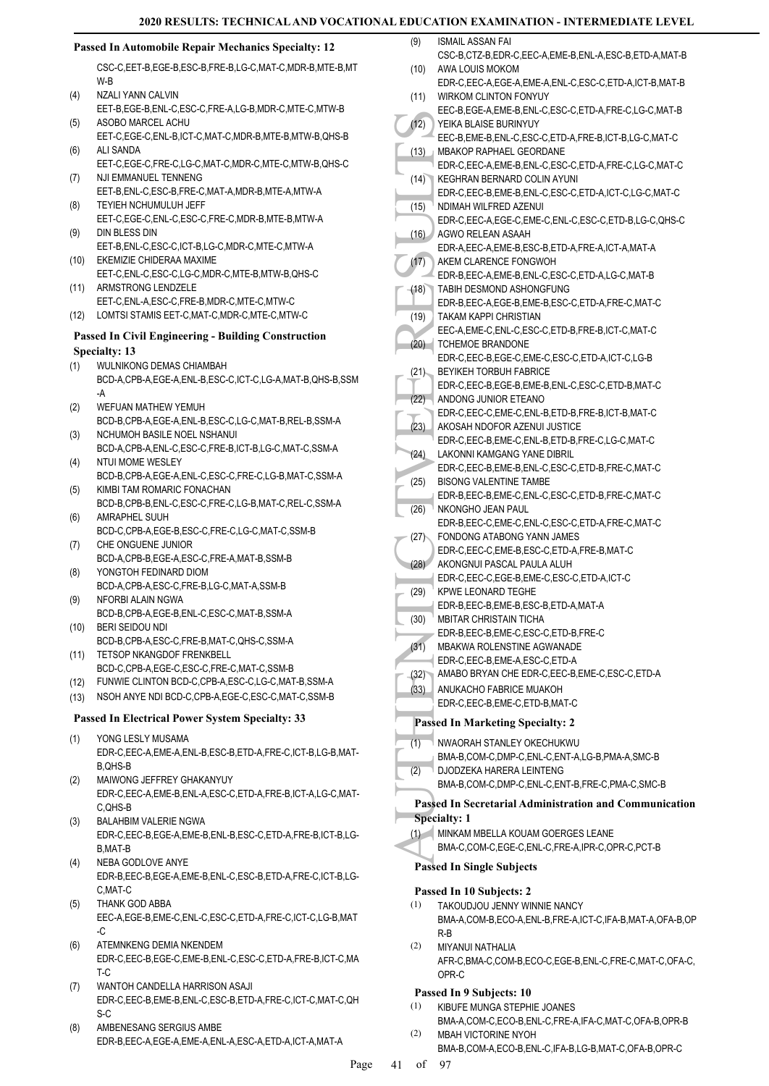# **Passed In Automobile Repair Mechanics Specialty: 12**

CSC-C,EET-B,EGE-B,ESC-B,FRE-B,LG-C,MAT-C,MDR-B,MTE-B,MT W-B

- NZALI YANN CALVIN EET-B,EGE-B,ENL-C,ESC-C,FRE-A,LG-B,MDR-C,MTE-C,MTW-B  $(4)$ ASOBO MARCEL ACHU (5)
- EET-C,EGE-C,ENL-B,ICT-C,MAT-C,MDR-B,MTE-B,MTW-B,QHS-B ALI SANDA (6)
- EET-C,EGE-C,FRE-C,LG-C,MAT-C,MDR-C,MTE-C,MTW-B,QHS-C NJI EMMANUEL TENNENG (7)
- EET-B,ENL-C,ESC-B,FRE-C,MAT-A,MDR-B,MTE-A,MTW-A TEYIEH NCHUMULUH JEFF (8)
- EET-C,EGE-C,ENL-C,ESC-C,FRE-C,MDR-B,MTE-B,MTW-A DIN BLESS DIN (9)
- EET-B,ENL-C,ESC-C,ICT-B,LG-C,MDR-C,MTE-C,MTW-A EKEMIZIE CHIDERAA MAXIME (10)
- EET-C,ENL-C,ESC-C,LG-C,MDR-C,MTE-B,MTW-B,QHS-C ARMSTRONG LENDZELE (11)
- EET-C,ENL-A,ESC-C,FRE-B,MDR-C,MTE-C,MTW-C (12) LOMTSI STAMIS EET-C,MAT-C,MDR-C,MTE-C,MTW-C

# **Passed In Civil Engineering - Building Construction Specialty: 13**

- WULNIKONG DEMAS CHIAMBAH BCD-A,CPB-A,EGE-A,ENL-B,ESC-C,ICT-C,LG-A,MAT-B,QHS-B,SSM -A (1)
- WEFUAN MATHEW YEMUH BCD-B,CPB-A,EGE-A,ENL-B,ESC-C,LG-C,MAT-B,REL-B,SSM-A (2)
- NCHUMOH BASILE NOEL NSHANUI BCD-A,CPB-A,ENL-C,ESC-C,FRE-B,ICT-B,LG-C,MAT-C,SSM-A (3) NTUI MOME WESLEY (4)
- BCD-B,CPB-A,EGE-A,ENL-C,ESC-C,FRE-C,LG-B,MAT-C,SSM-A KIMBI TAM ROMARIC FONACHAN (5)
- BCD-B,CPB-B,ENL-C,ESC-C,FRE-C,LG-B,MAT-C,REL-C,SSM-A AMRAPHEL SUUH (6)
- BCD-C,CPB-A,EGE-B,ESC-C,FRE-C,LG-C,MAT-C,SSM-B CHE ONGUENE JUNIOR (7)
- BCD-A,CPB-B,EGE-A,ESC-C,FRE-A,MAT-B,SSM-B YONGTOH FEDINARD DIOM (8)
- BCD-A,CPB-A,ESC-C,FRE-B,LG-C,MAT-A,SSM-B NFORBI ALAIN NGWA (9)
- BCD-B,CPB-A,EGE-B,ENL-C,ESC-C,MAT-B,SSM-A BERI SEIDOU NDI (10)
- BCD-B,CPB-A,ESC-C,FRE-B,MAT-C,QHS-C,SSM-A TETSOP NKANGDOF FRENKBELL (11)
- BCD-C,CPB-A,EGE-C,ESC-C,FRE-C,MAT-C,SSM-B
- (12) FUNWIE CLINTON BCD-C,CPB-A,ESC-C,LG-C,MAT-B,SSM-A
- (13) NSOH ANYE NDI BCD-C,CPB-A,EGE-C,ESC-C,MAT-C,SSM-B

# **Passed In Electrical Power System Specialty: 33**

- YONG LESLY MUSAMA EDR-C,EEC-A,EME-A,ENL-B,ESC-B,ETD-A,FRE-C,ICT-B,LG-B,MAT-B,QHS-B (1)
- MAIWONG JEFFREY GHAKANYUY EDR-C,EEC-A,EME-B,ENL-A,ESC-C,ETD-A,FRE-B,ICT-A,LG-C,MAT-C,QHS-B (2)
- BALAHBIM VALERIE NGWA EDR-C,EEC-B,EGE-A,EME-B,ENL-B,ESC-C,ETD-A,FRE-B,ICT-B,LG-B,MAT-B (3)
- NEBA GODLOVE ANYE EDR-B,EEC-B,EGE-A,EME-B,ENL-C,ESC-B,ETD-A,FRE-C,ICT-B,LG-C,MAT-C (4)
- THANK GOD ABBA EEC-A,EGE-B,EME-C,ENL-C,ESC-C,ETD-A,FRE-C,ICT-C,LG-B,MAT  $-C$ (5)
- ATEMNKENG DEMIA NKENDEM EDR-C,EEC-B,EGE-C,EME-B,ENL-C,ESC-C,ETD-A,FRE-B,ICT-C,MA T-C (6)
- WANTOH CANDELLA HARRISON ASAJI EDR-C,EEC-B,EME-B,ENL-C,ESC-B,ETD-A,FRE-C,ICT-C,MAT-C,QH S-C (7)
- AMBENESANG SERGIUS AMBE EDR-B,EEC-A,EGE-A,EME-A,ENL-A,ESC-A,ETD-A,ICT-A,MAT-A (8)
- (12) FERC-B, (13) FERC-B, (13) FERC-B, (13) FERC-B, (14) FERC-C, (16) FERC-C, AGWO EDR-C, (16) FOR-B, TAKEM (6) FOR-B, TAKEM (6) FOR-B, TAKEM (6) FOR-B, TAKAM EDR-B, TAKAM EDR-B, TAKAM EDR-B, TAKAM EDR-B, TAKAM EDR-C, (21) ISMAIL ASSAN FAI CSC-B,CTZ-B,EDR-C,EEC-A,EME-B,ENL-A,ESC-B,ETD-A,MAT-B (9) AWA LOUIS MOKOM EDR-C,EEC-A,EGE-A,EME-A,ENL-C,ESC-C,ETD-A,ICT-B,MAT-B (10) WIRKOM CLINTON FONYUY EEC-B,EGE-A,EME-B,ENL-C,ESC-C,ETD-A,FRE-C,LG-C,MAT-B (11) YEIKA BLAISE BURINYUY EEC-B,EME-B,ENL-C,ESC-C,ETD-A,FRE-B,ICT-B,LG-C,MAT-C  $(12)$ MBAKOP RAPHAEL GEORDANE EDR-C,EEC-A,EME-B,ENL-C,ESC-C,ETD-A,FRE-C,LG-C,MAT-C  $(13)$ KEGHRAN BERNARD COLIN AYUNI EDR-C,EEC-B,EME-B,ENL-C,ESC-C,ETD-A,ICT-C,LG-C,MAT-C  $(14)$ NDIMAH WILFRED AZENUI EDR-C,EEC-A,EGE-C,EME-C,ENL-C,ESC-C,ETD-B,LG-C,QHS-C  $(15)$ AGWO RELEAN ASAAH EDR-A,EEC-A,EME-B,ESC-B,ETD-A,FRE-A,ICT-A,MAT-A  $(16)$ AKEM CLARENCE FONGWOH EDR-B,EEC-A,EME-B,ENL-C,ESC-C,ETD-A,LG-C,MAT-B  $(17)$ TABIH DESMOND ASHONGFUNG EDR-B,EEC-A,EGE-B,EME-B,ESC-C,ETD-A,FRE-C,MAT-C (18) TAKAM KAPPI CHRISTIAN EEC-A,EME-C,ENL-C,ESC-C,ETD-B,FRE-B,ICT-C,MAT-C (19) (20) TCHEMOE BRANDONE EDR-C,EEC-B,EGE-C,EME-C,ESC-C,ETD-A,ICT-C,LG-B BEYIKEH TORBUH FABRICE EDR-C,EEC-B,EGE-B,EME-B,ENL-C,ESC-C,ETD-B,MAT-C  $(21)$ ANDONG JUNIOR ETEANO EDR-C,EEC-C,EME-C,ENL-B,ETD-B,FRE-B,ICT-B,MAT-C (22) AKOSAH NDOFOR AZENUI JUSTICE EDR-C,EEC-B,EME-C,ENL-B,ETD-B,FRE-C,LG-C,MAT-C (23) LAKONNI KAMGANG YANE DIBRIL EDR-C,EEC-B,EME-B,ENL-C,ESC-C,ETD-B,FRE-C,MAT-C (24) BISONG VALENTINE TAMBE (25) EDR-B,EEC-B,EME-C,ENL-C,ESC-C,ETD-B,FRE-C,MAT-C NKONGHO JEAN PAUL EDR-B,EEC-C,EME-C,ENL-C,ESC-C,ETD-A,FRE-C,MAT-C (26) FONDONG ATABONG YANN JAMES EDR-C,EEC-C,EME-B,ESC-C,ETD-A,FRE-B,MAT-C  $(27)$ AKONGNUI PASCAL PAULA ALUH EDR-C,EEC-C,EGE-B,EME-C,ESC-C,ETD-A,ICT-C (28) KPWE LEONARD TEGHE EDR-B,EEC-B,EME-B,ESC-B,ETD-A,MAT-A (29) MBITAR CHRISTAIN TICHA EDR-B,EEC-B,EME-C,ESC-C,ETD-B,FRE-C (30) MBAKWA ROLENSTINE AGWANADE EDR-C,EEC-B,EME-A,ESC-C,ETD-A (31) (32) AMABO BRYAN CHE EDR-C,EEC-B,EME-C,ESC-C,ETD-A ANUKACHO FABRICE MUAKOH EDR-C,EEC-B,EME-C,ETD-B,MAT-C (33) **Passed In Marketing Specialty: 2** NWAORAH STANLEY OKECHUKWU BMA-B,COM-C,DMP-C,ENL-C,ENT-A,LG-B,PMA-A,SMC-B (1) DJODZEKA HARERA LEINTENG BMA-B,COM-C,DMP-C,ENL-C,ENT-B,FRE-C,PMA-C,SMC-B (2) **Passed In Secretarial Administration and Communication Specialty: 1** MINKAM MBELLA KOUAM GOERGES LEANE (1) BMA-C,COM-C,EGE-C,ENL-C,FRE-A,IPR-C,OPR-C,PCT-B **Passed In Single Subjects Passed In 10 Subjects: 2** TAKOUDJOU JENNY WINNIE NANCY BMA-A,COM-B,ECO-A,ENL-B,FRE-A,ICT-C,IFA-B,MAT-A,OFA-B,OP R-B (1) MIYANUI NATHALIA AFR-C,BMA-C,COM-B,ECO-C,EGE-B,ENL-C,FRE-C,MAT-C,OFA-C, OPR-C (2)

# **Passed In 9 Subjects: 10**

- KIBUFE MUNGA STEPHIE JOANES (1)
- BMA-A,COM-C,ECO-B,ENL-C,FRE-A,IFA-C,MAT-C,OFA-B,OPR-B MBAH VICTORINE NYOH (2)
	- BMA-B,COM-A,ECO-B,ENL-C,IFA-B,LG-B,MAT-C,OFA-B,OPR-C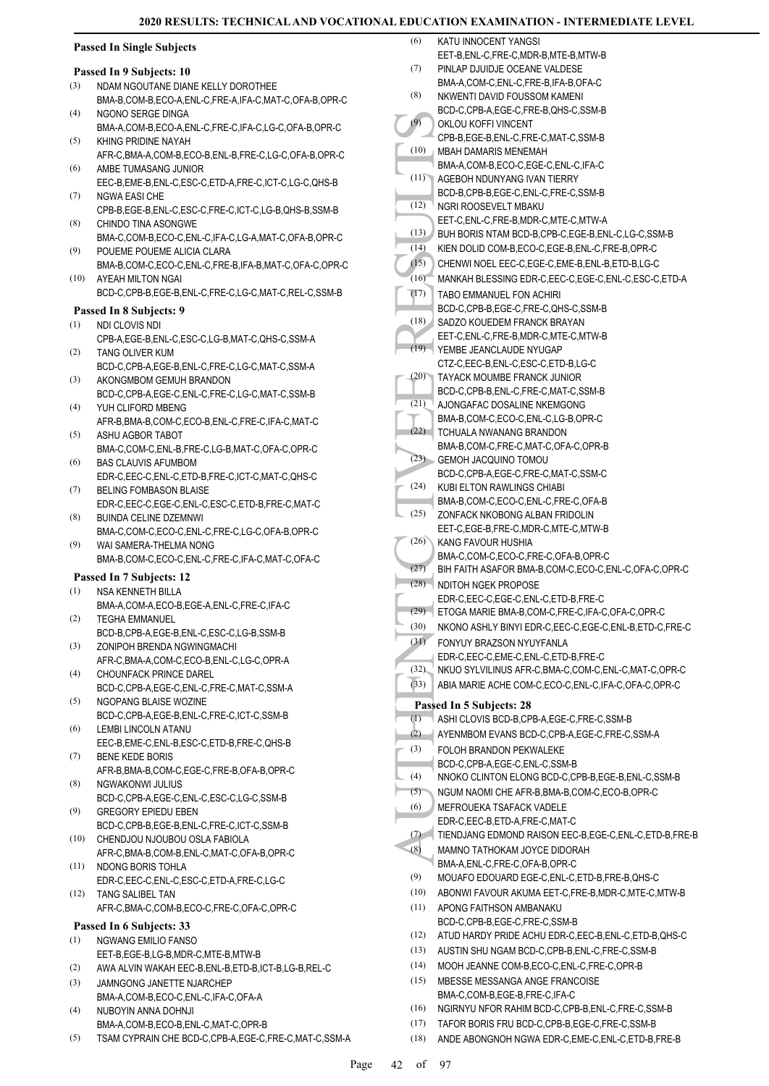KATU INNOCENT YANGSI

### **Passed In Single Subjects**

#### **Passed In 9 Subjects: 10**

- NDAM NGOUTANE DIANE KELLY DOROTHEE BMA-B,COM-B,ECO-A,ENL-C,FRE-A,IFA-C,MAT-C,OFA-B,OPR-C (3)
- NGONO SERGE DINGA (4)
- BMA-A,COM-B,ECO-A,ENL-C,FRE-C,IFA-C,LG-C,OFA-B,OPR-C KHING PRIDINE NAYAH (5)
- AFR-C,BMA-A,COM-B,ECO-B,ENL-B,FRE-C,LG-C,OFA-B,OPR-C AMBE TUMASANG JUNIOR (6)
- EEC-B,EME-B,ENL-C,ESC-C,ETD-A,FRE-C,ICT-C,LG-C,QHS-B NGWA EASI CHE (7)
- CPB-B,EGE-B,ENL-C,ESC-C,FRE-C,ICT-C,LG-B,QHS-B,SSM-B CHINDO TINA ASONGWE (8)
- BMA-C,COM-B,ECO-C,ENL-C,IFA-C,LG-A,MAT-C,OFA-B,OPR-C POUEME POUEME ALICIA CLARA (9)
- BMA-B,COM-C,ECO-C,ENL-C,FRE-B,IFA-B,MAT-C,OFA-C,OPR-C AYEAH MILTON NGAI (10)
- BCD-C,CPB-B,EGE-B,ENL-C,FRE-C,LG-C,MAT-C,REL-C,SSM-B

#### **Passed In 8 Subjects: 9**

- NDI CLOVIS NDI (1)
- CPB-A,EGE-B,ENL-C,ESC-C,LG-B,MAT-C,QHS-C,SSM-A TANG OLIVER KUM (2)
- BCD-C,CPB-A,EGE-B,ENL-C,FRE-C,LG-C,MAT-C,SSM-A AKONGMBOM GEMUH BRANDON (3)
- BCD-C,CPB-A,EGE-C,ENL-C,FRE-C,LG-C,MAT-C,SSM-B YUH CLIFORD MBENG (4)
- AFR-B,BMA-B,COM-C,ECO-B,ENL-C,FRE-C,IFA-C,MAT-C ASHU AGBOR TABOT (5)
- BMA-C,COM-C,ENL-B,FRE-C,LG-B,MAT-C,OFA-C,OPR-C BAS CLAUVIS AFUMBOM (6)
- EDR-C,EEC-C,ENL-C,ETD-B,FRE-C,ICT-C,MAT-C,QHS-C BELING FOMBASON BLAISE (7)
- EDR-C,EEC-C,EGE-C,ENL-C,ESC-C,ETD-B,FRE-C,MAT-C BUINDA CELINE DZEMNWI (8)
- BMA-C,COM-C,ECO-C,ENL-C,FRE-C,LG-C,OFA-B,OPR-C WAI SAMERA-THELMA NONG (9)
- BMA-B,COM-C,ECO-C,ENL-C,FRE-C,IFA-C,MAT-C,OFA-C

# **Passed In 7 Subjects: 12**

- NSA KENNETH BILLA (1)
- BMA-A,COM-A,ECO-B,EGE-A,ENL-C,FRE-C,IFA-C TEGHA EMMANUEL (2)
- BCD-B,CPB-A,EGE-B,ENL-C,ESC-C,LG-B,SSM-B ZONIPOH BRENDA NGWINGMACHI (3)
- AFR-C,BMA-A,COM-C,ECO-B,ENL-C,LG-C,OPR-A CHOUNFACK PRINCE DAREL (4)
- BCD-C,CPB-A,EGE-C,ENL-C,FRE-C,MAT-C,SSM-A NGOPANG BLAISE WOZINE (5)
- BCD-C,CPB-A,EGE-B,ENL-C,FRE-C,ICT-C,SSM-B LEMBI LINCOLN ATANU (6)
- EEC-B,EME-C,ENL-B,ESC-C,ETD-B,FRE-C,QHS-B BENE KEDE BORIS (7)
- AFR-B,BMA-B,COM-C,EGE-C,FRE-B,OFA-B,OPR-C NGWAKONWI JULIUS (8)
- BCD-C,CPB-A,EGE-C,ENL-C,ESC-C,LG-C,SSM-B GREGORY EPIEDU EBEN (9)
- BCD-C,CPB-B,EGE-B,ENL-C,FRE-C,ICT-C,SSM-B CHENDJOU NJOUBOU OSLA FABIOLA (10)
- AFR-C,BMA-B,COM-B,ENL-C,MAT-C,OFA-B,OPR-C NDONG BORIS TOHLA (11)
- EDR-C,EEC-C,ENL-C,ESC-C,ETD-A,FRE-C,LG-C TANG SALIBEL TAN (12)
	- AFR-C,BMA-C,COM-B,ECO-C,FRE-C,OFA-C,OPR-C

# **Passed In 6 Subjects: 33**

- NGWANG EMILIO FANSO (1)
- EET-B,EGE-B,LG-B,MDR-C,MTE-B,MTW-B (2) AWA ALVIN WAKAH EEC-B,ENL-B,ETD-B,ICT-B,LG-B,REL-C
- JAMNGONG JANETTE NJARCHEP BMA-A,COM-B,ECO-C,ENL-C,IFA-C,OFA-A (3)
- NUBOYIN ANNA DOHNJI BMA-A,COM-B,ECO-B,ENL-C,MAT-C,OPR-B (4) (5) TSAM CYPRAIN CHE BCD-C,CPB-A,EGE-C,FRE-C,MAT-C,SSM-A
- (10) BURLOU (10) CPB-B, (10) CPB-B, (10) CPB-B, (10) CPB-B, NGRI R<br>
(10) CPB-B, NGRI R<br>
(11) CPB-B, NGRI R<br>
(12) CPB-B, NGRI R<br>
EET-C, B BUH B(D-B, NGRI R<br>
(13) EET-C, B SADZO EET-C, TANG R<br>
(17) CHENN MANKA TABO E BCD-C, EET-B,ENL-C,FRE-C,MDR-B,MTE-B,MTW-B PINLAP DJUIDJE OCEANE VALDESE BMA-A,COM-C,ENL-C,FRE-B,IFA-B,OFA-C (7) NKWENTI DAVID FOUSSOM KAMENI BCD-C,CPB-A,EGE-C,FRE-B,QHS-C,SSM-B (8) OKLOU KOFFI VINCENT CPB-B,EGE-B,ENL-C,FRE-C,MAT-C,SSM-B (9) MBAH DAMARIS MENEMAH BMA-A,COM-B,ECO-C,EGE-C,ENL-C,IFA-C (10) AGEBOH NDUNYANG IVAN TIERRY BCD-B,CPB-B,EGE-C,ENL-C,FRE-C,SSM-B  $(11)$ NGRI ROOSEVELT MBAKU EET-C,ENL-C,FRE-B,MDR-C,MTE-C,MTW-A  $(12)$ (13) BUH BORIS NTAM BCD-B,CPB-C,EGE-B,ENL-C,LG-C,SSM-B (14) KIEN DOLID COM-B,ECO-C,EGE-B,ENL-C,FRE-B,OPR-C (15) CHENWI NOEL EEC-C,EGE-C,EME-B,ENL-B,ETD-B,LG-C (16) MANKAH BLESSING EDR-C,EEC-C,EGE-C,ENL-C,ESC-C,ETD-A TABO EMMANUEL FON ACHIRI BCD-C, CPB-B, EGE-C, FRE-C, QHS-C, SSM-B (17) SADZO KOUEDEM FRANCK BRAYAN EET-C,ENL-C,FRE-B,MDR-C,MTE-C,MTW-B (18) YEMBE JEANCLAUDE NYUGAP (19) CTZ-C,EEC-B,ENL-C,ESC-C,ETD-B,LG-C TAYACK MOUMBE FRANCK JUNIOR BCD-C,CPB-B,ENL-C,FRE-C,MAT-C,SSM-B (20) AJONGAFAC DOSALINE NKEMGONG BMA-B,COM-C,ECO-C,ENL-C,LG-B,OPR-C (21) (22) TCHUALA NWANANG BRANDON BMA-B,COM-C,FRE-C,MAT-C,OFA-C,OPR-B GEMOH JACQUINO TOMOU (23) BCD-C,CPB-A,EGE-C,FRE-C,MAT-C,SSM-C KUBI ELTON RAWLINGS CHIABI BMA-B,COM-C,ECO-C,ENL-C,FRE-C,OFA-B (24) ZONFACK NKOBONG ALBAN FRIDOLIN EET-C,EGE-B,FRE-C,MDR-C,MTE-C,MTW-B (25) KANG FAVOUR HUSHIA BMA-C,COM-C,ECO-C,FRE-C,OFA-B,OPR-C (26) (27) BIH FAITH ASAFOR BMA-B,COM-C,ECO-C,ENL-C,OFA-C,OPR-C  $(28)$  NDITOH NGEK PROPOSE EDR-C,EEC-C,EGE-C,ENL-C,ETD-B,FRE-C (29) ETOGA MARIE BMA-B,COM-C,FRE-C,IFA-C,OFA-C,OPR-C (30) NKONO ASHLY BINYI EDR-C,EEC-C,EGE-C,ENL-B,ETD-C,FRE-C FONYUY BRAZSON NYUYFANLA EDR-C,EEC-C,EME-C,ENL-C,ETD-B,FRE-C (31) (32) NKUO SYLVILINUS AFR-C,BMA-C,COM-C,ENL-C,MAT-C,OPR-C (33) ABIA MARIE ACHE COM-C,ECO-C,ENL-C,IFA-C,OFA-C,OPR-C **Passed In 5 Subjects: 28** (1) ASHI CLOVIS BCD-B,CPB-A,EGE-C,FRE-C,SSM-B (2) AYENMBOM EVANS BCD-C,CPB-A,EGE-C,FRE-C,SSM-A FOLOH BRANDON PEKWALEKE BCD-C,CPB-A,EGE-C,ENL-C,SSM-B (3) (4) NNOKO CLINTON ELONG BCD-C,CPB-B,EGE-B,ENL-C,SSM-B (5) NGUM NAOMI CHE AFR-B,BMA-B,COM-C,ECO-B,OPR-C MEFROUEKA TSAFACK VADELE EDR-C,EEC-B,ETD-A,FRE-C,MAT-C (6) (7) TIENDJANG EDMOND RAISON EEC-B,EGE-C,ENL-C,ETD-B,FRE-B MAMNO TATHOKAM JOYCE DIDORAH BMA-A,ENL-C,FRE-C,OFA-B,OPR-C (8) (9) MOUAFO EDOUARD EGE-C,ENL-C,ETD-B,FRE-B,QHS-C (10) ABONWI FAVOUR AKUMA EET-C,FRE-B,MDR-C,MTE-C,MTW-B APONG FAITHSON AMBANAKU BCD-C,CPB-B,EGE-C,FRE-C,SSM-B (11) (12) ATUD HARDY PRIDE ACHU EDR-C,EEC-B,ENL-C,ETD-B,QHS-C (13) AUSTIN SHU NGAM BCD-C,CPB-B,ENL-C,FRE-C,SSM-B (14) MOOH JEANNE COM-B,ECO-C,ENL-C,FRE-C,OPR-B MBESSE MESSANGA ANGE FRANCOISE BMA-C,COM-B,EGE-B,FRE-C,IFA-C (15) (16) NGIRNYU NFOR RAHIM BCD-C,CPB-B,ENL-C,FRE-C,SSM-B

(17) TAFOR BORIS FRU BCD-C,CPB-B,EGE-C,FRE-C,SSM-B (18) ANDE ABONGNOH NGWA EDR-C,EME-C,ENL-C,ETD-B,FRE-B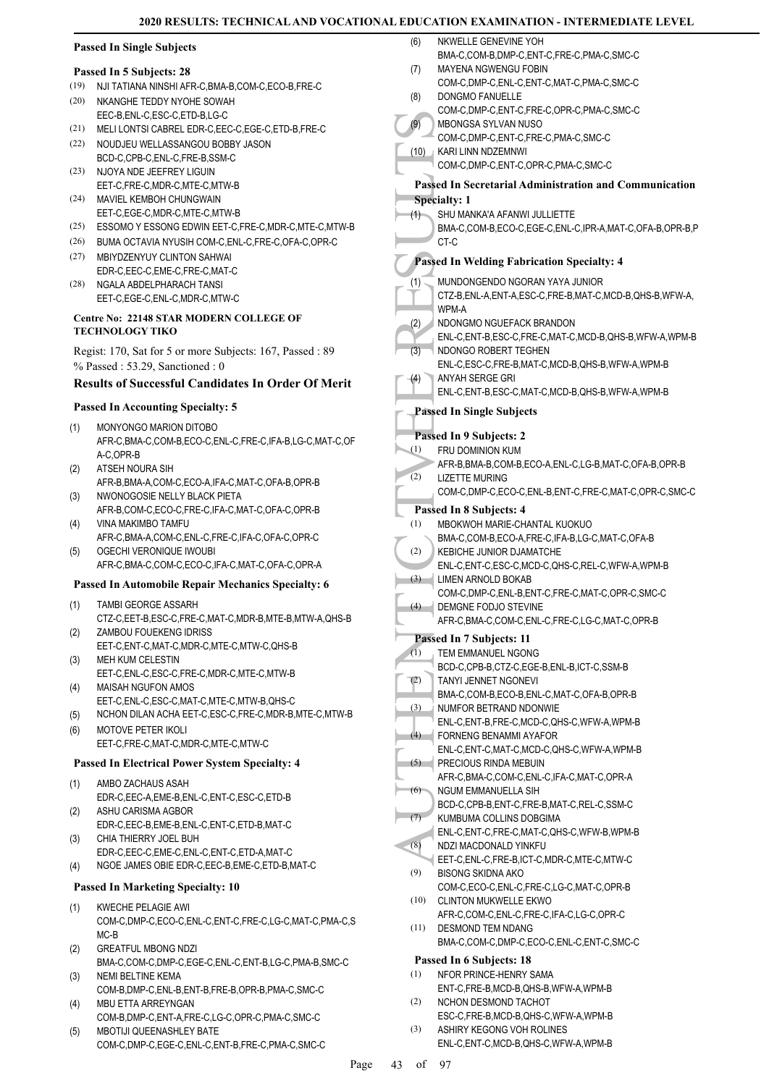NKWELLE GENEVINE YOH

# **Passed In Single Subjects**

#### **Passed In 5 Subjects: 28**

- (19) NJI TATIANA NINSHI AFR-C,BMA-B,COM-C,ECO-B,FRE-C
- NKANGHE TEDDY NYOHE SOWAH EEC-B,ENL-C,ESC-C,ETD-B,LG-C (20)
- (21) MELI LONTSI CABREL EDR-C,EEC-C,EGE-C,ETD-B,FRE-C
- (22) NOUDJEU WELLASSANGOU BOBBY JASON BCD-C,CPB-C,ENL-C,FRE-B,SSM-C
- (23) NJOYA NDE JEEFREY LIGUIN EET-C,FRE-C,MDR-C,MTE-C,MTW-B
- MAVIEL KEMBOH CHUNGWAIN (24) EET-C,EGE-C,MDR-C,MTE-C,MTW-B
- (25) ESSOMO Y ESSONG EDWIN EET-C,FRE-C,MDR-C,MTE-C,MTW-B
- (26) BUMA OCTAVIA NYUSIH COM-C,ENL-C,FRE-C,OFA-C,OPR-C
- MBIYDZENYUY CLINTON SAHWAI (27) EDR-C,EEC-C,EME-C,FRE-C,MAT-C
- (28) NGALA ABDELPHARACH TANSI EET-C,EGE-C,ENL-C,MDR-C,MTW-C

#### **Centre No: 22148 STAR MODERN COLLEGE OF TECHNOLOGY TIKO**

Regist: 170, Sat for 5 or more Subjects: 167, Passed : 89 % Passed : 53.29, Sanctioned : 0

# **Results of Successful Candidates In Order Of Merit**

#### **Passed In Accounting Specialty: 5**

- MONYONGO MARION DITOBO AFR-C,BMA-C,COM-B,ECO-C,ENL-C,FRE-C,IFA-B,LG-C,MAT-C,OF A-C,OPR-B (1)
- ATSEH NOURA SIH AFR-B,BMA-A,COM-C,ECO-A,IFA-C,MAT-C,OFA-B,OPR-B (2)
- NWONOGOSIE NELLY BLACK PIETA AFR-B,COM-C,ECO-C,FRE-C,IFA-C,MAT-C,OFA-C,OPR-B (3)
- VINA MAKIMBO TAMFU AFR-C,BMA-A,COM-C,ENL-C,FRE-C,IFA-C,OFA-C,OPR-C (4)
- OGECHI VERONIQUE IWOUBI AFR-C,BMA-C,COM-C,ECO-C,IFA-C,MAT-C,OFA-C,OPR-A (5)

# **Passed In Automobile Repair Mechanics Specialty: 6**

- TAMBI GEORGE ASSARH (1)
- CTZ-C,EET-B,ESC-C,FRE-C,MAT-C,MDR-B,MTE-B,MTW-A,QHS-B ZAMBOU FOUEKENG IDRISS (2)
- EET-C,ENT-C,MAT-C,MDR-C,MTE-C,MTW-C,QHS-B MEH KUM CELESTIN (3)
- EET-C,ENL-C,ESC-C,FRE-C,MDR-C,MTE-C,MTW-B MAISAH NGUFON AMOS (4)
- EET-C,ENL-C,ESC-C,MAT-C,MTE-C,MTW-B,QHS-C
- (5) NCHON DILAN ACHA EET-C,ESC-C,FRE-C,MDR-B,MTE-C,MTW-B
- MOTOVE PETER IKOLI EET-C,FRE-C,MAT-C,MDR-C,MTE-C,MTW-C (6)

#### **Passed In Electrical Power System Specialty: 4**

- AMBO ZACHAUS ASAH EDR-C,EEC-A,EME-B,ENL-C,ENT-C,ESC-C,ETD-B (1)
- ASHU CARISMA AGBOR EDR-C,EEC-B,EME-B,ENL-C,ENT-C,ETD-B,MAT-C (2)
- CHIA THIERRY JOEL BUH EDR-C,EEC-C,EME-C,ENL-C,ENT-C,ETD-A,MAT-C (3)
- (4) NGOE JAMES OBIE EDR-C,EEC-B,EME-C,ETD-B,MAT-C

#### **Passed In Marketing Specialty: 10**

- KWECHE PELAGIE AWI COM-C,DMP-C,ECO-C,ENL-C,ENT-C,FRE-C,LG-C,MAT-C,PMA-C,S MC-B (1)
- GREATFUL MBONG NDZI BMA-C,COM-C,DMP-C,EGE-C,ENL-C,ENT-B,LG-C,PMA-B,SMC-C (2) NEMI BELTINE KEMA
- COM-B,DMP-C,ENL-B,ENT-B,FRE-B,OPR-B,PMA-C,SMC-C (3) MBU ETTA ARREYNGAN (4)
- COM-B,DMP-C,ENT-A,FRE-C,LG-C,OPR-C,PMA-C,SMC-C MBOTIJI QUEENASHLEY BATE (5)
- COM-C,DMP-C,EGE-C,ENL-C,ENT-B,FRE-C,PMA-C,SMC-C

|                  | BMA-C,COM-B,DMP-C,ENT-C,FRE-C,PMA-C,SMC-C                                                        |
|------------------|--------------------------------------------------------------------------------------------------|
| (7)              | MAYENA NGWENGU FOBIN                                                                             |
| (8)              | COM-C,DMP-C,ENL-C,ENT-C,MAT-C,PMA-C,SMC-C<br>DONGMO FANUELLE                                     |
|                  | COM-C,DMP-C,ENT-C,FRE-C,OPR-C,PMA-C,SMC-C                                                        |
| (9)              | MBONGSA SYLVAN NUSO                                                                              |
| (10)             | COM-C,DMP-C,ENT-C,FRE-C,PMA-C,SMC-C<br>KARI LINN NDZEMNWI                                        |
|                  | COM-C,DMP-C,ENT-C,OPR-C,PMA-C,SMC-C                                                              |
|                  | <b>Passed In Secretarial Administration and Communication</b>                                    |
|                  | <b>Specialty: 1</b>                                                                              |
| (1)              | SHU MANKA'A AFANWI JULLIETTE                                                                     |
|                  | BMA-C,COM-B,ECO-C,EGE-C,ENL-C,IPR-A,MAT-C,OFA-B,OPR-B,P<br>CT-C                                  |
|                  |                                                                                                  |
|                  | <b>Passed In Welding Fabrication Specialty: 4</b>                                                |
| (1)              | MUNDONGENDO NGORAN YAYA JUNIOR<br>CTZ-B, ENL-A, ENT-A, ESC-C, FRE-B, MAT-C, MCD-B, QHS-B, WFW-A, |
|                  | WPM-A                                                                                            |
| (2)              | NDONGMO NGUEFACK BRANDON                                                                         |
| (3)              | ENL-C, ENT-B, ESC-C, FRE-C, MAT-C, MCD-B, QHS-B, WFW-A, WPM-B<br>NDONGO ROBERT TEGHEN            |
|                  | ENL-C, ESC-C, FRE-B, MAT-C, MCD-B, QHS-B, WFW-A, WPM-B                                           |
| (4)              | ANYAH SERGE GRI                                                                                  |
|                  | ENL-C, ENT-B, ESC-C, MAT-C, MCD-B, QHS-B, WFW-A, WPM-B                                           |
|                  | <b>Passed In Single Subjects</b>                                                                 |
|                  | Passed In 9 Subjects: 2                                                                          |
| (1)              | <b>FRU DOMINION KUM</b>                                                                          |
| (2)              | AFR-B, BMA-B, COM-B, ECO-A, ENL-C, LG-B, MAT-C, OFA-B, OPR-B<br>LIZETTE MURING                   |
|                  | COM-C,DMP-C,ECO-C,ENL-B,ENT-C,FRE-C,MAT-C,OPR-C,SMC-C                                            |
|                  | Passed In 8 Subjects: 4                                                                          |
| (1)              | MBOKWOH MARIE-CHANTAL KUOKUO                                                                     |
| (2)              | BMA-C,COM-B,ECO-A,FRE-C,IFA-B,LG-C,MAT-C,OFA-B<br>KEBICHE JUNIOR DJAMATCHE                       |
|                  | ENL-C, ENT-C, ESC-C, MCD-C, QHS-C, REL-C, WFW-A, WPM-B                                           |
| (3)              | LIMEN ARNOLD BOKAB                                                                               |
| $\left(4\right)$ | COM-C,DMP-C,ENL-B,ENT-C,FRE-C,MAT-C,OPR-C,SMC-C<br>DEMGNE FODJO STEVINE                          |
|                  | AFR-C,BMA-C,COM-C,ENL-C,FRE-C,LG-C,MAT-C,OPR-B                                                   |
|                  | Passed In 7 Subjects: 11                                                                         |
| (1)              | <b>TEM EMMANUEL NGONG</b>                                                                        |
| (2)              | BCD-C,CPB-B,CTZ-C,EGE-B,ENL-B,ICT-C,SSM-B<br>TANYI JENNET NGONEVI                                |
|                  | BMA-C.COM-B.ECO-B.ENL-C.MAT-C.OFA-B.OPR-B                                                        |
| (3)              | NUMFOR BETRAND NDONWIE                                                                           |
| (4)              | ENL-C, ENT-B, FRE-C, MCD-C, QHS-C, WFW-A, WPM-B<br>FORNENG BENAMMI AYAFOR                        |
|                  | ENL-C, ENT-C, MAT-C, MCD-C, QHS-C, WFW-A, WPM-B                                                  |
| (5)              | PRECIOUS RINDA MEBUIN                                                                            |
| (6)              | AFR-C, BMA-C, COM-C, ENL-C, IFA-C, MAT-C, OPR-A<br>NGUM EMMANUELLA SIH                           |
|                  | BCD-C,CPB-B,ENT-C,FRE-B,MAT-C,REL-C,SSM-C                                                        |
| (7)              | KUMBUMA COLLINS DOBGIMA                                                                          |
| (8)              | ENL-C.ENT-C.FRE-C.MAT-C.QHS-C.WFW-B.WPM-B<br>NDZI MACDONALD YINKFU                               |
|                  | EET-C, ENL-C, FRE-B, ICT-C, MDR-C, MTE-C, MTW-C                                                  |
| (9)              | <b>BISONG SKIDNA AKO</b>                                                                         |
| (10)             | COM-C,ECO-C,ENL-C,FRE-C,LG-C,MAT-C,OPR-B<br><b>CLINTON MUKWELLE EKWO</b>                         |
|                  | AFR-C,COM-C,ENL-C,FRE-C,IFA-C,LG-C,OPR-C                                                         |
| (11)             | DESMOND TEM NDANG                                                                                |
|                  | BMA-C,COM-C,DMP-C,ECO-C,ENL-C,ENT-C,SMC-C                                                        |
| (1)              | Passed In 6 Subjects: 18<br>NFOR PRINCE-HENRY SAMA                                               |
|                  | ENT-C.FRE-B.MCD-B.QHS-B.WFW-A.WPM-B                                                              |
| (2)              | NCHON DESMOND TACHOT                                                                             |
| (3)              | ESC-C,FRE-B,MCD-B,QHS-C,WFW-A,WPM-B                                                              |
|                  | ASHIRY KEGONG VOH ROLINES                                                                        |

ENL-C,ENT-C,MCD-B,QHS-C,WFW-A,WPM-B

Page 43 of 97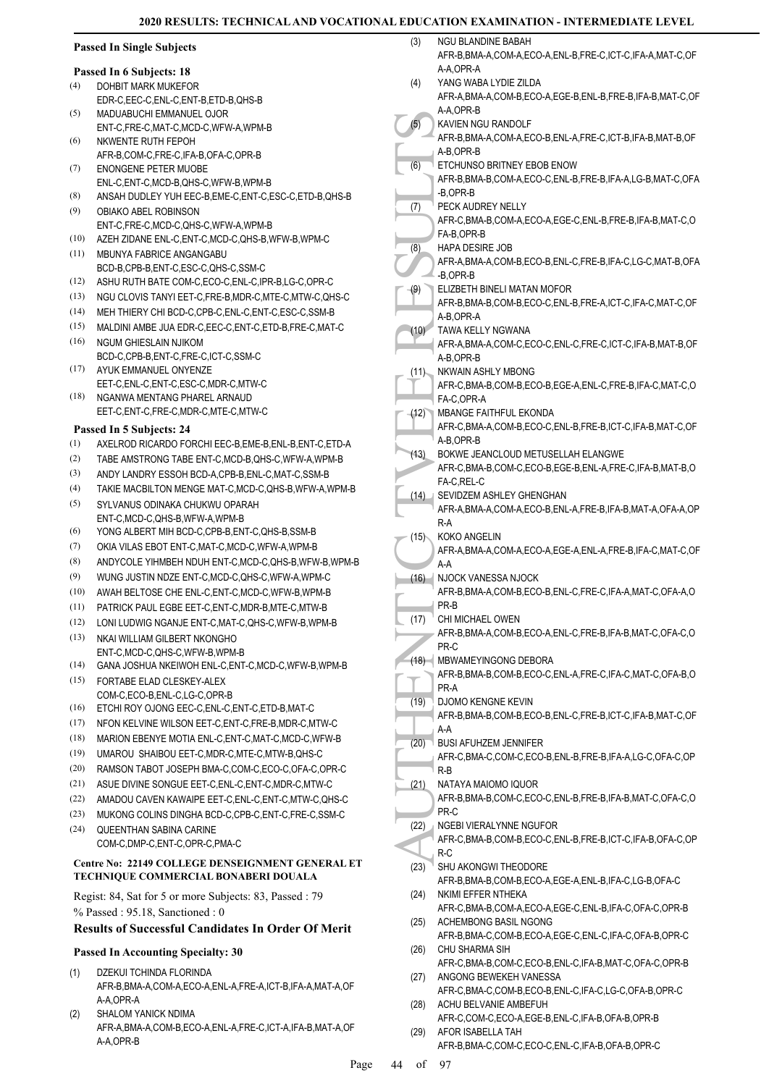|      | <b>Passed In Single Subjects</b>                                  | (3)  | <b>NGU BLANDINE BABAH</b><br>AFR-B, BMA-A, COM-A, ECO-A, ENL-B, FRE-C, ICT-C, IFA-A, MAT-C, OF |
|------|-------------------------------------------------------------------|------|------------------------------------------------------------------------------------------------|
|      | Passed In 6 Subjects: 18                                          |      | A-A,OPR-A                                                                                      |
| (4)  | DOHBIT MARK MUKEFOR                                               | (4)  | YANG WABA LYDIE ZILDA                                                                          |
|      | EDR-C,EEC-C,ENL-C,ENT-B,ETD-B,QHS-B                               |      | AFR-A, BMA-A, COM-B, ECO-A, EGE-B, ENL-B, FRE-B, IFA-B, MAT-C, OF                              |
| (5)  | MADUABUCHI EMMANUEL OJOR                                          |      | A-A,OPR-B                                                                                      |
|      | ENT-C.FRE-C.MAT-C.MCD-C.WFW-A.WPM-B                               | (5)  | KAVIEN NGU RANDOLF                                                                             |
| (6)  | NKWENTE RUTH FEPOH                                                |      | AFR-B, BMA-A, COM-A, ECO-B, ENL-A, FRE-C, ICT-B, IFA-B, MAT-B, OF                              |
|      | AFR-B,COM-C,FRE-C,IFA-B,OFA-C,OPR-B                               |      | A-B, OPR-B                                                                                     |
| (7)  | <b>ENONGENE PETER MUOBE</b>                                       | (6)  | ETCHUNSO BRITNEY EBOB ENOW                                                                     |
|      | ENL-C.ENT-C.MCD-B.QHS-C.WFW-B.WPM-B                               |      | AFR-B, BMA-B, COM-A, ECO-C, ENL-B, FRE-B, IFA-A, LG-B, MAT-C, OFA<br>-B,OPR-B                  |
| (8)  | ANSAH DUDLEY YUH EEC-B, EME-C, ENT-C, ESC-C, ETD-B, QHS-B         | (7)  | PECK AUDREY NELLY                                                                              |
| (9)  | OBIAKO ABEL ROBINSON                                              |      | AFR-C, BMA-B, COM-A, ECO-A, EGE-C, ENL-B, FRE-B, IFA-B, MAT-C, O                               |
| (10) | ENT-C,FRE-C,MCD-C,QHS-C,WFW-A,WPM-B                               |      | FA-B, OPR-B                                                                                    |
| (11) | AZEH ZIDANE ENL-C, ENT-C, MCD-C, QHS-B, WFW-B, WPM-C              | (8)  | <b>HAPA DESIRE JOB</b>                                                                         |
|      | MBUNYA FABRICE ANGANGABU<br>BCD-B,CPB-B,ENT-C,ESC-C,QHS-C,SSM-C   |      | AFR-A, BMA-A, COM-B, ECO-B, ENL-C, FRE-B, IFA-C, LG-C, MAT-B, OFA                              |
| (12) | ASHU RUTH BATE COM-C,ECO-C,ENL-C,IPR-B,LG-C,OPR-C                 |      | -B,OPR-B                                                                                       |
| (13) | NGU CLOVIS TANYI EET-C, FRE-B, MDR-C, MTE-C, MTW-C, QHS-C         | (9)  | ELIZBETH BINELI MATAN MOFOR                                                                    |
| (14) | MEH THIERY CHI BCD-C, CPB-C, ENL-C, ENT-C, ESC-C, SSM-B           |      | AFR-B, BMA-B, COM-B, ECO-C, ENL-B, FRE-A, ICT-C, IFA-C, MAT-C, OF                              |
| (15) | MALDINI AMBE JUA EDR-C, EEC-C, ENT-C, ETD-B, FRE-C, MAT-C         |      | A-B,OPR-A                                                                                      |
| (16) | <b>NGUM GHIESLAIN NJIKOM</b>                                      | (10) | TAWA KELLY NGWANA                                                                              |
|      | BCD-C,CPB-B,ENT-C,FRE-C,ICT-C,SSM-C                               |      | AFR-A, BMA-A, COM-C, ECO-C, ENL-C, FRE-C, ICT-C, IFA-B, MAT-B, OF<br>A-B.OPR-B                 |
| (17) | AYUK EMMANUEL ONYENZE                                             | (11) | NKWAIN ASHLY MBONG                                                                             |
|      | EET-C, ENL-C, ENT-C, ESC-C, MDR-C, MTW-C                          |      | AFR-C, BMA-B, COM-B, ECO-B, EGE-A, ENL-C, FRE-B, IFA-C, MAT-C, O                               |
| (18) | NGANWA MENTANG PHAREL ARNAUD                                      |      | FA-C,OPR-A                                                                                     |
|      | EET-C, ENT-C, FRE-C, MDR-C, MTE-C, MTW-C                          | (12) | <b>MBANGE FAITHFUL EKONDA</b>                                                                  |
|      | Passed In 5 Subjects: 24                                          |      | AFR-C, BMA-A, COM-B, ECO-C, ENL-B, FRE-B, ICT-C, IFA-B, MAT-C, OF                              |
| (1)  | AXELROD RICARDO FORCHI EEC-B, EME-B, ENL-B, ENT-C, ETD-A          |      | A-B,OPR-B                                                                                      |
| (2)  | TABE AMSTRONG TABE ENT-C, MCD-B, QHS-C, WFW-A, WPM-B              | (13) | BOKWE JEANCLOUD METUSELLAH ELANGWE                                                             |
| (3)  | ANDY LANDRY ESSOH BCD-A,CPB-B,ENL-C,MAT-C,SSM-B                   |      | AFR-C, BMA-B, COM-C, ECO-B, EGE-B, ENL-A, FRE-C, IFA-B, MAT-B, O                               |
| (4)  | TAKIE MACBILTON MENGE MAT-C, MCD-C, QHS-B, WFW-A, WPM-B           |      | FA-C, REL-C                                                                                    |
|      | SYLVANUS ODINAKA CHUKWU OPARAH                                    |      | (14) SEVIDZEM ASHLEY GHENGHAN                                                                  |
| (5)  | ENT-C, MCD-C, QHS-B, WFW-A, WPM-B                                 |      | AFR-A, BMA-A, COM-A, ECO-B, ENL-A, FRE-B, IFA-B, MAT-A, OFA-A, OP                              |
| (6)  | YONG ALBERT MIH BCD-C, CPB-B, ENT-C, QHS-B, SSM-B                 |      | $R-A$                                                                                          |
| (7)  | OKIA VILAS EBOT ENT-C, MAT-C, MCD-C, WFW-A, WPM-B                 | (15) | KOKO ANGELIN                                                                                   |
| (8)  | ANDYCOLE YIHMBEH NDUH ENT-C, MCD-C, QHS-B, WFW-B, WPM-B           |      | AFR-A, BMA-A, COM-A, ECO-A, EGE-A, ENL-A, FRE-B, IFA-C, MAT-C, OF                              |
| (9)  | WUNG JUSTIN NDZE ENT-C, MCD-C, QHS-C, WFW-A, WPM-C                |      | A-A<br>(16) NJOCK VANESSA NJOCK                                                                |
| (10) | AWAH BELTOSE CHE ENL-C, ENT-C, MCD-C, WFW-B, WPM-B                |      | AFR-B, BMA-A, COM-B, ECO-B, ENL-C, FRE-C, IFA-A, MAT-C, OFA-A, O                               |
| (11) |                                                                   |      | PR-B                                                                                           |
|      | PATRICK PAUL EGBE EET-C, ENT-C, MDR-B, MTE-C, MTW-B               | (1/) | CHI MICHAEL OWEN                                                                               |
| (12) | LONI LUDWIG NGANJE ENT-C, MAT-C, QHS-C, WFW-B, WPM-B              |      | AFR-B, BMA-A, COM-B, ECO-A, ENL-C, FRE-B, IFA-B, MAT-C, OFA-C, O                               |
| (13) | NKAI WILLIAM GILBERT NKONGHO<br>ENT-C.MCD-C.QHS-C.WFW-B.WPM-B     |      | PR-C                                                                                           |
| (14) | GANA JOSHUA NKEIWOH ENL-C, ENT-C, MCD-C, WFW-B, WPM-B             |      | (18) MBWAMEYINGONG DEBORA                                                                      |
| (15) | FORTABE ELAD CLESKEY-ALEX                                         |      | AFR-B, BMA-B, COM-B, ECO-C, ENL-A, FRE-C, IFA-C, MAT-C, OFA-B, O                               |
|      | COM-C,ECO-B,ENL-C,LG-C,OPR-B                                      |      | PR-A                                                                                           |
| (16) | ETCHI ROY OJONG EEC-C, ENL-C, ENT-C, ETD-B, MAT-C                 | (19) | DJOMO KENGNE KEVIN                                                                             |
| (17) | NFON KELVINE WILSON EET-C, ENT-C, FRE-B, MDR-C, MTW-C             |      | AFR-B, BMA-B, COM-B, ECO-B, ENL-C, FRE-B, ICT-C, IFA-B, MAT-C, OF                              |
| (18) | MARION EBENYE MOTIA ENL-C, ENT-C, MAT-C, MCD-C, WFW-B             |      | A-A                                                                                            |
| (19) | UMAROU SHAIBOU EET-C, MDR-C, MTE-C, MTW-B, QHS-C                  | (20) | BUSI AFUHZEM JENNIFER                                                                          |
| (20) | RAMSON TABOT JOSEPH BMA-C,COM-C,ECO-C,OFA-C,OPR-C                 |      | AFR-C,BMA-C,COM-C,ECO-B,ENL-B,FRE-B,IFA-A,LG-C,OFA-C,OP                                        |
| (21) |                                                                   |      | $R-B$                                                                                          |
|      | ASUE DIVINE SONGUE EET-C, ENL-C, ENT-C, MDR-C, MTW-C              | (21) | NATAYA MAIOMO IQUOR                                                                            |
| (22) | AMADOU CAVEN KAWAIPE EET-C, ENL-C, ENT-C, MTW-C, QHS-C            |      | AFR-B, BMA-B, COM-C, ECO-C, ENL-B, FRE-B, IFA-B, MAT-C, OFA-C, O<br>PR-C                       |
| (23) | MUKONG COLINS DINGHA BCD-C, CPB-C, ENT-C, FRE-C, SSM-C            |      | (22) NGEBI VIERALYNNE NGUFOR                                                                   |
| (24) | <b>QUEENTHAN SABINA CARINE</b>                                    |      | AFR-C, BMA-B, COM-B, ECO-C, ENL-B, FRE-B, ICT-C, IFA-B, OFA-C, OP                              |
|      | COM-C,DMP-C,ENT-C,OPR-C,PMA-C                                     |      | R-C                                                                                            |
|      | <b>Centre No: 22149 COLLEGE DENSEIGNMENT GENERAL ET</b>           | (23) | SHU AKONGWI THEODORE                                                                           |
|      | TECHNIQUE COMMERCIAL BONABERI DOUALA                              |      | AFR-B, BMA-B, COM-B, ECO-A, EGE-A, ENL-B, IFA-C, LG-B, OFA-C                                   |
|      | Regist: 84, Sat for 5 or more Subjects: 83, Passed: 79            | (24) | NKIMI EFFER NTHEKA                                                                             |
|      | % Passed: 95.18, Sanctioned: 0                                    |      | AFR-C, BMA-B, COM-A, ECO-A, EGE-C, ENL-B, IFA-C, OFA-C, OPR-B                                  |
|      | <b>Results of Successful Candidates In Order Of Merit</b>         | (25) | ACHEMBONG BASIL NGONG                                                                          |
|      |                                                                   |      | AFR-B, BMA-C, COM-B, ECO-A, EGE-C, ENL-C, IFA-C, OFA-B, OPR-C                                  |
|      | <b>Passed In Accounting Specialty: 30</b>                         | (26) | CHU SHARMA SIH                                                                                 |
| (1)  | DZEKUI TCHINDA FLORINDA                                           |      | AFR-C, BMA-B, COM-C, ECO-B, ENL-C, IFA-B, MAT-C, OFA-C, OPR-B                                  |
|      | AFR-B, BMA-A, COM-A, ECO-A, ENL-A, FRE-A, ICT-B, IFA-A, MAT-A, OF | (27) | ANGONG BEWEKEH VANESSA                                                                         |
|      | A-A,OPR-A                                                         |      | AFR-C,BMA-C,COM-B,ECO-B,ENL-C,IFA-C,LG-C,OFA-B,OPR-C                                           |
| (2)  | <b>SHALOM YANICK NDIMA</b>                                        | (28) | ACHU BELVANIE AMBEFUH                                                                          |
|      | AFR-A, BMA-A, COM-B, ECO-A, ENL-A, FRE-C, ICT-A, IFA-B, MAT-A, OF |      | AFR-C,COM-C,ECO-A,EGE-B,ENL-C,IFA-B,OFA-B,OPR-B<br>AFOR ISABELLA TAH                           |
|      | A-A,OPR-B                                                         | (29) | AFR-B, BMA-C, COM-C, ECO-C, ENL-C, IFA-B, OFA-B, OPR-C                                         |
|      |                                                                   |      |                                                                                                |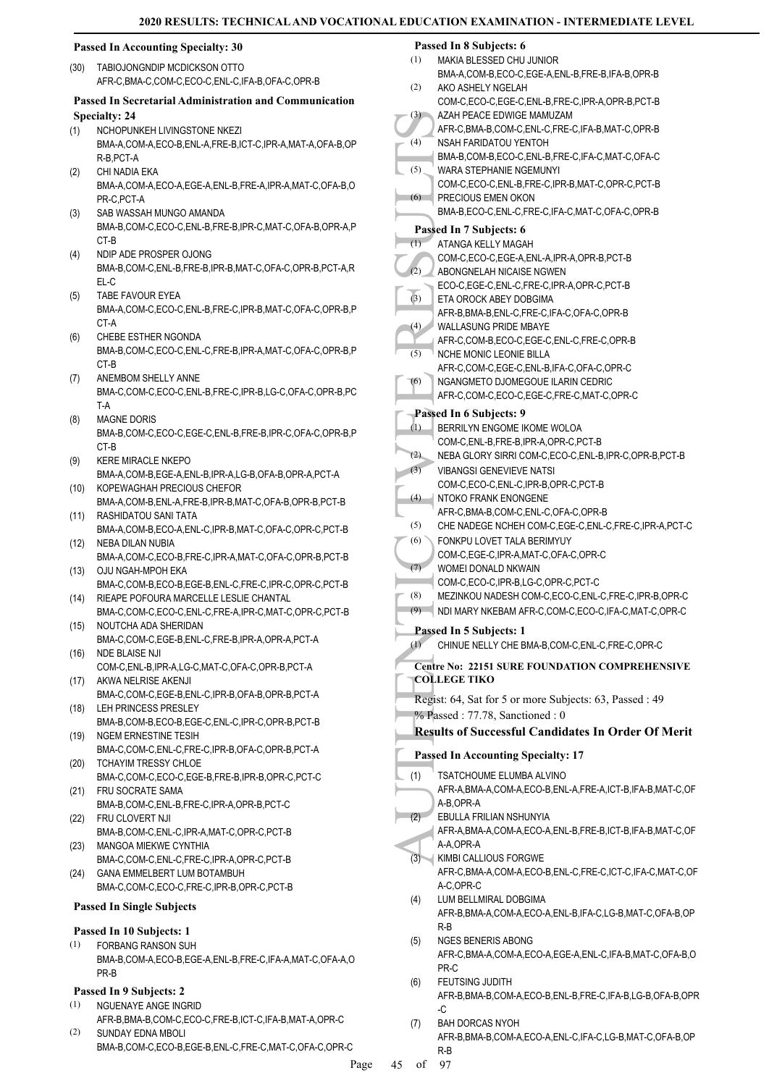# **Passed In Accounting Specialty: 30**

TABIOJONGNDIP MCDICKSON OTTO (30) AFR-C,BMA-C,COM-C,ECO-C,ENL-C,IFA-B,OFA-C,OPR-B

**Passed In Secretarial Administration and Communication Specialty: 24** NCHOPUNKEH LIVINGSTONE NKEZI (1)

BMA-A,COM-A,ECO-B,ENL-A,FRE-B,ICT-C,IPR-A,MAT-A,OFA-B,OP R-B,PCT-A CHI NADIA EKA (2)

BMA-A,COM-A,ECO-A,EGE-A,ENL-B,FRE-A,IPR-A,MAT-C,OFA-B,O PR-C,PCT-A

- SAB WASSAH MUNGO AMANDA BMA-B,COM-C,ECO-C,ENL-B,FRE-B,IPR-C,MAT-C,OFA-B,OPR-A,P CT-B (3)
- (4) NDIP ADE PROSPER OJONG BMA-B,COM-C,ENL-B,FRE-B,IPR-B,MAT-C,OFA-C,OPR-B,PCT-A,R EL-C
- TABE FAVOUR EYEA BMA-A,COM-C,ECO-C,ENL-B,FRE-C,IPR-B,MAT-C,OFA-C,OPR-B,P CT-A (5)
- CHEBE ESTHER NGONDA BMA-B,COM-C,ECO-C,ENL-C,FRE-B,IPR-A,MAT-C,OFA-C,OPR-B,P CT-B (6)
- ANEMBOM SHELLY ANNE BMA-C,COM-C,ECO-C,ENL-B,FRE-C,IPR-B,LG-C,OFA-C,OPR-B,PC T-A (7)
- MAGNE DORIS BMA-B,COM-C,ECO-C,EGE-C,ENL-B,FRE-B,IPR-C,OFA-C,OPR-B,P C<sub>T-B</sub> (8)
- KERE MIRACLE NKEPO BMA-A,COM-B,EGE-A,ENL-B,IPR-A,LG-B,OFA-B,OPR-A,PCT-A (9)
- (10) KOPEWAGHAH PRECIOUS CHEFOR BMA-A,COM-B,ENL-A,FRE-B,IPR-B,MAT-C,OFA-B,OPR-B,PCT-B
- RASHIDATOU SANI TATA (11) BMA-A,COM-B,ECO-A,ENL-C,IPR-B,MAT-C,OFA-C,OPR-C,PCT-B (12) NEBA DILAN NUBIA
- BMA-A,COM-C,ECO-B,FRE-C,IPR-A,MAT-C,OFA-C,OPR-B,PCT-B (13) OJU NGAH-MPOH EKA
- BMA-C,COM-B,ECO-B,EGE-B,ENL-C,FRE-C,IPR-C,OPR-C,PCT-B (14) RIEAPE POFOURA MARCELLE LESLIE CHANTAL
- BMA-C,COM-C,ECO-C,ENL-C,FRE-A,IPR-C,MAT-C,OPR-C,PCT-B NOUTCHA ADA SHERIDAN (15)
- BMA-C,COM-C,EGE-B,ENL-C,FRE-B,IPR-A,OPR-A,PCT-A (16) NDE BLAISE NJI
- COM-C,ENL-B,IPR-A,LG-C,MAT-C,OFA-C,OPR-B,PCT-A (17) AKWA NELRISE AKENJI
- BMA-C,COM-C,EGE-B,ENL-C,IPR-B,OFA-B,OPR-B,PCT-A (18) LEH PRINCESS PRESLEY
- BMA-B,COM-B,ECO-B,EGE-C,ENL-C,IPR-C,OPR-B,PCT-B (19) NGEM ERNESTINE TESIH
- BMA-C,COM-C,ENL-C,FRE-C,IPR-B,OFA-C,OPR-B,PCT-A (20) TCHAYIM TRESSY CHLOE
- BMA-C,COM-C,ECO-C,EGE-B,FRE-B,IPR-B,OPR-C,PCT-C FRU SOCRATE SAMA (21)
- BMA-B,COM-C,ENL-B,FRE-C,IPR-A,OPR-B,PCT-C (22) FRU CLOVERT NJI
- BMA-B,COM-C,ENL-C,IPR-A,MAT-C,OPR-C,PCT-B MANGOA MIEKWE CYNTHIA (23)
- BMA-C,COM-C,ENL-C,FRE-C,IPR-A,OPR-C,PCT-B GANA EMMELBERT LUM BOTAMBUH (24)
- BMA-C,COM-C,ECO-C,FRE-C,IPR-B,OPR-C,PCT-B

# **Passed In Single Subjects**

# **Passed In 10 Subjects: 1**

- FORBANG RANSON SUH (1)
- BMA-B,COM-A,ECO-B,EGE-A,ENL-B,FRE-C,IFA-A,MAT-C,OFA-A,O PR-B

# **Passed In 9 Subjects: 2**

- NGUENAYE ANGE INGRID AFR-B,BMA-B,COM-C,ECO-C,FRE-B,ICT-C,IFA-B,MAT-A,OPR-C (1) (2)
- SUNDAY EDNA MBOLI BMA-B,COM-C,ECO-B,EGE-B,ENL-C,FRE-C,MAT-C,OFA-C,OPR-C

# **Passed In 8 Subjects: 6**

|     | Passed In 8 Subjects: 6                                                 |
|-----|-------------------------------------------------------------------------|
| (1) | MAKIA BLESSED CHU JUNIOR                                                |
|     | BMA-A,COM-B,ECO-C,EGE-A,ENL-B,FRE-B,IFA-B,OPR-B                         |
| (2) | AKO ASHELY NGELAH                                                       |
|     | COM-C,ECO-C,EGE-C,ENL-B,FRE-C,IPR-A,OPR-B,PCT-B                         |
| (3) | AZAH PEACE EDWIGE MAMUZAM                                               |
|     | AFR-C.BMA-B.COM-C.ENL-C.FRE-C.IFA-B.MAT-C.OPR-B                         |
| (4) | NSAH FARIDATOU YENTOH                                                   |
|     | BMA-B,COM-B,ECO-C,ENL-B,FRE-C,IFA-C,MAT-C,OFA-C                         |
| (5) | WARA STEPHANIE NGEMUNYI                                                 |
|     | COM-C,ECO-C,ENL-B,FRE-C,IPR-B,MAT-C,OPR-C,PCT-B                         |
| (6) | PRECIOUS EMEN OKON                                                      |
|     | BMA-B,ECO-C,ENL-C,FRE-C,IFA-C,MAT-C,OFA-C,OPR-B                         |
|     | Passed In 7 Subjects: 6                                                 |
| (1) | ATANGA KELLY MAGAH                                                      |
|     | COM-C,ECO-C,EGE-A,ENL-A,IPR-A,OPR-B,PCT-B                               |
| (2) | ABONGNELAH NICAISE NGWEN                                                |
|     | ECO-C,EGE-C,ENL-C,FRE-C,IPR-A,OPR-C,PCT-B                               |
| (3) | ETA OROCK ABEY DOBGIMA                                                  |
|     | AFR-B, BMA-B, ENL-C, FRE-C, IFA-C, OFA-C, OPR-B                         |
| (4) | <b>WALLASUNG PRIDE MBAYE</b>                                            |
|     |                                                                         |
| (5) | AFR-C,COM-B,ECO-C,EGE-C,ENL-C,FRE-C,OPR-B                               |
|     | <b>NCHE MONIC LEONIE BILLA</b>                                          |
|     | AFR-C.COM-C.EGE-C.ENL-B.IFA-C.OFA-C.OPR-C                               |
| (6) | NGANGMETO DJOMEGOUE ILARIN CEDRIC                                       |
|     | AFR-C,COM-C,ECO-C,EGE-C,FRE-C,MAT-C,OPR-C                               |
|     | Passed In 6 Subjects: 9                                                 |
| (1) | BERRILYN ENGOME IKOME WOLOA                                             |
|     | COM-C, ENL-B, FRE-B, IPR-A, OPR-C, PCT-B                                |
| (2) | NEBA GLORY SIRRI COM-C, ECO-C, ENL-B, IPR-C, OPR-B, PCT-B               |
| (3) | <b>VIBANGSI GENEVIEVE NATSI</b>                                         |
|     | COM-C,ECO-C,ENL-C,IPR-B,OPR-C,PCT-B                                     |
| (4) | NTOKO FRANK ENONGENE                                                    |
|     | AFR-C, BMA-B, COM-C, ENL-C, OFA-C, OPR-B                                |
| (5) | CHE NADEGE NCHEH COM-C, EGE-C, ENL-C, FRE-C, IPR-A, PCT-C               |
| (6) | FONKPU LOVET TALA BERIMYUY                                              |
|     | COM-C,EGE-C,IPR-A,MAT-C,OFA-C,OPR-C                                     |
| (7) | WOMEI DONALD NKWAIN                                                     |
|     | COM-C,ECO-C,IPR-B,LG-C,OPR-C,PCT-C                                      |
| (8) | MEZINKOU NADESH COM-C,ECO-C,ENL-C,FRE-C,IPR-B,OPR-C                     |
| (9) | NDI MARY NKEBAM AFR-C,COM-C,ECO-C,IFA-C,MAT-C,OPR-C                     |
|     |                                                                         |
|     | Passed In 5 Subjects: 1                                                 |
| (1) | CHINUE NELLY CHE BMA-B, COM-C, ENL-C, FRE-C, OPR-C                      |
|     | <b>Centre No: 22151 SURE FOUNDATION COMPREHENSIVE</b>                   |
|     | <b>COLLEGE TIKO</b>                                                     |
|     |                                                                         |
|     | Regist: 64, Sat for 5 or more Subjects: 63, Passed : 49                 |
|     | % Passed: 77.78, Sanctioned: 0                                          |
|     | <b>Results of Successful Candidates In Order Of Merit</b>               |
|     |                                                                         |
|     | <b>Passed In Accounting Specialty: 17</b>                               |
| (1) | TSATCHOUME ELUMBA ALVINO                                                |
|     | AFR-A, BMA-A, COM-A, ECO-B, ENL-A, FRE-A, ICT-B, IFA-B, MAT-C, OF       |
|     | A-B,OPR-A                                                               |
| (2) | EBULLA FRILIAN NSHUNYIA                                                 |
|     | AFR-A, BMA-A, COM-A, ECO-A, ENL-B, FRE-B, ICT-B, IFA-B, MAT-C, OF       |
|     | A-A,OPR-A                                                               |
| (3) | KIMBI CALLIOUS FORGWE                                                   |
|     | AFR-C, BMA-A, COM-A, ECO-B, ENL-C, FRE-C, ICT-C, IFA-C, MAT-C, OF       |
|     | A-C,OPR-C                                                               |
| (4) | LUM BELLMIRAL DOBGIMA                                                   |
|     |                                                                         |
|     |                                                                         |
|     | AFR-B, BMA-A, COM-A, ECO-A, ENL-B, IFA-C, LG-B, MAT-C, OFA-B, OP        |
|     | $R-B$                                                                   |
| (5) | <b>NGES BENERIS ABONG</b>                                               |
|     | AFR-C, BMA-A, COM-A, ECO-A, EGE-A, ENL-C, IFA-B, MAT-C, OFA-B, O        |
|     | PR-C                                                                    |
| (6) | <b>FEUTSING JUDITH</b>                                                  |
|     | AFR-B,BMA-B,COM-A,ECO-B,ENL-B,FRE-C,IFA-B,LG-B,OFA-B,OPR                |
|     | -C                                                                      |
| (7) | <b>BAH DORCAS NYOH</b>                                                  |
|     | AFR-B, BMA-B, COM-A, ECO-A, ENL-C, IFA-C, LG-B, MAT-C, OFA-B, OP<br>R-B |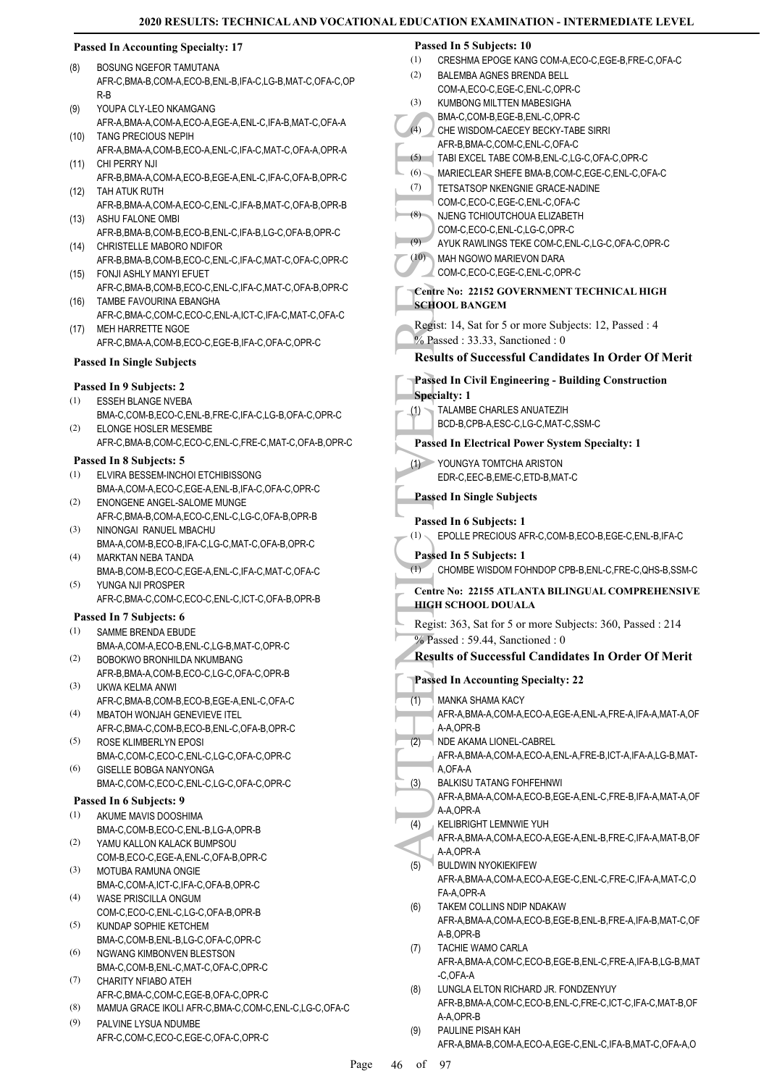(2)

# **Passed In Accounting Specialty: 17**

- BOSUNG NGEFOR TAMUTANA AFR-C,BMA-B,COM-A,ECO-B,ENL-B,IFA-C,LG-B,MAT-C,OFA-C,OP R-B (8)
- YOUPA CLY-LEO NKAMGANG AFR-A,BMA-A,COM-A,ECO-A,EGE-A,ENL-C,IFA-B,MAT-C,OFA-A (9) TANG PRECIOUS NEPIH (10)
- AFR-A,BMA-A,COM-B,ECO-A,ENL-C,IFA-C,MAT-C,OFA-A,OPR-A CHI PERRY NJI (11)
- AFR-B,BMA-A,COM-A,ECO-B,EGE-A,ENL-C,IFA-C,OFA-B,OPR-C (12) TAH ATUK RUTH
- AFR-B,BMA-A,COM-A,ECO-C,ENL-C,IFA-B,MAT-C,OFA-B,OPR-B (13) ASHU FALONE OMBI
- AFR-B,BMA-B,COM-B,ECO-B,ENL-C,IFA-B,LG-C,OFA-B,OPR-C CHRISTELLE MABORO NDIFOR (14)
- AFR-B,BMA-B,COM-B,ECO-C,ENL-C,IFA-C,MAT-C,OFA-C,OPR-C FONJI ASHLY MANYI EFUET (15)
- AFR-C,BMA-B,COM-B,ECO-C,ENL-C,IFA-C,MAT-C,OFA-B,OPR-C TAMBE FAVOURINA EBANGHA (16)
- AFR-C,BMA-C,COM-C,ECO-C,ENL-A,ICT-C,IFA-C,MAT-C,OFA-C MEH HARRETTE NGOE (17)
	- AFR-C,BMA-A,COM-B,ECO-C,EGE-B,IFA-C,OFA-C,OPR-C

### **Passed In Single Subjects**

# **Passed In 9 Subjects: 2**

- ESSEH BLANGE NVEBA BMA-C,COM-B,ECO-C,ENL-B,FRE-C,IFA-C,LG-B,OFA-C,OPR-C (1) ELONGE HOSLER MESEMBE (2)
- AFR-C,BMA-B,COM-C,ECO-C,ENL-C,FRE-C,MAT-C,OFA-B,OPR-C

#### **Passed In 8 Subjects: 5**

- ELVIRA BESSEM-INCHOI ETCHIBISSONG BMA-A,COM-A,ECO-C,EGE-A,ENL-B,IFA-C,OFA-C,OPR-C (1)
- ENONGENE ANGEL-SALOME MUNGE AFR-C,BMA-B,COM-A,ECO-C,ENL-C,LG-C,OFA-B,OPR-B (2)
- NINONGAI RANUEL MBACHU BMA-A,COM-B,ECO-B,IFA-C,LG-C,MAT-C,OFA-B,OPR-C (3) MARKTAN NEBA TANDA (4)
- BMA-B,COM-B,ECO-C,EGE-A,ENL-C,IFA-C,MAT-C,OFA-C YUNGA NJI PROSPER (5)
- AFR-C,BMA-C,COM-C,ECO-C,ENL-C,ICT-C,OFA-B,OPR-B

# **Passed In 7 Subjects: 6**

- SAMME BRENDA EBUDE BMA-A,COM-A,ECO-B,ENL-C,LG-B,MAT-C,OPR-C (1)
- BOBOKWO BRONHILDA NKUMBANG AFR-B,BMA-A,COM-B,ECO-C,LG-C,OFA-C,OPR-B (2)
- UKWA KELMA ANWI AFR-C,BMA-B,COM-B,ECO-B,EGE-A,ENL-C,OFA-C (3)
- MBATOH WONJAH GENEVIEVE ITEL AFR-C,BMA-C,COM-B,ECO-B,ENL-C,OFA-B,OPR-C (4)
- ROSE KLIMBERLYN EPOSI BMA-C,COM-C,ECO-C,ENL-C,LG-C,OFA-C,OPR-C (5)
- GISELLE BOBGA NANYONGA BMA-C,COM-C,ECO-C,ENL-C,LG-C,OFA-C,OPR-C (6)

#### **Passed In 6 Subjects: 9**

- AKUME MAVIS DOOSHIMA BMA-C,COM-B,ECO-C,ENL-B,LG-A,OPR-B (1)
- YAMU KALLON KALACK BUMPSOU (2)
- COM-B,ECO-C,EGE-A,ENL-C,OFA-B,OPR-C MOTUBA RAMUNA ONGIE (3)
- BMA-C,COM-A,ICT-C,IFA-C,OFA-B,OPR-C WASE PRISCILLA ONGUM (4)
- COM-C,ECO-C,ENL-C,LG-C,OFA-B,OPR-B KUNDAP SOPHIE KETCHEM (5)
- BMA-C,COM-B,ENL-B,LG-C,OFA-C,OPR-C (6)
- NGWANG KIMBONVEN BLESTSON BMA-C,COM-B,ENL-C,MAT-C,OFA-C,OPR-C (7)
- CHARITY NFIABO ATEH AFR-C,BMA-C,COM-C,EGE-B,OFA-C,OPR-C
- (8) MAMUA GRACE IKOLI AFR-C,BMA-C,COM-C,ENL-C,LG-C,OFA-C

Page 46

PALVINE LYSUA NDUMBE AFR-C,COM-C,ECO-C,EGE-C,OFA-C,OPR-C (9)

#### **Passed In 5 Subjects: 10**

BALEMBA AGNES BRENDA BELL

(1) CRESHMA EPOGE KANG COM-A,ECO-C,EGE-B,FRE-C,OFA-C

|    |      | COM-A,ECO-C,EGE-C,ENL-C,OPR-C                                                       |
|----|------|-------------------------------------------------------------------------------------|
|    | (3)  | KUMBONG MILTTEN MABESIGHA                                                           |
|    |      | BMA-C,COM-B,EGE-B,ENL-C,OPR-C                                                       |
|    | (4)  | CHE WISDOM-CAECEY BECKY-TABE SIRRI                                                  |
|    |      | AFR-B, BMA-C, COM-C, ENL-C, OFA-C                                                   |
|    | (5)  | TABI EXCEL TABE COM-B, ENL-C, LG-C, OFA-C, OPR-C                                    |
|    | (6)  | MARIECLEAR SHEFE BMA-B,COM-C,EGE-C,ENL-C,OFA-C                                      |
|    | (7)  | <b>TETSATSOP NKENGNIE GRACE-NADINE</b>                                              |
|    |      | COM-C,ECO-C,EGE-C,ENL-C,OFA-C                                                       |
|    | (8)  | NJENG TCHIOUTCHOUA ELIZABETH                                                        |
|    | (9)  | COM-C,ECO-C,ENL-C,LG-C,OPR-C<br>AYUK RAWLINGS TEKE COM-C, ENL-C, LG-C, OFA-C, OPR-C |
|    | (10) | MAH NGOWO MARIEVON DARA                                                             |
|    |      | COM-C,ECO-C,EGE-C,ENL-C,OPR-C                                                       |
|    |      | Centre No: 22152 GOVERNMENT TECHNICAL HIGH                                          |
|    |      | <b>SCHOOL BANGEM</b>                                                                |
|    |      | Regist: 14, Sat for 5 or more Subjects: 12, Passed: 4                               |
|    |      | % Passed: 33.33, Sanctioned: 0                                                      |
|    |      | <b>Results of Successful Candidates In Order Of Merit</b>                           |
|    |      |                                                                                     |
|    |      | <b>Passed In Civil Engineering - Building Construction</b>                          |
|    |      | <b>Specialty: 1</b><br>TALAMBE CHARLES ANUATEZIH                                    |
|    | (1)  | BCD-B,CPB-A,ESC-C,LG-C,MAT-C,SSM-C                                                  |
|    |      | <b>Passed In Electrical Power System Specialty: 1</b>                               |
|    | (1)  | YOUNGYA TOMTCHA ARISTON                                                             |
|    |      | EDR-C,EEC-B,EME-C,ETD-B,MAT-C                                                       |
|    |      |                                                                                     |
|    |      | <b>Passed In Single Subjects</b>                                                    |
|    |      | Passed In 6 Subjects: 1                                                             |
|    | (1)  | EPOLLE PRECIOUS AFR-C,COM-B,ECO-B,EGE-C,ENL-B,IFA-C                                 |
|    | (1)  | Passed In 5 Subjects: 1<br>CHOMBE WISDOM FOHNDOP CPB-B, ENL-C, FRE-C, QHS-B, SSM-C  |
|    |      |                                                                                     |
|    |      | Centre No: 22155 ATLANTA BILINGUAL COMPREHENSIVE                                    |
|    |      | HIGH SCHOOL DOUALA                                                                  |
|    |      |                                                                                     |
|    |      | Regist: 363, Sat for 5 or more Subjects: 360, Passed: 214                           |
|    |      | % Passed: 59.44, Sanctioned: 0                                                      |
|    |      | <b>Results of Successful Candidates In Order Of Merit</b>                           |
|    |      |                                                                                     |
|    |      | <b>Passed In Accounting Specialty: 22</b>                                           |
|    | (1)  | MANKA SHAMA KACY                                                                    |
|    |      | AFR-A, BMA-A, COM-A, ECO-A, EGE-A, ENL-A, FRE-A, IFA-A, MAT-A, OF                   |
|    |      | A-A,OPR-B                                                                           |
|    | (2)  | NDE AKAMA LIONEL-CABREL                                                             |
|    |      | AFR-A, BMA-A, COM-A, ECO-A, ENL-A, FRE-B, ICT-A, IFA-A, LG-B, MAT-                  |
|    |      | A,OFA-A                                                                             |
|    | (3)  | <b>BALKISU TATANG FOHFEHNWI</b>                                                     |
|    |      | AFR-A, BMA-A, COM-A, ECO-B, EGE-A, ENL-C, FRE-B, IFA-A, MAT-A, OF<br>A-A,OPR-A      |
|    | (4)  | KELIBRIGHT LEMNWIE YUH                                                              |
|    |      | AFR-A,BMA-A,COM-A,ECO-A,EGE-A,ENL-B,FRE-C,IFA-A,MAT-B,OF                            |
|    |      | A-A,OPR-A                                                                           |
|    | (5)  | <b>BULDWIN NYOKIEKIFEW</b>                                                          |
|    |      | AFR-A, BMA-A, COM-A, ECO-A, EGE-C, ENL-C, FRE-C, IFA-A, MAT-C, O                    |
|    |      | FA-A,OPR-A                                                                          |
|    | (6)  | TAKEM COLLINS NDIP NDAKAW                                                           |
|    |      | AFR-A, BMA-A, COM-A, ECO-B, EGE-B, ENL-B, FRE-A, IFA-B, MAT-C, OF                   |
|    |      | A-B, OPR-B<br><b>TACHIE WAMO CARLA</b>                                              |
|    | (7)  | AFR-A,BMA-A,COM-C,ECO-B,EGE-B,ENL-C,FRE-A,IFA-B,LG-B,MAT                            |
|    |      | -C,OFA-A                                                                            |
|    | (8)  | LUNGLA ELTON RICHARD JR. FONDZENYUY                                                 |
|    |      | AFR-B, BMA-A, COM-C, ECO-B, ENL-C, FRE-C, ICT-C, IFA-C, MAT-B, OF                   |
|    |      | A-A,OPR-B                                                                           |
|    | (9)  | PAULINE PISAH KAH                                                                   |
|    |      | AFR-A, BMA-B, COM-A, ECO-A, EGE-C, ENL-C, IFA-B, MAT-C, OFA-A, O                    |
| -6 | οf   | 97                                                                                  |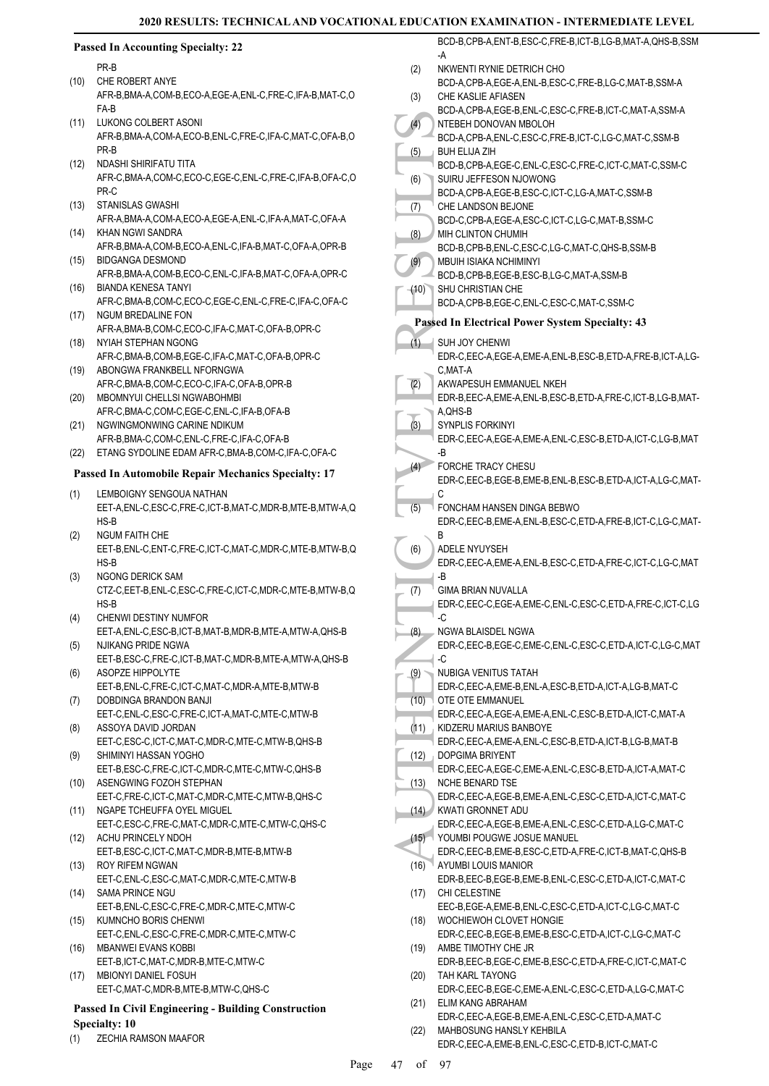|      | <b>Passed In Accounting Specialty: 22</b>                                                                |      | BCD-B,CPB-A,ENT-B,ESC-C,FRE-B,ICT-B,LG-B,MAT-A,QHS-B,SSM<br>-A                                   |
|------|----------------------------------------------------------------------------------------------------------|------|--------------------------------------------------------------------------------------------------|
|      | PR-B                                                                                                     | (2)  | NKWENTI RYNIE DETRICH CHO                                                                        |
| (10) | CHE ROBERT ANYE<br>AFR-B, BMA-A, COM-B, ECO-A, EGE-A, ENL-C, FRE-C, IFA-B, MAT-C, O                      | (3)  | BCD-A,CPB-A,EGE-A,ENL-B,ESC-C,FRE-B,LG-C,MAT-B,SSM-A<br>CHE KASLIE AFIASEN                       |
| (11) | FA-B<br>LUKONG COLBERT ASONI                                                                             | (4)  | BCD-A,CPB-A,EGE-B,ENL-C,ESC-C,FRE-B,ICT-C,MAT-A,SSM-A<br>NTEBEH DONOVAN MBOLOH                   |
|      | AFR-B, BMA-A, COM-A, ECO-B, ENL-C, FRE-C, IFA-C, MAT-C, OFA-B, O<br>PR-B                                 |      | BCD-A,CPB-A,ENL-C,ESC-C,FRE-B,ICT-C,LG-C,MAT-C,SSM-B                                             |
| (12) | NDASHI SHIRIFATU TITA                                                                                    | (5)  | <b>BUH ELIJA ZIH</b><br>BCD-B,CPB-A,EGE-C,ENL-C,ESC-C,FRE-C,ICT-C,MAT-C,SSM-C                    |
|      | AFR-C, BMA-A, COM-C, ECO-C, EGE-C, ENL-C, FRE-C, IFA-B, OFA-C, O<br>PR-C                                 | (6)  | SUIRU JEFFESON NJOWONG<br>BCD-A,CPB-A,EGE-B,ESC-C,ICT-C,LG-A,MAT-C,SSM-B                         |
| (13) | <b>STANISLAS GWASHI</b><br>AFR-A, BMA-A, COM-A, ECO-A, EGE-A, ENL-C, IFA-A, MAT-C, OFA-A                 | (7)  | CHE LANDSON BEJONE<br>BCD-C,CPB-A,EGE-A,ESC-C,ICT-C,LG-C,MAT-B,SSM-C                             |
| (14) | KHAN NGWI SANDRA                                                                                         | (8)  | MIH CLINTON CHUMIH                                                                               |
| (15) | AFR-B, BMA-A, COM-B, ECO-A, ENL-C, IFA-B, MAT-C, OFA-A, OPR-B<br><b>BIDGANGA DESMOND</b>                 | (9)  | BCD-B,CPB-B,ENL-C,ESC-C,LG-C,MAT-C,QHS-B,SSM-B<br>MBUIH ISIAKA NCHIMINYI                         |
| (16) | AFR-B, BMA-A, COM-B, ECO-C, ENL-C, IFA-B, MAT-C, OFA-A, OPR-C<br><b>BIANDA KENESA TANYI</b>              |      | BCD-B,CPB-B,EGE-B,ESC-B,LG-C,MAT-A,SSM-B<br>(10) SHU CHRISTIAN CHE                               |
|      | AFR-C, BMA-B, COM-C, ECO-C, EGE-C, ENL-C, FRE-C, IFA-C, OFA-C                                            |      | BCD-A,CPB-B,EGE-C,ENL-C,ESC-C,MAT-C,SSM-C                                                        |
| (17) | NGUM BREDALINE FON<br>AFR-A, BMA-B, COM-C, ECO-C, IFA-C, MAT-C, OFA-B, OPR-C                             |      | Passed In Electrical Power System Specialty: 43                                                  |
| (18) | NYIAH STEPHAN NGONG<br>AFR-C, BMA-B, COM-B, EGE-C, IFA-C, MAT-C, OFA-B, OPR-C                            | (1)  | SUH JOY CHENWI<br>EDR-C,EEC-A,EGE-A,EME-A,ENL-B,ESC-B,ETD-A,FRE-B,ICT-A,LG-                      |
| (19) | ABONGWA FRANKBELL NFORNGWA<br>AFR-C, BMA-B, COM-C, ECO-C, IFA-C, OFA-B, OPR-B                            | (2)  | C, MAT-A<br>AKWAPESUH EMMANUEL NKEH                                                              |
| (20) | MBOMNYUI CHELLSI NGWABOHMBI                                                                              |      | EDR-B,EEC-A,EME-A,ENL-B,ESC-B,ETD-A,FRE-C,ICT-B,LG-B,MAT-                                        |
| (21) | AFR-C, BMA-C, COM-C, EGE-C, ENL-C, IFA-B, OFA-B<br>NGWINGMONWING CARINE NDIKUM                           | (3)  | A, QHS-B<br>SYNPLIS FORKINYI                                                                     |
| (22) | AFR-B, BMA-C, COM-C, ENL-C, FRE-C, IFA-C, OFA-B<br>ETANG SYDOLINE EDAM AFR-C, BMA-B, COM-C, IFA-C, OFA-C |      | EDR-C, EEC-A, EGE-A, EME-A, ENL-C, ESC-B, ETD-A, ICT-C, LG-B, MAT<br>-B                          |
|      | <b>Passed In Automobile Repair Mechanics Specialty: 17</b>                                               | (4)  | FORCHE TRACY CHESU<br>EDR-C, EEC-B, EGE-B, EME-B, ENL-B, ESC-B, ETD-A, ICT-A, LG-C, MAT          |
| (1)  | LEMBOIGNY SENGOUA NATHAN                                                                                 |      | C                                                                                                |
|      | EET-A, ENL-C, ESC-C, FRE-C, ICT-B, MAT-C, MDR-B, MTE-B, MTW-A, Q<br>$HS-B$                               | (5)  | FONCHAM HANSEN DINGA BEBWO<br>EDR-C,EEC-B,EME-A,ENL-B,ESC-C,ETD-A,FRE-B,ICT-C,LG-C,MAT-          |
| (2)  | <b>NGUM FAITH CHE</b>                                                                                    |      | В                                                                                                |
|      | EET-B, ENL-C, ENT-C, FRE-C, ICT-C, MAT-C, MDR-C, MTE-B, MTW-B, Q<br>$HS-B$                               | (6)  | ADELE NYUYSEH<br>EDR-C, EEC-A, EME-A, ENL-B, ESC-C, ETD-A, FRE-C, ICT-C, LG-C, MAT               |
| (3)  | NGONG DERICK SAM                                                                                         |      | -B                                                                                               |
|      | CTZ-C,EET-B,ENL-C,ESC-C,FRE-C,ICT-C,MDR-C,MTE-B,MTW-B,Q<br>$HS-B$                                        | (7)  | <b>GIMA BRIAN NUVALLA</b><br>EDR-C,EEC-C,EGE-A,EME-C,ENL-C,ESC-C,ETD-A,FRE-C,ICT-C,LG            |
| (4)  | CHENWI DESTINY NUMFOR                                                                                    |      | ' −C                                                                                             |
| (5)  | EET-A, ENL-C, ESC-B, ICT-B, MAT-B, MDR-B, MTE-A, MTW-A, QHS-B<br>NJIKANG PRIDE NGWA                      | (8)  | NGWA BLAISDEL NGWA<br>EDR-C, EEC-B, EGE-C, EME-C, ENL-C, ESC-C, ETD-A, ICT-C, LG-C, MAT          |
|      | EET-B,ESC-C,FRE-C,ICT-B,MAT-C,MDR-B,MTE-A,MTW-A,QHS-B                                                    |      | -C                                                                                               |
| (6)  | ASOPZE HIPPOLYTE<br>EET-B, ENL-C, FRE-C, ICT-C, MAT-C, MDR-A, MTE-B, MTW-B                               | (9)  | NUBIGA VENITUS TATAH<br>EDR-C,EEC-A,EME-B,ENL-A,ESC-B,ETD-A,ICT-A,LG-B,MAT-C                     |
| (7)  | DOBDINGA BRANDON BANJI<br>EET-C.ENL-C.ESC-C.FRE-C.ICT-A.MAT-C.MTE-C.MTW-B                                |      | (10) OTE OTE EMMANUEL<br>EDR-C,EEC-A,EGE-A,EME-A,ENL-C,ESC-B,ETD-A,ICT-C,MAT-A                   |
| (8)  | ASSOYA DAVID JORDAN                                                                                      |      | (11) KIDZERU MARIUS BANBOYE                                                                      |
| (9)  | EET-C,ESC-C,ICT-C,MAT-C,MDR-C,MTE-C,MTW-B,QHS-B<br>SHIMINYI HASSAN YOGHO                                 | (12) | EDR-C, EEC-A, EME-A, ENL-C, ESC-B, ETD-A, ICT-B, LG-B, MAT-B<br><b>DOPGIMA BRIYENT</b>           |
|      | EET-B,ESC-C,FRE-C,ICT-C,MDR-C,MTE-C,MTW-C,QHS-B                                                          |      | EDR-C,EEC-A,EGE-C,EME-A,ENL-C,ESC-B,ETD-A,ICT-A,MAT-C                                            |
| (10) | ASENGWING FOZOH STEPHAN<br>EET-C,FRE-C,ICT-C,MAT-C,MDR-C,MTE-C,MTW-B,QHS-C                               | (13) | <b>NCHE BENARD TSE</b><br>EDR-C,EEC-A,EGE-B,EME-A,ENL-C,ESC-C,ETD-A,ICT-C,MAT-C                  |
| (11) | NGAPE TCHEUFFA OYEL MIGUEL<br>EET-C,ESC-C,FRE-C,MAT-C,MDR-C,MTE-C,MTW-C,QHS-C                            |      | (14) KWATI GRONNET ADU<br>EDR-C,EEC-A,EGE-B,EME-A,ENL-C,ESC-C,ETD-A,LG-C,MAT-C                   |
| (12) | ACHU PRINCELY NDOH<br>EET-B,ESC-C,ICT-C,MAT-C,MDR-B,MTE-B,MTW-B                                          |      | (15) VOUMBI POUGWE JOSUE MANUEL<br>EDR-C, EEC-B, EME-B, ESC-C, ETD-A, FRE-C, ICT-B, MAT-C, QHS-B |
| (13) | ROY RIFEM NGWAN                                                                                          |      | (16) AYUMBI LOUIS MANIOR                                                                         |
| (14) | EET-C, ENL-C, ESC-C, MAT-C, MDR-C, MTE-C, MTW-B<br>SAMA PRINCE NGU                                       |      | EDR-B,EEC-B,EGE-B,EME-B,ENL-C,ESC-C,ETD-A,ICT-C,MAT-C<br>(17) CHI CELESTINE                      |
| (15) | EET-B,ENL-C,ESC-C,FRE-C,MDR-C,MTE-C,MTW-C<br>KUMNCHO BORIS CHENWI                                        | (18) | EEC-B,EGE-A,EME-B,ENL-C,ESC-C,ETD-A,ICT-C,LG-C,MAT-C<br>WOCHIEWOH CLOVET HONGIE                  |
|      | EET-C,ENL-C,ESC-C,FRE-C,MDR-C,MTE-C,MTW-C                                                                |      | EDR-C,EEC-B,EGE-B,EME-B,ESC-C,ETD-A,ICT-C,LG-C,MAT-C                                             |
| (16) | <b>MBANWEI EVANS KOBBI</b><br>EET-B,ICT-C,MAT-C,MDR-B,MTE-C,MTW-C                                        | (19) | AMBE TIMOTHY CHE JR<br>EDR-B,EEC-B,EGE-C,EME-B,ESC-C,ETD-A,FRE-C,ICT-C,MAT-C                     |
| (17) | MBIONYI DANIEL FOSUH<br>EET-C, MAT-C, MDR-B, MTE-B, MTW-C, QHS-C                                         | (20) | TAH KARL TAYONG<br>EDR-C,EEC-B,EGE-C,EME-A,ENL-C,ESC-C,ETD-A,LG-C,MAT-C                          |
|      | <b>Passed In Civil Engineering - Building Construction</b>                                               | (21) | ELIM KANG ABRAHAM                                                                                |
| (1)  | <b>Specialty: 10</b><br>ZECHIA RAMSON MAAFOR                                                             | (22) | EDR-C, EEC-A, EGE-B, EME-A, ENL-C, ESC-C, ETD-A, MAT-C<br>MAHBOSUNG HANSLY KEHBILA               |
|      |                                                                                                          |      | EDR-C,EEC-A,EME-B,ENL-C,ESC-C,ETD-B,ICT-C,MAT-C                                                  |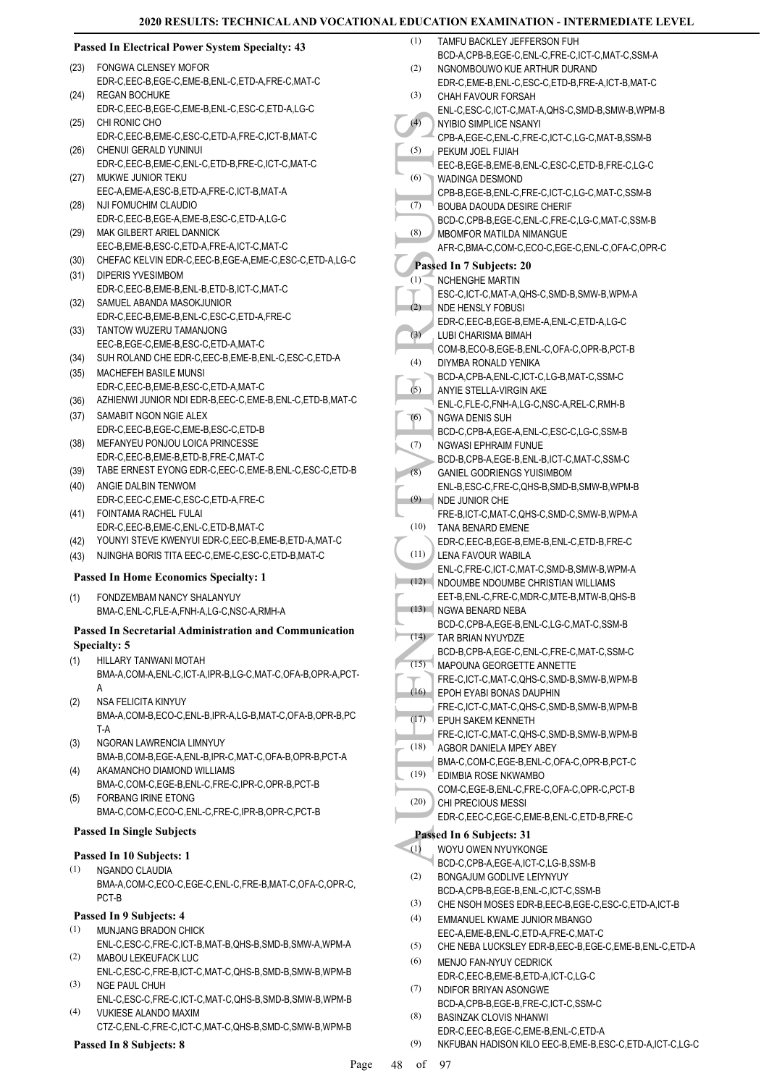# **Passed In Electrical Power System Specialty: 43**

- FONGWA CLENSEY MOFOR EDR-C,EEC-B,EGE-C,EME-B,ENL-C,ETD-A,FRE-C,MAT-C (23)
- REGAN BOCHUKE EDR-C,EEC-B,EGE-C,EME-B,ENL-C,ESC-C,ETD-A,LG-C  $(24)$
- CHI RONIC CHO (25)
- EDR-C,EEC-B,EME-C,ESC-C,ETD-A,FRE-C,ICT-B,MAT-C (26) CHENUI GERALD YUNINUI
- EDR-C,EEC-B,EME-C,ENL-C,ETD-B,FRE-C,ICT-C,MAT-C (27) MUKWE JUNIOR TEKU
- EEC-A,EME-A,ESC-B,ETD-A,FRE-C,ICT-B,MAT-A (28) NJI FOMUCHIM CLAUDIO
- EDR-C,EEC-B,EGE-A,EME-B,ESC-C,ETD-A,LG-C
- MAK GILBERT ARIEL DANNICK (29) EEC-B,EME-B,ESC-C,ETD-A,FRE-A,ICT-C,MAT-C
- (30) CHEFAC KELVIN EDR-C,EEC-B,EGE-A,EME-C,ESC-C,ETD-A,LG-C
- (31) DIPERIS YVESIMBOM EDR-C,EEC-B,EME-B,ENL-B,ETD-B,ICT-C,MAT-C
- SAMUEL ABANDA MASOKJUNIOR EDR-C,EEC-B,EME-B,ENL-C,ESC-C,ETD-A,FRE-C (32)
- TANTOW WUZERU TAMANJONG (33) EEC-B,EGE-C,EME-B,ESC-C,ETD-A,MAT-C (34) SUH ROLAND CHE EDR-C,EEC-B,EME-B,ENL-C,ESC-C,ETD-A
- MACHEFEH BASILE MUNSI (35) EDR-C,EEC-B,EME-B,ESC-C,ETD-A,MAT-C
- (36) AZHIENWI JUNIOR NDI EDR-B,EEC-C,EME-B,ENL-C,ETD-B,MAT-C (37) SAMABIT NGON NGIE ALEX
- EDR-C,EEC-B,EGE-C,EME-B,ESC-C,ETD-B (38) MEFANYEU PONJOU LOICA PRINCESSE
- EDR-C,EEC-B,EME-B,ETD-B,FRE-C,MAT-C (39) TABE ERNEST EYONG EDR-C,EEC-C,EME-B,ENL-C,ESC-C,ETD-B
- (40) ANGIE DALBIN TENWOM EDR-C,EEC-C,EME-C,ESC-C,ETD-A,FRE-C
- FOINTAMA RACHEL FULAI EDR-C,EEC-B,EME-C,ENL-C,ETD-B,MAT-C (41) (42) YOUNYI STEVE KWENYUI EDR-C,EEC-B,EME-B,ETD-A,MAT-C
- (43) NJINGHA BORIS TITA EEC-C,EME-C,ESC-C,ETD-B,MAT-C

# **Passed In Home Economics Specialty: 1**

FONDZEMBAM NANCY SHALANYUY BMA-C,ENL-C,FLE-A,FNH-A,LG-C,NSC-A,RMH-A (1)

# **Passed In Secretarial Administration and Communication Specialty: 5**

- HILLARY TANWANI MOTAH (1)
	- BMA-A,COM-A,ENL-C,ICT-A,IPR-B,LG-C,MAT-C,OFA-B,OPR-A,PCT-A
- NSA FELICITA KINYUY BMA-A,COM-B,ECO-C,ENL-B,IPR-A,LG-B,MAT-C,OFA-B,OPR-B,PC T-A (2)
- NGORAN LAWRENCIA LIMNYUY BMA-B,COM-B,EGE-A,ENL-B,IPR-C,MAT-C,OFA-B,OPR-B,PCT-A (3)
- AKAMANCHO DIAMOND WILLIAMS BMA-C,COM-C,EGE-B,ENL-C,FRE-C,IPR-C,OPR-B,PCT-B (4) FORBANG IRINE ETONG (5)
- BMA-C,COM-C,ECO-C,ENL-C,FRE-C,IPR-B,OPR-C,PCT-B

# **Passed In Single Subjects**

- **Passed In 10 Subjects: 1**
- NGANDO CLAUDIA BMA-A,COM-C,ECO-C,EGE-C,ENL-C,FRE-B,MAT-C,OFA-C,OPR-C, PCT-B (1)

# **Passed In 9 Subjects: 4**

- MUNJANG BRADON CHICK ENL-C,ESC-C,FRE-C,ICT-B,MAT-B,QHS-B,SMD-B,SMW-A,WPM-A (1)
- MABOU LEKEUFACK LUC ENL-C,ESC-C,FRE-B,ICT-C,MAT-C,QHS-B,SMD-B,SMW-B,WPM-B (2)
- NGE PAUL CHUH (3)
- ENL-C,ESC-C,FRE-C,ICT-C,MAT-C,QHS-B,SMD-B,SMW-B,WPM-B VUKIESE ALANDO MAXIM (4)

CTZ-C,ENL-C,FRE-C,ICT-C,MAT-C,QHS-B,SMD-C,SMW-B,WPM-B

# **Passed In 8 Subjects: 8**

|           | <u> NAL EDUCATION EXAMINATION - INTERMEDIATE LEVEL</u>                                            |
|-----------|---------------------------------------------------------------------------------------------------|
| (1)       | TAMFU BACKLEY JEFFERSON FUH                                                                       |
|           | BCD-A,CPB-B,EGE-C,ENL-C,FRE-C,ICT-C,MAT-C,SSM-A                                                   |
| (2)       | NGNOMBOUWO KUE ARTHUR DURAND<br>EDR-C,EME-B,ENL-C,ESC-C,ETD-B,FRE-A,ICT-B,MAT-C                   |
| (3)       | CHAH FAVOUR FORSAH                                                                                |
|           | ENL-C, ESC-C, ICT-C, MAT-A, QHS-C, SMD-B, SMW-B, WPM-B                                            |
| (4)       | NYIBIO SIMPLICE NSANYI                                                                            |
|           | CPB-A,EGE-C,ENL-C,FRE-C,ICT-C,LG-C,MAT-B,SSM-B                                                    |
| (5)       | PEKUM JOEL FIJIAH                                                                                 |
| (6)       | EEC-B,EGE-B,EME-B,ENL-C,ESC-C,ETD-B,FRE-C,LG-C<br>WADINGA DESMOND                                 |
|           | CPB-B,EGE-B,ENL-C,FRE-C,ICT-C,LG-C,MAT-C,SSM-B                                                    |
| (7)       | BOUBA DAOUDA DESIRE CHERIF                                                                        |
|           | BCD-C,CPB-B,EGE-C,ENL-C,FRE-C,LG-C,MAT-C,SSM-B                                                    |
| (8)       | <b>MBOMFOR MATILDA NIMANGUE</b>                                                                   |
|           | AFR-C,BMA-C,COM-C,ECO-C,EGE-C,ENL-C,OFA-C,OPR-C                                                   |
|           | Passed In 7 Subjects: 20                                                                          |
| $(1)^{2}$ | <b>NCHENGHE MARTIN</b>                                                                            |
| (2)       | ESC-C,ICT-C,MAT-A,QHS-C,SMD-B,SMW-B,WPM-A<br><b>NDE HENSLY FOBUSI</b>                             |
|           | EDR-C.EEC-B.EGE-B.EME-A.ENL-C.ETD-A.LG-C                                                          |
| (3)       | LUBI CHARISMA BIMAH                                                                               |
|           | COM-B,ECO-B,EGE-B,ENL-C,OFA-C,OPR-B,PCT-B                                                         |
| (4)       | DIYMBA RONALD YENIKA                                                                              |
| (5)       | BCD-A,CPB-A,ENL-C,ICT-C,LG-B,MAT-C,SSM-C<br>ANYIE STELLA-VIRGIN AKE                               |
|           | ENL-C,FLE-C,FNH-A,LG-C,NSC-A,REL-C,RMH-B                                                          |
| (6)       | NGWA DENIS SUH                                                                                    |
|           | BCD-C,CPB-A,EGE-A,ENL-C,ESC-C,LG-C,SSM-B                                                          |
| (7)       | NGWASI EPHRAIM FUNUE                                                                              |
| (8)       | BCD-B,CPB-A,EGE-B,ENL-B,ICT-C,MAT-C,SSM-C<br><b>GANIEL GODRIENGS YUISIMBOM</b>                    |
|           | ENL-B,ESC-C,FRE-C,QHS-B,SMD-B,SMW-B,WPM-B                                                         |
| (9)       | NDE JUNIOR CHE                                                                                    |
|           | FRE-B,ICT-C,MAT-C,QHS-C,SMD-C,SMW-B,WPM-A                                                         |
| (10)      | TANA BENARD EMENE                                                                                 |
| (11)      | EDR-C,EEC-B,EGE-B,EME-B,ENL-C,ETD-B,FRE-C<br>LENA FAVOUR WABILA                                   |
|           | ENL-C,FRE-C,ICT-C,MAT-C,SMD-B,SMW-B,WPM-A                                                         |
| (12)      | NDOUMBE NDOUMBE CHRISTIAN WILLIAMS                                                                |
|           | EET-B, ENL-C, FRE-C, MDR-C, MTE-B, MTW-B, QHS-B                                                   |
| (13)      | NGWA BENARD NEBA                                                                                  |
| (14)      | BCD-C,CPB-A,EGE-B,ENL-C,LG-C,MAT-C,SSM-B<br>TAR BRIAN NYUYDZE                                     |
|           | BCD-B,CPB-A,EGE-C,ENL-C,FRE-C,MAT-C,SSM-C                                                         |
| (15)      | MAPOUNA GEORGETTE ANNETTE                                                                         |
|           | FRE-C,ICT-C,MAT-C,QHS-C,SMD-B,SMW-B,WPM-B                                                         |
| (16)      | EPOH EYABI BONAS DAUPHIN                                                                          |
| (17)      | FRE-C,ICT-C,MAT-C,QHS-C,SMD-B,SMW-B,WPM-B<br>EPUH SAKEM KENNETH                                   |
|           | FRE-C,ICT-C,MAT-C,QHS-C,SMD-B,SMW-B,WPM-B                                                         |
| (18)      | AGBOR DANIELA MPEY ABEY                                                                           |
|           | BMA-C,COM-C,EGE-B,ENL-C,OFA-C,OPR-B,PCT-C                                                         |
| (19)      | EDIMBIA ROSE NKWAMBO                                                                              |
| (20)      | COM-C,EGE-B,ENL-C,FRE-C,OFA-C,OPR-C,PCT-B                                                         |
|           | <b>CHI PRECIOUS MESSI</b><br>EDR-C,EEC-C,EGE-C,EME-B,ENL-C,ETD-B,FRE-C                            |
|           | Passed In 6 Subjects: 31                                                                          |
| (1)       | WOYU OWEN NYUYKONGE                                                                               |
|           | BCD-C,CPB-A,EGE-A,ICT-C,LG-B,SSM-B                                                                |
| (2)       | BONGAJUM GODLIVE LEIYNYUY                                                                         |
|           | BCD-A,CPB-B,EGE-B,ENL-C,ICT-C,SSM-B                                                               |
| (3)       | CHE NSOH MOSES EDR-B, EEC-B, EGE-C, ESC-C, ETD-A, ICT-B                                           |
| (4)       | EMMANUEL KWAME JUNIOR MBANGO                                                                      |
| (5)       | EEC-A,EME-B,ENL-C,ETD-A,FRE-C,MAT-C<br>CHE NEBA LUCKSLEY EDR-B, EEC-B, EGE-C, EME-B, ENL-C, ETD-A |
|           |                                                                                                   |

- MENJO FAN-NYUY CEDRICK EDR-C,EEC-B,EME-B,ETD-A,ICT-C,LG-C (6)
- NDIFOR BRIYAN ASONGWE BCD-A,CPB-B,EGE-B,FRE-C,ICT-C,SSM-C (7)
- BASINZAK CLOVIS NHANWI EDR-C,EEC-B,EGE-C,EME-B,ENL-C,ETD-A (8) (9) NKFUBAN HADISON KILO EEC-B,EME-B,ESC-C,ETD-A,ICT-C,LG-C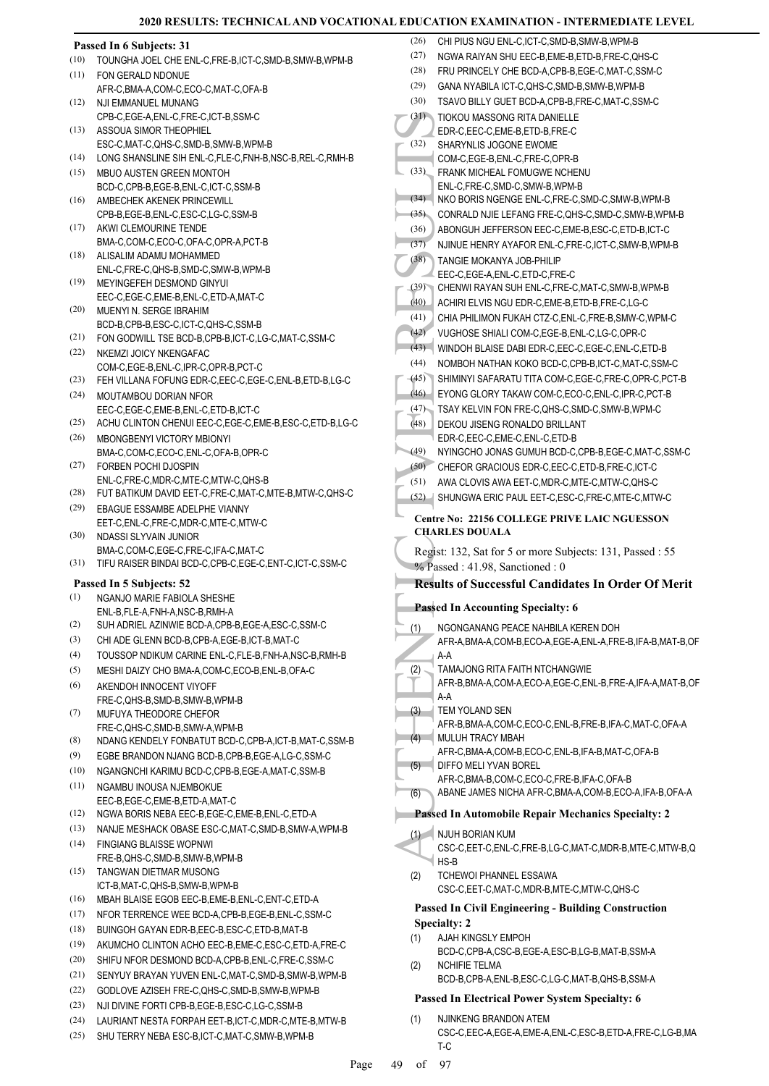|      | 2020 RESULIS: TECHNICAL AND VOCATIONAL EDUCAT                                           |                        |
|------|-----------------------------------------------------------------------------------------|------------------------|
|      | Passed In 6 Subjects: 31                                                                | (26)<br>CI<br>(27)     |
| (10) | TOUNGHA JOEL CHE ENL-C, FRE-B, ICT-C, SMD-B, SMW-B, WPM-B                               | N(                     |
| (11) | FON GERALD NDONUE                                                                       | FF<br>(28)             |
|      | AFR-C, BMA-A, COM-C, ECO-C, MAT-C, OFA-B                                                | (29)<br>G,             |
| (12) | NJI EMMANUEL MUNANG                                                                     | (30)<br>ΤŚ             |
| (13) | CPB-C,EGE-A,ENL-C,FRE-C,ICT-B,SSM-C                                                     | (31)<br>TI             |
|      | ASSOUA SIMOR THEOPHIEL<br>ESC-C, MAT-C, QHS-C, SMD-B, SMW-B, WPM-B                      | E<br>(32)<br>Sŀ        |
| (14) | LONG SHANSLINE SIH ENL-C, FLE-C, FNH-B, NSC-B, REL-C, RMH-B                             | C(                     |
| (15) | MBUO AUSTEN GREEN MONTOH                                                                | (33)<br>FF             |
|      | BCD-C,CPB-B,EGE-B,ENL-C,ICT-C,SSM-B                                                     | Eľ                     |
| (16) | AMBECHEK AKENEK PRINCEWILL                                                              | (34)<br>NI             |
|      | CPB-B,EGE-B,ENL-C,ESC-C,LG-C,SSM-B                                                      | (35)<br>C(             |
| (17) | AKWI CLEMOURINE TENDE                                                                   | (36)<br>Al             |
|      | BMA-C,COM-C,ECO-C,OFA-C,OPR-A,PCT-B                                                     | (37)<br>N.             |
| (18) | ALISALIM ADAMU MOHAMMED                                                                 | (38)<br>T/             |
| (19) | ENL-C, FRE-C, QHS-B, SMD-C, SMW-B, WPM-B                                                | EE                     |
|      | MEYINGEFEH DESMOND GINYUI<br>EEC-C,EGE-C,EME-B,ENL-C,ETD-A,MAT-C                        | (39)<br>CI             |
| (20) | MUENYI N. SERGE IBRAHIM                                                                 | (40)<br>A(             |
|      | BCD-B,CPB-B,ESC-C,ICT-C,QHS-C,SSM-B                                                     | (41)<br>CI             |
| (21) | FON GODWILL TSE BCD-B,CPB-B,ICT-C,LG-C,MAT-C,SSM-C                                      | (42)<br>Vl             |
| (22) | NKEMZI JOICY NKENGAFAC                                                                  | (43)<br>W              |
|      | COM-C,EGE-B,ENL-C,IPR-C,OPR-B,PCT-C                                                     | (44)<br>N <sub>0</sub> |
| (23) | FEH VILLANA FOFUNG EDR-C, EEC-C, EGE-C, ENL-B, ETD-B, LG-C                              | (45)<br>SI             |
| (24) | MOUTAMBOU DORIAN NFOR                                                                   | (46)<br>E)             |
|      | EEC-C,EGE-C,EME-B,ENL-C,ETD-B,ICT-C                                                     | (47)<br>ΤŚ             |
| (25) | ACHU CLINTON CHENUI EEC-C, EGE-C, EME-B, ESC-C, ETD-B, LG-C                             | (48)<br>DI             |
| (26) | <b>MBONGBENYI VICTORY MBIONYI</b>                                                       | E                      |
| (27) | BMA-C,COM-C,ECO-C,ENL-C,OFA-B,OPR-C                                                     | (49)<br>N,             |
|      | FORBEN POCHI DJOSPIN<br>ENL-C,FRE-C,MDR-C,MTE-C,MTW-C,QHS-B                             | (50)<br>CI             |
| (28) | FUT BATIKUM DAVID EET-C, FRE-C, MAT-C, MTE-B, MTW-C, QHS-C                              | (51)<br>A١             |
| (29) | EBAGUE ESSAMBE ADELPHE VIANNY                                                           | (52)<br>Sŀ             |
|      | EET-C, ENL-C, FRE-C, MDR-C, MTE-C, MTW-C                                                | Centre                 |
| (30) | NDASSI SLYVAIN JUNIOR                                                                   | <b>CHAR</b>            |
|      | BMA-C,COM-C,EGE-C,FRE-C,IFA-C,MAT-C                                                     | Regist:                |
| (31) | TIFU RAISER BINDAI BCD-C,CPB-C,EGE-C,ENT-C,ICT-C,SSM-C                                  | % Pass                 |
|      | Passed In 5 Subjects: 52                                                                | Resul                  |
| (1)  | NGANJO MARIE FABIOI A SHESHE                                                            | Passed                 |
|      | ENL-B.FLE-A.FNH-A.NSC-B.RMH-A                                                           |                        |
| (2)  | SUH ADRIEL AZINWIE BCD-A,CPB-B,EGE-A,ESC-C,SSM-C                                        | N<br>(1)               |
| (3)  | CHI ADE GLENN BCD-B,CPB-A,EGE-B,ICT-B,MAT-C                                             | AI                     |
| (4)  | TOUSSOP NDIKUM CARINE ENL-C, FLE-B, FNH-A, NSC-B, RMH-B                                 | А-<br>(2)<br>T/        |
| (5)  | MESHI DAIZY CHO BMA-A,COM-C,ECO-B,ENL-B,OFA-C                                           | AI                     |
| (6)  | AKENDOH INNOCENT VIYOFF<br>FRE-C, QHS-B, SMD-B, SMW-B, WPM-B                            | А-                     |
| (7)  | MUFUYA THEODORE CHEFOR                                                                  | TE<br>(3)              |
|      | FRE-C, QHS-C, SMD-B, SMW-A, WPM-B                                                       | AI                     |
| (8)  | NDANG KENDELY FONBATUT BCD-C, CPB-A, ICT-B, MAT-C, SSM-B                                | M<br>(4)               |
| (9)  | EGBE BRANDON NJANG BCD-B,CPB-B,EGE-A,LG-C,SSM-C                                         | AI                     |
| (10) | NGANGNCHI KARIMU BCD-C,CPB-B,EGE-A,MAT-C,SSM-B                                          | DI<br>(5)              |
| (11) | NGAMBU INOUSA NJEMBOKUE                                                                 | AI<br>AI               |
|      | EEC-B,EGE-C,EME-B,ETD-A,MAT-C                                                           | (6)                    |
| (12) | NGWA BORIS NEBA EEC-B,EGE-C,EME-B,ENL-C,ETD-A                                           | Passed                 |
| (13) | NANJE MESHACK OBASE ESC-C, MAT-C, SMD-B, SMW-A, WPM-B                                   | N,<br>(1)              |
| (14) | <b>FINGIANG BLAISSE WOPNWI</b>                                                          | C.                     |
|      | FRE-B, QHS-C, SMD-B, SMW-B, WPM-B                                                       | H,                     |
| (15) | TANGWAN DIETMAR MUSONG                                                                  | T(<br>(2)              |
| (16) | ICT-B, MAT-C, QHS-B, SMW-B, WPM-B<br>MBAH BLAISE EGOB EEC-B, EME-B, ENL-C, ENT-C, ETD-A | C.                     |
| (17) | NFOR TERRENCE WEE BCD-A,CPB-B,EGE-B,ENL-C,SSM-C                                         | Passed                 |
| (18) | BUINGOH GAYAN EDR-B, EEC-B, ESC-C, ETD-B, MAT-B                                         | Specia                 |
| (19) | AKUMCHO CLINTON ACHO EEC-B, EME-C, ESC-C, ETD-A, FRE-C                                  | (1)<br>А.              |
| (20) | SHIFU NFOR DESMOND BCD-A, CPB-B, ENL-C, FRE-C, SSM-C                                    | B                      |
| (21) | SENYUY BRAYAN YUVEN ENL-C, MAT-C, SMD-B, SMW-B, WPM-B                                   | N <sub>0</sub><br>(2)  |
| (22) | GODLOVE AZISEH FRE-C, QHS-C, SMD-B, SMW-B, WPM-B                                        | B                      |
| (23) | NJI DIVINE FORTI CPB-B,EGE-B,ESC-C,LG-C,SSM-B                                           | Passed                 |
| (24) | LAURIANT NESTA FORPAH EET-B,ICT-C,MDR-C,MTE-B,MTW-B                                     | (1)<br>N,              |
|      |                                                                                         |                        |

(25) SHU TERRY NEBA ESC-B,ICT-C,MAT-C,SMW-B,WPM-B

| (26)         | CHI PIUS NGU ENL-C, ICT-C, SMD-B, SMW-B, WPM-B                                                          |
|--------------|---------------------------------------------------------------------------------------------------------|
| (27)         | NGWA RAIYAN SHU EEC-B,EME-B,ETD-B,FRE-C,QHS-C                                                           |
| (28)         | FRU PRINCELY CHE BCD-A,CPB-B,EGE-C,MAT-C,SSM-C                                                          |
| (29)         | GANA NYABILA ICT-C, QHS-C, SMD-B, SMW-B, WPM-B                                                          |
| (30)         | TSAVO BILLY GUET BCD-A.CPB-B.FRE-C.MAT-C.SSM-C                                                          |
| (31)         | TIOKOU MASSONG RITA DANIELLE                                                                            |
| (32)         | EDR-C,EEC-C,EME-B,ETD-B,FRE-C                                                                           |
|              | SHARYNLIS JOGONE EWOME<br>COM-C,EGE-B,ENL-C,FRE-C,OPR-B                                                 |
| (33)         | FRANK MICHEAL FOMUGWE NCHENU                                                                            |
|              | ENL-C, FRE-C, SMD-C, SMW-B, WPM-B                                                                       |
| (34)         | NKO BORIS NGENGE ENL-C, FRE-C, SMD-C, SMW-B, WPM-B                                                      |
| (35)         | CONRALD NJIE LEFANG FRE-C, QHS-C, SMD-C, SMW-B, WPM-B                                                   |
| (36)         | ABONGUH JEFFERSON EEC-C, EME-B, ESC-C, ETD-B, ICT-C                                                     |
| (37)         | NJINUE HENRY AYAFOR ENL-C, FRE-C, ICT-C, SMW-B, WPM-B                                                   |
| (38)         | TANGIE MOKANYA JOB-PHILIP                                                                               |
| (39)         | EEC-C,EGE-A,ENL-C,ETD-C,FRE-C<br>CHENWI RAYAN SUH ENL-C, FRE-C, MAT-C, SMW-B, WPM-B                     |
| (40)         | ACHIRI ELVIS NGU EDR-C, EME-B, ETD-B, FRE-C, LG-C                                                       |
| (41)         | CHIA PHILIMON FUKAH CTZ-C, ENL-C, FRE-B, SMW-C, WPM-C                                                   |
| (42)         | VUGHOSE SHIALI COM-C,EGE-B,ENL-C,LG-C,OPR-C                                                             |
| (43)         | WINDOH BLAISE DABI EDR-C, EEC-C, EGE-C, ENL-C, ETD-B                                                    |
| (44)         | NOMBOH NATHAN KOKO BCD-C,CPB-B,ICT-C,MAT-C,SSM-C                                                        |
| (45)         | SHIMINYI SAFARATU TITA COM-C,EGE-C,FRE-C,OPR-C,PCT-B                                                    |
| (46)         | EYONG GLORY TAKAW COM-C,ECO-C,ENL-C,IPR-C,PCT-B                                                         |
| (47)         | TSAY KELVIN FON FRE-C, QHS-C, SMD-C, SMW-B, WPM-C                                                       |
| (48)         | DEKOU JISENG RONALDO BRILLANT                                                                           |
|              | EDR-C,EEC-C,EME-C,ENL-C,ETD-B                                                                           |
| (49)         | NYINGCHO JONAS GUMUH BCD-C,CPB-B,EGE-C,MAT-C,SSM-C                                                      |
| (50)         | CHEFOR GRACIOUS EDR-C, EEC-C, ETD-B, FRE-C, ICT-C                                                       |
| (51)<br>(52) | AWA CLOVIS AWA EET-C, MDR-C, MTE-C, MTW-C, QHS-C<br>SHUNGWA ERIC PAUL EET-C, ESC-C, FRE-C, MTE-C, MTW-C |
|              |                                                                                                         |
|              | <b>Centre No: 22156 COLLEGE PRIVE LAIC NGUESSON</b>                                                     |
|              |                                                                                                         |
|              | <b>CHARLES DOUALA</b>                                                                                   |
|              | Regist: 132, Sat for 5 or more Subjects: 131, Passed: 55                                                |
|              | % Passed: 41.98, Sanctioned: 0                                                                          |
|              | <b>Results of Successful Candidates In Order Of Merit</b>                                               |
|              | <b>Passed In Accounting Specialty: 6</b>                                                                |
|              | NGONGANANG PEACE NAHBILA KEREN DOH                                                                      |
| (1)          | AFR-A, BMA-A, COM-B, ECO-A, EGE-A, ENL-A, FRE-B, IFA-B, MAT-B, OF                                       |
|              | A-A                                                                                                     |
| (2)          | TAMAJONG RITA FAITH NTCHANGWIE                                                                          |
|              | AFR-B, BMA-A, COM-A, ECO-A, EGE-C, ENL-B, FRE-A, IFA-A, MAT-B, OF                                       |
|              | A-A<br>TEM YOLAND SEN                                                                                   |
| (3)          | AFR-B, BMA-A, COM-C, ECO-C, ENL-B, FRE-B, IFA-C, MAT-C, OFA-A                                           |
| (4)          | <b>MULUH TRACY MBAH</b>                                                                                 |
|              | AFR-C, BMA-A, COM-B, ECO-C, ENL-B, IFA-B, MAT-C, OFA-B                                                  |
| (5)          | DIFFO MELI YVAN BOREL                                                                                   |
|              | AFR-C, BMA-B, COM-C, ECO-C, FRE-B, IFA-C, OFA-B                                                         |
| (6)          | ABANE JAMES NICHA AFR-C, BMA-A, COM-B, ECO-A, IFA-B, OFA-A                                              |
|              | <b>Passed In Automobile Repair Mechanics Specialty: 2</b>                                               |
| (1)          | NJUH BORIAN KUM                                                                                         |
|              | CSC-C, EET-C, ENL-C, FRE-B, LG-C, MAT-C, MDR-B, MTE-C, MTW-B, Q                                         |
|              | $HS-B$                                                                                                  |
| (2)          | TCHEWOI PHANNEL ESSAWA<br>CSC-C, EET-C, MAT-C, MDR-B, MTE-C, MTW-C, QHS-C                               |
|              |                                                                                                         |
|              | <b>Passed In Civil Engineering - Building Construction</b><br><b>Specialty: 2</b>                       |
| (1)          | AJAH KINGSLY EMPOH                                                                                      |
|              | BCD-C,CPB-A,CSC-B,EGE-A,ESC-B,LG-B,MAT-B,SSM-A                                                          |
| (2)          | <b>NCHIFIE TELMA</b>                                                                                    |
|              | BCD-B,CPB-A,ENL-B,ESC-C,LG-C,MAT-B,QHS-B,SSM-A                                                          |
|              | <b>Passed In Electrical Power System Specialty: 6</b>                                                   |

CSC-C,EEC-A,EGE-A,EME-A,ENL-C,ESC-B,ETD-A,FRE-C,LG-B,MA T-C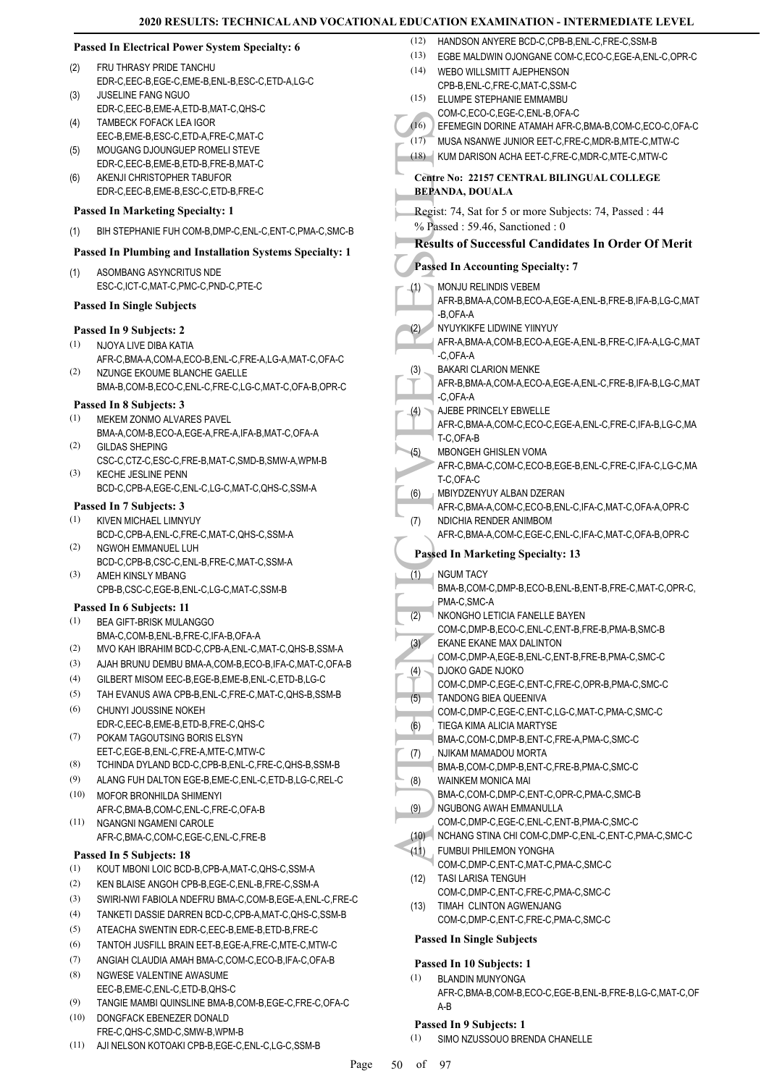(12) HANDSON ANYERE BCD-C,CPB-B,ENL-C,FRE-C,SSM-B

|            | <b>Passed In Electrical Power System Specialty: 6</b>                                           | (12) MAINDOUN AINTERE BUD-U, UPB-B, EINL-U, FRE-U, SOM-B<br>EGBE MALDWIN OJONGANE COM-C,ECO-C,EGE-A,ENL-C,OPR-C<br>(13) |
|------------|-------------------------------------------------------------------------------------------------|-------------------------------------------------------------------------------------------------------------------------|
| (2)        | FRU THRASY PRIDE TANCHU                                                                         | (14)<br>WEBO WILLSMITT AJEPHENSON                                                                                       |
|            | EDR-C,EEC-B,EGE-C,EME-B,ENL-B,ESC-C,ETD-A,LG-C                                                  | CPB-B,ENL-C,FRE-C,MAT-C,SSM-C                                                                                           |
| (3)        | <b>JUSELINE FANG NGUO</b>                                                                       | (15)<br>ELUMPE STEPHANIE EMMAMBU                                                                                        |
|            | EDR-C,EEC-B,EME-A,ETD-B,MAT-C,QHS-C                                                             | COM-C,ECO-C,EGE-C,ENL-B,OFA-C                                                                                           |
| (4)        | <b>TAMBECK FOFACK LEA IGOR</b><br>EEC-B,EME-B,ESC-C,ETD-A,FRE-C,MAT-C                           | (16)<br>EFEMEGIN DORINE ATAMAH AFR-C, BMA-B, COM-C, ECO-C, OFA-C                                                        |
| (5)        | MOUGANG DJOUNGUEP ROMELI STEVE                                                                  | (17)<br>MUSA NSANWE JUNIOR EET-C, FRE-C, MDR-B, MTE-C, MTW-C                                                            |
|            | EDR-C,EEC-B,EME-B,ETD-B,FRE-B,MAT-C                                                             | (18) KUM DARISON ACHA EET-C, FRE-C, MDR-C, MTE-C, MTW-C                                                                 |
| (6)        | AKENJI CHRISTOPHER TABUFOR                                                                      | Centre No: 22157 CENTRAL BILINGUAL COLLEGE                                                                              |
|            | EDR-C.EEC-B.EME-B.ESC-C.ETD-B.FRE-C                                                             | <b>BEPANDA, DOUALA</b>                                                                                                  |
|            | <b>Passed In Marketing Specialty: 1</b>                                                         | Regist: 74, Sat for 5 or more Subjects: 74, Passed : 44                                                                 |
| (1)        | BIH STEPHANIE FUH COM-B, DMP-C, ENL-C, ENT-C, PMA-C, SMC-B                                      | $%$ Passed: 59.46, Sanctioned: 0                                                                                        |
|            | Passed In Plumbing and Installation Systems Specialty: 1                                        | <b>Results of Successful Candidates In Order Of Merit</b>                                                               |
| (1)        | ASOMBANG ASYNCRITUS NDE                                                                         | <b>Passed In Accounting Specialty: 7</b>                                                                                |
|            | ESC-C,ICT-C,MAT-C,PMC-C,PND-C,PTE-C                                                             | MONJU RELINDIS VEBEM<br>(1)                                                                                             |
|            | <b>Passed In Single Subjects</b>                                                                | AFR-B, BMA-A, COM-B, ECO-A, EGE-A, ENL-B, FRE-B, IFA-B, LG-C, MAT<br>-B.OFA-A                                           |
|            | Passed In 9 Subjects: 2                                                                         | NYUYKIKFE LIDWINE YIINYUY<br>(2)                                                                                        |
| (1)        | NJOYA LIVE DIBA KATIA                                                                           | AFR-A, BMA-A, COM-B, ECO-A, EGE-A, ENL-B, FRE-C, IFA-A, LG-C, MAT                                                       |
|            | AFR-C.BMA-A.COM-A.ECO-B.ENL-C.FRE-A.LG-A.MAT-C.OFA-C                                            | -C,OFA-A                                                                                                                |
| (2)        | NZUNGE EKOUME BLANCHE GAELLE                                                                    | <b>BAKARI CLARION MENKE</b><br>(3)                                                                                      |
|            | BMA-B,COM-B,ECO-C,ENL-C,FRE-C,LG-C,MAT-C,OFA-B,OPR-C                                            | AFR-B, BMA-A, COM-A, ECO-A, EGE-A, ENL-C, FRE-B, IFA-B, LG-C, MAT<br>-C,OFA-A                                           |
|            | Passed In 8 Subjects: 3                                                                         | AJEBE PRINCELY EBWELLE<br>(4)                                                                                           |
| (1)        | MEKEM ZONMO ALVARES PAVEL                                                                       | AFR-C, BMA-A, COM-C, ECO-C, EGE-A, ENL-C, FRE-C, IFA-B, LG-C, MA                                                        |
| (2)        | BMA-A,COM-B,ECO-A,EGE-A,FRE-A,IFA-B,MAT-C,OFA-A<br><b>GILDAS SHEPING</b>                        | T-C,OFA-B                                                                                                               |
|            | CSC-C,CTZ-C,ESC-C,FRE-B,MAT-C,SMD-B,SMW-A,WPM-B                                                 | <b>MBONGEH GHISLEN VOMA</b><br>(5)                                                                                      |
| (3)        | <b>KECHE JESLINE PENN</b>                                                                       | AFR-C,BMA-C,COM-C,ECO-B,EGE-B,ENL-C,FRE-C,IFA-C,LG-C,MA<br>T-C,OFA-C                                                    |
|            | BCD-C,CPB-A,EGE-C,ENL-C,LG-C,MAT-C,QHS-C,SSM-A                                                  | MBIYDZENYUY ALBAN DZERAN<br>(6)                                                                                         |
|            | Passed In 7 Subjects: 3                                                                         | AFR-C, BMA-A, COM-C, ECO-B, ENL-C, IFA-C, MAT-C, OFA-A, OPR-C                                                           |
| (1)        | KIVEN MICHAEL LIMNYUY                                                                           | NDICHIA RENDER ANIMBOM<br>(7)                                                                                           |
|            | BCD-C,CPB-A,ENL-C,FRE-C,MAT-C,QHS-C,SSM-A                                                       | AFR-C, BMA-A, COM-C, EGE-C, ENL-C, IFA-C, MAT-C, OFA-B, OPR-C                                                           |
| (2)        | NGWOH EMMANUEL LUH                                                                              | <b>Passed In Marketing Specialty: 13</b>                                                                                |
| (3)        | BCD-C,CPB-B,CSC-C,ENL-B,FRE-C,MAT-C,SSM-A<br>AMEH KINSLY MBANG                                  | (1)<br><b>NGUM TACY</b>                                                                                                 |
|            | CPB-B,CSC-C,EGE-B,ENL-C,LG-C,MAT-C,SSM-B                                                        | BMA-B,COM-C,DMP-B,ECO-B,ENL-B,ENT-B,FRE-C,MAT-C,OPR-C,                                                                  |
|            | Passed In 6 Subjects: 11                                                                        | PMA-C, SMC-A                                                                                                            |
|            | (1) BEA GIFT-BRISK MULANGGO                                                                     | (2)<br>NKONGHO LETICIA FANELLE BAYEN                                                                                    |
|            | BMA-C,COM-B,ENL-B,FRE-C,IFA-B,OFA-A                                                             | COM-C,DMP-B,ECO-C,ENL-C,ENT-B,FRE-B,PMA-B,SMC-B                                                                         |
| (2)        | MVO KAH IBRAHIM BCD-C,CPB-A,ENL-C,MAT-C,QHS-B,SSM-A                                             | (3)<br>EKANE EKANE MAX DALINTON<br>COM-C,DMP-A,EGE-B,ENL-C,ENT-B,FRE-B,PMA-C,SMC-C                                      |
| (3)        | AJAH BRUNU DEMBU BMA-A,COM-B,ECO-B,IFA-C,MAT-C,OFA-B                                            | <b>DJOKO GADE NJOKO</b><br>(4)                                                                                          |
| (4)        | GILBERT MISOM EEC-B,EGE-B,EME-B,ENL-C,ETD-B,LG-C                                                | COM-C,DMP-C,EGE-C,ENT-C,FRE-C,OPR-B,PMA-C,SMC-C                                                                         |
| (5)        | TAH EVANUS AWA CPB-B, ENL-C, FRE-C, MAT-C, QHS-B, SSM-B                                         | (5)<br>TANDONG BIEA QUEENIVA                                                                                            |
| (6)        | CHUNYI JOUSSINE NOKEH<br>EDR-C,EEC-B,EME-B,ETD-B,FRE-C,QHS-C                                    | COM-C,DMP-C,EGE-C,ENT-C,LG-C,MAT-C,PMA-C,SMC-C                                                                          |
| (7)        | POKAM TAGOUTSING BORIS ELSYN                                                                    | (6)<br>TIEGA KIMA ALICIA MARTYSE                                                                                        |
|            | EET-C,EGE-B,ENL-C,FRE-A,MTE-C,MTW-C                                                             | BMA-C,COM-C,DMP-B,ENT-C,FRE-A,PMA-C,SMC-C<br>NJIKAM MAMADOU MORTA<br>(7)                                                |
| (8)        | TCHINDA DYLAND BCD-C,CPB-B,ENL-C,FRE-C,QHS-B,SSM-B                                              | BMA-B,COM-C,DMP-B,ENT-C,FRE-B,PMA-C,SMC-C                                                                               |
| (9)        | ALANG FUH DALTON EGE-B, EME-C, ENL-C, ETD-B, LG-C, REL-C                                        | (8)<br><b>WAINKEM MONICA MAI</b>                                                                                        |
| (10)       | MOFOR BRONHILDA SHIMENYI                                                                        | BMA-C,COM-C,DMP-C,ENT-C,OPR-C,PMA-C,SMC-B                                                                               |
|            | AFR-C, BMA-B, COM-C, ENL-C, FRE-C, OFA-B                                                        | NGUBONG AWAH EMMANULLA<br>(9)                                                                                           |
| (11)       | NGANGNI NGAMENI CAROLE<br>AFR-C, BMA-C, COM-C, EGE-C, ENL-C, FRE-B                              | COM-C,DMP-C,EGE-C,ENL-C,ENT-B,PMA-C,SMC-C<br>(10) NCHANG STINA CHI COM-C, DMP-C, ENL-C, ENT-C, PMA-C, SMC-C             |
|            |                                                                                                 | FUMBUI PHILEMON YONGHA<br>(11)                                                                                          |
|            | Passed In 5 Subjects: 18                                                                        | COM-C,DMP-C,ENT-C,MAT-C,PMA-C,SMC-C                                                                                     |
| (1)        | KOUT MBONI LOIC BCD-B,CPB-A,MAT-C,QHS-C,SSM-A<br>KEN BLAISE ANGOH CPB-B,EGE-C,ENL-B,FRE-C,SSM-A | TASI LARISA TENGUH<br>(12)                                                                                              |
| (2)<br>(3) | SWIRI-NWI FABIOLA NDEFRU BMA-C,COM-B,EGE-A,ENL-C,FRE-C                                          | COM-C,DMP-C,ENT-C,FRE-C,PMA-C,SMC-C                                                                                     |
| (4)        | TANKETI DASSIE DARREN BCD-C,CPB-A,MAT-C,QHS-C,SSM-B                                             | TIMAH CLINTON AGWENJANG<br>(13)                                                                                         |
| (5)        | ATEACHA SWENTIN EDR-C, EEC-B, EME-B, ETD-B, FRE-C                                               | COM-C,DMP-C,ENT-C,FRE-C,PMA-C,SMC-C                                                                                     |
| (6)        | TANTOH JUSFILL BRAIN EET-B,EGE-A,FRE-C,MTE-C,MTW-C                                              | <b>Passed In Single Subjects</b>                                                                                        |
| (7)        | ANGIAH CLAUDIA AMAH BMA-C,COM-C,ECO-B,IFA-C,OFA-B                                               | Passed In 10 Subjects: 1                                                                                                |
| (8)        | NGWESE VALENTINE AWASUME                                                                        | (1)<br><b>BLANDIN MUNYONGA</b>                                                                                          |
|            | EEC-B,EME-C,ENL-C,ETD-B,QHS-C                                                                   | AFR-C, BMA-B, COM-B, ECO-C, EGE-B, ENL-B, FRE-B, LG-C, MAT-C, OF                                                        |
| (9)        | TANGIE MAMBI QUINSLINE BMA-B,COM-B,EGE-C,FRE-C,OFA-C                                            | A-B                                                                                                                     |
| (10)       | DONGFACK EBENEZER DONALD                                                                        | Passed In 9 Subjects: 1                                                                                                 |
|            | FRE-C, QHS-C, SMD-C, SMW-B, WPM-B                                                               |                                                                                                                         |

(11) AJI NELSON KOTOAKI CPB-B,EGE-C,ENL-C,LG-C,SSM-B

SIMO NZUSSOUO BRENDA CHANELLE (1)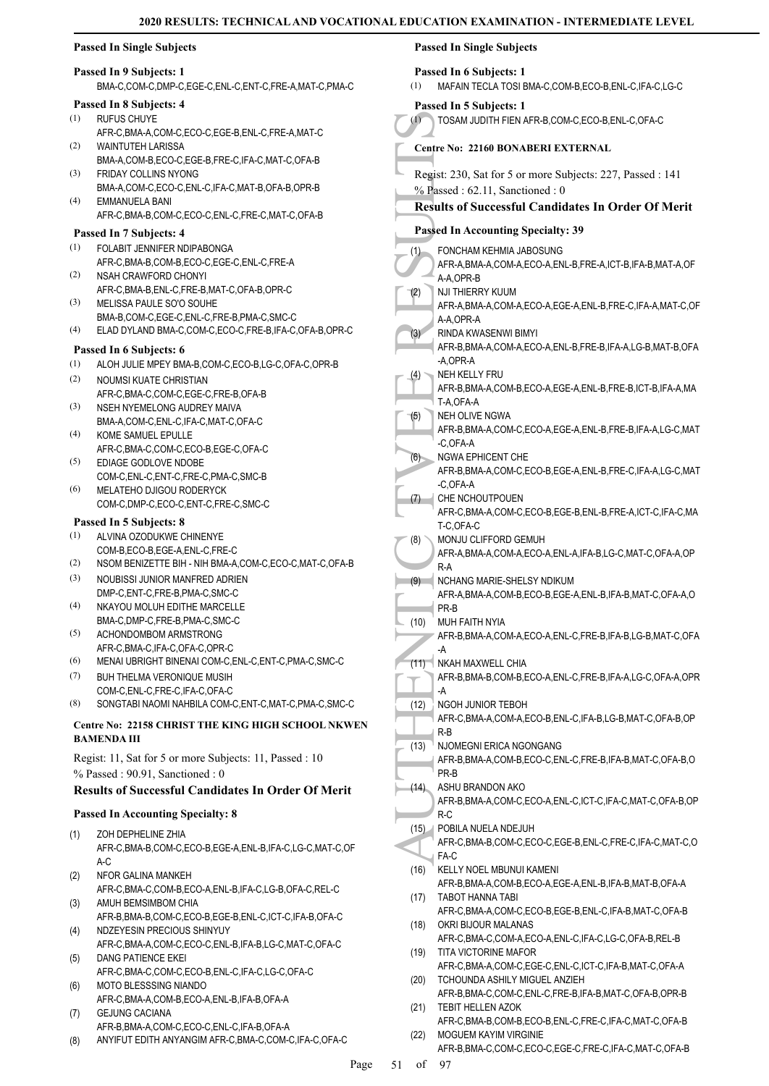# **Passed In Single Subjects**

# **Passed In 9 Subjects: 1**

BMA-C,COM-C,DMP-C,EGE-C,ENL-C,ENT-C,FRE-A,MAT-C,PMA-C

# **Passed In 8 Subjects: 4**

- RUFUS CHUYE (1)
- AFR-C,BMA-A,COM-C,ECO-C,EGE-B,ENL-C,FRE-A,MAT-C WAINTUTEH LARISSA (2)
- BMA-A,COM-B,ECO-C,EGE-B,FRE-C,IFA-C,MAT-C,OFA-B FRIDAY COLLINS NYONG (3)
- BMA-A,COM-C,ECO-C,ENL-C,IFA-C,MAT-B,OFA-B,OPR-B EMMANUELA BANI (4)
- AFR-C,BMA-B,COM-C,ECO-C,ENL-C,FRE-C,MAT-C,OFA-B

# **Passed In 7 Subjects: 4**

- FOLABIT JENNIFER NDIPABONGA AFR-C,BMA-B,COM-B,ECO-C,EGE-C,ENL-C,FRE-A (1)
- NSAH CRAWFORD CHONYI AFR-C,BMA-B,ENL-C,FRE-B,MAT-C,OFA-B,OPR-C (2)
- MELISSA PAULE SO'O SOUHE BMA-B,COM-C,EGE-C,ENL-C,FRE-B,PMA-C,SMC-C (3)
- (4) ELAD DYLAND BMA-C,COM-C,ECO-C,FRE-B,IFA-C,OFA-B,OPR-C

# **Passed In 6 Subjects: 6**

- (1) ALOH JULIE MPEY BMA-B,COM-C,ECO-B,LG-C,OFA-C,OPR-B
- NOUMSI KUATE CHRISTIAN AFR-C,BMA-C,COM-C,EGE-C,FRE-B,OFA-B (2)
- NSEH NYEMELONG AUDREY MAIVA BMA-A,COM-C,ENL-C,IFA-C,MAT-C,OFA-C (3)
- KOME SAMUEL EPULLE AFR-C,BMA-C,COM-C,ECO-B,EGE-C,OFA-C (4)
- EDIAGE GODLOVE NDOBE COM-C,ENL-C,ENT-C,FRE-C,PMA-C,SMC-B (5)
- MELATEHO DJIGOU RODERYCK COM-C,DMP-C,ECO-C,ENT-C,FRE-C,SMC-C (6)

# **Passed In 5 Subjects: 8**

- ALVINA OZODUKWE CHINENYE COM-B,ECO-B,EGE-A,ENL-C,FRE-C (1)
- (2) NSOM BENIZETTE BIH NIH BMA-A,COM-C,ECO-C,MAT-C,OFA-B
- NOUBISSI JUNIOR MANFRED ADRIEN DMP-C,ENT-C,FRE-B,PMA-C,SMC-C (3)
- NKAYOU MOLUH EDITHE MARCELLE BMA-C,DMP-C,FRE-B,PMA-C,SMC-C (4)
- ACHONDOMBOM ARMSTRONG AFR-C,BMA-C,IFA-C,OFA-C,OPR-C (5)
- (6) MENAI UBRIGHT BINENAI COM-C,ENL-C,ENT-C,PMA-C,SMC-C
- BUH THELMA VERONIQUE MUSIH COM-C,ENL-C,FRE-C,IFA-C,OFA-C (7)
- (8) SONGTABI NAOMI NAHBILA COM-C,ENT-C,MAT-C,PMA-C,SMC-C

# **Centre No: 22158 CHRIST THE KING HIGH SCHOOL NKWEN BAMENDA III**

Regist: 11, Sat for 5 or more Subjects: 11, Passed : 10 % Passed : 90.91, Sanctioned : 0

# **Results of Successful Candidates In Order Of Merit**

# **Passed In Accounting Specialty: 8**

- ZOH DEPHELINE ZHIA AFR-C,BMA-B,COM-C,ECO-B,EGE-A,ENL-B,IFA-C,LG-C,MAT-C,OF  $A-C$ (1)
- NFOR GALINA MANKEH AFR-C,BMA-C,COM-B,ECO-A,ENL-B,IFA-C,LG-B,OFA-C,REL-C (2)
- AMUH BEMSIMBOM CHIA AFR-B,BMA-B,COM-C,ECO-B,EGE-B,ENL-C,ICT-C,IFA-B,OFA-C (3)
- NDZEYESIN PRECIOUS SHINYUY AFR-C,BMA-A,COM-C,ECO-C,ENL-B,IFA-B,LG-C,MAT-C,OFA-C (4)
- DANG PATIENCE EKEI (5)
- AFR-C,BMA-C,COM-C,ECO-B,ENL-C,IFA-C,LG-C,OFA-C MOTO BLESSSING NIANDO (6)
- AFR-C,BMA-A,COM-B,ECO-A,ENL-B,IFA-B,OFA-A GEJUNG CACIANA (7)
- AFR-B,BMA-A,COM-C,ECO-C,ENL-C,IFA-B,OFA-A (8) ANYIFUT EDITH ANYANGIM AFR-C,BMA-C,COM-C,IFA-C,OFA-C

# (1) TOSAM<br>
Centre No:<br>
Regist: 230<br>
% Passed :<br>
Results of<br>
Passed In A FONCH<br>
AFR-A, OP<br>
AFR-A, AA, OP<br>
AFR-A, AA, OP<br>
MUTH AFR-B, A, OP<br>
MEH KE A, OP<br>
T-A, OP<br>
MEH KE A, A, OP<br>
MEH KE AFR-B, A, OP<br>
MEH KE AFR-B, T-A, OF<br> **Passed In Single Subjects Passed In 6 Subjects: 1** (1) MAFAIN TECLA TOSI BMA-C,COM-B,ECO-B,ENL-C,IFA-C,LG-C **Passed In 5 Subjects: 1** (1) TOSAM JUDITH FIEN AFR-B,COM-C,ECO-B,ENL-C,OFA-C **Centre No: 22160 BONABERI EXTERNAL**  Regist: 230, Sat for 5 or more Subjects: 227, Passed : 141 % Passed : 62.11, Sanctioned : 0 **Results of Successful Candidates In Order Of Merit Passed In Accounting Specialty: 39** FONCHAM KEHMIA JABOSUNG AFR-A,BMA-A,COM-A,ECO-A,ENL-B,FRE-A,ICT-B,IFA-B,MAT-A,OF A-A,OPR-B (1) NJI THIERRY KUUM AFR-A,BMA-A,COM-A,ECO-A,EGE-A,ENL-B,FRE-C,IFA-A,MAT-C,OF A-A OPR-A (2) RINDA KWASENWI BIMYI AFR-B,BMA-A,COM-A,ECO-A,ENL-B,FRE-B,IFA-A,LG-B,MAT-B,OFA -A,OPR-A (3) NEH KELLY FRU AFR-B,BMA-A,COM-B,ECO-A,EGE-A,ENL-B,FRE-B,ICT-B,IFA-A,MA T-A OFA-A (4) NEH OLIVE NGWA AFR-B,BMA-A,COM-C,ECO-A,EGE-A,ENL-B,FRE-B,IFA-A,LG-C,MAT -C,OFA-A (5) NGWA EPHICENT CHE AFR-B,BMA-A,COM-C,ECO-B,EGE-A,ENL-B,FRE-C,IFA-A,LG-C,MAT -C,OFA-A  $(6)$ CHE NCHOUTPOUEN AFR-C,BMA-A,COM-C,ECO-B,EGE-B,ENL-B,FRE-A,ICT-C,IFA-C,MA T-C,OFA-C  $(7)$ MONJU CLIFFORD GEMUH AFR-A,BMA-A,COM-A,ECO-A,ENL-A,IFA-B,LG-C,MAT-C,OFA-A,OP R-A (8) NCHANG MARIE-SHELSY NDIKUM AFR-A,BMA-A,COM-B,ECO-B,EGE-A,ENL-B,IFA-B,MAT-C,OFA-A,O PR-B (9) MUH FAITH NYIA AFR-B,BMA-A,COM-A,ECO-A,ENL-C,FRE-B,IFA-B,LG-B,MAT-C,OFA -A (10) NKAH MAXWELL CHIA (11)

- AFR-B,BMA-B,COM-B,ECO-A,ENL-C,FRE-B,IFA-A,LG-C,OFA-A,OPR -A NGOH JUNIOR TEBOH (12)
- AFR-C,BMA-A,COM-A,ECO-B,ENL-C,IFA-B,LG-B,MAT-C,OFA-B,OP R-B NJOMEGNI ERICA NGONGANG  $(13)$
- AFR-B,BMA-A,COM-B,ECO-C,ENL-C,FRE-B,IFA-B,MAT-C,OFA-B,O PR-B
- ASHU BRANDON AKO AFR-B,BMA-A,COM-C,ECO-A,ENL-C,ICT-C,IFA-C,MAT-C,OFA-B,OP  $(14)$
- R-C POBILA NUELA NDEJUH (15)
- AFR-C,BMA-B,COM-C,ECO-C,EGE-B,ENL-C,FRE-C,IFA-C,MAT-C,O FA-C
- KELLY NOEL MBUNUI KAMENI AFR-B,BMA-A,COM-B,ECO-A,EGE-A,ENL-B,IFA-B,MAT-B,OFA-A (16)
- TABOT HANNA TABI AFR-C,BMA-A,COM-C,ECO-B,EGE-B,ENL-C,IFA-B,MAT-C,OFA-B (17)
- OKRI BIJOUR MALANAS AFR-C,BMA-C,COM-A,ECO-A,ENL-C,IFA-C,LG-C,OFA-B,REL-B (18)
- TITA VICTORINE MAFOR AFR-C,BMA-A,COM-C,EGE-C,ENL-C,ICT-C,IFA-B,MAT-C,OFA-A (19) TCHOUNDA ASHILY MIGUEL ANZIEH (20)
- AFR-B,BMA-C,COM-C,ENL-C,FRE-B,IFA-B,MAT-C,OFA-B,OPR-B (21) TEBIT HELLEN AZOK
- AFR-C,BMA-B,COM-B,ECO-B,ENL-C,FRE-C,IFA-C,MAT-C,OFA-B MOGUEM KAYIM VIRGINIE (22)
	- AFR-B,BMA-C,COM-C,ECO-C,EGE-C,FRE-C,IFA-C,MAT-C,OFA-B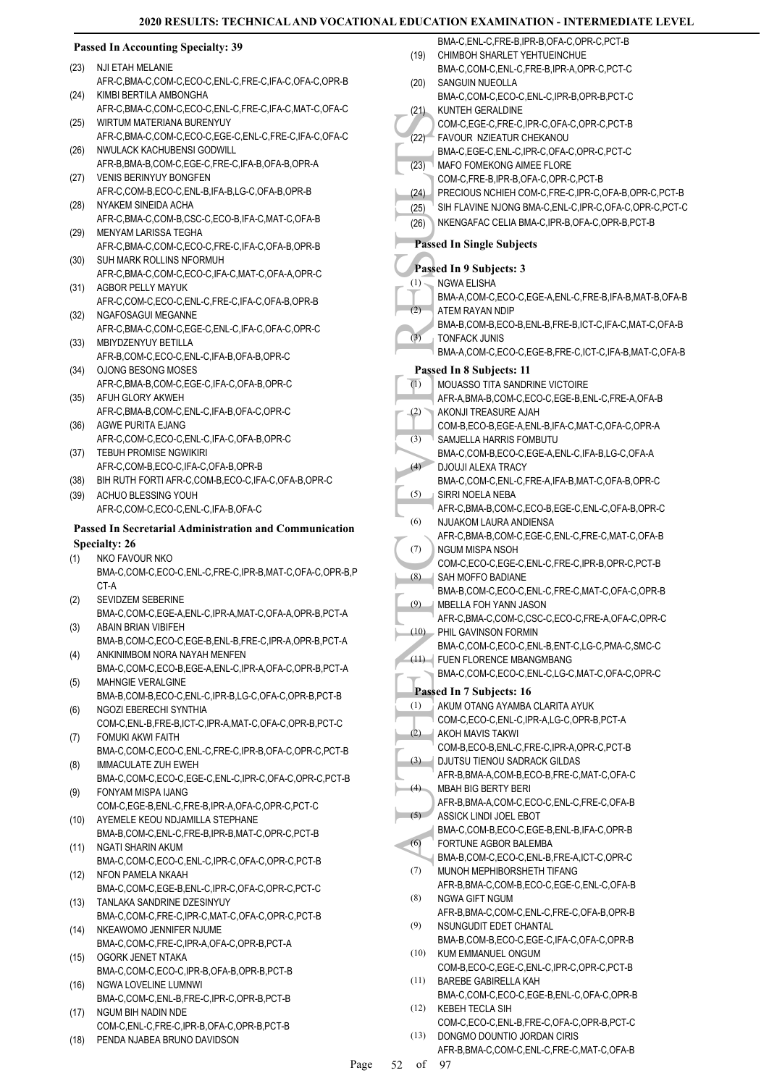(19)

 $(20)$ 

 $(21)$ 

 $(22)$ 

(23)

BMA-C,ENL-C,FRE-B,IPR-B,OFA-C,OPR-C,PCT-B

BMA-C,COM-C,ENL-C,FRE-B,IPR-A,OPR-C,PCT-C

BMA-C,COM-C,ECO-C,ENL-C,IPR-B,OPR-B,PCT-C

COM-C,EGE-C,FRE-C,IPR-C,OFA-C,OPR-C,PCT-B

BMA-C,EGE-C,ENL-C,IPR-C,OFA-C,OPR-C,PCT-C

(24) PRECIOUS NCHIEH COM-C,FRE-C,IPR-C,OFA-B,OPR-C,PCT-B  $(25)$ <sup>1</sup> SIH FLAVINE NJONG BMA-C, ENL-C, IPR-C, OFA-C, OPR-C, PCT-C

CHIMBOH SHARLET YEHTUEINCHUE

FAVOUR NZIEATUR CHEKANOU

**MAFO FOMEKONG AIMEE FLORE** COM-C,FRE-B,IPR-B,OFA-C,OPR-C,PCT-B

SANGUIN NUEOLLA

KUNTEH GERALDINE

# **Passed In Accounting Specialty: 39**

- NJI ETAH MELANIE (23)
- AFR-C,BMA-C,COM-C,ECO-C,ENL-C,FRE-C,IFA-C,OFA-C,OPR-B KIMBI BERTILA AMBONGHA (24)
- AFR-C,BMA-C,COM-C,ECO-C,ENL-C,FRE-C,IFA-C,MAT-C,OFA-C WIRTUM MATERIANA BURENYUY (25)
- AFR-C,BMA-C,COM-C,ECO-C,EGE-C,ENL-C,FRE-C,IFA-C,OFA-C NWULACK KACHUBENSI GODWILL (26)
- AFR-B,BMA-B,COM-C,EGE-C,FRE-C,IFA-B,OFA-B,OPR-A (27) VENIS BERINYUY BONGFEN
- AFR-C,COM-B,ECO-C,ENL-B,IFA-B,LG-C,OFA-B,OPR-B NYAKEM SINEIDA ACHA (28)
- AFR-C,BMA-C,COM-B,CSC-C,ECO-B,IFA-C,MAT-C,OFA-B MENYAM LARISSA TEGHA (29)
- AFR-C,BMA-C,COM-C,ECO-C,FRE-C,IFA-C,OFA-B,OPR-B SUH MARK ROLLINS NFORMUH (30)
- AFR-C,BMA-C,COM-C,ECO-C,IFA-C,MAT-C,OFA-A,OPR-C (31) AGBOR PELLY MAYUK
- AFR-C,COM-C,ECO-C,ENL-C,FRE-C,IFA-C,OFA-B,OPR-B (32) NGAFOSAGUI MEGANNE
- AFR-C,BMA-C,COM-C,EGE-C,ENL-C,IFA-C,OFA-C,OPR-C MBIYDZENYUY BETILLA (33)
- AFR-B,COM-C,ECO-C,ENL-C,IFA-B,OFA-B,OPR-C
- (34) OJONG BESONG MOSES AFR-C,BMA-B,COM-C,EGE-C,IFA-C,OFA-B,OPR-C (35) AFUH GLORY AKWEH
- AFR-C,BMA-B,COM-C,ENL-C,IFA-B,OFA-C,OPR-C AGWE PURITA EJANG (36)
- AFR-C,COM-C,ECO-C,ENL-C,IFA-C,OFA-B,OPR-C (37) TEBUH PROMISE NGWIKIRI
- AFR-C,COM-B,ECO-C,IFA-C,OFA-B,OPR-B
- (38) BIH RUTH FORTI AFR-C,COM-B,ECO-C,IFA-C,OFA-B,OPR-C
- ACHUO BLESSING YOUH AFR-C,COM-C,ECO-C,ENL-C,IFA-B,OFA-C (39)

# **Passed In Secretarial Administration and Communication Specialty: 26**

- NKO FAVOUR NKO (1)
- BMA-C,COM-C,ECO-C,ENL-C,FRE-C,IPR-B,MAT-C,OFA-C,OPR-B,P CT-A
- SEVIDZEM SEBERINE BMA-C,COM-C,EGE-A,ENL-C,IPR-A,MAT-C,OFA-A,OPR-B,PCT-A (2)
- ABAIN BRIAN VIBIFEH BMA-B,COM-C,ECO-C,EGE-B,ENL-B,FRE-C,IPR-A,OPR-B,PCT-A (3)
- ANKINIMBOM NORA NAYAH MENFEN BMA-C,COM-C,ECO-B,EGE-A,ENL-C,IPR-A,OFA-C,OPR-B,PCT-A (4) MAHNGIE VERALGINE
- BMA-B,COM-B,ECO-C,ENL-C,IPR-B,LG-C,OFA-C,OPR-B,PCT-B (5) NGOZI EBERECHI SYNTHIA (6)
- COM-C,ENL-B,FRE-B,ICT-C,IPR-A,MAT-C,OFA-C,OPR-B,PCT-C FOMUKI AKWI FAITH (7)
- BMA-C,COM-C,ECO-C,ENL-C,FRE-C,IPR-B,OFA-C,OPR-C,PCT-B IMMACULATE ZUH EWEH (8)
- BMA-C,COM-C,ECO-C,EGE-C,ENL-C,IPR-C,OFA-C,OPR-C,PCT-B FONYAM MISPA IJANG (9)
- COM-C,EGE-B,ENL-C,FRE-B,IPR-A,OFA-C,OPR-C,PCT-C (10) AYEMELE KEOU NDJAMILLA STEPHANE
- BMA-B,COM-C,ENL-C,FRE-B,IPR-B,MAT-C,OPR-C,PCT-B NGATI SHARIN AKUM (11)
- BMA-C,COM-C,ECO-C,ENL-C,IPR-C,OFA-C,OPR-C,PCT-B NFON PAMELA NKAAH (12)
- BMA-C,COM-C,EGE-B,ENL-C,IPR-C,OFA-C,OPR-C,PCT-C TANLAKA SANDRINE DZESINYUY (13)
- BMA-C,COM-C,FRE-C,IPR-C,MAT-C,OFA-C,OPR-C,PCT-B NKEAWOMO JENNIFER NJUME  $(14)$
- BMA-C,COM-C,FRE-C,IPR-A,OFA-C,OPR-B,PCT-A OGORK JENET NTAKA (15)
- BMA-C,COM-C,ECO-C,IPR-B,OFA-B,OPR-B,PCT-B NGWA LOVELINE LUMNWI (16)
- BMA-C,COM-C,ENL-B,FRE-C,IPR-C,OPR-B,PCT-B NGUM BIH NADIN NDE (17)
- COM-C,ENL-C,FRE-C,IPR-B,OFA-C,OPR-B,PCT-B (18) PENDA NJABEA BRUNO DAVIDSON
- (2) NOW ACCOM-C<br>
(2) COM-C<br>
(2) BMA-C,<br>
(2) MAFO F BMA-C,<br>
(2) SIH FL/<br>
(26) NKENG<br>
Passed In S<br>
(2) NKENG<br>
Passed In S<br>
NGWA BMA-A,<br>
ATEM-B BMA-A,<br>
EMA-A,<br>
FONE BMA-A,<br>
FONE BMA-A,<br>
Passed In S<br>
MOUAS<br>
AFR-A,<br>
COM-B SAMJE (26) NKENGAFAC CELIA BMA-C,IPR-B,OFA-C,OPR-B,PCT-B **Passed In Single Subjects Passed In 9 Subjects: 3** NGWA ELISHA BMA-A,COM-C,ECO-C,EGE-A,ENL-C,FRE-B,IFA-B,MAT-B,OFA-B  $(1)$ ATEM RAYAN NDIP BMA-B,COM-B,ECO-B,ENL-B,FRE-B,ICT-C,IFA-C,MAT-C,OFA-B  $(2)$ TONFACK JUNIS BMA-A,COM-C,ECO-C,EGE-B,FRE-C,ICT-C,IFA-B,MAT-C,OFA-B (3) **Passed In 8 Subjects: 11** MOUASSO TITA SANDRINE VICTOIRE AFR-A,BMA-B,COM-C,ECO-C,EGE-B,ENL-C,FRE-A,OFA-B (1) AKONJI TREASURE AJAH COM-B,ECO-B,EGE-A,ENL-B,IFA-C,MAT-C,OFA-C,OPR-A (2) SAMJELLA HARRIS FOMBUTU BMA-C,COM-B,ECO-C,EGE-A,ENL-C,IFA-B,LG-C,OFA-A (3) DJOUJI ALEXA TRACY BMA-C,COM-C,ENL-C,FRE-A,IFA-B,MAT-C,OFA-B,OPR-C  $(4)$ SIRRI NOELA NEBA AFR-C,BMA-B,COM-C,ECO-B,EGE-C,ENL-C,OFA-B,OPR-C (5) NJUAKOM LAURA ANDIENSA AFR-C,BMA-B,COM-C,EGE-C,ENL-C,FRE-C,MAT-C,OFA-B (6) NGUM MISPA NSOH COM-C,ECO-C,EGE-C,ENL-C,FRE-C,IPR-B,OPR-C,PCT-B (7) SAH MOFFO BADIANE BMA-B,COM-C,ECO-C,ENL-C,FRE-C,MAT-C,OFA-C,OPR-B (8) MBELLA FOH YANN JASON AFR-C,BMA-C,COM-C,CSC-C,ECO-C,FRE-A,OFA-C,OPR-C (9) PHIL GAVINSON FORMIN BMA-C,COM-C,ECO-C,ENL-B,ENT-C,LG-C,PMA-C,SMC-C (10) FUEN FLORENCE MBANGMBANG (11) BMA-C,COM-C,ECO-C,ENL-C,LG-C,MAT-C,OFA-C,OPR-C **Passed In 7 Subjects: 16** AKUM OTANG AYAMBA CLARITA AYUK COM-C,ECO-C,ENL-C,IPR-A,LG-C,OPR-B,PCT-A (1) AKOH MAVIS TAKWI COM-B,ECO-B,ENL-C,FRE-C,IPR-A,OPR-C,PCT-B (2) DJUTSU TIENOU SADRACK GILDAS AFR-B,BMA-A,COM-B,ECO-B,FRE-C,MAT-C,OFA-C (3) MBAH BIG BERTY BERI AFR-B,BMA-A,COM-C,ECO-C,ENL-C,FRE-C,OFA-B (4) ASSICK LINDI JOEL EBOT BMA-C,COM-B,ECO-C,EGE-B,ENL-B,IFA-C,OPR-B  $(5)$ FORTUNE AGBOR BALEMBA BMA-B,COM-C,ECO-C,ENL-B,FRE-A,ICT-C,OPR-C (6) MUNOH MEPHIBORSHETH TIFANG AFR-B,BMA-C,COM-B,ECO-C,EGE-C,ENL-C,OFA-B (7) NGWA GIFT NGUM AFR-B,BMA-C,COM-C,ENL-C,FRE-C,OFA-B,OPR-B (8) NSUNGUDIT EDET CHANTAL BMA-B,COM-B,ECO-C,EGE-C,IFA-C,OFA-C,OPR-B (9) KUM EMMANUEL ONGUM (10)
	- COM-B,ECO-C,EGE-C,ENL-C,IPR-C,OPR-C,PCT-B BAREBE GABIRELLA KAH (11)
	- BMA-C,COM-C,ECO-C,EGE-B,ENL-C,OFA-C,OPR-B KEBEH TECLA SIH (12)
	- COM-C,ECO-C,ENL-B,FRE-C,OFA-C,OPR-B,PCT-C DONGMO DOUNTIO JORDAN CIRIS (13)
		- AFR-B,BMA-C,COM-C,ENL-C,FRE-C,MAT-C,OFA-B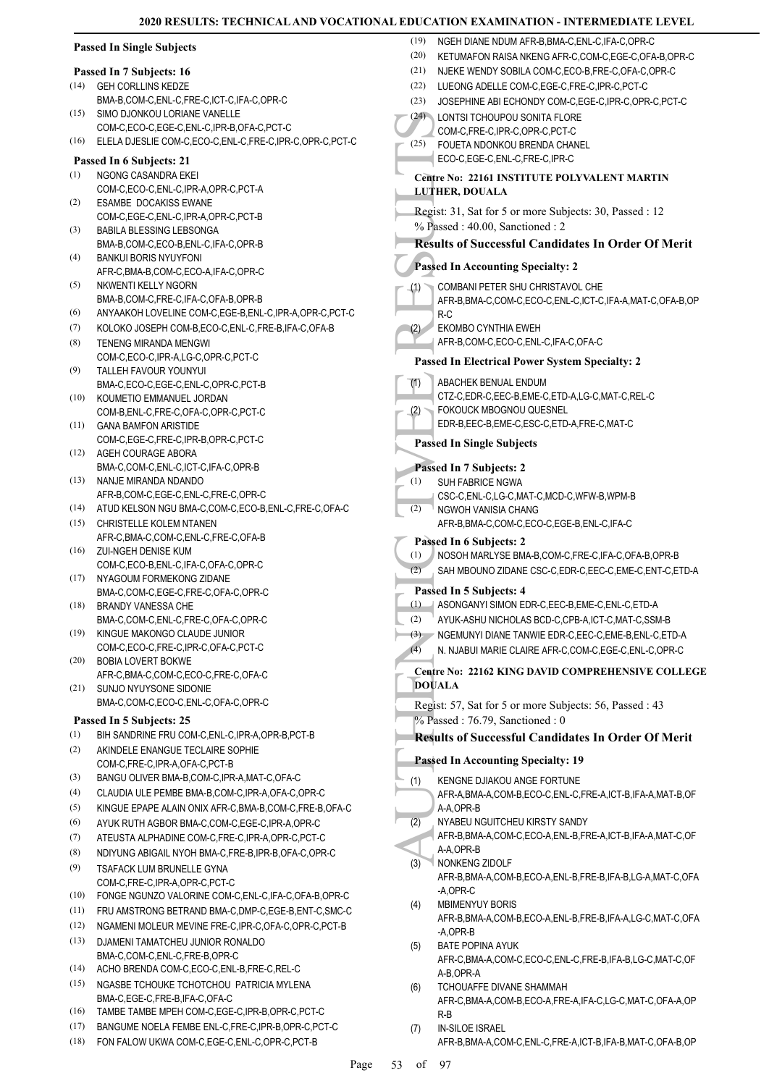|      | <b>Passed In Single Subjects</b>                                                         | (19)         | NGEH DIANE NDUM AFR-B, BMA-C, ENL-C, IFA-C, OPR-C                                                     |
|------|------------------------------------------------------------------------------------------|--------------|-------------------------------------------------------------------------------------------------------|
|      |                                                                                          | (20)<br>(21) | KETUMAFON RAISA NKENG AFR-C,COM-C,EGE-C,OFA-B,OPR-C                                                   |
| (14) | Passed In 7 Subjects: 16<br><b>GEH CORLLINS KEDZE</b>                                    | (22)         | NJEKE WENDY SOBILA COM-C,ECO-B,FRE-C,OFA-C,OPR-C<br>LUEONG ADELLE COM-C, EGE-C, FRE-C, IPR-C, PCT-C   |
|      | BMA-B,COM-C,ENL-C,FRE-C,ICT-C,IFA-C,OPR-C                                                | (23)         | JOSEPHINE ABI ECHONDY COM-C,EGE-C,IPR-C,OPR-C,PCT-C                                                   |
| (15) | SIMO DJONKOU LORIANE VANELLE                                                             |              | (24) LONTSI TCHOUPOU SONITA FLORE                                                                     |
|      | COM-C,ECO-C,EGE-C,ENL-C,IPR-B,OFA-C,PCT-C                                                |              | COM-C,FRE-C,IPR-C,OPR-C,PCT-C                                                                         |
| (16) | ELELA DJESLIE COM-C,ECO-C,ENL-C,FRE-C,IPR-C,OPR-C,PCT-C                                  | (25)         | FOUETA NDONKOU BRENDA CHANEL                                                                          |
|      | Passed In 6 Subjects: 21                                                                 |              | ECO-C,EGE-C,ENL-C,FRE-C,IPR-C                                                                         |
| (1)  | NGONG CASANDRA EKEI                                                                      |              | Centre No: 22161 INSTITUTE POLYVALENT MARTIN                                                          |
|      | COM-C,ECO-C,ENL-C,IPR-A,OPR-C,PCT-A                                                      |              | <b>LUTHER, DOUALA</b>                                                                                 |
| (2)  | <b>ESAMBE DOCAKISS EWANE</b><br>COM-C,EGE-C,ENL-C,IPR-A,OPR-C,PCT-B                      |              | Regist: 31, Sat for 5 or more Subjects: 30, Passed : 12                                               |
| (3)  | BABILA BLESSING LEBSONGA                                                                 |              | % Passed: 40.00, Sanctioned: 2                                                                        |
|      | BMA-B,COM-C,ECO-B,ENL-C,IFA-C,OPR-B                                                      |              | <b>Results of Successful Candidates In Order Of Merit</b>                                             |
| (4)  | <b>BANKUI BORIS NYUYFONI</b>                                                             |              | <b>Passed In Accounting Specialty: 2</b>                                                              |
| (5)  | AFR-C, BMA-B, COM-C, ECO-A, IFA-C, OPR-C                                                 |              |                                                                                                       |
|      | NKWENTI KELLY NGORN<br>BMA-B,COM-C,FRE-C,IFA-C,OFA-B,OPR-B                               | (1)          | COMBANI PETER SHU CHRISTAVOL CHE<br>AFR-B, BMA-C, COM-C, ECO-C, ENL-C, ICT-C, IFA-A, MAT-C, OFA-B, OP |
| (6)  | ANYAAKOH LOVELINE COM-C,EGE-B,ENL-C,IPR-A,OPR-C,PCT-C                                    |              | $R-C$                                                                                                 |
| (7)  | KOLOKO JOSEPH COM-B,ECO-C,ENL-C,FRE-B,IFA-C,OFA-B                                        | (2)          | <b>EKOMBO CYNTHIA EWEH</b>                                                                            |
| (8)  | TENENG MIRANDA MENGWI                                                                    |              | AFR-B,COM-C,ECO-C,ENL-C,IFA-C,OFA-C                                                                   |
|      | COM-C,ECO-C,IPR-A,LG-C,OPR-C,PCT-C                                                       |              | <b>Passed In Electrical Power System Specialty: 2</b>                                                 |
| (9)  | TALLEH FAVOUR YOUNYUI                                                                    | (1)          | ABACHEK BENUAL ENDUM                                                                                  |
| (10) | BMA-C,ECO-C,EGE-C,ENL-C,OPR-C,PCT-B<br>KOUMETIO EMMANUEL JORDAN                          |              | CTZ-C,EDR-C,EEC-B,EME-C,ETD-A,LG-C,MAT-C,REL-C                                                        |
|      | COM-B, ENL-C, FRE-C, OFA-C, OPR-C, PCT-C                                                 | (2)          | FOKOUCK MBOGNOU QUESNEL                                                                               |
| (11) | <b>GANA BAMFON ARISTIDE</b>                                                              |              | EDR-B,EEC-B,EME-C,ESC-C,ETD-A,FRE-C,MAT-C                                                             |
|      | COM-C,EGE-C,FRE-C,IPR-B,OPR-C,PCT-C                                                      |              | <b>Passed In Single Subjects</b>                                                                      |
|      | (12) AGEH COURAGE ABORA                                                                  |              |                                                                                                       |
| (13) | BMA-C,COM-C,ENL-C,ICT-C,IFA-C,OPR-B<br>NANJE MIRANDA NDANDO                              | (1)          | Passed In 7 Subjects: 2<br><b>SUH FABRICE NGWA</b>                                                    |
|      | AFR-B,COM-C,EGE-C,ENL-C,FRE-C,OPR-C                                                      |              | CSC-C,ENL-C,LG-C,MAT-C,MCD-C,WFW-B,WPM-B                                                              |
|      | (14) ATUD KELSON NGU BMA-C,COM-C,ECO-B,ENL-C,FRE-C,OFA-C                                 | (2)          | NGWOH VANISIA CHANG                                                                                   |
| (15) | CHRISTELLE KOLEM NTANEN                                                                  |              | AFR-B, BMA-C, COM-C, ECO-C, EGE-B, ENL-C, IFA-C                                                       |
|      | AFR-C, BMA-C, COM-C, ENL-C, FRE-C, OFA-B                                                 |              | Passed In 6 Subjects: 2                                                                               |
|      | (16) ZUI-NGEH DENISE KUM<br>COM-C,ECO-B,ENL-C,IFA-C,OFA-C,OPR-C                          | (1)          | NOSOH MARLYSE BMA-B,COM-C,FRE-C,IFA-C,OFA-B,OPR-B                                                     |
|      | (17) NYAGOUM FORMEKONG ZIDANE                                                            | (2)          | SAH MBOUNO ZIDANE CSC-C, EDR-C, EEC-C, EME-C, ENT-C, ETD-A                                            |
|      | BMA-C,COM-C,EGE-C,FRE-C,OFA-C,OPR-C                                                      |              | Passed In 5 Subjects: 4                                                                               |
| (18) | <b>BRANDY VANESSA CHE</b>                                                                |              | (1) ASONGANYI SIMON EDR-C, EEC-B, EME-C, ENL-C, ETD-A                                                 |
| (19) | BMA-C,COM-C,ENL-C,FRE-C,OFA-C,OPR-C                                                      | (2)          | AYUK-ASHU NICHOLAS BCD-C,CPB-A,ICT-C,MAT-C,SSM-B                                                      |
|      | KINGUE MAKONGO CLAUDE JUNIOR<br>COM-C,ECO-C,FRE-C,IPR-C,OFA-C,PCT-C                      | (3)          | NGEMUNYI DIANE TANWIE EDR-C, EEC-C, EME-B, ENL-C, ETD-A                                               |
| (20) | <b>BOBIA LOVERT BOKWE</b>                                                                | (4)          | N. NJABUI MARIE CLAIRE AFR-C,COM-C,EGE-C,ENL-C,OPR-C                                                  |
|      | AFR-C, BMA-C, COM-C, ECO-C, FRE-C, OFA-C                                                 |              | Centre No: 22162 KING DAVID COMPREHENSIVE COLLEGE                                                     |
|      | (21) SUNJO NYUYSONE SIDONIE                                                              |              | <b>DOUALA</b>                                                                                         |
|      | BMA-C,COM-C,ECO-C,ENL-C,OFA-C,OPR-C                                                      |              | Regist: 57, Sat for 5 or more Subjects: 56, Passed: 43                                                |
|      | Passed In 5 Subjects: 25                                                                 |              | $%$ Passed: 76.79, Sanctioned: 0                                                                      |
| (1)  | BIH SANDRINE FRU COM-C, ENL-C, IPR-A, OPR-B, PCT-B                                       |              | <b>Results of Successful Candidates In Order Of Merit</b>                                             |
| (2)  | AKINDELE ENANGUE TECLAIRE SOPHIE<br>COM-C,FRE-C,IPR-A,OFA-C,PCT-B                        |              | <b>Passed In Accounting Specialty: 19</b>                                                             |
| (3)  | BANGU OLIVER BMA-B,COM-C, IPR-A, MAT-C, OFA-C                                            | (1)          | KENGNE DJIAKOU ANGE FORTUNE                                                                           |
| (4)  | CLAUDIA ULE PEMBE BMA-B,COM-C, IPR-A, OFA-C, OPR-C                                       |              | AFR-A, BMA-A, COM-B, ECO-C, ENL-C, FRE-A, ICT-B, IFA-A, MAT-B, OF                                     |
| (5)  | KINGUE EPAPE ALAIN ONIX AFR-C, BMA-B, COM-C, FRE-B, OFA-C                                |              | A-A,OPR-B                                                                                             |
| (6)  | AYUK RUTH AGBOR BMA-C, COM-C, EGE-C, IPR-A, OPR-C                                        | (2)          | NYABEU NGUITCHEU KIRSTY SANDY                                                                         |
| (7)  | ATEUSTA ALPHADINE COM-C,FRE-C,IPR-A,OPR-C,PCT-C                                          |              | AFR-B, BMA-A, COM-C, ECO-A, ENL-B, FRE-A, ICT-B, IFA-A, MAT-C, OF                                     |
| (8)  | NDIYUNG ABIGAIL NYOH BMA-C, FRE-B, IPR-B, OFA-C, OPR-C                                   | (3)          | A-A,OPR-B<br>NONKENG ZIDOLF                                                                           |
| (9)  | TSAFACK LUM BRUNELLE GYNA                                                                |              | AFR-B, BMA-A, COM-B, ECO-A, ENL-B, FRE-B, IFA-B, LG-A, MAT-C, OFA                                     |
| (10) | COM-C,FRE-C,IPR-A,OPR-C,PCT-C<br>FONGE NGUNZO VALORINE COM-C, ENL-C, IFA-C, OFA-B, OPR-C |              | -A,OPR-C                                                                                              |
| (11) | FRU AMSTRONG BETRAND BMA-C, DMP-C, EGE-B, ENT-C, SMC-C                                   | (4)          | <b>MBIMENYUY BORIS</b>                                                                                |
| (12) | NGAMENI MOLEUR MEVINE FRE-C, IPR-C, OFA-C, OPR-C, PCT-B                                  |              | AFR-B, BMA-A, COM-B, ECO-A, ENL-B, FRE-B, IFA-A, LG-C, MAT-C, OFA                                     |
| (13) | DJAMENI TAMATCHEU JUNIOR RONALDO                                                         | (5)          | -A,OPR-B<br><b>BATE POPINA AYUK</b>                                                                   |
|      | BMA-C,COM-C,ENL-C,FRE-B,OPR-C                                                            |              | AFR-C, BMA-A, COM-C, ECO-C, ENL-C, FRE-B, IFA-B, LG-C, MAT-C, OF                                      |
| (14) | ACHO BRENDA COM-C,ECO-C,ENL-B,FRE-C,REL-C                                                |              | A-B,OPR-A                                                                                             |
| (15) | NGASBE TCHOUKE TCHOTCHOU PATRICIA MYLENA                                                 | (6)          | TCHOUAFFE DIVANE SHAMMAH                                                                              |
| (16) | BMA-C,EGE-C,FRE-B,IFA-C,OFA-C<br>TAMBE TAMBE MPEH COM-C,EGE-C,IPR-B,OPR-C,PCT-C          |              | AFR-C, BMA-A, COM-B, ECO-A, FRE-A, IFA-C, LG-C, MAT-C, OFA-A, OP                                      |
| (17) | BANGUME NOELA FEMBE ENL-C, FRE-C, IPR-B, OPR-C, PCT-C                                    | (7)          | $R-B$<br><b>IN-SILOE ISRAEL</b>                                                                       |
| (18) | FON FALOW UKWA COM-C,EGE-C,ENL-C,OPR-C,PCT-B                                             |              | AFR-B, BMA-A, COM-C, ENL-C, FRE-A, ICT-B, IFA-B, MAT-C, OFA-B, OP                                     |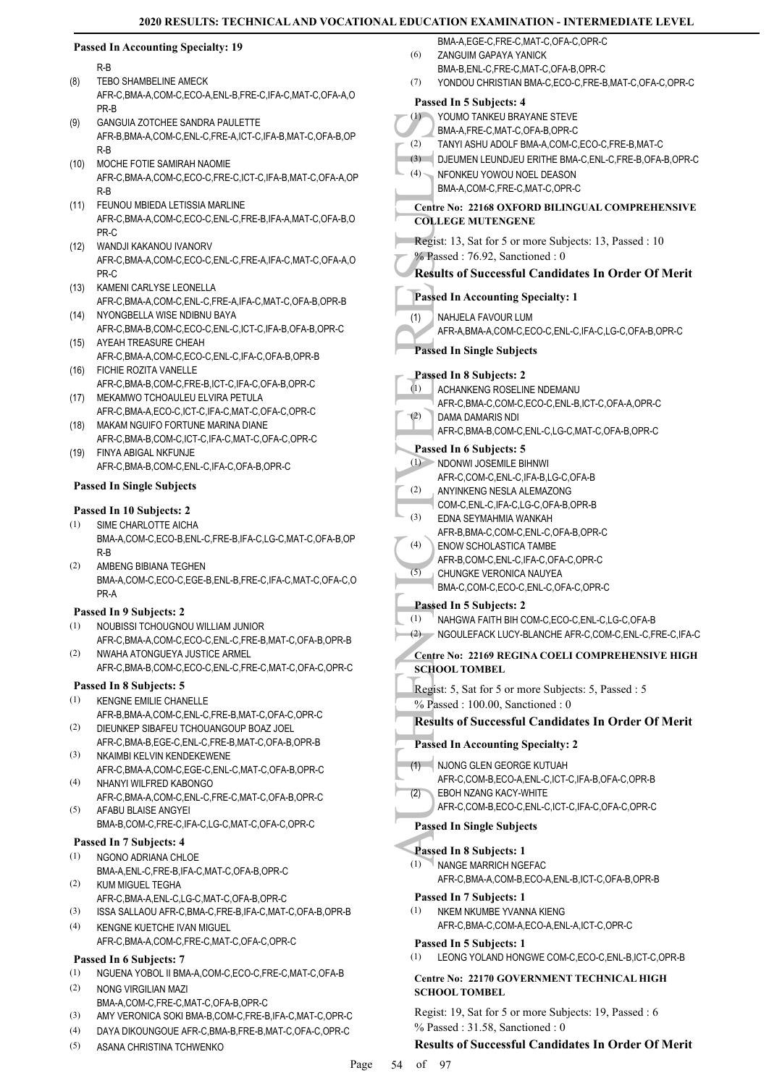#### **Passed In Accounting Specialty: 19** R-B TEBO SHAMBELINE AMECK AFR-C,BMA-A,COM-C,ECO-A,ENL-B,FRE-C,IFA-C,MAT-C,OFA-A,O PR-B (8) GANGUIA ZOTCHEE SANDRA PAULETTE AFR-B,BMA-A,COM-C,ENL-C,FRE-A,ICT-C,IFA-B,MAT-C,OFA-B,OP R-B (9) MOCHE FOTIE SAMIRAH NAOMIE (10) AFR-C,BMA-A,COM-C,ECO-C,FRE-C,ICT-C,IFA-B,MAT-C,OFA-A,OP R-B FEUNOU MBIEDA LETISSIA MARLINE AFR-C,BMA-A,COM-C,ECO-C,ENL-C,FRE-B,IFA-A,MAT-C,OFA-B,O PR-C (11) WANDJI KAKANOU IVANORV AFR-C,BMA-A,COM-C,ECO-C,ENL-C,FRE-A,IFA-C,MAT-C,OFA-A,O PR-C (12) (13) KAMENI CARLYSE LEONELLA AFR-C,BMA-A,COM-C,ENL-C,FRE-A,IFA-C,MAT-C,OFA-B,OPR-B (14) NYONGBELLA WISE NDIBNU BAYA AFR-C,BMA-B,COM-C,ECO-C,ENL-C,ICT-C,IFA-B,OFA-B,OPR-C (15) AYEAH TREASURE CHEAH AFR-C,BMA-A,COM-C,ECO-C,ENL-C,IFA-C,OFA-B,OPR-B

- FICHIE ROZITA VANELLE (16) AFR-C,BMA-B,COM-C,FRE-B,ICT-C,IFA-C,OFA-B,OPR-C
- (17) MEKAMWO TCHOAULEU ELVIRA PETULA
- AFR-C,BMA-A,ECO-C,ICT-C,IFA-C,MAT-C,OFA-C,OPR-C (18) MAKAM NGUIFO FORTUNE MARINA DIANE
- AFR-C,BMA-B,COM-C,ICT-C,IFA-C,MAT-C,OFA-C,OPR-C FINYA ABIGAL NKFUNJE (19)
- AFR-C,BMA-B,COM-C,ENL-C,IFA-C,OFA-B,OPR-C

# **Passed In Single Subjects**

# **Passed In 10 Subjects: 2**

- SIME CHARLOTTE AICHA BMA-A,COM-C,ECO-B,ENL-C,FRE-B,IFA-C,LG-C,MAT-C,OFA-B,OP R-B (1)
- AMBENG BIBIANA TEGHEN BMA-A,COM-C,ECO-C,EGE-B,ENL-B,FRE-C,IFA-C,MAT-C,OFA-C,O PR-A (2)

# **Passed In 9 Subjects: 2**

- NOUBISSI TCHOUGNOU WILLIAM JUNIOR AFR-C,BMA-A,COM-C,ECO-C,ENL-C,FRE-B,MAT-C,OFA-B,OPR-B (1)
- NWAHA ATONGUEYA JUSTICE ARMEL AFR-C,BMA-B,COM-C,ECO-C,ENL-C,FRE-C,MAT-C,OFA-C,OPR-C (2)

# **Passed In 8 Subjects: 5**

- KENGNE EMILIE CHANELLE AFR-B,BMA-A,COM-C,ENL-C,FRE-B,MAT-C,OFA-C,OPR-C (1)
- DIEUNKEP SIBAFEU TCHOUANGOUP BOAZ JOEL AFR-C,BMA-B,EGE-C,ENL-C,FRE-B,MAT-C,OFA-B,OPR-B (2)
- NKAIMBI KELVIN KENDEKEWENE AFR-C,BMA-A,COM-C,EGE-C,ENL-C,MAT-C,OFA-B,OPR-C (3) NHANYI WILFRED KABONGO (4)
- AFR-C,BMA-A,COM-C,ENL-C,FRE-C,MAT-C,OFA-B,OPR-C AFABU BLAISE ANGYEI (5)
- BMA-B,COM-C,FRE-C,IFA-C,LG-C,MAT-C,OFA-C,OPR-C

# **Passed In 7 Subjects: 4**

- NGONO ADRIANA CHLOE BMA-A,ENL-C,FRE-B,IFA-C,MAT-C,OFA-B,OPR-C (1)
- KUM MIGUEL TEGHA AFR-C,BMA-A,ENL-C,LG-C,MAT-C,OFA-B,OPR-C (2)
- (3) ISSA SALLAOU AFR-C,BMA-C,FRE-B,IFA-C,MAT-C,OFA-B,OPR-B
- KENGNE KUETCHE IVAN MIGUEL AFR-C,BMA-A,COM-C,FRE-C,MAT-C,OFA-C,OPR-C (4)

# **Passed In 6 Subjects: 7**

- (1) NGUENA YOBOL II BMA-A,COM-C,ECO-C,FRE-C,MAT-C,OFA-B
- NONG VIRGILIAN MAZI BMA-A,COM-C,FRE-C,MAT-C,OFA-B,OPR-C (2)
- (3) AMY VERONICA SOKI BMA-B,COM-C,FRE-B,IFA-C,MAT-C,OPR-C
- (4) DAYA DIKOUNGOUE AFR-C,BMA-B,FRE-B,MAT-C,OFA-C,OPR-C
- ASANA CHRISTINA TCHWENKO (5)
- BMA-A,EGE-C,FRE-C,MAT-C,OFA-C,OPR-C ZANGUIM GAPAYA YANICK (6)
- BMA-B,ENL-C,FRE-C,MAT-C,OFA-B,OPR-C
- (7) YONDOU CHRISTIAN BMA-C,ECO-C,FRE-B,MAT-C,OFA-C,OPR-C
- (1) YOUMC<br>
BMA-A,<br>
(2) TANYI DJEUM<br>
HENNA-A,<br>
Centre No:<br>
COLLEGE<br>
Regist: 13,<br>
% Passed In A<br>
(1) NAHJEI<br>
AFR-A,<br>
Passed In ACHAN<br>
AFR-C,<br>
Passed In ACHAN<br>
AFR-C,<br>
DAMAI BAFR-C,<br>
DAMAI AFR-C,<br>
DAMAI AFR-C,<br>
DAMAI AFR-C,<br> **Passed In 5 Subjects: 4** YOUMO TANKEU BRAYANE STEVE BMA-A,FRE-C,MAT-C,OFA-B,OPR-C (1) (2) TANYI ASHU ADOLF BMA-A,COM-C,ECO-C,FRE-B,MAT-C (3) DJEUMEN LEUNDJEU ERITHE BMA-C,ENL-C,FRE-B,OFA-B,OPR-C NFONKEU YOWOU NOEL DEASON BMA-A,COM-C,FRE-C,MAT-C,OPR-C (4) **Centre No: 22168 OXFORD BILINGUAL COMPREHENSIVE COLLEGE MUTENGENE**  Regist: 13, Sat for 5 or more Subjects: 13, Passed : 10 % Passed : 76.92, Sanctioned : 0 **Results of Successful Candidates In Order Of Merit Passed In Accounting Specialty: 1** NAHJELA FAVOUR LUM AFR-A,BMA-A,COM-C,ECO-C,ENL-C,IFA-C,LG-C,OFA-B,OPR-C (1) **Passed In Single Subjects Passed In 8 Subjects: 2** ACHANKENG ROSELINE NDEMANU AFR-C,BMA-C,COM-C,ECO-C,ENL-B,ICT-C,OFA-A,OPR-C (1) DAMA DAMARIS NDI AFR-C,BMA-B,COM-C,ENL-C,LG-C,MAT-C,OFA-B,OPR-C (2) **Passed In 6 Subjects: 5** NDONWI JOSEMILE BIHNWI (1) AFR-C,COM-C,ENL-C,IFA-B,LG-C,OFA-B ANYINKENG NESLA ALEMAZONG COM-C,ENL-C,IFA-C,LG-C,OFA-B,OPR-B (2) EDNA SEYMAHMIA WANKAH AFR-B,BMA-C,COM-C,ENL-C,OFA-B,OPR-C (3) ENOW SCHOLASTICA TAMBE AFR-B,COM-C,ENL-C,IFA-C,OFA-C,OPR-C (4) CHUNGKE VERONICA NAUYEA BMA-C,COM-C,ECO-C,ENL-C,OFA-C,OPR-C (5) **Passed In 5 Subjects: 2** (1) NAHGWA FAITH BIH COM-C,ECO-C,ENL-C,LG-C,OFA-B (2) NGOULEFACK LUCY-BLANCHE AFR-C,COM-C,ENL-C,FRE-C,IFA-C **Centre No: 22169 REGINA COELI COMPREHENSIVE HIGH SCHOOL TOMBEL**  Regist: 5, Sat for 5 or more Subjects: 5, Passed : 5 % Passed : 100.00, Sanctioned : 0 **Results of Successful Candidates In Order Of Merit Passed In Accounting Specialty: 2** NJONG GLEN GEORGE KUTUAH (1) AFR-C,COM-B,ECO-A,ENL-C,ICT-C,IFA-B,OFA-C,OPR-B EBOH NZANG KACY-WHITE AFR-C,COM-B,ECO-C,ENL-C,ICT-C,IFA-C,OFA-C,OPR-C (2) **Passed In Single Subjects Passed In 8 Subjects: 1** NANGE MARRICH NGEFAC AFR-C,BMA-A,COM-B,ECO-A,ENL-B,ICT-C,OFA-B,OPR-B (1) **Passed In 7 Subjects: 1** NKEM NKUMBE YVANNA KIENG AFR-C,BMA-C,COM-A,ECO-A,ENL-A,ICT-C,OPR-C (1) **Passed In 5 Subjects: 1** (1) LEONG YOLAND HONGWE COM-C,ECO-C,ENL-B,ICT-C,OPR-B

# **Centre No: 22170 GOVERNMENT TECHNICAL HIGH SCHOOL TOMBEL**

Regist: 19, Sat for 5 or more Subjects: 19, Passed : 6 % Passed : 31.58, Sanctioned : 0

# **Results of Successful Candidates In Order Of Merit**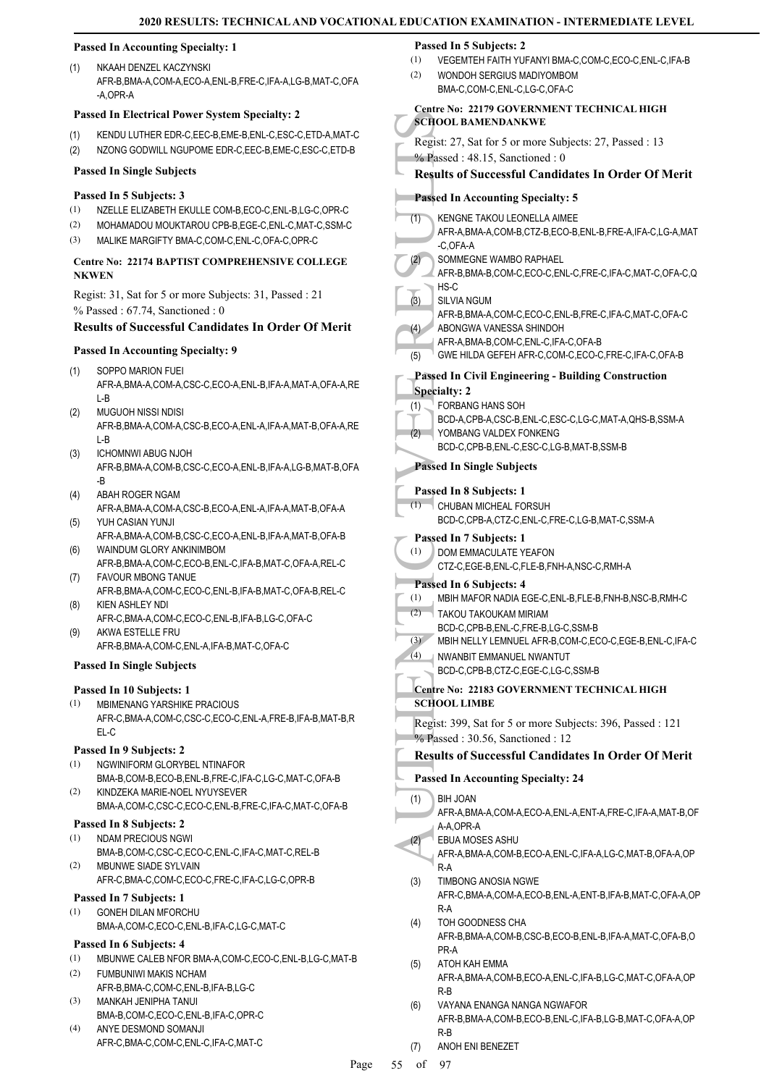# **Passed In Accounting Specialty: 1**

NKAAH DENZEL KACZYNSKI AFR-B,BMA-A,COM-A,ECO-A,ENL-B,FRE-C,IFA-A,LG-B,MAT-C,OFA -A,OPR-A (1)

#### **Passed In Electrical Power System Specialty: 2**

- (1) KENDU LUTHER EDR-C,EEC-B,EME-B,ENL-C,ESC-C,ETD-A,MAT-C
- (2) NZONG GODWILL NGUPOME EDR-C,EEC-B,EME-C,ESC-C,ETD-B

### **Passed In Single Subjects**

### **Passed In 5 Subjects: 3**

- (1) NZELLE ELIZABETH EKULLE COM-B,ECO-C,ENL-B,LG-C,OPR-C
- (2) MOHAMADOU MOUKTAROU CPB-B,EGE-C,ENL-C,MAT-C,SSM-C
- (3) MALIKE MARGIFTY BMA-C,COM-C,ENL-C,OFA-C,OPR-C

# **Centre No: 22174 BAPTIST COMPREHENSIVE COLLEGE NKWEN**

Regist: 31, Sat for 5 or more Subjects: 31, Passed : 21 % Passed : 67.74, Sanctioned : 0

# **Results of Successful Candidates In Order Of Merit**

#### **Passed In Accounting Specialty: 9**

- SOPPO MARION FUEI (1)
	- AFR-A,BMA-A,COM-A,CSC-C,ECO-A,ENL-B,IFA-A,MAT-A,OFA-A,RE L-B
- MUGUOH NISSI NDISI AFR-B,BMA-A,COM-A,CSC-B,ECO-A,ENL-A,IFA-A,MAT-B,OFA-A,RE L-B (2)
- ICHOMNWI ABUG NJOH AFR-B,BMA-A,COM-B,CSC-C,ECO-A,ENL-B,IFA-A,LG-B,MAT-B,OFA -B (3)
- ABAH ROGER NGAM (4)
- AFR-A,BMA-A,COM-A,CSC-B,ECO-A,ENL-A,IFA-A,MAT-B,OFA-A YUH CASIAN YUNJI (5)
- AFR-A,BMA-A,COM-B,CSC-C,ECO-A,ENL-B,IFA-A,MAT-B,OFA-B WAINDUM GLORY ANKINIMBOM (6)
- AFR-B,BMA-A,COM-C,ECO-B,ENL-C,IFA-B,MAT-C,OFA-A,REL-C FAVOUR MBONG TANUE (7)
- AFR-B,BMA-A,COM-C,ECO-C,ENL-B,IFA-B,MAT-C,OFA-B,REL-C KIEN ASHLEY NDI (8)
- AFR-C,BMA-A,COM-C,ECO-C,ENL-B,IFA-B,LG-C,OFA-C AKWA ESTELLE FRU (9)
- AFR-B,BMA-A,COM-C,ENL-A,IFA-B,MAT-C,OFA-C

# **Passed In Single Subjects**

# **Passed In 10 Subjects: 1**

MBIMENANG YARSHIKE PRACIOUS (1) AFR-C,BMA-A,COM-C,CSC-C,ECO-C,ENL-A,FRE-B,IFA-B,MAT-B,R EL-C

# **Passed In 9 Subjects: 2**

- NGWINIFORM GLORYBEL NTINAFOR (1)
- BMA-B,COM-B,ECO-B,ENL-B,FRE-C,IFA-C,LG-C,MAT-C,OFA-B KINDZEKA MARIE-NOEL NYUYSEVER (2)
- BMA-A,COM-C,CSC-C,ECO-C,ENL-B,FRE-C,IFA-C,MAT-C,OFA-B **Passed In 8 Subjects: 2**

#### NDAM PRECIOUS NGWI (1)

- BMA-B,COM-C,CSC-C,ECO-C,ENL-C,IFA-C,MAT-C,REL-B MBUNWE SIADE SYLVAIN (2)
- AFR-C,BMA-C,COM-C,ECO-C,FRE-C,IFA-C,LG-C,OPR-B

# **Passed In 7 Subjects: 1**

GONEH DILAN MFORCHU BMA-A,COM-C,ECO-C,ENL-B,IFA-C,LG-C,MAT-C (1)

# **Passed In 6 Subjects: 4**

- (1) MBUNWE CALEB NFOR BMA-A,COM-C,ECO-C,ENL-B,LG-C,MAT-B
- FUMBUNIWI MAKIS NCHAM (2)
- AFR-B,BMA-C,COM-C,ENL-B,IFA-B,LG-C MANKAH JENIPHA TANUI (3)
- BMA-B,COM-C,ECO-C,ENL-B,IFA-C,OPR-C  $(4)$
- ANYE DESMOND SOMANJI AFR-C,BMA-C,COM-C,ENL-C,IFA-C,MAT-C

#### **Passed In 5 Subjects: 2**

- (1) VEGEMTEH FAITH YUFANYI BMA-C,COM-C,ECO-C,ENL-C,IFA-B
- WONDOH SERGIUS MADIYOMBOM BMA-C,COM-C,ENL-C,LG-C,OFA-C (2)

#### **Centre No: 22179 GOVERNMENT TECHNICAL HIGH SCHOOL BAMENDANKWE**

- Regist: 27, Sat for 5 or more Subjects: 27, Passed : 13
- % Passed : 48.15, Sanctioned : 0

# **Results of Successful Candidates In Order Of Merit**

# **Passed In Accounting Specialty: 5**

| KENGNE TAKOU LEONELLA AIMEE                                       |
|-------------------------------------------------------------------|
| AFR-A, BMA-A, COM-B, CTZ-B, ECO-B, ENL-B, FRE-A, IFA-C, LG-A, MAT |
| -C.OFA-A                                                          |
| SOMMEGNE WAMBO RAPHAEL                                            |
|                                                                   |

AFR-B,BMA-B,COM-C,ECO-C,ENL-C,FRE-C,IFA-C,MAT-C,OFA-C,Q HS-C

#### SILVIA NGUM (3)

- AFR-B,BMA-A,COM-C,ECO-C,ENL-B,FRE-C,IFA-C,MAT-C,OFA-C
- ABONGWA VANESSA SHINDOH (4)
- AFR-A,BMA-B,COM-C,ENL-C,IFA-C,OFA-B
- (5) GWE HILDA GEFEH AFR-C,COM-C,ECO-C,FRE-C,IFA-C,OFA-B

# **Passed In Civil Engineering - Building Construction**

SCHOOL B<br>
Regist: 27,<br>
% Passed In KENGN<br>
(1) KENGN<br>
AFR-A, (2) SUVIA<br>
AFR-A, (2) SUVIA<br>
AFR-B, SUVIA<br>
AFR-B, SUVIA<br>
AFR-B, BS-C<br>
(3) SUVIA<br>
AFR-A, GWE H<br>
Specialty: (1) FORBA<br>
BCD-A, YOMBA<br>
BCD-A, YOMBA<br>
BCD-C, Passed In **Specialty: 2** FORBANG HANS SOH BCD-A,CPB-A,CSC-B,ENL-C,ESC-C,LG-C,MAT-A,QHS-B,SSM-A (1) YOMBANG VALDEX FONKENG BCD-C,CPB-B,ENL-C,ESC-C,LG-B,MAT-B,SSM-B (2) **Passed In Single Subjects**

# **Passed In 8 Subjects: 1**

- CHUBAN MICHEAL FORSUH  $(1)$ 
	- BCD-C,CPB-A,CTZ-C,ENL-C,FRE-C,LG-B,MAT-C,SSM-A

# **Passed In 7 Subjects: 1**

- DOM EMMACULATE YEAFON (1)
- CTZ-C,EGE-B,ENL-C,FLE-B,FNH-A,NSC-C,RMH-A

# **Passed In 6 Subjects: 4**

| (1) | MBIH MAFOR NADIA EGE-C, ENL-B, FLE-B, FNH-B, NSC-B, RMH-C |
|-----|-----------------------------------------------------------|
|     | TAKOU TAKOUKAM MIRIAM                                     |
|     | BCD-C CPB-B ENL-C FRE-B LG-C SSM-B                        |
| (3) | MBIH NELLY LEMNUEL AFR-B.COM-C.ECO-C.EGE-B.ENL-C.IFA-C    |
|     | (2)                                                       |

#### NWANBIT EMMANUEL NWANTUT BCD-C,CPB-B,CTZ-C,EGE-C,LG-C,SSM-B  $(4)$

**Centre No: 22183 GOVERNMENT TECHNICAL HIGH** 

# **SCHOOL LIMBE**

Regist: 399, Sat for 5 or more Subjects: 396, Passed : 121 % Passed : 30.56, Sanctioned : 12

# **Results of Successful Candidates In Order Of Merit**

- **Passed In Accounting Specialty: 24**
- BIH JOAN (1)
	- AFR-A,BMA-A,COM-A,ECO-A,ENL-A,ENT-A,FRE-C,IFA-A,MAT-B,OF A-A,OPR-A
- EBUA MOSES ASHU AFR-A,BMA-A,COM-B,ECO-A,ENL-C,IFA-A,LG-C,MAT-B,OFA-A,OP R-A (2)
- TIMBONG ANOSIA NGWE AFR-C,BMA-A,COM-A,ECO-B,ENL-A,ENT-B,IFA-B,MAT-C,OFA-A,OP R-A (3)
- TOH GOODNESS CHA AFR-B,BMA-A,COM-B,CSC-B,ECO-B,ENL-B,IFA-A,MAT-C,OFA-B,O PR-A (4)
- ATOH KAH EMMA AFR-A,BMA-A,COM-B,ECO-A,ENL-C,IFA-B,LG-C,MAT-C,OFA-A,OP R-B (5)
- VAYANA ENANGA NANGA NGWAFOR AFR-B,BMA-A,COM-B,ECO-B,ENL-C,IFA-B,LG-B,MAT-C,OFA-A,OP R-B (6)
- (7) ANOH ENI BENEZET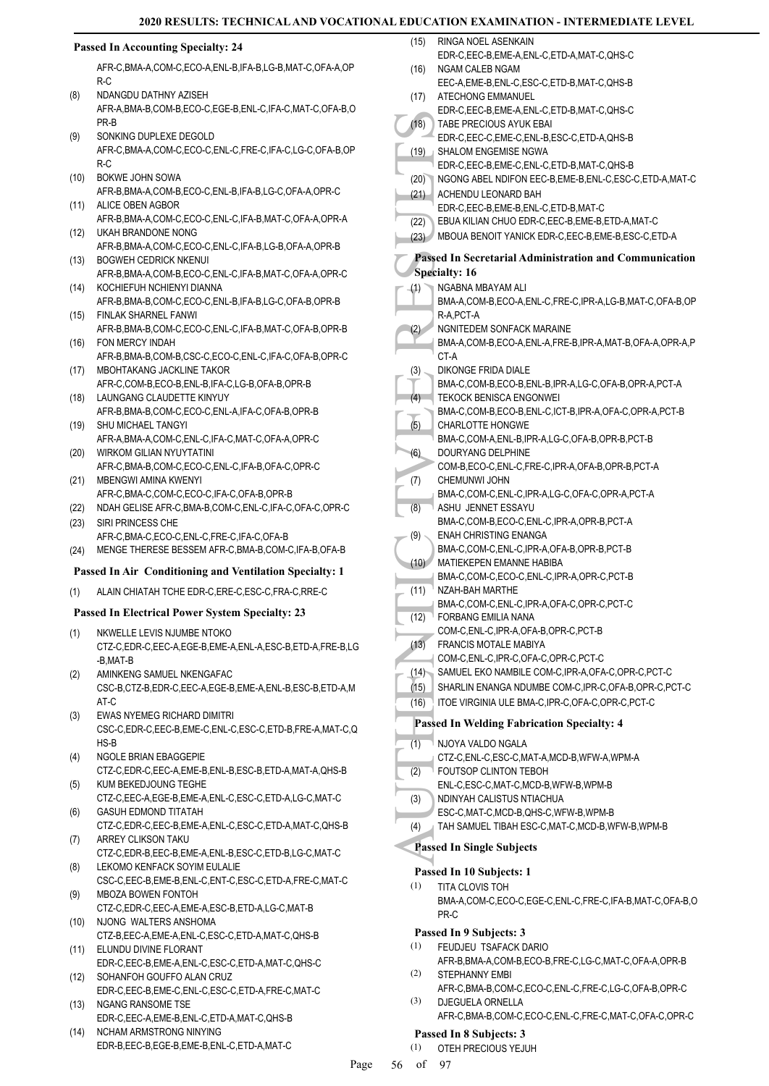# **2020 REDIATE LEVEL**

|      |                                                                                                           |      | 2020 RESULTS: TECHNICAL AND VOCATIONAL EDUCATION EXAMINATION - INTERMEDIATE LEVEL       |
|------|-----------------------------------------------------------------------------------------------------------|------|-----------------------------------------------------------------------------------------|
|      | <b>Passed In Accounting Specialty: 24</b>                                                                 | (15) | RINGA NOEL ASENKAIN<br>EDR-C, EEC-B, EME-A, ENL-C, ETD-A, MAT-C, QHS-C                  |
|      | AFR-C, BMA-A, COM-C, ECO-A, ENL-B, IFA-B, LG-B, MAT-C, OFA-A, OP                                          | (16) | NGAM CALEB NGAM                                                                         |
|      | R-C                                                                                                       |      | EEC-A,EME-B,ENL-C,ESC-C,ETD-B,MAT-C,QHS-B                                               |
| (8)  | NDANGDU DATHNY AZISEH<br>AFR-A, BMA-B, COM-B, ECO-C, EGE-B, ENL-C, IFA-C, MAT-C, OFA-B, O                 | (17) | ATECHONG EMMANUEL                                                                       |
|      | PR-B                                                                                                      | (18) | EDR-C,EEC-B,EME-A,ENL-C,ETD-B,MAT-C,QHS-C<br>TABE PRECIOUS AYUK EBAI                    |
| (9)  | SONKING DUPLEXE DEGOLD                                                                                    |      | EDR-C,EEC-C,EME-C,ENL-B,ESC-C,ETD-A,QHS-B                                               |
|      | AFR-C,BMA-A,COM-C,ECO-C,ENL-C,FRE-C,IFA-C,LG-C,OFA-B,OP                                                   |      | (19) SHALOM ENGEMISE NGWA                                                               |
|      | $R-C$                                                                                                     |      | EDR-C,EEC-B,EME-C,ENL-C,ETD-B,MAT-C,QHS-B                                               |
| (10) | <b>BOKWE JOHN SOWA</b><br>AFR-B, BMA-A, COM-B, ECO-C, ENL-B, IFA-B, LG-C, OFA-A, OPR-C                    | (20) | NGONG ABEL NDIFON EEC-B, EME-B, ENL-C, ESC-C, ETD-A, MAT-C                              |
| (11) | ALICE OBEN AGBOR                                                                                          | (21) | ACHENDU LEONARD BAH<br>EDR-C,EEC-B,EME-B,ENL-C,ETD-B,MAT-C                              |
|      | AFR-B, BMA-A, COM-C, ECO-C, ENL-C, IFA-B, MAT-C, OFA-A, OPR-A                                             | (22) | EBUA KILIAN CHUO EDR-C, EEC-B, EME-B, ETD-A, MAT-C                                      |
| (12) | UKAH BRANDONE NONG                                                                                        |      | (23) MBOUA BENOIT YANICK EDR-C, EEC-B, EME-B, ESC-C, ETD-A                              |
| (13) | AFR-B, BMA-A, COM-C, ECO-C, ENL-C, IFA-B, LG-B, OFA-A, OPR-B<br><b>BOGWEH CEDRICK NKENUI</b>              |      | Passed In Secretarial Administration and Communication                                  |
|      | AFR-B, BMA-A, COM-B, ECO-C, ENL-C, IFA-B, MAT-C, OFA-A, OPR-C                                             |      | <b>Specialty: 16</b>                                                                    |
| (14) | KOCHIEFUH NCHIENYI DIANNA                                                                                 | (1)  | NGABNA MBAYAM ALI                                                                       |
|      | AFR-B, BMA-B, COM-C, ECO-C, ENL-B, IFA-B, LG-C, OFA-B, OPR-B                                              |      | BMA-A,COM-B,ECO-A,ENL-C,FRE-C,IPR-A,LG-B,MAT-C,OFA-B,OP                                 |
| (15) | <b>FINLAK SHARNEL FANWI</b>                                                                               |      | R-A, PCT-A                                                                              |
| (16) | AFR-B, BMA-B, COM-C, ECO-C, ENL-C, IFA-B, MAT-C, OFA-B, OPR-B<br>FON MERCY INDAH                          | (2)  | NGNITEDEM SONFACK MARAINE<br>BMA-A,COM-B,ECO-A,ENL-A,FRE-B,IPR-A,MAT-B,OFA-A,OPR-A,P    |
|      | AFR-B, BMA-B, COM-B, CSC-C, ECO-C, ENL-C, IFA-C, OFA-B, OPR-C                                             |      | CT-A                                                                                    |
| (17) | MBOHTAKANG JACKLINE TAKOR                                                                                 | (3)  | DIKONGE FRIDA DIALE                                                                     |
|      | AFR-C,COM-B,ECO-B,ENL-B,IFA-C,LG-B,OFA-B,OPR-B                                                            |      | BMA-C,COM-B,ECO-B,ENL-B,IPR-A,LG-C,OFA-B,OPR-A,PCT-A                                    |
| (18) | LAUNGANG CLAUDETTE KINYUY<br>AFR-B, BMA-B, COM-C, ECO-C, ENL-A, IFA-C, OFA-B, OPR-B                       | (4)  | <b>TEKOCK BENISCA ENGONWEI</b><br>BMA-C,COM-B,ECO-B,ENL-C,ICT-B,IPR-A,OFA-C,OPR-A,PCT-B |
| (19) | <b>SHU MICHAEL TANGYI</b>                                                                                 | (5)  | <b>CHARLOTTE HONGWE</b>                                                                 |
|      | AFR-A, BMA-A, COM-C, ENL-C, IFA-C, MAT-C, OFA-A, OPR-C                                                    |      | BMA-C,COM-A,ENL-B,IPR-A,LG-C,OFA-B,OPR-B,PCT-B                                          |
| (20) | WIRKOM GILIAN NYUYTATINI                                                                                  | (6)  | DOURYANG DELPHINE                                                                       |
| (21) | AFR-C,BMA-B,COM-C,ECO-C,ENL-C,IFA-B,OFA-C,OPR-C<br><b>MBENGWI AMINA KWENYI</b>                            | (7)  | COM-B,ECO-C,ENL-C,FRE-C,IPR-A,OFA-B,OPR-B,PCT-A<br><b>CHEMUNWI JOHN</b>                 |
|      | AFR-C, BMA-C, COM-C, ECO-C, IFA-C, OFA-B, OPR-B                                                           |      | BMA-C,COM-C,ENL-C,IPR-A,LG-C,OFA-C,OPR-A,PCT-A                                          |
| (22) | NDAH GELISE AFR-C, BMA-B, COM-C, ENL-C, IFA-C, OFA-C, OPR-C                                               | (8)  | ASHU JENNET ESSAYU                                                                      |
| (23) | SIRI PRINCESS CHE                                                                                         |      | BMA-C,COM-B,ECO-C,ENL-C,IPR-A,OPR-B,PCT-A                                               |
| (24) | AFR-C, BMA-C, ECO-C, ENL-C, FRE-C, IFA-C, OFA-B<br>MENGE THERESE BESSEM AFR-C, BMA-B, COM-C, IFA-B, OFA-B | (9)  | <b>ENAH CHRISTING ENANGA</b><br>BMA-C,COM-C,ENL-C,IPR-A,OFA-B,OPR-B,PCT-B               |
|      |                                                                                                           | (10) | MATIEKEPEN EMANNE HABIBA                                                                |
|      | Passed In Air Conditioning and Ventilation Specialty: 1                                                   |      | BMA-C,COM-C,ECO-C,ENL-C,IPR-A,OPR-C,PCT-B                                               |
| (1)  | ALAIN CHIATAH TCHE EDR-C, ERE-C, ESC-C, FRA-C, RRE-C                                                      | (11) | <sup>1</sup> NZAH-BAH MARTHE<br>BMA-C,COM-C,ENL-C,IPR-A,OFA-C,OPR-C,PCT-C               |
|      | Passed In Electrical Power System Specialty: 23                                                           | (12) | <b>FORBANG EMILIA NANA</b>                                                              |
| (1)  | NKWELLE LEVIS NJUMBE NTOKO                                                                                |      | COM-C, ENL-C, IPR-A, OFA-B, OPR-C, PCT-B                                                |
|      | CTZ-C,EDR-C,EEC-A,EGE-B,EME-A,ENL-A,ESC-B,ETD-A,FRE-B,LG                                                  | (13) | FRANCIS MOTALE MABIYA<br>COM-C, ENL-C, IPR-C, OFA-C, OPR-C, PCT-C                       |
| (2)  | -B,MAT-B<br>AMINKENG SAMUEL NKENGAFAC                                                                     | (14) | SAMUEL EKO NAMBILE COM-C, IPR-A, OFA-C, OPR-C, PCT-C                                    |
|      | CSC-B,CTZ-B,EDR-C,EEC-A,EGE-B,EME-A,ENL-B,ESC-B,ETD-A,M                                                   | (15) | SHARLIN ENANGA NDUMBE COM-C, IPR-C, OFA-B, OPR-C, PCT-C                                 |
|      | AT-C                                                                                                      | (16) | ITOE VIRGINIA ULE BMA-C, IPR-C, OFA-C, OPR-C, PCT-C                                     |
| (3)  | EWAS NYEMEG RICHARD DIMITRI<br>CSC-C,EDR-C,EEC-B,EME-C,ENL-C,ESC-C,ETD-B,FRE-A,MAT-C,Q                    |      | <b>Passed In Welding Fabrication Specialty: 4</b>                                       |
|      | HS-B                                                                                                      | (1)  | NJOYA VALDO NGALA                                                                       |
| (4)  | NGOLE BRIAN EBAGGEPIE                                                                                     |      | CTZ-C, ENL-C, ESC-C, MAT-A, MCD-B, WFW-A, WPM-A                                         |
|      | CTZ-C,EDR-C,EEC-A,EME-B,ENL-B,ESC-B,ETD-A,MAT-A,QHS-B                                                     | (2)  | FOUTSOP CLINTON TEBOH                                                                   |
| (5)  | KUM BEKEDJOUNG TEGHE<br>CTZ-C,EEC-A,EGE-B,EME-A,ENL-C,ESC-C,ETD-A,LG-C,MAT-C                              | (3)  | ENL-C,ESC-C,MAT-C,MCD-B,WFW-B,WPM-B<br>NDINYAH CALISTUS NTIACHUA                        |
| (6)  | <b>GASUH EDMOND TITATAH</b>                                                                               |      | ESC-C, MAT-C, MCD-B, QHS-C, WFW-B, WPM-B                                                |
|      | CTZ-C,EDR-C,EEC-B,EME-A,ENL-C,ESC-C,ETD-A,MAT-C,QHS-B                                                     | (4)  | TAH SAMUEL TIBAH ESC-C, MAT-C, MCD-B, WFW-B, WPM-B                                      |
| (7)  | ARREY CLIKSON TAKU                                                                                        |      | <b>Passed In Single Subjects</b>                                                        |
| (8)  | CTZ-C,EDR-B,EEC-B,EME-A,ENL-B,ESC-C,ETD-B,LG-C,MAT-C<br>LEKOMO KENFACK SOYIM EULALIE                      |      |                                                                                         |
|      | CSC-C,EEC-B,EME-B,ENL-C,ENT-C,ESC-C,ETD-A,FRE-C,MAT-C                                                     | (1)  | Passed In 10 Subjects: 1<br>TITA CLOVIS TOH                                             |
| (9)  | MBOZA BOWEN FONTOH                                                                                        |      | BMA-A,COM-C,ECO-C,EGE-C,ENL-C,FRE-C,IFA-B,MAT-C,OFA-B,O                                 |
|      | CTZ-C,EDR-C,EEC-A,EME-A,ESC-B,ETD-A,LG-C,MAT-B                                                            |      | PR-C                                                                                    |
| (10) | NJONG WALTERS ANSHOMA<br>CTZ-B,EEC-A,EME-A,ENL-C,ESC-C,ETD-A,MAT-C,QHS-B                                  |      | Passed In 9 Subjects: 3                                                                 |
| (11) | ELUNDU DIVINE FLORANT                                                                                     | (1)  | FEUDJEU TSAFACK DARIO                                                                   |
|      | EDR-C,EEC-B,EME-A,ENL-C,ESC-C,ETD-A,MAT-C,QHS-C                                                           |      | AFR-B, BMA-A, COM-B, ECO-B, FRE-C, LG-C, MAT-C, OFA-A, OPR-B                            |
| (12) | SOHANFOH GOUFFO ALAN CRUZ                                                                                 | (2)  | STEPHANNY EMBI                                                                          |
| (13) | EDR-C,EEC-B,EME-C,ENL-C,ESC-C,ETD-A,FRE-C,MAT-C<br>NGANG RANSOME TSE                                      | (3)  | AFR-C,BMA-B,COM-C,ECO-C,ENL-C,FRE-C,LG-C,OFA-B,OPR-C<br>DJEGUELA ORNELLA                |
|      | EDR-C,EEC-A,EME-B,ENL-C,ETD-A,MAT-C,QHS-B                                                                 |      | AFR-C, BMA-B, COM-C, ECO-C, ENL-C, FRE-C, MAT-C, OFA-C, OPR-C                           |
| (14) | NCHAM ARMSTRONG NINYING                                                                                   |      | Passed In 8 Subjects: 3                                                                 |
|      | EDR-B,EEC-B,EGE-B,EME-B,ENL-C,ETD-A,MAT-C                                                                 |      | $(1)$ OTEH PRECIOUS YELLIH                                                              |

(1) OTEH PRECIOUS YEJUH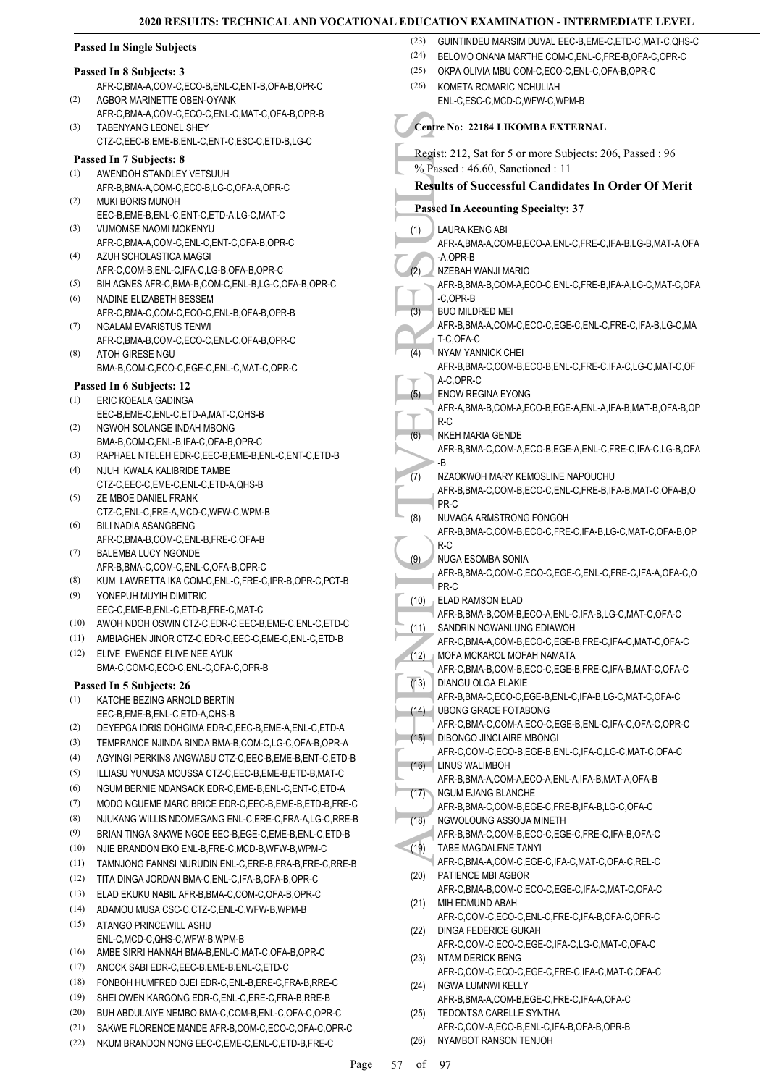# **Passed In Single Subjects**

#### **Passed In 8 Subjects: 3**

- AFR-C,BMA-A,COM-C,ECO-B,ENL-C,ENT-B,OFA-B,OPR-C AGBOR MARINETTE OBEN-OYANK (2)
- AFR-C,BMA-A,COM-C,ECO-C,ENL-C,MAT-C,OFA-B,OPR-B TABENYANG LEONEL SHEY CTZ-C,EEC-B,EME-B,ENL-C,ENT-C,ESC-C,ETD-B,LG-C (3)

# **Passed In 7 Subjects: 8**

- AWENDOH STANDLEY VETSUUH AFR-B,BMA-A,COM-C,ECO-B,LG-C,OFA-A,OPR-C (1)
- MUKI BORIS MUNOH EEC-B,EME-B,ENL-C,ENT-C,ETD-A,LG-C,MAT-C (2)
- VUMOMSE NAOMI MOKENYU AFR-C,BMA-A,COM-C,ENL-C,ENT-C,OFA-B,OPR-C (3)
- AZUH SCHOLASTICA MAGGI AFR-C,COM-B,ENL-C,IFA-C,LG-B,OFA-B,OPR-C (4)
- (5) BIH AGNES AFR-C,BMA-B,COM-C,ENL-B,LG-C,OFA-B,OPR-C
- NADINE ELIZABETH BESSEM AFR-C,BMA-C,COM-C,ECO-C,ENL-B,OFA-B,OPR-B (6)
- NGALAM EVARISTUS TENWI AFR-C,BMA-B,COM-C,ECO-C,ENL-C,OFA-B,OPR-C (7) (8)
- ATOH GIRESE NGU BMA-B,COM-C,ECO-C,EGE-C,ENL-C,MAT-C,OPR-C

# **Passed In 6 Subjects: 12**

- ERIC KOEALA GADINGA EEC-B,EME-C,ENL-C,ETD-A,MAT-C,QHS-B (1)
- NGWOH SOLANGE INDAH MBONG BMA-B,COM-C,ENL-B,IFA-C,OFA-B,OPR-C (2)
- (3) RAPHAEL NTELEH EDR-C,EEC-B,EME-B,ENL-C,ENT-C,ETD-B
- NJUH KWALA KALIBRIDE TAMBE CTZ-C,EEC-C,EME-C,ENL-C,ETD-A,QHS-B (4)
- ZE MBOE DANIEL FRANK CTZ-C,ENL-C,FRE-A,MCD-C,WFW-C,WPM-B (5)
- BILI NADIA ASANGBENG AFR-C,BMA-B,COM-C,ENL-B,FRE-C,OFA-B (6) BALEMBA LUCY NGONDE (7)
- AFR-B,BMA-C,COM-C,ENL-C,OFA-B,OPR-C
- (8) KUM LAWRETTA IKA COM-C,ENL-C,FRE-C,IPR-B,OPR-C,PCT-B YONEPUH MUYIH DIMITRIC (9)
- EEC-C,EME-B,ENL-C,ETD-B,FRE-C,MAT-C
- (10) AWOH NDOH OSWIN CTZ-C,EDR-C,EEC-B,EME-C,ENL-C,ETD-C
- (11) AMBIAGHEN JINOR CTZ-C,EDR-C,EEC-C,EME-C,ENL-C,ETD-B ELIVE EWENGE ELIVE NEE AYUK (12)
	- BMA-C,COM-C,ECO-C,ENL-C,OFA-C,OPR-B

# **Passed In 5 Subjects: 26**

- KATCHE BEZING ARNOLD BERTIN EEC-B,EME-B,ENL-C,ETD-A,QHS-B (1)
- (2) DEYEPGA IDRIS DOHGIMA EDR-C,EEC-B,EME-A,ENL-C,ETD-A
- (3) TEMPRANCE NJINDA BINDA BMA-B,COM-C,LG-C,OFA-B,OPR-A
- (4) AGYINGI PERKINS ANGWABU CTZ-C,EEC-B,EME-B,ENT-C,ETD-B
- (5) ILLIASU YUNUSA MOUSSA CTZ-C,EEC-B,EME-B,ETD-B,MAT-C
- (6) NGUM BERNIE NDANSACK EDR-C,EME-B,ENL-C,ENT-C,ETD-A
- (7) MODO NGUEME MARC BRICE EDR-C,EEC-B,EME-B,ETD-B,FRE-C
- (8) NJUKANG WILLIS NDOMEGANG ENL-C,ERE-C,FRA-A,LG-C,RRE-B
- (9) BRIAN TINGA SAKWE NGOE EEC-B,EGE-C,EME-B,ENL-C,ETD-B
- (10) NJIE BRANDON EKO ENL-B,FRE-C,MCD-B,WFW-B,WPM-C
- (11) TAMNJONG FANNSI NURUDIN ENL-C,ERE-B,FRA-B,FRE-C,RRE-B
- (12) TITA DINGA JORDAN BMA-C,ENL-C,IFA-B,OFA-B,OPR-C
- (13) ELAD EKUKU NABIL AFR-B,BMA-C,COM-C,OFA-B,OPR-C
- (14) ADAMOU MUSA CSC-C,CTZ-C,ENL-C,WFW-B,WPM-B
- ATANGO PRINCEWILL ASHU ENL-C,MCD-C,QHS-C,WFW-B,WPM-B (15)
- (16) AMBE SIRRI HANNAH BMA-B,ENL-C,MAT-C,OFA-B,OPR-C
- (17) ANOCK SABI EDR-C,EEC-B,EME-B,ENL-C,ETD-C
- (18) FONBOH HUMFRED OJEI EDR-C,ENL-B,ERE-C,FRA-B,RRE-C
- (19) SHEI OWEN KARGONG EDR-C,ENL-C,ERE-C,FRA-B,RRE-B
- (20) BUH ABDULAIYE NEMBO BMA-C,COM-B,ENL-C,OFA-C,OPR-C (21) SAKWE FLORENCE MANDE AFR-B,COM-C,ECO-C,OFA-C,OPR-C
- (22) NKUM BRANDON NONG EEC-C,EME-C,ENL-C,ETD-B,FRE-C
	-
- (23) GUINTINDEU MARSIM DUVAL EEC-B,EME-C,ETD-C,MAT-C,QHS-C
- (24) BELOMO ONANA MARTHE COM-C,ENL-C,FRE-B,OFA-C,OPR-C
- (25) OKPA OLIVIA MBU COM-C,ECO-C,ENL-C,OFA-B,OPR-C
- KOMETA ROMARIC NCHULIAH ENL-C,ESC-C,MCD-C,WFW-C,WPM-B (26)

# **Centre No: 22184 LIKOMBA EXTERNAL**

- For Contraction (1)<br>
AUTHENTIC (1)<br>
Contraction (1)<br>
Contraction (1)<br>
Contraction (1)<br>
Contraction (1)<br>
Contraction (1)<br>
Contraction (1)<br>
AFR-B,<br>
Contraction (4)<br>
AFR-B,<br>
Contraction (5)<br>
Contraction (1)<br>
AFR-B,<br>
Contracti Regist: 212, Sat for 5 or more Subjects: 206, Passed : 96 % Passed : 46.60, Sanctioned : 11 **Results of Successful Candidates In Order Of Merit Passed In Accounting Specialty: 37** LAURA KENG ABI AFR-A,BMA-A,COM-B,ECO-A,ENL-C,FRE-C,IFA-B,LG-B,MAT-A,OFA -A,OPR-B (1) NZEBAH WANJI MARIO AFR-B,BMA-B,COM-A,ECO-C,ENL-C,FRE-B,IFA-A,LG-C,MAT-C,OFA -C,OPR-B  $(2)$ BUO MILDRED MEI AFR-B,BMA-A,COM-C,ECO-C,EGE-C,ENL-C,FRE-C,IFA-B,LG-C,MA T-C,OFA-C (3) NYAM YANNICK CHEI AFR-B,BMA-C,COM-B,ECO-B,ENL-C,FRE-C,IFA-C,LG-C,MAT-C,OF A-C,OPR-C (4) ENOW REGINA EYONG AFR-A,BMA-B,COM-A,ECO-B,EGE-A,ENL-A,IFA-B,MAT-B,OFA-B,OP R-C (5) NKEH MARIA GENDE AFR-B,BMA-C,COM-A,ECO-B,EGE-A,ENL-C,FRE-C,IFA-C,LG-B,OFA -B (6) NZAOKWOH MARY KEMOSLINE NAPOUCHU AFR-B,BMA-C,COM-B,ECO-C,ENL-C,FRE-B,IFA-B,MAT-C,OFA-B,O PR-C (7) NUVAGA ARMSTRONG FONGOH AFR-B,BMA-C,COM-B,ECO-C,FRE-C,IFA-B,LG-C,MAT-C,OFA-B,OP R-C (8) NUGA ESOMBA SONIA AFR-B,BMA-C,COM-C,ECO-C,EGE-C,ENL-C,FRE-C,IFA-A,OFA-C,O PR-C (9) ELAD RAMSON ELAD AFR-B,BMA-B,COM-B,ECO-A,ENL-C,IFA-B,LG-C,MAT-C,OFA-C (10) SANDRIN NGWANLUNG EDIAWOH AFR-C,BMA-A,COM-B,ECO-C,EGE-B,FRE-C,IFA-C,MAT-C,OFA-C (11) MOFA MCKAROL MOFAH NAMATA AFR-C,BMA-B,COM-B,ECO-C,EGE-B,FRE-C,IFA-B,MAT-C,OFA-C  $(12)$ DIANGU OLGA ELAKIE AFR-B,BMA-C,ECO-C,EGE-B,ENL-C,IFA-B,LG-C,MAT-C,OFA-C  $(13)$ UBONG GRACE FOTABONG AFR-C,BMA-C,COM-A,ECO-C,EGE-B,ENL-C,IFA-C,OFA-C,OPR-C  $(14)$ DIBONGO JINCLAIRE MBONGI AFR-C,COM-C,ECO-B,EGE-B,ENL-C,IFA-C,LG-C,MAT-C,OFA-C  $(15)$ LINUS WALIMBOH AFR-B,BMA-A,COM-A,ECO-A,ENL-A,IFA-B,MAT-A,OFA-B  $(16)$ NGUM EJANG BLANCHE AFR-B,BMA-C,COM-B,EGE-C,FRE-B,IFA-B,LG-C,OFA-C (17) NGWOLOUNG ASSOUA MINETH AFR-B,BMA-C,COM-B,ECO-C,EGE-C,FRE-C,IFA-B,OFA-C (18) TABE MAGDALENE TANYI AFR-C,BMA-A,COM-C,EGE-C,IFA-C,MAT-C,OFA-C,REL-C (19) PATIENCE MBI AGBOR AFR-C,BMA-B,COM-C,ECO-C,EGE-C,IFA-C,MAT-C,OFA-C (20) MIH EDMUND ABAH (21)
	- AFR-C,COM-C,ECO-C,ENL-C,FRE-C,IFA-B,OFA-C,OPR-C DINGA FEDERICE GUKAH (22)
	- AFR-C,COM-C,ECO-C,EGE-C,IFA-C,LG-C,MAT-C,OFA-C NTAM DERICK BENG (23)
	- AFR-C,COM-C,ECO-C,EGE-C,FRE-C,IFA-C,MAT-C,OFA-C NGWA LUMNWI KELLY (24)
	- AFR-B,BMA-A,COM-B,EGE-C,FRE-C,IFA-A,OFA-C TEDONTSA CARELLE SYNTHA (25)
	- AFR-C,COM-A,ECO-B,ENL-C,IFA-B,OFA-B,OPR-B (26) NYAMBOT RANSON TENJOH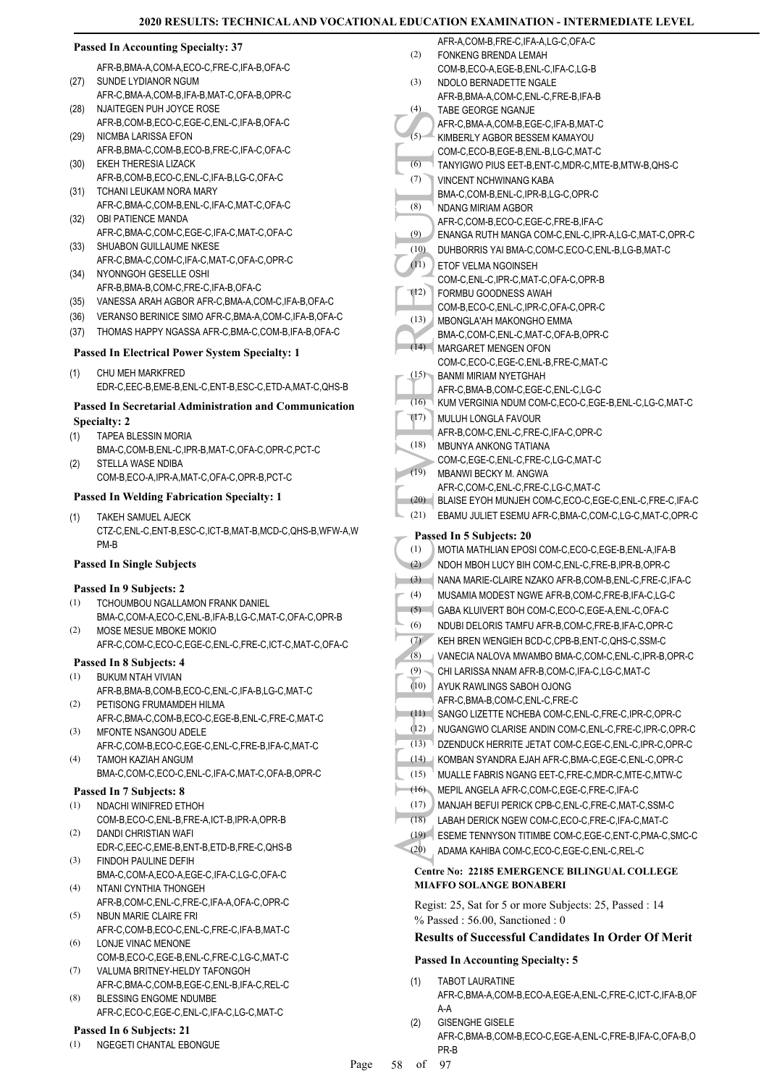# **Passed In Accounting Specialty: 37**

AFR-B,BMA-A,COM-A,ECO-C,FRE-C,IFA-B,OFA-C (27) SUNDE LYDIANOR NGUM

- AFR-C,BMA-A,COM-B,IFA-B,MAT-C,OFA-B,OPR-C NJAITEGEN PUH JOYCE ROSE (28)
- AFR-B,COM-B,ECO-C,EGE-C,ENL-C,IFA-B,OFA-C (29) NICMBA LARISSA EFON
- AFR-B,BMA-C,COM-B,ECO-B,FRE-C,IFA-C,OFA-C EKEH THERESIA LIZACK (30)
- AFR-B,COM-B,ECO-C,ENL-C,IFA-B,LG-C,OFA-C (31) TCHANI LEUKAM NORA MARY
- AFR-C,BMA-C,COM-B,ENL-C,IFA-C,MAT-C,OFA-C (32) OBI PATIENCE MANDA
- AFR-C,BMA-C,COM-C,EGE-C,IFA-C,MAT-C,OFA-C (33) SHUABON GUILLAUME NKESE
- AFR-C,BMA-C,COM-C,IFA-C,MAT-C,OFA-C,OPR-C (34) NYONNGOH GESELLE OSHI
- AFR-B,BMA-B,COM-C,FRE-C,IFA-B,OFA-C
- (35) VANESSA ARAH AGBOR AFR-C,BMA-A,COM-C,IFA-B,OFA-C
- (36) VERANSO BERINICE SIMO AFR-C,BMA-A,COM-C,IFA-B,OFA-C
- (37) THOMAS HAPPY NGASSA AFR-C,BMA-C,COM-B,IFA-B,OFA-C

#### **Passed In Electrical Power System Specialty: 1**

CHU MEH MARKFRED EDR-C,EEC-B,EME-B,ENL-C,ENT-B,ESC-C,ETD-A,MAT-C,QHS-B (1)

# **Passed In Secretarial Administration and Communication Specialty: 2**

- TAPEA BLESSIN MORIA BMA-C,COM-B,ENL-C,IPR-B,MAT-C,OFA-C,OPR-C,PCT-C (1)
- STELLA WASE NDIBA COM-B,ECO-A,IPR-A,MAT-C,OFA-C,OPR-B,PCT-C (2)

# **Passed In Welding Fabrication Specialty: 1**

TAKEH SAMUEL AJECK CTZ-C,ENL-C,ENT-B,ESC-C,ICT-B,MAT-B,MCD-C,QHS-B,WFW-A,W PM-B (1)

#### **Passed In Single Subjects**

#### **Passed In 9 Subjects: 2**

- TCHOUMBOU NGALLAMON FRANK DANIEL BMA-C,COM-A,ECO-C,ENL-B,IFA-B,LG-C,MAT-C,OFA-C,OPR-B (1)
- MOSE MESUE MBOKE MOKIO AFR-C,COM-C,ECO-C,EGE-C,ENL-C,FRE-C,ICT-C,MAT-C,OFA-C (2)

#### **Passed In 8 Subjects: 4**

- BUKUM NTAH VIVIAN (1) AFR-B,BMA-B,COM-B,ECO-C,ENL-C,IFA-B,LG-C,MAT-C
- PETISONG FRUMAMDEH HILMA AFR-C,BMA-C,COM-B,ECO-C,EGE-B,ENL-C,FRE-C,MAT-C (2)
- MFONTE NSANGOU ADELE AFR-C,COM-B,ECO-C,EGE-C,ENL-C,FRE-B,IFA-C,MAT-C (3)
- TAMOH KAZIAH ANGUM BMA-C,COM-C,ECO-C,ENL-C,IFA-C,MAT-C,OFA-B,OPR-C (4)

#### **Passed In 7 Subjects: 8**

- (1) NDACHI WINIFRED ETHOH
- COM-B,ECO-C,ENL-B,FRE-A,ICT-B,IPR-A,OPR-B DANDI CHRISTIAN WAFI (2)
- EDR-C,EEC-C,EME-B,ENT-B,ETD-B,FRE-C,QHS-B FINDOH PAULINE DEFIH (3)
- BMA-C,COM-A,ECO-A,EGE-C,IFA-C,LG-C,OFA-C  $(4)$
- NTANI CYNTHIA THONGEH AFR-B,COM-C,ENL-C,FRE-C,IFA-A,OFA-C,OPR-C
- NBUN MARIE CLAIRE FRI AFR-C,COM-B,ECO-C,ENL-C,FRE-C,IFA-B,MAT-C (5)
- LONJE VINAC MENONE (6) COM-B,ECO-C,EGE-B,ENL-C,FRE-C,LG-C,MAT-C
- VALUMA BRITNEY-HELDY TAFONGOH (7)
- AFR-C,BMA-C,COM-B,EGE-C,ENL-B,IFA-C,REL-C BLESSING ENGOME NDUMBE (8)
- AFR-C,ECO-C,EGE-C,ENL-C,IFA-C,LG-C,MAT-C

#### **Passed In 6 Subjects: 21**

(1) NGEGETI CHANTAL EBONGUE

| (2)        | AFR-A,COM-B,FRE-C,IFA-A,LG-C,OFA-C                                                                  |
|------------|-----------------------------------------------------------------------------------------------------|
|            | FONKENG BRENDA LEMAH<br>COM-B.ECO-A.EGE-B.ENL-C.IFA-C.LG-B                                          |
| (3)        | NDOLO BERNADETTE NGALE                                                                              |
|            | AFR-B,BMA-A,COM-C,ENL-C,FRE-B,IFA-B                                                                 |
| (4)        | TABE GEORGE NGANJE                                                                                  |
|            | AFR-C, BMA-A, COM-B, EGE-C, IFA-B, MAT-C                                                            |
| (5)        | KIMBERLY AGBOR BESSEM KAMAYOU                                                                       |
|            | COM-C,ECO-B,EGE-B,ENL-B,LG-C,MAT-C                                                                  |
| (6)        | TANYIGWO PIUS EET-B, ENT-C, MDR-C, MTE-B, MTW-B, QHS-C                                              |
| (7)        | VINCENT NCHWINANG KABA                                                                              |
| (8)        | BMA-C,COM-B,ENL-C,IPR-B,LG-C,OPR-C<br>NDANG MIRIAM AGBOR                                            |
|            | AFR-C,COM-B,ECO-C,EGE-C,FRE-B,IFA-C                                                                 |
| (9)        | ENANGA RUTH MANGA COM-C,ENL-C,IPR-A,LG-C,MAT-C,OPR-C                                                |
| (10)       | DUHBORRIS YAI BMA-C,COM-C,ECO-C,ENL-B,LG-B,MAT-C                                                    |
| (11)       | ETOF VELMA NGOINSEH                                                                                 |
|            | COM-C, ENL-C, IPR-C, MAT-C, OFA-C, OPR-B                                                            |
| (12)       | FORMBU GOODNESS AWAH                                                                                |
|            | COM-B,ECO-C,ENL-C,IPR-C,OFA-C,OPR-C                                                                 |
| (13)       | MBONGLA'AH MAKONGHO EMMA                                                                            |
|            | BMA-C,COM-C,ENL-C,MAT-C,OFA-B,OPR-C                                                                 |
| (14)       | MARGARET MENGEN OFON<br>COM-C,ECO-C,EGE-C,ENL-B,FRE-C,MAT-C                                         |
| (15)       | <b>BANMI MIRIAM NYETGHAH</b>                                                                        |
|            | AFR-C, BMA-B, COM-C, EGE-C, ENL-C, LG-C                                                             |
| (16)       | KUM VERGINIA NDUM COM-C,ECO-C,EGE-B,ENL-C,LG-C,MAT-C                                                |
| (17)       | <b>MULUH LONGLA FAVOUR</b>                                                                          |
|            | AFR-B.COM-C.ENL-C.FRE-C.IFA-C.OPR-C                                                                 |
| (18)       | MBUNYA ANKONG TATIANA                                                                               |
|            | COM-C,EGE-C,ENL-C,FRE-C,LG-C,MAT-C                                                                  |
|            |                                                                                                     |
| (19)       | MBANWI BECKY M. ANGWA                                                                               |
|            | AFR-C.COM-C.ENL-C.FRE-C.LG-C.MAT-C                                                                  |
| (20)       | BLAISE EYOH MUNJEH COM-C,ECO-C,EGE-C,ENL-C,FRE-C,IFA-C                                              |
| (21)       | EBAMU JULIET ESEMU AFR-C, BMA-C, COM-C, LG-C, MAT-C, OPR-C                                          |
|            | Passed In 5 Subjects: 20                                                                            |
| (1)        | MOTIA MATHLIAN EPOSI COM-C,ECO-C,EGE-B,ENL-A,IFA-B                                                  |
| (2)        | NDOH MBOH LUCY BIH COM-C.ENL-C.FRE-B.IPR-B.OPR-C                                                    |
| (3)        | NANA MARIE-CLAIRE NZAKO AFR-B.COM-B.ENL-C.FRE-C.IFA-C                                               |
| (4)        | MUSAMIA MODEST NGWE AFR-B.COM-C.FRE-B.IFA-C.LG-C                                                    |
| (5)        | GABA KLUIVERT BOH COM-C,ECO-C,EGE-A,ENL-C,OFA-C                                                     |
| (6)        | NDUBI DELORIS TAMFU AFR-B,COM-C,FRE-B,IFA-C,OPR-C<br>KEH BREN WENGIEH BCD-C.CPB-B.ENT-C.QHS-C.SSM-C |
| (7)        |                                                                                                     |
| (8)<br>(9) | VANECIA NALOVA MWAMBO BMA-C,COM-C,ENL-C,IPR-B,OPR-C                                                 |
| (10)       | CHI LARISSA NNAM AFR-B,COM-C, IFA-C, LG-C, MAT-C<br>AYUK RAWLINGS SABOH OJONG                       |
|            | AFR-C.BMA-B.COM-C.ENL-C.FRE-C                                                                       |
| (11)       | SANGO LIZETTE NCHEBA COM-C, ENL-C, FRE-C, IPR-C, OPR-C                                              |
| (12)       | NUGANGWO CLARISE ANDIN COM-C, ENL-C, FRE-C, IPR-C, OPR-C                                            |
| (13)       | DZENDUCK HERRITE JETAT COM-C,EGE-C,ENL-C,IPR-C,OPR-C                                                |
| (14)       | KOMBAN SYANDRA EJAH AFR-C, BMA-C, EGE-C, ENL-C, OPR-C                                               |
| (15)       | MUALLE FABRIS NGANG EET-C, FRE-C, MDR-C, MTE-C, MTW-C                                               |
| (16)       | MEPIL ANGELA AFR-C,COM-C,EGE-C,FRE-C,IFA-C                                                          |
| (17)       | MANJAH BEFUI PERICK CPB-C, ENL-C, FRE-C, MAT-C, SSM-C                                               |
| (18)       | LABAH DERICK NGEW COM-C,ECO-C,FRE-C,IFA-C,MAT-C                                                     |
| (19)       | ESEME TENNYSON TITIMBE COM-C,EGE-C,ENT-C,PMA-C,SMC-C                                                |
| (20)       | ADAMA KAHIBA COM-C,ECO-C,EGE-C,ENL-C,REL-C                                                          |
|            | <b>Centre No: 22185 EMERGENCE BILINGUAL COLLEGE</b>                                                 |
|            | <b>MIAFFO SOLANGE BONABERI</b><br>Regist: 25, Sat for 5 or more Subjects: 25, Passed : 14           |

**Results of Successful Candidates In Order Of Merit**

# **Passed In Accounting Specialty: 5**

- TABOT LAURATINE AFR-C,BMA-A,COM-B,ECO-A,EGE-A,ENL-C,FRE-C,ICT-C,IFA-B,OF A-A (1)
- GISENGHE GISELE AFR-C,BMA-B,COM-B,ECO-C,EGE-A,ENL-C,FRE-B,IFA-C,OFA-B,O PR-B (2)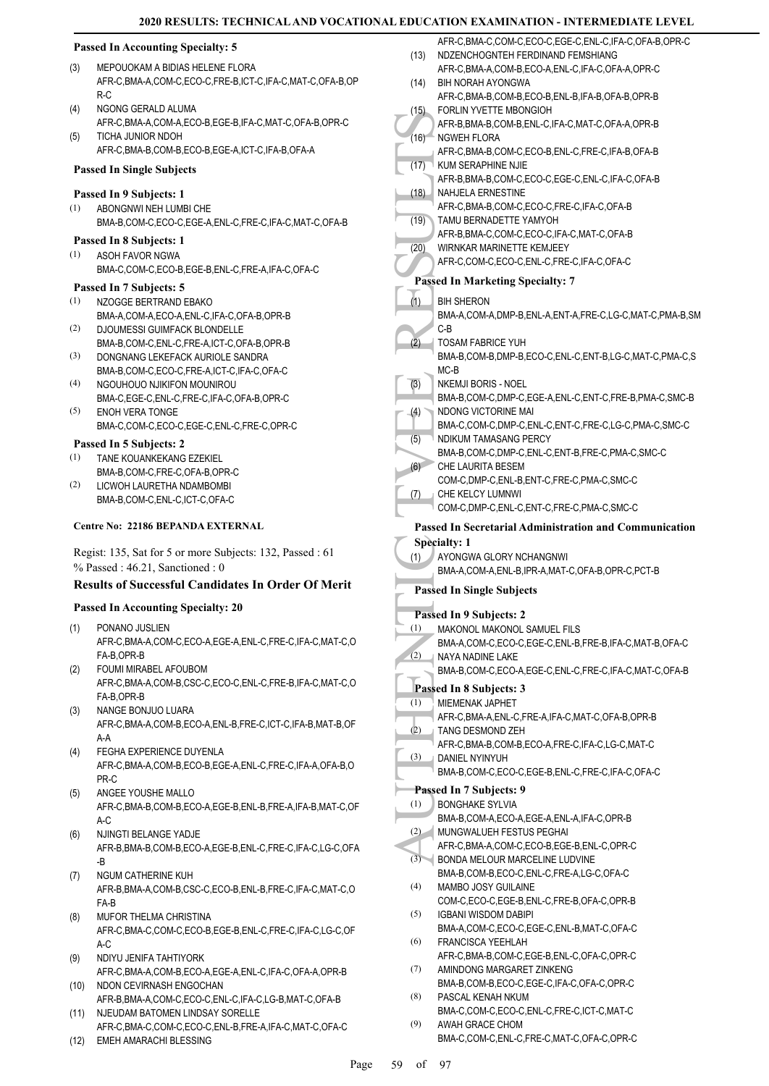# **2020 RESULTS: INTERMEDIATE LEVEL**

|      | <b>2020 RESULTS: TECHNICAL AND VOCATIONAL EDUCATION EXAM</b>                            |          |                                          |
|------|-----------------------------------------------------------------------------------------|----------|------------------------------------------|
|      | <b>Passed In Accounting Specialty: 5</b>                                                |          | AFR-C, BMA-C, CC                         |
| (3)  | MEPOUOKAM A BIDIAS HELENE FLORA                                                         | (13)     | NDZENCHOGNTE<br>AFR-C, BMA-A, CC         |
|      | AFR-C, BMA-A, COM-C, ECO-C, FRE-B, ICT-C, IFA-C, MAT-C, OFA-B, OP                       | (14)     | <b>BIH NORAH AYOI</b>                    |
|      | $R-C$                                                                                   |          | AFR-C,BMA-B,CC                           |
| (4)  | NGONG GERALD ALUMA                                                                      | (15)     | <b>FORLIN YVETTE</b>                     |
|      | AFR-C, BMA-A, COM-A, ECO-B, EGE-B, IFA-C, MAT-C, OFA-B, OPR-C                           |          | AFR-B, BMA-B, CO                         |
| (5)  | TICHA JUNIOR NDOH                                                                       | (16)     | NGWEH FLORA                              |
|      | AFR-C, BMA-B, COM-B, ECO-B, EGE-A, ICT-C, IFA-B, OFA-A                                  |          | AFR-C, BMA-B, CC                         |
|      | <b>Passed In Single Subjects</b>                                                        | (17)     | <b>KUM SERAPHINE</b>                     |
|      | Passed In 9 Subjects: 1                                                                 | (18)     | AFR-B, BMA-B, CO<br><b>NAHJELA ERNES</b> |
| (1)  | ABONGNWI NEH LUMBI CHE                                                                  |          | AFR-C, BMA-B, CC                         |
|      | BMA-B,COM-C,ECO-C,EGE-A,ENL-C,FRE-C,IFA-C,MAT-C,OFA-B                                   | (19)     | TAMU BERNADE                             |
|      | Passed In 8 Subjects: 1                                                                 |          | AFR-B, BMA-C, CC                         |
| (1)  | ASOH FAVOR NGWA                                                                         | (20)     | <b>WIRNKAR MARIN</b>                     |
|      | BMA-C,COM-C,ECO-B,EGE-B,ENL-C,FRE-A,IFA-C,OFA-C                                         |          | AFR-C,COM-C,EC                           |
|      | Passed In 7 Subjects: 5                                                                 |          | <b>Passed In Marketii</b>                |
| (1)  | NZOGGE BERTRAND EBAKO                                                                   | (1)      | <b>BIH SHERON</b>                        |
|      | BMA-A,COM-A,ECO-A,ENL-C,IFA-C,OFA-B,OPR-B                                               |          | BMA-A,COM-A,DN                           |
| (2)  | DJOUMESSI GUIMFACK BLONDELLE                                                            |          | $C-B$                                    |
|      | BMA-B,COM-C,ENL-C,FRE-A,ICT-C,OFA-B,OPR-B                                               | (2)      | <b>TOSAM FABRICE</b>                     |
| (3)  | DONGNANG LEKEFACK AURIOLE SANDRA                                                        |          | BMA-B,COM-B,DN                           |
|      | BMA-B,COM-C,ECO-C,FRE-A,ICT-C,IFA-C,OFA-C                                               |          | $MC-B$                                   |
| (4)  | NGOUHOUO NJIKIFON MOUNIROU                                                              | (3)      | NKEMJI BORIS - I                         |
|      | BMA-C,EGE-C,ENL-C,FRE-C,IFA-C,OFA-B,OPR-C                                               |          | BMA-B,COM-C,DI                           |
| (5)  | <b>ENOH VERA TONGE</b>                                                                  | $^{(4)}$ | NDONG VICTORI<br>BMA-C,COM-C,DI          |
|      | BMA-C,COM-C,ECO-C,EGE-C,ENL-C,FRE-C,OPR-C                                               | (5)      | <b>NDIKUM TAMASA</b>                     |
|      | Passed In 5 Subjects: 2                                                                 |          | BMA-B,COM-C,DI                           |
| (1)  | TANE KOUANKEKANG EZEKIEL                                                                | (6)      | <b>CHE LAURITA BE</b>                    |
| (2)  | BMA-B,COM-C,FRE-C,OFA-B,OPR-C<br>LICWOH LAURETHA NDAMBOMBI                              |          | COM-C, DMP-C, EI                         |
|      | BMA-B,COM-C,ENL-C,ICT-C,OFA-C                                                           | (7)      | CHE KELCY LUM                            |
|      |                                                                                         |          | COM-C, DMP-C, EI                         |
|      | Centre No: 22186 BEPANDA EXTERNAL                                                       |          | <b>Passed In Secretar</b>                |
|      | Regist: 135, Sat for 5 or more Subjects: 132, Passed: 61                                |          | <b>Specialty: 1</b>                      |
|      | $%$ Passed: 46.21, Sanctioned: 0                                                        | (1)      | AYONGWA GLOF                             |
|      | <b>Results of Successful Candidates In Order Of Merit</b>                               |          | BMA-A,COM-A,EN                           |
|      |                                                                                         |          | Passed In Single Su                      |
|      | <b>Passed In Accounting Specialty: 20</b>                                               |          | Passed In 9 Subjec                       |
| (1)  | PONANO JUSLIEN                                                                          | (1)      | MAKONOL MAKO                             |
|      | AFR-C.BMA-A.COM-C.ECO-A.EGE-A.ENL-C.FRE-C.IFA-C.MAT-C.O                                 |          | BMA-A,COM-C,EO                           |
|      | FA-B, OPR-B<br>FOUMI MIRABEL AFOUBOM                                                    | (2)      | NAYA NADINE LA                           |
| (2)  | AFR-C, BMA-A, COM-B, CSC-C, ECO-C, ENL-C, FRE-B, IFA-C, MAT-C, O                        |          | BMA-B,COM-C,EO                           |
|      | FA-B, OPR-B                                                                             |          | Passed In 8 Subjec                       |
| (3)  | NANGE BONJUO LUARA                                                                      | (1)      | <b>MIEMENAK JAPH</b>                     |
|      | AFR-C, BMA-A, COM-B, ECO-A, ENL-B, FRE-C, ICT-C, IFA-B, MAT-B, OF                       |          | AFR-C, BMA-A, EN                         |
|      |                                                                                         |          |                                          |
| (4)  | A-A                                                                                     | (2)      | <b>TANG DESMOND</b>                      |
|      | FEGHA EXPERIENCE DUYENLA                                                                |          | AFR-C, BMA-B, CC                         |
|      | AFR-C,BMA-A,COM-B,ECO-B,EGE-A,ENL-C,FRE-C,IFA-A,OFA-B,O                                 | (3)      | DANIEL NYINYUH                           |
|      | PR-C                                                                                    |          | BMA-B,COM-C,EO                           |
| (5)  | ANGEE YOUSHE MALLO                                                                      |          | Passed In 7 Subjec                       |
|      | AFR-C, BMA-B, COM-B, ECO-A, EGE-B, ENL-B, FRE-A, IFA-B, MAT-C, OF                       | (1)      | <b>BONGHAKE SYLV</b>                     |
|      | A-C                                                                                     | (2)      | BMA-B,COM-A,EC                           |
| (6)  | NJINGTI BELANGE YADJE                                                                   |          | MUNGWALUEH F<br>AFR-C, BMA-A, CC         |
|      | AFR-B, BMA-B, COM-B, ECO-A, EGE-B, ENL-C, FRE-C, IFA-C, LG-C, OFA<br>-В                 | (3)      | <b>BONDA MELOUR</b>                      |
| (7)  | NGUM CATHERINE KUH                                                                      |          | BMA-B,COM-B,EC                           |
|      | AFR-B, BMA-A, COM-B, CSC-C, ECO-B, ENL-B, FRE-C, IFA-C, MAT-C, O                        | (4)      | MAMBO JOSY GL                            |
|      | FA-B                                                                                    |          | COM-C,ECO-C,EO                           |
| (8)  | MUFOR THELMA CHRISTINA                                                                  | (5)      | <b>IGBANI WISDOM</b>                     |
|      | AFR-C,BMA-C,COM-C,ECO-B,EGE-B,ENL-C,FRE-C,IFA-C,LG-C,OF                                 |          | BMA-A,COM-C,EO                           |
|      | A-C                                                                                     | (6)      | <b>FRANCISCA YEE</b>                     |
| (9)  | NDIYU JENIFA TAHTIYORK                                                                  | (7)      | AFR-C,BMA-B,CC                           |
|      | AFR-C, BMA-A, COM-B, ECO-A, EGE-A, ENL-C, IFA-C, OFA-A, OPR-B                           |          | AMINDONG MAR<br>BMA-B,COM-B,EC           |
| (10) | NDON CEVIRNASH ENGOCHAN<br>AFR-B, BMA-A, COM-C, ECO-C, ENL-C, IFA-C, LG-B, MAT-C, OFA-B | (8)      | PASCAL KENAH I                           |

AFR-C,BMA-C,COM-C,ECO-C,ENL-B,FRE-A,IFA-C,MAT-C,OFA-C (12) EMEH AMARACHI BLESSING

|      | AFR-C,BMA-C,COM-C,ECO-C,EGE-C,ENL-C,IFA-C,OFA-B,OPR-C         |
|------|---------------------------------------------------------------|
| (13) | NDZENCHOGNTEH FERDINAND FEMSHIANG                             |
|      | AFR-C,BMA-A,COM-B,ECO-A,ENL-C,IFA-C,OFA-A,OPR-C               |
| (14) | BIH NORAH AYONGWA                                             |
|      | AFR-C, BMA-B, COM-B, ECO-B, ENL-B, IFA-B, OFA-B, OPR-B        |
|      | FORLIN YVETTE MBONGIOH                                        |
| (15) |                                                               |
|      | AFR-B, BMA-B, COM-B, ENL-C, IFA-C, MAT-C, OFA-A, OPR-B        |
| (16) | NGWEH FLORA                                                   |
|      | AFR-C, BMA-B, COM-C, ECO-B, ENL-C, FRE-C, IFA-B, OFA-B        |
| (17) | KUM SERAPHINE NJIE                                            |
|      | AFR-B.BMA-B.COM-C.ECO-C.EGE-C.ENL-C.IFA-C.OFA-B               |
| (18) | <b>NAHJELA ERNESTINE</b>                                      |
|      | AFR-C, BMA-B, COM-C, ECO-C, FRE-C, IFA-C, OFA-B               |
| (19) | TAMU BERNADETTE YAMYOH                                        |
|      | AFR-B, BMA-C, COM-C, ECO-C, IFA-C, MAT-C, OFA-B               |
|      |                                                               |
| (20) | <b>WIRNKAR MARINETTE KEMJEEY</b>                              |
|      | AFR-C,COM-C,ECO-C,ENL-C,FRE-C,IFA-C,OFA-C                     |
|      | <b>Passed In Marketing Specialty: 7</b>                       |
|      |                                                               |
| (1)  | <b>BIH SHERON</b>                                             |
|      | BMA-A,COM-A,DMP-B,ENL-A,ENT-A,FRE-C,LG-C,MAT-C,PMA-B,SM       |
|      | C-B                                                           |
| (2)  | TOSAM FABRICE YUH                                             |
|      | BMA-B,COM-B,DMP-B,ECO-C,ENL-C,ENT-B,LG-C,MAT-C,PMA-C,S        |
|      | $MC-B$                                                        |
| (3)  | NKEMJI BORIS - NOEL                                           |
|      | BMA-B,COM-C,DMP-C,EGE-A,ENL-C,ENT-C,FRE-B,PMA-C,SMC-B         |
|      |                                                               |
| (4)  | NDONG VICTORINE MAI                                           |
|      | BMA-C,COM-C,DMP-C,ENL-C,ENT-C,FRE-C,LG-C,PMA-C,SMC-C          |
| (5)  | NDIKUM TAMASANG PERCY                                         |
|      | BMA-B,COM-C,DMP-C,ENL-C,ENT-B,FRE-C,PMA-C,SMC-C               |
| (6)  | <b>CHE LAURITA BESEM</b>                                      |
|      | COM-C,DMP-C,ENL-B,ENT-C,FRE-C,PMA-C,SMC-C                     |
| (7)  | CHE KELCY LUMNWI                                              |
|      | COM-C,DMP-C,ENL-C,ENT-C,FRE-C,PMA-C,SMC-C                     |
|      |                                                               |
|      | <b>Passed In Secretarial Administration and Communication</b> |
|      |                                                               |
|      | <b>Specialty: 1</b>                                           |
| (1)  | AYONGWA GLORY NCHANGNWI                                       |
|      | BMA-A,COM-A,ENL-B,IPR-A,MAT-C,OFA-B,OPR-C,PCT-B               |
|      |                                                               |
|      | <b>Passed In Single Subjects</b>                              |
|      |                                                               |
|      | Passed In 9 Subjects: 2                                       |
| (1)  | MAKONOL MAKONOL SAMUEL FILS                                   |
|      | BMA-A,COM-C,ECO-C,EGE-C,ENL-B,FRE-B,IFA-C,MAT-B,OFA-C         |
| (2)  | NAYA NADINE LAKE                                              |
|      | BMA-B,COM-C,ECO-A,EGE-C,ENL-C,FRE-C,IFA-C,MAT-C,OFA-B         |
|      |                                                               |
|      | Passed In 8 Subjects: 3                                       |
| (1)  | MIEMENAK JAPHET                                               |
|      | AFR-C, BMA-A, ENL-C, FRE-A, IFA-C, MAT-C, OFA-B, OPR-B        |
| (2)  | TANG DESMOND ZEH                                              |
|      | AFR-C, BMA-B, COM-B, ECO-A, FRE-C, IFA-C, LG-C, MAT-C         |
| (3)  | DANIEL NYINYUH                                                |
|      | BMA-B,COM-C,ECO-C,EGE-B,ENL-C,FRE-C,IFA-C,OFA-C               |
|      |                                                               |
|      | Passed In 7 Subjects: 9                                       |
| (1)  | <b>BONGHAKE SYLVIA</b>                                        |
|      | BMA-B,COM-A,ECO-A,EGE-A,ENL-A,IFA-C,OPR-B                     |
| (2)  | MUNGWALUEH FESTUS PEGHAI                                      |
|      | AFR-C, BMA-A, COM-C, ECO-B, EGE-B, ENL-C, OPR-C               |
| (3)  | BONDA MELOUR MARCELINE LUDVINE                                |
|      | BMA-B,COM-B,ECO-C,ENL-C,FRE-A,LG-C,OFA-C                      |
| (4)  | MAMBO JOSY GUILAINE                                           |
|      | COM-C,ECO-C,EGE-B,ENL-C,FRE-B,OFA-C,OPR-B                     |
| (5)  | <b>IGBANI WISDOM DABIPI</b>                                   |
|      | BMA-A,COM-C,ECO-C,EGE-C,ENL-B,MAT-C,OFA-C                     |
|      |                                                               |
| (6)  | <b>FRANCISCA YEEHLAH</b>                                      |
|      | AFR-C, BMA-B, COM-C, EGE-B, ENL-C, OFA-C, OPR-C               |
| (7)  | AMINDONG MARGARET ZINKENG                                     |
|      | BMA-B,COM-B,ECO-C,EGE-C,IFA-C,OFA-C,OPR-C                     |
| (8)  | PASCAL KENAH NKUM                                             |
|      | BMA-C,COM-C,ECO-C,ENL-C,FRE-C,ICT-C,MAT-C                     |
| (9)  | AWAH GRACE CHOM<br>BMA-C,COM-C,ENL-C,FRE-C,MAT-C,OFA-C,OPR-C  |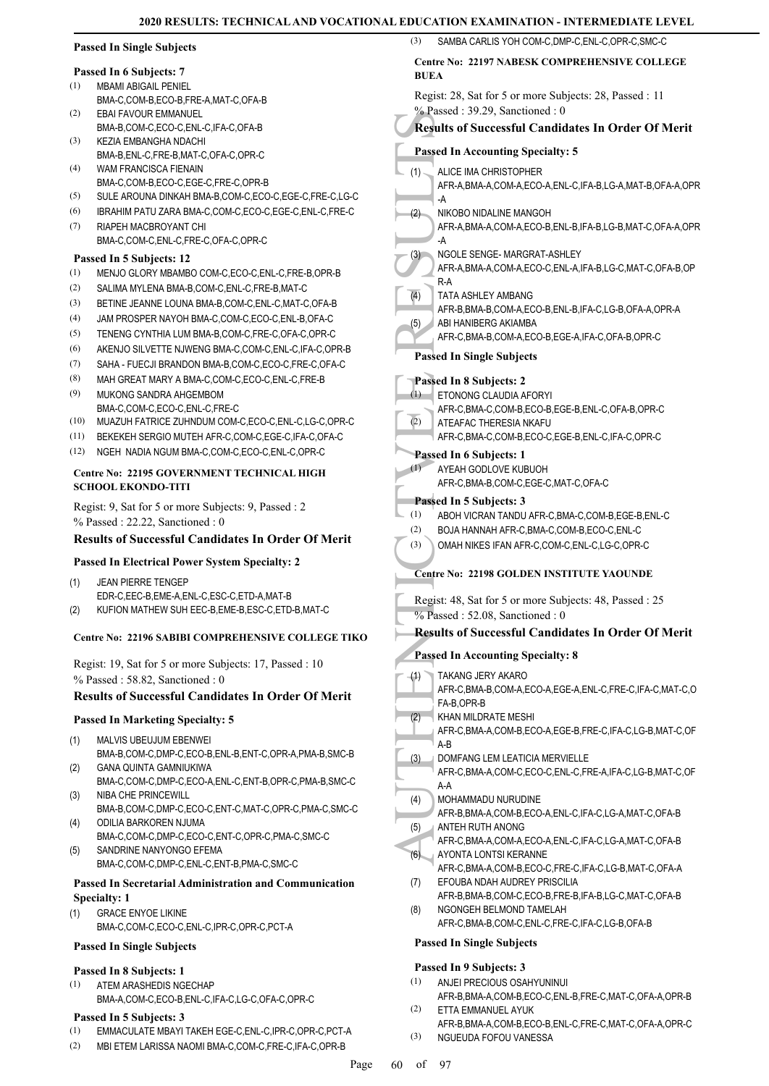| <b>Passed In Single Subjects</b>                                                             | SAMBA CARLIS YOH COM-C, DMP-C, ENL-C, OPR-C, SMC-C<br>(3)                                   |  |  |
|----------------------------------------------------------------------------------------------|---------------------------------------------------------------------------------------------|--|--|
| Passed In 6 Subjects: 7                                                                      | Centre No: 22197 NABESK COMPREHENSIVE COLLEGE                                               |  |  |
| (1)<br><b>MBAMI ABIGAIL PENIEL</b>                                                           | <b>BUEA</b>                                                                                 |  |  |
| BMA-C,COM-B,ECO-B,FRE-A,MAT-C,OFA-B                                                          | Regist: 28, Sat for 5 or more Subjects: 28, Passed : 11                                     |  |  |
| (2)<br>EBAI FAVOUR EMMANUEL                                                                  | $%$ Passed: 39.29, Sanctioned: 0                                                            |  |  |
| BMA-B,COM-C,ECO-C,ENL-C,IFA-C,OFA-B                                                          | <b>Results of Successful Candidates In Order Of Merit</b>                                   |  |  |
| (3)<br>KEZIA EMBANGHA NDACHI                                                                 |                                                                                             |  |  |
| BMA-B, ENL-C, FRE-B, MAT-C, OFA-C, OPR-C                                                     | <b>Passed In Accounting Specialty: 5</b>                                                    |  |  |
| (4)<br>WAM FRANCISCA FIENAIN                                                                 | ALICE IMA CHRISTOPHER<br>(1)                                                                |  |  |
| BMA-C,COM-B,ECO-C,EGE-C,FRE-C,OPR-B                                                          | AFR-A, BMA-A, COM-A, ECO-A, ENL-C, IFA-B, LG-A, MAT-B, OFA-A, OPR                           |  |  |
| SULE AROUNA DINKAH BMA-B,COM-C,ECO-C,EGE-C,FRE-C,LG-C<br>(5)                                 | -A                                                                                          |  |  |
| (6)<br>IBRAHIM PATU ZARA BMA-C,COM-C,ECO-C,EGE-C,ENL-C,FRE-C                                 | (2)<br>NIKOBO NIDALINE MANGOH                                                               |  |  |
| (7)<br>RIAPEH MACBROYANT CHI                                                                 | AFR-A, BMA-A, COM-A, ECO-B, ENL-B, IFA-B, LG-B, MAT-C, OFA-A, OPR                           |  |  |
| BMA-C,COM-C,ENL-C,FRE-C,OFA-C,OPR-C                                                          | -A                                                                                          |  |  |
| Passed In 5 Subjects: 12                                                                     | NGOLE SENGE- MARGRAT-ASHLEY<br>(3)                                                          |  |  |
| (1)<br>MENJO GLORY MBAMBO COM-C,ECO-C,ENL-C,FRE-B,OPR-B                                      | AFR-A, BMA-A, COM-A, ECO-C, ENL-A, IFA-B, LG-C, MAT-C, OFA-B, OP                            |  |  |
| (2)<br>SALIMA MYLENA BMA-B,COM-C,ENL-C,FRE-B,MAT-C                                           | R-A                                                                                         |  |  |
| (3)<br>BETINE JEANNE LOUNA BMA-B,COM-C,ENL-C,MAT-C,OFA-B                                     | $\overline{(4)}$<br>TATA ASHLEY AMBANG                                                      |  |  |
| (4)<br>JAM PROSPER NAYOH BMA-C,COM-C,ECO-C,ENL-B,OFA-C                                       | AFR-B, BMA-B, COM-A, ECO-B, ENL-B, IFA-C, LG-B, OFA-A, OPR-A                                |  |  |
| (5)<br>TENENG CYNTHIA LUM BMA-B,COM-C,FRE-C,OFA-C,OPR-C                                      | ABI HANIBERG AKIAMBA<br>(5)                                                                 |  |  |
| (6)<br>AKENJO SILVETTE NJWENG BMA-C,COM-C,ENL-C,IFA-C,OPR-B                                  | AFR-C, BMA-B, COM-A, ECO-B, EGE-A, IFA-C, OFA-B, OPR-C                                      |  |  |
| (7)<br>SAHA - FUECJI BRANDON BMA-B,COM-C,ECO-C,FRE-C,OFA-C                                   | <b>Passed In Single Subjects</b>                                                            |  |  |
| (8)<br>MAH GREAT MARY A BMA-C,COM-C,ECO-C,ENL-C,FRE-B                                        |                                                                                             |  |  |
| (9)                                                                                          | Passed In 8 Subjects: 2                                                                     |  |  |
| MUKONG SANDRA AHGEMBOM                                                                       | ETONONG CLAUDIA AFORYI<br>(1)                                                               |  |  |
| BMA-C,COM-C,ECO-C,ENL-C,FRE-C<br>MUAZUH FATRICE ZUHNDUM COM-C,ECO-C,ENL-C,LG-C,OPR-C<br>(10) | AFR-C,BMA-C,COM-B,ECO-B,EGE-B,ENL-C,OFA-B,OPR-C<br>(2)<br>ATEAFAC THERESIA NKAFU            |  |  |
|                                                                                              |                                                                                             |  |  |
| (11)<br>BEKEKEH SERGIO MUTEH AFR-C,COM-C,EGE-C,IFA-C,OFA-C                                   | AFR-C, BMA-C, COM-B, ECO-C, EGE-B, ENL-C, IFA-C, OPR-C                                      |  |  |
| (12)<br>NGEH NADIA NGUM BMA-C,COM-C,ECO-C,ENL-C,OPR-C                                        | Passed In 6 Subjects: 1                                                                     |  |  |
| Centre No: 22195 GOVERNMENT TECHNICAL HIGH                                                   | (1)<br>AYEAH GODLOVE KUBUOH                                                                 |  |  |
| <b>SCHOOL EKONDO-TITI</b>                                                                    | AFR-C, BMA-B, COM-C, EGE-C, MAT-C, OFA-C                                                    |  |  |
| Regist: 9, Sat for 5 or more Subjects: 9, Passed : 2                                         | Passed In 5 Subjects: 3                                                                     |  |  |
| % Passed: 22.22, Sanctioned: 0                                                               | (1)<br>ABOH VICRAN TANDU AFR-C, BMA-C, COM-B, EGE-B, ENL-C                                  |  |  |
| <b>Results of Successful Candidates In Order Of Merit</b>                                    | BOJA HANNAH AFR-C, BMA-C, COM-B, ECO-C, ENL-C<br>(2)                                        |  |  |
|                                                                                              | (3)<br>OMAH NIKES IFAN AFR-C,COM-C,ENL-C,LG-C,OPR-C                                         |  |  |
| Passed In Electrical Power System Specialty: 2                                               |                                                                                             |  |  |
| <b>JEAN PIERRE TENGEP</b><br>(1)                                                             | <b>Centre No: 22198 GOLDEN INSTITUTE YAOUNDE</b>                                            |  |  |
| EDR-C,EEC-B,EME-A,ENL-C,ESC-C,ETD-A,MAT-B                                                    |                                                                                             |  |  |
| KUFION MATHEW SUH EEC-B, EME-B, ESC-C, ETD-B, MAT-C<br>(2)                                   | Regist: 48, Sat for 5 or more Subjects: 48, Passed : 25                                     |  |  |
|                                                                                              | $\%$ Passed: 52.08, Sanctioned: 0                                                           |  |  |
| Centre No: 22196 SABIBI COMPREHENSIVE COLLEGE TIKO                                           | <b>Results of Successful Candidates In Order Of Merit</b>                                   |  |  |
| Regist: 19, Sat for 5 or more Subjects: 17, Passed : 10                                      | <b>Passed In Accounting Specialty: 8</b>                                                    |  |  |
| % Passed: 58.82, Sanctioned: 0                                                               | <b>TAKANG JERY AKARO</b><br>(1)                                                             |  |  |
|                                                                                              | AFR-C, BMA-B, COM-A, ECO-A, EGE-A, ENL-C, FRE-C, IFA-C, MAT-C, O                            |  |  |
| <b>Results of Successful Candidates In Order Of Merit</b>                                    | FA-B, OPR-B                                                                                 |  |  |
| <b>Passed In Marketing Specialty: 5</b>                                                      | KHAN MILDRATE MESHI<br>(2)                                                                  |  |  |
|                                                                                              | AFR-C, BMA-A, COM-B, ECO-A, EGE-B, FRE-C, IFA-C, LG-B, MAT-C, OF                            |  |  |
| MALVIS UBEUJUM EBENWEI<br>(1)                                                                | A-B                                                                                         |  |  |
| BMA-B,COM-C,DMP-C,ECO-B,ENL-B,ENT-C,OPR-A,PMA-B,SMC-B<br><b>GANA QUINTA GAMNIUKIWA</b>       | DOMFANG LEM LEATICIA MERVIELLE<br>(3)                                                       |  |  |
| (2)<br>BMA-C,COM-C,DMP-C,ECO-A,ENL-C,ENT-B,OPR-C,PMA-B,SMC-C                                 | AFR-C, BMA-A, COM-C, ECO-C, ENL-C, FRE-A, IFA-C, LG-B, MAT-C, OF                            |  |  |
| NIBA CHE PRINCEWILL<br>(3)                                                                   | A-A                                                                                         |  |  |
| BMA-B,COM-C,DMP-C,ECO-C,ENT-C,MAT-C,OPR-C,PMA-C,SMC-C                                        | MOHAMMADU NURUDINE<br>(4)                                                                   |  |  |
| ODILIA BARKOREN NJUMA<br>(4)                                                                 | AFR-B, BMA-A, COM-B, ECO-A, ENL-C, IFA-C, LG-A, MAT-C, OFA-B                                |  |  |
| BMA-C,COM-C,DMP-C,ECO-C,ENT-C,OPR-C,PMA-C,SMC-C                                              | (5)<br>ANTEH RUTH ANONG                                                                     |  |  |
| SANDRINE NANYONGO EFEMA<br>(5)                                                               | AFR-C, BMA-A, COM-A, ECO-A, ENL-C, IFA-C, LG-A, MAT-C, OFA-B                                |  |  |
| BMA-C,COM-C,DMP-C,ENL-C,ENT-B,PMA-C,SMC-C                                                    | (6)<br>AYONTA LONTSI KERANNE                                                                |  |  |
| Passed In Secretarial Administration and Communication                                       | AFR-C,BMA-A,COM-B,ECO-C,FRE-C,IFA-C,LG-B,MAT-C,OFA-A<br>EFOUBA NDAH AUDREY PRISCILIA<br>(7) |  |  |
|                                                                                              | AFR-B, BMA-B, COM-C, ECO-B, FRE-B, IFA-B, LG-C, MAT-C, OFA-B                                |  |  |
| <b>Specialty: 1</b>                                                                          | NGONGEH BELMOND TAMELAH<br>(8)                                                              |  |  |
| <b>GRACE ENYOE LIKINE</b><br>(1)<br>BMA-C,COM-C,ECO-C,ENL-C,IPR-C,OPR-C,PCT-A                | AFR-C, BMA-B, COM-C, ENL-C, FRE-C, IFA-C, LG-B, OFA-B                                       |  |  |
|                                                                                              |                                                                                             |  |  |
| <b>Passed In Single Subjects</b>                                                             | <b>Passed In Single Subjects</b>                                                            |  |  |
| Passed In 8 Subjects: 1                                                                      | Passed In 9 Subjects: 3                                                                     |  |  |
| (1)<br>ATEM ARASHEDIS NGECHAP                                                                | (1)<br>ANJEI PRECIOUS OSAHYUNINUI                                                           |  |  |
| BMA-A,COM-C,ECO-B,ENL-C,IFA-C,LG-C,OFA-C,OPR-C                                               | AFR-B, BMA-A, COM-B, ECO-C, ENL-B, FRE-C, MAT-C, OFA-A, OPR-B                               |  |  |

**Passed In 5 Subjects: 3** (1) EMMACULATE MBAYI TAKEH EGE-C,ENL-C,IPR-C,OPR-C,PCT-A

- 
- (2) MBI ETEM LARISSA NAOMI BMA-C,COM-C,FRE-C,IFA-C,OPR-B

ETTA EMMANUEL AYUK (2)

(3) NGUEUDA FOFOU VANESSA

AFR-B,BMA-A,COM-B,ECO-B,ENL-C,FRE-C,MAT-C,OFA-A,OPR-C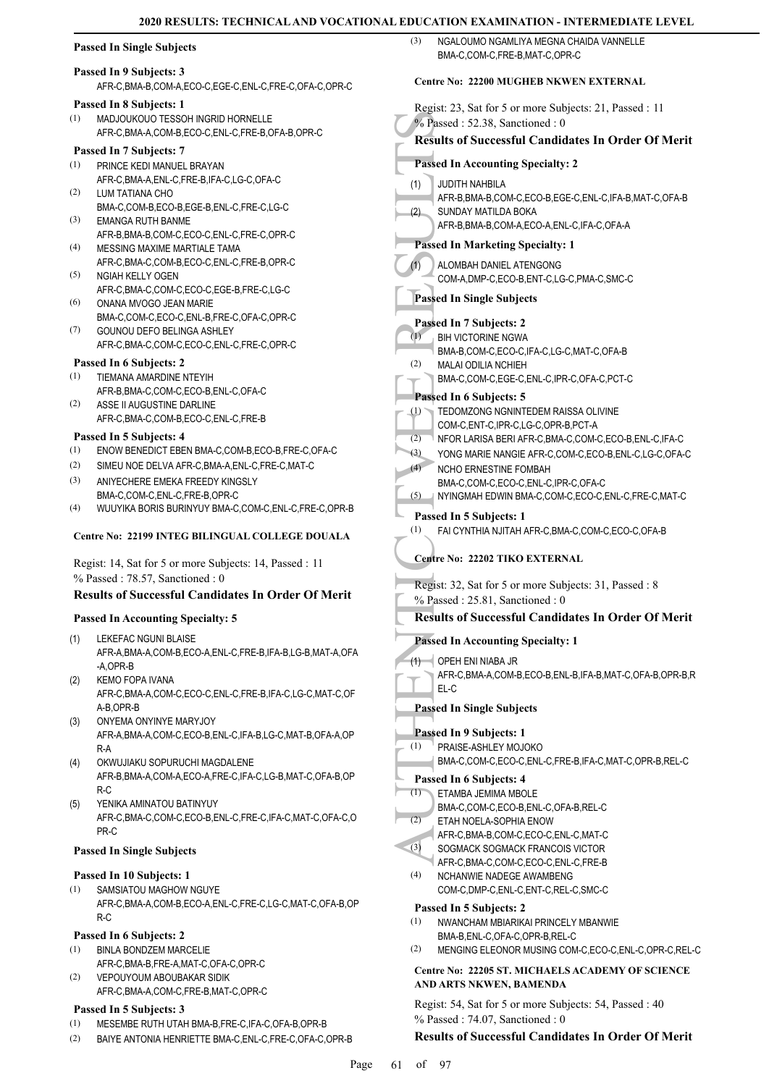# **Passed In Single Subjects**

#### **Passed In 9 Subjects: 3**

AFR-C,BMA-B,COM-A,ECO-C,EGE-C,ENL-C,FRE-C,OFA-C,OPR-C

# **Passed In 8 Subjects: 1**

MADJOUKOUO TESSOH INGRID HORNELLE AFR-C,BMA-A,COM-B,ECO-C,ENL-C,FRE-B,OFA-B,OPR-C (1)

# **Passed In 7 Subjects: 7**

- PRINCE KEDI MANUEL BRAYAN AFR-C,BMA-A,ENL-C,FRE-B,IFA-C,LG-C,OFA-C (1)
- LUM TATIANA CHO BMA-C,COM-B,ECO-B,EGE-B,ENL-C,FRE-C,LG-C (2) EMANGA RUTH BANME (3)
- AFR-B,BMA-B,COM-C,ECO-C,ENL-C,FRE-C,OPR-C MESSING MAXIME MARTIALE TAMA  $(4)$
- AFR-C,BMA-C,COM-B,ECO-C,ENL-C,FRE-B,OPR-C NGIAH KELLY OGEN (5)
- AFR-C,BMA-C,COM-C,ECO-C,EGE-B,FRE-C,LG-C ONANA MVOGO JEAN MARIE (6)
- BMA-C,COM-C,ECO-C,ENL-B,FRE-C,OFA-C,OPR-C (7)
- GOUNOU DEFO BELINGA ASHLEY AFR-C,BMA-C,COM-C,ECO-C,ENL-C,FRE-C,OPR-C

# **Passed In 6 Subjects: 2**

- TIEMANA AMARDINE NTEYIH AFR-B,BMA-C,COM-C,ECO-B,ENL-C,OFA-C (1)
- ASSE II AUGUSTINE DARLINE AFR-C,BMA-C,COM-B,ECO-C,ENL-C,FRE-B (2)

#### **Passed In 5 Subjects: 4**

- (1) ENOW BENEDICT EBEN BMA-C,COM-B,ECO-B,FRE-C,OFA-C
- (2) SIMEU NOE DELVA AFR-C,BMA-A,ENL-C,FRE-C,MAT-C
- ANIYECHERE EMEKA FREEDY KINGSLY BMA-C,COM-C,ENL-C,FRE-B,OPR-C (3)
- (4) WUUYIKA BORIS BURINYUY BMA-C,COM-C,ENL-C,FRE-C,OPR-B

# **Centre No: 22199 INTEG BILINGUAL COLLEGE DOUALA**

Regist: 14, Sat for 5 or more Subjects: 14, Passed : 11 % Passed : 78.57, Sanctioned : 0

# **Results of Successful Candidates In Order Of Merit**

# **Passed In Accounting Specialty: 5**

- LEKEFAC NGUNI BLAISE AFR-A,BMA-A,COM-B,ECO-A,ENL-C,FRE-B,IFA-B,LG-B,MAT-A,OFA -A,OPR-B (1)
- KEMO FOPA IVANA AFR-C,BMA-A,COM-C,ECO-C,ENL-C,FRE-B,IFA-C,LG-C,MAT-C,OF A-B,OPR-B (2)
- ONYEMA ONYINYE MARYJOY AFR-A,BMA-A,COM-C,ECO-B,ENL-C,IFA-B,LG-C,MAT-B,OFA-A,OP R-A (3)
- OKWUJIAKU SOPURUCHI MAGDALENE AFR-B,BMA-A,COM-A,ECO-A,FRE-C,IFA-C,LG-B,MAT-C,OFA-B,OP R-C (4)
- YENIKA AMINATOU BATINYUY AFR-C,BMA-C,COM-C,ECO-B,ENL-C,FRE-C,IFA-C,MAT-C,OFA-C,O PR-C (5)

#### **Passed In Single Subjects**

#### **Passed In 10 Subjects: 1**

SAMSIATOU MAGHOW NGUYE AFR-C,BMA-A,COM-B,ECO-A,ENL-C,FRE-C,LG-C,MAT-C,OFA-B,OP R-C (1)

#### **Passed In 6 Subjects: 2**

- BINLA BONDZEM MARCELIE AFR-C,BMA-B,FRE-A,MAT-C,OFA-C,OPR-C (1)
- VEPOUYOUM ABOUBAKAR SIDIK (2)
- AFR-C,BMA-A,COM-C,FRE-B,MAT-C,OPR-C **Passed In 5 Subjects: 3**
- (1) MESEMBE RUTH UTAH BMA-B,FRE-C,IFA-C,OFA-B,OPR-B
- (2) BAIYE ANTONIA HENRIETTE BMA-C,ENL-C,FRE-C,OFA-C,OPR-B

NGALOUMO NGAMLIYA MEGNA CHAIDA VANNELLE BMA-C,COM-C,FRE-B,MAT-C,OPR-C  $(3)$ 

#### **Centre No: 22200 MUGHEB NKWEN EXTERNAL**

Ve Passed In ALOMB<br>
(1) JUDITH<br>
(2) SUNDA<br>
AFR-B, SUNDA<br>
AFR-B, SUNDA<br>
AFR-B, SUNDA<br>
AFR-B, Passed In 1<br>
(1) ALOMB<br>
COM-A<br>
Passed In 1<br>
BIH VIC BIH VIC BOM-A<br>
Passed In 1<br>
(1) TEDOM-C<br>
(2) NALAI MA-B, MALAI BIMA-C, MALAI B Regist: 23, Sat for 5 or more Subjects: 21, Passed : 11 % Passed : 52.38, Sanctioned : 0 **Results of Successful Candidates In Order Of Merit Passed In Accounting Specialty: 2** JUDITH NAHBILA AFR-B,BMA-B,COM-C,ECO-B,EGE-C,ENL-C,IFA-B,MAT-C,OFA-B (1) SUNDAY MATILDA BOKA AFR-B,BMA-B,COM-A,ECO-A,ENL-C,IFA-C,OFA-A (2) **Passed In Marketing Specialty: 1** ALOMBAH DANIEL ATENGONG COM-A,DMP-C,ECO-B,ENT-C,LG-C,PMA-C,SMC-C (1) **Passed In Single Subjects Passed In 7 Subjects: 2** BIH VICTORINE NGWA BMA-B,COM-C,ECO-C,IFA-C,LG-C,MAT-C,OFA-B (1) MALAI ODILIA NCHIEH BMA-C,COM-C,EGE-C,ENL-C,IPR-C,OFA-C,PCT-C (2) **Passed In 6 Subjects: 5** TEDOMZONG NGNINTEDEM RAISSA OLIVINE COM-C,ENT-C,IPR-C,LG-C,OPR-B,PCT-A (1) (2) NFOR LARISA BERI AFR-C,BMA-C,COM-C,ECO-B,ENL-C,IFA-C (3) YONG MARIE NANGIE AFR-C,COM-C,ECO-B,ENL-C,LG-C,OFA-C NCHO ERNESTINE FOMBAH BMA-C,COM-C,ECO-C,ENL-C,IPR-C,OFA-C  $(4)$ (5) NYINGMAH EDWIN BMA-C,COM-C,ECO-C,ENL-C,FRE-C,MAT-C **Passed In 5 Subjects: 1** (1) FAI CYNTHIA NJITAH AFR-C,BMA-C,COM-C,ECO-C,OFA-B **Centre No: 22202 TIKO EXTERNAL**  Regist: 32, Sat for 5 or more Subjects: 31, Passed : 8 % Passed : 25.81, Sanctioned : 0 **Results of Successful Candidates In Order Of Merit Passed In Accounting Specialty: 1**  $\overline{\phantom{a}}$  opeh eni niaba jr AFR-C,BMA-A,COM-B,ECO-B,ENL-B,IFA-B,MAT-C,OFA-B,OPR-B,R EL-C (1) **Passed In Single Subjects Passed In 9 Subjects: 1** PRAISE-ASHLEY MOJOKO BMA-C,COM-C,ECO-C,ENL-C,FRE-B,IFA-C,MAT-C,OPR-B,REL-C (1) **Passed In 6 Subjects: 4** ETAMBA JEMIMA MBOLE BMA-C,COM-C,ECO-B,ENL-C,OFA-B,REL-C (1) ETAH NOELA-SOPHIA ENOW AFR-C,BMA-B,COM-C,ECO-C,ENL-C,MAT-C  $(2)$ SOGMACK SOGMACK FRANCOIS VICTOR AFR-C, BMA-C, COM-C, ECO-C, ENL-C, ERE-B (3) NCHANWIE NADEGE AWAMBENG COM-C,DMP-C,ENL-C,ENT-C,REL-C,SMC-C (4) **Passed In 5 Subjects: 2** NWANCHAM MBIARIKAI PRINCELY MBANWIE BMA-B,ENL-C,OFA-C,OPR-B,REL-C (1) (2) MENGING ELEONOR MUSING COM-C,ECO-C,ENL-C,OPR-C,REL-C **Centre No: 22205 ST. MICHAELS ACADEMY OF SCIENCE AND ARTS NKWEN, BAMENDA**  Regist: 54, Sat for 5 or more Subjects: 54, Passed : 40

% Passed : 74.07, Sanctioned : 0

# **Results of Successful Candidates In Order Of Merit**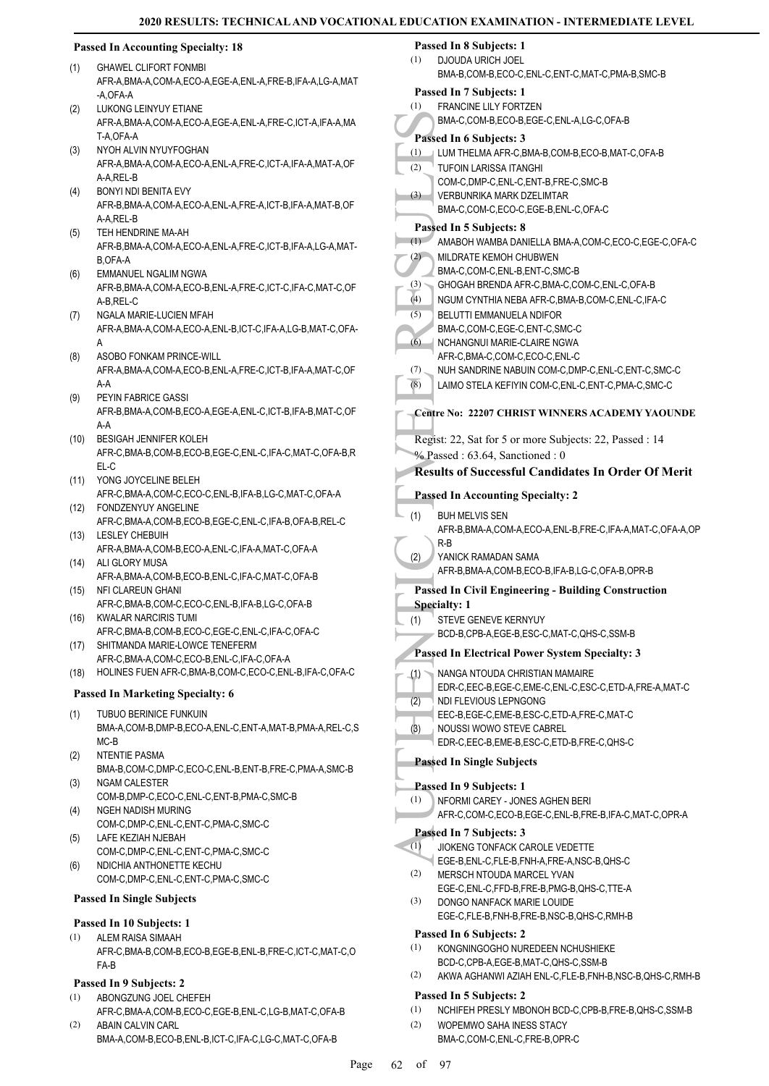# **Passed In Accounting Specialty: 18**

- GHAWEL CLIFORT FONMBI AFR-A,BMA-A,COM-A,ECO-A,EGE-A,ENL-A,FRE-B,IFA-A,LG-A,MAT -A OFA-A (1)
- LUKONG LEINYUY ETIANE AFR-A,BMA-A,COM-A,ECO-A,EGE-A,ENL-A,FRE-C,ICT-A,IFA-A,MA T-A OFA-A  $(2)$
- NYOH ALVIN NYUYFOGHAN AFR-A,BMA-A,COM-A,ECO-A,ENL-A,FRE-C,ICT-A,IFA-A,MAT-A,OF A-A,REL-B (3)
- BONYI NDI BENITA EVY AFR-B,BMA-A,COM-A,ECO-A,ENL-A,FRE-A,ICT-B,IFA-A,MAT-B,OF A-A RFL-B (4)
- TEH HENDRINE MA-AH AFR-B,BMA-A,COM-A,ECO-A,ENL-A,FRE-C,ICT-B,IFA-A,LG-A,MAT-B,OFA-A (5)
- EMMANUEL NGALIM NGWA AFR-B,BMA-A,COM-A,ECO-B,ENL-A,FRE-C,ICT-C,IFA-C,MAT-C,OF A-B,REL-C (6)
- NGALA MARIE-LUCIEN MFAH AFR-A,BMA-A,COM-A,ECO-A,ENL-B,ICT-C,IFA-A,LG-B,MAT-C,OFA-A (7)
- ASOBO FONKAM PRINCE-WILL AFR-A,BMA-A,COM-A,ECO-B,ENL-A,FRE-C,ICT-B,IFA-A,MAT-C,OF A-A (8)
- PEYIN FABRICE GASSI AFR-B,BMA-A,COM-B,ECO-A,EGE-A,ENL-C,ICT-B,IFA-B,MAT-C,OF A-A (9)
- BESIGAH JENNIFER KOLEH AFR-C,BMA-B,COM-B,ECO-B,EGE-C,ENL-C,IFA-C,MAT-C,OFA-B,R EL-C  $(10)$
- YONG JOYCELINE BELEH (11) AFR-C,BMA-A,COM-C,ECO-C,ENL-B,IFA-B,LG-C,MAT-C,OFA-A
- FONDZENYUY ANGELINE AFR-C,BMA-A,COM-B,ECO-B,EGE-C,ENL-C,IFA-B,OFA-B,REL-C (12)
- LESLEY CHEBUIH AFR-A,BMA-A,COM-B,ECO-A,ENL-C,IFA-A,MAT-C,OFA-A (13)
- (14) ALI GLORY MUSA
- AFR-A,BMA-A,COM-B,ECO-B,ENL-C,IFA-C,MAT-C,OFA-B NFI CLAREUN GHANI AFR-C,BMA-B,COM-C,ECO-C,ENL-B,IFA-B,LG-C,OFA-B (15)
- KWALAR NARCIRIS TUMI (16)
- AFR-C,BMA-B,COM-B,ECO-C,EGE-C,ENL-C,IFA-C,OFA-C (17) SHITMANDA MARIE-LOWCE TENEFERM
- AFR-C,BMA-A,COM-C,ECO-B,ENL-C,IFA-C,OFA-A (18) HOLINES FUEN AFR-C,BMA-B,COM-C,ECO-C,ENL-B,IFA-C,OFA-C

# **Passed In Marketing Specialty: 6**

- TUBUO BERINICE FUNKUIN BMA-A,COM-B,DMP-B,ECO-A,ENL-C,ENT-A,MAT-B,PMA-A,REL-C,S MC-B (1)
- NTENTIE PASMA BMA-B,COM-C,DMP-C,ECO-C,ENL-B,ENT-B,FRE-C,PMA-A,SMC-B (2) NGAM CALESTER (3)
- COM-B,DMP-C,ECO-C,ENL-C,ENT-B,PMA-C,SMC-B NGEH NADISH MURING (4)
- COM-C,DMP-C,ENL-C,ENT-C,PMA-C,SMC-C LAFE KEZIAH NJEBAH (5)
- COM-C,DMP-C,ENL-C,ENT-C,PMA-C,SMC-C
- NDICHIA ANTHONETTE KECHU COM-C,DMP-C,ENL-C,ENT-C,PMA-C,SMC-C (6)

# **Passed In Single Subjects**

# **Passed In 10 Subjects: 1**

ALEM RAISA SIMAAH AFR-C,BMA-B,COM-B,ECO-B,EGE-B,ENL-B,FRE-C,ICT-C,MAT-C,O FA-B (1)

# **Passed In 9 Subjects: 2**

- ABONGZUNG JOEL CHEFEH AFR-C,BMA-A,COM-B,ECO-C,EGE-B,ENL-C,LG-B,MAT-C,OFA-B (1)
- ABAIN CALVIN CARL BMA-A,COM-B,ECO-B,ENL-B,ICT-C,IFA-C,LG-C,MAT-C,OFA-B (2)

#### **Passed In 8 Subjects: 1** (1)

- DJOUDA URICH JOEL BMA-B,COM-B,ECO-C,ENL-C,ENT-C,MAT-C,PMA-B,SMC-B
- MA-C,<br>
(1) LUM TH<br>
(2) LUM TH<br>
TUFOIN-C<br>
(3) COM-C<br>
(3) COM-C<br>
(3) AMABC<br>
(2) AMABC<br>
(4) AMABC<br>
(4) AMABC<br>
(4) BMA-C,<br>
G) BELUT<br>
BMA-C,<br>
G) BELUT<br>
BMA-C,<br>
G) RESULT<br>
BMA-C,<br>
CHOCA<br>
MUH SAFR-C,<br>
NUH SAFR-C,<br>
NUH SAFR-C,<br>
NU **Passed In 7 Subjects: 1** FRANCINE LILY FORTZEN BMA-C,COM-B,ECO-B,EGE-C,ENL-A,LG-C,OFA-B (1) **Passed In 6 Subjects: 3** (1) LUM THELMA AFR-C,BMA-B,COM-B,ECO-B,MAT-C,OFA-B TUFOIN LARISSA ITANGHI COM-C,DMP-C,ENL-C,ENT-B,FRE-C,SMC-B (2) VERBUNRIKA MARK DZELIMTAR BMA-C,COM-C,ECO-C,EGE-B,ENL-C,OFA-C (3) **Passed In 5 Subjects: 8** (1) AMABOH WAMBA DANIELLA BMA-A,COM-C,ECO-C,EGE-C,OFA-C MILDRATE KEMOH CHUBWEN BMA-C,COM-C,ENL-B,ENT-C,SMC-B (2) (3) GHOGAH BRENDA AFR-C,BMA-C,COM-C,ENL-C,OFA-B (4) NGUM CYNTHIA NEBA AFR-C,BMA-B,COM-C,ENL-C,IFA-C BELUTTI EMMANUELA NDIFOR BMA-C,COM-C,EGE-C,ENT-C,SMC-C (5) NCHANGNUI MARIE-CLAIRE NGWA AFR-C,BMA-C,COM-C,ECO-C,ENL-C (6) (7) NUH SANDRINE NABUIN COM-C, DMP-C, ENL-C, ENT-C, SMC-C (8) LAIMO STELA KEFIYIN COM-C,ENL-C,ENT-C,PMA-C,SMC-C **Centre No: 22207 CHRIST WINNERS ACADEMY YAOUNDE**  Regist: 22, Sat for 5 or more Subjects: 22, Passed : 14 % Passed : 63.64, Sanctioned : 0 **Results of Successful Candidates In Order Of Merit Passed In Accounting Specialty: 2** BUH MELVIS SEN AFR-B,BMA-A,COM-A,ECO-A,ENL-B,FRE-C,IFA-A,MAT-C,OFA-A,OP R-B (1) YANICK RAMADAN SAMA AFR-B,BMA-A,COM-B,ECO-B,IFA-B,LG-C,OFA-B,OPR-B (2) **Passed In Civil Engineering - Building Construction Specialty: 1** STEVE GENEVE KERNYUY BCD-B,CPB-A,EGE-B,ESC-C,MAT-C,QHS-C,SSM-B (1) **Passed In Electrical Power System Specialty: 3** NANGA NTOUDA CHRISTIAN MAMAIRE EDR-C,EEC-B,EGE-C,EME-C,ENL-C,ESC-C,ETD-A,FRE-A,MAT-C (1) NDI FLEVIOUS LEPNGONG EEC-B,EGE-C,EME-B,ESC-C,ETD-A,FRE-C,MAT-C (2) NOUSSI WOWO STEVE CABREL EDR-C,EEC-B,EME-B,ESC-C,ETD-B,FRE-C,QHS-C (3) **Passed In Single Subjects Passed In 9 Subjects: 1** NFORMI CAREY - JONES AGHEN BERI AFR-C,COM-C,ECO-B,EGE-C,ENL-B,FRE-B,IFA-C,MAT-C,OPR-A (1) **Passed In 7 Subjects: 3** JIOKENG TONFACK CAROLE VEDETTE EGE-B,ENL-C,FLE-B,FNH-A,FRE-A,NSC-B,QHS-C  $\lt(1)$ MERSCH NTOUDA MARCEL YVAN EGE-C,ENL-C,FFD-B,FRE-B,PMG-B,QHS-C,TTE-A (2) DONGO NANFACK MARIE LOUIDE EGE-C,FLE-B,FNH-B,FRE-B,NSC-B,QHS-C,RMH-B (3) **Passed In 6 Subjects: 2** KONGNINGOGHO NUREDEEN NCHUSHIEKE BCD-C,CPB-A,EGE-B,MAT-C,QHS-C,SSM-B (1) (2) AKWA AGHANWI AZIAH ENL-C,FLE-B,FNH-B,NSC-B,QHS-C,RMH-B **Passed In 5 Subjects: 2** (1) NCHIFEH PRESLY MBONOH BCD-C,CPB-B,FRE-B,QHS-C,SSM-B WOPEMWO SAHA INESS STACY (2)
	- BMA-C,COM-C,ENL-C,FRE-B,OPR-C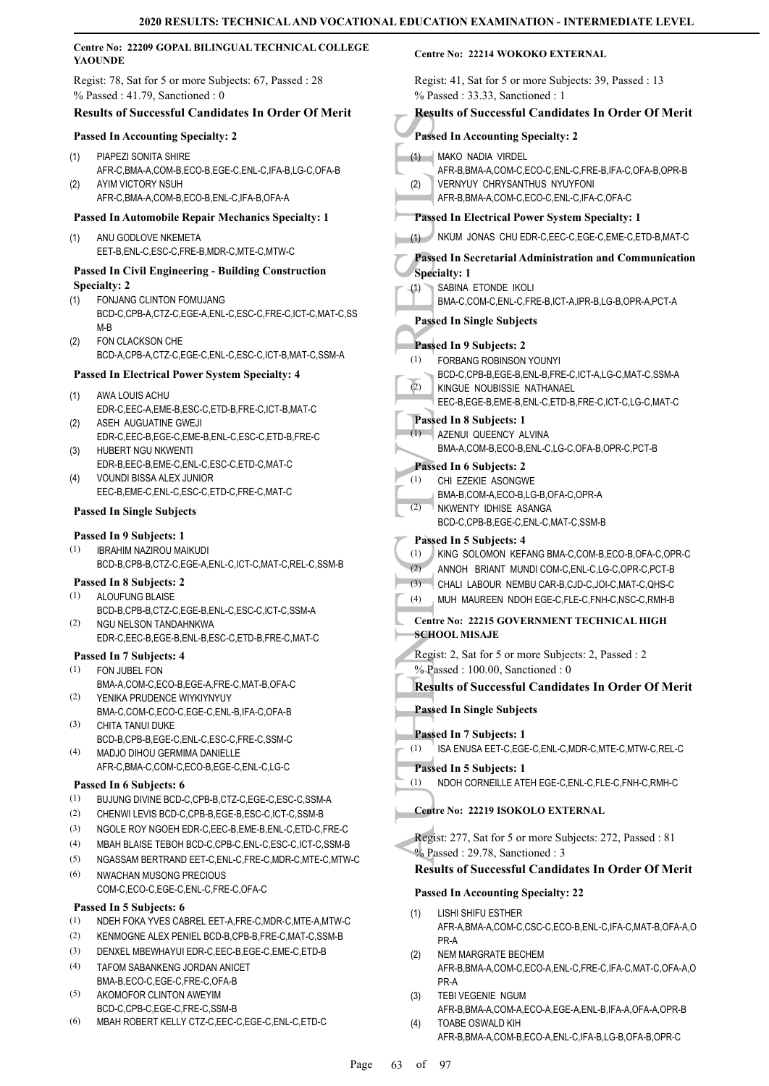|            | Centre No: 22209 GOPAL BILINGUAL TECHNICAL COLLEGE<br><b>YAOUNDE</b>                                                                                                               | <b>Centre No: 22214 WOKOKO EXTERNAL</b>                                                                                                                        |
|------------|------------------------------------------------------------------------------------------------------------------------------------------------------------------------------------|----------------------------------------------------------------------------------------------------------------------------------------------------------------|
|            | Regist: 78, Sat for 5 or more Subjects: 67, Passed: 28<br>$%$ Passed: 41.79, Sanctioned: 0                                                                                         | Regist: 41, Sat for 5 or more Subjects: 39, Passed : 13<br>% Passed: 33.33, Sanctioned: 1                                                                      |
|            | <b>Results of Successful Candidates In Order Of Merit</b>                                                                                                                          | <b>Results of Successful Candidates In Order Of Merit</b>                                                                                                      |
|            | <b>Passed In Accounting Specialty: 2</b>                                                                                                                                           | <b>Passed In Accounting Specialty: 2</b>                                                                                                                       |
| (1)        | PIAPEZI SONITA SHIRE                                                                                                                                                               | MAKO NADIA VIRDEL<br>(1)                                                                                                                                       |
| (2)        | AFR-C,BMA-A,COM-B,ECO-B,EGE-C,ENL-C,IFA-B,LG-C,OFA-B<br>AYIM VICTORY NSUH<br>AFR-C, BMA-A, COM-B, ECO-B, ENL-C, IFA-B, OFA-A                                                       | AFR-B, BMA-A, COM-C, ECO-C, ENL-C, FRE-B, IFA-C, OFA-B, OPR-B<br><b>VERNYUY CHRYSANTHUS NYUYFONI</b><br>(2)<br>AFR-B, BMA-A, COM-C, ECO-C, ENL-C, IFA-C, OFA-C |
|            | <b>Passed In Automobile Repair Mechanics Specialty: 1</b>                                                                                                                          | Passed In Electrical Power System Specialty: 1                                                                                                                 |
| (1)        | ANU GODLOVE NKEMETA<br>EET-B, ENL-C, ESC-C, FRE-B, MDR-C, MTE-C, MTW-C                                                                                                             | NKUM JONAS CHU EDR-C, EEC-C, EGE-C, EME-C, ETD-B, MAT-C<br>(1)<br>Passed In Secretarial Administration and Communication                                       |
| (1)        | <b>Passed In Civil Engineering - Building Construction</b><br><b>Specialty: 2</b><br>FONJANG CLINTON FOMUJANG<br>BCD-C,CPB-A,CTZ-C,EGE-A,ENL-C,ESC-C,FRE-C,ICT-C,MAT-C,SS<br>$M-B$ | <b>Specialty: 1</b><br>SABINA ETONDE IKOLI<br>(1)<br>BMA-C,COM-C,ENL-C,FRE-B,ICT-A,IPR-B,LG-B,OPR-A,PCT-A<br><b>Passed In Single Subjects</b>                  |
| (2)        | FON CLACKSON CHE<br>BCD-A,CPB-A,CTZ-C,EGE-C,ENL-C,ESC-C,ICT-B,MAT-C,SSM-A                                                                                                          | Passed In 9 Subjects: 2<br>FORBANG ROBINSON YOUNYI<br>(1)                                                                                                      |
|            | <b>Passed In Electrical Power System Specialty: 4</b>                                                                                                                              | BCD-C,CPB-B,EGE-B,ENL-B,FRE-C,ICT-A,LG-C,MAT-C,SSM-A                                                                                                           |
| (1)        | AWA LOUIS ACHU<br>EDR-C,EEC-A,EME-B,ESC-C,ETD-B,FRE-C,ICT-B,MAT-C                                                                                                                  | (2)<br>KINGUE NOUBISSIE NATHANAEL<br>EEC-B,EGE-B,EME-B,ENL-C,ETD-B,FRE-C,ICT-C,LG-C,MAT-C                                                                      |
| (2)        | ASEH AUGUATINE GWEJI<br>EDR-C,EEC-B,EGE-C,EME-B,ENL-C,ESC-C,ETD-B,FRE-C                                                                                                            | Passed In 8 Subjects: 1<br>(1)<br>AZENUI QUEENCY ALVINA                                                                                                        |
| (3)        | HUBERT NGU NKWENTI                                                                                                                                                                 | BMA-A,COM-B,ECO-B,ENL-C,LG-C,OFA-B,OPR-C,PCT-B                                                                                                                 |
| (4)        | EDR-B,EEC-B,EME-C,ENL-C,ESC-C,ETD-C,MAT-C<br>VOUNDI BISSA ALEX JUNIOR                                                                                                              | Passed In 6 Subjects: 2<br>(1)<br>CHI EZEKIE ASONGWE                                                                                                           |
|            | EEC-B,EME-C,ENL-C,ESC-C,ETD-C,FRE-C,MAT-C                                                                                                                                          | BMA-B,COM-A,ECO-B,LG-B,OFA-C,OPR-A                                                                                                                             |
|            | <b>Passed In Single Subjects</b>                                                                                                                                                   | (2)<br>NKWENTY IDHISE ASANGA<br>BCD-C,CPB-B,EGE-C,ENL-C,MAT-C,SSM-B                                                                                            |
| (1)        | Passed In 9 Subjects: 1<br><b>IBRAHIM NAZIROU MAIKUDI</b><br>BCD-B,CPB-B,CTZ-C,EGE-A,ENL-C,ICT-C,MAT-C,REL-C,SSM-B                                                                 | Passed In 5 Subjects: 4<br>KING SOLOMON KEFANG BMA-C,COM-B,ECO-B,OFA-C,OPR-C<br>(1)<br>(2)<br>ANNOH BRIANT MUNDI COM-C, ENL-C, LG-C, OPR-C, PCT-B              |
| (1)        | Passed In 8 Subjects: 2<br>ALOUFUNG BLAISE                                                                                                                                         | (3)<br>CHALI LABOUR NEMBU CAR-B,CJD-C,JOI-C,MAT-C,QHS-C                                                                                                        |
|            | BCD-B,CPB-B,CTZ-C,EGE-B,ENL-C,ESC-C,ICT-C,SSM-A                                                                                                                                    | (4)<br>MUH MAUREEN NDOH EGE-C,FLE-C,FNH-C,NSC-C,RMH-B                                                                                                          |
| (2)        | NGU NELSON TANDAHNKWA<br>EDR-C,EEC-B,EGE-B,ENL-B,ESC-C,ETD-B,FRE-C,MAT-C                                                                                                           | Centre No: 22215 GOVERNMENT TECHNICAL HIGH<br><b>SCHOOL MISAJE</b>                                                                                             |
|            | Passed In 7 Subjects: 4<br>FON JUBEL FON                                                                                                                                           | Regist: 2, Sat for 5 or more Subjects: 2, Passed: 2<br>%-Passed: 100.00, Sanctioned: 0                                                                         |
| (1)        | BMA-A,COM-C,ECO-B,EGE-A,FRE-C,MAT-B,OFA-C                                                                                                                                          | <b>Results of Successful Candidates In Order Of Merit</b>                                                                                                      |
| (2)        | YENIKA PRUDENCE WIYKIYNYUY                                                                                                                                                         | <b>Passed In Single Subjects</b>                                                                                                                               |
| (3)        | BMA-C,COM-C,ECO-C,EGE-C,ENL-B,IFA-C,OFA-B<br>CHITA TANUI DUKE                                                                                                                      | Passed In 7 Subjects: 1                                                                                                                                        |
| (4)        | BCD-B,CPB-B,EGE-C,ENL-C,ESC-C,FRE-C,SSM-C<br>MADJO DIHOU GERMIMA DANIELLE                                                                                                          | ISA ENUSA EET-C, EGE-C, ENL-C, MDR-C, MTE-C, MTW-C, REL-C<br>(1)                                                                                               |
|            | AFR-C,BMA-C,COM-C,ECO-B,EGE-C,ENL-C,LG-C                                                                                                                                           | Passed In 5 Subjects: 1<br>NDOH CORNEILLE ATEH EGE-C, ENL-C, FLE-C, FNH-C, RMH-C<br>(1)                                                                        |
| (1)        | Passed In 6 Subjects: 6<br>BUJUNG DIVINE BCD-C,CPB-B,CTZ-C,EGE-C,ESC-C,SSM-A                                                                                                       |                                                                                                                                                                |
| (2)        | CHENWI LEVIS BCD-C,CPB-B,EGE-B,ESC-C,ICT-C,SSM-B                                                                                                                                   | Centre No: 22219 ISOKOLO EXTERNAL                                                                                                                              |
| (3)        | NGOLE ROY NGOEH EDR-C, EEC-B, EME-B, ENL-C, ETD-C, FRE-C                                                                                                                           | Regist: 277, Sat for 5 or more Subjects: 272, Passed: 81                                                                                                       |
| (4)        | MBAH BLAISE TEBOH BCD-C,CPB-C,ENL-C,ESC-C,ICT-C,SSM-B                                                                                                                              | % Passed: 29.78, Sanctioned: 3                                                                                                                                 |
| (5)<br>(6) | NGASSAM BERTRAND EET-C, ENL-C, FRE-C, MDR-C, MTE-C, MTW-C<br><b>NWACHAN MUSONG PRECIOUS</b>                                                                                        | <b>Results of Successful Candidates In Order Of Merit</b>                                                                                                      |
|            | COM-C,ECO-C,EGE-C,ENL-C,FRE-C,OFA-C                                                                                                                                                | <b>Passed In Accounting Specialty: 22</b>                                                                                                                      |
|            | Passed In 5 Subjects: 6                                                                                                                                                            | LISHI SHIFU ESTHER<br>(1)                                                                                                                                      |
| (1)<br>(2) | NDEH FOKA YVES CABREL EET-A, FRE-C, MDR-C, MTE-A, MTW-C<br>KENMOGNE ALEX PENIEL BCD-B,CPB-B,FRE-C,MAT-C,SSM-B                                                                      | AFR-A, BMA-A, COM-C, CSC-C, ECO-B, ENL-C, IFA-C, MAT-B, OFA-A, O                                                                                               |
| (3)        | DENXEL MBEWHAYUI EDR-C, EEC-B, EGE-C, EME-C, ETD-B                                                                                                                                 | PR-A<br>NEM MARGRATE BECHEM                                                                                                                                    |
| (4)        | TAFOM SABANKENG JORDAN ANICET                                                                                                                                                      | (2)<br>AFR-B, BMA-A, COM-C, ECO-A, ENL-C, FRE-C, IFA-C, MAT-C, OFA-A, O                                                                                        |
|            | BMA-B,ECO-C,EGE-C,FRE-C,OFA-B                                                                                                                                                      | PR-A                                                                                                                                                           |
| (5)        | AKOMOFOR CLINTON AWEYIM                                                                                                                                                            | TEBI VEGENIE NGUM<br>(3)                                                                                                                                       |
| (6)        | BCD-C,CPB-C,EGE-C,FRE-C,SSM-B<br>MBAH ROBERT KELLY CTZ-C, EEC-C, EGE-C, ENL-C, ETD-C                                                                                               | AFR-B, BMA-A, COM-A, ECO-A, EGE-A, ENL-B, IFA-A, OFA-A, OPR-B<br>TOABE OSWALD KIH<br>(4)                                                                       |

AFR-B,BMA-A,COM-B,ECO-A,ENL-C,IFA-B,LG-B,OFA-B,OPR-C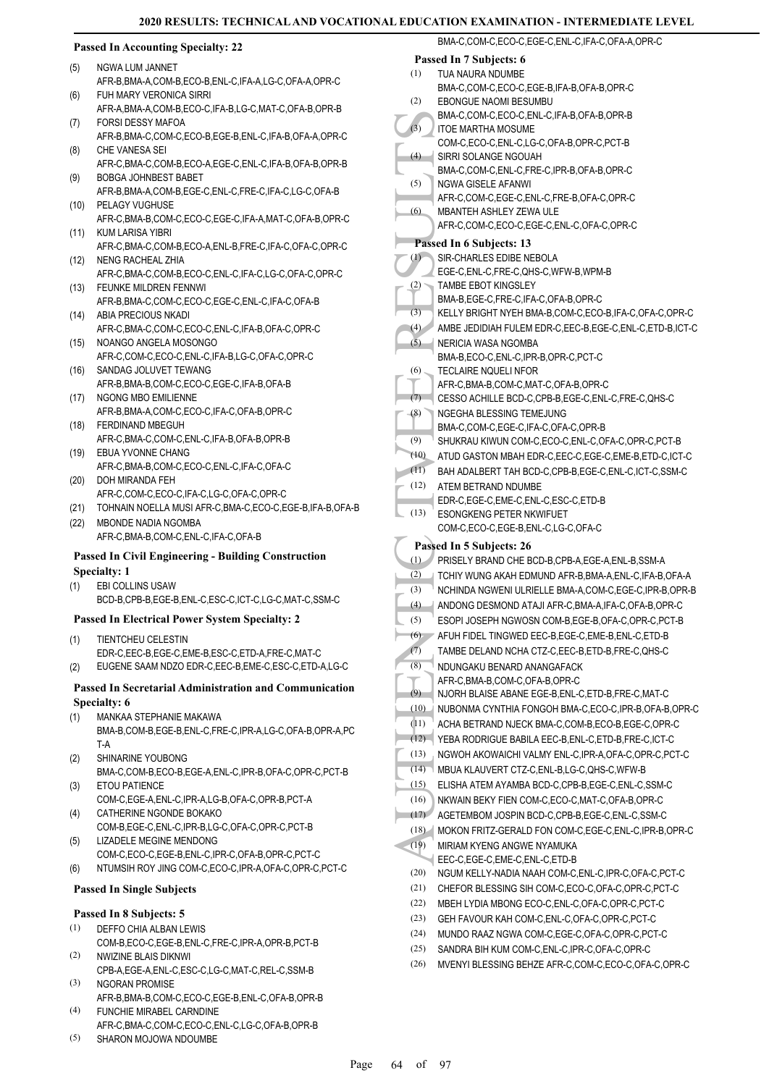#### **Passed In Accounting Specialty: 22**

- NGWA LUM JANNET (5)
- AFR-B,BMA-A,COM-B,ECO-B,ENL-C,IFA-A,LG-C,OFA-A,OPR-C FUH MARY VERONICA SIRRI (6)
- AFR-A,BMA-A,COM-B,ECO-C,IFA-B,LG-C,MAT-C,OFA-B,OPR-B FORSI DESSY MAFOA (7)
- AFR-B,BMA-C,COM-C,ECO-B,EGE-B,ENL-C,IFA-B,OFA-A,OPR-C CHE VANESA SEI (8)
- AFR-C,BMA-C,COM-B,ECO-A,EGE-C,ENL-C,IFA-B,OFA-B,OPR-B BOBGA JOHNBEST BABET (9)
- AFR-B,BMA-A,COM-B,EGE-C,ENL-C,FRE-C,IFA-C,LG-C,OFA-B PELAGY VUGHUSE (10)
- AFR-C,BMA-B,COM-C,ECO-C,EGE-C,IFA-A,MAT-C,OFA-B,OPR-C KUM LARISA YIBRI (11)
- AFR-C,BMA-C,COM-B,ECO-A,ENL-B,FRE-C,IFA-C,OFA-C,OPR-C NENG RACHEAL ZHIA (12)
- AFR-C,BMA-C,COM-B,ECO-C,ENL-C,IFA-C,LG-C,OFA-C,OPR-C FEUNKE MILDREN FENNWI (13)
- AFR-B,BMA-C,COM-C,ECO-C,EGE-C,ENL-C,IFA-C,OFA-B (14) ABIA PRECIOUS NKADI
- AFR-C,BMA-C,COM-C,ECO-C,ENL-C,IFA-B,OFA-C,OPR-C NOANGO ANGELA MOSONGO (15)
- AFR-C,COM-C,ECO-C,ENL-C,IFA-B,LG-C,OFA-C,OPR-C SANDAG JOLUVET TEWANG (16)
- AFR-B,BMA-B,COM-C,ECO-C,EGE-C,IFA-B,OFA-B NGONG MBO EMILIENNE (17)
- AFR-B,BMA-A,COM-C,ECO-C,IFA-C,OFA-B,OPR-C FERDINAND MBEGUH (18)
- AFR-C,BMA-C,COM-C,ENL-C,IFA-B,OFA-B,OPR-B EBUA YVONNE CHANG (19)
- AFR-C,BMA-B,COM-C,ECO-C,ENL-C,IFA-C,OFA-C DOH MIRANDA FEH (20)
- AFR-C,COM-C,ECO-C,IFA-C,LG-C,OFA-C,OPR-C
- (21) TOHNAIN NOELLA MUSI AFR-C,BMA-C,ECO-C,EGE-B,IFA-B,OFA-B
- MBONDE NADIA NGOMBA AFR-C,BMA-B,COM-C,ENL-C,IFA-C,OFA-B (22)

#### **Passed In Civil Engineering - Building Construction Specialty: 1**

- EBI COLLINS USAW (1)
- BCD-B,CPB-B,EGE-B,ENL-C,ESC-C,ICT-C,LG-C,MAT-C,SSM-C

# **Passed In Electrical Power System Specialty: 2**

- TIENTCHEU CELESTIN EDR-C,EEC-B,EGE-C,EME-B,ESC-C,ETD-A,FRE-C,MAT-C (1)
- (2) EUGENE SAAM NDZO EDR-C,EEC-B,EME-C,ESC-C,ETD-A,LG-C

#### **Passed In Secretarial Administration and Communication Specialty: 6**

- MANKAA STEPHANIE MAKAWA (1)
- BMA-B,COM-B,EGE-B,ENL-C,FRE-C,IPR-A,LG-C,OFA-B,OPR-A,PC T-A
- SHINARINE YOUBONG (2)
- BMA-C,COM-B,ECO-B,EGE-A,ENL-C,IPR-B,OFA-C,OPR-C,PCT-B ETOU PATIENCE (3)
- COM-C,EGE-A,ENL-C,IPR-A,LG-B,OFA-C,OPR-B,PCT-A CATHERINE NGONDE BOKAKO (4)
- COM-B,EGE-C,ENL-C,IPR-B,LG-C,OFA-C,OPR-C,PCT-B LIZADELE MEGINE MENDONG (5)
- COM-C,ECO-C,EGE-B,ENL-C,IPR-C,OFA-B,OPR-C,PCT-C
- (6) NTUMSIH ROY JING COM-C,ECO-C,IPR-A,OFA-C,OPR-C,PCT-C

# **Passed In Single Subjects**

# **Passed In 8 Subjects: 5**

- DEFFO CHIA ALBAN LEWIS (1)
- COM-B,ECO-C,EGE-B,ENL-C,FRE-C,IPR-A,OPR-B,PCT-B NWIZINE BLAIS DIKNWI (2)
- CPB-A,EGE-A,ENL-C,ESC-C,LG-C,MAT-C,REL-C,SSM-B NGORAN PROMISE (3)
- AFR-B,BMA-B,COM-C,ECO-C,EGE-B,ENL-C,OFA-B,OPR-B FUNCHIE MIRABEL CARNDINE (4)
- AFR-C,BMA-C,COM-C,ECO-C,ENL-C,LG-C,OFA-B,OPR-B SHARON MOJOWA NDOUMBE (5)
- MACHENTIC (3)<br>
(4) BMACHENTIC SIRRIS BMACHENTIC SIRRIS BMACHENTIC SIRRIS BMACHENTIC SIRRIS BMACHENTIC SIRRIS BMACHENTIC MBANT<br>
(5) AFFR-C, TAMBER MERICI SIRRIS AFFR-C, TAMBER (3) AFFR-C, TAMBER (3) AFFR-C, TAMBER (3) AFFR-BMA-C,COM-C,ECO-C,EGE-C,ENL-C,IFA-C,OFA-A,OPR-C **Passed In 7 Subjects: 6** TUA NAURA NDUMBE BMA-C,COM-C,ECO-C,EGE-B,IFA-B,OFA-B,OPR-C (1) EBONGUE NAOMI BESUMBU BMA-C,COM-C,ECO-C,ENL-C,IFA-B,OFA-B,OPR-B (2) ITOE MARTHA MOSUME COM-C,ECO-C,ENL-C,LG-C,OFA-B,OPR-C,PCT-B  $(3)$ SIRRI SOLANGE NGOUAH BMA-C,COM-C,ENL-C,FRE-C,IPR-B,OFA-B,OPR-C  $(4)$ NGWA GISELE AFANWI AFR-C,COM-C,EGE-C,ENL-C,FRE-B,OFA-C,OPR-C (5) MBANTEH ASHLEY ZEWA ULE AFR-C,COM-C,ECO-C,EGE-C,ENL-C,OFA-C,OPR-C (6) **Passed In 6 Subjects: 13** SIR-CHARLES EDIBE NEBOLA EGE-C,ENL-C,FRE-C,QHS-C,WFW-B,WPM-B (1) TAMBE EBOT KINGSLEY BMA-B,EGE-C,FRE-C,IFA-C,OFA-B,OPR-C (2) (3) KELLY BRIGHT NYEH BMA-B,COM-C,ECO-B,IFA-C,OFA-C,OPR-C (4) AMBE JEDIDIAH FULEM EDR-C,EEC-B,EGE-C,ENL-C,ETD-B,ICT-C NERICIA WASA NGOMBA BMA-B,ECO-C,ENL-C,IPR-B,OPR-C,PCT-C (5) TECLAIRE NOUELLNEOR AFR-C,BMA-B,COM-C,MAT-C,OFA-B,OPR-C (6) (7) CESSO ACHILLE BCD-C,CPB-B,EGE-C,ENL-C,FRE-C,QHS-C NGEGHA BLESSING TEMEJUNG BMA-C,COM-C,EGE-C,IFA-C,OFA-C,OPR-B (8) (9) SHUKRAU KIWUN COM-C,ECO-C,ENL-C,OFA-C,OPR-C,PCT-B (10) ATUD GASTON MBAH EDR-C,EEC-C,EGE-C,EME-B,ETD-C,ICT-C (11) BAH ADALBERT TAH BCD-C,CPB-B,EGE-C,ENL-C,ICT-C,SSM-C ATEM BETRAND NDUMBE EDR-C,EGE-C,EME-C,ENL-C,ESC-C,ETD-B (12) ESONGKENG PETER NKWIFUET COM-C,ECO-C,EGE-B,ENL-C,LG-C,OFA-C (13) **Passed In 5 Subjects: 26** (1) PRISELY BRAND CHE BCD-B,CPB-A,EGE-A,ENL-B,SSM-A (2) TCHIY WUNG AKAH EDMUND AFR-B,BMA-A,ENL-C,IFA-B,OFA-A (3) NCHINDA NGWENI ULRIELLE BMA-A,COM-C,EGE-C,IPR-B,OPR-B (4) ANDONG DESMOND ATAJI AFR-C,BMA-A,IFA-C,OFA-B,OPR-C (5) ESOPI JOSEPH NGWOSN COM-B,EGE-B,OFA-C,OPR-C,PCT-B (6) AFUH FIDEL TINGWED EEC-B,EGE-C,EME-B,ENL-C,ETD-B (7) TAMBE DELAND NCHA CTZ-C,EEC-B,ETD-B,FRE-C,QHS-C NDUNGAKU BENARD ANANGAFACK AFR-C,BMA-B,COM-C,OFA-B,OPR-C (8) (9) NJORH BLAISE ABANE EGE-B,ENL-C,ETD-B,FRE-C,MAT-C (10) NUBONMA CYNTHIA FONGOH BMA-C,ECO-C,IPR-B,OFA-B,OPR-C (11) ACHA BETRAND NJECK BMA-C,COM-B,ECO-B,EGE-C,OPR-C (12) YEBA RODRIGUE BABILA EEC-B,ENL-C,ETD-B,FRE-C,ICT-C (13) NGWOH AKOWAICHI VALMY ENL-C, IPR-A, OFA-C, OPR-C, PCT-C (14) MBUA KLAUVERT CTZ-C,ENL-B,LG-C,QHS-C,WFW-B (15) ELISHA ATEM AYAMBA BCD-C,CPB-B,EGE-C,ENL-C,SSM-C (16) NKWAIN BEKY FIEN COM-C,ECO-C,MAT-C,OFA-B,OPR-C (17) AGETEMBOM JOSPIN BCD-C,CPB-B,EGE-C,ENL-C,SSM-C (18) MOKON FRITZ-GERALD FON COM-C,EGE-C,ENL-C,IPR-B,OPR-C MIRIAM KYENG ANGWE NYAMUKA EEC-C,EGE-C,EME-C,ENL-C,ETD-B (19) (20) NGUM KELLY-NADIA NAAH COM-C,ENL-C,IPR-C,OFA-C,PCT-C (21) CHEFOR BLESSING SIH COM-C,ECO-C,OFA-C,OPR-C,PCT-C (22) MBEH LYDIA MBONG ECO-C,ENL-C,OFA-C,OPR-C,PCT-C (23) GEH FAVOUR KAH COM-C,ENL-C,OFA-C,OPR-C,PCT-C (24) MUNDO RAAZ NGWA COM-C,EGE-C,OFA-C,OPR-C,PCT-C (25) SANDRA BIH KUM COM-C,ENL-C,IPR-C,OFA-C,OPR-C (26) MVENYI BLESSING BEHZE AFR-C,COM-C,ECO-C,OFA-C,OPR-C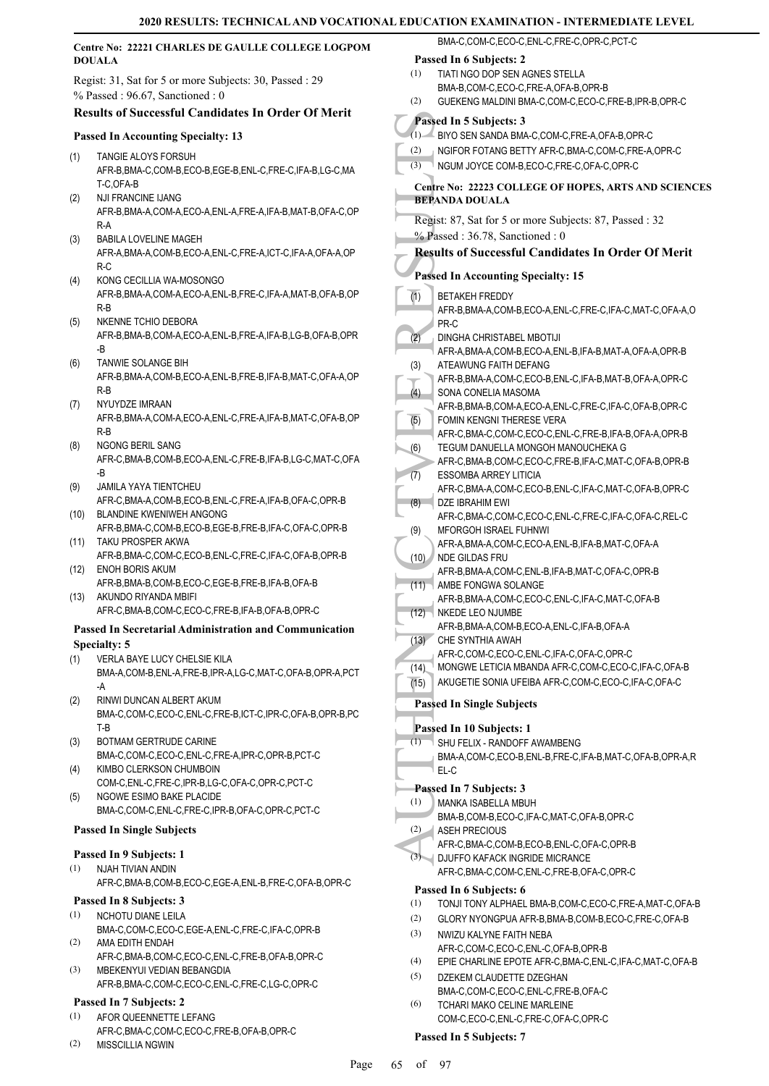|      | Centre No: 22221 CHARLES DE GAULLE COLLEGE LOGPOM                                         | BMA-C,COM-C,ECO-C,ENL-C,FRE-C,OPR-C,PCT-C                                                                     |
|------|-------------------------------------------------------------------------------------------|---------------------------------------------------------------------------------------------------------------|
|      | <b>DOUALA</b>                                                                             | Passed In 6 Subjects: 2                                                                                       |
|      | Regist: 31, Sat for 5 or more Subjects: 30, Passed : 29                                   | (1)<br>TIATI NGO DOP SEN AGNES STELLA                                                                         |
|      | % Passed: 96.67, Sanctioned: 0                                                            | BMA-B,COM-C,ECO-C,FRE-A,OFA-B,OPR-B<br>(2)<br>GUEKENG MALDINI BMA-C,COM-C,ECO-C,FRE-B,IPR-B,OPR-C             |
|      | <b>Results of Successful Candidates In Order Of Merit</b>                                 |                                                                                                               |
|      | <b>Passed In Accounting Specialty: 13</b>                                                 | Passed In 5 Subjects: 3<br>(1) BIYO SEN SANDA BMA-C, COM-C, FRE-A, OFA-B, OPR-C                               |
|      |                                                                                           | NGIFOR FOTANG BETTY AFR-C, BMA-C, COM-C, FRE-A, OPR-C<br>(2)                                                  |
| (1)  | TANGIE ALOYS FORSUH<br>AFR-B, BMA-C, COM-B, ECO-B, EGE-B, ENL-C, FRE-C, IFA-B, LG-C, MA   | (3)<br>NGUM JOYCE COM-B,ECO-C,FRE-C,OFA-C,OPR-C                                                               |
|      | T-C,OFA-B                                                                                 | Centre No: 22223 COLLEGE OF HOPES, ARTS AND SCIENCES                                                          |
| (2)  | <b>NJI FRANCINE IJANG</b>                                                                 | <b>BEPANDA DOUALA</b>                                                                                         |
|      | AFR-B, BMA-A, COM-A, ECO-A, ENL-A, FRE-A, IFA-B, MAT-B, OFA-C, OP                         | Regist: 87, Sat for 5 or more Subjects: 87, Passed : 32                                                       |
| (3)  | R-A<br><b>BABILA LOVELINE MAGEH</b>                                                       | % Passed: 36.78, Sanctioned: 0                                                                                |
|      | AFR-A, BMA-A, COM-B, ECO-A, ENL-C, FRE-A, ICT-C, IFA-A, OFA-A, OP                         | <b>Results of Successful Candidates In Order Of Merit</b>                                                     |
|      | $R-C$                                                                                     | <b>Passed In Accounting Specialty: 15</b>                                                                     |
| (4)  | KONG CECILLIA WA-MOSONGO                                                                  |                                                                                                               |
|      | AFR-B, BMA-A, COM-A, ECO-A, ENL-B, FRE-C, IFA-A, MAT-B, OFA-B, OP<br>$R-B$                | $\overline{(1)}$<br><b>BETAKEH FREDDY</b><br>AFR-B, BMA-A, COM-B, ECO-A, ENL-C, FRE-C, IFA-C, MAT-C, OFA-A, O |
| (5)  | NKENNE TCHIO DEBORA                                                                       | PR-C                                                                                                          |
|      | AFR-B, BMA-B, COM-A, ECO-A, ENL-B, FRE-A, IFA-B, LG-B, OFA-B, OPR                         | (2)<br><b>DINGHA CHRISTABEL MBOTIJI</b>                                                                       |
|      | -B                                                                                        | AFR-A, BMA-A, COM-B, ECO-A, ENL-B, IFA-B, MAT-A, OFA-A, OPR-B                                                 |
| (6)  | TANWIE SOLANGE BIH<br>AFR-B, BMA-A, COM-B, ECO-A, ENL-B, FRE-B, IFA-B, MAT-C, OFA-A, OP   | ATEAWUNG FAITH DEFANG<br>(3)                                                                                  |
|      | $R-B$                                                                                     | AFR-B, BMA-A, COM-C, ECO-B, ENL-C, IFA-B, MAT-B, OFA-A, OPR-C<br>SONA CONELIA MASOMA<br>(4)                   |
| (7)  | NYUYDZE IMRAAN                                                                            | AFR-B, BMA-B, COM-A, ECO-A, ENL-C, FRE-C, IFA-C, OFA-B, OPR-C                                                 |
|      | AFR-B, BMA-A, COM-A, ECO-A, ENL-C, FRE-A, IFA-B, MAT-C, OFA-B, OP                         | $\overline{(5)}$<br>FOMIN KENGNI THERESE VERA                                                                 |
| (8)  | $R-B$<br>NGONG BERIL SANG                                                                 | AFR-C,BMA-C,COM-C,ECO-C,ENL-C,FRE-B,IFA-B,OFA-A,OPR-B                                                         |
|      | AFR-C, BMA-B, COM-B, ECO-A, ENL-C, FRE-B, IFA-B, LG-C, MAT-C, OFA                         | (6)<br>TEGUM DANUELLA MONGOH MANOUCHEKA G<br>AFR-C, BMA-B, COM-C, ECO-C, FRE-B, IFA-C, MAT-C, OFA-B, OPR-B    |
|      | -B                                                                                        | (7)<br><b>ESSOMBA ARREY LITICIA</b>                                                                           |
| (9)  | JAMILA YAYA TIENTCHEU                                                                     | AFR-C, BMA-A, COM-C, ECO-B, ENL-C, IFA-C, MAT-C, OFA-B, OPR-C                                                 |
| (10) | AFR-C, BMA-A, COM-B, ECO-B, ENL-C, FRE-A, IFA-B, OFA-C, OPR-B<br>BLANDINE KWENIWEH ANGONG | DZE IBRAHIM EWI<br>(8)                                                                                        |
|      | AFR-B, BMA-C, COM-B, ECO-B, EGE-B, FRE-B, IFA-C, OFA-C, OPR-B                             | AFR-C,BMA-C,COM-C,ECO-C,ENL-C,FRE-C,IFA-C,OFA-C,REL-C<br>MFORGOH ISRAEL FUHNWI<br>(9)                         |
| (11) | TAKU PROSPER AKWA                                                                         | AFR-A, BMA-A, COM-C, ECO-A, ENL-B, IFA-B, MAT-C, OFA-A                                                        |
|      | AFR-B, BMA-C, COM-C, ECO-B, ENL-C, FRE-C, IFA-C, OFA-B, OPR-B                             | (10) NDE GILDAS FRU                                                                                           |
| (12) | <b>ENOH BORIS AKUM</b><br>AFR-B, BMA-B, COM-B, ECO-C, EGE-B, FRE-B, IFA-B, OFA-B          | AFR-B, BMA-A, COM-C, ENL-B, IFA-B, MAT-C, OFA-C, OPR-B<br>(11)<br>AMBE FONGWA SOLANGE                         |
| (13) | AKUNDO RIYANDA MBIFI                                                                      | AFR-B, BMA-A, COM-C, ECO-C, ENL-C, IFA-C, MAT-C, OFA-B                                                        |
|      | AFR-C, BMA-B, COM-C, ECO-C, FRE-B, IFA-B, OFA-B, OPR-C                                    | (12) NKEDE LEO NJUMBE                                                                                         |
|      | <b>Passed In Secretarial Administration and Communication</b>                             | AFR-B, BMA-A, COM-B, ECO-A, ENL-C, IFA-B, OFA-A                                                               |
|      | <b>Specialty: 5</b>                                                                       | (13)<br>CHE SYNTHIA AWAH<br>AFR-C,COM-C,ECO-C,ENL-C,IFA-C,OFA-C,OPR-C                                         |
| (1)  | VERLA BAYE LUCY CHELSIE KILA                                                              | MONGWE LETICIA MBANDA AFR-C,COM-C,ECO-C,IFA-C,OFA-B<br>(14)                                                   |
|      | BMA-A,COM-B,ENL-A,FRE-B,IPR-A,LG-C,MAT-C,OFA-B,OPR-A,PCT<br>-A                            | AKUGETIE SONIA UFEIBA AFR-C,COM-C,ECO-C,IFA-C,OFA-C<br>(15)                                                   |
| (2)  | RINWI DUNCAN ALBERT AKUM                                                                  | <b>Passed In Single Subjects</b>                                                                              |
|      | BMA-C,COM-C,ECO-C,ENL-C,FRE-B,ICT-C,IPR-C,OFA-B,OPR-B,PC                                  |                                                                                                               |
|      | $T-B$                                                                                     | Passed In 10 Subjects: 1                                                                                      |
| (3)  | <b>BOTMAM GERTRUDE CARINE</b><br>BMA-C,COM-C,ECO-C,ENL-C,FRE-A,IPR-C,OPR-B,PCT-C          | (1)<br>SHU FELIX - RANDOFF AWAMBENG<br>BMA-A,COM-C,ECO-B,ENL-B,FRE-C,IFA-B,MAT-C,OFA-B,OPR-A,R                |
| (4)  | KIMBO CLERKSON CHUMBOIN                                                                   | EL-C                                                                                                          |
|      | COM-C, ENL-C, FRE-C, IPR-B, LG-C, OFA-C, OPR-C, PCT-C                                     | Passed In 7 Subjects: 3                                                                                       |
| (5)  | NGOWE ESIMO BAKE PLACIDE                                                                  | MANKA ISABELLA MBUH<br>(1)                                                                                    |
|      | BMA-C,COM-C,ENL-C,FRE-C,IPR-B,OFA-C,OPR-C,PCT-C                                           | BMA-B,COM-B,ECO-C,IFA-C,MAT-C,OFA-B,OPR-C                                                                     |
|      | <b>Passed In Single Subjects</b>                                                          | (2)<br>ASEH PRECIOUS<br>AFR-C,BMA-C,COM-B,ECO-B,ENL-C,OFA-C,OPR-B                                             |
|      | Passed In 9 Subjects: 1                                                                   | (3) DJUFFO KAFACK INGRIDE MICRANCE                                                                            |
| (1)  | NJAH TIVIAN ANDIN                                                                         | AFR-C,BMA-C,COM-C,ENL-C,FRE-B,OFA-C,OPR-C                                                                     |
|      | AFR-C, BMA-B, COM-B, ECO-C, EGE-A, ENL-B, FRE-C, OFA-B, OPR-C                             | Passed In 6 Subjects: 6                                                                                       |
|      | Passed In 8 Subjects: 3                                                                   | (1)<br>TONJI TONY ALPHAEL BMA-B, COM-C, ECO-C, FRE-A, MAT-C, OFA-B                                            |
| (1)  | NCHOTU DIANE LEILA<br>BMA-C,COM-C,ECO-C,EGE-A,ENL-C,FRE-C,IFA-C,OPR-B                     | (2)<br>GLORY NYONGPUA AFR-B, BMA-B, COM-B, ECO-C, FRE-C, OFA-B                                                |
| (2)  | AMA EDITH ENDAH                                                                           | (3)<br>NWIZU KALYNE FAITH NEBA<br>AFR-C,COM-C,ECO-C,ENL-C,OFA-B,OPR-B                                         |
|      | AFR-C, BMA-B, COM-C, ECO-C, ENL-C, FRE-B, OFA-B, OPR-C                                    | (4)<br>EPIE CHARLINE EPOTE AFR-C, BMA-C, ENL-C, IFA-C, MAT-C, OFA-B                                           |
| (3)  | MBEKENYUI VEDIAN BEBANGDIA                                                                | (5)<br>DZEKEM CLAUDETTE DZEGHAN                                                                               |
|      | AFR-B,BMA-C,COM-C,ECO-C,ENL-C,FRE-C,LG-C,OPR-C                                            | BMA-C,COM-C,ECO-C,ENL-C,FRE-B,OFA-C                                                                           |
| (1)  | Passed In 7 Subjects: 2<br>AFOR QUEENNETTE LEFANG                                         | (6)<br>TCHARI MAKO CELINE MARLEINE                                                                            |
|      | AFR-C,BMA-C,COM-C,ECO-C,FRE-B,OFA-B,OPR-C                                                 | COM-C,ECO-C,ENL-C,FRE-C,OFA-C,OPR-C                                                                           |
| (2)  | <b>MISSCILLIA NGWIN</b>                                                                   | Passed In 5 Subjects: 7                                                                                       |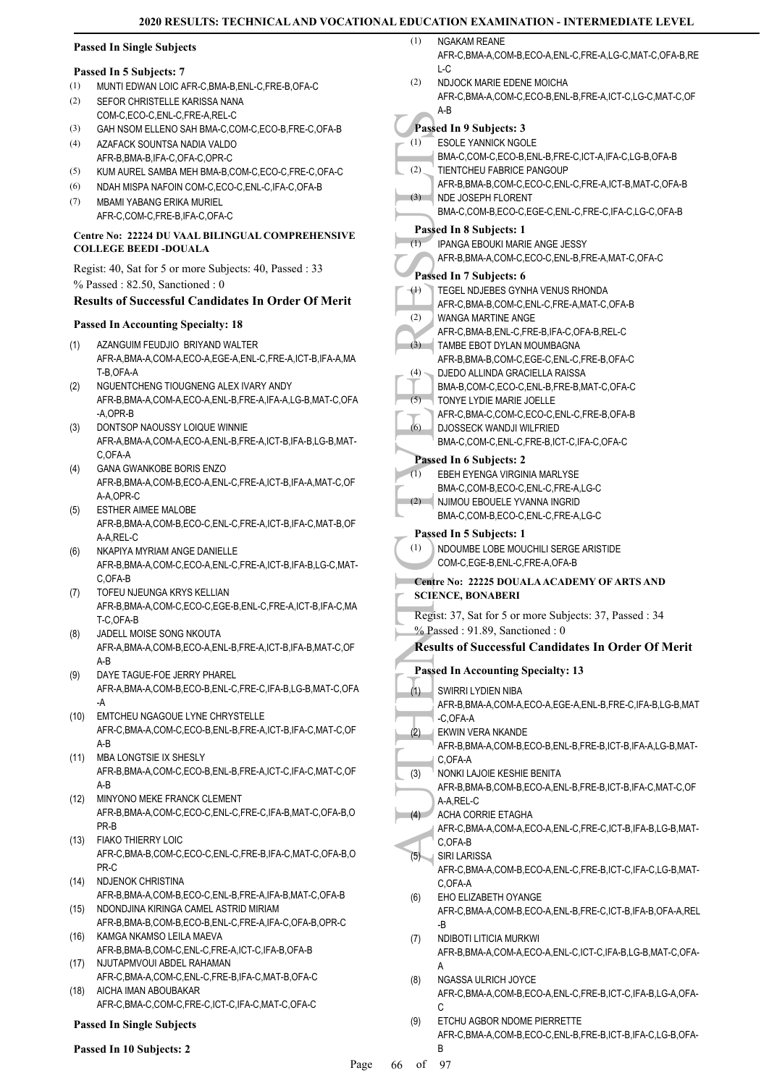# **Passed In Single Subjects**

#### **Passed In 5 Subjects: 7**

- (1) MUNTI EDWAN LOIC AFR-C,BMA-B,ENL-C,FRE-B,OFA-C
- SEFOR CHRISTELLE KARISSA NANA COM-C,ECO-C,ENL-C,FRE-A,REL-C (2)
- (3) GAH NSOM ELLENO SAH BMA-C,COM-C,ECO-B,FRE-C,OFA-B
- AZAFACK SOUNTSA NADIA VALDO AFR-B,BMA-B,IFA-C,OFA-C,OPR-C (4)
- (5) KUM AUREL SAMBA MEH BMA-B,COM-C,ECO-C,FRE-C,OFA-C
- (6) NDAH MISPA NAFOIN COM-C,ECO-C,ENL-C,IFA-C,OFA-B
- MBAMI YABANG ERIKA MURIEL AFR-C,COM-C,FRE-B,IFA-C,OFA-C (7)

# **Centre No: 22224 DU VAAL BILINGUAL COMPREHENSIVE COLLEGE BEEDI -DOUALA**

Regist: 40, Sat for 5 or more Subjects: 40, Passed : 33 % Passed : 82.50, Sanctioned : 0

# **Results of Successful Candidates In Order Of Merit**

# **Passed In Accounting Specialty: 18**

- AZANGUIM FEUDJIO BRIYAND WALTER AFR-A,BMA-A,COM-A,ECO-A,EGE-A,ENL-C,FRE-A,ICT-B,IFA-A,MA T-B,OFA-A (1)
- NGUENTCHENG TIOUGNENG ALEX IVARY ANDY AFR-B,BMA-A,COM-A,ECO-A,ENL-B,FRE-A,IFA-A,LG-B,MAT-C,OFA -A,OPR-B (2)
- DONTSOP NAOUSSY LOIQUE WINNIE AFR-A,BMA-A,COM-A,ECO-A,ENL-B,FRE-A,ICT-B,IFA-B,LG-B,MAT-C,OFA-A (3)
- GANA GWANKOBE BORIS ENZO AFR-B,BMA-A,COM-B,ECO-A,ENL-C,FRE-A,ICT-B,IFA-A,MAT-C,OF A-A,OPR-C (4)
- ESTHER AIMEE MALOBE AFR-B,BMA-A,COM-B,ECO-C,ENL-C,FRE-A,ICT-B,IFA-C,MAT-B,OF A-A RFL-C (5)
- NKAPIYA MYRIAM ANGE DANIELLE AFR-B,BMA-A,COM-C,ECO-A,ENL-C,FRE-A,ICT-B,IFA-B,LG-C,MAT-C,OFA-B (6)
- TOFEU NJEUNGA KRYS KELLIAN AFR-B,BMA-A,COM-C,ECO-C,EGE-B,ENL-C,FRE-A,ICT-B,IFA-C,MA T-C,OFA-B (7)
- JADELL MOISE SONG NKOUTA AFR-A,BMA-A,COM-B,ECO-A,ENL-B,FRE-A,ICT-B,IFA-B,MAT-C,OF A-B (8)
- DAYE TAGUE-FOE JERRY PHAREL AFR-A,BMA-A,COM-B,ECO-B,ENL-C,FRE-C,IFA-B,LG-B,MAT-C,OFA -A (9)
- EMTCHEU NGAGOUE LYNE CHRYSTELLE AFR-C,BMA-A,COM-C,ECO-B,ENL-B,FRE-A,ICT-B,IFA-C,MAT-C,OF A-B (10)
- MBA LONGTSIE IX SHESLY (11) AFR-B,BMA-A,COM-C,ECO-B,ENL-B,FRE-A,ICT-C,IFA-C,MAT-C,OF A-B
- MINYONO MEKE FRANCK CLEMENT AFR-B,BMA-A,COM-C,ECO-C,ENL-C,FRE-C,IFA-B,MAT-C,OFA-B,O PR-B (12)
- FIAKO THIERRY LOIC AFR-C,BMA-B,COM-C,ECO-C,ENL-C,FRE-B,IFA-C,MAT-C,OFA-B,O PR-C (13)
- (14) NDJENOK CHRISTINA AFR-B,BMA-A,COM-B,ECO-C,ENL-B,FRE-A,IFA-B,MAT-C,OFA-B (15) NDONDJINA KIRINGA CAMEL ASTRID MIRIAM
- AFR-B,BMA-B,COM-B,ECO-B,ENL-C,FRE-A,IFA-C,OFA-B,OPR-C KAMGA NKAMSO LEILA MAEVA (16)
- AFR-B,BMA-B,COM-C,ENL-C,FRE-A,ICT-C,IFA-B,OFA-B (17) NJUTAPMVOUI ABDEL RAHAMAN
- AFR-C,BMA-A,COM-C,ENL-C,FRE-B,IFA-C,MAT-B,OFA-C AICHA IMAN ABOUBAKAR (18)
	- AFR-C,BMA-C,COM-C,FRE-C,ICT-C,IFA-C,MAT-C,OFA-C

# **Passed In Single Subjects**

# **Passed In 10 Subjects: 2**

| (1) | NGAKAM REANE                                            |
|-----|---------------------------------------------------------|
|     | AFR-C.BMA-A.COM-B.ECO-A.ENL-C.FRE-A.LG-C.MAT-C.OFA-B.RE |
|     | L-C                                                     |

NDJOCK MARIE EDENE MOICHA AFR-C,BMA-A,COM-C,ECO-B,ENL-B,FRE-A,ICT-C,LG-C,MAT-C,OF A-B (2)

#### **Passed In 9 Subjects: 3** (1)

- ESOLE YANNICK NGOLE
- BMA-C,COM-C,ECO-B,ENL-B,FRE-C,ICT-A,IFA-C,LG-B,OFA-B TIENTCHEU FABRICE PANGOUP (2)
	- AFR-B,BMA-B,COM-C,ECO-C,ENL-C,FRE-A,ICT-B,MAT-C,OFA-B
- NDE JOSEPH FLORENT BMA-C,COM-B,ECO-C,EGE-C,ENL-C,FRE-C,IFA-C,LG-C,OFA-B (3)

# **Passed In 8 Subjects: 1**

- IPANGA EBOUKI MARIE ANGE JESSY  $(1)$
- AFR-B,BMA-A,COM-C,ECO-C,ENL-B,FRE-A,MAT-C,OFA-C
- **Passed In 7 Subjects: 6** TEGEL NDJEBES GYNHA VENUS RHONDA  $\leftrightarrow$
- AFR-C,BMA-B,COM-C,ENL-C,FRE-A,MAT-C,OFA-B
- WANGA MARTINE ANGE (2)
	- AFR-C,BMA-B,ENL-C,FRE-B,IFA-C,OFA-B,REL-C
- TAMBE EBOT DYLAN MOUMBAGNA (3) AFR-B, BMA-B, COM-C, EGE-C, ENL-C, FRE-B, OFA-C
- DJEDO ALLINDA GRACIELLA RAISSA (4)
- BMA-B,COM-C,ECO-C,ENL-B,FRE-B,MAT-C,OFA-C TONYE LYDIE MARIE JOELLE  $(5)$
- AFR-C,BMA-C,COM-C,ECO-C,ENL-C,FRE-B,OFA-B DJOSSECK WANDJI WILFRIED (6)
- BMA-C,COM-C,ENL-C,FRE-B,ICT-C,IFA-C,OFA-C
- **Passed In 6 Subjects: 2** EBEH EYENGA VIRGINIA MARLYSE  $(1)$
- BMA-C,COM-B,ECO-C,ENL-C,FRE-A,LG-C
- (2) NJIMOU EBOUELE YVANNA INGRID
- BMA-C,COM-B,ECO-C,ENL-C,FRE-A,LG-C

# **Passed In 5 Subjects: 1**

- NDOUMBE LOBE MOUCHILI SERGE ARISTIDE COM-C,EGE-B,ENL-C,FRE-A,OFA-B (1)
- 
- **Centre No: 22225 DOUALA ACADEMY OF ARTS AND SCIENCE, BONABERI**
- Regist: 37, Sat for 5 or more Subjects: 37, Passed : 34
- % Passed : 91.89, Sanctioned : 0

# **Results of Successful Candidates In Order Of Merit**

- **Passed In 19 ESOLE BMA-C,**<br>
(2) BMA-C,<br>
(3) BMA-C,<br>
TIENTC AFR-B,<br>
(3) AFR-B,<br>
(1) BMA-C,<br>
Passed In 1<br>
PANG/<br>
PASsed In 1<br>
TEGEL<br>
(2) AFR-C,<br>
(3) TAMBE<br>
AFR-C,<br>
(3) TAMBE<br>
AFR-C,<br>
(3) TAMBE<br>
AFR-C,<br>
(3) DUD BMA-B,<br>
TAMBE **Passed In Accounting Specialty: 13** SWIRRI LYDIEN NIBA AFR-B,BMA-A,COM-A,ECO-A,EGE-A,ENL-B,FRE-C,IFA-B,LG-B,MAT -C,OFA-A (1) EKWIN VERA NKANDE (2)
	- AFR-B,BMA-A,COM-B,ECO-B,ENL-B,FRE-B,ICT-B,IFA-A,LG-B,MAT-C,OFA-A
	- NONKI LAJOIE KESHIE BENITA AFR-B,BMA-B,COM-B,ECO-A,ENL-B,FRE-B,ICT-B,IFA-C,MAT-C,OF A-A,REL-C (3)
- ACHA CORRIE ETAGHA AFR-C,BMA-A,COM-A,ECO-A,ENL-C,FRE-C,ICT-B,IFA-B,LG-B,MAT-C,OFA-B  $(4)$ 
	- SIRI LARISSA AFR-C,BMA-A,COM-B,ECO-A,ENL-C,FRE-B,ICT-C,IFA-C,LG-B,MAT-C,OFA-A (5)
- EHO ELIZABETH OYANGE AFR-C,BMA-A,COM-B,ECO-A,ENL-B,FRE-C,ICT-B,IFA-B,OFA-A,REL -B (6)
- NDIBOTI LITICIA MURKWI AFR-B,BMA-A,COM-A,ECO-A,ENL-C,ICT-C,IFA-B,LG-B,MAT-C,OFA-A (7)
- NGASSA ULRICH JOYCE AFR-C,BMA-A,COM-B,ECO-A,ENL-C,FRE-B,ICT-C,IFA-B,LG-A,OFA-C (8)
- ETCHU AGBOR NDOME PIERRETTE AFR-C,BMA-A,COM-B,ECO-C,ENL-B,FRE-B,ICT-B,IFA-C,LG-B,OFA-B (9)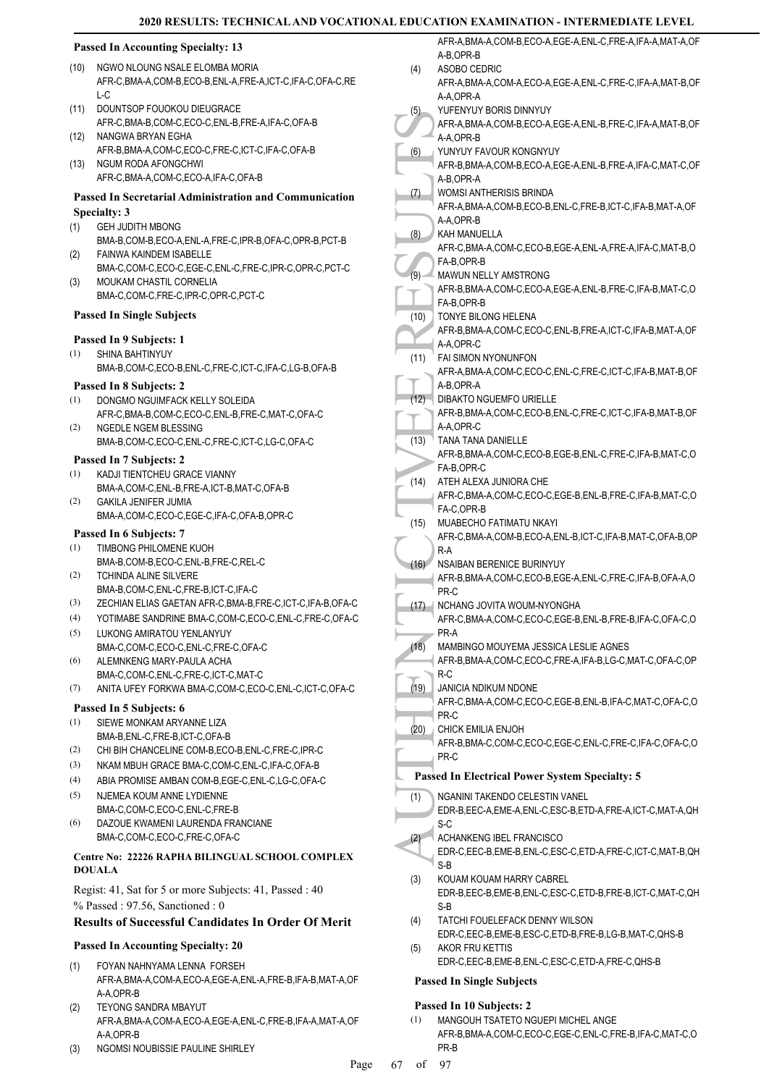# **2020 RESULTS: TECHNICAL AND VOCATIONAL E**

# **Passed In Accounting Specialty: 13**

- NGWO NLOUNG NSALE ELOMBA MORIA AFR-C,BMA-A,COM-B,ECO-B,ENL-A,FRE-A,ICT-C,IFA-C,OFA-C,RE  $L-C$ (10)
- DOUNTSOP FOUOKOU DIEUGRACE AFR-C,BMA-B,COM-C,ECO-C,ENL-B,FRE-A,IFA-C,OFA-B  $(11)$
- NANGWA BRYAN EGHA AFR-B,BMA-A,COM-C,ECO-C,FRE-C,ICT-C,IFA-C,OFA-B (12)
- (13) NGUM RODA AFONGCHWI AFR-C, BMA-A, COM-C, ECO-A, IFA-C, OFA-B

#### **Passed In Secretarial Administration and Communication Specialty: 3**

- GEH JUDITH MBONG BMA-B,COM-B,ECO-A,ENL-A,FRE-C,IPR-B,OFA-C,OPR-B,PCT-B (1)
- FAINWA KAINDEM ISABELLE BMA-C,COM-C,ECO-C,EGE-C,ENL-C,FRE-C,IPR-C,OPR-C,PCT-C (2) MOUKAM CHASTIL CORNELIA (3)
- BMA-C,COM-C,FRE-C,IPR-C,OPR-C,PCT-C

#### **Passed In Single Subjects**

# **Passed In 9 Subjects: 1**

SHINA BAHTINYUY BMA-B,COM-C,ECO-B,ENL-C,FRE-C,ICT-C,IFA-C,LG-B,OFA-B (1)

#### **Passed In 8 Subjects: 2**

- DONGMO NGUIMFACK KELLY SOLEIDA (1)
- AFR-C,BMA-B,COM-C,ECO-C,ENL-B,FRE-C,MAT-C,OFA-C NGEDLE NGEM BLESSING (2)
- BMA-B,COM-C,ECO-C,ENL-C,FRE-C,ICT-C,LG-C,OFA-C **Passed In 7 Subjects: 2**

#### KADJI TIENTCHEU GRACE VIANNY (1)

- BMA-A,COM-C,ENL-B,FRE-A,ICT-B,MAT-C,OFA-B GAKILA JENIFER JUMIA (2)
- BMA-A,COM-C,ECO-C,EGE-C,IFA-C,OFA-B,OPR-C

# **Passed In 6 Subjects: 7**

- TIMBONG PHILOMENE KUOH BMA-B,COM-B,ECO-C,ENL-B,FRE-C,REL-C (1)
- TCHINDA ALINE SILVERE BMA-B,COM-C,ENL-C,FRE-B,ICT-C,IFA-C (2)
- (3) ZECHIAN ELIAS GAETAN AFR-C,BMA-B,FRE-C,ICT-C,IFA-B,OFA-C
- (4) YOTIMABE SANDRINE BMA-C,COM-C,ECO-C,ENL-C,FRE-C,OFA-C
- LUKONG AMIRATOU YENLANYUY BMA-C,COM-C,ECO-C,ENL-C,FRE-C,OFA-C (5)
- ALEMNKENG MARY-PAULA ACHA (6)
- BMA-C,COM-C,ENL-C,FRE-C,ICT-C,MAT-C (7) ANITA UFEY FORKWA BMA-C,COM-C,ECO-C,ENL-C,ICT-C,OFA-C

- **Passed In 5 Subjects: 6**
- SIEWE MONKAM ARYANNE LIZA BMA-B,ENL-C,FRE-B,ICT-C,OFA-B (1)
- (2) CHI BIH CHANCELINE COM-B,ECO-B,ENL-C,FRE-C,IPR-C
- (3) NKAM MBUH GRACE BMA-C,COM-C,ENL-C,IFA-C,OFA-B
- (4) ABIA PROMISE AMBAN COM-B,EGE-C,ENL-C,LG-C,OFA-C
- NJEMEA KOUM ANNE LYDIENNE BMA-C,COM-C,ECO-C,ENL-C,FRE-B (5)
- DAZOUE KWAMENI LAURENDA FRANCIANE BMA-C,COM-C,ECO-C,FRE-C,OFA-C (6)

# **Centre No: 22226 RAPHA BILINGUAL SCHOOL COMPLEX DOUALA**

Regist: 41, Sat for 5 or more Subjects: 41, Passed : 40 % Passed : 97.56, Sanctioned : 0

#### **Results of Successful Candidates In Order Of Merit**

#### **Passed In Accounting Specialty: 20**

- FOYAN NAHNYAMA LENNA FORSEH AFR-A,BMA-A,COM-A,ECO-A,EGE-A,ENL-A,FRE-B,IFA-B,MAT-A,OF A-A,OPR-B (1)
- TEYONG SANDRA MBAYUT AFR-A,BMA-A,COM-A,ECO-A,EGE-A,ENL-C,FRE-B,IFA-A,MAT-A,OF A-A,OPR-B (2)
- (3) NGOMSI NOUBISSIE PAULINE SHIRLEY

|      | . EDUCATION EXAMINATION - INTERMEDIATE LEVEL                      |
|------|-------------------------------------------------------------------|
|      | AFR-A, BMA-A, COM-B, ECO-A, EGE-A, ENL-C, FRE-A, IFA-A, MAT-A, OF |
|      | A-B,OPR-B                                                         |
| (4)  | ASOBO CEDRIC                                                      |
|      | AFR-A,BMA-A,COM-A,ECO-A,EGE-A,ENL-C,FRE-C,IFA-A,MAT-B,OF          |
|      | A-A,OPR-A                                                         |
| (5)  | YUFENYUY BORIS DINNYUY                                            |
|      | AFR-A, BMA-A, COM-B, ECO-A, EGE-A, ENL-B, FRE-C, IFA-A, MAT-B, OF |
|      | A-A,OPR-B                                                         |
| (6)  | YUNYUY FAVOUR KONGNYUY                                            |
|      | AFR-B, BMA-A, COM-B, ECO-A, EGE-A, ENL-B, FRE-A, IFA-C, MAT-C, OF |
|      | A-B,OPR-A                                                         |
| (7)  | WOMSI ANTHERISIS BRINDA                                           |
|      | AFR-A, BMA-A, COM-B, ECO-B, ENL-C, FRE-B, ICT-C, IFA-B, MAT-A, OF |
|      | A-A,OPR-B                                                         |
| (8)  | KAH MANUELLA                                                      |
|      | AFR-C, BMA-A, COM-C, ECO-B, EGE-A, ENL-A, FRE-A, IFA-C, MAT-B, O  |
|      | FA-B,OPR-B                                                        |
| (9)  | MAWUN NELLY AMSTRONG                                              |
|      | AFR-B, BMA-A, COM-C, ECO-A, EGE-A, ENL-B, FRE-C, IFA-B, MAT-C, O  |
|      | FA-B, OPR-B                                                       |
| (10) | TONYE BILONG HELENA                                               |
|      | AFR-B, BMA-A, COM-C, ECO-C, ENL-B, FRE-A, ICT-C, IFA-B, MAT-A, OF |
|      | A-A,OPR-C                                                         |
| (11) | <b>FAI SIMON NYONUNFON</b>                                        |
|      | AFR-A, BMA-A, COM-C, ECO-C, ENL-C, FRE-C, ICT-C, IFA-B, MAT-B, OF |
|      | A-B.OPR-A                                                         |
| (12) | DIBAKTO NGUEMFO URIELLE                                           |
|      | AFR-B, BMA-A, COM-C, ECO-B, ENL-C, FRE-C, ICT-C, IFA-B, MAT-B, OF |
|      | A-A,OPR-C                                                         |
| (13) | TANA TANA DANIELLE                                                |
|      | AFR-B, BMA-A, COM-C, ECO-B, EGE-B, ENL-C, FRE-C, IFA-B, MAT-C, O  |
|      | FA-B,OPR-C                                                        |
| (14) | ATEH ALEXA JUNIORA CHE                                            |
|      | AFR-C,BMA-A,COM-C,ECO-C,EGE-B,ENL-B,FRE-C,IFA-B,MAT-C,O           |
|      | FA-C,OPR-B                                                        |
| (15) | MUABECHO FATIMATU NKAYI                                           |
|      | AFR-C, BMA-A, COM-B, ECO-A, ENL-B, ICT-C, IFA-B, MAT-C, OFA-B, OP |
|      | $R-A$                                                             |
| (16) | <b>NSAIBAN BERENICE BURINYUY</b>                                  |
|      | AFR-B, BMA-A, COM-C, ECO-B, EGE-A, ENL-C, FRE-C, IFA-B, OFA-A, O  |
|      | PR-C                                                              |
| (17) | NCHANG JOVITA WOUM-NYONGHA                                        |
|      | AFR-C,BMA-A,COM-C,ECO-C,EGE-B,ENL-B,FRE-B,IFA-C,OFA-C,O           |
|      | PR-A                                                              |
| (18) | MAMBINGO MOUYEMA JESSICA LESLIE AGNES                             |
|      | AFR-B.BMA-A.COM-C.ECO-C.FRE-A.IFA-B.LG-C.MAT-C.OFA-C.OP           |
|      | $R-C$                                                             |
| (19) | <b>JANICIA NDIKUM NDONE</b>                                       |
|      | AFR-C, BMA-A, COM-C, ECO-C, EGE-B, ENL-B, IFA-C, MAT-C, OFA-C, O  |
|      | PR-C                                                              |
| (20) | CHICK EMILIA ENJOH                                                |
|      | AFR-B, BMA-C, COM-C, ECO-C, EGE-C, ENL-C, FRE-C, IFA-C, OFA-C, O  |
|      | PR-C                                                              |
|      | <b>Passed In Electrical Power System Specialty: 5</b>             |
| (1)  | NGANINI TAKENDO CELESTIN VANEL                                    |
|      | EDR-B.EEC-A.EME-A.ENL-C.ESC-B.ETD-A.FRE-A.ICT-C.MAT-A.QH          |
|      | S-C                                                               |
| (2)  | ACHANKENG IBEL FRANCISCO                                          |
|      | EDR-C,EEC-B,EME-B,ENL-C,ESC-C,ETD-A,FRE-C,ICT-C,MAT-B,QH          |
|      | $C$ D                                                             |

- JANICIA NDIKUM NDONE (19)
- AFR-C,BMA-A,COM-C,ECO-C,EGE-B,ENL-B,IFA-C,MAT-C,OFA-C,O PR-C
- CHICK EMILIA ENJOH (20)
- AFR-B,BMA-C,COM-C,ECO-C,EGE-C,ENL-C,FRE-C,IFA-C,OFA-C,O PR-C

# **Passed In Electrical Power System Specialty: 5**

- EDR-B,EEC-A,EME-A,ENL-C,ESC-B,ETD-A,FRE-A,ICT-C,MAT-A,QH S-C
- ACHANKENG IBEL FRANCISCO (2)
- EDR-C,EEC-B,EME-B,ENL-C,ESC-C,ETD-A,FRE-C,ICT-C,MAT-B,QH S-B
- KOUAM KOUAM HARRY CABREL EDR-B,EEC-B,EME-B,ENL-C,ESC-C,ETD-B,FRE-B,ICT-C,MAT-C,QH S-B (3)
- TATCHI FOUEL FEACK DENNY WILSON (4)
- EDR-C,EEC-B,EME-B,ESC-C,ETD-B,FRE-B,LG-B,MAT-C,QHS-B AKOR FRU KETTIS (5)
	- EDR-C,EEC-B,EME-B,ENL-C,ESC-C,ETD-A,FRE-C,QHS-B

# **Passed In Single Subjects**

#### **Passed In 10 Subjects: 2**

MANGOUH TSATETO NGUEPI MICHEL ANGE AFR-B,BMA-A,COM-C,ECO-C,EGE-C,ENL-C,FRE-B,IFA-C,MAT-C,O PR-B (1)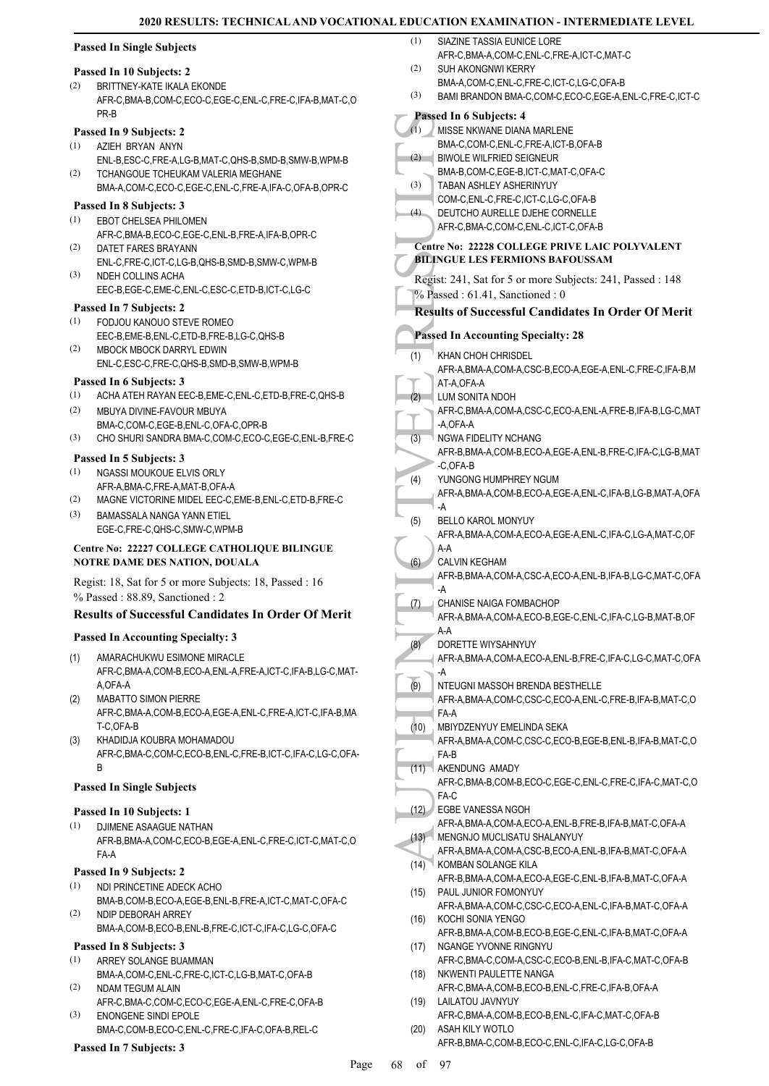|     | <b>Passed In Single Subjects</b>                                                                  | (1)  | SIAZINE TASSIA EUNICE LORE<br>AFR-C, BMA-A, COM-C, ENL-C, FRE-A, ICT-C, MAT-C                      |
|-----|---------------------------------------------------------------------------------------------------|------|----------------------------------------------------------------------------------------------------|
|     | Passed In 10 Subjects: 2                                                                          | (2)  | SUH AKONGNWI KERRY                                                                                 |
| (2) | BRITTNEY-KATE IKALA EKONDE<br>AFR-C, BMA-B, COM-C, ECO-C, EGE-C, ENL-C, FRE-C, IFA-B, MAT-C, O    | (3)  | BMA-A,COM-C,ENL-C,FRE-C,ICT-C,LG-C,OFA-B<br>BAMI BRANDON BMA-C,COM-C,ECO-C,EGE-A,ENL-C,FRE-C,ICT-C |
|     | PR-B                                                                                              |      | Passed In 6 Subjects: 4                                                                            |
|     | Passed In 9 Subjects: 2                                                                           | (1)  | MISSE NKWANE DIANA MARLENE                                                                         |
| (1) | AZIEH BRYAN ANYN                                                                                  |      | BMA-C,COM-C,ENL-C,FRE-A,ICT-B,OFA-B                                                                |
|     | ENL-B,ESC-C,FRE-A,LG-B,MAT-C,QHS-B,SMD-B,SMW-B,WPM-B                                              | (2)  | <b>BIWOLE WILFRIED SEIGNEUR</b><br>BMA-B.COM-C.EGE-B.ICT-C.MAT-C.OFA-C                             |
| (2) | TCHANGOUE TCHEUKAM VALERIA MEGHANE<br>BMA-A,COM-C,ECO-C,EGE-C,ENL-C,FRE-A,IFA-C,OFA-B,OPR-C       | (3)  | TABAN ASHLEY ASHERINYUY                                                                            |
|     |                                                                                                   |      | COM-C, ENL-C, FRE-C, ICT-C, LG-C, OFA-B                                                            |
| (1) | Passed In 8 Subjects: 3<br>EBOT CHELSEA PHILOMEN                                                  | (4)  | DEUTCHO AURELLE DJEHE CORNELLE                                                                     |
|     | AFR-C, BMA-B, ECO-C, EGE-C, ENL-B, FRE-A, IFA-B, OPR-C                                            |      | AFR-C, BMA-C, COM-C, ENL-C, ICT-C, OFA-B                                                           |
| (2) | DATET FARES BRAYANN                                                                               |      | <b>Centre No: 22228 COLLEGE PRIVE LAIC POLYVALENT</b>                                              |
|     | ENL-C, FRE-C, ICT-C, LG-B, QHS-B, SMD-B, SMW-C, WPM-B                                             |      | <b>BILINGUE LES FERMIONS BAFOUSSAM</b>                                                             |
| (3) | NDEH COLLINS ACHA                                                                                 |      | Regist: 241, Sat for 5 or more Subjects: 241, Passed: 148                                          |
|     | EEC-B,EGE-C,EME-C,ENL-C,ESC-C,ETD-B,ICT-C,LG-C                                                    |      | $%$ Passed: 61.41, Sanctioned: 0                                                                   |
|     | Passed In 7 Subjects: 2                                                                           |      | <b>Results of Successful Candidates In Order Of Merit</b>                                          |
| (1) | FODJOU KANOUO STEVE ROMEO<br>EEC-B,EME-B,ENL-C,ETD-B,FRE-B,LG-C,QHS-B                             |      | <b>Passed In Accounting Specialty: 28</b>                                                          |
| (2) | MBOCK MBOCK DARRYL EDWIN                                                                          |      |                                                                                                    |
|     | ENL-C,ESC-C,FRE-C,QHS-B,SMD-B,SMW-B,WPM-B                                                         | (1)  | KHAN CHOH CHRISDEL<br>AFR-A, BMA-A, COM-A, CSC-B, ECO-A, EGE-A, ENL-C, FRE-C, IFA-B, M             |
|     | Passed In 6 Subjects: 3                                                                           |      | AT-A, OFA-A                                                                                        |
| (1) | ACHA ATEH RAYAN EEC-B, EME-C, ENL-C, ETD-B, FRE-C, QHS-B                                          | (2)  | LUM SONITA NDOH                                                                                    |
| (2) | MBUYA DIVINE-FAVOUR MBUYA                                                                         |      | AFR-C, BMA-A, COM-A, CSC-C, ECO-A, ENL-A, FRE-B, IFA-B, LG-C, MAT                                  |
|     | BMA-C,COM-C,EGE-B,ENL-C,OFA-C,OPR-B                                                               |      | -A,OFA-A                                                                                           |
| (3) | CHO SHURI SANDRA BMA-C,COM-C,ECO-C,EGE-C,ENL-B,FRE-C                                              | (3)  | NGWA FIDELITY NCHANG<br>AFR-B, BMA-A, COM-B, ECO-A, EGE-A, ENL-B, FRE-C, IFA-C, LG-B, MAT          |
|     | Passed In 5 Subjects: 3                                                                           |      | -C,OFA-B                                                                                           |
| (1) | NGASSI MOUKOUE ELVIS ORLY                                                                         | (4)  | YUNGONG HUMPHREY NGUM                                                                              |
| (2) | AFR-A, BMA-C, FRE-A, MAT-B, OFA-A<br>MAGNE VICTORINE MIDEL EEC-C, EME-B, ENL-C, ETD-B, FRE-C      |      | AFR-A, BMA-A, COM-B, ECO-A, EGE-A, ENL-C, IFA-B, LG-B, MAT-A, OFA                                  |
| (3) | <b>BAMASSALA NANGA YANN ETIEL</b>                                                                 |      | -A                                                                                                 |
|     | EGE-C,FRE-C,QHS-C,SMW-C,WPM-B                                                                     | (5)  | <b>BELLO KAROL MONYUY</b><br>AFR-A, BMA-A, COM-A, ECO-A, EGE-A, ENL-C, IFA-C, LG-A, MAT-C, OF      |
|     | Centre No: 22227 COLLEGE CATHOLIQUE BILINGUE                                                      |      | A-A                                                                                                |
|     | NOTRE DAME DES NATION, DOUALA                                                                     | (6)  | <b>CALVIN KEGHAM</b>                                                                               |
|     | Regist: 18, Sat for 5 or more Subjects: 18, Passed : 16                                           |      | AFR-B, BMA-A, COM-A, CSC-A, ECO-A, ENL-B, IFA-B, LG-C, MAT-C, OFA                                  |
|     | % Passed: 88.89, Sanctioned: 2                                                                    | (7)  | -A<br><b>CHANISE NAIGA FOMBACHOP</b>                                                               |
|     | Results of Successful Candidates In Order Of Merit                                                |      | AFR-A, BMA-A, COM-A, ECO-B, EGE-C, ENL-C, IFA-C, LG-B, MAT-B, OF                                   |
|     | <b>Passed In Accounting Specialty: 3</b>                                                          |      | A-A                                                                                                |
|     |                                                                                                   | (8)  | DORETTE WIYSAHNYUY                                                                                 |
| (1) | AMARACHUKWU ESIMONE MIRACLE<br>AFR-C, BMA-A, COM-B, ECO-A, ENL-A, FRE-A, ICT-C, IFA-B, LG-C, MAT- |      | AFR-A,BMA-A,COM-A,ECO-A,ENL-B,FRE-C,IFA-C,LG-C,MAT-C,OFA<br>-A                                     |
|     | A, OFA-A                                                                                          | (9)  | NTEUGNI MASSOH BRENDA BESTHELLE                                                                    |
| (2) | <b>MABATTO SIMON PIERRE</b>                                                                       |      | AFR-A, BMA-A, COM-C, CSC-C, ECO-A, ENL-C, FRE-B, IFA-B, MAT-C, O                                   |
|     | AFR-C, BMA-A, COM-B, ECO-A, EGE-A, ENL-C, FRE-A, ICT-C, IFA-B, MA                                 |      | FA-A                                                                                               |
|     | T-C,OFA-B<br>KHADIDJA KOUBRA MOHAMADOU                                                            | (10) | MBIYDZENYUY EMELINDA SEKA                                                                          |
| (3) | AFR-C,BMA-C,COM-C,ECO-B,ENL-C,FRE-B,ICT-C,IFA-C,LG-C,OFA-                                         |      | AFR-A, BMA-A, COM-C, CSC-C, ECO-B, EGE-B, ENL-B, IFA-B, MAT-C, O<br>FA-B                           |
|     | B                                                                                                 | (11) | AKENDUNG AMADY                                                                                     |
|     | <b>Passed In Single Subjects</b>                                                                  |      | AFR-C, BMA-B, COM-B, ECO-C, EGE-C, ENL-C, FRE-C, IFA-C, MAT-C, O                                   |
|     |                                                                                                   |      | FA-C                                                                                               |
|     | Passed In 10 Subjects: 1                                                                          |      | (12) EGBE VANESSA NGOH<br>AFR-A, BMA-A, COM-A, ECO-A, ENL-B, FRE-B, IFA-B, MAT-C, OFA-A            |
| (1) | DJIMENE ASAAGUE NATHAN                                                                            |      | (13) MENGNJO MUCLISATU SHALANYUY                                                                   |
|     | AFR-B, BMA-A, COM-C, ECO-B, EGE-A, ENL-C, FRE-C, ICT-C, MAT-C, O<br>FA-A                          |      | AFR-A, BMA-A, COM-A, CSC-B, ECO-A, ENL-B, IFA-B, MAT-C, OFA-A                                      |
|     | Passed In 9 Subjects: 2                                                                           | (14) | KOMBAN SOLANGE KILA                                                                                |
| (1) | NDI PRINCETINE ADECK ACHO                                                                         |      | AFR-B, BMA-A, COM-A, ECO-A, EGE-C, ENL-B, IFA-B, MAT-C, OFA-A                                      |
|     | BMA-B,COM-B,ECO-A,EGE-B,ENL-B,FRE-A,ICT-C,MAT-C,OFA-C                                             | (15) | PAUL JUNIOR FOMONYUY<br>AFR-A, BMA-A, COM-C, CSC-C, ECO-A, ENL-C, IFA-B, MAT-C, OFA-A              |
| (2) | NDIP DEBORAH ARREY                                                                                | (16) | KOCHI SONIA YENGO                                                                                  |
|     | BMA-A,COM-B,ECO-B,ENL-B,FRE-C,ICT-C,IFA-C,LG-C,OFA-C                                              |      | AFR-B, BMA-A, COM-B, ECO-B, EGE-C, ENL-C, IFA-B, MAT-C, OFA-A                                      |
|     | Passed In 8 Subjects: 3                                                                           | (17) | NGANGE YVONNE RINGNYU                                                                              |
| (1) | ARREY SOLANGE BUAMMAN                                                                             |      | AFR-C,BMA-C,COM-A,CSC-C,ECO-B,ENL-B,IFA-C,MAT-C,OFA-B                                              |
| (2) | BMA-A,COM-C,ENL-C,FRE-C,ICT-C,LG-B,MAT-C,OFA-B<br>NDAM TEGUM ALAIN                                | (18) | NKWENTI PAULETTE NANGA<br>AFR-C, BMA-A, COM-B, ECO-B, ENL-C, FRE-C, IFA-B, OFA-A                   |
|     | AFR-C, BMA-C, COM-C, ECO-C, EGE-A, ENL-C, FRE-C, OFA-B                                            | (19) | LAILATOU JAVNYUY                                                                                   |
| (3) | <b>ENONGENE SINDI EPOLE</b>                                                                       |      | AFR-C, BMA-A, COM-B, ECO-B, ENL-C, IFA-C, MAT-C, OFA-B                                             |
|     | BMA-C,COM-B,ECO-C,ENL-C,FRE-C,IFA-C,OFA-B,REL-C                                                   | (20) | ASAH KILY WOTLO                                                                                    |
|     | Passed In 7 Subjects: 3                                                                           |      | AFR-B, BMA-C, COM-B, ECO-C, ENL-C, IFA-C, LG-C, OFA-B                                              |
|     |                                                                                                   |      |                                                                                                    |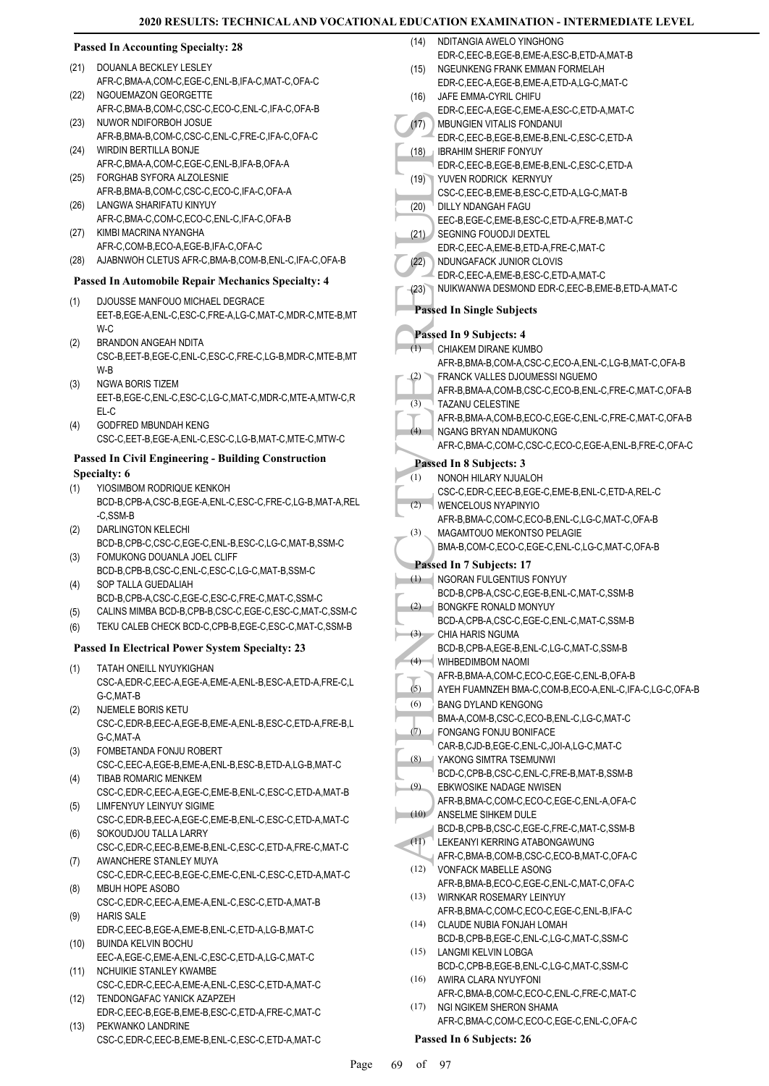NDITANGIA AWELO YINGHONG

#### **Passed In Accounting Specialty: 28**

- (21) DOUANLA BECKLEY LESLEY AFR-C,BMA-A,COM-C,EGE-C,ENL-B,IFA-C,MAT-C,OFA-C
- NGOUEMAZON GEORGETTE AFR-C,BMA-B,COM-C,CSC-C,ECO-C,ENL-C,IFA-C,OFA-B (22) (23) NUWOR NDIFORBOH JOSUE
- AFR-B,BMA-B,COM-C,CSC-C,ENL-C,FRE-C,IFA-C,OFA-C WIRDIN BERTILLA BONJE (24)
- AFR-C, BMA-A, COM-C, EGE-C, ENL-B, JEA-B, OFA-A FORGHAB SYFORA ALZOLESNIE (25)
- AFR-B,BMA-B,COM-C,CSC-C,ECO-C,IFA-C,OFA-A LANGWA SHARIFATU KINYUY (26)
- AFR-C,BMA-C,COM-C,ECO-C,ENL-C,IFA-C,OFA-B
- KIMBI MACRINA NYANGHA AFR-C,COM-B,ECO-A,EGE-B,IFA-C,OFA-C (27)
- (28) AJABNWOH CLETUS AFR-C,BMA-B,COM-B,ENL-C,IFA-C,OFA-B

#### **Passed In Automobile Repair Mechanics Specialty: 4**

- DJOUSSE MANFOUO MICHAEL DEGRACE (1)
- EET-B,EGE-A,ENL-C,ESC-C,FRE-A,LG-C,MAT-C,MDR-C,MTE-B,MT W-C
- BRANDON ANGEAH NDITA CSC-B,EET-B,EGE-C,ENL-C,ESC-C,FRE-C,LG-B,MDR-C,MTE-B,MT W-B (2)
- NGWA BORIS TIZEM EET-B,EGE-C,ENL-C,ESC-C,LG-C,MAT-C,MDR-C,MTE-A,MTW-C,R EL-C (3)
- GODFRED MBUNDAH KENG CSC-C,EET-B,EGE-A,ENL-C,ESC-C,LG-B,MAT-C,MTE-C,MTW-C (4)

### **Passed In Civil Engineering - Building Construction Specialty: 6**

- YIOSIMBOM RODRIQUE KENKOH (1)
- BCD-B,CPB-A,CSC-B,EGE-A,ENL-C,ESC-C,FRE-C,LG-B,MAT-A,REL -C,SSM-B
- DARLINGTON KELECHI BCD-B,CPB-C,CSC-C,EGE-C,ENL-B,ESC-C,LG-C,MAT-B,SSM-C (2)
- FOMUKONG DOUANLA JOEL CLIFF BCD-B,CPB-B,CSC-C,ENL-C,ESC-C,LG-C,MAT-B,SSM-C (3)
- SOP TALLA GUEDALIAH BCD-B,CPB-A,CSC-C,EGE-C,ESC-C,FRE-C,MAT-C,SSM-C (4)
- (5) CALINS MIMBA BCD-B,CPB-B,CSC-C,EGE-C,ESC-C,MAT-C,SSM-C
- (6) TEKU CALEB CHECK BCD-C,CPB-B,EGE-C,ESC-C,MAT-C,SSM-B

# **Passed In Electrical Power System Specialty: 23**

- TATAH ONEILL NYUYKIGHAN (1)
- CSC-A,EDR-C,EEC-A,EGE-A,EME-A,ENL-B,ESC-A,ETD-A,FRE-C,L G-C,MAT-B
- NJEMELE BORIS KETU CSC-C,EDR-B,EEC-A,EGE-B,EME-A,ENL-B,ESC-C,ETD-A,FRE-B,L G-C,MAT-A (2)
- FOMBETANDA FONJU ROBERT CSC-C,EEC-A,EGE-B,EME-A,ENL-B,ESC-B,ETD-A,LG-B,MAT-C (3) TIBAB ROMARIC MENKEM
- CSC-C,EDR-C,EEC-A,EGE-C,EME-B,ENL-C,ESC-C,ETD-A,MAT-B (4) LIMFENYUY LEINYUY SIGIME (5)
- CSC-C,EDR-B,EEC-A,EGE-C,EME-B,ENL-C,ESC-C,ETD-A,MAT-C SOKOUDJOU TALLA LARRY (6)
- CSC-C,EDR-C,EEC-B,EME-B,ENL-C,ESC-C,ETD-A,FRE-C,MAT-C AWANCHERE STANLEY MUYA (7)
- CSC-C,EDR-C,EEC-B,EGE-C,EME-C,ENL-C,ESC-C,ETD-A,MAT-C MBUH HOPE ASOBO (8)
- CSC-C,EDR-C,EEC-A,EME-A,ENL-C,ESC-C,ETD-A,MAT-B HARIS SALE (9)
- EDR-C,EEC-B,EGE-A,EME-B,ENL-C,ETD-A,LG-B,MAT-C BUINDA KELVIN BOCHU (10)
- EEC-A,EGE-C,EME-A,ENL-C,ESC-C,ETD-A,LG-C,MAT-C NCHUIKIE STANLEY KWAMBE (11)
- CSC-C,EDR-C,EEC-A,EME-A,ENL-C,ESC-C,ETD-A,MAT-C TENDONGAFAC YANICK AZAPZEH (12)
- EDR-C,EEC-B,EGE-B,EME-B,ESC-C,ETD-A,FRE-C,MAT-C PEKWANKO LANDRINE (13)
- CSC-C,EDR-C,EEC-B,EME-B,ENL-C,ESC-C,ETD-A,MAT-C
- (17)<br>
(17) MBUNC<br>
EDR-C,<br>
(18) BBNAHI<br>
EDR-C,<br>
(20) DILLY NEC-B,<br>
SEGNII<br>
EDR-C,<br>
(21) EEC-B,<br>
SEGNII<br>
EDR-C,<br>
(21) SEGNII<br>
EDR-C,<br>
(22) NDUNC<br>
EDR-C,<br>
NDUNC<br>
EDR-C,<br>
NDUNC<br>
EDR-C,<br>
NDUNC<br>
EDR-C,<br>
NDUNC<br>
EDR-C,<br>
NDUNC<br>
EDR EDR-C,EEC-B,EGE-B,EME-A,ESC-B,ETD-A,MAT-B NGEUNKENG FRANK EMMAN FORMELAH EDR-C,EEC-A,EGE-B,EME-A,ETD-A,LG-C,MAT-C (15) JAFE EMMA-CYRIL CHIFU EDR-C,EEC-A,EGE-C,EME-A,ESC-C,ETD-A,MAT-C (16) MBUNGIEN VITALIS FONDANUI EDR-C,EEC-B,EGE-B,EME-B,ENL-C,ESC-C,ETD-A  $(17)$ IBRAHIM SHERIF FONYUY EDR-C,EEC-B,EGE-B,EME-B,ENL-C,ESC-C,ETD-A (18) YUVEN RODRICK KERNYUY CSC-C,EEC-B,EME-B,ESC-C,ETD-A,LG-C,MAT-B  $(19)$ DILLY NDANGAH FAGU EEC-B,EGE-C,EME-B,ESC-C,ETD-A,FRE-B,MAT-C (20) SEGNING FOUODJI DEXTEL EDR-C,EEC-A,EME-B,ETD-A,FRE-C,MAT-C (21) NDUNGAFACK JUNIOR CLOVIS EDR-C,EEC-A,EME-B,ESC-C,ETD-A,MAT-C  $(22)$ (23) NUIKWANWA DESMOND EDR-C,EEC-B,EME-B,ETD-A,MAT-C **Passed In Single Subjects Passed In 9 Subjects: 4** CHIAKEM DIRANE KUMBO AFR-B,BMA-B,COM-A,CSC-C,ECO-A,ENL-C,LG-B,MAT-C,OFA-B  $(1)$ FRANCK VALLES DJOUMESSI NGUEMO AFR-B,BMA-A,COM-B,CSC-C,ECO-B,ENL-C,FRE-C,MAT-C,OFA-B (2) TAZANU CELESTINE AFR-B,BMA-A,COM-B,ECO-C,EGE-C,ENL-C,FRE-C,MAT-C,OFA-B (3) NGANG BRYAN NDAMUKONG AFR-C,BMA-C,COM-C,CSC-C,ECO-C,EGE-A,ENL-B,FRE-C,OFA-C  $(4)$ **Passed In 8 Subjects: 3** NONOH HILARY NJUALOH CSC-C,EDR-C,EEC-B,EGE-C,EME-B,ENL-C,ETD-A,REL-C (1) WENCELOUS NYAPINYIO AFR-B,BMA-C,COM-C,ECO-B,ENL-C,LG-C,MAT-C,OFA-B (2) MAGAMTOUO MEKONTSO PELAGIE BMA-B,COM-C,ECO-C,EGE-C,ENL-C,LG-C,MAT-C,OFA-B (3) **Passed In 7 Subjects: 17** NGORAN FULGENTIUS FONYUY BCD-B,CPB-A,CSC-C,EGE-B,ENL-C,MAT-C,SSM-B  $(1)$ BONGKFE RONALD MONYUY BCD-A,CPB-A,CSC-C,EGE-C,ENL-C,MAT-C,SSM-B (2) CHIA HARIS NGUMA BCD-B,CPB-A,EGE-B,ENL-C,LG-C,MAT-C,SSM-B (3) WIHBEDIMBOM NAOMI AFR-B,BMA-A,COM-C,ECO-C,EGE-C,ENL-B,OFA-B  $(4)$ (5) AYEH FUAMNZEH BMA-C,COM-B,ECO-A,ENL-C,IFA-C,LG-C,OFA-B BANG DYLAND KENGONG BMA-A,COM-B,CSC-C,ECO-B,ENL-C,LG-C,MAT-C (6) FONGANG FONJU BONIFACE CAR-B,CJD-B,EGE-C,ENL-C,JOI-A,LG-C,MAT-C (7) YAKONG SIMTRA TSEMUNWI BCD-C,CPB-B,CSC-C,ENL-C,FRE-B,MAT-B,SSM-B (8) EBKWOSIKE NADAGE NWISEN AFR-B,BMA-C,COM-C,ECO-C,EGE-C,ENL-A,OFA-C (9) ANSELME SIHKEM DULE (10) BCD-B,CPB-B,CSC-C,EGE-C,FRE-C,MAT-C,SSM-B LEKEANYI KERRING ATABONGAWUNG AFR-C,BMA-B,COM-B,CSC-C,ECO-B,MAT-C,OFA-C (11) VONFACK MABELLE ASONG AFR-B,BMA-B,ECO-C,EGE-C,ENL-C,MAT-C,OFA-C (12) WIRNKAR ROSEMARY LEINYUY AFR-B,BMA-C,COM-C,ECO-C,EGE-C,ENL-B,IFA-C (13) CLAUDE NUBIA FONJAH LOMAH (14) BCD-B,CPB-B,EGE-C,ENL-C,LG-C,MAT-C,SSM-C (15) LANGMI KELVIN LOBGA BCD-C,CPB-B,EGE-B,ENL-C,LG-C,MAT-C,SSM-C AWIRA CLARA NYUYFONI (16) AFR-C,BMA-B,COM-C,ECO-C,ENL-C,FRE-C,MAT-C NGI NGIKEM SHERON SHAMA AFR-C,BMA-C,COM-C,ECO-C,EGE-C,ENL-C,OFA-C (17) **Passed In 6 Subjects: 26**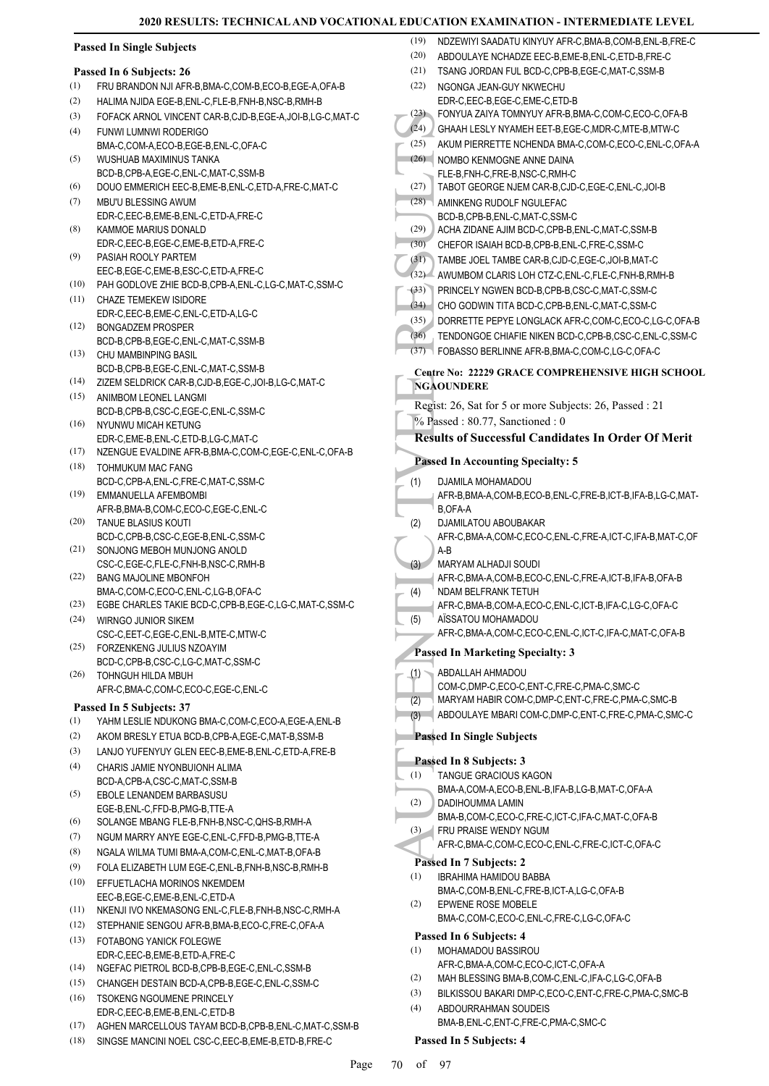# **Passed In Single Subjects**

# **Passed In 6 Subjects: 26**

- (1) FRU BRANDON NJI AFR-B,BMA-C,COM-B,ECO-B,EGE-A,OFA-B
- (2) HALIMA NJIDA EGE-B,ENL-C,FLE-B,FNH-B,NSC-B,RMH-B
- (3) FOFACK ARNOL VINCENT CAR-B,CJD-B,EGE-A,JOI-B,LG-C,MAT-C FUNWI LUMNWI RODERIGO (4)
- BMA-C,COM-A,ECO-B,EGE-B,ENL-C,OFA-C (5)
- WUSHUAB MAXIMINUS TANKA BCD-B,CPB-A,EGE-C,ENL-C,MAT-C,SSM-B
- (6) DOUO EMMERICH EEC-B,EME-B,ENL-C,ETD-A,FRE-C,MAT-C
- MBU'U BLESSING AWUM EDR-C,EEC-B,EME-B,ENL-C,ETD-A,FRE-C (7)
- KAMMOE MARIUS DONALD EDR-C,EEC-B,EGE-C,EME-B,ETD-A,FRE-C (8)
- PASIAH ROOLY PARTEM EEC-B,EGE-C,EME-B,ESC-C,ETD-A,FRE-C (9)
- (10) PAH GODLOVE ZHIE BCD-B,CPB-A,ENL-C,LG-C,MAT-C,SSM-C
- CHAZE TEMEKEW ISIDORE (11) EDR-C,EEC-B,EME-C,ENL-C,ETD-A,LG-C
- BONGADZEM PROSPER BCD-B,CPB-B, EGE-C, ENL-C, MAT-C, SSM-B (12)
- CHU MAMBINPING BASIL BCD-B,CPB-B,EGE-C,ENL-C,MAT-C,SSM-B (13)
- (14) ZIZEM SELDRICK CAR-B,CJD-B,EGE-C,JOI-B,LG-C,MAT-C ANIMBOM LEONEL LANGMI (15)
- BCD-B,CPB-B,CSC-C,EGE-C,ENL-C,SSM-C (16) NYUNWU MICAH KETUNG
- EDR-C,EME-B,ENL-C,ETD-B,LG-C,MAT-C (17) NZENGUE EVALDINE AFR-B,BMA-C,COM-C,EGE-C,ENL-C,OFA-B
- (18) TOHMUKUM MAC FANG BCD-C,CPB-A,ENL-C,FRE-C,MAT-C,SSM-C
- EMMANUELLA AFEMBOMBI (19) AFR-B,BMA-B,COM-C,ECO-C,EGE-C,ENL-C
- TANUE BLASIUS KOUTI BCD-C,CPB-B,CSC-C,EGE-B,ENL-C,SSM-C (20)
- SONJONG MEBOH MUNJONG ANOLD CSC-C,EGE-C,FLE-C,FNH-B,NSC-C,RMH-B (21)
- BANG MAJOLINE MBONFOH BMA-C,COM-C,ECO-C,ENL-C,LG-B,OFA-C (22)
- (23) EGBE CHARLES TAKIE BCD-C,CPB-B,EGE-C,LG-C,MAT-C,SSM-C
- WIRNGO JUNIOR SIKEM (24) CSC-C,EET-C,EGE-C,ENL-B,MTE-C,MTW-C FORZENKENG JULIUS NZOAYIM (25)
- BCD-C,CPB-B,CSC-C,LG-C,MAT-C,SSM-C TOHNGUH HILDA MBUH (26)
- AFR-C,BMA-C,COM-C,ECO-C,EGE-C,ENL-C

# **Passed In 5 Subjects: 37**

- (1) YAHM LESLIE NDUKONG BMA-C, COM-C, ECO-A, EGE-A, ENL-B
- (2) AKOM BRESLY ETUA BCD-B,CPB-A,EGE-C,MAT-B,SSM-B
- (3) LANJO YUFENYUY GLEN EEC-B,EME-B,ENL-C,ETD-A,FRE-B
- CHARIS JAMIE NYONBUIONH ALIMA BCD-A,CPB-A,CSC-C,MAT-C,SSM-B (4)
- EBOLE LENANDEM BARBASUSU EGE-B,ENL-C,FFD-B,PMG-B,TTE-A (5)
- (6) SOLANGE MBANG FLE-B,FNH-B,NSC-C,QHS-B,RMH-A
- (7) NGUM MARRY ANYE EGE-C,ENL-C,FFD-B,PMG-B,TTE-A
- (8) NGALA WILMA TUMI BMA-A,COM-C,ENL-C,MAT-B,OFA-B
- (9) FOLA ELIZABETH LUM EGE-C,ENL-B,FNH-B,NSC-B,RMH-B
- EFFUETLACHA MORINOS NKEMDEM (10) EEC-B,EGE-C,EME-B,ENL-C,ETD-A
- (11) NKENJI IVO NKEMASONG ENL-C,FLE-B,FNH-B,NSC-C,RMH-A
- (12) STEPHANIE SENGOU AFR-B,BMA-B,ECO-C,FRE-C,OFA-A FOTABONG YANICK FOLEGWE (13)
- EDR-C,EEC-B,EME-B,ETD-A,FRE-C
- (14) NGEFAC PIETROL BCD-B,CPB-B,EGE-C,ENL-C,SSM-B
- (15) CHANGEH DESTAIN BCD-A,CPB-B,EGE-C,ENL-C,SSM-C (16) TSOKENG NGOUMENE PRINCELY
- EDR-C,EEC-B,EME-B,ENL-C,ETD-B
- (17) AGHEN MARCELLOUS TAYAM BCD-B,CPB-B,ENL-C,MAT-C,SSM-B
- (18) SINGSE MANCINI NOEL CSC-C,EEC-B,EME-B,ETD-B,FRE-C

| (20) | ABDOULAYE NCHADZE EEC-B, EME-B, ENL-C, ETD-B, FRE-C                                                |
|------|----------------------------------------------------------------------------------------------------|
| (21) | TSANG JORDAN FUL BCD-C, CPB-B, EGE-C, MAT-C, SSM-B                                                 |
| (22) | NGONGA JEAN-GUY NKWECHU                                                                            |
|      | EDR-C,EEC-B,EGE-C,EME-C,ETD-B                                                                      |
| (23) | FONYUA ZAIYA TOMNYUY AFR-B, BMA-C, COM-C, ECO-C, OFA-B                                             |
| (24) | GHAAH LESLY NYAMEH EET-B,EGE-C,MDR-C,MTE-B,MTW-C                                                   |
| (25) | AKUM PIERRETTE NCHENDA BMA-C,COM-C,ECO-C,ENL-C,OFA-A                                               |
| (26) | NOMBO KENMOGNE ANNE DAINA                                                                          |
|      | FLE-B,FNH-C,FRE-B,NSC-C,RMH-C                                                                      |
| (27) | TABOT GEORGE NJEM CAR-B,CJD-C,EGE-C,ENL-C,JOI-B                                                    |
| (28) | AMINKENG RUDOLF NGULEFAC                                                                           |
|      | BCD-B,CPB-B,ENL-C,MAT-C,SSM-C                                                                      |
| (29) | ACHA ZIDANE AJIM BCD-C, CPB-B, ENL-C, MAT-C, SSM-B                                                 |
| (30) | CHEFOR ISAIAH BCD-B,CPB-B,ENL-C,FRE-C,SSM-C                                                        |
| (31) | TAMBE JOEL TAMBE CAR-B,CJD-C,EGE-C,JOI-B,MAT-C                                                     |
| (32) | AWUMBOM CLARIS LOH CTZ-C, ENL-C, FLE-C, FNH-B, RMH-B                                               |
| (33) | PRINCELY NGWEN BCD-B,CPB-B,CSC-C,MAT-C,SSM-C                                                       |
| (34) | CHO GODWIN TITA BCD-C, CPB-B, ENL-C, MAT-C, SSM-C                                                  |
| (35) | DORRETTE PEPYE LONGLACK AFR-C,COM-C,ECO-C,LG-C,OFA-B                                               |
| (36) | TENDONGOE CHIAFIE NIKEN BCD-C,CPB-B,CSC-C,ENL-C,SSM-C                                              |
| (37) | FOBASSO BERLINNE AFR-B, BMA-C, COM-C, LG-C, OFA-C                                                  |
|      |                                                                                                    |
|      | Centre No: 22229 GRACE COMPREHENSIVE HIGH SCHOOL                                                   |
|      | NGAOUNDERE                                                                                         |
|      | Regist: 26, Sat for 5 or more Subjects: 26, Passed : 21                                            |
|      | % Passed: 80.77, Sanctioned: 0                                                                     |
|      | <b>Results of Successful Candidates In Order Of Merit</b>                                          |
|      | <b>Passed In Accounting Specialty: 5</b>                                                           |
|      |                                                                                                    |
| (1)  | DJAMILA MOHAMADOU                                                                                  |
|      | AFR-B, BMA-A, COM-B, ECO-B, ENL-C, FRE-B, ICT-B, IFA-B, LG-C, MAT-                                 |
|      | B,OFA-A                                                                                            |
| (2)  | DJAMILATOU ABOUBAKAR                                                                               |
|      | AFR-C, BMA-A, COM-C, ECO-C, ENL-C, FRE-A, ICT-C, IFA-B, MAT-C, OF<br>A-B                           |
| (3)  | MARYAM ALHADJI SOUDI                                                                               |
|      | AFR-C, BMA-A, COM-B, ECO-C, ENL-C, FRE-A, ICT-B, IFA-B, OFA-B                                      |
| (4)  | NDAM BELFRANK TETUH                                                                                |
|      | AFR-C, BMA-B, COM-A, ECO-C, ENL-C, ICT-B, IFA-C, LG-C, OFA-C                                       |
| (5)  | AISSATOU MOHAMADOU                                                                                 |
|      | AFR-C, BMA-A, COM-C, ECO-C, ENL-C, ICT-C, IFA-C, MAT-C, OFA-B                                      |
|      | <b>Passed In Marketing Specialty: 3</b>                                                            |
|      |                                                                                                    |
| (1)  | ABDALLAH AHMADOU                                                                                   |
|      | COM-C,DMP-C,ECO-C,ENT-C,FRE-C,PMA-C,SMC-C<br>MARYAM HABIR COM-C, DMP-C, ENT-C, FRE-C, PMA-C, SMC-B |
| (2)  |                                                                                                    |
| (3)  | ABDOULAYE MBARI COM-C, DMP-C, ENT-C, FRE-C, PMA-C, SMC-C                                           |
|      | <b>Passed In Single Subjects</b>                                                                   |
|      | Passed In 8 Subjects: 3                                                                            |
| (1)  | TANGUE GRACIOUS KAGON                                                                              |
|      | BMA-A,COM-A,ECO-B,ENL-B,IFA-B,LG-B,MAT-C,OFA-A                                                     |
| (2)  | DADIHOUMMA LAMIN                                                                                   |
|      | BMA-B,COM-C,ECO-C,FRE-C,ICT-C,IFA-C,MAT-C,OFA-B                                                    |
| (3)  | FRU PRAISE WENDY NGUM                                                                              |
|      | AFR-C,BMA-C,COM-C,ECO-C,ENL-C,FRE-C,ICT-C,OFA-C                                                    |
|      | Passed In 7 Subjects: 2                                                                            |
|      |                                                                                                    |
| (1)  | <b>IBRAHIMA HAMIDOU BABBA</b>                                                                      |
|      | BMA-C,COM-B,ENL-C,FRE-B,ICT-A,LG-C,OFA-B                                                           |
| (2)  | EPWENE ROSE MOBELE                                                                                 |
|      | BMA-C,COM-C,ECO-C,ENL-C,FRE-C,LG-C,OFA-C                                                           |

(19) NDZEWIYI SAADATU KINYUY AFR-C,BMA-B,COM-B,ENL-B,FRE-C

- MOHAMADOU BASSIROU (1) AFR-C,BMA-A,COM-C,ECO-C,ICT-C,OFA-A
- (2) MAH BLESSING BMA-B,COM-C,ENL-C,IFA-C,LG-C,OFA-B
- (3) BILKISSOU BAKARI DMP-C,ECO-C,ENT-C,FRE-C,PMA-C,SMC-B
- ABDOURRAHMAN SOUDEIS BMA-B,ENL-C,ENT-C,FRE-C,PMA-C,SMC-C (4)

# **Passed In 5 Subjects: 4**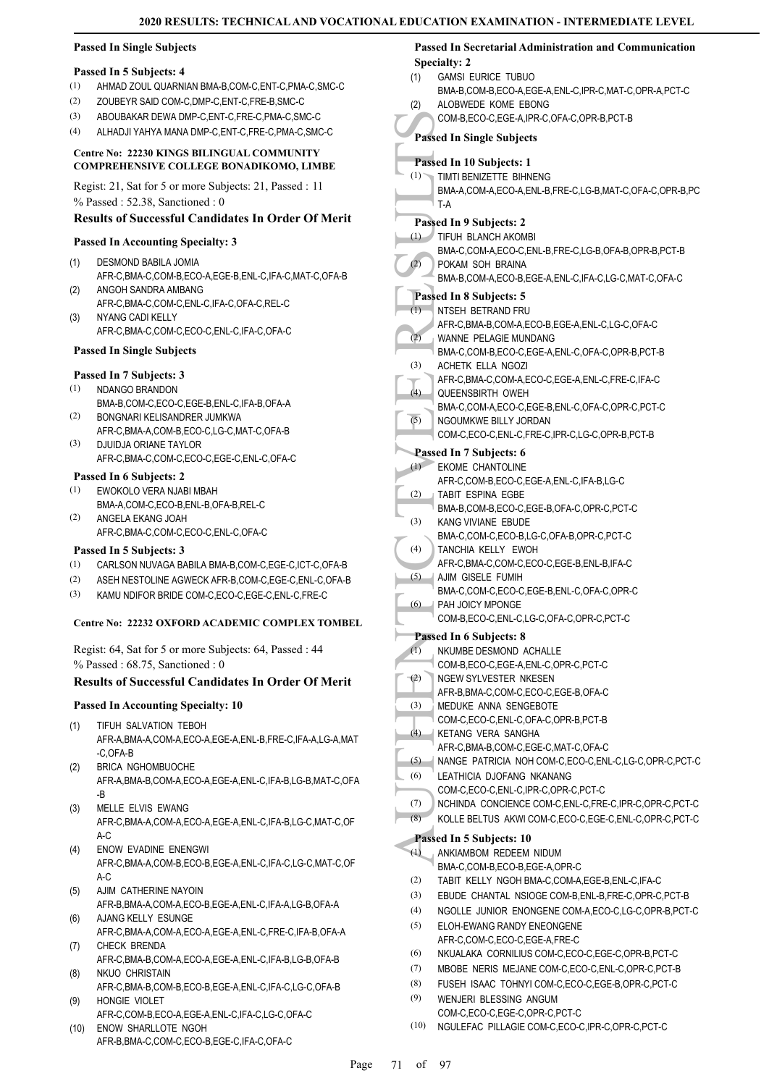(1)

(2)

(1)

(1)

 $(2)$ 

(1)

 $(2)$ 

# **Passed In Single Subjects**

#### **Passed In 5 Subjects: 4**

- (1) AHMAD ZOUL QUARNIAN BMA-B,COM-C,ENT-C,PMA-C,SMC-C
- (2) ZOUBEYR SAID COM-C,DMP-C,ENT-C,FRE-B,SMC-C
- (3) ABOUBAKAR DEWA DMP-C,ENT-C,FRE-C,PMA-C,SMC-C
- (4) ALHADJI YAHYA MANA DMP-C,ENT-C,FRE-C,PMA-C,SMC-C

#### **Centre No: 22230 KINGS BILINGUAL COMMUNITY COMPREHENSIVE COLLEGE BONADIKOMO, LIMBE**

Regist: 21, Sat for 5 or more Subjects: 21, Passed : 11 % Passed : 52.38, Sanctioned : 0

# **Results of Successful Candidates In Order Of Merit**

#### **Passed In Accounting Specialty: 3**

- DESMOND BABILA JOMIA AFR-C,BMA-C,COM-B,ECO-A,EGE-B,ENL-C,IFA-C,MAT-C,OFA-B (1)
- ANGOH SANDRA AMBANG AFR-C,BMA-C,COM-C,ENL-C,IFA-C,OFA-C,REL-C (2)
- NYANG CADI KELLY AFR-C,BMA-C,COM-C,ECO-C,ENL-C,IFA-C,OFA-C (3)

#### **Passed In Single Subjects**

# **Passed In 7 Subjects: 3**

- NDANGO BRANDON BMA-B,COM-C,ECO-C,EGE-B,ENL-C,IFA-B,OFA-A (1) (2)
- BONGNARI KELISANDRER JUMKWA AFR-C,BMA-A,COM-B,ECO-C,LG-C,MAT-C,OFA-B DJUIDJA ORIANE TAYLOR (3)
- AFR-C,BMA-C,COM-C,ECO-C,EGE-C,ENL-C,OFA-C

#### **Passed In 6 Subjects: 2**

- EWOKOLO VERA NJABI MBAH (1)
- BMA-A,COM-C,ECO-B,ENL-B,OFA-B,REL-C ANGELA EKANG JOAH (2)
- AFR-C,BMA-C,COM-C,ECO-C,ENL-C,OFA-C

### **Passed In 5 Subjects: 3**

- (1) CARLSON NUVAGA BABILA BMA-B,COM-C,EGE-C,ICT-C,OFA-B
- (2) ASEH NESTOLINE AGWECK AFR-B,COM-C,EGE-C,ENL-C,OFA-B
- (3) KAMU NDIFOR BRIDE COM-C,ECO-C,EGE-C,ENL-C,FRE-C

#### **Centre No: 22232 OXFORD ACADEMIC COMPLEX TOMBEL**

Regist: 64, Sat for 5 or more Subjects: 64, Passed : 44 % Passed : 68.75, Sanctioned : 0

# **Results of Successful Candidates In Order Of Merit**

#### **Passed In Accounting Specialty: 10**

- TIFUH SALVATION TEBOH AFR-A,BMA-A,COM-A,ECO-A,EGE-A,ENL-B,FRE-C,IFA-A,LG-A,MAT -C,OFA-B (1)
- BRICA NGHOMBUOCHE AFR-A,BMA-B,COM-A,ECO-A,EGE-A,ENL-C,IFA-B,LG-B,MAT-C,OFA -B (2)
- MELLE ELVIS EWANG AFR-C,BMA-A,COM-A,ECO-A,EGE-A,ENL-C,IFA-B,LG-C,MAT-C,OF A-C (3)
- ENOW EVADINE ENENGWI AFR-C,BMA-A,COM-B,ECO-B,EGE-A,ENL-C,IFA-C,LG-C,MAT-C,OF A-C (4)
- AJIM CATHERINE NAYOIN AFR-B,BMA-A,COM-A,ECO-B,EGE-A,ENL-C,IFA-A,LG-B,OFA-A (5)
- AJANG KELLY ESUNGE AFR-C,BMA-A,COM-A,ECO-A,EGE-A,ENL-C,FRE-C,IFA-B,OFA-A (6) CHECK BRENDA (7)
- AFR-C,BMA-B,COM-A,ECO-A,EGE-A,ENL-C,IFA-B,LG-B,OFA-B NKUO CHRISTAIN (8)
- AFR-C,BMA-B,COM-B,ECO-B,EGE-A,ENL-C,IFA-C,LG-C,OFA-B HONGIE VIOLET (9)
- AFR-C,COM-B,ECO-A,EGE-A,ENL-C,IFA-C,LG-C,OFA-C ENOW SHARLLOTE NGOH (10)
- AFR-B,BMA-C,COM-C,ECO-B,EGE-C,IFA-C,OFA-C

#### **Passed In Secretarial Administration and Communication Specialty: 2**

- COM-B<br>
Passed In States In States In States In THATTIEUH<br>
THEUH<br>
BMA-A, T-A<br>
Passed In States In States In States In States In States In States In States In States In States In States In States In States In States In State GAMSI EURICE TUBUO BMA-B,COM-B,ECO-A,EGE-A,ENL-C,IPR-C,MAT-C,OPR-A,PCT-C ALOBWEDE KOME EBONG COM-B,ECO-C,EGE-A,IPR-C,OFA-C,OPR-B,PCT-B **Passed In Single Subjects Passed In 10 Subjects: 1** TIMTI BENIZETTE BIHNENG BMA-A,COM-A,ECO-A,ENL-B,FRE-C,LG-B,MAT-C,OFA-C,OPR-B,PC T-A **Passed In 9 Subjects: 2** TIFUH BLANCH AKOMBI BMA-C,COM-A,ECO-C,ENL-B,FRE-C,LG-B,OFA-B,OPR-B,PCT-B POKAM SOH BRAINA BMA-B,COM-A,ECO-B,EGE-A,ENL-C,IFA-C,LG-C,MAT-C,OFA-C **Passed In 8 Subjects: 5** NTSEH BETRAND FRU AFR-C,BMA-B,COM-A,ECO-B,EGE-A,ENL-C,LG-C,OFA-C WANNE PELAGIE MUNDANG BMA-C,COM-B,ECO-C,EGE-A,ENL-C,OFA-C,OPR-B,PCT-B ACHETK ELLA NGOZI
	- AFR-C,BMA-C,COM-A,ECO-C,EGE-A,ENL-C,FRE-C,IFA-C (3) QUEENSBIRTH OWEH BMA-C,COM-A,ECO-C,EGE-B,ENL-C,OFA-C,OPR-C,PCT-C (4)
	- NGOUMKWE BILLY JORDAN (5)
	- COM-C,ECO-C,ENL-C,FRE-C,IPR-C,LG-C,OPR-B,PCT-B

# **Passed In 7 Subjects: 6**

| (1) | <b>EKOME CHANTOLINE</b>                   |
|-----|-------------------------------------------|
|     | AFR-C,COM-B,ECO-C,EGE-A,ENL-C,IFA-B,LG-C  |
| (2) | TABIT FSPINA FGBF                         |
|     | BMA-B,COM-B,ECO-C,EGE-B,OFA-C,OPR-C,PCT-C |
| (3) | KANG VIVIANE FRUDE                        |
|     | BMA-C,COM-C,ECO-B,LG-C,OFA-B,OPR-C,PCT-C  |
| (4) | TANCHIA KELLY EWOH                        |
|     | AFR-C.BMA-C.COM-C.ECO-C.EGE-B.ENL-B.IFA-C |
| (5) | AJIM GISELE FUMIH                         |
|     |                                           |

- 
- BMA-C,COM-C,ECO-C,EGE-B,ENL-C,OFA-C,OPR-C PAH JOICY MPONGE (6)
- COM-B,ECO-C,ENL-C,LG-C,OFA-C,OPR-C,PCT-C

# **Passed In 6 Subjects: 8**

- NKUMBE DESMOND ACHALLE (1)
- COM-B,ECO-C,EGE-A,ENL-C,OPR-C,PCT-C (2)
- NGEW SYLVESTER NKESEN AFR-B,BMA-C,COM-C,ECO-C,EGE-B,OFA-C
- MEDUKE ANNA SENGEBOTE (3)
- COM-C,ECO-C,ENL-C,OFA-C,OPR-B,PCT-B
- KETANG VERA SANGHA  $(4)$
- AFR-C,BMA-B,COM-C,EGE-C,MAT-C,OFA-C
- (5) NANGE PATRICIA NOH COM-C,ECO-C,ENL-C,LG-C,OPR-C,PCT-C
- LEATHICIA DJOFANG NKANANG (6)
- COM-C,ECO-C,ENL-C,IPR-C,OPR-C,PCT-C
- (7) NCHINDA CONCIENCE COM-C,ENL-C,FRE-C,IPR-C,OPR-C,PCT-C
- (8) KOLLE BELTUS AKWI COM-C,ECO-C,EGE-C,ENL-C,OPR-C,PCT-C

# **Passed In 5 Subjects: 10**

- ANKIAMBOM REDEEM NIDUM BMA-C,COM-B,ECO-B,EGE-A,OPR-C (1) (2) TABIT KELLY NGOH BMA-C,COM-A,EGE-B,ENL-C,IFA-C (3) EBUDE CHANTAL NSIOGE COM-B,ENL-B,FRE-C,OPR-C,PCT-B
- (4) NGOLLE JUNIOR ENONGENE COM-A,ECO-C,LG-C,OPR-B,PCT-C
- ELOH-EWANG RANDY ENEONGENE AFR-C,COM-C,ECO-C,EGE-A,FRE-C (5)
- (6) NKUALAKA CORNILIUS COM-C,ECO-C,EGE-C,OPR-B,PCT-C
- (7) MBOBE NERIS MEJANE COM-C,ECO-C,ENL-C,OPR-C,PCT-B
- (8) FUSEH ISAAC TOHNYI COM-C,ECO-C,EGE-B,OPR-C,PCT-C
- WENJERI BLESSING ANGUM COM-C,ECO-C,EGE-C,OPR-C,PCT-C (9)
- (10) NGULEFAC PILLAGIE COM-C,ECO-C,IPR-C,OPR-C,PCT-C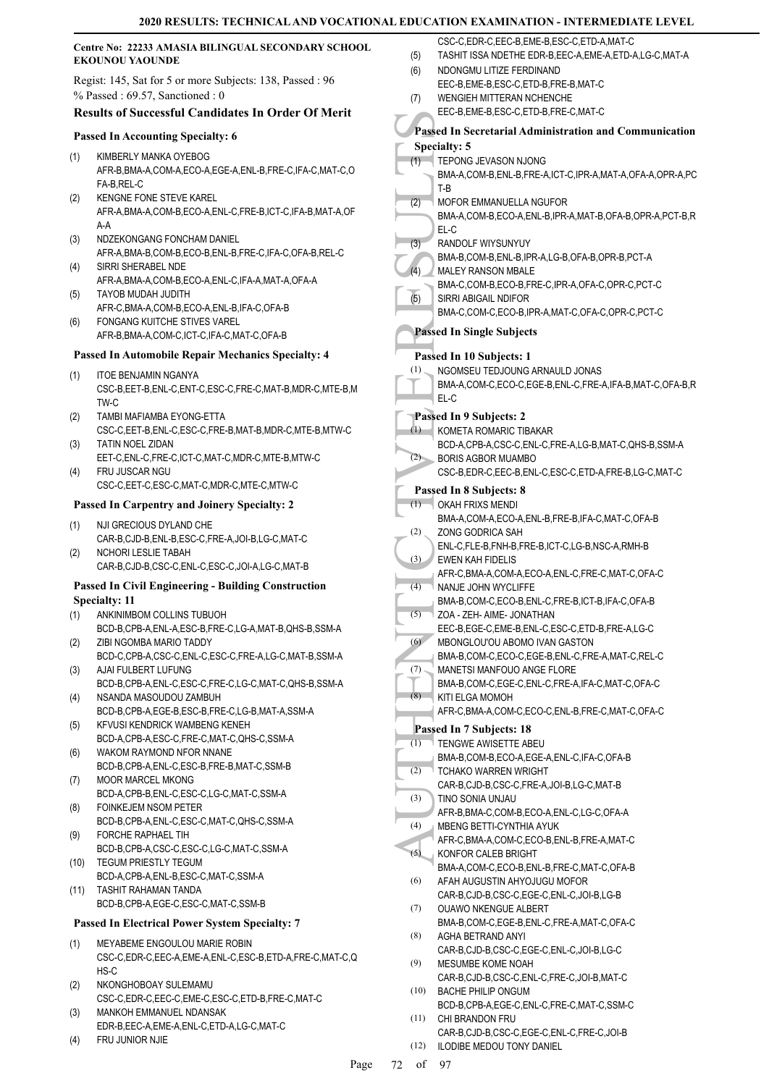| CSC-C.E<br>Centre No: 22233 AMASIA BILINGUAL SECONDARY SCHOOL<br><b>TASHIT I</b><br>(5)<br><b>EKOUNOU YAOUNDE</b>                |                                                                                        |              |                                 |
|----------------------------------------------------------------------------------------------------------------------------------|----------------------------------------------------------------------------------------|--------------|---------------------------------|
| <b>NDONGM</b><br>(6)<br>Regist: 145, Sat for 5 or more Subjects: 138, Passed: 96<br>EEC-B,EI<br>$%$ Passed: 69.57, Sanctioned: 0 |                                                                                        |              |                                 |
|                                                                                                                                  | <b>Results of Successful Candidates In Order Of Merit</b>                              | (7)          | <b>WENGIE</b><br>EEC-B,EI       |
|                                                                                                                                  |                                                                                        | Passed In So |                                 |
|                                                                                                                                  | <b>Passed In Accounting Specialty: 6</b>                                               |              | Specialty: 5                    |
| (1)                                                                                                                              | KIMBERLY MANKA OYEBOG                                                                  | (1)          | <b>TEPONG</b>                   |
|                                                                                                                                  | AFR-B, BMA-A, COM-A, ECO-A, EGE-A, ENL-B, FRE-C, IFA-C, MAT-C, O<br>FA-B, REL-C        |              | BMA-A,C                         |
| (2)                                                                                                                              | KENGNE FONE STEVE KAREL                                                                | (2)          | $T-B$<br>MOFOR I                |
|                                                                                                                                  | AFR-A, BMA-A, COM-B, ECO-A, ENL-C, FRE-B, ICT-C, IFA-B, MAT-A, OF                      |              | BMA-A,C                         |
|                                                                                                                                  | $A-A$                                                                                  |              | EL-C                            |
| (3)                                                                                                                              | NDZEKONGANG FONCHAM DANIEL                                                             | (3)          | <b>RANDOL</b>                   |
| (4)                                                                                                                              | AFR-A, BMA-B, COM-B, ECO-B, ENL-B, FRE-C, IFA-C, OFA-B, REL-C<br>SIRRI SHERABEL NDE    |              | BMA-B,C                         |
|                                                                                                                                  | AFR-A, BMA-A, COM-B, ECO-A, ENL-C, IFA-A, MAT-A, OFA-A                                 | (4)          | <b>MALEY F</b><br>BMA-C,C       |
| (5)                                                                                                                              | <b>TAYOB MUDAH JUDITH</b>                                                              | (5)          | SIRRI AB                        |
|                                                                                                                                  | AFR-C, BMA-A, COM-B, ECO-A, ENL-B, IFA-C, OFA-B                                        |              | BMA-C,C                         |
| (6)                                                                                                                              | <b>FONGANG KUITCHE STIVES VAREL</b><br>AFR-B, BMA-A, COM-C, ICT-C, IFA-C, MAT-C, OFA-B |              | <b>Passed In Si</b>             |
|                                                                                                                                  | <b>Passed In Automobile Repair Mechanics Specialty: 4</b>                              |              |                                 |
|                                                                                                                                  |                                                                                        | (1)          | Passed In 10<br><b>NGOMSE</b>   |
| (1)                                                                                                                              | <b>ITOE BENJAMIN NGANYA</b>                                                            |              | BMA-A,C                         |
|                                                                                                                                  | CSC-B, EET-B, ENL-C, ENT-C, ESC-C, FRE-C, MAT-B, MDR-C, MTE-B, M<br>TW-C               |              | EL-C                            |
| (2)                                                                                                                              | TAMBI MAFIAMBA EYONG-ETTA                                                              | Passed In 9  |                                 |
|                                                                                                                                  | CSC-C,EET-B,ENL-C,ESC-C,FRE-B,MAT-B,MDR-C,MTE-B,MTW-C                                  | (1)          | <b>KOMETA</b>                   |
| (3)                                                                                                                              | TATIN NOEL ZIDAN                                                                       |              | BCD-A,C                         |
| (4)                                                                                                                              | EET-C, ENL-C, FRE-C, ICT-C, MAT-C, MDR-C, MTE-B, MTW-C<br>FRU JUSCAR NGU               | (2)          | <b>BORIS A</b><br>CSC-B,E       |
|                                                                                                                                  | CSC-C, EET-C, ESC-C, MAT-C, MDR-C, MTE-C, MTW-C                                        |              |                                 |
|                                                                                                                                  | <b>Passed In Carpentry and Joinery Specialty: 2</b>                                    | (1)          | Passed In 8<br><b>OKAH FF</b>   |
|                                                                                                                                  |                                                                                        |              | BMA-A,C                         |
| (1)                                                                                                                              | NJI GRECIOUS DYLAND CHE<br>CAR-B,CJD-B,ENL-B,ESC-C,FRE-A,JOI-B,LG-C,MAT-C              | (2)          | ZONG G                          |
| (2)                                                                                                                              | NCHORI LESLIE TABAH                                                                    |              | ENL-C,FL                        |
|                                                                                                                                  | CAR-B,CJD-B,CSC-C,ENL-C,ESC-C,JOI-A,LG-C,MAT-B                                         | (3)          | <b>EWEN K</b><br>AFR-C,BI       |
|                                                                                                                                  | <b>Passed In Civil Engineering - Building Construction</b>                             | (4)          | NANJE J                         |
|                                                                                                                                  | <b>Specialty: 11</b>                                                                   |              | BMA-B,C                         |
|                                                                                                                                  | (1) ANKINIMBOM COLLINS TUBUOH                                                          | (5)          | ZOA - ZE                        |
| (2)                                                                                                                              | BCD-B,CPB-A,ENL-A,ESC-B,FRE-C,LG-A,MAT-B,QHS-B,SSM-A<br>ZIBI NGOMBA MARIO TADDY        | (6)          | EEC-B.E<br><b>MBONGL</b>        |
|                                                                                                                                  | BCD-C,CPB-A,CSC-C,ENL-C,ESC-C,FRE-A,LG-C,MAT-B,SSM-A                                   |              | BMA-B,C                         |
| (3)                                                                                                                              | AJAI FULBERT LUFUNG                                                                    | (7)          | <b>MANETS</b>                   |
|                                                                                                                                  | BCD-B,CPB-A,ENL-C,ESC-C,FRE-C,LG-C,MAT-C,QHS-B,SSM-A                                   |              | BMA-B,C                         |
| (4)                                                                                                                              | NSANDA MASOUDOU ZAMBUH<br>BCD-B,CPB-A,EGE-B,ESC-B,FRE-C,LG-B,MAT-A,SSM-A               | (8)          | KITI ELG<br>AFR-C,BI            |
| (5)                                                                                                                              | KFVUSI KENDRICK WAMBENG KENEH                                                          |              | Passed In 7                     |
|                                                                                                                                  | BCD-A,CPB-A,ESC-C,FRE-C,MAT-C,QHS-C,SSM-A                                              | (1)          | <b>TENGWE</b>                   |
| (6)                                                                                                                              | WAKOM RAYMOND NFOR NNANE                                                               |              | BMA-B,C                         |
|                                                                                                                                  | BCD-B,CPB-A,ENL-C,ESC-B,FRE-B,MAT-C,SSM-B<br><b>MOOR MARCEL MKONG</b>                  | (2)          | <b>TCHAKO</b>                   |
| (7)                                                                                                                              | BCD-A,CPB-B,ENL-C,ESC-C,LG-C,MAT-C,SSM-A                                               |              | CAR-B,C                         |
| (8)                                                                                                                              | FOINKEJEM NSOM PETER                                                                   | (3)          | TINO SO<br>AFR-B, BI            |
|                                                                                                                                  | BCD-B,CPB-A,ENL-C,ESC-C,MAT-C,QHS-C,SSM-A                                              | (4)          | <b>MBENG</b>                    |
| (9)                                                                                                                              | FORCHE RAPHAEL TIH                                                                     |              | AFR-C,BI                        |
| (10)                                                                                                                             | BCD-B,CPB-A,CSC-C,ESC-C,LG-C,MAT-C,SSM-A<br>TEGUM PRIESTLY TEGUM                       | (5)          | <b>KONFOR</b>                   |
|                                                                                                                                  | BCD-A,CPB-A,ENL-B,ESC-C,MAT-C,SSM-A                                                    | (6)          | BMA-A,C<br>AFAH AL              |
| (11)                                                                                                                             | TASHIT RAHAMAN TANDA                                                                   |              | CAR-B,C                         |
|                                                                                                                                  | BCD-B,CPB-A,EGE-C,ESC-C,MAT-C,SSM-B                                                    | (7)          | <b>OUAWO</b>                    |
|                                                                                                                                  | <b>Passed In Electrical Power System Specialty: 7</b>                                  |              | BMA-B,C                         |
| (1)                                                                                                                              | MEYABEME ENGOULOU MARIE ROBIN                                                          | (8)          | <b>AGHA BE</b>                  |
|                                                                                                                                  | CSC-C,EDR-C,EEC-A,EME-A,ENL-C,ESC-B,ETD-A,FRE-C,MAT-C,Q                                | (9)          | CAR-B,C<br><b>MESUME</b>        |
|                                                                                                                                  | HS-C                                                                                   |              | CAR-B,C                         |
| (2)                                                                                                                              | NKONGHOBOAY SULEMAMU<br>CSC-C,EDR-C,EEC-C,EME-C,ESC-C,ETD-B,FRE-C,MAT-C                | (10)         | <b>BACHEF</b>                   |
| (3)                                                                                                                              | MANKOH EMMANUEL NDANSAK                                                                | (11)         | BCD-B,C                         |
|                                                                                                                                  | EDR-B,EEC-A,EME-A,ENL-C,ETD-A,LG-C,MAT-C                                               |              | CHI BRA<br>$\sim$ $\sim$ $\sim$ |

(4) FRU JUNIOR NJIE

- CSC-C,EDR-C,EEC-B,EME-B,ESC-C,ETD-A,MAT-C ISSA NDETHE EDR-B,EEC-A,EME-A,ETD-A,LG-C,MAT-A
- MU LITIZE FERDINAND
	- ME-B,ESC-C,ETD-B,FRE-B,MAT-C
- H MITTERAN NCHENCHE
- ME-B,ESC-C,ETD-B,FRE-C,MAT-C **Passed In Secretarial Administration and Communication**

|      |    |                  | Specialty: 5                                             |
|------|----|------------------|----------------------------------------------------------|
| 0,   |    | (1)              | TEPONG JEVASON NJONG                                     |
|      |    |                  | BMA-A,COM-B,ENL-B,FRE-A,ICT-C,IPR-A,MAT-A,OFA-A,OPR-A,PC |
|      |    |                  | T-B                                                      |
| )F   |    | (2)              | <b>MOFOR EMMANUELLA NGUFOR</b>                           |
|      |    |                  | BMA-A,COM-B,ECO-A,ENL-B,IPR-A,MAT-B,OFA-B,OPR-A,PCT-B,R  |
|      |    |                  | EL-C                                                     |
|      |    | (3)              | RANDOLF WIYSUNYUY                                        |
|      |    |                  | BMA-B,COM-B,ENL-B,IPR-A,LG-B,OFA-B,OPR-B,PCT-A           |
|      |    | (4)              | <b>MALEY RANSON MBALE</b>                                |
|      |    |                  | BMA-C,COM-B,ECO-B,FRE-C,IPR-A,OFA-C,OPR-C,PCT-C          |
|      |    | (5)              | SIRRI ABIGAIL NDIFOR                                     |
|      |    |                  | BMA-C,COM-C,ECO-B,IPR-A,MAT-C,OFA-C,OPR-C,PCT-C          |
|      |    |                  |                                                          |
|      |    |                  | <b>Passed In Single Subjects</b>                         |
|      |    |                  | Passed In 10 Subjects: 1                                 |
|      |    | (1)              | NGOMSEU TEDJOUNG ARNAULD JONAS                           |
|      |    |                  | BMA-A,COM-C,ECO-C,EGE-B,ENL-C,FRE-A,IFA-B,MAT-C,OFA-B,R  |
| ١,M  |    |                  |                                                          |
|      |    |                  | EL-C                                                     |
|      |    |                  | Passed In 9 Subjects: 2                                  |
| C    |    | $\left(1\right)$ | KOMETA ROMARIC TIBAKAR                                   |
|      |    |                  | BCD-A,CPB-A,CSC-C,ENL-C,FRE-A,LG-B,MAT-C,QHS-B,SSM-A     |
|      |    | (2)              | <b>BORIS AGBOR MUAMBO</b>                                |
|      |    |                  | CSC-B,EDR-C,EEC-B,ENL-C,ESC-C,ETD-A,FRE-B,LG-C,MAT-C     |
|      |    |                  | <b>Passed In 8 Subjects: 8</b>                           |
|      |    |                  |                                                          |
|      |    | (1)              | OKAH FRIXS MENDI                                         |
|      |    |                  | BMA-A,COM-A,ECO-A,ENL-B,FRE-B,IFA-C,MAT-C,OFA-B          |
|      |    | (2)              | ZONG GODRICA SAH                                         |
|      |    |                  | ENL-C,FLE-B,FNH-B,FRE-B,ICT-C,LG-B,NSC-A,RMH-B           |
|      |    | (3)              | <b>EWEN KAH FIDELIS</b>                                  |
|      |    |                  | AFR-C, BMA-A, COM-A, ECO-A, ENL-C, FRE-C, MAT-C, OFA-C   |
|      |    | (4)              | NANJE JOHN WYCLIFFE                                      |
|      |    |                  | BMA-B,COM-C,ECO-B,ENL-C,FRE-B,ICT-B,IFA-C,OFA-B          |
|      |    | (5)              | ZOA - ZEH- AIME- JONATHAN                                |
|      |    |                  | EEC-B,EGE-C,EME-B,ENL-C,ESC-C,ETD-B,FRE-A,LG-C           |
|      |    | (6)              | MBONGLOU'OU ABOMO IVAN GASTON                            |
|      |    |                  | BMA-B,COM-C,ECO-C,EGE-B,ENL-C,FRE-A,MAT-C,REL-C          |
|      |    | (7)              | MANETSI MANFOUO ANGE FLORE                               |
|      |    |                  | BMA-B,COM-C,EGE-C,ENL-C,FRE-A,IFA-C,MAT-C,OFA-C          |
|      |    | (8)              | KITI ELGA MOMOH                                          |
|      |    |                  | AFR-C,BMA-A,COM-C,ECO-C,ENL-B,FRE-C,MAT-C,OFA-C          |
|      |    |                  |                                                          |
|      |    |                  | Passed In 7 Subjects: 18                                 |
|      |    | (1)              | TENGWE AWISETTE ABEU                                     |
|      |    |                  | BMA-B,COM-B,ECO-A,EGE-A,ENL-C,IFA-C,OFA-B                |
|      |    | (2)              | TCHAKO WARREN WRIGHT                                     |
|      |    |                  | CAR-B,CJD-B,CSC-C,FRE-A,JOI-B,LG-C,MAT-B                 |
|      |    | (3)              | TINO SONIA UNJAU                                         |
|      |    |                  | AFR-B,BMA-C,COM-B,ECO-A,ENL-C,LG-C,OFA-A                 |
|      |    | (4)              | MBENG BETTI-CYNTHIA AYUK                                 |
|      |    |                  | AFR-C, BMA-A, COM-C, ECO-B, ENL-B, FRE-A, MAT-C          |
|      |    | (5)              | KONFOR CALEB BRIGHT                                      |
|      |    |                  | BMA-A,COM-C,ECO-B,ENL-B,FRE-C,MAT-C,OFA-B                |
|      |    | (6)              | AFAH AUGUSTIN AHYOJUGU MOFOR                             |
|      |    |                  | CAR-B,CJD-B,CSC-C,EGE-C,ENL-C,JOI-B,LG-B                 |
|      |    | (7)              | <b>OUAWO NKENGUE ALBERT</b>                              |
|      |    |                  | BMA-B,COM-C,EGE-B,ENL-C,FRE-A,MAT-C,OFA-C                |
|      |    | (8)              | AGHA BETRAND ANYI                                        |
|      |    |                  | CAR-B,CJD-B,CSC-C,EGE-C,ENL-C,JOI-B,LG-C                 |
| ۰,Q  |    | (9)              | MESUMBE KOME NOAH                                        |
|      |    |                  | CAR-B,CJD-B,CSC-C,ENL-C,FRE-C,JOI-B,MAT-C                |
|      |    | (10)             | <b>BACHE PHILIP ONGUM</b>                                |
|      |    |                  | BCD-B,CPB-A,EGE-C,ENL-C,FRE-C,MAT-C,SSM-C                |
|      |    | (11)             | CHI BRANDON FRU                                          |
|      |    |                  | CAR-B,CJD-B,CSC-C,EGE-C,ENL-C,FRE-C,JOI-B                |
|      |    | (12)             | <b>ILODIBE MEDOU TONY DANIEL</b>                         |
|      |    |                  |                                                          |
| Page | 72 | of               | 97                                                       |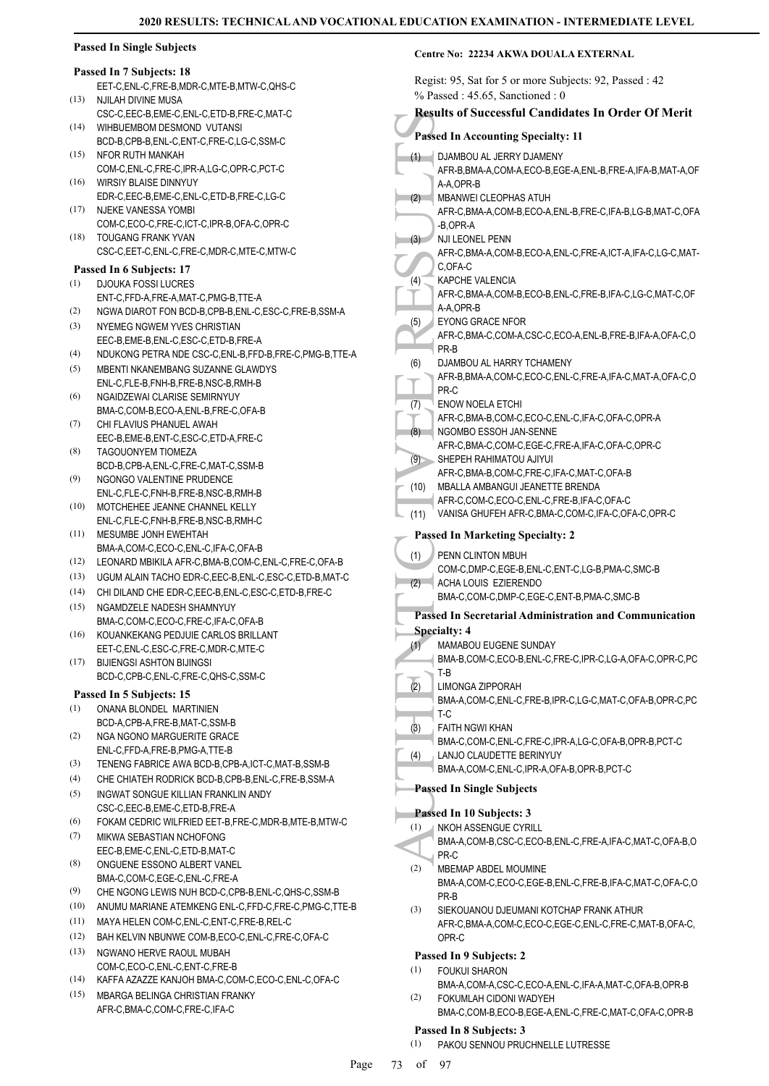#### **Passed In Single Subjects**

# **Passed In 7 Subjects: 18**

- EET-C,ENL-C,FRE-B,MDR-C,MTE-B,MTW-C,QHS-C NJILAH DIVINE MUSA (13)
- CSC-C,EEC-B,EME-C,ENL-C,ETD-B,FRE-C,MAT-C WIHBUEMBOM DESMOND VUTANSI  $(14)$
- BCD-B,CPB-B,ENL-C,ENT-C,FRE-C,LG-C,SSM-C (15) NFOR RUTH MANKAH
- COM-C,ENL-C,FRE-C,IPR-A,LG-C,OPR-C,PCT-C WIRSIY BLAISE DINNYUY (16)
- EDR-C,EEC-B,EME-C,ENL-C,ETD-B,FRE-C,LG-C NJEKE VANESSA YOMBI (17)
- COM-C,ECO-C,FRE-C,ICT-C,IPR-B,OFA-C,OPR-C TOUGANG FRANK YVAN (18)
- CSC-C,EET-C,ENL-C,FRE-C,MDR-C,MTE-C,MTW-C

#### **Passed In 6 Subjects: 17**

- (1) DJOUKA FOSSI LUCRES
- ENT-C,FFD-A,FRE-A,MAT-C,PMG-B,TTE-A (2) NGWA DIAROT FON BCD-B,CPB-B,ENL-C,ESC-C,FRE-B,SSM-A
- NYEMEG NGWEM YVES CHRISTIAN (3)
- EEC-B,EME-B,ENL-C,ESC-C,ETD-B,FRE-A (4) NDUKONG PETRA NDE CSC-C,ENL-B,FFD-B,FRE-C,PMG-B,TTE-A
- MBENTI NKANEMBANG SUZANNE GLAWDYS ENL-C,FLE-B,FNH-B,FRE-B,NSC-B,RMH-B (5)
- NGAIDZEWAI CLARISE SEMIRNYUY BMA-C, COM-B, ECO-A, ENL-B, ERE-C, OFA-B (6)
- CHI FI AVIUS PHANUFL AWAH (7)
- EEC-B,EME-B,ENT-C,ESC-C,ETD-A,FRE-C TAGOUONYEM TIOMEZA BCD-B,CPB-A,ENL-C,FRE-C,MAT-C,SSM-B (8)
- NGONGO VALENTINE PRUDENCE ENL-C,FLE-C,FNH-B,FRE-B,NSC-B,RMH-B (9)
- MOTCHEHEE JEANNE CHANNEL KELLY ENL-C,FLE-C,FNH-B,FRE-B,NSC-B,RMH-C (10)

#### MESUMBE JONH EWEHTAH BMA-A,COM-C,ECO-C,ENL-C,IFA-C,OFA-B  $(11)$

- (12) LEONARD MBIKILA AFR-C,BMA-B,COM-C,ENL-C,FRE-C,OFA-B
- (13) UGUM ALAIN TACHO EDR-C,EEC-B,ENL-C,ESC-C,ETD-B,MAT-C
- (14) CHI DILAND CHE EDR-C,EEC-B,ENL-C,ESC-C,ETD-B,FRE-C
- NGAMDZELE NADESH SHAMNYUY BMA-C,COM-C,ECO-C,FRE-C,IFA-C,OFA-B (15)
- KOUANKEKANG PEDJUIE CARLOS BRILLANT EET-C,ENL-C,ESC-C,FRE-C,MDR-C,MTE-C (16)
- BIJIENGSI ASHTON BIJINGSI (17) BCD-C,CPB-C,ENL-C,FRE-C,QHS-C,SSM-C

#### **Passed In 5 Subjects: 15**

- ONANA BLONDEL MARTINIEN BCD-A,CPB-A,FRE-B,MAT-C,SSM-B (1)
- NGA NGONO MARGUERITE GRACE ENL-C,FFD-A,FRE-B,PMG-A,TTE-B (2)
- (3) TENENG FABRICE AWA BCD-B,CPB-A,ICT-C,MAT-B,SSM-B
- (4) CHE CHIATEH RODRICK BCD-B,CPB-B,ENL-C,FRE-B,SSM-A
- INGWAT SONGUE KILLIAN FRANKLIN ANDY CSC-C,EEC-B,EME-C,ETD-B,FRE-A (5)
- (6) FOKAM CEDRIC WILFRIED EET-B,FRE-C,MDR-B,MTE-B,MTW-C
- MIKWA SEBASTIAN NCHOFONG EEC-B,EME-C,ENL-C,ETD-B,MAT-C (7)
- ONGUENE ESSONO ALBERT VANEL BMA-C,COM-C,EGE-C,ENL-C,FRE-A (8)
- (9) CHE NGONG LEWIS NUH BCD-C,CPB-B,ENL-C,QHS-C,SSM-B
- (10) ANUMU MARIANE ATEMKENG ENL-C,FFD-C,FRE-C,PMG-C,TTE-B
- (11) MAYA HELEN COM-C,ENL-C,ENT-C,FRE-B,REL-C
- (12) BAH KELVIN NBUNWE COM-B,ECO-C,ENL-C,FRE-C,OFA-C
- (13) NGWANO HERVE RAOUL MUBAH COM-C,ECO-C,ENL-C,ENT-C,FRE-B
- (14) KAFFA AZAZZE KANJOH BMA-C,COM-C,ECO-C,ENL-C,OFA-C
- MBARGA BELINGA CHRISTIAN FRANKY (15) AFR-C,BMA-C,COM-C,FRE-C,IFA-C

#### **Centre No: 22234 AKWA DOUALA EXTERNAL**

Regist: 95, Sat for 5 or more Subjects: 92, Passed : 42

|      | $\epsilon$ , $\epsilon$ , $\epsilon$ , $\epsilon$ , $\epsilon$ , $\epsilon$ , $\epsilon$ , $\epsilon$ , $\epsilon$ , $\epsilon$ , $\epsilon$ , $\epsilon$ , $\epsilon$ , $\epsilon$ , $\epsilon$ , $\epsilon$ , $\epsilon$ , $\epsilon$ , $\epsilon$ , $\epsilon$ , $\epsilon$ , $\epsilon$ , $\epsilon$ , $\epsilon$ , $\epsilon$ , $\epsilon$ , $\epsilon$ , $\epsilon$ , $\epsilon$ , $\epsilon$ , $\epsilon$ , $\epsilon$ , $\epsilon$ , $\epsilon$ , $\epsilon$ , $\epsilon$ , $\epsilon$ |
|------|------------------------------------------------------------------------------------------------------------------------------------------------------------------------------------------------------------------------------------------------------------------------------------------------------------------------------------------------------------------------------------------------------------------------------------------------------------------------------------------------|
|      | $%$ Passed: 45.65, Sanctioned: 0                                                                                                                                                                                                                                                                                                                                                                                                                                                               |
|      | <b>Results of Successful Candidates In Order Of Merit</b>                                                                                                                                                                                                                                                                                                                                                                                                                                      |
|      | <b>Passed In Accounting Specialty: 11</b>                                                                                                                                                                                                                                                                                                                                                                                                                                                      |
| (1)  | DJAMBOU AL JERRY DJAMENY                                                                                                                                                                                                                                                                                                                                                                                                                                                                       |
|      | AFR-B, BMA-A, COM-A, ECO-B, EGE-A, ENL-B, FRE-A, IFA-B, MAT-A, OF                                                                                                                                                                                                                                                                                                                                                                                                                              |
|      | A-A,OPR-B                                                                                                                                                                                                                                                                                                                                                                                                                                                                                      |
| (2)  | <b>MBANWEI CLEOPHAS ATUH</b>                                                                                                                                                                                                                                                                                                                                                                                                                                                                   |
|      | AFR-C, BMA-A, COM-B, ECO-A, ENL-B, FRE-C, IFA-B, LG-B, MAT-C, OFA                                                                                                                                                                                                                                                                                                                                                                                                                              |
|      | -B,OPR-A                                                                                                                                                                                                                                                                                                                                                                                                                                                                                       |
| (3)  | NJI LEONEL PENN                                                                                                                                                                                                                                                                                                                                                                                                                                                                                |
|      | AFR-C, BMA-A, COM-B, ECO-A, ENL-C, FRE-A, ICT-A, IFA-C, LG-C, MAT-                                                                                                                                                                                                                                                                                                                                                                                                                             |
|      | C,OFA-C                                                                                                                                                                                                                                                                                                                                                                                                                                                                                        |
| (4)  | KAPCHE VALENCIA<br>AFR-C,BMA-A,COM-B,ECO-B,ENL-C,FRE-B,IFA-C,LG-C,MAT-C,OF                                                                                                                                                                                                                                                                                                                                                                                                                     |
|      | A-A,OPR-B                                                                                                                                                                                                                                                                                                                                                                                                                                                                                      |
| (5)  | <b>EYONG GRACE NFOR</b>                                                                                                                                                                                                                                                                                                                                                                                                                                                                        |
|      | AFR-C,BMA-C,COM-A,CSC-C,ECO-A,ENL-B,FRE-B,IFA-A,OFA-C,O                                                                                                                                                                                                                                                                                                                                                                                                                                        |
|      | PR-B                                                                                                                                                                                                                                                                                                                                                                                                                                                                                           |
| (6)  | DJAMBOU AL HARRY TCHAMENY                                                                                                                                                                                                                                                                                                                                                                                                                                                                      |
|      | AFR-B, BMA-A, COM-C, ECO-C, ENL-C, FRE-A, IFA-C, MAT-A, OFA-C, O                                                                                                                                                                                                                                                                                                                                                                                                                               |
|      | PR-C                                                                                                                                                                                                                                                                                                                                                                                                                                                                                           |
| (7)  | <b>ENOW NOELA ETCHI</b><br>AFR-C, BMA-B, COM-C, ECO-C, ENL-C, IFA-C, OFA-C, OPR-A                                                                                                                                                                                                                                                                                                                                                                                                              |
| (8)  | NGOMBO ESSOH JAN-SENNE                                                                                                                                                                                                                                                                                                                                                                                                                                                                         |
|      | AFR-C, BMA-C, COM-C, EGE-C, FRE-A, IFA-C, OFA-C, OPR-C                                                                                                                                                                                                                                                                                                                                                                                                                                         |
| (9)  | SHEPEH RAHIMATOU AJIYUI                                                                                                                                                                                                                                                                                                                                                                                                                                                                        |
|      | AFR-C, BMA-B, COM-C, FRE-C, IFA-C, MAT-C, OFA-B                                                                                                                                                                                                                                                                                                                                                                                                                                                |
| (10) | MBALLA AMBANGUI JEANETTE BRENDA                                                                                                                                                                                                                                                                                                                                                                                                                                                                |
|      | AFR-C,COM-C,ECO-C,ENL-C,FRE-B,IFA-C,OFA-C                                                                                                                                                                                                                                                                                                                                                                                                                                                      |
| (11) | VANISA GHUFEH AFR-C, BMA-C, COM-C, IFA-C, OFA-C, OPR-C                                                                                                                                                                                                                                                                                                                                                                                                                                         |
|      | <b>Passed In Marketing Specialty: 2</b>                                                                                                                                                                                                                                                                                                                                                                                                                                                        |
| (1)  | PENN CLINTON MBUH                                                                                                                                                                                                                                                                                                                                                                                                                                                                              |
|      | COM-C,DMP-C,EGE-B,ENL-C,ENT-C,LG-B,PMA-C,SMC-B                                                                                                                                                                                                                                                                                                                                                                                                                                                 |
| (2)  | ACHA LOUIS EZIERENDO                                                                                                                                                                                                                                                                                                                                                                                                                                                                           |
|      | BMA-C,COM-C,DMP-C,EGE-C,ENT-B,PMA-C,SMC-B                                                                                                                                                                                                                                                                                                                                                                                                                                                      |
|      | <b>Passed In Secretarial Administration and Communication</b>                                                                                                                                                                                                                                                                                                                                                                                                                                  |
|      | <b>Specialty: 4</b>                                                                                                                                                                                                                                                                                                                                                                                                                                                                            |
| (1)  | MAMABOU EUGENE SUNDAY                                                                                                                                                                                                                                                                                                                                                                                                                                                                          |
|      | BMA-B,COM-C,ECO-B,ENL-C,FRE-C,IPR-C,LG-A,OFA-C,OPR-C,PC                                                                                                                                                                                                                                                                                                                                                                                                                                        |
| (2)  | T-B                                                                                                                                                                                                                                                                                                                                                                                                                                                                                            |
|      | LIMONGA ZIPPORAH<br>BMA-A,COM-C,ENL-C,FRE-B,IPR-C,LG-C,MAT-C,OFA-B,OPR-C,PC                                                                                                                                                                                                                                                                                                                                                                                                                    |
|      | T-C                                                                                                                                                                                                                                                                                                                                                                                                                                                                                            |
| (3)  | <b>FAITH NGWI KHAN</b>                                                                                                                                                                                                                                                                                                                                                                                                                                                                         |
|      | BMA-C,COM-C,ENL-C,FRE-C,IPR-A,LG-C,OFA-B,OPR-B,PCT-C                                                                                                                                                                                                                                                                                                                                                                                                                                           |
| (4)  | LANJO CLAUDETTE BERINYUY                                                                                                                                                                                                                                                                                                                                                                                                                                                                       |
|      | BMA-A,COM-C,ENL-C,IPR-A,OFA-B,OPR-B,PCT-C                                                                                                                                                                                                                                                                                                                                                                                                                                                      |
|      | <b>Passed In Single Subjects</b>                                                                                                                                                                                                                                                                                                                                                                                                                                                               |
|      | Passed In 10 Subjects: 3                                                                                                                                                                                                                                                                                                                                                                                                                                                                       |
| (1)  | NKOH ASSENGUE CYRILL                                                                                                                                                                                                                                                                                                                                                                                                                                                                           |
|      | BMA-A,COM-B,CSC-C,ECO-B,ENL-C,FRE-A,IFA-C,MAT-C,OFA-B,O                                                                                                                                                                                                                                                                                                                                                                                                                                        |
|      | PR-C                                                                                                                                                                                                                                                                                                                                                                                                                                                                                           |
| (2)  | MBEMAP ABDEL MOUMINE                                                                                                                                                                                                                                                                                                                                                                                                                                                                           |
|      | BMA-A,COM-C,ECO-C,EGE-B,ENL-C,FRE-B,IFA-C,MAT-C,OFA-C,O                                                                                                                                                                                                                                                                                                                                                                                                                                        |
|      | PR-B                                                                                                                                                                                                                                                                                                                                                                                                                                                                                           |
| (3)  | SIEKOUANOU DJEUMANI KOTCHAP FRANK ATHUR                                                                                                                                                                                                                                                                                                                                                                                                                                                        |
|      | AFR-C, BMA-A, COM-C, ECO-C, EGE-C, ENL-C, FRE-C, MAT-B, OFA-C,<br>OPR-C                                                                                                                                                                                                                                                                                                                                                                                                                        |
|      |                                                                                                                                                                                                                                                                                                                                                                                                                                                                                                |
| (1)  | Passed In 9 Subjects: 2<br><b>FOUKUI SHARON</b>                                                                                                                                                                                                                                                                                                                                                                                                                                                |
|      | BMA-A,COM-A,CSC-C,ECO-A,ENL-C,IFA-A,MAT-C,OFA-B,OPR-B                                                                                                                                                                                                                                                                                                                                                                                                                                          |
| (2)  | FOKUMLAH CIDONI WADYEH                                                                                                                                                                                                                                                                                                                                                                                                                                                                         |
|      | BMA-C,COM-B,ECO-B,EGE-A,ENL-C,FRE-C,MAT-C,OFA-C,OPR-B                                                                                                                                                                                                                                                                                                                                                                                                                                          |

#### Page 73 of 97

**Passed In 8 Subjects: 3**

PAKOU SENNOU PRUCHNELLE LUTRESSE (1)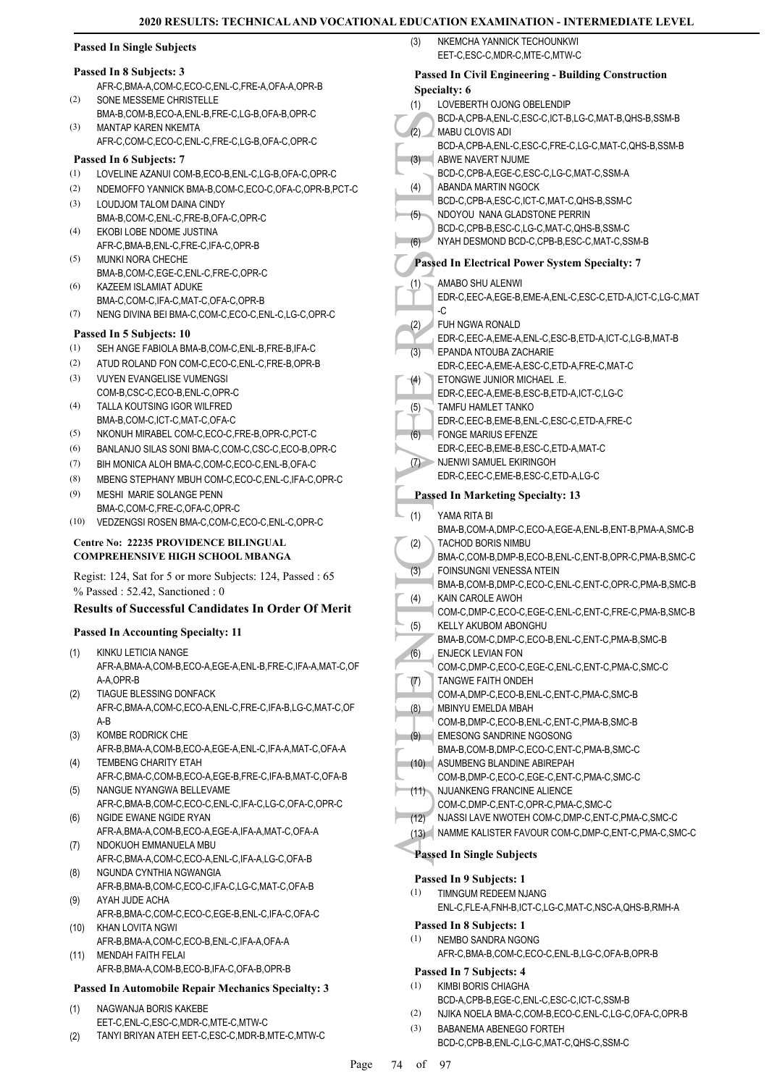# **Passed In Single Subjects**

#### **Passed In 8 Subjects: 3**

- AFR-C,BMA-A,COM-C,ECO-C,ENL-C,FRE-A,OFA-A,OPR-B SONE MESSEME CHRISTELLE (2)
- BMA-B,COM-B,ECO-A,ENL-B,FRE-C,LG-B,OFA-B,OPR-C MANTAP KAREN NKEMTA (3)
- AFR-C,COM-C,ECO-C,ENL-C,FRE-C,LG-B,OFA-C,OPR-C

# **Passed In 6 Subjects: 7**

- (1) LOVELINE AZANUI COM-B,ECO-B,ENL-C,LG-B,OFA-C,OPR-C
- (2) NDEMOFFO YANNICK BMA-B,COM-C,ECO-C,OFA-C,OPR-B,PCT-C
- LOUDJOM TALOM DAINA CINDY BMA-B,COM-C,ENL-C,FRE-B,OFA-C,OPR-C (3)
- EKOBI LOBE NDOME JUSTINA AFR-C,BMA-B,ENL-C,FRE-C,IFA-C,OPR-B (4)
- MUNKI NORA CHECHE BMA-B,COM-C,EGE-C,ENL-C,FRE-C,OPR-C (5) KAZEEM ISLAMIAT ADUKE (6)
- BMA-C,COM-C,IFA-C,MAT-C,OFA-C,OPR-B (7) NENG DIVINA BEI BMA-C,COM-C,ECO-C,ENL-C,LG-C,OPR-C

#### **Passed In 5 Subjects: 10**

- (1) SEH ANGE FABIOLA BMA-B,COM-C,ENL-B,FRE-B,IFA-C
- (2) ATUD ROLAND FON COM-C,ECO-C,ENL-C,FRE-B,OPR-B
- VUYEN EVANGELISE VUMENGSI COM-B,CSC-C,ECO-B,ENL-C,OPR-C (3)
- TALLA KOUTSING IGOR WILFRED BMA-B,COM-C,ICT-C,MAT-C,OFA-C (4)
- (5) NKONUH MIRABEL COM-C,ECO-C,FRE-B,OPR-C,PCT-C
- (6) BANLANJO SILAS SONI BMA-C,COM-C,CSC-C,ECO-B,OPR-C
- (7) BIH MONICA ALOH BMA-C,COM-C,ECO-C,ENL-B,OFA-C
- (8) MBENG STEPHANY MBUH COM-C,ECO-C,ENL-C,IFA-C,OPR-C
- MESHI MARIE SOLANGE PENN BMA-C,COM-C,FRE-C,OFA-C,OPR-C (9)
- (10) VEDZENGSI ROSEN BMA-C,COM-C,ECO-C,ENL-C,OPR-C

#### **Centre No: 22235 PROVIDENCE BILINGUAL COMPREHENSIVE HIGH SCHOOL MBANGA**

Regist: 124, Sat for 5 or more Subjects: 124, Passed : 65 % Passed : 52.42, Sanctioned : 0

#### **Results of Successful Candidates In Order Of Merit**

#### **Passed In Accounting Specialty: 11**

- KINKU LETICIA NANGE AFR-A,BMA-A,COM-B,ECO-A,EGE-A,ENL-B,FRE-C,IFA-A,MAT-C,OF A-A,OPR-B (1)
- TIAGUE BLESSING DONFACK AFR-C,BMA-A,COM-C,ECO-A,ENL-C,FRE-C,IFA-B,LG-C,MAT-C,OF A-B (2)
- KOMBE RODRICK CHE (3)
- AFR-B,BMA-A,COM-B,ECO-A,EGE-A,ENL-C,IFA-A,MAT-C,OFA-A TEMBENG CHARITY ETAH (4)
- AFR-C,BMA-C,COM-B,ECO-A,EGE-B,FRE-C,IFA-B,MAT-C,OFA-B NANGUE NYANGWA BELLEVAME (5)
- AFR-C,BMA-B,COM-C,ECO-C,ENL-C,IFA-C,LG-C,OFA-C,OPR-C NGIDE EWANE NGIDE RYAN (6)
- AFR-A,BMA-A,COM-B,ECO-A,EGE-A,IFA-A,MAT-C,OFA-A NDOKUOH EMMANUELA MBU (7)
- AFR-C,BMA-A,COM-C,ECO-A,ENL-C,IFA-A,LG-C,OFA-B NGUNDA CYNTHIA NGWANGIA (8)
- AFR-B,BMA-B,COM-C,ECO-C,IFA-C,LG-C,MAT-C,OFA-B AYAH JUDE ACHA (9)
- AFR-B,BMA-C,COM-C,ECO-C,EGE-B,ENL-C,IFA-C,OFA-C KHAN LOVITA NGWI (10)
- AFR-B,BMA-A,COM-C,ECO-B,ENL-C,IFA-A,OFA-A MENDAH FAITH FELAI (11)
- AFR-B,BMA-A,COM-B,ECO-B,IFA-C,OFA-B,OPR-B

#### **Passed In Automobile Repair Mechanics Specialty: 3**

- NAGWANJA BORIS KAKEBE EET-C,ENL-C,ESC-C,MDR-C,MTE-C,MTW-C (1)
- (2) TANYI BRIYAN ATEH EET-C,ESC-C,MDR-B,MTE-C,MTW-C

#### AUTHENTIC (3)<br>
(3) BCD-A, MABU (BCD-A, ABWE I<br>
BCD-A, ABWE I<br>
BCD-C, ABWE I<br>
BCD-C, ABAND<br>
BCD-C, NDOYC<br>
BCD-C, NYAH I<br>
PASSED II I<br>
AMABC EDR-C, C<br>
(3) EDR-C, C<br>
FUER-C, C<br>
FUER-C, C<br>
FUER-C, EPAND<br>
EDR-C, TAMA I<br>
EDR-C, NKEMCHA YANNICK TECHOUNKWI EET-C,ESC-C,MDR-C,MTE-C,MTW-C (3) **Passed In Civil Engineering - Building Construction Specialty: 6** LOVEBERTH OJONG OBELENDIP BCD-A,CPB-A,ENL-C,ESC-C,ICT-B,LG-C,MAT-B,QHS-B,SSM-B (1) MABU CLOVIS ADI BCD-A,CPB-A,ENL-C,ESC-C,FRE-C,LG-C,MAT-C,QHS-B,SSM-B  $(2)$ ABWE NAVERT NJUME BCD-C,CPB-A,EGE-C,ESC-C,LG-C,MAT-C,SSM-A  $(3)$ ABANDA MARTIN NGOCK BCD-C,CPB-A,ESC-C,ICT-C,MAT-C,QHS-B,SSM-C (4) NDOYOU NANA GLADSTONE PERRIN BCD-C,CPB-B,ESC-C,LG-C,MAT-C,QHS-B,SSM-C (5) (6) NYAH DESMOND BCD-C,CPB-B,ESC-C,MAT-C,SSM-B **Passed In Electrical Power System Specialty: 7** AMABO SHU ALENWI EDR-C,EEC-A,EGE-B,EME-A,ENL-C,ESC-C,ETD-A,ICT-C,LG-C,MAT -C (1) FUH NGWA RONALD EDR-C,EEC-A,EME-A,ENL-C,ESC-B,ETD-A,ICT-C,LG-B,MAT-B (2) EPANDA NTOUBA ZACHARIE EDR-C,EEC-A,EME-A,ESC-C,ETD-A,FRE-C,MAT-C (3) ETONGWE JUNIOR MICHAEL .E. EDR-C,EEC-A,EME-B,ESC-B,ETD-A,ICT-C,LG-C (4) TAMFU HAMLET TANKO EDR-C,EEC-B,EME-B,ENL-C,ESC-C,ETD-A,FRE-C (5) FONGE MARIUS EFENZE EDR-C,EEC-B,EME-B,ESC-C,ETD-A,MAT-C (6) NJENWI SAMUEL EKIRINGOH EDR-C,EEC-C,EME-B,ESC-C,ETD-A,LG-C  $(7)$ **Passed In Marketing Specialty: 13** YAMA RITA BI BMA-B,COM-A,DMP-C,ECO-A,EGE-A,ENL-B,ENT-B,PMA-A,SMC-B (1) TACHOD BORIS NIMBU BMA-C,COM-B,DMP-B,ECO-B,ENL-C,ENT-B,OPR-C,PMA-B,SMC-C (2) FOINSUNGNI VENESSA NTEIN BMA-B,COM-B,DMP-C,ECO-C,ENL-C,ENT-C,OPR-C,PMA-B,SMC-B (3) KAIN CAROLE AWOH COM-C,DMP-C,ECO-C,EGE-C,ENL-C,ENT-C,FRE-C,PMA-B,SMC-B (4) KELLY AKUBOM ABONGHU BMA-B,COM-C,DMP-C,ECO-B,ENL-C,ENT-C,PMA-B,SMC-B (5) ENJECK LEVIAN FON COM-C,DMP-C,ECO-C,EGE-C,ENL-C,ENT-C,PMA-C,SMC-C (6) TANGWE FAITH ONDEH COM-A,DMP-C,ECO-B,ENL-C,ENT-C,PMA-C,SMC-B (7) MBINYU EMELDA MBAH COM-B,DMP-C,ECO-B,ENL-C,ENT-C,PMA-B,SMC-B (8) EMESONG SANDRINE NGOSONG BMA-B,COM-B,DMP-C,ECO-C,ENT-C,PMA-B,SMC-C (9) ASUMBENG BLANDINE ABIREPAH (10) COM-B,DMP-C,ECO-C,EGE-C,ENT-C,PMA-C,SMC-C NJUANKENG FRANCINE ALIENCE COM-C,DMP-C,ENT-C,OPR-C,PMA-C,SMC-C (11) (12) NJASSI LAVE NWOTEH COM-C,DMP-C,ENT-C,PMA-C,SMC-C (13) NAMME KALISTER FAVOUR COM-C,DMP-C,ENT-C,PMA-C,SMC-C **Passed In Single Subjects Passed In 9 Subjects: 1** TIMNGUM REDEEM NJANG ENL-C,FLE-A,FNH-B,ICT-C,LG-C,MAT-C,NSC-A,QHS-B,RMH-A (1) **Passed In 8 Subjects: 1** NEMBO SANDRA NGONG AFR-C,BMA-B,COM-C,ECO-C,ENL-B,LG-C,OFA-B,OPR-B (1) **Passed In 7 Subjects: 4** KIMBI BORIS CHIAGHA (1)

- BCD-A,CPB-B,EGE-C,ENL-C,ESC-C,ICT-C,SSM-B
- (2) NJIKA NOELA BMA-C,COM-B,ECO-C,ENL-C,LG-C,OFA-C,OPR-B
- BABANEMA ABENEGO FORTEH BCD-C,CPB-B,ENL-C,LG-C,MAT-C,QHS-C,SSM-C (3)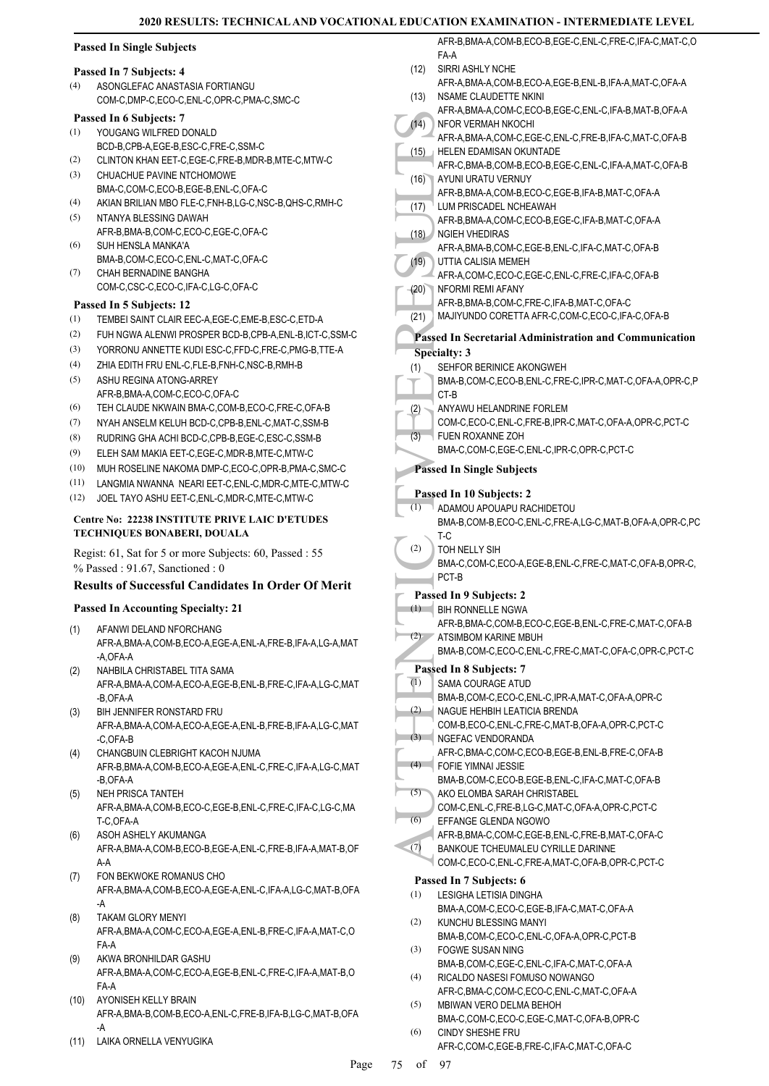|  |  |  | <b>Passed In Single Subjects</b> |  |
|--|--|--|----------------------------------|--|
|--|--|--|----------------------------------|--|

#### **Passed In 7 Subjects: 4**

ASONGLEFAC ANASTASIA FORTIANGU COM-C,DMP-C,ECO-C,ENL-C,OPR-C,PMA-C,SMC-C (4)

#### **Passed In 6 Subjects: 7**

- YOUGANG WILFRED DONALD BCD-B,CPB-A,EGE-B,ESC-C,FRE-C,SSM-C (1)
- (2) CLINTON KHAN EET-C,EGE-C,FRE-B,MDR-B,MTE-C,MTW-C
- CHUACHUE PAVINE NTCHOMOWE BMA-C,COM-C,ECO-B,EGE-B,ENL-C,OFA-C (3)
- (4) AKIAN BRILIAN MBO FLE-C,FNH-B,LG-C,NSC-B,QHS-C,RMH-C NTANYA BLESSING DAWAH (5)
- AFR-B,BMA-B,COM-C,ECO-C,EGE-C,OFA-C SUH HENSLA MANKA'A (6)
- BMA-B,COM-C,ECO-C,ENL-C,MAT-C,OFA-C CHAH BERNADINE BANGHA (7)
- COM-C,CSC-C,ECO-C,IFA-C,LG-C,OFA-C

#### **Passed In 5 Subjects: 12**

- (1) TEMBEI SAINT CLAIR EEC-A,EGE-C,EME-B,ESC-C,ETD-A
- (2) FUH NGWA ALENWI PROSPER BCD-B,CPB-A,ENL-B,ICT-C,SSM-C
- (3) YORRONU ANNETTE KUDI ESC-C,FFD-C,FRE-C,PMG-B,TTE-A
- (4) ZHIA EDITH FRU ENL-C,FLE-B,FNH-C,NSC-B,RMH-B
- ASHU REGINA ATONG-ARREY AFR-B,BMA-A,COM-C,ECO-C,OFA-C (5)
- (6) TEH CLAUDE NKWAIN BMA-C,COM-B,ECO-C,FRE-C,OFA-B
- (7) NYAH ANSELM KELUH BCD-C,CPB-B,ENL-C,MAT-C,SSM-B
- (8) RUDRING GHA ACHI BCD-C,CPB-B,EGE-C,ESC-C,SSM-B
- (9) ELEH SAM MAKIA EET-C,EGE-C,MDR-B,MTE-C,MTW-C
- (10) MUH ROSELINE NAKOMA DMP-C,ECO-C,OPR-B,PMA-C,SMC-C
- (11) LANGMIA NWANNA NEARI EET-C,ENL-C,MDR-C,MTE-C,MTW-C
- (12) JOEL TAYO ASHU EET-C,ENL-C,MDR-C,MTE-C,MTW-C

#### **Centre No: 22238 INSTITUTE PRIVE LAIC D'ETUDES TECHNIQUES BONABERI, DOUALA**

Regist: 61, Sat for 5 or more Subjects: 60, Passed : 55 % Passed : 91.67, Sanctioned : 0

#### **Results of Successful Candidates In Order Of Merit**

#### **Passed In Accounting Specialty: 21**

- AFANWI DELAND NFORCHANG AFR-A,BMA-A,COM-B,ECO-A,EGE-A,ENL-A,FRE-B,IFA-A,LG-A,MAT -A OFA-A (1)
- NAHBILA CHRISTABEL TITA SAMA (2) AFR-A,BMA-A,COM-A,ECO-A,EGE-B,ENL-B,FRE-C,IFA-A,LG-C,MAT -B,OFA-A
- BIH JENNIFER RONSTARD FRU (3) AFR-A,BMA-A,COM-A,ECO-A,EGE-A,ENL-B,FRE-B,IFA-A,LG-C,MAT -C,OFA-B
- CHANGBUIN CLEBRIGHT KACOH NJUMA AFR-B,BMA-A,COM-B,ECO-A,EGE-A,ENL-C,FRE-C,IFA-A,LG-C,MAT -B,OFA-A (4)
- NEH PRISCA TANTEH AFR-A,BMA-A,COM-B,ECO-C,EGE-B,ENL-C,FRE-C,IFA-C,LG-C,MA T-C,OFA-A (5)
- ASOH ASHELY AKUMANGA AFR-A,BMA-A,COM-B,ECO-B,EGE-A,ENL-C,FRE-B,IFA-A,MAT-B,OF A-A (6)
- FON BEKWOKE ROMANUS CHO AFR-A,BMA-A,COM-B,ECO-A,EGE-A,ENL-C,IFA-A,LG-C,MAT-B,OFA -A (7)
- TAKAM GLORY MENYI AFR-A,BMA-A,COM-C,ECO-A,EGE-A,ENL-B,FRE-C,IFA-A,MAT-C,O FA-A (8)
- AKWA BRONHILDAR GASHU AFR-A,BMA-A,COM-C,ECO-A,EGE-B,ENL-C,FRE-C,IFA-A,MAT-B,O FA-A (9)
- (10) AYONISEH KELLY BRAIN AFR-A,BMA-B,COM-B,ECO-A,ENL-C,FRE-B,IFA-B,LG-C,MAT-B,OFA -A
- (11) LAIKA ORNELLA VENYUGIKA

|                           | AFR-B, BMA-A, COM-B, ECO-B, EGE-C, ENL-C, FRE-C, IFA-C, MAT-C, O                       |
|---------------------------|----------------------------------------------------------------------------------------|
|                           | FA-A                                                                                   |
| (12)                      | SIRRI ASHLY NCHE                                                                       |
| (13)                      | AFR-A, BMA-A, COM-B, ECO-A, EGE-B, ENL-B, IFA-A, MAT-C, OFA-A<br>NSAME CLAUDETTE NKINI |
|                           | AFR-A, BMA-A, COM-C, ECO-B, EGE-C, ENL-C, IFA-B, MAT-B, OFA-A                          |
| (14)                      | <b>NFOR VERMAH NKOCHI</b>                                                              |
|                           | AFR-A, BMA-A, COM-C, EGE-C, ENL-C, FRE-B, IFA-C, MAT-C, OFA-B                          |
| (15)                      | HELEN EDAMISAN OKUNTADE                                                                |
|                           | AFR-C, BMA-B, COM-B, ECO-B, EGE-C, ENL-C, IFA-A, MAT-C, OFA-B                          |
| (16)                      | AYUNI URATU VERNUY                                                                     |
| (17)                      | AFR-B.BMA-A.COM-B.ECO-C.EGE-B.IFA-B.MAT-C.OFA-A<br>LUM PRISCADEL NCHEAWAH              |
|                           | AFR-B, BMA-A, COM-C, ECO-B, EGE-C, IFA-B, MAT-C, OFA-A                                 |
| (18)                      | <b>NGIEH VHEDIRAS</b>                                                                  |
|                           | AFR-A, BMA-B, COM-C, EGE-B, ENL-C, IFA-C, MAT-C, OFA-B                                 |
| (19)                      | UTTIA CALISIA MEMEH                                                                    |
|                           | AFR-A,COM-C,ECO-C,EGE-C,ENL-C,FRE-C,IFA-C,OFA-B                                        |
| (20)                      | NFORMI REMI AFANY                                                                      |
|                           | AFR-B, BMA-B, COM-C, FRE-C, IFA-B, MAT-C, OFA-C                                        |
| (21)                      | MAJIYUNDO CORETTA AFR-C, COM-C, ECO-C, IFA-C, OFA-B                                    |
|                           | <b>Passed In Secretarial Administration and Communication</b>                          |
|                           | <b>Specialty: 3</b>                                                                    |
| (1)                       | SEHFOR BERINICE AKONGWEH                                                               |
|                           | BMA-B,COM-C,ECO-B,ENL-C,FRE-C,IPR-C,MAT-C,OFA-A,OPR-C,P                                |
|                           | CT-B<br>ANYAWU HELANDRINE FORLEM                                                       |
| (2)                       | COM-C,ECO-C,ENL-C,FRE-B,IPR-C,MAT-C,OFA-A,OPR-C,PCT-C                                  |
| (3)                       | FUEN ROXANNE ZOH                                                                       |
|                           | BMA-C,COM-C,EGE-C,ENL-C,IPR-C,OPR-C,PCT-C                                              |
|                           | <b>Passed In Single Subjects</b>                                                       |
|                           |                                                                                        |
|                           | Passed In 10 Subjects: 2                                                               |
| $\overline{(\mathbf{1})}$ | ADAMOU APOUAPU RACHIDETOU                                                              |
|                           | BMA-B,COM-B,ECO-C,ENL-C,FRE-A,LG-C,MAT-B,OFA-A,OPR-C,PC                                |
| (2)                       | T-C<br>TOH NELLY SIH                                                                   |
|                           | BMA-C,COM-C,ECO-A,EGE-B,ENL-C,FRE-C,MAT-C,OFA-B,OPR-C,                                 |
|                           | PCT-B                                                                                  |
|                           | Passed In 9 Subjects: 2                                                                |
| (1)                       | <b>BIH RONNELLE NGWA</b>                                                               |
|                           | AFR-B, BMA-C, COM-B, ECO-C, EGE-B, ENL-C, FRE-C, MAT-C, OFA-B                          |
| (2)                       | ATSIMBOM KARINE MBUH                                                                   |
|                           | BMA-B,COM-C,ECO-C,ENL-C,FRE-C,MAT-C,OFA-C,OPR-C,PCT-C                                  |
|                           | Passed In 8 Subjects: 7                                                                |
| $\overline{(1)}$          | SAMA COURAGE ATUD                                                                      |
|                           | BMA-B,COM-C,ECO-C,ENL-C,IPR-A,MAT-C,OFA-A,OPR-C                                        |
| (2)                       | NAGUE HEHBIH LEATICIA BRENDA<br>COM-B,ECO-C,ENL-C,FRE-C,MAT-B,OFA-A,OPR-C,PCT-C        |
| (3)                       | NGEFAC VENDORANDA                                                                      |
|                           | AFR-C,BMA-C,COM-C,ECO-B,EGE-B,ENL-B,FRE-C,OFA-B                                        |
| (4)                       | FOFIE YIMNAI JESSIE                                                                    |
|                           | BMA-B,COM-C,ECO-B,EGE-B,ENL-C,IFA-C,MAT-C,OFA-B                                        |
| (5)                       | AKO ELOMBA SARAH CHRISTABEL                                                            |
| (6)                       | COM-C, ENL-C, FRE-B, LG-C, MAT-C, OFA-A, OPR-C, PCT-C                                  |
|                           | EFFANGE GLENDA NGOWO<br>AFR-B, BMA-C, COM-C, EGE-B, ENL-C, FRE-B, MAT-C, OFA-C         |
| (7)                       | BANKOUE TCHEUMALEU CYRILLE DARINNE                                                     |
|                           | COM-C,ECO-C,ENL-C,FRE-A,MAT-C,OFA-B,OPR-C,PCT-C                                        |
|                           | Passed In 7 Subjects: 6                                                                |
| (1)                       | LESIGHA LETISIA DINGHA                                                                 |
|                           | BMA-A,COM-C,ECO-C,EGE-B,IFA-C,MAT-C,OFA-A                                              |
| (2)                       | KUNCHU BLESSING MANYI                                                                  |
|                           | BMA-B,COM-C,ECO-C,ENL-C,OFA-A,OPR-C,PCT-B                                              |
| (3)                       | FOGWE SUSAN NING                                                                       |
| (4)                       | BMA-B,COM-C,EGE-C,ENL-C,IFA-C,MAT-C,OFA-A                                              |
|                           | RICALDO NASESI FOMUSO NOWANGO<br>AFR-C.BMA-C.COM-C.ECO-C.ENL-C.MAT-C.OFA-A             |
|                           |                                                                                        |

- MBIWAN VERO DELMA BEHOH BMA-C,COM-C,ECO-C,EGE-C,MAT-C,OFA-B,OPR-C (5) CINDY SHESHE FRU (6)
	- AFR-C,COM-C,EGE-B,FRE-C,IFA-C,MAT-C,OFA-C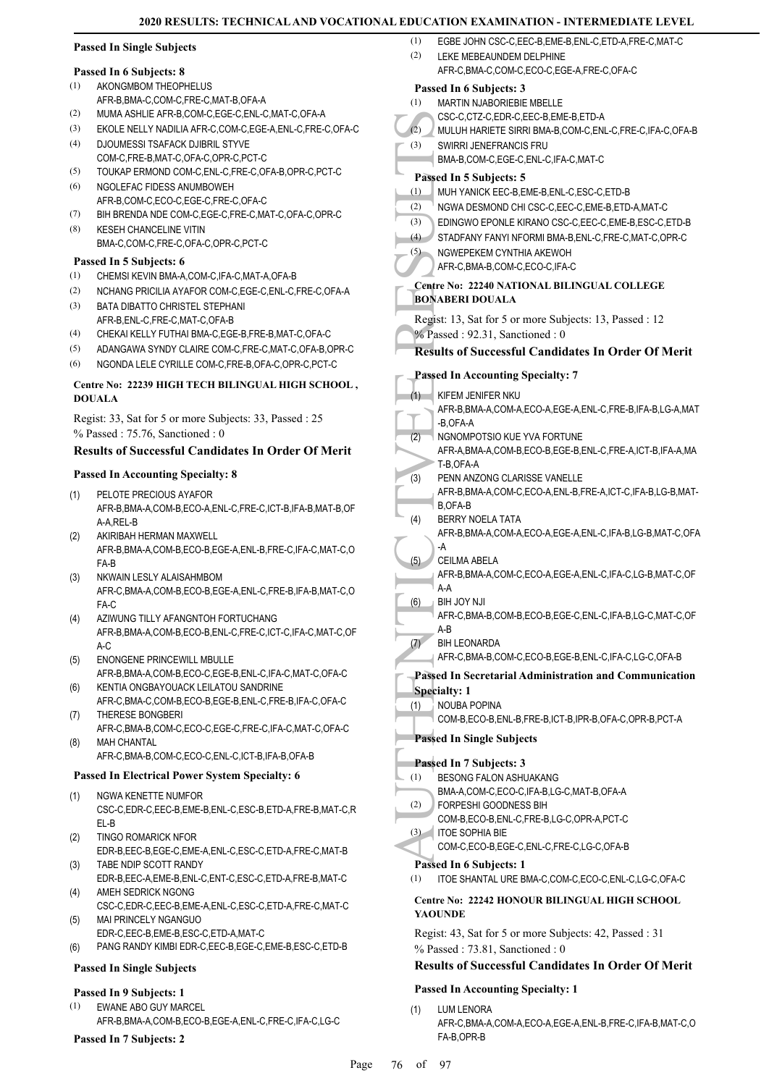|     | <b>Passed In Single Subjects</b>                                                                 | (1)<br>EGBE JOHN CSC-C, EEC-B, EME-B, ENL-C, ETD-A, FRE-C, MAT-C                                          |
|-----|--------------------------------------------------------------------------------------------------|-----------------------------------------------------------------------------------------------------------|
|     |                                                                                                  | (2)<br>LEKE MEBEAUNDEM DELPHINE<br>AFR-C.BMA-C.COM-C.ECO-C.EGE-A.FRE-C.OFA-C                              |
| (1) | Passed In 6 Subjects: 8                                                                          |                                                                                                           |
|     | AKONGMBOM THEOPHELUS<br>AFR-B, BMA-C, COM-C, FRE-C, MAT-B, OFA-A                                 | Passed In 6 Subjects: 3                                                                                   |
| (2) | MUMA ASHLIE AFR-B,COM-C,EGE-C,ENL-C,MAT-C,OFA-A                                                  | MARTIN NJABORIEBIE MBELLE<br>(1)<br>CSC-C,CTZ-C,EDR-C,EEC-B,EME-B,ETD-A                                   |
| (3) | EKOLE NELLY NADILIA AFR-C,COM-C,EGE-A,ENL-C,FRE-C,OFA-C                                          | (2)<br>MULUH HARIETE SIRRI BMA-B,COM-C,ENL-C,FRE-C,IFA-C,OFA-B                                            |
| (4) | DJOUMESSI TSAFACK DJIBRIL STYVE                                                                  | SWIRRI JENEFRANCIS FRU<br>(3)                                                                             |
|     | COM-C,FRE-B,MAT-C,OFA-C,OPR-C,PCT-C                                                              | BMA-B,COM-C,EGE-C,ENL-C,IFA-C,MAT-C                                                                       |
| (5) | TOUKAP ERMOND COM-C,ENL-C,FRE-C,OFA-B,OPR-C,PCT-C                                                | Passed In 5 Subjects: 5                                                                                   |
| (6) | NGOLEFAC FIDESS ANUMBOWEH                                                                        | (1)<br>MUH YANICK EEC-B, EME-B, ENL-C, ESC-C, ETD-B                                                       |
|     | AFR-B,COM-C,ECO-C,EGE-C,FRE-C,OFA-C                                                              | (2)<br>NGWA DESMOND CHI CSC-C, EEC-C, EME-B, ETD-A, MAT-C                                                 |
| (7) | BIH BRENDA NDE COM-C,EGE-C,FRE-C,MAT-C,OFA-C,OPR-C                                               | EDINGWO EPONLE KIRANO CSC-C, EEC-C, EME-B, ESC-C, ETD-B<br>(3)                                            |
| (8) | <b>KESEH CHANCELINE VITIN</b>                                                                    | (4)<br>STADFANY FANYI NFORMI BMA-B, ENL-C, FRE-C, MAT-C, OPR-C                                            |
|     | BMA-C,COM-C,FRE-C,OFA-C,OPR-C,PCT-C                                                              | NGWEPEKEM CYNTHIA AKEWOH<br>(5)                                                                           |
|     | Passed In 5 Subjects: 6                                                                          | AFR-C, BMA-B, COM-C, ECO-C, IFA-C                                                                         |
| (1) | CHEMSI KEVIN BMA-A,COM-C, IFA-C, MAT-A, OFA-B                                                    | Centre No: 22240 NATIONAL BILINGUAL COLLEGE                                                               |
| (2) | NCHANG PRICILIA AYAFOR COM-C, EGE-C, ENL-C, FRE-C, OFA-A                                         | <b>BONABERI DOUALA</b>                                                                                    |
| (3) | BATA DIBATTO CHRISTEL STEPHANI                                                                   | Regist: 13, Sat for 5 or more Subjects: 13, Passed : 12                                                   |
| (4) | AFR-B, ENL-C, FRE-C, MAT-C, OFA-B<br>CHEKAI KELLY FUTHAI BMA-C, EGE-B, FRE-B, MAT-C, OFA-C       | % Passed: 92.31, Sanctioned: 0                                                                            |
| (5) | ADANGAWA SYNDY CLAIRE COM-C, FRE-C, MAT-C, OFA-B, OPR-C                                          | <b>Results of Successful Candidates In Order Of Merit</b>                                                 |
| (6) | NGONDA LELE CYRILLE COM-C, FRE-B, OFA-C, OPR-C, PCT-C                                            |                                                                                                           |
|     |                                                                                                  | <b>Passed In Accounting Specialty: 7</b>                                                                  |
|     | Centre No: 22239 HIGH TECH BILINGUAL HIGH SCHOOL,                                                | (1)<br>KIFEM JENIFER NKU                                                                                  |
|     | <b>DOUALA</b>                                                                                    | AFR-B, BMA-A, COM-A, ECO-A, EGE-A, ENL-C, FRE-B, IFA-B, LG-A, MAT                                         |
|     | Regist: 33, Sat for 5 or more Subjects: 33, Passed: 25                                           | -B,OFA-A                                                                                                  |
|     | $%$ Passed: 75.76, Sanctioned: 0                                                                 | NGNOMPOTSIO KUE YVA FORTUNE<br>(2)                                                                        |
|     | <b>Results of Successful Candidates In Order Of Merit</b>                                        | AFR-A, BMA-A, COM-B, ECO-B, EGE-B, ENL-C, FRE-A, ICT-B, IFA-A, MA                                         |
|     | <b>Passed In Accounting Specialty: 8</b>                                                         | T-B, OFA-A                                                                                                |
|     |                                                                                                  | PENN ANZONG CLARISSE VANELLE<br>(3)<br>AFR-B, BMA-A, COM-C, ECO-A, ENL-B, FRE-A, ICT-C, IFA-B, LG-B, MAT- |
| (1) | PELOTE PRECIOUS AYAFOR                                                                           | <b>B, OFA-B</b>                                                                                           |
|     | AFR-B, BMA-A, COM-B, ECO-A, ENL-C, FRE-C, ICT-B, IFA-B, MAT-B, OF<br>A-A, REL-B                  | BERRY NOELA TATA<br>(4)                                                                                   |
| (2) | AKIRIBAH HERMAN MAXWELL                                                                          | AFR-B, BMA-A, COM-A, ECO-A, EGE-A, ENL-C, IFA-B, LG-B, MAT-C, OFA                                         |
|     | AFR-B, BMA-A, COM-B, ECO-B, EGE-A, ENL-B, FRE-C, IFA-C, MAT-C, O                                 | -A                                                                                                        |
|     | FA-B                                                                                             | <b>CEILMA ABELA</b><br>(5)                                                                                |
| (3) | NKWAIN LESLY ALAISAHMBOM                                                                         | AFR-B, BMA-A, COM-C, ECO-A, EGE-A, ENL-C, IFA-C, LG-B, MAT-C, OF                                          |
|     | AFR-C, BMA-A, COM-B, ECO-B, EGE-A, ENL-C, FRE-B, IFA-B, MAT-C, O                                 | $A-A$<br>(6)<br>BIH JOY NJI                                                                               |
|     | FA-C<br>AZIWUNG TILLY AFANGNTOH FORTUCHANG                                                       | AFR-C, BMA-B, COM-B, ECO-B, EGE-C, ENL-C, IFA-B, LG-C, MAT-C, OF                                          |
| (4) | AFR-B, BMA-A, COM-B, ECO-B, ENL-C, FRE-C, ICT-C, IFA-C, MAT-C, OF                                | A-B                                                                                                       |
|     | A-C                                                                                              | <b>BIH LEONARDA</b><br>(7)                                                                                |
| (5) | ENONGENE PRINCEWILL MBULLE                                                                       | AFR-C,BMA-B,COM-C,ECO-B,EGE-B,ENL-C,IFA-C,LG-C,OFA-B                                                      |
|     | AFR-B, BMA-A, COM-B, ECO-C, EGE-B, ENL-C, IFA-C, MAT-C, OFA-C                                    | Passed In Secretarial Administration and Communication                                                    |
| (6) | KENTIA ONGBAYOUACK LEILATOU SANDRINE                                                             | <b>Specialty: 1</b>                                                                                       |
|     | AFR-C, BMA-C, COM-B, ECO-B, EGE-B, ENL-C, FRE-B, IFA-C, OFA-C                                    | NOUBA POPINA<br>(1)                                                                                       |
| (7) | THERESE BONGBERI<br>AFR-C, BMA-B, COM-C, ECO-C, EGE-C, FRE-C, IFA-C, MAT-C, OFA-C                | COM-B,ECO-B,ENL-B,FRE-B,ICT-B,IPR-B,OFA-C,OPR-B,PCT-A                                                     |
| (8) | <b>MAH CHANTAL</b>                                                                               | <b>Passed In Single Subjects</b>                                                                          |
|     | AFR-C, BMA-B, COM-C, ECO-C, ENL-C, ICT-B, IFA-B, OFA-B                                           |                                                                                                           |
|     | Passed In Electrical Power System Specialty: 6                                                   | Passed In 7 Subjects: 3                                                                                   |
|     |                                                                                                  | (1)<br>BESONG FALON ASHUAKANG<br>BMA-A,COM-C,ECO-C,IFA-B,LG-C,MAT-B,OFA-A                                 |
| (1) | NGWA KENETTE NUMFOR                                                                              | (2)<br>FORPESHI GOODNESS BIH                                                                              |
|     | CSC-C,EDR-C,EEC-B,EME-B,ENL-C,ESC-B,ETD-A,FRE-B,MAT-C,R<br>EL-B                                  | COM-B,ECO-B,ENL-C,FRE-B,LG-C,OPR-A,PCT-C                                                                  |
| (2) | <b>TINGO ROMARICK NFOR</b>                                                                       | <b>ITOE SOPHIA BIE</b><br>(3)                                                                             |
|     | EDR-B,EEC-B,EGE-C,EME-A,ENL-C,ESC-C,ETD-A,FRE-C,MAT-B                                            | COM-C,ECO-B,EGE-C,ENL-C,FRE-C,LG-C,OFA-B                                                                  |
| (3) | TABE NDIP SCOTT RANDY                                                                            | Passed In 6 Subjects: 1                                                                                   |
|     | EDR-B,EEC-A,EME-B,ENL-C,ENT-C,ESC-C,ETD-A,FRE-B,MAT-C                                            | ITOE SHANTAL URE BMA-C,COM-C,ECO-C,ENL-C,LG-C,OFA-C<br>(1)                                                |
| (4) | AMEH SEDRICK NGONG                                                                               | Centre No: 22242 HONOUR BILINGUAL HIGH SCHOOL                                                             |
|     | CSC-C,EDR-C,EEC-B,EME-A,ENL-C,ESC-C,ETD-A,FRE-C,MAT-C                                            | <b>YAOUNDE</b>                                                                                            |
| (5) | MAI PRINCELY NGANGUO                                                                             |                                                                                                           |
| (6) | EDR-C,EEC-B,EME-B,ESC-C,ETD-A,MAT-C<br>PANG RANDY KIMBI EDR-C, EEC-B, EGE-C, EME-B, ESC-C, ETD-B | Regist: 43, Sat for 5 or more Subjects: 42, Passed: 31                                                    |
|     |                                                                                                  | $%$ Passed: 73.81, Sanctioned: 0                                                                          |
|     | <b>Passed In Single Subjects</b>                                                                 | <b>Results of Successful Candidates In Order Of Merit</b>                                                 |
|     | Passed In 9 Subjects: 1                                                                          | <b>Passed In Accounting Specialty: 1</b>                                                                  |
| (1) | EWANE ABO GUY MARCEL                                                                             | <b>LUM LENORA</b><br>(1)                                                                                  |
|     | AFR-B, BMA-A, COM-B, ECO-B, EGE-A, ENL-C, FRE-C, IFA-C, LG-C                                     | AFR-C, BMA-A, COM-A, ECO-A, EGE-A, ENL-B, FRE-C, IFA-B, MAT-C, O                                          |
|     | Passed In 7 Subjects: 2                                                                          | FA-B, OPR-B                                                                                               |

#### Page 76 of 97

**Passed In 7 Subjects: 2**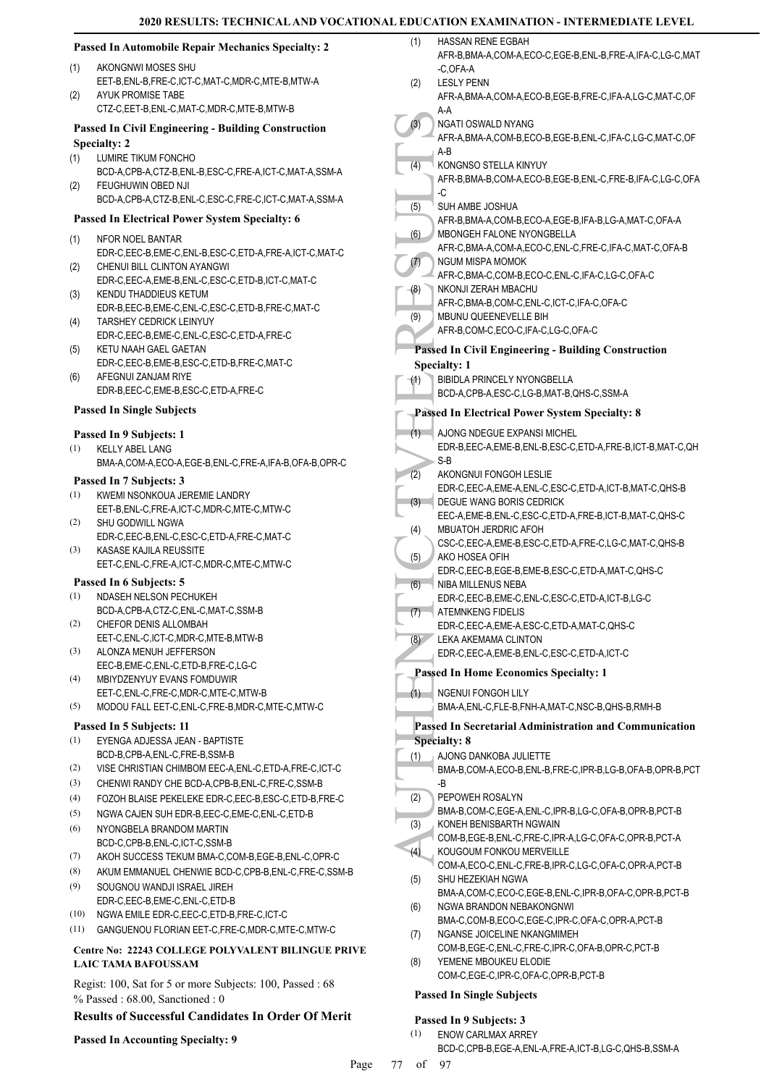#### (3) NGATH<br>
(4) AFR-A, A-B<br>
(4) AFR-A, A-B<br>
KONG AFR-B, C<br>
(5) SUH AM AFR-B, C<br>
(6) AFR-B, MBONC AFR-C, SUH AM AFR-C, NGUM AFR-C, NGUM AFR-C, NGUM AFR-C, NGUM AFR-C, NGUM AFR-C, NGUM AFR-C, NGUM AFR-C, NGUM AFR-B, Passed In **Passed In Automobile Repair Mechanics Specialty: 2** AKONGNWI MOSES SHU EET-B,ENL-B,FRE-C,ICT-C,MAT-C,MDR-C,MTE-B,MTW-A (1) AYUK PROMISE TABE CTZ-C,EET-B,ENL-C,MAT-C,MDR-C,MTE-B,MTW-B  $(2)$ **Passed In Civil Engineering - Building Construction Specialty: 2** LUMIRE TIKUM FONCHO BCD-A,CPB-A,CTZ-B,ENL-B,ESC-C,FRE-A,ICT-C,MAT-A,SSM-A (1) FEUGHUWIN OBED NJI BCD-A,CPB-A,CTZ-B,ENL-C,ESC-C,FRE-C,ICT-C,MAT-A,SSM-A (2) **Passed In Electrical Power System Specialty: 6** NFOR NOEL BANTAR EDR-C,EEC-B,EME-C,ENL-B,ESC-C,ETD-A,FRE-A,ICT-C,MAT-C (1) CHENUI BILL CLINTON AYANGWI EDR-C,EEC-A,EME-B,ENL-C,ESC-C,ETD-B,ICT-C,MAT-C (2) KENDU THADDIEUS KETUM EDR-B,EEC-B,EME-C,ENL-C,ESC-C,ETD-B,FRE-C,MAT-C (3) TARSHEY CEDRICK LEINYUY EDR-C,EEC-B,EME-C,ENL-C,ESC-C,ETD-A,FRE-C (4) KETU NAAH GAEL GAETAN EDR-C,EEC-B,EME-B,ESC-C,ETD-B,FRE-C,MAT-C (5) AFEGNUI ZANJAM RIYE EDR-B,EEC-C,EME-B,ESC-C,ETD-A,FRE-C (6) **Passed In Single Subjects Passed In 9 Subjects: 1** KELLY ABEL LANG BMA-A,COM-A,ECO-A,EGE-B,ENL-C,FRE-A,IFA-B,OFA-B,OPR-C (1) **Passed In 7 Subjects: 3** KWEMI NSONKOUA JEREMIE LANDRY EET-B,ENL-C,FRE-A,ICT-C,MDR-C,MTE-C,MTW-C (1) SHU GODWILL NGWA EDR-C,EEC-B,ENL-C,ESC-C,ETD-A,FRE-C,MAT-C (2) KASASE KAJILA REUSSITE EET-C,ENL-C,FRE-A,ICT-C,MDR-C,MTE-C,MTW-C (3) **Passed In 6 Subjects: 5** NDASEH NELSON PECHUKEH BCD-A,CPB-A,CTZ-C,ENL-C,MAT-C,SSM-B (1) CHEFOR DENIS ALLOMBAH EET-C,ENL-C,ICT-C,MDR-C,MTE-B,MTW-B (2) ALONZA MENUH JEFFERSON EEC-B,EME-C,ENL-C,ETD-B,FRE-C,LG-C (3) MBIYDZENYUY EVANS FOMDUWIR EET-C,ENL-C,FRE-C,MDR-C,MTE-C,MTW-B (4) (5) MODOU FALL EET-C,ENL-C,FRE-B,MDR-C,MTE-C,MTW-C **Passed In 5 Subjects: 11** EYENGA ADJESSA JEAN - BAPTISTE BCD-B,CPB-A,ENL-C,FRE-B,SSM-B (1) (2) VISE CHRISTIAN CHIMBOM EEC-A,ENL-C,ETD-A,FRE-C,ICT-C (3) CHENWI RANDY CHE BCD-A,CPB-B,ENL-C,FRE-C,SSM-B (4) FOZOH BLAISE PEKELEKE EDR-C,EEC-B,ESC-C,ETD-B,FRE-C (5) NGWA CAJEN SUH EDR-B,EEC-C,EME-C,ENL-C,ETD-B NYONGBELA BRANDOM MARTIN BCD-C,CPB-B,ENL-C,ICT-C,SSM-B (6) (7) AKOH SUCCESS TEKUM BMA-C,COM-B,EGE-B,ENL-C,OPR-C (8) AKUM EMMANUEL CHENWIE BCD-C,CPB-B,ENL-C,FRE-C,SSM-B SOUGNOU WANDJI ISRAEL JIREH EDR-C,EEC-B,EME-C,ENL-C,ETD-B (9) (10) NGWA EMILE EDR-C,EEC-C,ETD-B,FRE-C,ICT-C (11) GANGUENOU FLORIAN EET-C,FRE-C,MDR-C,MTE-C,MTW-C **Centre No: 22243 COLLEGE POLYVALENT BILINGUE PRIVE LAIC TAMA BAFOUSSAM**  HASSAN RENE EGBAH AFR-B,BMA-A,COM-A,ECO-C,EGE-B,ENL-B,FRE-A,IFA-C,LG-C,MAT -C,OFA-A (1) LESLY PENN AFR-A,BMA-A,COM-A,ECO-B,EGE-B,FRE-C,IFA-A,LG-C,MAT-C,OF A-A  $(2)$ NGATI OSWALD NYANG AFR-A,BMA-A,COM-B,ECO-B,EGE-B,ENL-C,IFA-C,LG-C,MAT-C,OF A-B  $(3)$ KONGNSO STELLA KINYUY AFR-B,BMA-B,COM-A,ECO-B,EGE-B,ENL-C,FRE-B,IFA-C,LG-C,OFA -C (4) SUH AMBE JOSHUA AFR-B,BMA-A,COM-B,ECO-A,EGE-B,IFA-B,LG-A,MAT-C,OFA-A (5) MBONGEH FALONE NYONGBELLA AFR-C,BMA-A,COM-A,ECO-C,ENL-C,FRE-C,IFA-C,MAT-C,OFA-B (6) NGUM MISPA MOMOK AFR-C,BMA-C,COM-B,ECO-C,ENL-C,IFA-C,LG-C,OFA-C (7) NKONJI ZERAH MBACHU AFR-C,BMA-B,COM-C,ENL-C,ICT-C,IFA-C,OFA-C (8) MBUNU QUEENEVELLE BIH AFR-B,COM-C,ECO-C,IFA-C,LG-C,OFA-C (9) **Passed In Civil Engineering - Building Construction Specialty: 1** BIBIDLA PRINCELY NYONGBELLA BCD-A,CPB-A,ESC-C,LG-B,MAT-B,QHS-C,SSM-A (1) **Passed In Electrical Power System Specialty: 8** AJONG NDEGUE EXPANSI MICHEL EDR-B,EEC-A,EME-B,ENL-B,ESC-C,ETD-A,FRE-B,ICT-B,MAT-C,QH S-B  $(1)$ AKONGNUI FONGOH LESLIE EDR-C,EEC-A,EME-A,ENL-C,ESC-C,ETD-A,ICT-B,MAT-C,QHS-B (2) DEGUE WANG BORIS CEDRICK EEC-A,EME-B,ENL-C,ESC-C,ETD-A,FRE-B,ICT-B,MAT-C,QHS-C (3) MBUATOH JERDRIC AFOH CSC-C,EEC-A,EME-B,ESC-C,ETD-A,FRE-C,LG-C,MAT-C,QHS-B (4) AKO HOSEA OFIH EDR-C,EEC-B,EGE-B,EME-B,ESC-C,ETD-A,MAT-C,QHS-C (5) **NIBA MILLENUS NEBA** EDR-C,EEC-B,EME-C,ENL-C,ESC-C,ETD-A,ICT-B,LG-C (6) ATEMNKENG FIDELIS EDR-C,EEC-A,EME-A,ESC-C,ETD-A,MAT-C,QHS-C (7) LEKA AKEMAMA CLINTON EDR-C,EEC-A,EME-B,ENL-C,ESC-C,ETD-A,ICT-C  $(8)$ **Passed In Home Economics Specialty: 1** NGENUI FONGOH LILY BMA-A,ENL-C,FLE-B,FNH-A,MAT-C,NSC-B,QHS-B,RMH-B (1) **Passed In Secretarial Administration and Communication Specialty: 8** AJONG DANKOBA JULIETTE BMA-B,COM-A,ECO-B,ENL-B,FRE-C,IPR-B,LG-B,OFA-B,OPR-B,PCT -B (1) PEPOWEH ROSALYN BMA-B,COM-C,EGE-A,ENL-C,IPR-B,LG-C,OFA-B,OPR-B,PCT-B (2) KONEH BENISBARTH NGWAIN COM-B,EGE-B,ENL-C,FRE-C,IPR-A,LG-C,OFA-C,OPR-B,PCT-A (3) KOUGOUM FONKOU MERVEILLE COM-A,ECO-C,ENL-C,FRE-B,IPR-C,LG-C,OFA-C,OPR-A,PCT-B (4) SHU HEZEKIAH NGWA BMA-A,COM-C,ECO-C,EGE-B,ENL-C,IPR-B,OFA-C,OPR-B,PCT-B (5) NGWA BRANDON NEBAKONGNWI BMA-C,COM-B,ECO-C,EGE-C,IPR-C,OFA-C,OPR-A,PCT-B (6) NGANSE JOICELINE NKANGMIMEH COM-B,EGE-C,ENL-C,FRE-C,IPR-C,OFA-B,OPR-C,PCT-B (7)

YEMENE MBOUKEU ELODIE COM-C,EGE-C,IPR-C,OFA-C,OPR-B,PCT-B (8)

#### **Passed In Single Subjects**

#### **Passed In 9 Subjects: 3**

- ENOW CARLMAX ARREY (1)
	- BCD-C,CPB-B,EGE-A,ENL-A,FRE-A,ICT-B,LG-C,QHS-B,SSM-A

Regist: 100, Sat for 5 or more Subjects: 100, Passed : 68

**Results of Successful Candidates In Order Of Merit**

% Passed : 68.00, Sanctioned : 0

**Passed In Accounting Specialty: 9**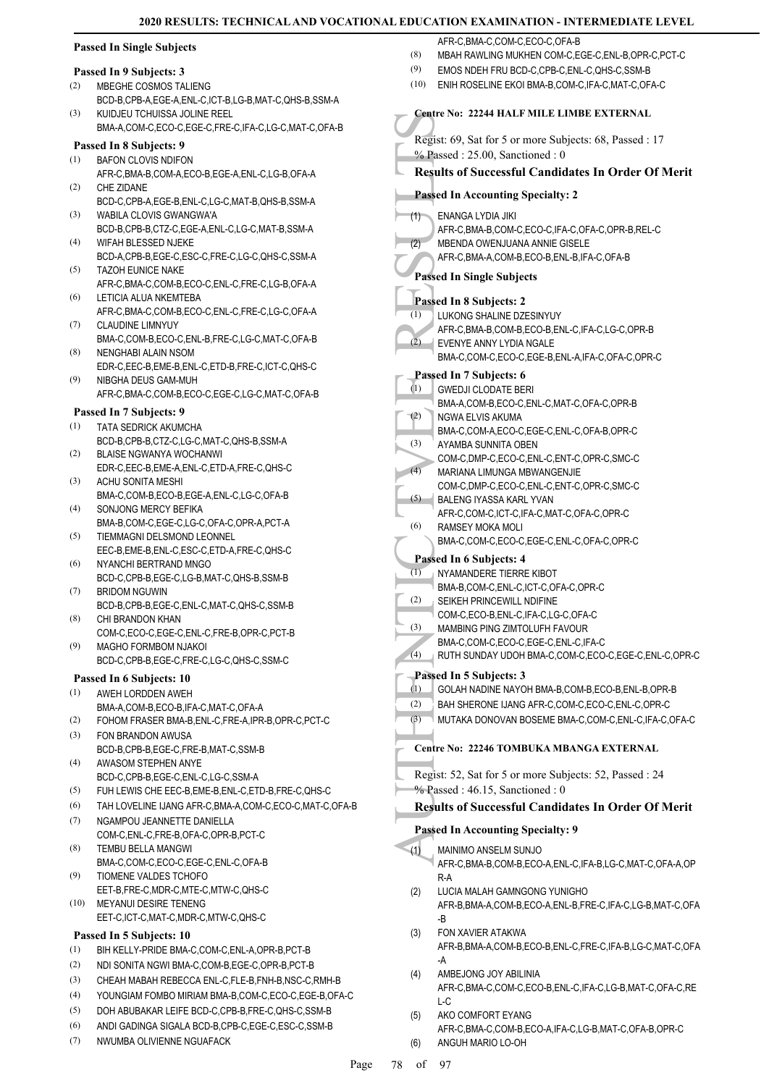#### **Passed In Single Subjects**

#### **Passed In 9 Subjects: 3**

- MBEGHE COSMOS TALIENG (2)
- BCD-B,CPB-A,EGE-A,ENL-C,ICT-B,LG-B,MAT-C,QHS-B,SSM-A KUIDJEU TCHUISSA JOLINE REEL (3)
- BMA-A,COM-C,ECO-C,EGE-C,FRE-C,IFA-C,LG-C,MAT-C,OFA-B

#### **Passed In 8 Subjects: 9** BAFON CLOVIS NDIFON (1)

- AFR-C,BMA-B,COM-A,ECO-B,EGE-A,ENL-C,LG-B,OFA-A CHE ZIDANE (2)
- BCD-C,CPB-A,EGE-B,ENL-C,LG-C,MAT-B,QHS-B,SSM-A WABILA CLOVIS GWANGWA'A (3)
- BCD-B,CPB-B,CTZ-C,EGE-A,ENL-C,LG-C,MAT-B,SSM-A WIFAH BLESSED NJEKE (4)
- BCD-A,CPB-B,EGE-C,ESC-C,FRE-C,LG-C,QHS-C,SSM-A TAZOH EUNICE NAKE (5)
- AFR-C,BMA-C,COM-B,ECO-C,ENL-C,FRE-C,LG-B,OFA-A LETICIA ALUA NKEMTEBA (6)
- AFR-C,BMA-C,COM-B,ECO-C,ENL-C,FRE-C,LG-C,OFA-A CLAUDINE LIMNYUY (7)
- BMA-C,COM-B,ECO-C,ENL-B,FRE-C,LG-C,MAT-C,OFA-B NENGHABI ALAIN NSOM (8)
- EDR-C,EEC-B,EME-B,ENL-C,ETD-B,FRE-C,ICT-C,QHS-C NIBGHA DEUS GAM-MUH (9)
- AFR-C,BMA-C,COM-B,ECO-C,EGE-C,LG-C,MAT-C,OFA-B

#### **Passed In 7 Subjects: 9**

- TATA SEDRICK AKUMCHA BCD-B,CPB-B,CTZ-C,LG-C,MAT-C,QHS-B,SSM-A (1)
- BLAISE NGWANYA WOCHANWI EDR-C,EEC-B,EME-A,ENL-C,ETD-A,FRE-C,QHS-C (2)
- ACHU SONITA MESHI BMA-C,COM-B,ECO-B,EGE-A,ENL-C,LG-C,OFA-B (3)
- SONJONG MERCY BEFIKA BMA-B,COM-C,EGE-C,LG-C,OFA-C,OPR-A,PCT-A (4)
- TIEMMAGNI DELSMOND LEONNEL EEC-B,EME-B,ENL-C,ESC-C,ETD-A,FRE-C,QHS-C (5)
- NYANCHI BERTRAND MNGO BCD-C,CPB-B,EGE-C,LG-B,MAT-C,QHS-B,SSM-B (6)
- BRIDOM NGUWIN BCD-B,CPB-B,EGE-C,ENL-C,MAT-C,QHS-C,SSM-B (7)
- CHI BRANDON KHAN COM-C,ECO-C,EGE-C,ENL-C,FRE-B,OPR-C,PCT-B (8)
- MAGHO FORMBOM NJAKOI BCD-C,CPB-B,EGE-C,FRE-C,LG-C,QHS-C,SSM-C (9)

#### **Passed In 6 Subjects: 10**

- AWEH LORDDEN AWEH (1)
- BMA-A,COM-B,ECO-B,IFA-C,MAT-C,OFA-A (2) FOHOM FRASER BMA-B,ENL-C,FRE-A,IPR-B,OPR-C,PCT-C
- FON BRANDON AWUSA (3)
- BCD-B,CPB-B,EGE-C,FRE-B,MAT-C,SSM-B AWASOM STEPHEN ANYE (4)
- BCD-C,CPB-B,EGE-C,ENL-C,LG-C,SSM-A
- (5) FUH LEWIS CHE EEC-B,EME-B,ENL-C,ETD-B,FRE-C,QHS-C
- (6) TAH LOVELINE IJANG AFR-C,BMA-A,COM-C,ECO-C,MAT-C,OFA-B
- NGAMPOU JEANNETTE DANIELLA COM-C,ENL-C,FRE-B,OFA-C,OPR-B,PCT-C (7) (8)
- TEMBU BELLA MANGWI BMA-C,COM-C,ECO-C,EGE-C,ENL-C,OFA-B TIOMENE VALDES TCHOFO (9)
- EET-B,FRE-C,MDR-C,MTE-C,MTW-C,QHS-C MEYANUI DESIRE TENENG (10)
- EET-C,ICT-C,MAT-C,MDR-C,MTW-C,QHS-C

### **Passed In 5 Subjects: 10**

- (1) BIH KELLY-PRIDE BMA-C,COM-C,ENL-A,OPR-B,PCT-B
- (2) NDI SONITA NGWI BMA-C,COM-B,EGE-C,OPR-B,PCT-B
- (3) CHEAH MABAH REBECCA ENL-C,FLE-B,FNH-B,NSC-C,RMH-B
- (4) YOUNGIAM FOMBO MIRIAM BMA-B,COM-C,ECO-C,EGE-B,OFA-C
- (5) DOH ABUBAKAR LEIFE BCD-C,CPB-B,FRE-C,QHS-C,SSM-B
- (6) ANDI GADINGA SIGALA BCD-B,CPB-C,EGE-C,ESC-C,SSM-B
- NWUMBA OLIVIENNE NGUAFACK (7)

AFR-C, BMA-C, COM-C, ECO-C, OFA-B

- (8) MBAH RAWLING MUKHEN COM-C,EGE-C,ENL-B,OPR-C,PCT-C
- (9) EMOS NDEH FRU BCD-C,CPB-C,ENL-C,QHS-C,SSM-B
- (10) ENIH ROSELINE EKOI BMA-B,COM-C,IFA-C,MAT-C,OFA-C

#### France No:<br>
Regist: 69,<br>
We Passed In Autor (1)<br>
Passed In 8<br>
Passed In 8<br>
Passed In 8<br>
Passed In 8<br>
Passed In 8<br>
Dassed In 8<br>
EVENY<br>
BMA-C,<br>
Passed In 6<br>
EVENY<br>
BMA-C,<br>
Passed In 6<br>
EVENY<br>
BMA-C,<br>
Passed In 1<br>
COM-C,<br>
AYA **Centre No: 22244 HALF MILE LIMBE EXTERNAL**  Regist: 69, Sat for 5 or more Subjects: 68, Passed : 17 % Passed : 25.00, Sanctioned : 0 **Results of Successful Candidates In Order Of Merit Passed In Accounting Specialty: 2** ENANGA LYDIA JIKI AFR-C,BMA-B,COM-C,ECO-C,IFA-C,OFA-C,OPR-B,REL-C (1) MBENDA OWENJUANA ANNIE GISELE AFR-C,BMA-A,COM-B,ECO-B,ENL-B,IFA-C,OFA-B  $(2)$ **Passed In Single Subjects Passed In 8 Subjects: 2** LUKONG SHALINE DZESINYUY AFR-C,BMA-B,COM-B,ECO-B,ENL-C,IFA-C,LG-C,OPR-B (1) EVENYE ANNY LYDIA NGALE BMA-C,COM-C,ECO-C,EGE-B,ENL-A,IFA-C,OFA-C,OPR-C  $(2)$ **Passed In 7 Subjects: 6** GWEDJI CLODATE BERI BMA-A,COM-B,ECO-C,ENL-C,MAT-C,OFA-C,OPR-B (1) NGWA ELVIS AKUMA BMA-C,COM-A,ECO-C,EGE-C,ENL-C,OFA-B,OPR-C (2) AYAMBA SUNNITA OBEN COM-C,DMP-C,ECO-C,ENL-C,ENT-C,OPR-C,SMC-C (3) MARIANA LIMUNGA MBWANGENJIE COM-C,DMP-C,ECO-C,ENL-C,ENT-C,OPR-C,SMC-C  $(4)$ BALENG IYASSA KARL YVAN AFR-C,COM-C,ICT-C,IFA-C,MAT-C,OFA-C,OPR-C (5) RAMSEY MOKA MOLI BMA-C,COM-C,ECO-C,EGE-C,ENL-C,OFA-C,OPR-C (6) **Passed In 6 Subjects: 4** NYAMANDERE TIERRE KIBOT BMA-B,COM-C,ENL-C,ICT-C,OFA-C,OPR-C  $\overline{1}$ SEIKEH PRINCEWILL NDIFINE COM-C,ECO-B,ENL-C,IFA-C,LG-C,OFA-C (2) MAMBING PING ZIMTOLUFH FAVOUR BMA-C,COM-C,ECO-C,EGE-C,ENL-C,IFA-C (3) (4) RUTH SUNDAY UDOH BMA-C,COM-C,ECO-C,EGE-C,ENL-C,OPR-C **Passed In 5 Subjects: 3** (1) GOLAH NADINE NAYOH BMA-B,COM-B,ECO-B,ENL-B,OPR-B (2) BAH SHERONE IJANG AFR-C,COM-C,ECO-C,ENL-C,OPR-C (3) MUTAKA DONOVAN BOSEME BMA-C,COM-C,ENL-C,IFA-C,OFA-C **Centre No: 22246 TOMBUKA MBANGA EXTERNAL**  Regist: 52, Sat for 5 or more Subjects: 52, Passed : 24 % Passed: 46.15, Sanctioned: 0 **Results of Successful Candidates In Order Of Merit Passed In Accounting Specialty: 9** MAINIMO ANSELM SUNJO AFR-C,BMA-B,COM-B,ECO-A,ENL-C,IFA-B,LG-C,MAT-C,OFA-A,OP R-A (1) LUCIA MALAH GAMNGONG YUNIGHO AFR-B,BMA-A,COM-B,ECO-A,ENL-B,FRE-C,IFA-C,LG-B,MAT-C,OFA -B (2) FON XAVIER ATAKWA AFR-B,BMA-A,COM-B,ECO-B,ENL-C,FRE-C,IFA-B,LG-C,MAT-C,OFA -A (3) AMBEJONG JOY ABILINIA AFR-C,BMA-C,COM-C,ECO-B,ENL-C,IFA-C,LG-B,MAT-C,OFA-C,RE L-C (4) AKO COMFORT EYANG AFR-C,BMA-C,COM-B,ECO-A,IFA-C,LG-B,MAT-C,OFA-B,OPR-C (5)

(6) ANGUH MARIO LO-OH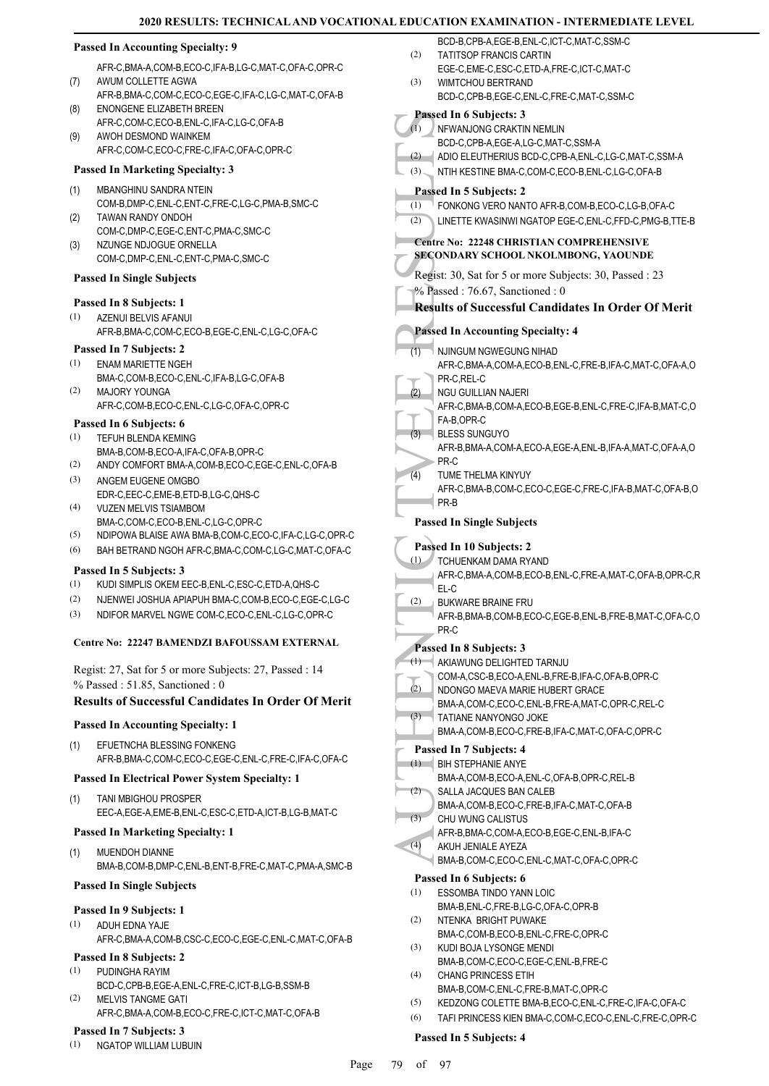## **Passed In Accounting Specialty: 9**

AFR-C,BMA-A,COM-B,ECO-C,IFA-B,LG-C,MAT-C,OFA-C,OPR-C AWUM COLLETTE AGWA

- AFR-B,BMA-C,COM-C,ECO-C,EGE-C,IFA-C,LG-C,MAT-C,OFA-B ENONGENE ELIZABETH BREEN (8)
- AFR-C,COM-C,ECO-B,ENL-C,IFA-C,LG-C,OFA-B AWOH DESMOND WAINKEM (9)
- AFR-C,COM-C,ECO-C,FRE-C,IFA-C,OFA-C,OPR-C

#### **Passed In Marketing Specialty: 3**

MBANGHINU SANDRA NTEIN (1)

(7)

- COM-B,DMP-C,ENL-C,ENT-C,FRE-C,LG-C,PMA-B,SMC-C TAWAN RANDY ONDOH (2)
- COM-C,DMP-C,EGE-C,ENT-C,PMA-C,SMC-C NZUNGE NDJOGUE ORNELLA COM-C,DMP-C,ENL-C,ENT-C,PMA-C,SMC-C (3)

# **Passed In Single Subjects**

#### **Passed In 8 Subjects: 1**

AZENUI BELVIS AFANUI AFR-B,BMA-C,COM-C,ECO-B,EGE-C,ENL-C,LG-C,OFA-C (1)

#### **Passed In 7 Subjects: 2**

- ENAM MARIETTE NGEH BMA-C,COM-B,ECO-C,ENL-C,IFA-B,LG-C,OFA-B (1)
- MAJORY YOUNGA AFR-C,COM-B,ECO-C,ENL-C,LG-C,OFA-C,OPR-C (2)

#### **Passed In 6 Subjects: 6**

- TEFUH BLENDA KEMING (1)
- BMA-B,COM-B,ECO-A,IFA-C,OFA-B,OPR-C
- (2) ANDY COMFORT BMA-A,COM-B,ECO-C,EGE-C,ENL-C,OFA-B
- ANGEM EUGENE OMGBO EDR-C,EEC-C,EME-B,ETD-B,LG-C,QHS-C (3) VUZEN MELVIS TSIAMBOM (4)
- BMA-C,COM-C,ECO-B,ENL-C,LG-C,OPR-C
- (5) NDIPOWA BLAISE AWA BMA-B,COM-C,ECO-C,IFA-C,LG-C,OPR-C
- (6) BAH BETRAND NGOH AFR-C,BMA-C,COM-C,LG-C,MAT-C,OFA-C

#### **Passed In 5 Subjects: 3**

- (1) KUDI SIMPLIS OKEM EEC-B,ENL-C,ESC-C,ETD-A,QHS-C
- (2) NJENWEI JOSHUA APIAPUH BMA-C,COM-B,ECO-C,EGE-C,LG-C
- (3) NDIFOR MARVEL NGWE COM-C,ECO-C,ENL-C,LG-C,OPR-C

#### **Centre No: 22247 BAMENDZI BAFOUSSAM EXTERNAL**

Regist: 27, Sat for 5 or more Subjects: 27, Passed : 14 % Passed : 51.85, Sanctioned : 0

#### **Results of Successful Candidates In Order Of Merit**

#### **Passed In Accounting Specialty: 1**

EFUETNCHA BLESSING FONKENG AFR-B,BMA-C,COM-C,ECO-C,EGE-C,ENL-C,FRE-C,IFA-C,OFA-C (1)

#### **Passed In Electrical Power System Specialty: 1**

TANI MBIGHOU PROSPER EEC-A,EGE-A,EME-B,ENL-C,ESC-C,ETD-A,ICT-B,LG-B,MAT-C (1)

#### **Passed In Marketing Specialty: 1**

MUENDOH DIANNE BMA-B,COM-B,DMP-C,ENL-B,ENT-B,FRE-C,MAT-C,PMA-A,SMC-B (1)

#### **Passed In Single Subjects**

#### **Passed In 9 Subjects: 1**

ADUH EDNA YAJE AFR-C,BMA-A,COM-B,CSC-C,ECO-C,EGE-C,ENL-C,MAT-C,OFA-B (1)

# **Passed In 8 Subjects: 2**

- PUDINGHA RAYIM BCD-C,CPB-B,EGE-A,ENL-C,FRE-C,ICT-B,LG-B,SSM-B (1)
- MELVIS TANGME GATI AFR-C,BMA-A,COM-B,ECO-C,FRE-C,ICT-C,MAT-C,OFA-B (2)

#### **Passed In 7 Subjects: 3**

(1) NGATOP WILLIAM LUBUIN

- BCD-B,CPB-A,EGE-B,ENL-C,ICT-C,MAT-C,SSM-C TATITSOP FRANCIS CARTIN EGE-C,EME-C,ESC-C,ETD-A,FRE-C,ICT-C,MAT-C (2)
- WIMTCHOU BERTRAND BCD-C,CPB-B,EGE-C,ENL-C,FRE-C,MAT-C,SSM-C (3)

#### **Passed In 6 Subjects: 3**

Passed In NEWAN<br>
BCD-C,<br>
(1) NFWAN<br>
BCD-C,<br>
(3) ADIO E<br>
NTIH KI<br>
Passed In SECONDAI<br>
Regist: 30,<br>
(2) LINETT<br>
Centre No:<br>
SECONDAI<br>
Regist: 30,<br>
Passed In MUNGI AFR-C,<br>
PASSED IN AFR-C,<br>
PR-C, RGU GI<br>
AFR-C,<br>
PR-C, RGU GI<br> NFWANJONG CRAKTIN NEMLIN BCD-C,CPB-A,EGE-A,LG-C,MAT-C,SSM-A  $(1)$ (2) ADIO ELEUTHERIUS BCD-C,CPB-A,ENL-C,LG-C,MAT-C,SSM-A (3) NTIH KESTINE BMA-C,COM-C,ECO-B,ENL-C,LG-C,OFA-B **Passed In 5 Subjects: 2** (1) FONKONG VERO NANTO AFR-B,COM-B,ECO-C,LG-B,OFA-C (2) LINETTE KWASINWI NGATOP EGE-C,ENL-C,FFD-C,PMG-B,TTE-B **Centre No: 22248 CHRISTIAN COMPREHENSIVE SECONDARY SCHOOL NKOLMBONG, YAOUNDE**  Regist: 30, Sat for 5 or more Subjects: 30, Passed : 23 % Passed : 76.67, Sanctioned : 0 **Results of Successful Candidates In Order Of Merit Passed In Accounting Specialty: 4** NJINGUM NGWEGUNG NIHAD AFR-C,BMA-A,COM-A,ECO-B,ENL-C,FRE-B,IFA-C,MAT-C,OFA-A,O PR-C,REL-C (1) NGU GUILLIAN NAJERI AFR-C,BMA-B,COM-A,ECO-B,EGE-B,ENL-C,FRE-C,IFA-B,MAT-C,O FA-B,OPR-C (2) BLESS SUNGUYO AFR-B,BMA-A,COM-A,ECO-A,EGE-A,ENL-B,IFA-A,MAT-C,OFA-A,O PR-C (3) TUME THELMA KINYUY AFR-C,BMA-B,COM-C,ECO-C,EGE-C,FRE-C,IFA-B,MAT-C,OFA-B,O PR-B (4) **Passed In Single Subjects Passed In 10 Subjects: 2** TCHUENKAM DAMA RYAND (1) AFR-C,BMA-A,COM-B,ECO-B,ENL-C,FRE-A,MAT-C,OFA-B,OPR-C,R EL-C BUKWARE BRAINE FRU AFR-B,BMA-B,COM-B,ECO-C,EGE-B,ENL-B,FRE-B,MAT-C,OFA-C,O PR-C (2) **Passed In 8 Subjects: 3** AKIAWUNG DELIGHTED TARNJU COM-A,CSC-B,ECO-A,ENL-B,FRE-B,IFA-C,OFA-B,OPR-C (1) NDONGO MAEVA MARIE HUBERT GRACE BMA-A,COM-C,ECO-C,ENL-B,FRE-A,MAT-C,OPR-C,REL-C (2) TATIANE NANYONGO JOKE BMA-A,COM-B,ECO-C,FRE-B,IFA-C,MAT-C,OFA-C,OPR-C (3) **Passed In 7 Subjects: 4** BIH STEPHANIE ANYE (1) BMA-A,COM-B,ECO-A,ENL-C,OFA-B,OPR-C,REL-B SALLA JACQUES BAN CALEB BMA-A,COM-B,ECO-C,FRE-B,IFA-C,MAT-C,OFA-B  $(2)$ CHU WUNG CALISTUS AFR-B,BMA-C,COM-A,ECO-B,EGE-C,ENL-B,IFA-C  $(3)$ AKUH JENIALE AYEZA BMA-B,COM-C,ECO-C,ENL-C,MAT-C,OFA-C,OPR-C  $(4)$ **Passed In 6 Subjects: 6** ESSOMBA TINDO YANN LOIC BMA-B,ENL-C,FRE-B,LG-C,OFA-C,OPR-B (1) NTENKA BRIGHT PUWAKE BMA-C,COM-B,ECO-B,ENL-C,FRE-C,OPR-C (2) KUDI BOJA LYSONGE MENDI BMA-B,COM-C,ECO-C,EGE-C,ENL-B,FRE-C (3) CHANG PRINCESS ETIH BMA-B,COM-C,ENL-C,FRE-B,MAT-C,OPR-C (4) (5) KEDZONG COLETTE BMA-B,ECO-C,ENL-C,FRE-C,IFA-C,OFA-C (6) TAFI PRINCESS KIEN BMA-C,COM-C,ECO-C,ENL-C,FRE-C,OPR-C **Passed In 5 Subjects: 4**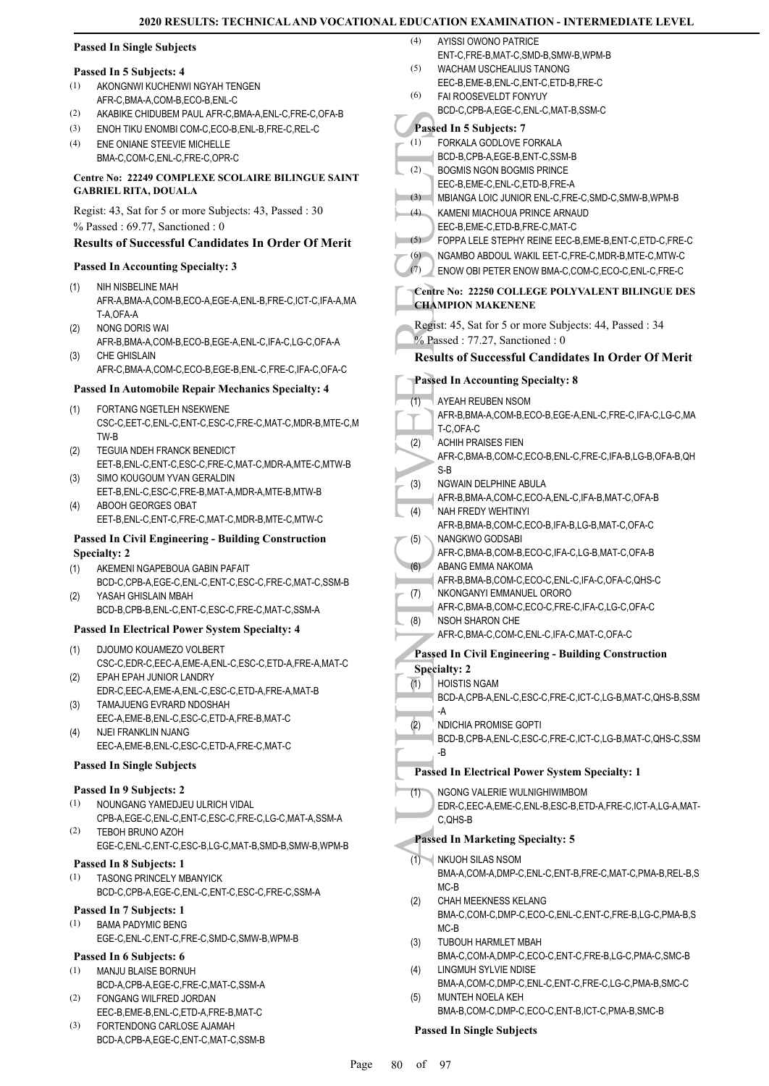| <b>Passed In Single Subjects</b> |  |  |
|----------------------------------|--|--|
|                                  |  |  |

#### **Passed In 5 Subjects: 4**

- AKONGNWI KUCHENWI NGYAH TENGEN AFR-C,BMA-A,COM-B,ECO-B,ENL-C (1)
- (2) AKABIKE CHIDUBEM PAUL AFR-C,BMA-A,ENL-C,FRE-C,OFA-B
- (3) ENOH TIKU ENOMBI COM-C,ECO-B,ENL-B,FRE-C,REL-C
- ENE ONIANE STEEVIE MICHELLE BMA-C,COM-C,ENL-C,FRE-C,OPR-C (4)

#### **Centre No: 22249 COMPLEXE SCOLAIRE BILINGUE SAINT GABRIEL RITA, DOUALA**

Regist: 43, Sat for 5 or more Subjects: 43, Passed : 30 % Passed : 69.77, Sanctioned : 0

# **Results of Successful Candidates In Order Of Merit**

#### **Passed In Accounting Specialty: 3**

- NIH NISBELINE MAH AFR-A,BMA-A,COM-B,ECO-A,EGE-A,ENL-B,FRE-C,ICT-C,IFA-A,MA T-A,OFA-A (1)
- NONG DORIS WAI (2)
- AFR-B,BMA-A,COM-B,ECO-B,EGE-A,ENL-C,IFA-C,LG-C,OFA-A CHE GHISLAIN (3)
- AFR-C,BMA-A,COM-C,ECO-B,EGE-B,ENL-C,FRE-C,IFA-C,OFA-C

#### **Passed In Automobile Repair Mechanics Specialty: 4**

- FORTANG NGETLEH NSEKWENE CSC-C,EET-C,ENL-C,ENT-C,ESC-C,FRE-C,MAT-C,MDR-B,MTE-C,M TW-B (1)
- TEGUIA NDEH FRANCK BENEDICT EET-B,ENL-C,ENT-C,ESC-C,FRE-C,MAT-C,MDR-A,MTE-C,MTW-B (2) SIMO KOUGOUM YVAN GERALDIN (3)
- EET-B,ENL-C,ESC-C,FRE-B,MAT-A,MDR-A,MTE-B,MTW-B ABOOH GEORGES OBAT (4)
- EET-B,ENL-C,ENT-C,FRE-C,MAT-C,MDR-B,MTE-C,MTW-C

#### **Passed In Civil Engineering - Building Construction Specialty: 2**

- AKEMENI NGAPEBOUA GABIN PAFAIT BCD-C,CPB-A,EGE-C,ENL-C,ENT-C,ESC-C,FRE-C,MAT-C,SSM-B (1)
- YASAH GHISLAIN MBAH BCD-B,CPB-B,ENL-C,ENT-C,ESC-C,FRE-C,MAT-C,SSM-A (2)

#### **Passed In Electrical Power System Specialty: 4**

- DJOUMO KOUAMEZO VOLBERT CSC-C,EDR-C,EEC-A,EME-A,ENL-C,ESC-C,ETD-A,FRE-A,MAT-C (1) EPAH EPAH JUNIOR LANDRY
- EDR-C,EEC-A,EME-A,ENL-C,ESC-C,ETD-A,FRE-A,MAT-B (2) TAMAJUENG EVRARD NDOSHAH (3)
- EEC-A,EME-B,ENL-C,ESC-C,ETD-A,FRE-B,MAT-C NJEI FRANKLIN NJANG (4)
- EEC-A,EME-B,ENL-C,ESC-C,ETD-A,FRE-C,MAT-C

#### **Passed In Single Subjects**

#### **Passed In 9 Subjects: 2**

- NOUNGANG YAMEDJEU ULRICH VIDAL CPB-A,EGE-C,ENL-C,ENT-C,ESC-C,FRE-C,LG-C,MAT-A,SSM-A (1)
- TEBOH BRUNO AZOH EGE-C,ENL-C,ENT-C,ESC-B,LG-C,MAT-B,SMD-B,SMW-B,WPM-B (2)

#### **Passed In 8 Subjects: 1**

TASONG PRINCELY MBANYICK BCD-C,CPB-A,EGE-C,ENL-C,ENT-C,ESC-C,FRE-C,SSM-A (1)

#### **Passed In 7 Subjects: 1**

BAMA PADYMIC BENG EGE-C,ENL-C,ENT-C,FRE-C,SMD-C,SMW-B,WPM-B (1)

# **Passed In 6 Subjects: 6**

- MANJU BLAISE BORNUH (1)
- BCD-A,CPB-A,EGE-C,FRE-C,MAT-C,SSM-A FONGANG WILFRED JORDAN (2)
- EEC-B,EME-B,ENL-C,ETD-A,FRE-B,MAT-C FORTENDONG CARLOSE AJAMAH (3)
- BCD-A,CPB-A,EGE-C,ENT-C,MAT-C,SSM-B

#### AYISSI OWONO PATRICE  $(4)$

- ENT-C,FRE-B,MAT-C,SMD-B,SMW-B,WPM-B WACHAM USCHEALIUS TANONG (5)
- EEC-B,EME-B,ENL-C,ENT-C,ETD-B,FRE-C
- FAI ROOSEVELDT FONYUY (6)
	- BCD-C,CPB-A,EGE-C,ENL-C,MAT-B,SSM-C

#### **Passed In 5 Subjects: 7** FORKALA GODLOVE FORKALA (1)

- BCD-B,CPB-A,EGE-B,ENT-C,SSM-B
- BOGMIS NGON BOGMIS PRINCE (2)
	- EEC-B,EME-C,ENL-C,ETD-B,FRE-A

#### (3) MBIANGA LOIC JUNIOR ENL-C,FRE-C,SMD-C,SMW-B,WPM-B

- KAMENI MIACHOUA PRINCE ARNAUD EEC-B,EME-C,ETD-B,FRE-C,MAT-C (4)
- (5) FOPPA LELE STEPHY REINE EEC-B,EME-B,ENT-C,ETD-C,FRE-C
- (6) NGAMBO ABDOUL WAKIL EET-C,FRE-C,MDR-B,MTE-C,MTW-C
	- (7) ENOW OBI PETER ENOW BMA-C,COM-C,ECO-C,ENL-C,FRE-C

#### **Centre No: 22250 COLLEGE POLYVALENT BILINGUE DES CHAMPION MAKENENE**

- Regist: 45, Sat for 5 or more Subjects: 44, Passed : 34
- % Passed : 77.27, Sanctioned : 0

## **Results of Successful Candidates In Order Of Merit**

## **Passed In Accounting Specialty: 8**

Passed In (1)<br>
(1) FORKA<br>
(2) BOGMI:<br>
EEC-B,<br>
BOGMI:<br>
EEC-B,<br>
BOGMI:<br>
EEC-B,<br>
ROBIAN KAMEN<br>
EEC-B,<br>
FOPPA<br>
KAMEN<br>
EEC-B,<br>
FOPPA<br>
NGAME ENOW<br>
ENOW<br>
Centre No:<br>
CHAMPIO:<br>
Regist: 45,<br>
Passed In *AYEAH*<br>
AFR-B,<br>
T-C,OF.<br>
ACHI AYEAH REUBEN NSOM AFR-B,BMA-A,COM-B,ECO-B,EGE-A,ENL-C,FRE-C,IFA-C,LG-C,MA T-C,OFA-C (1) ACHIH PRAISES FIEN AFR-C,BMA-B,COM-C,ECO-B,ENL-C,FRE-C,IFA-B,LG-B,OFA-B,QH S-B (2) NGWAIN DELPHINE ABULA AFR-B,BMA-A,COM-C,ECO-A,ENL-C,IFA-B,MAT-C,OFA-B (3) NAH FREDY WEHTINYI AFR-B,BMA-B,COM-C,ECO-B,IFA-B,LG-B,MAT-C,OFA-C (4) NANGKWO GODSABI AFR-C,BMA-B,COM-B,ECO-C,IFA-C,LG-B,MAT-C,OFA-B (5) ABANG EMMA NAKOMA AFR-B,BMA-B,COM-C,ECO-C,ENL-C,IFA-C,OFA-C,QHS-C  $(6)$ NKONGANYI EMMANUEL ORORO AFR-C,BMA-B,COM-C,ECO-C,FRE-C,IFA-C,LG-C,OFA-C (7) NSOH SHARON CHE AFR-C,BMA-C,COM-C,ENL-C,IFA-C,MAT-C,OFA-C (8) **Passed In Civil Engineering - Building Construction Specialty: 2** HOISTIS NGAM BCD-A,CPB-A,ENL-C,ESC-C,FRE-C,ICT-C,LG-B,MAT-C,QHS-B,SSM -A (1) NDICHIA PROMISE GOPTI BCD-B,CPB-A,ENL-C,ESC-C,FRE-C,ICT-C,LG-B,MAT-C,QHS-C,SSM -B (2) **Passed In Electrical Power System Specialty: 1** NGONG VALERIE WULNIGHIWIMBOM EDR-C,EEC-A,EME-C,ENL-B,ESC-B,ETD-A,FRE-C,ICT-A,LG-A,MAT-C,QHS-B (1) **Passed In Marketing Specialty: 5**

#### NKUOH SILAS NSOM  $(1)$

- BMA-A,COM-A,DMP-C,ENL-C,ENT-B,FRE-C,MAT-C,PMA-B,REL-B,S MC-B
- CHAH MEEKNESS KELANG BMA-C,COM-C,DMP-C,ECO-C,ENL-C,ENT-C,FRE-B,LG-C,PMA-B,S MC-B (2)
- TUBOUH HARMLET MBAH BMA-C,COM-A,DMP-C,ECO-C,ENT-C,FRE-B,LG-C,PMA-C,SMC-B (3) LINGMUH SYLVIE NDISE (4)
- BMA-A,COM-C,DMP-C,ENL-C,ENT-C,FRE-C,LG-C,PMA-B,SMC-C MUNTEH NOELA KEH (5)
- BMA-B,COM-C,DMP-C,ECO-C,ENT-B,ICT-C,PMA-B,SMC-B

#### **Passed In Single Subjects**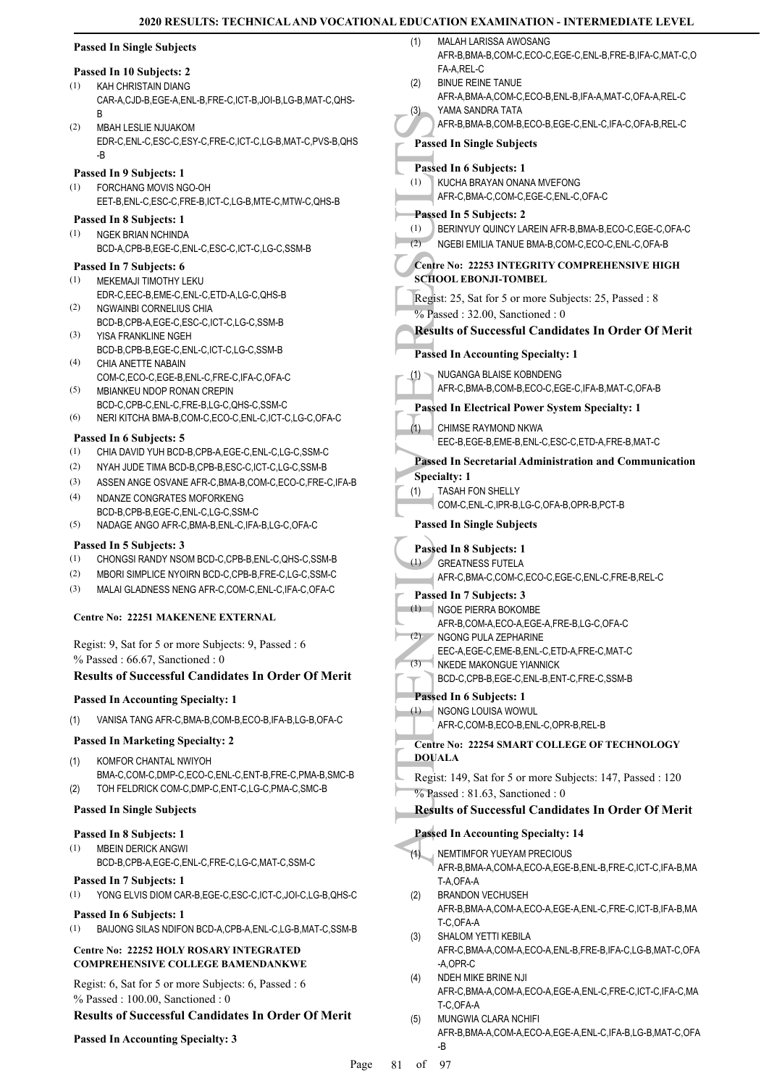|            | <b>Passed In Single Subjects</b>                                                                                | (1)        | MALAH LARISSA AWOSANG<br>AFR-B, BMA-B, COM-C, ECO-C, EGE-C, ENL-B, FRE-B, IFA-C, MAT-C, O                                               |
|------------|-----------------------------------------------------------------------------------------------------------------|------------|-----------------------------------------------------------------------------------------------------------------------------------------|
| (1)        | Passed In 10 Subjects: 2<br>KAH CHRISTAIN DIANG                                                                 | (2)        | FA-A,REL-C<br><b>BINUE REINE TANUE</b>                                                                                                  |
|            | CAR-A,CJD-B,EGE-A,ENL-B,FRE-C,ICT-B,JOI-B,LG-B,MAT-C,QHS-<br>B                                                  | (3)        | AFR-A, BMA-A, COM-C, ECO-B, ENL-B, IFA-A, MAT-C, OFA-A, REL-C<br>YAMA SANDRA TATA                                                       |
| (2)        | <b>MBAH LESLIE NJUAKOM</b><br>EDR-C, ENL-C, ESC-C, ESY-C, FRE-C, ICT-C, LG-B, MAT-C, PVS-B, QHS                 |            | AFR-B, BMA-B, COM-B, ECO-B, EGE-C, ENL-C, IFA-C, OFA-B, REL-C<br><b>Passed In Single Subjects</b>                                       |
|            | -B                                                                                                              |            | Passed In 6 Subjects: 1                                                                                                                 |
| (1)        | Passed In 9 Subjects: 1<br>FORCHANG MOVIS NGO-OH<br>EET-B,ENL-C,ESC-C,FRE-B,ICT-C,LG-B,MTE-C,MTW-C,QHS-B        | (1)        | KUCHA BRAYAN ONANA MVEFONG<br>AFR-C, BMA-C, COM-C, EGE-C, ENL-C, OFA-C                                                                  |
| (1)        | Passed In 8 Subjects: 1<br>NGEK BRIAN NCHINDA<br>BCD-A,CPB-B,EGE-C,ENL-C,ESC-C,ICT-C,LG-C,SSM-B                 | (1)<br>(2) | Passed In 5 Subjects: 2<br>BERINYUY QUINCY LAREIN AFR-B, BMA-B, ECO-C, EGE-C, OFA-C<br>NGEBI EMILIA TANUE BMA-B,COM-C,ECO-C,ENL-C,OFA-B |
| (1)        | Passed In 7 Subjects: 6<br>MEKEMAJI TIMOTHY LEKU                                                                |            | Centre No: 22253 INTEGRITY COMPREHENSIVE HIGH<br><b>SCHOOL EBONJI-TOMBEL</b>                                                            |
| (2)        | EDR-C, EEC-B, EME-C, ENL-C, ETD-A, LG-C, QHS-B<br>NGWAINBI CORNELIUS CHIA                                       |            | Regist: 25, Sat for 5 or more Subjects: 25, Passed: 8<br>$%$ Passed: 32.00, Sanctioned: 0                                               |
| (3)        | BCD-B,CPB-A,EGE-C,ESC-C,ICT-C,LG-C,SSM-B<br>YISA FRANKLINE NGEH                                                 |            | <b>Results of Successful Candidates In Order Of Merit</b>                                                                               |
|            | BCD-B,CPB-B,EGE-C,ENL-C,ICT-C,LG-C,SSM-B                                                                        |            | <b>Passed In Accounting Specialty: 1</b>                                                                                                |
| (4)<br>(5) | CHIA ANETTE NABAIN<br>COM-C,ECO-C,EGE-B,ENL-C,FRE-C,IFA-C,OFA-C<br>MBIANKEU NDOP RONAN CREPIN                   | (1)        | NUGANGA BLAISE KOBNDENG<br>AFR-C, BMA-B, COM-B, ECO-C, EGE-C, IFA-B, MAT-C, OFA-B                                                       |
|            | BCD-C,CPB-C,ENL-C,FRE-B,LG-C,QHS-C,SSM-C                                                                        |            | Passed In Electrical Power System Specialty: 1                                                                                          |
| (6)        | NERI KITCHA BMA-B,COM-C,ECO-C,ENL-C,ICT-C,LG-C,OFA-C<br>Passed In 6 Subjects: 5                                 | (1)        | CHIMSE RAYMOND NKWA<br>EEC-B,EGE-B,EME-B,ENL-C,ESC-C,ETD-A,FRE-B,MAT-C                                                                  |
| (1)        | CHIA DAVID YUH BCD-B,CPB-A,EGE-C,ENL-C,LG-C,SSM-C                                                               |            | Passed In Secretarial Administration and Communication                                                                                  |
| (2)<br>(3) | NYAH JUDE TIMA BCD-B,CPB-B,ESC-C,ICT-C,LG-C,SSM-B<br>ASSEN ANGE OSVANE AFR-C, BMA-B, COM-C, ECO-C, FRE-C, IFA-B |            | <b>Specialty: 1</b>                                                                                                                     |
| (4)        | NDANZE CONGRATES MOFORKENG                                                                                      | (1)        | <b>TASAH FON SHELLY</b>                                                                                                                 |
|            | BCD-B,CPB-B,EGE-C,ENL-C,LG-C,SSM-C                                                                              |            | COM-C, ENL-C, IPR-B, LG-C, OFA-B, OPR-B, PCT-B                                                                                          |
| (5)        | NADAGE ANGO AFR-C, BMA-B, ENL-C, IFA-B, LG-C, OFA-C                                                             |            | <b>Passed In Single Subjects</b>                                                                                                        |
| (1)        | Passed In 5 Subjects: 3<br>CHONGSI RANDY NSOM BCD-C, CPB-B, ENL-C, QHS-C, SSM-B                                 |            | Passed In 8 Subjects: 1                                                                                                                 |
| (2)        | MBORI SIMPLICE NYOIRN BCD-C,CPB-B,FRE-C,LG-C,SSM-C                                                              | (1)        | <b>GREATNESS FUTELA</b><br>AFR-C,BMA-C,COM-C,ECO-C,EGE-C,ENL-C,FRE-B,REL-C                                                              |
| (3)        | MALAI GLADNESS NENG AFR-C,COM-C,ENL-C,IFA-C,OFA-C                                                               |            | Passed In 7 Subjects: 3                                                                                                                 |
|            | <b>Centre No: 22251 MAKENENE EXTERNAL</b>                                                                       |            | (1) NGOE PIERRA BOKOMBE<br>AFR-B,COM-A,ECO-A,EGE-A,FRE-B,LG-C,OFA-C                                                                     |
|            | Regist: 9, Sat for 5 or more Subjects: 9, Passed : 6                                                            | (2)        | NGONG PULA ZEPHARINE<br>EEC-A,EGE-C,EME-B,ENL-C,ETD-A,FRE-C,MAT-C                                                                       |
|            | $%$ Passed: 66.67, Sanctioned: 0                                                                                | (3)        | NKEDE MAKONGUE YIANNICK                                                                                                                 |
|            | <b>Results of Successful Candidates In Order Of Merit</b>                                                       |            | BCD-C,CPB-B,EGE-C,ENL-B,ENT-C,FRE-C,SSM-B                                                                                               |
|            | <b>Passed In Accounting Specialty: 1</b>                                                                        | (1)        | Passed In 6 Subjects: 1<br>NGONG LOUISA WOWUL                                                                                           |
| (1)        | VANISA TANG AFR-C, BMA-B, COM-B, ECO-B, IFA-B, LG-B, OFA-C                                                      |            | AFR-C,COM-B,ECO-B,ENL-C,OPR-B,REL-B                                                                                                     |
|            | <b>Passed In Marketing Specialty: 2</b>                                                                         |            | <b>Centre No: 22254 SMART COLLEGE OF TECHNOLOGY</b>                                                                                     |
| (1)        | KOMFOR CHANTAL NWIYOH                                                                                           |            | <b>DOUALA</b>                                                                                                                           |
| (2)        | BMA-C,COM-C,DMP-C,ECO-C,ENL-C,ENT-B,FRE-C,PMA-B,SMC-B<br>TOH FELDRICK COM-C, DMP-C, ENT-C, LG-C, PMA-C, SMC-B   |            | Regist: 149, Sat for 5 or more Subjects: 147, Passed: 120<br>$%$ Passed: 81.63, Sanctioned: 0                                           |
|            | <b>Passed In Single Subjects</b>                                                                                |            | <b>Results of Successful Candidates In Order Of Merit</b>                                                                               |
|            | Passed In 8 Subjects: 1                                                                                         |            | <b>Passed In Accounting Specialty: 14</b>                                                                                               |
| (1)        | <b>MBEIN DERICK ANGWI</b><br>BCD-B,CPB-A,EGE-C,ENL-C,FRE-C,LG-C,MAT-C,SSM-C                                     | (1)        | NEMTIMFOR YUEYAM PRECIOUS<br>AFR-B, BMA-A, COM-A, ECO-A, EGE-B, ENL-B, FRE-C, ICT-C, IFA-B, MA                                          |
|            | Passed In 7 Subjects: 1                                                                                         |            | T-A, OFA-A                                                                                                                              |
| (1)        | YONG ELVIS DIOM CAR-B, EGE-C, ESC-C, ICT-C, JOI-C, LG-B, QHS-C                                                  | (2)        | <b>BRANDON VECHUSEH</b><br>AFR-B, BMA-A, COM-A, ECO-A, EGE-A, ENL-C, FRE-C, ICT-B, IFA-B, MA                                            |
|            | Passed In 6 Subjects: 1                                                                                         |            | T-C,OFA-A                                                                                                                               |
| (1)        | BAIJONG SILAS NDIFON BCD-A,CPB-A,ENL-C,LG-B,MAT-C,SSM-B                                                         | (3)        | SHALOM YETTI KEBILA                                                                                                                     |
|            | Centre No: 22252 HOLY ROSARY INTEGRATED<br><b>COMPREHENSIVE COLLEGE BAMENDANKWE</b>                             | (4)        | AFR-C,BMA-A,COM-A,ECO-A,ENL-B,FRE-B,IFA-C,LG-B,MAT-C,OFA<br>-A,OPR-C<br>NDEH MIKE BRINE NJI                                             |
|            | Regist: 6, Sat for 5 or more Subjects: 6, Passed : 6                                                            |            | AFR-C, BMA-A, COM-A, ECO-A, EGE-A, ENL-C, FRE-C, ICT-C, IFA-C, MA                                                                       |
|            | % Passed: 100.00, Sanctioned: 0<br><b>Results of Successful Candidates In Order Of Merit</b>                    |            | T-C,OFA-A                                                                                                                               |
|            |                                                                                                                 | (5)        | MUNGWIA CLARA NCHIFI<br>AFR-B, BMA-A, COM-A, ECO-A, EGE-A, ENL-C, IFA-B, LG-B, MAT-C, OFA                                               |
|            | <b>Passed In Accounting Specialty: 3</b>                                                                        |            | <b>R</b>                                                                                                                                |

Page 81 of 97

-B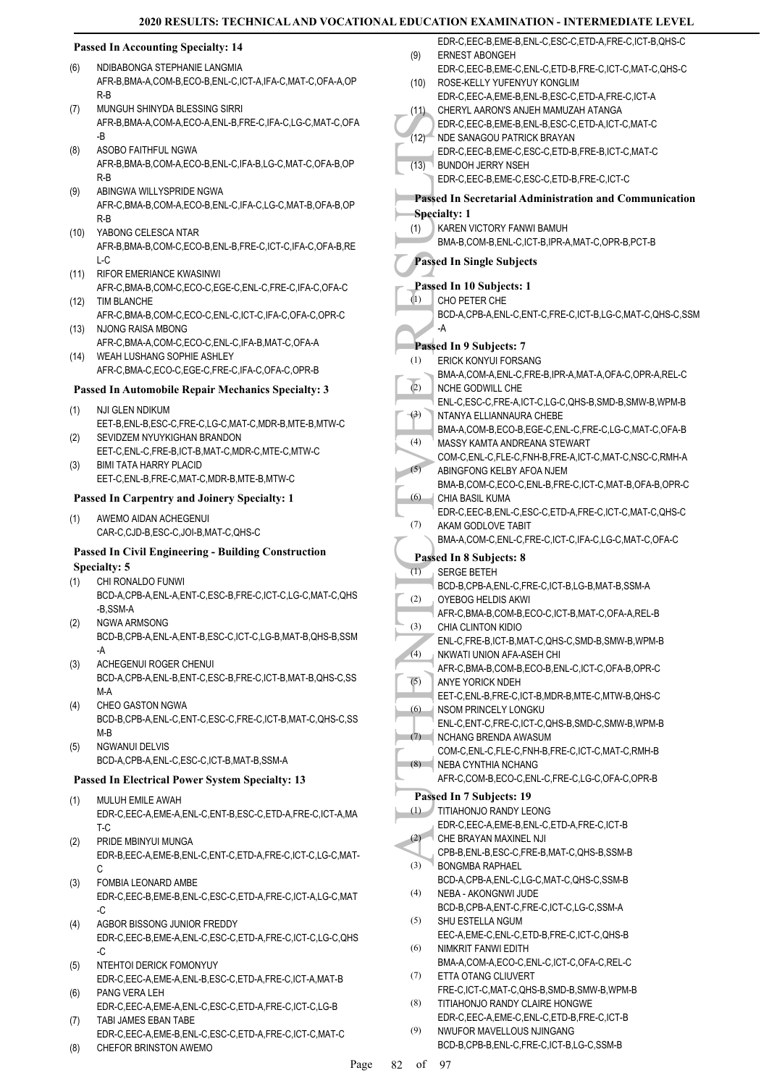## **Passed In Accounting Specialty: 14**

- NDIBABONGA STEPHANIE LANGMIA AFR-B,BMA-A,COM-B,ECO-B,ENL-C,ICT-A,IFA-C,MAT-C,OFA-A,OP R-B (6)
- MUNGUH SHINYDA BLESSING SIRRI AFR-B,BMA-A,COM-A,ECO-A,ENL-B,FRE-C,IFA-C,LG-C,MAT-C,OFA -B (7)
- ASOBO FAITHFUL NGWA AFR-B,BMA-B,COM-A,ECO-B,ENL-C,IFA-B,LG-C,MAT-C,OFA-B,OP R-B (8)
- ABINGWA WILLYSPRIDE NGWA AFR-C,BMA-B,COM-A,ECO-B,ENL-C,IFA-C,LG-C,MAT-B,OFA-B,OP R-B (9)
- YABONG CELESCA NTAR AFR-B,BMA-B,COM-C,ECO-B,ENL-B,FRE-C,ICT-C,IFA-C,OFA-B,RE L-C (10)
- RIFOR EMERIANCE KWASINWI AFR-C,BMA-B,COM-C,ECO-C,EGE-C,ENL-C,FRE-C,IFA-C,OFA-C (11)
- TIM BLANCHE (12) AFR-C,BMA-B,COM-C,ECO-C,ENL-C,ICT-C,IFA-C,OFA-C,OPR-C
- (13) NJONG RAISA MBONG AFR-C,BMA-A,COM-C,ECO-C,ENL-C,IFA-B,MAT-C,OFA-A
- WEAH LUSHANG SOPHIE ASHLEY (14) AFR-C,BMA-C,ECO-C,EGE-C,FRE-C,IFA-C,OFA-C,OPR-B

#### **Passed In Automobile Repair Mechanics Specialty: 3**

- NJI GLEN NDIKUM (1)
- EET-B,ENL-B,ESC-C,FRE-C,LG-C,MAT-C,MDR-B,MTE-B,MTW-C SEVIDZEM NYUYKIGHAN BRANDON (2)
- EET-C,ENL-C,FRE-B,ICT-B,MAT-C,MDR-C,MTE-C,MTW-C BIMI TATA HARRY PLACID (3)
	- EET-C,ENL-B,FRE-C,MAT-C,MDR-B,MTE-B,MTW-C

#### **Passed In Carpentry and Joinery Specialty: 1**

AWEMO AIDAN ACHEGENUI CAR-C,CJD-B,ESC-C,JOI-B,MAT-C,QHS-C (1)

#### **Passed In Civil Engineering - Building Construction Specialty: 5**

- CHI RONALDO FUNWI (1)
- BCD-A,CPB-A,ENL-A,ENT-C,ESC-B,FRE-C,ICT-C,LG-C,MAT-C,QHS -B,SSM-A NGWA ARMSONG (2)
	- BCD-B,CPB-A,ENL-A,ENT-B,ESC-C,ICT-C,LG-B,MAT-B,QHS-B,SSM -A
- ACHEGENUI ROGER CHENUI (3)
	- BCD-A,CPB-A,ENL-B,ENT-C,ESC-B,FRE-C,ICT-B,MAT-B,QHS-C,SS M-A
- CHEO GASTON NGWA BCD-B,CPB-A,ENL-C,ENT-C,ESC-C,FRE-C,ICT-B,MAT-C,QHS-C,SS M-B (4)
- NGWANUI DELVIS BCD-A,CPB-A,ENL-C,ESC-C,ICT-B,MAT-B,SSM-A (5)

### **Passed In Electrical Power System Specialty: 13**

- MULUH EMILE AWAH EDR-C,EEC-A,EME-A,ENL-C,ENT-B,ESC-C,ETD-A,FRE-C,ICT-A,MA T-C (1)
- PRIDE MBINYUI MUNGA EDR-B,EEC-A,EME-B,ENL-C,ENT-C,ETD-A,FRE-C,ICT-C,LG-C,MAT-C (2)
- FOMBIA LEONARD AMBE EDR-C,EEC-B,EME-B,ENL-C,ESC-C,ETD-A,FRE-C,ICT-A,LG-C,MAT -C (3)
- AGBOR BISSONG JUNIOR FREDDY EDR-C,EEC-B,EME-A,ENL-C,ESC-C,ETD-A,FRE-C,ICT-C,LG-C,QHS -C (4)
- NTEHTOI DERICK FOMONYUY EDR-C,EEC-A,EME-A,ENL-B,ESC-C,ETD-A,FRE-C,ICT-A,MAT-B (5) PANG VERA LEH (6)
- EDR-C,EEC-A,EME-A,ENL-C,ESC-C,ETD-A,FRE-C,ICT-C,LG-B TABI JAMES EBAN TABE (7)
- EDR-C,EEC-A,EME-B,ENL-C,ESC-C,ETD-A,FRE-C,ICT-C,MAT-C (8) CHEFOR BRINSTON AWEMO
- (12) BDR-C,<br>
(12) BDR-C,<br>
BDR-C,<br>
BDR-C,<br>
BUNDC<br>
EDR-C,<br>
BUNDC<br>
EDR-C,<br>
BUNDC<br>
EDR-C,<br>
BUNDC<br>
EDR-C,<br>
BUNA-B,<br>
BUNA-B,<br>
Passed In 1<br>
CHO PI<br>
BCD-A,<br>
A NCHE (2) EDR-A,<br>
A NCHE (2) NTANY,<br>
COM-C,<br>
A NCHE ENL-C,<br>
NTANY,<br>
COM-ERNEST ABONGEH EDR-C,EEC-B,EME-C,ENL-C,ETD-B,FRE-C,ICT-C,MAT-C,QHS-C (9) ROSE-KELLY YUFENYUY KONGLIM EDR-C,EEC-A,EME-B,ENL-B,ESC-C,ETD-A,FRE-C,ICT-A (10) CHERYL AARON'S ANJEH MAMUZAH ATANGA EDR-C,EEC-B,EME-B,ENL-B,ESC-C,ETD-A,ICT-C,MAT-C  $(11)$ (12) NDE SANAGOU PATRICK BRAYAN EDR-C,EEC-B,EME-C,ESC-C,ETD-B,FRE-B,ICT-C,MAT-C BUNDOH JERRY NSEH EDR-C,EEC-B,EME-C,ESC-C,ETD-B,FRE-C,ICT-C  $(13)$ **Passed In Secretarial Administration and Communication Specialty: 1** KAREN VICTORY FANWI BAMUH BMA-B,COM-B,ENL-C,ICT-B,IPR-A,MAT-C,OPR-B,PCT-B (1) **Passed In Single Subjects Passed In 10 Subjects: 1** CHO PETER CHE BCD-A,CPB-A,ENL-C,ENT-C,FRE-C,ICT-B,LG-C,MAT-C,QHS-C,SSM -A (1) **Passed In 9 Subjects: 7** ERICK KONYUI FORSANG BMA-A,COM-A,ENL-C,FRE-B,IPR-A,MAT-A,OFA-C,OPR-A,REL-C (1) NCHE GODWILL CHE ENL-C,ESC-C,FRE-A,ICT-C,LG-C,QHS-B,SMD-B,SMW-B,WPM-B  $(2)$ NTANYA ELLIANNAURA CHEBE BMA-A,COM-B,ECO-B,EGE-C,ENL-C,FRE-C,LG-C,MAT-C,OFA-B (3) MASSY KAMTA ANDREANA STEWART COM-C,ENL-C,FLE-C,FNH-B,FRE-A,ICT-C,MAT-C,NSC-C,RMH-A (4) ABINGFONG KELBY AFOA NJEM BMA-B,COM-C,ECO-C,ENL-B,FRE-C,ICT-C,MAT-B,OFA-B,OPR-C (5) CHIA BASIL KUMA EDR-C,EEC-B,ENL-C,ESC-C,ETD-A,FRE-C,ICT-C,MAT-C,QHS-C (6) AKAM GODLOVE TABIT BMA-A,COM-C,ENL-C,FRE-C,ICT-C,IFA-C,LG-C,MAT-C,OFA-C (7) **Passed In 8 Subjects: 8** SERGE BETEH BCD-B,CPB-A,ENL-C,FRE-C,ICT-B,LG-B,MAT-B,SSM-A (1) OYEBOG HELDIS AKWI AFR-C,BMA-B,COM-B,ECO-C,ICT-B,MAT-C,OFA-A,REL-B (2) CHIA CLINTON KIDIO ENL-C,FRE-B,ICT-B,MAT-C,QHS-C,SMD-B,SMW-B,WPM-B (3) NKWATI UNION AFA-ASEH CHI AFR-C,BMA-B,COM-B,ECO-B,ENL-C,ICT-C,OFA-B,OPR-C (4) ANYE YORICK NDEH EET-C,ENL-B,FRE-C,ICT-B,MDR-B,MTE-C,MTW-B,QHS-C (5) NSOM PRINCELY LONGKU ENL-C,ENT-C,FRE-C,ICT-C,QHS-B,SMD-C,SMW-B,WPM-B (6) NCHANG BRENDA AWASUM COM-C,ENL-C,FLE-C,FNH-B,FRE-C,ICT-C,MAT-C,RMH-B  $(7)$ NEBA CYNTHIA NCHANG AFR-C,COM-B,ECO-C,ENL-C,FRE-C,LG-C,OFA-C,OPR-B (8) **Passed In 7 Subjects: 19** TITIAHONJO RANDY LEONG EDR-C,EEC-A,EME-B,ENL-C,ETD-A,FRE-C,ICT-B (1) CHE BRAYAN MAXINEL NJI CPB-B,ENL-B,ESC-C,FRE-B,MAT-C,QHS-B,SSM-B (2) BONGMBA RAPHAEL BCD-A,CPB-A,ENL-C,LG-C,MAT-C,QHS-C,SSM-B (3) NEBA - AKONGNWI JUDE BCD-B,CPB-A,ENT-C,FRE-C,ICT-C,LG-C,SSM-A (4) SHU ESTELLA NGUM EEC-A,EME-C,ENL-C,ETD-B,FRE-C,ICT-C,QHS-B (5) NIMKRIT FANWI EDITH BMA-A,COM-A,ECO-C,ENL-C,ICT-C,OFA-C,REL-C (6) ETTA OTANG CLIUVERT FRE-C,ICT-C,MAT-C,QHS-B,SMD-B,SMW-B,WPM-B (7) TITIAHONJO RANDY CLAIRE HONGWE EDR-C,EEC-A,EME-C,ENL-C,ETD-B,FRE-C,ICT-B (8) NWUFOR MAVELLOUS NJINGANG BCD-B,CPB-B,ENL-C,FRE-C,ICT-B,LG-C,SSM-B (9)

EDR-C,EEC-B,EME-B,ENL-C,ESC-C,ETD-A,FRE-C,ICT-B,QHS-C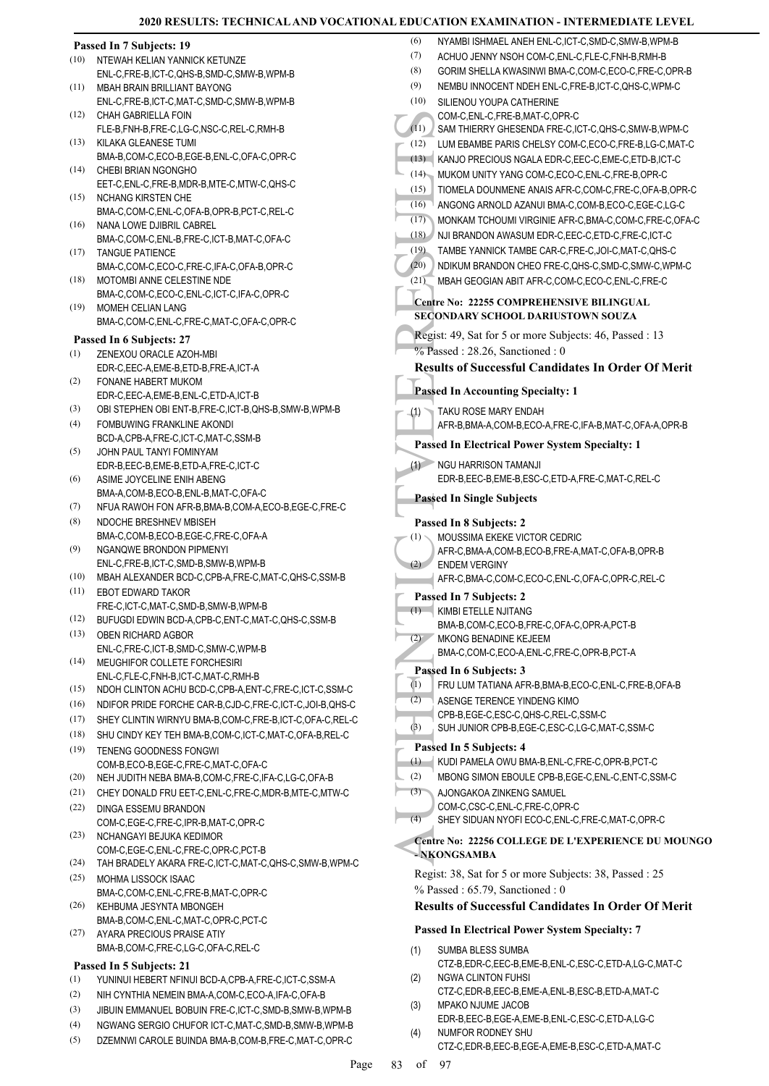|      |                                                                       | (6)<br>NYAMBI ISHMAEL ANEH                             |
|------|-----------------------------------------------------------------------|--------------------------------------------------------|
| (10) | Passed In 7 Subjects: 19<br>NTEWAH KELIAN YANNICK KETUNZE             | (7)<br>ACHUO JENNY NSOH C                              |
|      | ENL-C, FRE-B, ICT-C, QHS-B, SMD-C, SMW-B, WPM-B                       | (8)<br><b>GORIM SHELLA KWASIN</b>                      |
| (11) | <b>MBAH BRAIN BRILLIANT BAYONG</b>                                    | (9)<br>NEMBU INNOCENT NDE                              |
|      | ENL-C,FRE-B,ICT-C,MAT-C,SMD-C,SMW-B,WPM-B                             | (10)<br>SILIENOU YOUPA CATH                            |
| (12) | CHAH GABRIELLA FOIN                                                   | COM-C, ENL-C, FRE-B, MA                                |
|      | FLE-B,FNH-B,FRE-C,LG-C,NSC-C,REL-C,RMH-B                              | (11)<br>SAM THIERRY GHESEN                             |
| (13) | KILAKA GLEANESE TUMI                                                  | (12)<br>LUM EBAMBE PARIS CH                            |
|      | BMA-B,COM-C,ECO-B,EGE-B,ENL-C,OFA-C,OPR-C                             | (13) KANJO PRECIOUS NGA                                |
| (14) | CHEBI BRIAN NGONGHO                                                   | (14) MUKOM UNITY YANG C                                |
|      | EET-C, ENL-C, FRE-B, MDR-B, MTE-C, MTW-C, QHS-C                       | (15)<br>TIOMELA DOUNMENE A                             |
| (15) | <b>NCHANG KIRSTEN CHE</b>                                             | (16)<br>ANGONG ARNOLD AZAI                             |
| (16) | BMA-C,COM-C,ENL-C,OFA-B,OPR-B,PCT-C,REL-C                             | (17)<br><b>MONKAM TCHOUMI VIR</b>                      |
|      | NANA LOWE DJIBRIL CABREL<br>BMA-C,COM-C,ENL-B,FRE-C,ICT-B,MAT-C,OFA-C | (18)<br>NJI BRANDON AWASUM                             |
| (17) | <b>TANGUE PATIENCE</b>                                                | (19)<br>TAMBE YANNICK TAMBI                            |
|      | BMA-C,COM-C,ECO-C,FRE-C,IFA-C,OFA-B,OPR-C                             | (20)<br>NDIKUM BRANDON CHE                             |
| (18) | MOTOMBI ANNE CELESTINE NDE                                            | (21)<br>MBAH GEOGIAN ABIT A                            |
|      | BMA-C,COM-C,ECO-C,ENL-C,ICT-C,IFA-C,OPR-C                             |                                                        |
| (19) | MOMEH CELIAN LANG                                                     | Centre No: 22255 COMPF                                 |
|      | BMA-C,COM-C,ENL-C,FRE-C,MAT-C,OFA-C,OPR-C                             | <b>SECONDARY SCHOOL D</b>                              |
|      | Passed In 6 Subjects: 27                                              | Regist: 49, Sat for 5 or mo                            |
| (1)  | ZENEXOU ORACLE AZOH-MBI                                               | % Passed: 28.26, Sanctio                               |
|      | EDR-C, EEC-A, EME-B, ETD-B, FRE-A, ICT-A                              | <b>Results of Successful O</b>                         |
| (2)  | FONANE HABERT MUKOM                                                   |                                                        |
|      | EDR-C, EEC-A, EME-B, ENL-C, ETD-A, ICT-B                              | <b>Passed In Accounting Sp</b>                         |
| (3)  | OBI STEPHEN OBI ENT-B, FRE-C, ICT-B, QHS-B, SMW-B, WPM-B              | TAKU ROSE MARY END<br>(1)                              |
| (4)  | FOMBUWING FRANKLINE AKONDI                                            | AFR-B, BMA-A, COM-B, EO                                |
|      | BCD-A,CPB-A,FRE-C,ICT-C,MAT-C,SSM-B                                   | <b>Passed In Electrical Pow</b>                        |
| (5)  | JOHN PAUL TANYI FOMINYAM                                              |                                                        |
|      | EDR-B, EEC-B, EME-B, ETD-A, FRE-C, ICT-C                              | (1)<br>NGU HARRISON TAMAN                              |
| (6)  | ASIME JOYCELINE ENIH ABENG                                            | EDR-B, EEC-B, EME-B, ES                                |
| (7)  | BMA-A, COM-B, ECO-B, ENL-B, MAT-C, OFA-C                              | <b>Passed In Single Subject</b>                        |
|      | NFUA RAWOH FON AFR-B, BMA-B, COM-A, ECO-B, EGE-C, FRE-C               |                                                        |
| (8)  | NDOCHE BRESHNEV MBISEH<br>BMA-C,COM-B,ECO-B,EGE-C,FRE-C,OFA-A         | Passed In 8 Subjects: 2                                |
| (9)  | NGANQWE BRONDON PIPMENYI                                              | MOUSSIMA EKEKE VICT<br>(1)                             |
|      | ENL-C, FRE-B, ICT-C, SMD-B, SMW-B, WPM-B                              | AFR-C, BMA-A, COM-B, EO<br>(2)<br><b>ENDEM VERGINY</b> |
| (10) | MBAH ALEXANDER BCD-C,CPB-A,FRE-C,MAT-C,QHS-C,SSM-B                    | AFR-C, BMA-C, COM-C, E                                 |
| (11) | <b>EBOT EDWARD TAKOR</b>                                              |                                                        |
|      | FRE-C,ICT-C,MAT-C,SMD-B,SMW-B,WPM-B                                   | Passed In 7 Subjects: 2                                |
| (12) | BUFUGDI EDWIN BCD-A,CPB-C,ENT-C,MAT-C,QHS-C,SSM-B                     | (1) KIMBI ETELLE NJITANG<br>BMA-B,COM-C,ECO-B,FI       |
| (13) | OBEN RICHARD AGBOR                                                    | (2)<br>MKONG BENADINE KEJ                              |
|      | ENL-C,FRE-C,ICT-B,SMD-C,SMW-C,WPM-B                                   | BMA-C,COM-C,ECO-A,E                                    |
| (14) | MEUGHIFOR COLLETE FORCHESIRI                                          |                                                        |
|      | ENL-C,FLE-C,FNH-B,ICT-C,MAT-C,RMH-B                                   | Passed In 6 Subjects: 3                                |
| (15) | NDOH CLINTON ACHU BCD-C, CPB-A, ENT-C, FRE-C, ICT-C, SSM-C            | (1)<br>FRU LUM TATIANA AFR-<br>(2)                     |
| (16) | NDIFOR PRIDE FORCHE CAR-B,CJD-C,FRE-C,ICT-C,JOI-B,QHS-C               | <b>ASENGE TERENCE YINI</b>                             |
| (17) | SHEY CLINTIN WIRNYU BMA-B,COM-C,FRE-B,ICT-C,OFA-C,REL-C               | CPB-B,EGE-C,ESC-C,QH<br>(3)<br>SUH JUNIOR CPB-B,EGI    |
| (18) | SHU CINDY KEY TEH BMA-B, COM-C, ICT-C, MAT-C, OFA-B, REL-C            |                                                        |
| (19) | TENENG GOODNESS FONGWI                                                | Passed In 5 Subjects: 4                                |
|      | COM-B,ECO-B,EGE-C,FRE-C,MAT-C,OFA-C                                   | (1)<br>KUDI PAMELA OWU BM                              |
| (20) | NEH JUDITH NEBA BMA-B,COM-C,FRE-C,IFA-C,LG-C,OFA-B                    | (2)<br>MBONG SIMON EBOULE                              |
| (21) | CHEY DONALD FRU EET-C, ENL-C, FRE-C, MDR-B, MTE-C, MTW-C              | AJONGAKOA ZINKENG<br>(3)                               |
| (22) | DINGA ESSEMU BRANDON                                                  | COM-C,CSC-C,ENL-C,FF                                   |
|      | COM-C,EGE-C,FRE-C,IPR-B,MAT-C,OPR-C                                   | (4)<br>SHEY SIDUAN NYOFI EQ                            |
| (23) | NCHANGAYI BEJUKA KEDIMOR                                              | Centre No: 22256 COLLE                                 |
|      | COM-C,EGE-C,ENL-C,FRE-C,OPR-C,PCT-B                                   | - NKONGSAMBA                                           |
| (24) | TAH BRADELY AKARA FRE-C, ICT-C, MAT-C, QHS-C, SMW-B, WPM-C            | Regist: 38, Sat for 5 or mo                            |
| (25) | MOHMA LISSOCK ISAAC                                                   | % Passed: 65.79, Sanctio                               |
| (26) | BMA-C,COM-C,ENL-C,FRE-B,MAT-C,OPR-C<br>KEHBUMA JESYNTA MBONGEH        | <b>Results of Successful O</b>                         |
|      | BMA-B,COM-C,ENL-C,MAT-C,OPR-C,PCT-C                                   |                                                        |
| (27) | AYARA PRECIOUS PRAISE ATIY                                            | <b>Passed In Electrical Pow</b>                        |
|      | BMA-B,COM-C,FRE-C,LG-C,OFA-C,REL-C                                    | SUMBA BLESS SUMBA                                      |
|      |                                                                       | (1)<br>CTZ-B,EDR-C,EEC-B,EM                            |
|      | Passed In 5 Subjects: 21                                              | <b>NGWA CLINTON FUHSI</b><br>(2)                       |
| (1)  | YUNINUI HEBERT NFINUI BCD-A,CPB-A,FRE-C,ICT-C,SSM-A                   | CTZ-C,EDR-B,EEC-B,EM                                   |
| (2)  | NIH CYNTHIA NEMEIN BMA-A,COM-C,ECO-A,IFA-C,OFA-B                      | MPAKO NJUME JACOB<br>(3)                               |
| (3)  | JIBUIN EMMANUEL BOBUIN FRE-C,ICT-C,SMD-B,SMW-B,WPM-B                  | EDR-B,EEC-B,EGE-A,EM                                   |
| (4)  | NGWANG SERGIO CHUFOR ICT-C, MAT-C, SMD-B, SMW-B, WPM-B                | (4)<br>NUMFOR RODNEY SHU                               |

(5) DZEMNWI CAROLE BUINDA BMA-B,COM-B,FRE-C,MAT-C,OPR-C

(6) NYAMBI ISLAMBI ISLAMD-C, SMW-B, WPM-B, ISLAM ENL-C, ICT-C, SMD-C, SMW-B, WPM-B, (7) ACHUO JENNY NSOH COM-C,ENL-C,FLE-C,FNH-B,RMH-B (8) GORIM SHELLA KWASINWI BMA-C,COM-C,ECO-C,FRE-C,OPR-B NT NDEH ENL-C,FRE-B,ICT-C,QHS-C,WPM-C A CATHERINE RE-B,MAT-C,OPR-C HESENDA FRE-C,ICT-C,QHS-C,SMW-B,WPM-C (12) ARIS CHELSY COM-C,ECO-C,FRE-B,LG-C,MAT-C JS NGALA EDR-C,EEC-C,EME-C,ETD-B,ICT-C ANG COM-C,ECO-C,ENL-C,FRE-B,OPR-C (15) MENE ANAIS AFR-C,COM-C,FRE-C,OFA-B,OPR-C (16) ANGONG ARNOLD AZANUI BMA-C,COM-B,ECO-C,EGE-C,LG-C UMI VIRGINIE AFR-C,BMA-C,COM-C,FRE-C,OFA-C WASUM EDR-C,EEC-C,ETD-C,FRE-C,ICT-C (19) TAMBE YANNICK TAMBE CAR-C,FRE-C,JOI-C,MAT-C,QHS-C ON CHEO FRE-C,QHS-C,SMD-C,SMW-C,WPM-C ABIT AFR-C,COM-C,ECO-C,ENL-C,FRE-C **COMPREHENSIVE BILINGUAL SOCONDARIUSTOWN SOUZA** 5 or more Subjects: 46, Passed : 13 Sanctioned : 0 **Result Candidates In Order Of Merit Parage Specialty: 1** RY FNDAH  $DM-B, ECO-A, FRE-C, IFA-B, MAT-C,OFA-A,OPR-B$ **Passed In Electrical Power System Specialty: 1** TAMAN.II  $AE-B, ESC-C,ETD-A, FRE-C, MAT-C, REL-C$ **Passed In Single Subjects**  $-$ **ts**: 2 KE VICTOR CEDRIC  $DM-B, ECO-B, FRE-A, MAT-C, OFA-B,OPR-B$ ENDEM VERGINY OM-C,ECO-C,ENL-C,OFA-C,OPR-C,REL-C  $\text{tr} : 2$ JITANG CO-B,FRE-C,OFA-C,OPR-A,PCT-B NF KEJEEM CO-A,ENL-C,FRE-C,OPR-B,PCT-A **Press**:  $3$ (1) AFR-B,BMA-B,ECO-C,ENL-C,FRE-B,OFA-B CE YINDENG KIMO CPB-B,EGE-C,ESC-C,QHS-C,REL-C,SSM-C B-B,EGE-C,ESC-C,LG-C,MAT-C,SSM-C **Prime 1** WU BMA-B,ENL-C,FRE-C,OPR-B,PCT-C EBOULE CPB-B,EGE-C,ENL-C,ENT-C,SSM-C **IKENG SAMUEL** NL-C,FRE-C,OPR-C YOFI ECO-C,ENL-C,FRE-C,MAT-C,OPR-C **COLLEGE DE L'EXPERIENCE DU MOUNGO** 5 or more Subjects: 38, Passed : 25 Sanctioned : 0 **Result Candidates In Order Of Merit al Power System Specialty: 7 SUMBA** C-B,EME-B,ENL-C,ESC-C,ETD-A,LG-C,MAT-C **FUHSI** C-B,EME-A,ENL-B,ESC-B,ETD-A,MAT-C

- JACOB EDR-B,EEC-B,EGE-A,EME-B,ENL-C,ESC-C,ETD-A,LG-C
	- CTZ-C,EDR-B,EEC-B,EGE-A,EME-B,ESC-C,ETD-A,MAT-C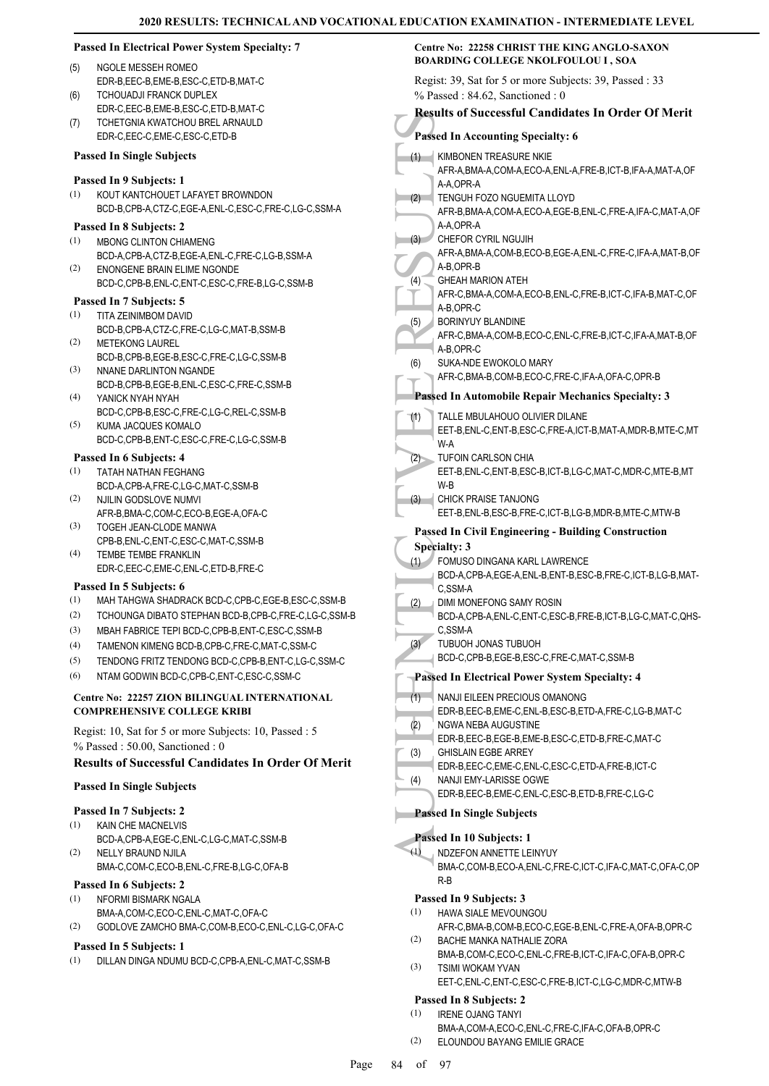#### **Passed In Electrical Power System Specialty: 7**

#### NGOLE MESSEH ROMEO (5)

- EDR-B,EEC-B,EME-B,ESC-C,ETD-B,MAT-C TCHOUADJI FRANCK DUPLEX  $(6)$
- EDR-C,EEC-B,EME-B,ESC-C,ETD-B,MAT-C TCHETGNIA KWATCHOU BREL ARNAULD EDR-C,EEC-C,EME-C,ESC-C,ETD-B (7)

#### **Passed In Single Subjects**

#### **Passed In 9 Subjects: 1**

KOUT KANTCHOUET LAFAYET BROWNDON BCD-B,CPB-A,CTZ-C,EGE-A,ENL-C,ESC-C,FRE-C,LG-C,SSM-A (1)

#### **Passed In 8 Subjects: 2**

- MBONG CLINTON CHIAMENG BCD-A,CPB-A,CTZ-B,EGE-A,ENL-C,FRE-C,LG-B,SSM-A (1)
- ENONGENE BRAIN ELIME NGONDE BCD-C,CPB-B,ENL-C,ENT-C,ESC-C,FRE-B,LG-C,SSM-B (2)

#### **Passed In 7 Subjects: 5**

- TITA ZEINIMBOM DAVID (1)
- BCD-B,CPB-A,CTZ-C,FRE-C,LG-C,MAT-B,SSM-B METEKONG LAUREL (2)
- BCD-B,CPB-B,EGE-B,ESC-C,FRE-C,LG-C,SSM-B NNANE DARLINTON NGANDE (3)
- BCD-B,CPB-B,EGE-B,ENL-C,ESC-C,FRE-C,SSM-B YANICK NYAH NYAH (4)
- BCD-C,CPB-B,ESC-C,FRE-C,LG-C,REL-C,SSM-B KUMA JACQUES KOMALO (5)
- BCD-C,CPB-B,ENT-C,ESC-C,FRE-C,LG-C,SSM-B

#### **Passed In 6 Subjects: 4**

- TATAH NATHAN FEGHANG (1) BCD-A,CPB-A,FRE-C,LG-C,MAT-C,SSM-B
- NJILIN GODSLOVE NUMVI AFR-B,BMA-C,COM-C,ECO-B,EGE-A,OFA-C (2)
- TOGEH JEAN-CLODE MANWA CPB-B,ENL-C,ENT-C,ESC-C,MAT-C,SSM-B (3)
- TEMBE TEMBE FRANKLIN EDR-C,EEC-C,EME-C,ENL-C,ETD-B,FRE-C (4)

#### **Passed In 5 Subjects: 6**

- (1) MAH TAHGWA SHADRACK BCD-C,CPB-C,EGE-B,ESC-C,SSM-B
- (2) TCHOUNGA DIBATO STEPHAN BCD-B,CPB-C,FRE-C,LG-C,SSM-B
- (3) MBAH FABRICE TEPI BCD-C,CPB-B,ENT-C,ESC-C,SSM-B
- (4) TAMENON KIMENG BCD-B,CPB-C,FRE-C,MAT-C,SSM-C
- (5) TENDONG FRITZ TENDONG BCD-C,CPB-B,ENT-C,LG-C,SSM-C
- (6) NTAM GODWIN BCD-C,CPB-C,ENT-C,ESC-C,SSM-C

#### **Centre No: 22257 ZION BILINGUAL INTERNATIONAL COMPREHENSIVE COLLEGE KRIBI**

Regist: 10, Sat for 5 or more Subjects: 10, Passed : 5 % Passed : 50.00, Sanctioned : 0

#### **Results of Successful Candidates In Order Of Merit**

#### **Passed In Single Subjects**

#### **Passed In 7 Subjects: 2**

- KAIN CHE MACNELVIS (1)
- BCD-A,CPB-A,EGE-C,ENL-C,LG-C,MAT-C,SSM-B NELLY BRAUND NJILA (2)
- BMA-C,COM-C,ECO-B,ENL-C,FRE-B,LG-C,OFA-B

#### **Passed In 6 Subjects: 2**

- NFORMI BISMARK NGALA (1)
- BMA-A,COM-C,ECO-C,ENL-C,MAT-C,OFA-C
- (2) GODLOVE ZAMCHO BMA-C,COM-B,ECO-C,ENL-C,LG-C,OFA-C

### **Passed In 5 Subjects: 1**

(1) DILLAN DINGA NDUMU BCD-C,CPB-A,ENL-C,MAT-C,SSM-B

# **Centre No: 22258 CHRIST THE KING ANGLO-SAXON BOARDING COLLEGE NKOLFOULOU I , SOA**

Regist: 39, Sat for 5 or more Subjects: 39, Passed : 33

| $%$ Passed: 84.62, Sanctioned: 0                                                                                                                 |
|--------------------------------------------------------------------------------------------------------------------------------------------------|
| <b>Results of Successful Candidates In Order Of Merit</b>                                                                                        |
| <b>Passed In Accounting Specialty: 6</b>                                                                                                         |
| KIMBONEN TREASURE NKIE<br>(1)<br>AFR-A, BMA-A, COM-A, ECO-A, ENL-A, FRE-B, ICT-B, IFA-A, MAT-A, OF<br>A-A,OPR-A                                  |
| (2)<br>TENGUH FOZO NGUEMITA LLOYD<br>AFR-B, BMA-A, COM-A, ECO-A, EGE-B, ENL-C, FRE-A, IFA-C, MAT-A, OF<br>A-A,OPR-A                              |
| (3)<br>CHEFOR CYRIL NGUJIH<br>AFR-A, BMA-A, COM-B, ECO-B, EGE-A, ENL-C, FRE-C, IFA-A, MAT-B, OF<br>A-B,OPR-B                                     |
| (4)<br><b>GHEAH MARION ATEH</b><br>AFR-C, BMA-A, COM-A, ECO-B, ENL-C, FRE-B, ICT-C, IFA-B, MAT-C, OF                                             |
| A-B,OPR-C<br>(5)<br><b>BORINYUY BLANDINE</b><br>AFR-C, BMA-A, COM-B, ECO-C, ENL-C, FRE-B, ICT-C, IFA-A, MAT-B, OF<br>A-B,OPR-C                   |
| (6)<br>SUKA-NDE EWOKOLO MARY<br>AFR-C, BMA-B, COM-B, ECO-C, FRE-C, IFA-A, OFA-C, OPR-B                                                           |
| <b>Passed In Automobile Repair Mechanics Specialty: 3</b>                                                                                        |
| (1)<br>TALLE MBULAHOUO OLIVIER DILANE                                                                                                            |
| EET-B, ENL-C, ENT-B, ESC-C, FRE-A, ICT-B, MAT-A, MDR-B, MTE-C, MT<br>W-A                                                                         |
| <b>TUFOIN CARLSON CHIA</b><br>(2)<br>EET-B, ENL-C, ENT-B, ESC-B, ICT-B, LG-C, MAT-C, MDR-C, MTE-B, MT<br>W-B                                     |
| CHICK PRAISE TANJONG<br>(3)<br>EET-B, ENL-B, ESC-B, FRE-C, ICT-B, LG-B, MDR-B, MTE-C, MTW-B                                                      |
| <b>Passed In Civil Engineering - Building Construction</b>                                                                                       |
| <b>Specialty: 3</b><br>FOMUSO DINGANA KARL LAWRENCE<br>(1)                                                                                       |
| BCD-A,CPB-A,EGE-A,ENL-B,ENT-B,ESC-B,FRE-C,ICT-B,LG-B,MAT-<br>C,SSM-A                                                                             |
| DIMI MONEFONG SAMY ROSIN<br>(2)<br>BCD-A,CPB-A,ENL-C,ENT-C,ESC-B,FRE-B,ICT-B,LG-C,MAT-C,QHS-<br>C.SSM-A                                          |
| (3)<br>TUBUOH JONAS TUBUOH<br>BCD-C,CPB-B,EGE-B,ESC-C,FRE-C,MAT-C,SSM-B                                                                          |
| <b>Passed In Electrical Power System Specialty: 4</b>                                                                                            |
| (1)<br>NANJI EILEEN PRECIOUS OMANONG<br>EDR-B.EEC-B.EME-C.ENL-B.ESC-B.ETD-A.FRE-C.LG-B.MAT-C<br>NGWA NEBA AUGUSTINE<br>(2)                       |
| EDR-B,EEC-B,EGE-B,EME-B,ESC-C,ETD-B,FRE-C,MAT-C<br><b>GHISLAIN EGBE ARREY</b><br>(3)                                                             |
| EDR-B,EEC-C,EME-C,ENL-C,ESC-C,ETD-A,FRE-B,ICT-C<br>NANJI EMY-LARISSE OGWE<br>(4)<br>EDR-B,EEC-B,EME-C,ENL-C,ESC-B,ETD-B,FRE-C,LG-C               |
| <b>Passed In Single Subjects</b>                                                                                                                 |
| Passed In 10 Subjects: 1                                                                                                                         |
| $\left(1\right)$<br>NDZEFON ANNETTE LEINYUY<br>BMA-C,COM-B,ECO-A,ENL-C,FRE-C,ICT-C,IFA-C,MAT-C,OFA-C,OP<br>R-B                                   |
| Passed In 9 Subjects: 3                                                                                                                          |
| (1)<br>HAWA SIALE MEVOUNGOU<br>AFR-C, BMA-B, COM-B, ECO-C, EGE-B, ENL-C, FRE-A, OFA-B, OPR-C<br>(2)<br>BACHE MANKA NATHALIE ZORA                 |
| BMA-B,COM-C,ECO-C,ENL-C,FRE-B,ICT-C,IFA-C,OFA-B,OPR-C<br>(3)<br>TSIMI WOKAM YVAN<br>EET-C, ENL-C, ENT-C, ESC-C, FRE-B, ICT-C, LG-C, MDR-C, MTW-B |

#### **Passed In 8 Subjects: 2** (1)

IRENE OJANG TANYI BMA-A,COM-A,ECO-C,ENL-C,FRE-C,IFA-C,OFA-B,OPR-C ELOUNDOU BAYANG EMILIE GRACE (2)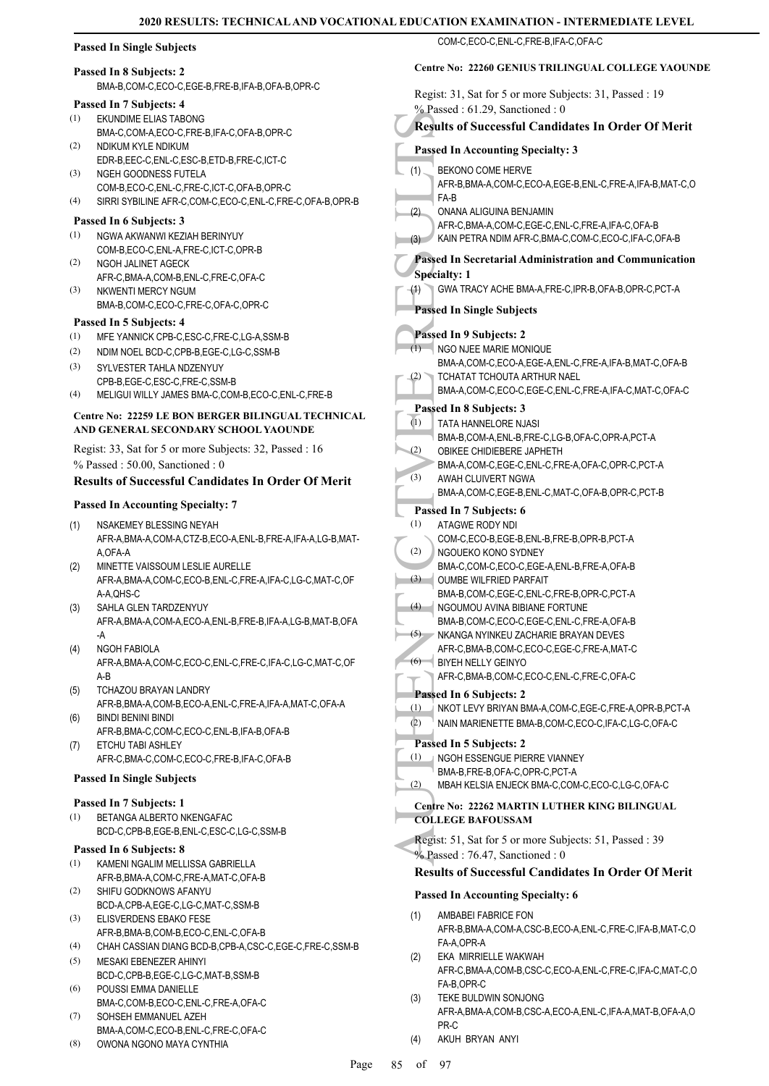#### **Passed In Single Subjects**

#### **Passed In 8 Subjects: 2**

BMA-B,COM-C,ECO-C,EGE-B,FRE-B,IFA-B,OFA-B,OPR-C

#### **Passed In 7 Subjects: 4**

- EKUNDIME ELIAS TABONG BMA-C,COM-A,ECO-C,FRE-B,IFA-C,OFA-B,OPR-C (1)
- NDIKUM KYLE NDIKUM EDR-B,EEC-C,ENL-C,ESC-B,ETD-B,FRE-C,ICT-C (2)
- NGEH GOODNESS FUTELA COM-B,ECO-C,ENL-C,FRE-C,ICT-C,OFA-B,OPR-C (3)
- (4) SIRRI SYBILINE AFR-C,COM-C,ECO-C,ENL-C,FRE-C,OFA-B,OPR-B
- **Passed In 6 Subjects: 3** (1)
- NGWA AKWANWI KEZIAH BERINYUY COM-B,ECO-C,ENL-A,FRE-C,ICT-C,OPR-B (2)
- NGOH JALINET AGECK AFR-C,BMA-A,COM-B,ENL-C,FRE-C,OFA-C NKWENTI MERCY NGUM (3)
- BMA-B,COM-C,ECO-C,FRE-C,OFA-C,OPR-C

#### **Passed In 5 Subjects: 4**

- (1) MFE YANNICK CPB-C,ESC-C,FRE-C,LG-A,SSM-B
- (2) NDIM NOEL BCD-C,CPB-B,EGE-C,LG-C,SSM-B
- SYLVESTER TAHLA NDZENYUY CPB-B,EGE-C,ESC-C,FRE-C,SSM-B (3)
- (4) MELIGUI WILLY JAMES BMA-C,COM-B,ECO-C,ENL-C,FRE-B

#### **Centre No: 22259 LE BON BERGER BILINGUAL TECHNICAL AND GENERAL SECONDARY SCHOOL YAOUNDE**

Regist: 33, Sat for 5 or more Subjects: 32, Passed : 16 % Passed : 50.00, Sanctioned : 0

#### **Results of Successful Candidates In Order Of Merit**

#### **Passed In Accounting Specialty: 7**

- NSAKEMEY BLESSING NEYAH AFR-A,BMA-A,COM-A,CTZ-B,ECO-A,ENL-B,FRE-A,IFA-A,LG-B,MAT-A,OFA-A (1)
- MINETTE VAISSOUM LESLIE AURELLE AFR-A,BMA-A,COM-C,ECO-B,ENL-C,FRE-A,IFA-C,LG-C,MAT-C,OF A-A,QHS-C (2)
- SAHLA GLEN TARDZENYUY AFR-A,BMA-A,COM-A,ECO-A,ENL-B,FRE-B,IFA-A,LG-B,MAT-B,OFA -A (3)
- NGOH FABIOLA AFR-A,BMA-A,COM-C,ECO-C,ENL-C,FRE-C,IFA-C,LG-C,MAT-C,OF A-B (4)
- TCHAZOU BRAYAN LANDRY (5)
- AFR-B,BMA-A,COM-B,ECO-A,ENL-C,FRE-A,IFA-A,MAT-C,OFA-A BINDI BENINI BINDI (6)
- AFR-B,BMA-C,COM-C,ECO-C,ENL-B,IFA-B,OFA-B ETCHU TABI ASHLEY (7)
- AFR-C,BMA-C,COM-C,ECO-C,FRE-B,IFA-C,OFA-B

## **Passed In Single Subjects**

#### **Passed In 7 Subjects: 1**

BETANGA ALBERTO NKENGAFAC BCD-C,CPB-B,EGE-B,ENL-C,ESC-C,LG-C,SSM-B (1)

#### **Passed In 6 Subjects: 8**

- KAMENI NGALIM MELLISSA GABRIELLA AFR-B,BMA-A,COM-C,FRE-A,MAT-C,OFA-B (1)
- SHIFU GODKNOWS AFANYU BCD-A,CPB-A,EGE-C,LG-C,MAT-C,SSM-B (2)
- ELISVERDENS EBAKO FESE (3)
- AFR-B,BMA-B,COM-B,ECO-C,ENL-C,OFA-B (4) CHAH CASSIAN DIANG BCD-B,CPB-A,CSC-C,EGE-C,FRE-C,SSM-B
- MESAKI EBENEZER AHINYI BCD-C,CPB-B,EGE-C,LG-C,MAT-B,SSM-B (5)
- POUSSI EMMA DANIELLE BMA-C,COM-B,ECO-C,ENL-C,FRE-A,OFA-C (6) SOHSEH EMMANUEL AZEH (7)
- BMA-A,COM-C,ECO-B,ENL-C,FRE-C,OFA-C
- OWONA NGONO MAYA CYNTHIA (8)

| COM-C.ECO-C.ENL-C.FRE-B.IFA-C.OFA-C                       |
|-----------------------------------------------------------|
| <b>Centre No: 22260 GENIUS TRILINGUAL COLLEGE YAOUNDE</b> |
| Regist: 31, Sat for 5 or more Subjects: 31, Passed: 19    |

AUTHREE (2)<br>
AFR-B<br>
(1)<br>
BEKON<br>
AFR-B<br>
(1)<br>
AFR-B<br>
(2)<br>
AFR-C,<br>
(3)<br>
AFR-C,<br>
(3)<br>
Passed In S<br>
Specialty:<br>
(1)<br>
Passed In Specialty:<br>
TATA H<br>
MA-A,<br>
TCHAT,<br>
BMA-A,<br>
TCHAT,<br>
BMA-A,<br>
TCHAT,<br>
BMA-A,<br>
TCHAT,<br>
BMA-A,<br>
TCHAT,<br>
B % Passed : 61.29, Sanctioned : 0 **Results of Successful Candidates In Order Of Merit Passed In Accounting Specialty: 3** BEKONO COME HERVE AFR-B,BMA-A,COM-C,ECO-A,EGE-B,ENL-C,FRE-A,IFA-B,MAT-C,O FA-B (1) ONANA ALIGUINA BENJAMIN AFR-C,BMA-A,COM-C,EGE-C,ENL-C,FRE-A,IFA-C,OFA-B (2) KAIN PETRA NDIM AFR-C,BMA-C,COM-C,ECO-C,IFA-C,OFA-B **Passed In Secretarial Administration and Communication Specialty: 1** (1) GWA TRACY ACHE BMA-A,FRE-C,IPR-B,OFA-B,OPR-C,PCT-A **Passed In Single Subjects Passed In 9 Subjects: 2** NGO NJEE MARIE MONIQUE BMA-A,COM-C,ECO-A,EGE-A,ENL-C,FRE-A,IFA-B,MAT-C,OFA-B  $(1)$ TCHATAT TCHOUTA ARTHUR NAEL BMA-A,COM-C,ECO-C,EGE-C,ENL-C,FRE-A,IFA-C,MAT-C,OFA-C (2) **Passed In 8 Subjects: 3** TATA HANNELORE NJASI BMA-B,COM-A,ENL-B,FRE-C,LG-B,OFA-C,OPR-A,PCT-A  $(1)$ OBIKEE CHIDIEBERE JAPHETH BMA-A,COM-C,EGE-C,ENL-C,FRE-A,OFA-C,OPR-C,PCT-A (2) AWAH CLUIVERT NGWA BMA-A,COM-C,EGE-B,ENL-C,MAT-C,OFA-B,OPR-C,PCT-B (3) **Passed In 7 Subjects: 6** ATAGWE RODY NDI COM-C,ECO-B,EGE-B,ENL-B,FRE-B,OPR-B,PCT-A (1) NGOUEKO KONO SYDNEY BMA-C,COM-C,ECO-C,EGE-A,ENL-B,FRE-A,OFA-B (2) OUMBE WILFRIED PARFAIT BMA-B,COM-C,EGE-C,ENL-C,FRE-B,OPR-C,PCT-A  $(3)$ NGOUMOU AVINA BIBIANE FORTUNE BMA-B,COM-C,ECO-C,EGE-C,ENL-C,FRE-A,OFA-B  $(4)$ NKANGA NYINKEU ZACHARIE BRAYAN DEVES AFR-C,BMA-B,COM-C,ECO-C,EGE-C,FRE-A,MAT-C  $(5)$ BIYEH NELLY GEINYO AFR-C,BMA-B,COM-C,ECO-C,ENL-C,FRE-C,OFA-C  $(6)$ **Passed In 6 Subjects: 2** (1) NKOT LEVY BRIYAN BMA-A,COM-C,EGE-C,FRE-A,OPR-B,PCT-A (2) NAIN MARIENETTE BMA-B,COM-C,ECO-C,IFA-C,LG-C,OFA-C **Passed In 5 Subjects: 2** NGOH ESSENGUE PIERRE VIANNEY BMA-B,FRE-B,OFA-C,OPR-C,PCT-A (1) (2) MBAH KELSIA ENJECK BMA-C,COM-C,ECO-C,LG-C,OFA-C **Centre No: 22262 MARTIN LUTHER KING BILINGUAL COLLEGE BAFOUSSAM**  Regist: 51, Sat for 5 or more Subjects: 51, Passed : 39 % Passed : 76.47, Sanctioned : 0 **Results of Successful Candidates In Order Of Merit Passed In Accounting Specialty: 6** AMBABEI FABRICE FON AFR-B,BMA-A,COM-A,CSC-B,ECO-A,ENL-C,FRE-C,IFA-B,MAT-C,O FA-A,OPR-A (1) EKA MIRRIELLE WAKWAH AFR-C,BMA-A,COM-B,CSC-C,ECO-A,ENL-C,FRE-C,IFA-C,MAT-C,O FA-B,OPR-C (2)

- TEKE BULDWIN SONJONG AFR-A,BMA-A,COM-B,CSC-A,ECO-A,ENL-C,IFA-A,MAT-B,OFA-A,O PR-C (3)
- (4) AKUH BRYAN ANYI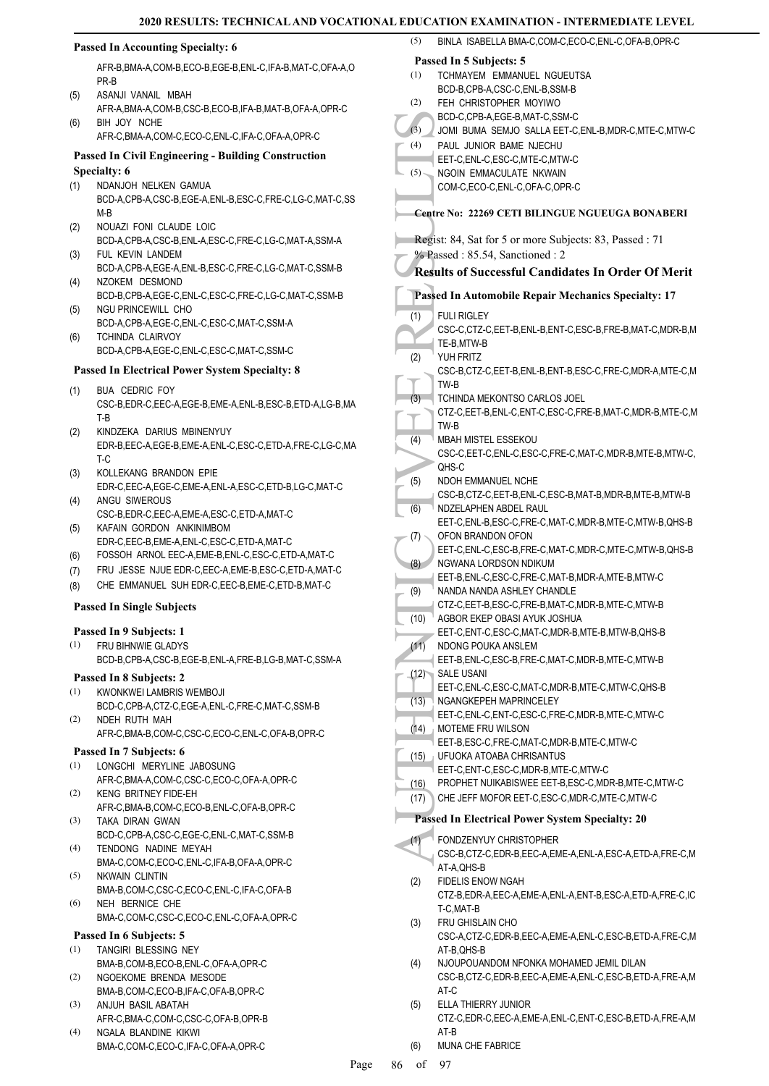|            |                                                                                                                  |         | UN EAAMINATION - INTERMEDIAI                                                           |
|------------|------------------------------------------------------------------------------------------------------------------|---------|----------------------------------------------------------------------------------------|
|            | <b>Passed In Accounting Specialty: 6</b>                                                                         | (5)     | BINLA ISABELLA BMA-C,COM-C,ECO-C,ENL-C,OFA-B,OPR-C                                     |
|            | AFR-B, BMA-A, COM-B, ECO-B, EGE-B, ENL-C, IFA-B, MAT-C, OFA-A, O                                                 |         | Passed In 5 Subjects: 5                                                                |
|            | PR-B                                                                                                             | (1)     | TCHMAYEM EMMANUEL NGUEUTSA                                                             |
| (5)        | ASANJI VANAIL MBAH                                                                                               |         | BCD-B,CPB-A,CSC-C,ENL-B,SSM-B                                                          |
|            | AFR-A, BMA-A, COM-B, CSC-B, ECO-B, IFA-B, MAT-B, OFA-A, OPR-C                                                    | (2)     | FEH CHRISTOPHER MOYIWO<br>BCD-C,CPB-A,EGE-B,MAT-C,SSM-C                                |
| (6)        | BIH JOY NCHE                                                                                                     | (3)     | JOMI BUMA SEMJO SALLA EET-C, ENL-B, MDR-C, MTE-C, MTW-C                                |
|            | AFR-C,BMA-A,COM-C,ECO-C,ENL-C,IFA-C,OFA-A,OPR-C                                                                  | (4)     | PAUL JUNIOR BAME NJECHU                                                                |
|            | <b>Passed In Civil Engineering - Building Construction</b>                                                       |         | EET-C,ENL-C,ESC-C,MTE-C,MTW-C                                                          |
|            | Specialty: 6                                                                                                     | $(5)$ – | NGOIN EMMACULATE NKWAIN                                                                |
| (1)        | NDANJOH NELKEN GAMUA                                                                                             |         | COM-C,ECO-C,ENL-C,OFA-C,OPR-C                                                          |
|            | BCD-A,CPB-A,CSC-B,EGE-A,ENL-B,ESC-C,FRE-C,LG-C,MAT-C,SS                                                          |         |                                                                                        |
|            | $M-B$                                                                                                            |         | Centre No: 22269 CETI BILINGUE NGUEUGA BONABERI                                        |
| (2)        | NOUAZI FONI CLAUDE LOIC<br>BCD-A,CPB-A,CSC-B,ENL-A,ESC-C,FRE-C,LG-C,MAT-A,SSM-A                                  |         | Regist: 84, Sat for 5 or more Subjects: 83, Passed : 71                                |
| (3)        | FUL KEVIN LANDEM                                                                                                 |         | % Passed: 85.54, Sanctioned: 2                                                         |
|            | BCD-A,CPB-A,EGE-A,ENL-B,ESC-C,FRE-C,LG-C,MAT-C,SSM-B                                                             |         | <b>Results of Successful Candidates In Order Of Merit</b>                              |
| (4)        | NZOKEM DESMOND                                                                                                   |         |                                                                                        |
|            | BCD-B,CPB-A,EGE-C,ENL-C,ESC-C,FRE-C,LG-C,MAT-C,SSM-B                                                             |         | Passed In Automobile Repair Mechanics Specialty: 17                                    |
| (5)        | NGU PRINCEWILL CHO                                                                                               | (1)     | <b>FULI RIGLEY</b>                                                                     |
|            | BCD-A,CPB-A,EGE-C,ENL-C,ESC-C,MAT-C,SSM-A                                                                        |         | CSC-C,CTZ-C,EET-B,ENL-B,ENT-C,ESC-B,FRE-B,MAT-C,MDR-B,M                                |
| (6)        | <b>TCHINDA CLAIRVOY</b><br>BCD-A,CPB-A,EGE-C,ENL-C,ESC-C,MAT-C,SSM-C                                             |         | TE-B, MTW-B                                                                            |
|            |                                                                                                                  | (2)     | YUH FRITZ                                                                              |
|            | <b>Passed In Electrical Power System Specialty: 8</b>                                                            |         | CSC-B,CTZ-C,EET-B,ENL-B,ENT-B,ESC-C,FRE-C,MDR-A,MTE-C,M                                |
| (1)        | <b>BUA CEDRIC FOY</b>                                                                                            | (3)     | TW-B<br>TCHINDA MEKONTSO CARLOS JOEL                                                   |
|            | CSC-B,EDR-C,EEC-A,EGE-B,EME-A,ENL-B,ESC-B,ETD-A,LG-B,MA                                                          |         | CTZ-C, EET-B, ENL-C, ENT-C, ESC-C, FRE-B, MAT-C, MDR-B, MTE-C, M                       |
|            | T-B                                                                                                              |         | TW-B                                                                                   |
| (2)        | KINDZEKA DARIUS MBINENYUY                                                                                        | (4)     | MBAH MISTEL ESSEKOU                                                                    |
|            | EDR-B,EEC-A,EGE-B,EME-A,ENL-C,ESC-C,ETD-A,FRE-C,LG-C,MA<br>T-C                                                   |         | CSC-C, EET-C, ENL-C, ESC-C, FRE-C, MAT-C, MDR-B, MTE-B, MTW-C,                         |
| (3)        | KOLLEKANG BRANDON EPIE                                                                                           |         | QHS-C                                                                                  |
|            | EDR-C,EEC-A,EGE-C,EME-A,ENL-A,ESC-C,ETD-B,LG-C,MAT-C                                                             | (5)     | NDOH EMMANUEL NCHE                                                                     |
| (4)        | ANGU SIWEROUS                                                                                                    |         | CSC-B,CTZ-C,EET-B,ENL-C,ESC-B,MAT-B,MDR-B,MTE-B,MTW-B                                  |
|            | CSC-B,EDR-C,EEC-A,EME-A,ESC-C,ETD-A,MAT-C                                                                        | (6)     | NDZELAPHEN ABDEL RAUL<br>EET-C, ENL-B, ESC-C, FRE-C, MAT-C, MDR-B, MTE-C, MTW-B, QHS-B |
| (5)        | KAFAIN GORDON ANKINIMBOM                                                                                         | (7)     | OFON BRANDON OFON                                                                      |
|            | EDR-C,EEC-B,EME-A,ENL-C,ESC-C,ETD-A,MAT-C                                                                        |         | EET-C, ENL-C, ESC-B, FRE-C, MAT-C, MDR-C, MTE-C, MTW-B, QHS-B                          |
| (6)        | FOSSOH ARNOL EEC-A, EME-B, ENL-C, ESC-C, ETD-A, MAT-C<br>FRU JESSE NJUE EDR-C, EEC-A, EME-B, ESC-C, ETD-A, MAT-C | (8)     | NGWANA LORDSON NDIKUM                                                                  |
| (7)<br>(8) | CHE EMMANUEL SUH EDR-C, EEC-B, EME-C, ETD-B, MAT-C                                                               |         | EET-B, ENL-C, ESC-C, FRE-C, MAT-B, MDR-A, MTE-B, MTW-C                                 |
|            |                                                                                                                  | (9)     | NANDA NANDA ASHLEY CHANDLE                                                             |
|            | <b>Passed In Single Subjects</b>                                                                                 | (10)    | CTZ-C, EET-B, ESC-C, FRE-B, MAT-C, MDR-B, MTE-C, MTW-B<br>AGBOR EKEP OBASI AYUK JOSHUA |
|            | Passed In 9 Subjects: 1                                                                                          |         | EET-C, ENT-C, ESC-C, MAT-C, MDR-B, MTE-B, MTW-B, QHS-B                                 |
| (1)        | FRU BIHNWIE GLADYS                                                                                               | (11)    | NDONG POUKA ANSLEM                                                                     |
|            | BCD-B,CPB-A,CSC-B,EGE-B,ENL-A,FRE-B,LG-B,MAT-C,SSM-A                                                             |         | EET-B,ENL-C,ESC-B,FRE-C,MAT-C,MDR-B,MTE-C,MTW-B                                        |
|            | Passed In 8 Subjects: 2                                                                                          |         | (12) SALE USANI                                                                        |
| (1)        | KWONKWEI LAMBRIS WEMBOJI                                                                                         |         | EET-C, ENL-C, ESC-C, MAT-C, MDR-B, MTE-C, MTW-C, QHS-B                                 |
|            | BCD-C,CPB-A,CTZ-C,EGE-A,ENL-C,FRE-C,MAT-C,SSM-B                                                                  | (13)    | NGANGKEPEH MAPRINCELEY                                                                 |
| (2)        | NDEH RUTH MAH                                                                                                    | (14)    | EET-C, ENL-C, ENT-C, ESC-C, FRE-C, MDR-B, MTE-C, MTW-C<br><b>MOTEME FRU WILSON</b>     |
|            | AFR-C,BMA-B,COM-C,CSC-C,ECO-C,ENL-C,OFA-B,OPR-C                                                                  |         | EET-B,ESC-C,FRE-C,MAT-C,MDR-B,MTE-C,MTW-C                                              |
|            | Passed In 7 Subjects: 6                                                                                          | (15)    | UFUOKA ATOABA CHRISANTUS                                                               |
| (1)        | LONGCHI MERYLINE JABOSUNG                                                                                        |         | EET-C, ENT-C, ESC-C, MDR-B, MTE-C, MTW-C                                               |
|            | AFR-C,BMA-A,COM-C,CSC-C,ECO-C,OFA-A,OPR-C                                                                        | (16)    | PROPHET NUIKABISWEE EET-B,ESC-C,MDR-B,MTE-C,MTW-C                                      |
| (2)        | KENG BRITNEY FIDE-EH<br>AFR-C, BMA-B, COM-C, ECO-B, ENL-C, OFA-B, OPR-C                                          | (17)    | CHE JEFF MOFOR EET-C, ESC-C, MDR-C, MTE-C, MTW-C                                       |
| (3)        | TAKA DIRAN GWAN                                                                                                  |         | <b>Passed In Electrical Power System Specialty: 20</b>                                 |
|            | BCD-C,CPB-A,CSC-C,EGE-C,ENL-C,MAT-C,SSM-B                                                                        | (1)     | FONDZENYUY CHRISTOPHER                                                                 |
| (4)        | TENDONG NADINE MEYAH                                                                                             |         | CSC-B,CTZ-C,EDR-B,EEC-A,EME-A,ENL-A,ESC-A,ETD-A,FRE-C,M                                |
|            | BMA-C,COM-C,ECO-C,ENL-C,IFA-B,OFA-A,OPR-C                                                                        |         | AT-A, QHS-B                                                                            |
| (5)        | NKWAIN CLINTIN                                                                                                   | (2)     | FIDELIS ENOW NGAH                                                                      |
|            | BMA-B,COM-C,CSC-C,ECO-C,ENL-C,IFA-C,OFA-B                                                                        |         | CTZ-B,EDR-A,EEC-A,EME-A,ENL-A,ENT-B,ESC-A,ETD-A,FRE-C,IC                               |
| (6)        | NEH BERNICE CHE<br>BMA-C,COM-C,CSC-C,ECO-C,ENL-C,OFA-A,OPR-C                                                     |         | T-C,MAT-B                                                                              |
|            |                                                                                                                  | (3)     | FRU GHISLAIN CHO                                                                       |
|            | Passed In 6 Subjects: 5                                                                                          |         | CSC-A,CTZ-C,EDR-B,EEC-A,EME-A,ENL-C,ESC-B,ETD-A,FRE-C,M                                |
| (1)        | TANGIRI BLESSING NEY<br>BMA-B,COM-B,ECO-B,ENL-C,OFA-A,OPR-C                                                      | (4)     | AT-B, QHS-B<br>NJOUPOUANDOM NFONKA MOHAMED JEMIL DILAN                                 |
| (2)        | NGOEKOME BRENDA MESODE                                                                                           |         | CSC-B,CTZ-C,EDR-B,EEC-A,EME-A,ENL-C,ESC-B,ETD-A,FRE-A,M                                |
|            | BMA-B,COM-C,ECO-B,IFA-C,OFA-B,OPR-C                                                                              |         | AT-C                                                                                   |
| (3)        | ANJUH BASIL ABATAH                                                                                               | (5)     | ELLA THIERRY JUNIOR                                                                    |
|            | AFR-C.BMA-C.COM-C.CSC-C.OFA-B.OPR-B                                                                              |         | CTZ-C,EDR-C,EEC-A,EME-A,ENL-C,ENT-C,ESC-B,ETD-A,FRE-A,M                                |
| (4)        | NGALA BLANDINE KIKWI                                                                                             |         | AT-B                                                                                   |
|            | BMA-C,COM-C,ECO-C,IFA-C,OFA-A,OPR-C                                                                              | (6)     | MUNA CHE FABRICE                                                                       |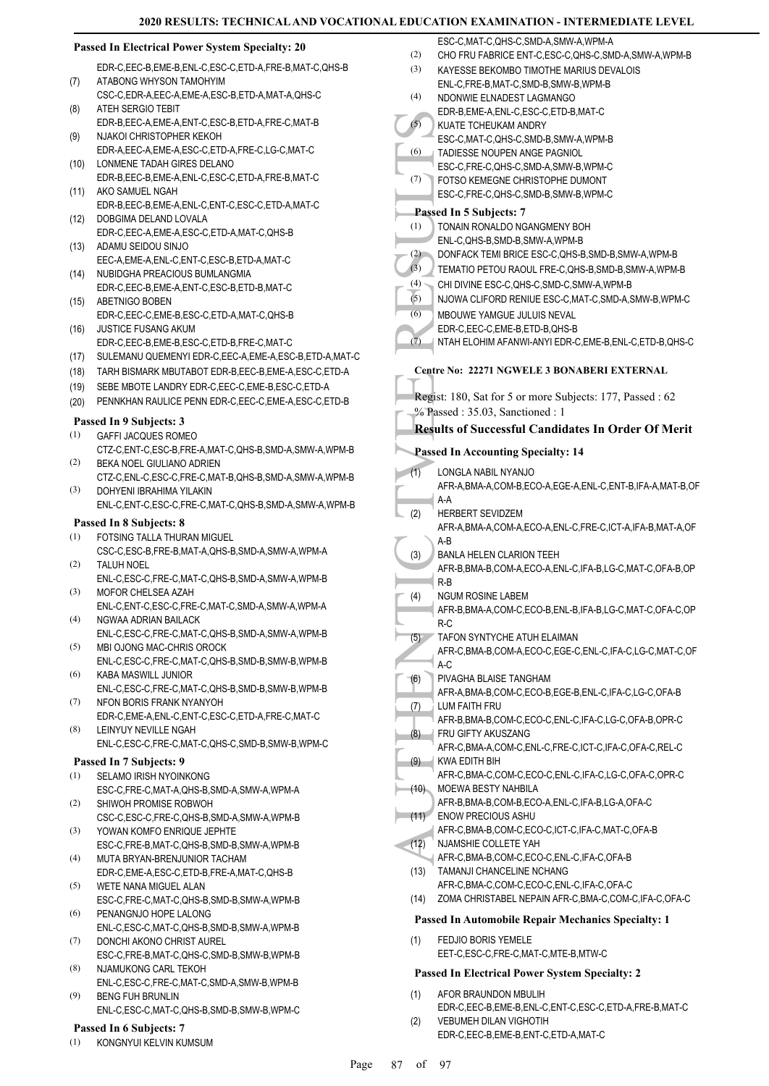#### **Passed In Electrical Power System Specialty: 20**

EDR-C,EEC-B,EME-B,ENL-C,ESC-C,ETD-A,FRE-B,MAT-C,QHS-B ATABONG WHYSON TAMOHYIM (7)

- CSC-C,EDR-A,EEC-A,EME-A,ESC-B,ETD-A,MAT-A,QHS-C ATEH SERGIO TEBIT (8)
- EDR-B,EEC-A,EME-A,ENT-C,ESC-B,ETD-A,FRE-C,MAT-B NJAKOI CHRISTOPHER KEKOH (9)
- EDR-A,EEC-A,EME-A,ESC-C,ETD-A,FRE-C,LG-C,MAT-C LONMENE TADAH GIRES DELANO (10)
- EDR-B,EEC-B,EME-A,ENL-C,ESC-C,ETD-A,FRE-B,MAT-C AKO SAMUEL NGAH (11)
- EDR-B,EEC-B,EME-A,ENL-C,ENT-C,ESC-C,ETD-A,MAT-C DOBGIMA DELAND LOVALA (12)
- EDR-C,EEC-A,EME-A,ESC-C,ETD-A,MAT-C,QHS-B ADAMU SEIDOU SINJO (13)
- EEC-A,EME-A,ENL-C,ENT-C,ESC-B,ETD-A,MAT-C NUBIDGHA PREACIOUS BUMLANGMIA  $(14)$
- EDR-C,EEC-B,EME-A,ENT-C,ESC-B,ETD-B,MAT-C ABETNIGO BOBEN (15)
- EDR-C,EEC-C,EME-B,ESC-C,ETD-A,MAT-C,QHS-B JUSTICE FUSANG AKUM (16)
- EDR-C,EEC-B,EME-B,ESC-C,ETD-B,FRE-C,MAT-C
- (17) SULEMANU QUEMENYI EDR-C,EEC-A,EME-A,ESC-B,ETD-A,MAT-C
- (18) TARH BISMARK MBUTABOT EDR-B,EEC-B,EME-A,ESC-C,ETD-A
- (19) SEBE MBOTE LANDRY EDR-C,EEC-C,EME-B,ESC-C,ETD-A
- (20) PENNKHAN RAULICE PENN EDR-C,EEC-C,EME-A,ESC-C,ETD-B

#### **Passed In 9 Subjects: 3**

- GAFFI JACQUES ROMEO CTZ-C,ENT-C,ESC-B,FRE-A,MAT-C,QHS-B,SMD-A,SMW-A,WPM-B (1)
- BEKA NOEL GIULIANO ADRIEN CTZ-C,ENL-C,ESC-C,FRE-C,MAT-B,QHS-B,SMD-A,SMW-A,WPM-B (2) DOHYENI IBRAHIMA YILAKIN (3)
- ENL-C,ENT-C,ESC-C,FRE-C,MAT-C,QHS-B,SMD-A,SMW-A,WPM-B

#### **Passed In 8 Subjects: 8**

- FOTSING TALLA THURAN MIGUEL CSC-C,ESC-B,FRE-B,MAT-A,QHS-B,SMD-A,SMW-A,WPM-A (1)
- TALUH NOEL ENL-C,ESC-C,FRE-C,MAT-C,QHS-B,SMD-A,SMW-A,WPM-B (2)
- MOFOR CHELSEA AZAH ENL-C,ENT-C,ESC-C,FRE-C,MAT-C,SMD-A,SMW-A,WPM-A (3)
- NGWAA ADRIAN BAILACK ENL-C,ESC-C,FRE-C,MAT-C,QHS-B,SMD-A,SMW-A,WPM-B (4)
- MBI OJONG MAC-CHRIS OROCK ENL-C,ESC-C,FRE-C,MAT-C,QHS-B,SMD-B,SMW-B,WPM-B (5)
- KABA MASWILL JUNIOR ENL-C,ESC-C,FRE-C,MAT-C,QHS-B,SMD-B,SMW-B,WPM-B (6)
- NFON BORIS FRANK NYANYOH EDR-C,EME-A,ENL-C,ENT-C,ESC-C,ETD-A,FRE-C,MAT-C (7)
- LEINYUY NEVILLE NGAH (8)
- ENL-C,ESC-C,FRE-C,MAT-C,QHS-C,SMD-B,SMW-B,WPM-C

#### **Passed In 7 Subjects: 9** SELAMO IRISH NYOINKONG (1)

- ESC-C,FRE-C,MAT-A,QHS-B,SMD-A,SMW-A,WPM-A SHIWOH PROMISE ROBWOH (2)
- CSC-C,ESC-C,FRE-C,QHS-B,SMD-A,SMW-A,WPM-B YOWAN KOMFO ENRIQUE JEPHTE (3)
- ESC-C,FRE-B,MAT-C,QHS-B,SMD-B,SMW-A,WPM-B MUTA BRYAN-BRENJUNIOR TACHAM (4)
- EDR-C,EME-A,ESC-C,ETD-B,FRE-A,MAT-C,QHS-B
- WETE NANA MIGUEL ALAN ESC-C,FRE-C,MAT-C,QHS-B,SMD-B,SMW-A,WPM-B (5)
- PENANGNJO HOPE LALONG ENL-C,ESC-C,MAT-C,QHS-B,SMD-B,SMW-A,WPM-B (6)
- DONCHI AKONO CHRIST AUREL ESC-C,FRE-B,MAT-C,QHS-C,SMD-B,SMW-B,WPM-B (7)
- NJAMUKONG CARL TEKOH (8)
- ENL-C,ESC-C,FRE-C,MAT-C,SMD-A,SMW-B,WPM-B BENG FUH BRUNLIN (9)
	- ENL-C,ESC-C,MAT-C,QHS-B,SMD-B,SMW-B,WPM-C

#### **Passed In 6 Subjects: 7**

(1) KONGNYUI KELVIN KUMSUM

- ESC-C,MAT-C,QHS-C,SMD-A,SMW-A,WPM-A
- (2) CHO FRU FABRICE ENT-C,ESC-C,QHS-C,SMD-A,SMW-A,WPM-B
- KAYESSE BEKOMBO TIMOTHE MARIUS DEVALOIS ENL-C,FRE-B,MAT-C,SMD-B,SMW-B,WPM-B (3)
- NDONWIE ELNADEST LAGMANGO EDR-B,EME-A,ENL-C,ESC-C,ETD-B,MAT-C (4)
- KUATE TCHEUKAM ANDRY (5)
- ESC-C,MAT-C,QHS-C,SMD-B,SMW-A,WPM-B TADIESSE NOUPEN ANGE PAGNIOL (6)
	- ESC-C,FRE-C,QHS-C,SMD-A,SMW-B,WPM-C
	- FOTSO KEMEGNE CHRISTOPHE DUMONT (7)
	- ESC-C,FRE-C,QHS-C,SMD-B,SMW-B,WPM-C

#### **Passed In 5 Subjects: 7**

- TONAIN RONALDO NGANGMENY BOH (1)
- ENL-C,QHS-B,SMD-B,SMW-A,WPM-B
- (2) DONFACK TEMI BRICE ESC-C,QHS-B,SMD-B,SMW-A,WPM-B
- (3) TEMATIO PETOU RAOUL FRE-C,QHS-B,SMD-B,SMW-A,WPM-B
- (4) CHI DIVINE ESC-C,QHS-C,SMD-C,SMW-A,WPM-B
- (5) NJOWA CLIFORD RENIUE ESC-C,MAT-C,SMD-A,SMW-B,WPM-C
- MBOUWE YAMGUE JULUIS NEVAL (6)
- EDR-C,EEC-C,EME-B,ETD-B,QHS-B
- (7) NTAH ELOHIM AFANWI-ANYI EDR-C,EME-B,ENL-C,ETD-B,QHS-C

### **Centre No: 22271 NGWELE 3 BONABERI EXTERNAL**

Regist: 180, Sat for 5 or more Subjects: 177, Passed : 62 % Passed : 35.03, Sanctioned : 1

### **Results of Successful Candidates In Order Of Merit**

### **Passed In Accounting Specialty: 14**

- LONGLA NABIL NYANJO  $(1)$
- AFR-A,BMA-A,COM-B,ECO-A,EGE-A,ENL-C,ENT-B,IFA-A,MAT-B,OF A-A
- HERBERT SEVIDZEM (2)
	- AFR-A,BMA-A,COM-A,ECO-A,ENL-C,FRE-C,ICT-A,IFA-B,MAT-A,OF A-B
- BANLA HELEN CLARION TEEH (3)
- AFR-B,BMA-B,COM-A,ECO-A,ENL-C,IFA-B,LG-C,MAT-C,OFA-B,OP R-B
- NGUM ROSINE LABEM (4)
- AFR-B,BMA-A,COM-C,ECO-B,ENL-B,IFA-B,LG-C,MAT-C,OFA-C,OP R-C
- (6) EDR-B,<br>
(6) EDR-B,<br>
(6) ESC-C,<br>
TADIES<br>
ESC-C,<br>
Passed In 1<br>
TONAIN ENL-C,<br>
(7) ENR-C,<br>
DONFA<br>
TEMAT CHI DIN<br>
(6) DONFA<br>
TEMAT CHI DIN<br>
(6) MIGOUV<br>
(6) MIGOUV<br>
EDR-C,<br>
NIGN MERC,<br>
(7) MIGOUV<br>
EDR-C,<br>
NIGN MERC,<br>
AFR-A, TAFON SYNTYCHE ATUH ELAIMAN AFR-C,BMA-B,COM-A,ECO-C,EGE-C,ENL-C,IFA-C,LG-C,MAT-C,OF  $(5)$
- $A-C$
- PIVAGHA BLAISE TANGHAM AFR-A,BMA-B,COM-C,ECO-B,EGE-B,ENL-C,IFA-C,LG-C,OFA-B (6)
- LUM FAITH FRU (7)
- AFR-B,BMA-B,COM-C,ECO-C,ENL-C,IFA-C,LG-C,OFA-B,OPR-C FRU GIFTY AKUSZANG (8)
- AFR-C,BMA-A,COM-C,ENL-C,FRE-C,ICT-C,IFA-C,OFA-C,REL-C KWA EDITH BIH (9)
- AFR-C,BMA-C,COM-C,ECO-C,ENL-C,IFA-C,LG-C,OFA-C,OPR-C MOEWA BESTY NAHBILA  $(10)$
- AFR-B,BMA-B,COM-B,ECO-A,ENL-C,IFA-B,LG-A,OFA-C ENOW PRECIOUS ASHU  $(11)$
- AFR-C,BMA-B,COM-C,ECO-C,ICT-C,IFA-C,MAT-C,OFA-B
- NJAMSHIE COLLETE YAH  $(12)$
- AFR-C,BMA-B,COM-C,ECO-C,ENL-C,IFA-C,OFA-B TAMANJI CHANCELINE NCHANG (13)
- AFR-C,BMA-C,COM-C,ECO-C,ENL-C,IFA-C,OFA-C (14) ZOMA CHRISTABEL NEPAIN AFR-C,BMA-C,COM-C,IFA-C,OFA-C

#### **Passed In Automobile Repair Mechanics Specialty: 1**

FEDJIO BORIS YEMELE EET-C,ESC-C,FRE-C,MAT-C,MTE-B,MTW-C (1)

#### **Passed In Electrical Power System Specialty: 2**

- AFOR BRAUNDON MBULIH EDR-C,EEC-B,EME-B,ENL-C,ENT-C,ESC-C,ETD-A,FRE-B,MAT-C (1) VEBUMEH DILAN VIGHOTIH (2)
- EDR-C,EEC-B,EME-B,ENT-C,ETD-A,MAT-C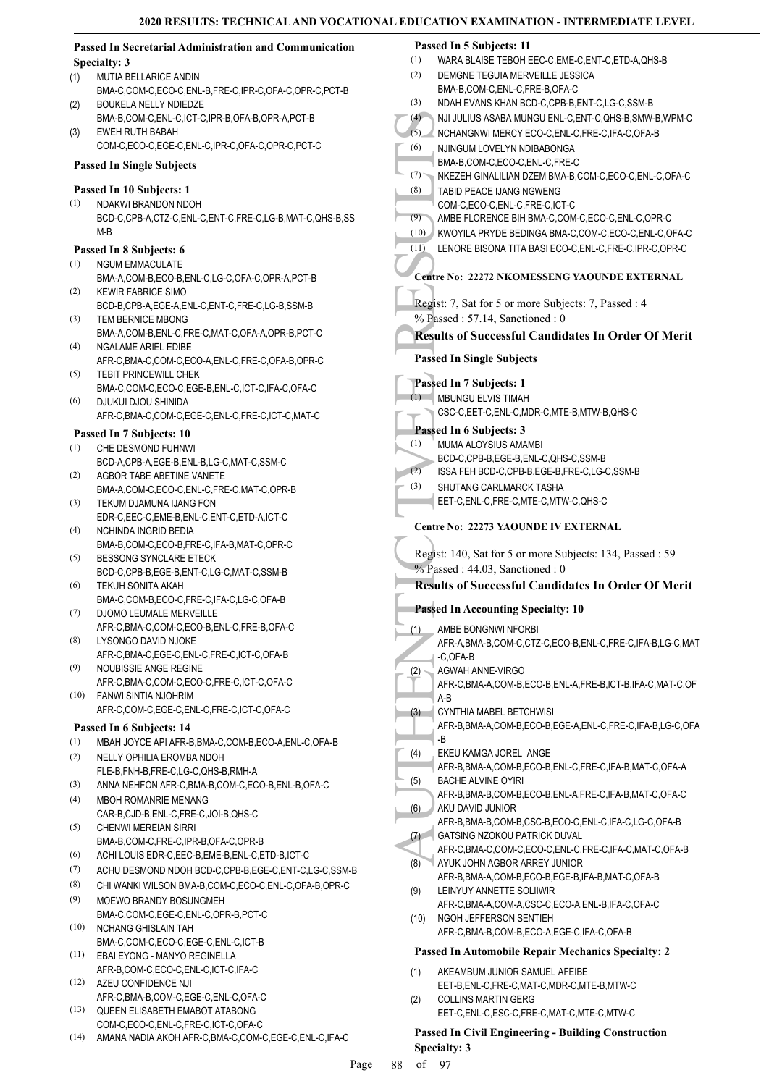|      | <b>Passed In Secretarial Administration and Communication</b>             |                    | Passed In 5 Subjects: 11                                                                     |
|------|---------------------------------------------------------------------------|--------------------|----------------------------------------------------------------------------------------------|
|      | Specialty: 3                                                              | (1)                | WARA BLAISE TEBOH EEC-C, EME-C, ENT-C, ETD-A, QHS-B                                          |
| (1)  | MUTIA BELLARICE ANDIN                                                     | (2)                | DEMGNE TEGUIA MERVEILLE JESSICA                                                              |
|      | BMA-C,COM-C,ECO-C,ENL-B,FRE-C,IPR-C,OFA-C,OPR-C,PCT-B                     |                    | BMA-B,COM-C,ENL-C,FRE-B,OFA-C                                                                |
| (2)  | BOUKELA NELLY NDIEDZE                                                     | (3)                | NDAH EVANS KHAN BCD-C,CPB-B,ENT-C,LG-C,SSM-B                                                 |
| (3)  | BMA-B,COM-C,ENL-C,ICT-C,IPR-B,OFA-B,OPR-A,PCT-B<br><b>EWEH RUTH BABAH</b> | (4)                | NJI JULIUS ASABA MUNGU ENL-C, ENT-C, QHS-B, SMW-B, WPM-C                                     |
|      | COM-C,ECO-C,EGE-C,ENL-C,IPR-C,OFA-C,OPR-C,PCT-C                           | (5)                | NCHANGNWI MERCY ECO-C,ENL-C,FRE-C,IFA-C,OFA-B                                                |
|      |                                                                           | (6)                | NJINGUM LOVELYN NDIBABONGA<br>BMA-B,COM-C,ECO-C,ENL-C,FRE-C                                  |
|      | <b>Passed In Single Subjects</b>                                          | $(7)$ <sup>-</sup> | NKEZEH GINALILIAN DZEM BMA-B,COM-C,ECO-C,ENL-C,OFA-C                                         |
|      | Passed In 10 Subjects: 1                                                  | (8)                | TABID PEACE IJANG NGWENG                                                                     |
| (1)  | NDAKWI BRANDON NDOH                                                       |                    | COM-C,ECO-C,ENL-C,FRE-C,ICT-C                                                                |
|      | BCD-C,CPB-A,CTZ-C,ENL-C,ENT-C,FRE-C,LG-B,MAT-C,QHS-B,SS                   | (9)                | AMBE FLORENCE BIH BMA-C,COM-C,ECO-C,ENL-C,OPR-C                                              |
|      | M-B                                                                       | (10)               | KWOYILA PRYDE BEDINGA BMA-C,COM-C,ECO-C,ENL-C,OFA-C                                          |
|      | Passed In 8 Subjects: 6                                                   | (11)               | LENORE BISONA TITA BASI ECO-C, ENL-C, FRE-C, IPR-C, OPR-C                                    |
| (1)  | <b>NGUM EMMACULATE</b>                                                    |                    |                                                                                              |
|      | BMA-A,COM-B,ECO-B,ENL-C,LG-C,OFA-C,OPR-A,PCT-B                            |                    | Centre No: 22272 NKOMESSENG YAOUNDE EXTERNAL                                                 |
| (2)  | <b>KEWIR FABRICE SIMO</b>                                                 |                    | Regist: 7, Sat for 5 or more Subjects: 7, Passed: 4                                          |
| (3)  | BCD-B,CPB-A,EGE-A,ENL-C,ENT-C,FRE-C,LG-B,SSM-B                            |                    | % Passed: 57.14, Sanctioned: 0                                                               |
|      | TEM BERNICE MBONG<br>BMA-A,COM-B,ENL-C,FRE-C,MAT-C,OFA-A,OPR-B,PCT-C      |                    |                                                                                              |
| (4)  | <b>NGALAME ARIEL EDIBE</b>                                                |                    | <b>Results of Successful Candidates In Order Of Merit</b>                                    |
|      | AFR-C,BMA-C,COM-C,ECO-A,ENL-C,FRE-C,OFA-B,OPR-C                           |                    | <b>Passed In Single Subjects</b>                                                             |
| (5)  | <b>TEBIT PRINCEWILL CHEK</b>                                              |                    |                                                                                              |
|      | BMA-C,COM-C,ECO-C,EGE-B,ENL-C,ICT-C,IFA-C,OFA-C                           |                    | Passed In 7 Subjects: 1                                                                      |
| (6)  | DJUKUI DJOU SHINIDA                                                       | (1)                | MBUNGU ELVIS TIMAH                                                                           |
|      | AFR-C,BMA-C,COM-C,EGE-C,ENL-C,FRE-C,ICT-C,MAT-C                           |                    | CSC-C,EET-C,ENL-C,MDR-C,MTE-B,MTW-B,QHS-C                                                    |
|      | Passed In 7 Subjects: 10                                                  |                    | Passed In 6 Subjects: 3                                                                      |
| (1)  | CHE DESMOND FUHNWI                                                        | (1)                | MUMA ALOYSIUS AMAMBI                                                                         |
|      | BCD-A,CPB-A,EGE-B,ENL-B,LG-C,MAT-C,SSM-C                                  |                    | BCD-C,CPB-B,EGE-B,ENL-C,QHS-C,SSM-B                                                          |
| (2)  | AGBOR TABE ABETINE VANETE                                                 | (2)                | ISSA FEH BCD-C,CPB-B,EGE-B,FRE-C,LG-C,SSM-B                                                  |
|      | BMA-A,COM-C,ECO-C,ENL-C,FRE-C,MAT-C,OPR-B                                 | (3)                | SHUTANG CARLMARCK TASHA                                                                      |
| (3)  | TEKUM DJAMUNA IJANG FON                                                   |                    | EET-C,ENL-C,FRE-C,MTE-C,MTW-C,QHS-C                                                          |
|      | EDR-C,EEC-C,EME-B,ENL-C,ENT-C,ETD-A,ICT-C                                 |                    | Centre No: 22273 YAOUNDE IV EXTERNAL                                                         |
| (4)  | NCHINDA INGRID BEDIA<br>BMA-B,COM-C,ECO-B,FRE-C,IFA-B,MAT-C,OPR-C         |                    |                                                                                              |
| (5)  | <b>BESSONG SYNCLARE ETECK</b>                                             |                    | Regist: 140, Sat for 5 or more Subjects: 134, Passed: 59                                     |
|      | BCD-C,CPB-B,EGE-B,ENT-C,LG-C,MAT-C,SSM-B                                  |                    | $%$ Passed: 44.03, Sanctioned: 0                                                             |
| (6)  | TEKUH SONITA AKAH                                                         |                    | <b>Results of Successful Candidates In Order Of Merit</b>                                    |
|      | BMA-C,COM-B,ECO-C,FRE-C,IFA-C,LG-C,OFA-B                                  |                    |                                                                                              |
| (7)  | DJOMO LEUMALE MERVEILLE                                                   |                    | <b>Passed In Accounting Specialty: 10</b>                                                    |
|      | AFR-C, BMA-C, COM-C, ECO-B, ENL-C, FRE-B, OFA-C                           | (1)                | AMBE BONGNWI NFORBI                                                                          |
| (8)  | LYSONGO DAVID NJOKE                                                       |                    | AFR-A, BMA-B, COM-C, CTZ-C, ECO-B, ENL-C, FRE-C, IFA-B, LG-C, MAT                            |
| (9)  | AFR-C, BMA-C, EGE-C, ENL-C, FRE-C, ICT-C, OFA-B<br>NOUBISSIE ANGE REGINE  |                    | -C,OFA-B                                                                                     |
|      | AFR-C,BMA-C,COM-C,ECO-C,FRE-C,ICT-C,OFA-C                                 | (2)                | AGWAH ANNE-VIRGO                                                                             |
| (10) | FANWI SINTIA NJOHRIM                                                      |                    | AFR-C, BMA-A, COM-B, ECO-B, ENL-A, FRE-B, ICT-B, IFA-C, MAT-C, OF<br>A-B                     |
|      | AFR-C,COM-C,EGE-C,ENL-C,FRE-C,ICT-C,OFA-C                                 | (3)                | CYNTHIA MABEL BETCHWISI                                                                      |
|      | Passed In 6 Subjects: 14                                                  |                    | AFR-B, BMA-A, COM-B, ECO-B, EGE-A, ENL-C, FRE-C, IFA-B, LG-C, OFA                            |
| (1)  | MBAH JOYCE API AFR-B, BMA-C, COM-B, ECO-A, ENL-C, OFA-B                   |                    | -B                                                                                           |
| (2)  | NELLY OPHILIA EROMBA NDOH                                                 | (4)                | EKEU KAMGA JOREL ANGE                                                                        |
|      | FLE-B,FNH-B,FRE-C,LG-C,QHS-B,RMH-A                                        |                    | AFR-B, BMA-A, COM-B, ECO-B, ENL-C, FRE-C, IFA-B, MAT-C, OFA-A                                |
| (3)  | ANNA NEHFON AFR-C, BMA-B, COM-C, ECO-B, ENL-B, OFA-C                      | (5)                | <b>BACHE ALVINE OYIRI</b>                                                                    |
| (4)  | <b>MBOH ROMANRIE MENANG</b>                                               |                    | AFR-B, BMA-B, COM-B, ECO-B, ENL-A, FRE-C, IFA-B, MAT-C, OFA-C                                |
|      | CAR-B,CJD-B,ENL-C,FRE-C,JOI-B,QHS-C                                       | (6)                | AKU DAVID JUNIOR                                                                             |
| (5)  | <b>CHENWI MEREIAN SIRRI</b>                                               |                    | AFR-B, BMA-B, COM-B, CSC-B, ECO-C, ENL-C, IFA-C, LG-C, OFA-B<br>GATSING NZOKOU PATRICK DUVAL |
|      | BMA-B, COM-C, FRE-C, IPR-B, OFA-C, OPR-B                                  | (7)                | AFR-C,BMA-C,COM-C,ECO-C,ENL-C,FRE-C,IFA-C,MAT-C,OFA-B                                        |
| (6)  | ACHI LOUIS EDR-C, EEC-B, EME-B, ENL-C, ETD-B, ICT-C                       | (8)                | AYUK JOHN AGBOR ARREY JUNIOR                                                                 |
| (7)  | ACHU DESMOND NDOH BCD-C, CPB-B, EGE-C, ENT-C, LG-C, SSM-B                 |                    | AFR-B, BMA-A, COM-B, ECO-B, EGE-B, IFA-B, MAT-C, OFA-B                                       |
| (8)  | CHI WANKI WILSON BMA-B,COM-C,ECO-C,ENL-C,OFA-B,OPR-C                      | (9)                | LEINYUY ANNETTE SOLIIWIR                                                                     |
| (9)  | MOEWO BRANDY BOSUNGMEH                                                    |                    | AFR-C,BMA-A,COM-A,CSC-C,ECO-A,ENL-B,IFA-C,OFA-C                                              |
|      | BMA-C,COM-C,EGE-C,ENL-C,OPR-B,PCT-C                                       | (10)               | NGOH JEFFERSON SENTIEH                                                                       |
| (10) | NCHANG GHISLAIN TAH                                                       |                    | AFR-C, BMA-B, COM-B, ECO-A, EGE-C, IFA-C, OFA-B                                              |
| (11) | BMA-C,COM-C,ECO-C,EGE-C,ENL-C,ICT-B<br>EBAI EYONG - MANYO REGINELLA       |                    | Passed In Automobile Repair Mechanics Specialty: 2                                           |
|      | AFR-B,COM-C,ECO-C,ENL-C,ICT-C,IFA-C                                       |                    |                                                                                              |
| (12) | AZEU CONFIDENCE NJI                                                       | (1)                | AKEAMBUM JUNIOR SAMUEL AFEIBE<br>EET-B, ENL-C, FRE-C, MAT-C, MDR-C, MTE-B, MTW-C             |
|      | AFR-C, BMA-B, COM-C, EGE-C, ENL-C, OFA-C                                  | (2)                | <b>COLLINS MARTIN GERG</b>                                                                   |
| (13) | QUEEN ELISABETH EMABOT ATABONG                                            |                    | EET-C, ENL-C, ESC-C, FRE-C, MAT-C, MTE-C, MTW-C                                              |
|      | COM-C,ECO-C,ENL-C,FRE-C,ICT-C,OFA-C                                       |                    |                                                                                              |

**Passed In Civil Engineering - Building Construction Specialty: 3**

(14) AMANA NADIA AKOH AFR-C,BMA-C,COM-C,EGE-C,ENL-C,IFA-C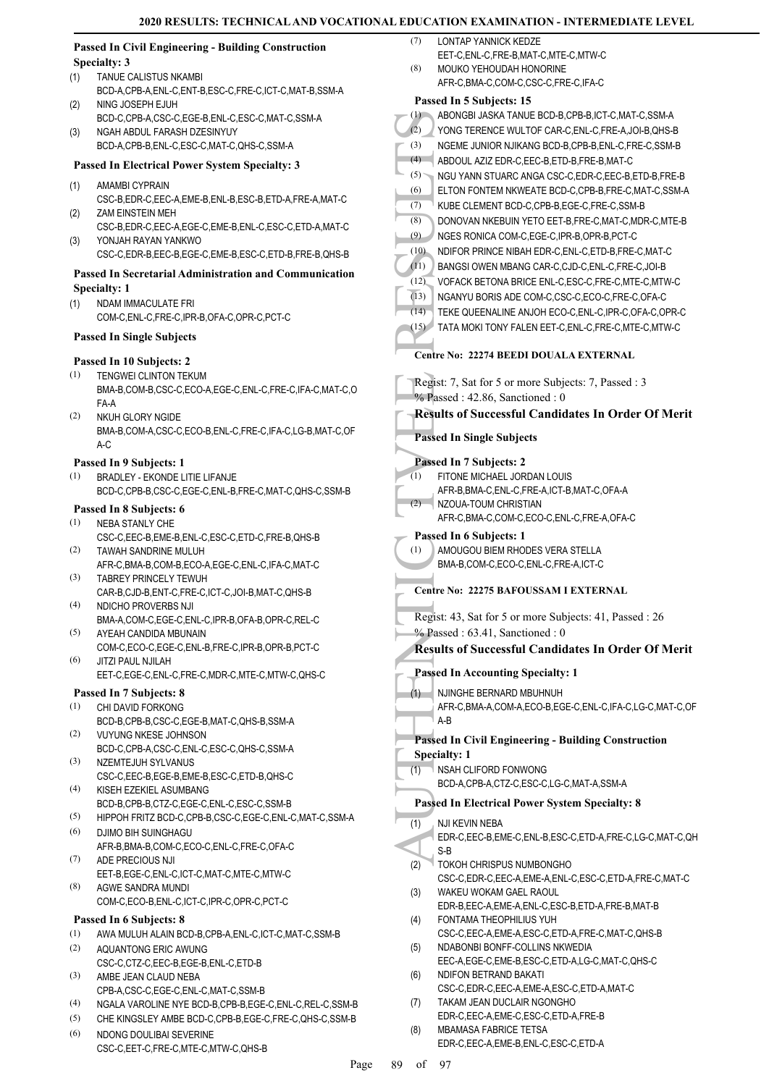#### **Passed In Civil Engineering - Building Construction Specialty: 3**

- TANUE CALISTUS NKAMBI (1)
- BCD-A,CPB-A,ENL-C,ENT-B,ESC-C,FRE-C,ICT-C,MAT-B,SSM-A NING JOSEPH EJUH (2)
- BCD-C,CPB-A,CSC-C,EGE-B,ENL-C,ESC-C,MAT-C,SSM-A NGAH ABDUL FARASH DZESINYUY (3)
	- BCD-A,CPB-B,ENL-C,ESC-C,MAT-C,QHS-C,SSM-A

# **Passed In Electrical Power System Specialty: 3**

- AMAMBI CYPRAIN (1)
- CSC-B,EDR-C,EEC-A,EME-B,ENL-B,ESC-B,ETD-A,FRE-A,MAT-C ZAM EINSTEIN MEH (2)
- CSC-B,EDR-C,EEC-A,EGE-C,EME-B,ENL-C,ESC-C,ETD-A,MAT-C YONJAH RAYAN YANKWO (3)

CSC-C,EDR-B,EEC-B,EGE-C,EME-B,ESC-C,ETD-B,FRE-B,QHS-B

#### **Passed In Secretarial Administration and Communication Specialty: 1**

- NDAM IMMACULATE FRI (1)
	- COM-C,ENL-C,FRE-C,IPR-B,OFA-C,OPR-C,PCT-C

#### **Passed In Single Subjects**

#### **Passed In 10 Subjects: 2**

- TENGWEI CLINTON TEKUM BMA-B,COM-B,CSC-C,ECO-A,EGE-C,ENL-C,FRE-C,IFA-C,MAT-C,O FA-A (1)
- NKUH GLORY NGIDE BMA-B,COM-A,CSC-C,ECO-B,ENL-C,FRE-C,IFA-C,LG-B,MAT-C,OF A-C (2)

#### **Passed In 9 Subjects: 1**

BRADLEY - EKONDE LITIE LIFANJE BCD-C,CPB-B,CSC-C,EGE-C,ENL-B,FRE-C,MAT-C,QHS-C,SSM-B (1)

#### **Passed In 8 Subjects: 6**

- (1) NEBA STANLY CHE CSC-C,EEC-B,EME-B,ENL-C,ESC-C,ETD-C,FRE-B,QHS-B
- TAWAH SANDRINE MULUH AFR-C,BMA-B,COM-B,ECO-A,EGE-C,ENL-C,IFA-C,MAT-C (2)
- TABREY PRINCELY TEWUH CAR-B,CJD-B,ENT-C,FRE-C,ICT-C,JOI-B,MAT-C,QHS-B (3) (4) NDICHO PROVERBS NJI
- BMA-A,COM-C,EGE-C,ENL-C,IPR-B,OFA-B,OPR-C,REL-C AYEAH CANDIDA MBUNAIN (5)
- COM-C,ECO-C,EGE-C,ENL-B,FRE-C,IPR-B,OPR-B,PCT-C JITZI PAUL NJILAH (6)
- EET-C,EGE-C,ENL-C,FRE-C,MDR-C,MTE-C,MTW-C,QHS-C

### **Passed In 7 Subjects: 8**

- CHI DAVID FORKONG BCD-B,CPB-B,CSC-C,EGE-B,MAT-C,QHS-B,SSM-A (1)
- VUYUNG NKESE JOHNSON BCD-C,CPB-A,CSC-C,ENL-C,ESC-C,QHS-C,SSM-A (2)
- (3) NZEMTEJUH SYLVANUS CSC-C,EEC-B,EGE-B,EME-B,ESC-C,ETD-B,QHS-C KISEH EZEKIEL ASUMBANG (4)
- BCD-B,CPB-B,CTZ-C,EGE-C,ENL-C,ESC-C,SSM-B
- (5) HIPPOH FRITZ BCD-C,CPB-B,CSC-C,EGE-C,ENL-C,MAT-C,SSM-A DJIMO BIH SUINGHAGU (6)
- AFR-B,BMA-B,COM-C,ECO-C,ENL-C,FRE-C,OFA-C (7)
- ADE PRECIOUS NJI EET-B,EGE-C,ENL-C,ICT-C,MAT-C,MTE-C,MTW-C AGWE SANDRA MUNDI (8)
- COM-C,ECO-B,ENL-C,ICT-C,IPR-C,OPR-C,PCT-C

### **Passed In 6 Subjects: 8**

- (1) AWA MULUH ALAIN BCD-B,CPB-A,ENL-C,ICT-C,MAT-C,SSM-B
- AQUANTONG ERIC AWUNG CSC-C,CTZ-C,EEC-B,EGE-B,ENL-C,ETD-B (2)
- AMBE JEAN CLAUD NEBA CPB-A,CSC-C,EGE-C,ENL-C,MAT-C,SSM-B (3)

CSC-C,EET-C,FRE-C,MTE-C,MTW-C,QHS-B

- (4) NGALA VAROLINE NYE BCD-B,CPB-B,EGE-C,ENL-C,REL-C,SSM-B
- (5) CHE KINGSLEY AMBE BCD-C,CPB-B,EGE-C,FRE-C,QHS-C,SSM-B NDONG DOULIBAI SEVERINE (6)
- LONTAP YANNICK KEDZE  $(7)$ 
	- EET-C,ENL-C,FRE-B,MAT-C,MTE-C,MTW-C
- MOUKO YEHOUDAH HONORINE AFR-C,BMA-C,COM-C,CSC-C,FRE-C,IFA-C (8)

|                  | Passed In 5 Subjects: 15                                                |
|------------------|-------------------------------------------------------------------------|
| (1)              | ABONGBI JASKA TANUE BCD-B,CPB-B,ICT-C,MAT-C,SSM-A                       |
| (2)              | YONG TERENCE WULTOF CAR-C, ENL-C, FRE-A, JOI-B, QHS-B                   |
| (3)              | NGEME JUNIOR NJIKANG BCD-B,CPB-B,ENL-C,FRE-C,SSM-B                      |
| (4)              | ABDOUL AZIZ EDR-C, EEC-B, ETD-B, FRE-B, MAT-C                           |
| (5)              | NGU YANN STUARC ANGA CSC-C, EDR-C, EEC-B, ETD-B, FRE-B                  |
| (6)              | ELTON FONTEM NKWEATE BCD-C,CPB-B,FRE-C,MAT-C,SSM-A                      |
| (7)              | KUBE CLEMENT BCD-C,CPB-B,EGE-C,FRE-C,SSM-B                              |
| (8)              | DONOVAN NKEBUIN YETO EET-B, FRE-C, MAT-C, MDR-C, MTE-B                  |
| (9)              | NGES RONICA COM-C,EGE-C,IPR-B,OPR-B,PCT-C                               |
| (10)             | NDIFOR PRINCE NIBAH EDR-C, ENL-C, ETD-B, FRE-C, MAT-C                   |
| (11)             | BANGSI OWEN MBANG CAR-C,CJD-C,ENL-C,FRE-C,JOI-B                         |
| (12)             | VOFACK BETONA BRICE ENL-C, ESC-C, FRE-C, MTE-C, MTW-C                   |
|                  |                                                                         |
| (13)             | NGANYU BORIS ADE COM-C,CSC-C,ECO-C,FRE-C,OFA-C                          |
| (14)             | TEKE QUEENALINE ANJOH ECO-C, ENL-C, IPR-C, OFA-C, OPR-C                 |
| (15)             | TATA MOKI TONY FALEN EET-C, ENL-C, FRE-C, MTE-C, MTW-C                  |
|                  | Centre No: 22274 BEEDI DOUALA EXTERNAL                                  |
|                  | Regist: 7, Sat for 5 or more Subjects: 7, Passed: 3                     |
|                  | $%$ Passed: 42.86, Sanctioned: 0                                        |
|                  |                                                                         |
|                  | <b>Results of Successful Candidates In Order Of Merit</b>               |
|                  | <b>Passed In Single Subjects</b>                                        |
|                  |                                                                         |
|                  | Passed In 7 Subjects: 2                                                 |
| (1)              | FITONE MICHAEL JORDAN LOUIS                                             |
|                  | AFR-B, BMA-C, ENL-C, FRE-A, ICT-B, MAT-C, OFA-A                         |
| (2)              | NZOUA-TOUM CHRISTIAN                                                    |
|                  | AFR-C, BMA-C, COM-C, ECO-C, ENL-C, FRE-A, OFA-C                         |
|                  | Passed In 6 Subjects: 1                                                 |
| $\left(1\right)$ | AMOUGOU BIEM RHODES VERA STELLA                                         |
|                  | BMA-B,COM-C,ECO-C,ENL-C,FRE-A,ICT-C                                     |
|                  | Centre No: 22275 BAFOUSSAM I EXTERNAL                                   |
|                  |                                                                         |
|                  | Regist: 43, Sat for 5 or more Subjects: 41, Passed : 26                 |
|                  | $%$ Passed: 63.41, Sanctioned: 0                                        |
|                  | <b>Results of Successful Candidates In Order Of Merit</b>               |
|                  | <b>Passed In Accounting Specialty: 1</b>                                |
|                  |                                                                         |
| (1)              | NJINGHE BERNARD MBUHNUH                                                 |
|                  | AFR-C, BMA-A, COM-A, ECO-B, EGE-C, ENL-C, IFA-C, LG-C, MAT-C, OF<br>A-B |
|                  |                                                                         |
|                  | <b>Passed In Civil Engineering - Building Construction</b>              |
|                  | <b>Specialty: 1</b>                                                     |
| (1)              | NSAH CLIFORD FONWONG                                                    |
|                  | BCD-A,CPB-A,CTZ-C,ESC-C,LG-C,MAT-A,SSM-A                                |
|                  | <b>Passed In Electrical Power System Specialty: 8</b>                   |
| (1)              | NJI KEVIN NEBA                                                          |
|                  | EDR-C,EEC-B,EME-C,ENL-B,ESC-C,ETD-A,FRE-C,LG-C,MAT-C,QH                 |
|                  | S-B                                                                     |
| (2)              | TOKOH CHRISPUS NUMBONGHO                                                |
|                  | CSC-C,EDR-C,EEC-A,EME-A,ENL-C,ESC-C,ETD-A,FRE-C,MAT-C                   |
| (3)              | WAKEU WOKAM GAEL RAOUL                                                  |
|                  | EDR-B, EEC-A, EME-A, ENL-C, ESC-B, ETD-A, FRE-B, MAT-B                  |
| (4)              | FONTAMA THEOPHILIUS YUH                                                 |
|                  | CSC-C,EEC-A,EME-A,ESC-C,ETD-A,FRE-C,MAT-C,QHS-B                         |
| (5)              | NDABONBI BONFF-COLLINS NKWEDIA                                          |
|                  | EEC-A,EGE-C,EME-B,ESC-C,ETD-A,LG-C,MAT-C,QHS-C                          |
| (6)              | NDIFON BETRAND BAKATI                                                   |
|                  | CSC-C,EDR-C,EEC-A,EME-A,ESC-C,ETD-A,MAT-C                               |
| (7)              | TAKAM JEAN DUCLAIR NGONGHO                                              |
|                  | EDR-C, EEC-A, EME-C, ESC-C, ETD-A, FRE-B                                |
| (8)              | <b>MBAMASA FABRICE TETSA</b>                                            |
|                  | EDR-C,EEC-A,EME-B,ENL-C,ESC-C,ETD-A                                     |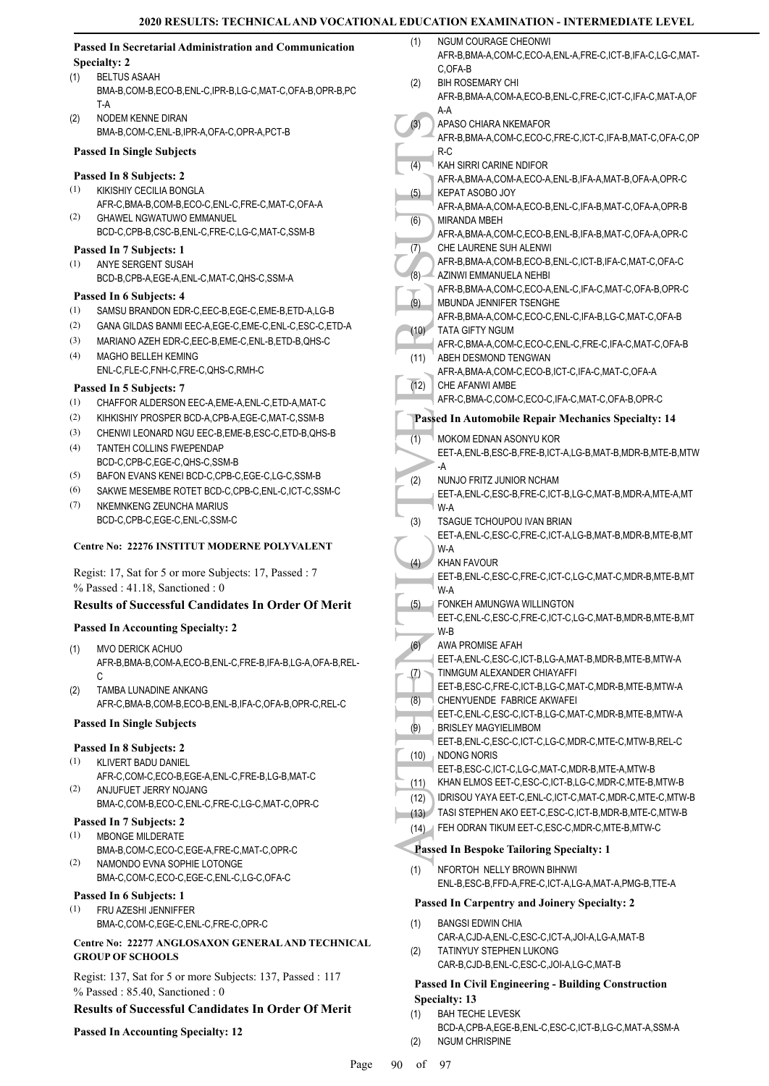NGUM COURAGE CHEONWI

#### **Passed In Secretarial Administration and Communication Specialty: 2**

- BELTUS ASAAH BMA-B,COM-B,ECO-B,ENL-C,IPR-B,LG-C,MAT-C,OFA-B,OPR-B,PC T-A (1)
- NODEM KENNE DIRAN BMA-B,COM-C,ENL-B,IPR-A,OFA-C,OPR-A,PCT-B (2)

#### **Passed In Single Subjects**

#### **Passed In 8 Subjects: 2**

- KIKISHIY CECILIA BONGLA AFR-C,BMA-B,COM-B,ECO-C,ENL-C,FRE-C,MAT-C,OFA-A (1) GHAWEL NGWATUWO EMMANUEL (2)
- BCD-C,CPB-B,CSC-B,ENL-C,FRE-C,LG-C,MAT-C,SSM-B

#### **Passed In 7 Subjects: 1**

ANYE SERGENT SUSAH BCD-B,CPB-A,EGE-A,ENL-C,MAT-C,QHS-C,SSM-A (1)

#### **Passed In 6 Subjects: 4**

- (1) SAMSU BRANDON EDR-C,EEC-B,EGE-C,EME-B,ETD-A,LG-B
- (2) GANA GILDAS BANMI EEC-A,EGE-C,EME-C,ENL-C,ESC-C,ETD-A
- (3) MARIANO AZEH EDR-C,EEC-B,EME-C,ENL-B,ETD-B,QHS-C MAGHO BELLEH KEMING  $(4)$
- ENL-C,FLE-C,FNH-C,FRE-C,QHS-C,RMH-C

#### **Passed In 5 Subjects: 7**

- (1) CHAFFOR ALDERSON EEC-A,EME-A,ENL-C,ETD-A,MAT-C
- (2) KIHKISHIY PROSPER BCD-A CPB-A EGE-C MAT-C SSM-B
- (3) CHENWI LEONARD NGU EEC-B,EME-B,ESC-C,ETD-B,QHS-B
- TANTEH COLLINS FWEPENDAP BCD-C,CPB-C,EGE-C,QHS-C,SSM-B (4)
- (5) BAFON EVANS KENEI BCD-C,CPB-C,EGE-C,LG-C,SSM-B
- (6) SAKWE MESEMBE ROTET BCD-C,CPB-C,ENL-C,ICT-C,SSM-C NKEMNKENG ZEUNCHA MARIUS (7)
- BCD-C,CPB-C,EGE-C,ENL-C,SSM-C

#### **Centre No: 22276 INSTITUT MODERNE POLYVALENT**

Regist: 17, Sat for 5 or more Subjects: 17, Passed : 7 % Passed : 41.18, Sanctioned : 0

#### **Results of Successful Candidates In Order Of Merit**

#### **Passed In Accounting Specialty: 2**

- MVO DERICK ACHUO AFR-B,BMA-B,COM-A,ECO-B,ENL-C,FRE-B,IFA-B,LG-A,OFA-B,REL- $\mathcal{C}$ (1)
- TAMBA LUNADINE ANKANG AFR-C,BMA-B,COM-B,ECO-B,ENL-B,IFA-C,OFA-B,OPR-C,REL-C (2)

#### **Passed In Single Subjects**

#### **Passed In 8 Subjects: 2**

- KLIVERT BADU DANIEL (1)
- AFR-C,COM-C,ECO-B,EGE-A,ENL-C,FRE-B,LG-B,MAT-C ANJUFUET JERRY NOJANG (2)
- BMA-C,COM-B,ECO-C,ENL-C,FRE-C,LG-C,MAT-C,OPR-C

# **Passed In 7 Subjects: 2**

- MBONGE MILDERATE BMA-B,COM-C,ECO-C,EGE-A,FRE-C,MAT-C,OPR-C (1) NAMONDO EVNA SOPHIE LOTONGE (2)
- BMA-C,COM-C,ECO-C,EGE-C,ENL-C,LG-C,OFA-C

# **Passed In 6 Subjects: 1**

FRU AZESHI JENNIFFER BMA-C,COM-C,EGE-C,ENL-C,FRE-C,OPR-C (1)

#### **Centre No: 22277 ANGLOSAXON GENERAL AND TECHNICAL GROUP OF SCHOOLS**

Regist: 137, Sat for 5 or more Subjects: 137, Passed : 117 % Passed : 85.40, Sanctioned : 0

#### **Results of Successful Candidates In Order Of Merit**

#### **Passed In Accounting Specialty: 12**

|      | AFR-B, BMA-A, COM-C, ECO-A, ENL-A, FRE-C, ICT-B, IFA-C, LG-C, MAT-                              |  |  |
|------|-------------------------------------------------------------------------------------------------|--|--|
|      | C,OFA-B                                                                                         |  |  |
| (2)  | <b>BIH ROSEMARY CHI</b>                                                                         |  |  |
|      | AFR-B, BMA-A, COM-A, ECO-B, ENL-C, FRE-C, ICT-C, IFA-C, MAT-A, OF<br>A-A                        |  |  |
| (3)  | APASO CHIARA NKEMAFOR                                                                           |  |  |
|      | AFR-B, BMA-A, COM-C, ECO-C, FRE-C, ICT-C, IFA-B, MAT-C, OFA-C, OP                               |  |  |
|      | R-C                                                                                             |  |  |
| (4)  | KAH SIRRI CARINE NDIFOR                                                                         |  |  |
|      | AFR-A, BMA-A, COM-A, ECO-A, ENL-B, IFA-A, MAT-B, OFA-A, OPR-C                                   |  |  |
| (5)  | KEPAT ASOBO JOY<br>AFR-A, BMA-A, COM-A, ECO-B, ENL-C, IFA-B, MAT-C, OFA-A, OPR-B                |  |  |
| (6)  | MIRANDA MBEH                                                                                    |  |  |
|      | AFR-A, BMA-A, COM-C, ECO-B, ENL-B, IFA-B, MAT-C, OFA-A, OPR-C                                   |  |  |
| (7)  | CHE LAURENE SUH ALENWI                                                                          |  |  |
|      | AFR-B, BMA-A, COM-B, ECO-B, ENL-C, ICT-B, IFA-C, MAT-C, OFA-C                                   |  |  |
| (8)  | AZINWI EMMANUELA NEHBI                                                                          |  |  |
|      | AFR-B, BMA-A, COM-C, ECO-A, ENL-C, IFA-C, MAT-C, OFA-B, OPR-C<br><b>MBUNDA JENNIFER TSENGHE</b> |  |  |
| (9)  | AFR-B, BMA-A, COM-C, ECO-C, ENL-C, IFA-B, LG-C, MAT-C, OFA-B                                    |  |  |
| (10) | <b>TATA GIFTY NGUM</b>                                                                          |  |  |
|      | AFR-C, BMA-A, COM-C, ECO-C, ENL-C, FRE-C, IFA-C, MAT-C, OFA-B                                   |  |  |
| (11) | ABEH DESMOND TENGWAN                                                                            |  |  |
|      | AFR-A, BMA-A, COM-C, ECO-B, ICT-C, IFA-C, MAT-C, OFA-A                                          |  |  |
| (12) | CHE AFANWI AMBE                                                                                 |  |  |
|      | AFR-C, BMA-C, COM-C, ECO-C, IFA-C, MAT-C, OFA-B, OPR-C                                          |  |  |
|      | <b>Passed In Automobile Repair Mechanics Specialty: 14</b>                                      |  |  |
| (1)  | MOKOM EDNAN ASONYU KOR                                                                          |  |  |
|      | EET-A, ENL-B, ESC-B, FRE-B, ICT-A, LG-B, MAT-B, MDR-B, MTE-B, MTW                               |  |  |
|      | -A                                                                                              |  |  |
| (2)  | NUNJO FRITZ JUNIOR NCHAM                                                                        |  |  |
|      | EET-A, ENL-C, ESC-B, FRE-C, ICT-B, LG-C, MAT-B, MDR-A, MTE-A, MT                                |  |  |
|      | W-A<br>TSAGUE TCHOUPOU IVAN BRIAN                                                               |  |  |
| (3)  | EET-A, ENL-C, ESC-C, FRE-C, ICT-A, LG-B, MAT-B, MDR-B, MTE-B, MT                                |  |  |
|      | W-A                                                                                             |  |  |
| (4)  | <b>KHAN FAVOUR</b>                                                                              |  |  |
|      | EET-B, ENL-C, ESC-C, FRE-C, ICT-C, LG-C, MAT-C, MDR-B, MTE-B, MT                                |  |  |
|      | W-A                                                                                             |  |  |
| (5)  | FONKEH AMUNGWA WILLINGTON                                                                       |  |  |
|      | EET-C, ENL-C, ESC-C, FRE-C, ICT-C, LG-C, MAT-B, MDR-B, MTE-B, MT<br>W-B                         |  |  |
| (6)  | AWA PROMISE AFAH                                                                                |  |  |
|      | EET-A, ENL-C, ESC-C, ICT-B, LG-A, MAT-B, MDR-B, MTE-B, MTW-A                                    |  |  |
| (7)  | TINMGUM ALEXANDER CHIAYAFFI                                                                     |  |  |
|      | EET-B,ESC-C,FRE-C,ICT-B,LG-C,MAT-C,MDR-B,MTE-B,MTW-A                                            |  |  |
| (8)  | CHENYUENDE FABRICE AKWAFEI                                                                      |  |  |
|      | EET-C, ENL-C, ESC-C, ICT-B, LG-C, MAT-C, MDR-B, MTE-B, MTW-A                                    |  |  |
| (9)  | <b>BRISLEY MAGYIELIMBOM</b><br>EET-B, ENL-C, ESC-C, ICT-C, LG-C, MDR-C, MTE-C, MTW-B, REL-C     |  |  |
| (10) | <b>NDONG NORIS</b>                                                                              |  |  |
|      | EET-B.ESC-C.ICT-C.LG-C.MAT-C.MDR-B.MTE-A.MTW-B                                                  |  |  |
| (11) | KHAN ELMOS EET-C, ESC-C, ICT-B, LG-C, MDR-C, MTE-B, MTW-B                                       |  |  |
| (12) | IDRISOU YAYA EET-C, ENL-C, ICT-C, MAT-C, MDR-C, MTE-C, MTW-B                                    |  |  |
| (13) | TASI STEPHEN AKO EET-C, ESC-C, ICT-B, MDR-B, MTE-C, MTW-B                                       |  |  |
| (14) | FEH ODRAN TIKUM EET-C, ESC-C, MDR-C, MTE-B, MTW-C                                               |  |  |
|      | <b>Passed In Bespoke Tailoring Specialty: 1</b>                                                 |  |  |
|      |                                                                                                 |  |  |
| (1)  | NFORTOH NELLY BROWN BIHNWI<br>ENL-B, ESC-B, FFD-A, FRE-C, ICT-A, LG-A, MAT-A, PMG-B, TTE-A      |  |  |
|      |                                                                                                 |  |  |
|      | <b>Passed In Carpentry and Joinery Specialty: 2</b>                                             |  |  |
| (1)  | <b>BANGSI EDWIN CHIA</b>                                                                        |  |  |
|      | CAR-A,CJD-A,ENL-C,ESC-C,ICT-A,JOI-A,LG-A,MAT-B                                                  |  |  |
| (2)  | TATINYUY STEPHEN LUKONG                                                                         |  |  |

CAR-B,CJD-B,ENL-C,ESC-C,JOI-A,LG-C,MAT-B

# **Passed In Civil Engineering - Building Construction**

- **Specialty: 13** BAH TECHE LEVESK (1)
- BCD-A,CPB-A,EGE-B,ENL-C,ESC-C,ICT-B,LG-C,MAT-A,SSM-A (2) NGUM CHRISPINE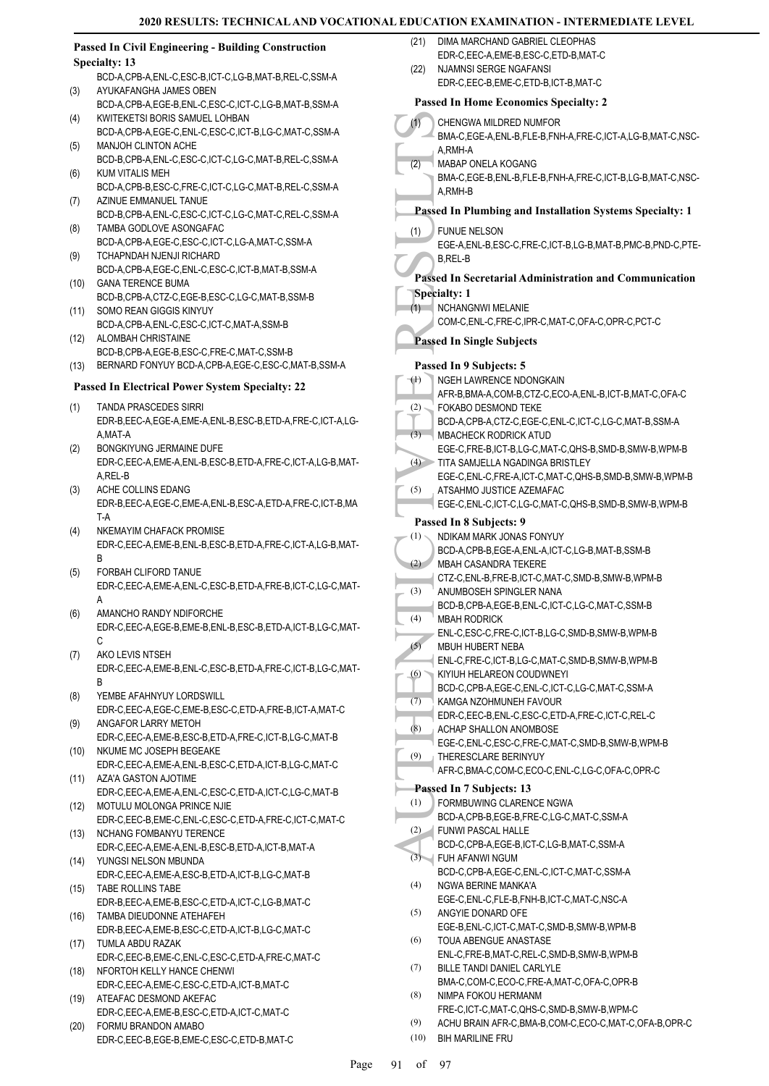#### **Passed In Civil Engineering - Building Construction Specialty: 13**

- BCD-A,CPB-A,ENL-C,ESC-B,ICT-C,LG-B,MAT-B,REL-C,SSM-A AYUKAFANGHA JAMES OBEN (3)
- BCD-A,CPB-A,EGE-B,ENL-C,ESC-C,ICT-C,LG-B,MAT-B,SSM-A KWITEKETSI BORIS SAMUEL LOHBAN (4)
- BCD-A,CPB-A,EGE-C,ENL-C,ESC-C,ICT-B,LG-C,MAT-C,SSM-A MANJOH CLINTON ACHE (5)
- BCD-B,CPB-A,ENL-C,ESC-C,ICT-C,LG-C,MAT-B,REL-C,SSM-A KUM VITALIS MEH (6)
- BCD-A,CPB-B,ESC-C,FRE-C,ICT-C,LG-C,MAT-B,REL-C,SSM-A AZINUE EMMANUEL TANUE (7)
- BCD-B,CPB-A,ENL-C,ESC-C,ICT-C,LG-C,MAT-C,REL-C,SSM-A TAMBA GODLOVE ASONGAFAC (8)
- BCD-A,CPB-A,EGE-C,ESC-C,ICT-C,LG-A,MAT-C,SSM-A TCHAPNDAH NJENJI RICHARD (9)
- BCD-A,CPB-A,EGE-C,ENL-C,ESC-C,ICT-B,MAT-B,SSM-A GANA TERENCE BUMA (10)
- BCD-B,CPB-A,CTZ-C,EGE-B,ESC-C,LG-C,MAT-B,SSM-B SOMO REAN GIGGIS KINYUY (11)
- BCD-A,CPB-A,ENL-C,ESC-C,ICT-C,MAT-A,SSM-B ALOMBAH CHRISTAINE (12)
- BCD-B,CPB-A,EGE-B,ESC-C,FRE-C,MAT-C,SSM-B
- (13) BERNARD FONYUY BCD-A,CPB-A,EGE-C,ESC-C,MAT-B,SSM-A

#### **Passed In Electrical Power System Specialty: 22**

- TANDA PRASCEDES SIRRI EDR-B,EEC-A,EGE-A,EME-A,ENL-B,ESC-B,ETD-A,FRE-C,ICT-A,LG-A,MAT-A (1)
- BONGKIYUNG JERMAINE DUFE EDR-C,EEC-A,EME-A,ENL-B,ESC-B,ETD-A,FRE-C,ICT-A,LG-B,MAT-A,REL-B (2)
- ACHE COLLINS EDANG EDR-B,EEC-A,EGE-C,EME-A,ENL-B,ESC-A,ETD-A,FRE-C,ICT-B,MA T-A (3)
- NKEMAYIM CHAFACK PROMISE EDR-C,EEC-A,EME-B,ENL-B,ESC-B,ETD-A,FRE-C,ICT-A,LG-B,MAT-B (4)
- FORBAH CLIFORD TANUE EDR-C,EEC-A,EME-A,ENL-C,ESC-B,ETD-A,FRE-B,ICT-C,LG-C,MAT-A (5)
- AMANCHO RANDY NDIFORCHE EDR-C,EEC-A,EGE-B,EME-B,ENL-B,ESC-B,ETD-A,ICT-B,LG-C,MAT-C (6)
- AKO LEVIS NTSEH EDR-C,EEC-A,EME-B,ENL-C,ESC-B,ETD-A,FRE-C,ICT-B,LG-C,MAT-**B** (7)
- YEMBE AFAHNYUY LORDSWILL (8)
- EDR-C,EEC-A,EGE-C,EME-B,ESC-C,ETD-A,FRE-B,ICT-A,MAT-C ANGAFOR LARRY METOH (9)
- EDR-C,EEC-A,EME-B,ESC-B,ETD-A,FRE-C,ICT-B,LG-C,MAT-B (10) NKUME MC JOSEPH BEGEAKE
- EDR-C,EEC-A,EME-A,ENL-B,ESC-C,ETD-A,ICT-B,LG-C,MAT-C (11) AZA'A GASTON AJOTIME
- EDR-C,EEC-A,EME-A,ENL-C,ESC-C,ETD-A,ICT-C,LG-C,MAT-B MOTULU MOLONGA PRINCE NJIE (12)
- EDR-C,EEC-B,EME-C,ENL-C,ESC-C,ETD-A,FRE-C,ICT-C,MAT-C (13) NCHANG FOMBANYU TERENCE
- EDR-C,EEC-A,EME-A,ENL-B,ESC-B,ETD-A,ICT-B,MAT-A YUNGSI NELSON MBUNDA (14)
- EDR-C,EEC-A,EME-A,ESC-B,ETD-A,ICT-B,LG-C,MAT-B TABE ROLLINS TABE (15)
- EDR-B,EEC-A,EME-B,ESC-C,ETD-A,ICT-C,LG-B,MAT-C TAMBA DIEUDONNE ATEHAFEH (16)
- EDR-B,EEC-A,EME-B,ESC-C,ETD-A,ICT-B,LG-C,MAT-C TUMLA ABDU RAZAK (17)
- EDR-C,EEC-B,EME-C,ENL-C,ESC-C,ETD-A,FRE-C,MAT-C NFORTOH KELLY HANCE CHENWI (18)
- EDR-C,EEC-A,EME-C,ESC-C,ETD-A,ICT-B,MAT-C ATEAFAC DESMOND AKEFAC (19)
- EDR-C,EEC-A,EME-B,ESC-C,ETD-A,ICT-C,MAT-C
- FORMU BRANDON AMABO EDR-C,EEC-B,EGE-B,EME-C,ESC-C,ETD-B,MAT-C (20)
- DIMA MARCHAND GABRIEL CLEOPHAS EDR-C,EEC-A,EME-B,ESC-C,ETD-B,MAT-C (21)
- NJAMNSI SERGE NGAFANSI EDR-C,EEC-B,EME-C,ETD-B,ICT-B,MAT-C (22)

#### **Passed In Home Economics Specialty: 2**

|          | Passed in Home Economics Specialty: 2                                                                 |  |  |  |  |  |
|----------|-------------------------------------------------------------------------------------------------------|--|--|--|--|--|
| (1)      | CHENGWA MILDRED NUMFOR<br>BMA-C,EGE-A,ENL-B,FLE-B,FNH-A,FRE-C,ICT-A,LG-B,MAT-C,NSC-                   |  |  |  |  |  |
| (2)      | A,RMH-A<br>MABAP ONELA KOGANG                                                                         |  |  |  |  |  |
|          | BMA-C.EGE-B.ENL-B.FLE-B.FNH-A.FRE-C.ICT-B.LG-B.MAT-C.NSC-<br>A,RMH-B                                  |  |  |  |  |  |
|          | Passed In Plumbing and Installation Systems Specialty: 1                                              |  |  |  |  |  |
| (1)      | <b>FUNUE NELSON</b><br>EGE-A, ENL-B, ESC-C, FRE-C, ICT-B, LG-B, MAT-B, PMC-B, PND-C, PTE-<br>B, REL-B |  |  |  |  |  |
|          | Passed In Secretarial Administration and Communication                                                |  |  |  |  |  |
|          | <b>Specialty: 1</b>                                                                                   |  |  |  |  |  |
| (1)      | <b>NCHANGNWI MELANIE</b><br>COM-C,ENL-C,FRE-C,IPR-C,MAT-C,OFA-C,OPR-C,PCT-C                           |  |  |  |  |  |
|          | <b>Passed In Single Subjects</b>                                                                      |  |  |  |  |  |
|          | Passed In 9 Subjects: 5                                                                               |  |  |  |  |  |
| $\oplus$ | NGEH LAWRENCE NDONGKAIN                                                                               |  |  |  |  |  |
|          | AFR-B, BMA-A, COM-B, CTZ-C, ECO-A, ENL-B, ICT-B, MAT-C, OFA-C                                         |  |  |  |  |  |
| (2)      | <b>FOKABO DESMOND TEKE</b>                                                                            |  |  |  |  |  |
|          | BCD-A,CPB-A,CTZ-C,EGE-C,ENL-C,ICT-C,LG-C,MAT-B,SSM-A                                                  |  |  |  |  |  |
| (3)      | MBACHECK RODRICK ATUD                                                                                 |  |  |  |  |  |
|          |                                                                                                       |  |  |  |  |  |
| (4)      | EGE-C,FRE-B,ICT-B,LG-C,MAT-C,QHS-B,SMD-B,SMW-B,WPM-B<br>TITA SAMJELLA NGADINGA BRISTLEY               |  |  |  |  |  |
|          | EGE-C, ENL-C, FRE-A, ICT-C, MAT-C, QHS-B, SMD-B, SMW-B, WPM-B                                         |  |  |  |  |  |
| (5)      | ATSAHMO JUSTICE AZEMAFAC                                                                              |  |  |  |  |  |
|          |                                                                                                       |  |  |  |  |  |
|          | EGE-C, ENL-C, ICT-C, LG-C, MAT-C, QHS-B, SMD-B, SMW-B, WPM-B                                          |  |  |  |  |  |
|          | Passed In 8 Subjects: 9                                                                               |  |  |  |  |  |
| (1)      | NDIKAM MARK JONAS FONYUY                                                                              |  |  |  |  |  |
|          | BCD-A,CPB-B,EGE-A,ENL-A,ICT-C,LG-B,MAT-B,SSM-B                                                        |  |  |  |  |  |
| (2)      | <b>MBAH CASANDRA TEKERE</b>                                                                           |  |  |  |  |  |
|          | CTZ-C, ENL-B, FRE-B, ICT-C, MAT-C, SMD-B, SMW-B, WPM-B                                                |  |  |  |  |  |
| (3)      | ANUMBOSEH SPINGLER NANA                                                                               |  |  |  |  |  |
|          | BCD-B,CPB-A,EGE-B,ENL-C,ICT-C,LG-C,MAT-C,SSM-B                                                        |  |  |  |  |  |
| (4)      | <b>MBAH RODRICK</b>                                                                                   |  |  |  |  |  |
|          | ENL-C, ESC-C, FRE-C, ICT-B, LG-C, SMD-B, SMW-B, WPM-B                                                 |  |  |  |  |  |
| (5)      | MBUH HUBERT NEBA                                                                                      |  |  |  |  |  |
|          | ENL-C, FRE-C, ICT-B, LG-C, MAT-C, SMD-B, SMW-B, WPM-B                                                 |  |  |  |  |  |
| (6)      | KIYIUH HELAREON COUDWNEYI                                                                             |  |  |  |  |  |
|          | BCD-C,CPB-A,EGE-C,ENL-C,ICT-C,LG-C,MAT-C,SSM-A                                                        |  |  |  |  |  |
| (7)      | KAMGA NZOHMUNEH FAVOUR                                                                                |  |  |  |  |  |
|          | EDR-C,EEC-B,ENL-C,ESC-C,ETD-A,FRE-C,ICT-C,REL-C                                                       |  |  |  |  |  |
| (8)      | ACHAP SHALLON ANOMBOSE                                                                                |  |  |  |  |  |
|          | EGE-C, ENL-C, ESC-C, FRE-C, MAT-C, SMD-B, SMW-B, WPM-B                                                |  |  |  |  |  |
| (9)      | THERESCLARE BERINYUY                                                                                  |  |  |  |  |  |
|          | AFR-C,BMA-C,COM-C,ECO-C,ENL-C,LG-C,OFA-C,OPR-C                                                        |  |  |  |  |  |
|          |                                                                                                       |  |  |  |  |  |
|          | Passed In 7 Subjects: 13                                                                              |  |  |  |  |  |
| (1)      | FORMBUWING CLARENCE NGWA                                                                              |  |  |  |  |  |
|          | BCD-A,CPB-B,EGE-B,FRE-C,LG-C,MAT-C,SSM-A                                                              |  |  |  |  |  |
| (2)      | <b>FUNWI PASCAL HALLE</b>                                                                             |  |  |  |  |  |
|          | BCD-C,CPB-A,EGE-B,ICT-C,LG-B,MAT-C,SSM-A                                                              |  |  |  |  |  |
| (3)      | FUH AFANWI NGUM                                                                                       |  |  |  |  |  |
|          | BCD-C,CPB-A,EGE-C,ENL-C,ICT-C,MAT-C,SSM-A                                                             |  |  |  |  |  |
| (4)      | NGWA BERINE MANKA'A                                                                                   |  |  |  |  |  |
|          | EGE-C, ENL-C, FLE-B, FNH-B, ICT-C, MAT-C, NSC-A                                                       |  |  |  |  |  |
| (5)      | ANGYIE DONARD OFE                                                                                     |  |  |  |  |  |
|          | EGE-B, ENL-C, ICT-C, MAT-C, SMD-B, SMW-B, WPM-B                                                       |  |  |  |  |  |
| (6)      | TOUA ABENGUE ANASTASE                                                                                 |  |  |  |  |  |
|          | ENL-C, FRE-B, MAT-C, REL-C, SMD-B, SMW-B, WPM-B                                                       |  |  |  |  |  |
| (7)      | BILLE TANDI DANIEL CARLYLE                                                                            |  |  |  |  |  |
|          | BMA-C,COM-C,ECO-C,FRE-A,MAT-C,OFA-C,OPR-B                                                             |  |  |  |  |  |
| (8)      | NIMPA FOKOU HERMANM                                                                                   |  |  |  |  |  |
|          | FRE-C,ICT-C,MAT-C,QHS-C,SMD-B,SMW-B,WPM-C                                                             |  |  |  |  |  |
| (9)      | ACHU BRAIN AFR-C, BMA-B, COM-C, ECO-C, MAT-C, OFA-B, OPR-C                                            |  |  |  |  |  |
|          |                                                                                                       |  |  |  |  |  |
| (10)     | <b>BIH MARILINE FRU</b>                                                                               |  |  |  |  |  |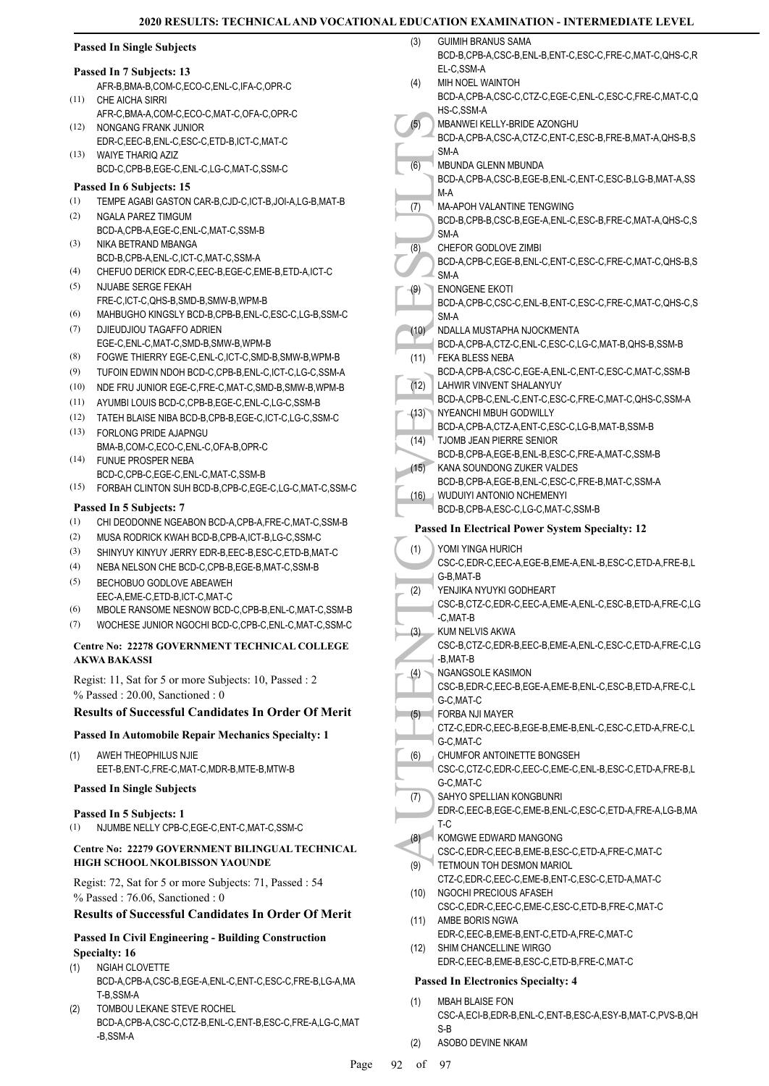|                          | <b>Passed In Single Subjects</b>                                                           | (3)  | <b>GUIMIH BRANUS SAMA</b><br>BCD-B,CPB-A,CSC-B,ENL-B,ENT-C,ESC-C,FRE-C,MAT-C,QHS-C,R  |
|--------------------------|--------------------------------------------------------------------------------------------|------|---------------------------------------------------------------------------------------|
| Passed In 7 Subjects: 13 |                                                                                            |      | EL-C,SSM-A                                                                            |
|                          | AFR-B, BMA-B, COM-C, ECO-C, ENL-C, IFA-C, OPR-C                                            | (4)  | MIH NOEL WAINTOH                                                                      |
| (11)                     | CHE AICHA SIRRI                                                                            |      | BCD-A,CPB-A,CSC-C,CTZ-C,EGE-C,ENL-C,ESC-C,FRE-C,MAT-C,Q                               |
|                          | AFR-C, BMA-A, COM-C, ECO-C, MAT-C, OFA-C, OPR-C                                            | (5)  | HS-C,SSM-A<br>MBANWEI KELLY-BRIDE AZONGHU                                             |
| (12)                     | NONGANG FRANK JUNIOR                                                                       |      | BCD-A,CPB-A,CSC-A,CTZ-C,ENT-C,ESC-B,FRE-B,MAT-A,QHS-B,S                               |
| (13)                     | EDR-C,EEC-B,ENL-C,ESC-C,ETD-B,ICT-C,MAT-C<br>WAIYE THARIQ AZIZ                             |      | SM-A                                                                                  |
|                          | BCD-C,CPB-B,EGE-C,ENL-C,LG-C,MAT-C,SSM-C                                                   | (6)  | MBUNDA GLENN MBUNDA                                                                   |
|                          | Passed In 6 Subjects: 15                                                                   |      | BCD-A,CPB-A,CSC-B,EGE-B,ENL-C,ENT-C,ESC-B,LG-B,MAT-A,SS                               |
| (1)                      | TEMPE AGABI GASTON CAR-B,CJD-C,ICT-B,JOI-A,LG-B,MAT-B                                      |      | M-A                                                                                   |
| (2)                      | NGALA PAREZ TIMGUM                                                                         | (7)  | <b>MA-APOH VALANTINE TENGWING</b>                                                     |
|                          | BCD-A,CPB-A,EGE-C,ENL-C,MAT-C,SSM-B                                                        |      | BCD-B,CPB-B,CSC-B,EGE-A,ENL-C,ESC-B,FRE-C,MAT-A,QHS-C,S<br>SM-A                       |
| (3)                      | NIKA BETRAND MBANGA                                                                        | (8)  | CHEFOR GODLOVE ZIMBI                                                                  |
|                          | BCD-B,CPB-A,ENL-C,ICT-C,MAT-C,SSM-A                                                        |      | BCD-A,CPB-C,EGE-B,ENL-C,ENT-C,ESC-C,FRE-C,MAT-C,QHS-B,S                               |
| (4)                      | CHEFUO DERICK EDR-C, EEC-B, EGE-C, EME-B, ETD-A, ICT-C                                     |      | SM-A                                                                                  |
| (5)                      | NJUABE SERGE FEKAH                                                                         | (9)  | <b>ENONGENE EKOTI</b>                                                                 |
| (6)                      | FRE-C,ICT-C,QHS-B,SMD-B,SMW-B,WPM-B<br>MAHBUGHO KINGSLY BCD-B,CPB-B,ENL-C,ESC-C,LG-B,SSM-C |      | BCD-A,CPB-C,CSC-C,ENL-B,ENT-C,ESC-C,FRE-C,MAT-C,QHS-C,S                               |
| (7)                      | DJIEUDJIOU TAGAFFO ADRIEN                                                                  | (10) | SM-A<br>NDALLA MUSTAPHA NJOCKMENTA                                                    |
|                          | EGE-C.ENL-C.MAT-C.SMD-B.SMW-B.WPM-B                                                        |      | BCD-A,CPB-A,CTZ-C,ENL-C,ESC-C,LG-C,MAT-B,QHS-B,SSM-B                                  |
| (8)                      | FOGWE THIERRY EGE-C, ENL-C, ICT-C, SMD-B, SMW-B, WPM-B                                     | (11) | FEKA BLESS NEBA                                                                       |
| (9)                      | TUFOIN EDWIN NDOH BCD-C,CPB-B,ENL-C,ICT-C,LG-C,SSM-A                                       |      | BCD-A,CPB-A,CSC-C,EGE-A,ENL-C,ENT-C,ESC-C,MAT-C,SSM-B                                 |
| (10)                     | NDE FRU JUNIOR EGE-C, FRE-C, MAT-C, SMD-B, SMW-B, WPM-B                                    | (12) | LAHWIR VINVENT SHALANYUY                                                              |
| (11)                     | AYUMBI LOUIS BCD-C,CPB-B,EGE-C,ENL-C,LG-C,SSM-B                                            |      | BCD-A,CPB-C,ENL-C,ENT-C,ESC-C,FRE-C,MAT-C,QHS-C,SSM-A                                 |
| (12)                     | TATEH BLAISE NIBA BCD-B,CPB-B,EGE-C,ICT-C,LG-C,SSM-C                                       | (13) | NYEANCHI MBUH GODWILLY                                                                |
| (13)                     | FORLONG PRIDE AJAPNGU                                                                      | (14) | BCD-A,CPB-A,CTZ-A,ENT-C,ESC-C,LG-B,MAT-B,SSM-B<br>TJOMB JEAN PIERRE SENIOR            |
|                          | BMA-B,COM-C,ECO-C,ENL-C,OFA-B,OPR-C                                                        |      | BCD-B,CPB-A,EGE-B,ENL-B,ESC-C,FRE-A,MAT-C,SSM-B                                       |
| (14)                     | FUNUE PROSPER NEBA                                                                         | (15) | KANA SOUNDONG ZUKER VALDES                                                            |
| (15)                     | BCD-C,CPB-C,EGE-C,ENL-C,MAT-C,SSM-B                                                        |      | BCD-B,CPB-A,EGE-B,ENL-C,ESC-C,FRE-B,MAT-C,SSM-A                                       |
|                          | FORBAH CLINTON SUH BCD-B,CPB-C,EGE-C,LG-C,MAT-C,SSM-C                                      |      | (16) WUDUIYI ANTONIO NCHEMENYI                                                        |
|                          | Passed In 5 Subjects: 7                                                                    |      | BCD-B,CPB-A,ESC-C,LG-C,MAT-C,SSM-B                                                    |
| (1)                      | CHI DEODONNE NGEABON BCD-A,CPB-A,FRE-C,MAT-C,SSM-B                                         |      | <b>Passed In Electrical Power System Specialty: 12</b>                                |
| (2)                      | MUSA RODRICK KWAH BCD-B,CPB-A,ICT-B,LG-C,SSM-C                                             | (1)  | YOMI YINGA HURICH                                                                     |
| (3)                      | SHINYUY KINYUY JERRY EDR-B,EEC-B,ESC-C,ETD-B,MAT-C                                         |      | CSC-C,EDR-C,EEC-A,EGE-B,EME-A,ENL-B,ESC-C,ETD-A,FRE-B,L                               |
| (4)                      | NEBA NELSON CHE BCD-C,CPB-B,EGE-B,MAT-C,SSM-B                                              |      | G-B, MAT-B                                                                            |
| (5)                      | BECHOBUO GODLOVE ABEAWEH<br>EEC-A, EME-C, ETD-B, ICT-C, MAT-C                              | (2)  | YENJIKA NYUYKI GODHEART                                                               |
| (6)                      | MBOLE RANSOME NESNOW BCD-C.CPB-B.ENL-C.MAT-C.SSM-B                                         |      | CSC-B,CTZ-C,EDR-C,EEC-A,EME-A,ENL-C,ESC-B,ETD-A,FRE-C,LG                              |
| (7)                      | WOCHESE JUNIOR NGOCHI BCD-C,CPB-C,ENL-C,MAT-C,SSM-C                                        |      | -C, MAT-B                                                                             |
|                          |                                                                                            | (3)  | KUM NELVIS AKWA                                                                       |
|                          | Centre No: 22278 GOVERNMENT TECHNICAL COLLEGE<br><b>AKWA BAKASSI</b>                       |      | CSC-B,CTZ-C,EDR-B,EEC-B,EME-A,ENL-C,ESC-C,ETD-A,FRE-C,LG<br>-B,MAT-B                  |
|                          |                                                                                            | (4)  | NGANGSOLE KASIMON                                                                     |
|                          | Regist: 11, Sat for 5 or more Subjects: 10, Passed: 2                                      |      | CSC-B,EDR-C,EEC-B,EGE-A,EME-B,ENL-C,ESC-B,ETD-A,FRE-C,L                               |
|                          | $%$ Passed: 20.00, Sanctioned: 0                                                           |      | G-C, MAT-C                                                                            |
|                          | <b>Results of Successful Candidates In Order Of Merit</b>                                  | (5)  | FORBA NJI MAYER                                                                       |
|                          | <b>Passed In Automobile Repair Mechanics Specialty: 1</b>                                  |      | CTZ-C,EDR-C,EEC-B,EGE-B,EME-B,ENL-C,ESC-C,ETD-A,FRE-C,L                               |
|                          |                                                                                            |      | G-C, MAT-C                                                                            |
| (1)                      | AWEH THEOPHILUS NJIE<br>EET-B, ENT-C, FRE-C, MAT-C, MDR-B, MTE-B, MTW-B                    | (6)  | CHUMFOR ANTOINETTE BONGSEH<br>CSC-C,CTZ-C,EDR-C,EEC-C,EME-C,ENL-B,ESC-C,ETD-A,FRE-B,L |
|                          |                                                                                            |      | G-C, MAT-C                                                                            |
|                          | <b>Passed In Single Subjects</b>                                                           | (7)  | SAHYO SPELLIAN KONGBUNRI                                                              |
|                          | Passed In 5 Subjects: 1                                                                    |      | EDR-C, EEC-B, EGE-C, EME-B, ENL-C, ESC-C, ETD-A, FRE-A, LG-B, MA                      |
| (1)                      | NJUMBE NELLY CPB-C,EGE-C,ENT-C,MAT-C,SSM-C                                                 |      | T-C                                                                                   |
|                          |                                                                                            | (8)  | KOMGWE EDWARD MANGONG                                                                 |
|                          | Centre No: 22279 GOVERNMENT BILINGUAL TECHNICAL<br>HIGH SCHOOL NKOLBISSON YAOUNDE          |      | CSC-C,EDR-C,EEC-B,EME-B,ESC-C,ETD-A,FRE-C,MAT-C                                       |
|                          |                                                                                            | (9)  | TETMOUN TOH DESMON MARIOL<br>CTZ-C,EDR-C,EEC-C,EME-B,ENT-C,ESC-C,ETD-A,MAT-C          |
|                          | Regist: 72, Sat for 5 or more Subjects: 71, Passed: 54                                     | (10) | NGOCHI PRECIOUS AFASEH                                                                |
|                          | $%$ Passed: 76.06, Sanctioned: 0                                                           |      | CSC-C,EDR-C,EEC-C,EME-C,ESC-C,ETD-B,FRE-C,MAT-C                                       |
|                          | <b>Results of Successful Candidates In Order Of Merit</b>                                  | (11) | AMBE BORIS NGWA                                                                       |
|                          | <b>Passed In Civil Engineering - Building Construction</b>                                 |      | EDR-C,EEC-B,EME-B,ENT-C,ETD-A,FRE-C,MAT-C                                             |
| <b>Specialty: 16</b>     |                                                                                            | (12) | SHIM CHANCELLINE WIRGO                                                                |
| (1)                      | NGIAH CLOVETTE                                                                             |      | EDR-C,EEC-B,EME-B,ESC-C,ETD-B,FRE-C,MAT-C                                             |
|                          | BCD-A,CPB-A,CSC-B,EGE-A,ENL-C,ENT-C,ESC-C,FRE-B,LG-A,MA                                    |      | <b>Passed In Electronics Specialty: 4</b>                                             |
|                          | T-B,SSM-A                                                                                  | (1)  | <b>MBAH BLAISE FON</b>                                                                |
| (2)                      | TOMBOU LEKANE STEVE ROCHEL                                                                 |      | CSC-A,ECI-B,EDR-B,ENL-C,ENT-B,ESC-A,ESY-B,MAT-C,PVS-B,QH                              |
|                          | BCD-A,CPB-A,CSC-C,CTZ-B,ENL-C,ENT-B,ESC-C,FRE-A,LG-C,MAT                                   |      | S-B                                                                                   |
|                          | -B,SSM-A                                                                                   | (2)  | ASOBO DEVINE NKAM                                                                     |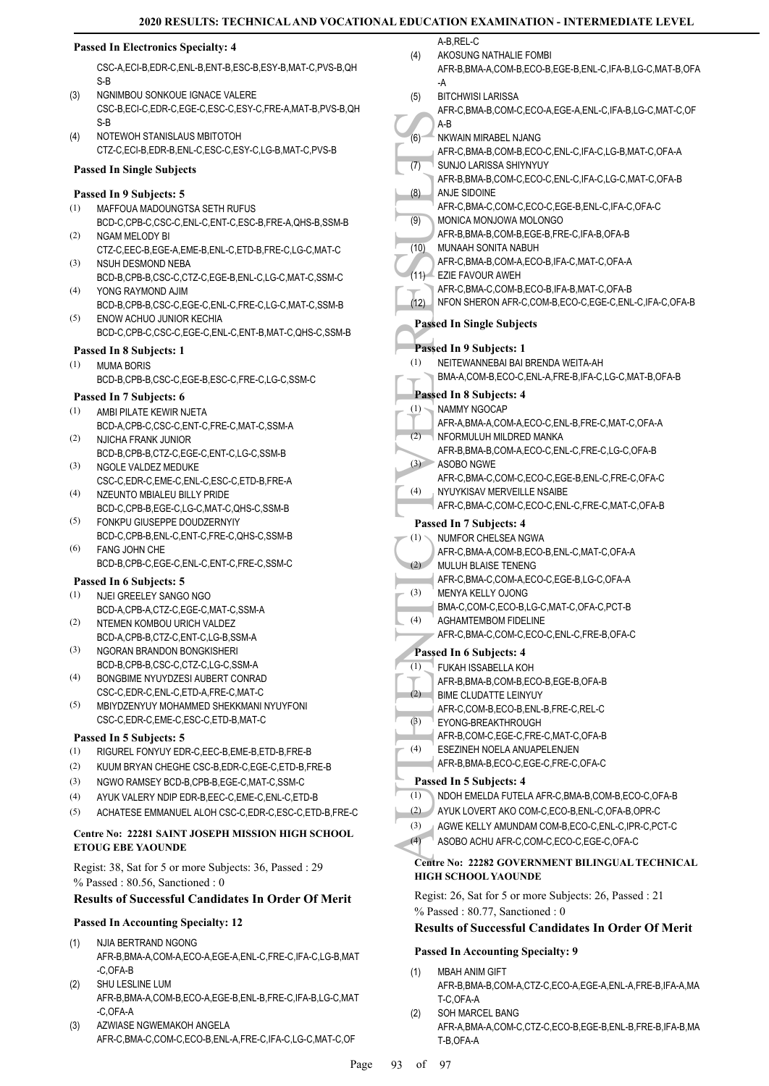#### **Passed In Electronics Specialty: 4**

CSC-A,ECI-B,EDR-C,ENL-B,ENT-B,ESC-B,ESY-B,MAT-C,PVS-B,QH S-B

- NGNIMBOU SONKOUE IGNACE VALERE CSC-B,ECI-C,EDR-C,EGE-C,ESC-C,ESY-C,FRE-A,MAT-B,PVS-B,QH S-B  $(3)$
- NOTEWOH STANISLAUS MBITOTOH CTZ-C,ECI-B,EDR-B,ENL-C,ESC-C,ESY-C,LG-B,MAT-C,PVS-B (4)

#### **Passed In Single Subjects**

#### **Passed In 9 Subjects: 5**

- MAFFOUA MADOUNGTSA SETH RUFUS (1)
- BCD-C,CPB-C,CSC-C,ENL-C,ENT-C,ESC-B,FRE-A,QHS-B,SSM-B NGAM MELODY BI (2)
- CTZ-C,EEC-B,EGE-A,EME-B,ENL-C,ETD-B,FRE-C,LG-C,MAT-C NSUH DESMOND NEBA (3)
- BCD-B,CPB-B,CSC-C,CTZ-C,EGE-B,ENL-C,LG-C,MAT-C,SSM-C YONG RAYMOND AJIM (4)
- BCD-B,CPB-B,CSC-C,EGE-C,ENL-C,FRE-C,LG-C,MAT-C,SSM-B ENOW ACHUO JUNIOR KECHIA (5)
- BCD-C,CPB-C,CSC-C,EGE-C,ENL-C,ENT-B,MAT-C,QHS-C,SSM-B

## **Passed In 8 Subjects: 1**

- MUMA BORIS (1)
- BCD-B,CPB-B,CSC-C,EGE-B,ESC-C,FRE-C,LG-C,SSM-C

#### **Passed In 7 Subjects: 6**

- AMBI PILATE KEWIR NJETA (1)
- BCD-A,CPB-C,CSC-C,ENT-C,FRE-C,MAT-C,SSM-A NJICHA FRANK JUNIOR (2)
- BCD-B,CPB-B,CTZ-C,EGE-C,ENT-C,LG-C,SSM-B NGOLE VALDEZ MEDUKE (3)
- CSC-C,EDR-C,EME-C,ENL-C,ESC-C,ETD-B,FRE-A NZEUNTO MBIALEU BILLY PRIDE (4)
- BCD-C,CPB-B,EGE-C,LG-C,MAT-C,QHS-C,SSM-B FONKPU GIUSEPPE DOUDZERNYIY (5)
- BCD-C,CPB-B,ENL-C,ENT-C,FRE-C,QHS-C,SSM-B FANG JOHN CHE (6)
- BCD-B,CPB-C,EGE-C,ENL-C,ENT-C,FRE-C,SSM-C

#### **Passed In 6 Subjects: 5**

- NJEI GREELEY SANGO NGO BCD-A,CPB-A,CTZ-C,EGE-C,MAT-C,SSM-A (1)
- NTEMEN KOMBOU URICH VALDEZ BCD-A,CPB-B,CTZ-C,ENT-C,LG-B,SSM-A (2) NGORAN BRANDON BONGKISHERI (3)
- BCD-B,CPB-B,CSC-C,CTZ-C,LG-C,SSM-A
- BONGBIME NYUYDZESI AUBERT CONRAD CSC-C,EDR-C,ENL-C,ETD-A,FRE-C,MAT-C (4)
- MBIYDZENYUY MOHAMMED SHEKKMANI NYUYFONI CSC-C,EDR-C,EME-C,ESC-C,ETD-B,MAT-C (5)

#### **Passed In 5 Subjects: 5**

- (1) RIGUREL FONYUY EDR-C,EEC-B,EME-B,ETD-B,FRE-B
- (2) KUUM BRYAN CHEGHE CSC-B,EDR-C,EGE-C,ETD-B,FRE-B
- (3) NGWO RAMSEY BCD-B,CPB-B,EGE-C,MAT-C,SSM-C
- (4) AYUK VALERY NDIP EDR-B,EEC-C,EME-C,ENL-C,ETD-B
- (5) ACHATESE EMMANUEL ALOH CSC-C,EDR-C,ESC-C,ETD-B,FRE-C

#### **Centre No: 22281 SAINT JOSEPH MISSION HIGH SCHOOL ETOUG EBE YAOUNDE**

Regist: 38, Sat for 5 or more Subjects: 36, Passed : 29 % Passed : 80.56, Sanctioned : 0

#### **Results of Successful Candidates In Order Of Merit**

#### **Passed In Accounting Specialty: 12**

- NJIA BERTRAND NGONG AFR-B,BMA-A,COM-A,ECO-A,EGE-A,ENL-C,FRE-C,IFA-C,LG-B,MAT -C,OFA-B (1)
- SHU LESLINE LUM AFR-B,BMA-A,COM-B,ECO-A,EGE-B,ENL-B,FRE-C,IFA-B,LG-C,MAT -C,OFA-A (2)
- AZWIASE NGWEMAKOH ANGELA AFR-C,BMA-C,COM-C,ECO-B,ENL-A,FRE-C,IFA-C,LG-C,MAT-C,OF (3)

A-B REL-C AKOSUNG NATHALIE FOMBI

- AFR-B,BMA-A,COM-B,ECO-B,EGE-B,ENL-C,IFA-B,LG-C,MAT-B,OFA -A (4)
- (6) A-B<br>
(6) A-B<br>
NKWAII<br>
(7) A-B<br>
NKWAIIE S<br>
(7) AFR-B, SUNJO<br>
AFR-B, SUNJO<br>
AFR-C, SUNJO<br>
AFR-C, MONIC AFR-C, MONIC AFR-C, MENER<br>
(11) AFR-C, NETEV<br>
Bassed In S<br>
Passed In S<br>
Passed In S<br>
(1) NEITEV BMA-A, NFORM<br>
(2) AFR BITCHWISI LARISSA AFR-C,BMA-B,COM-C,ECO-A,EGE-A,ENL-C,IFA-B,LG-C,MAT-C,OF A-B (5) NKWAIN MIRABEL NJANG AFR-C,BMA-B,COM-B,ECO-C,ENL-C,IFA-C,LG-B,MAT-C,OFA-A  $(6)$ SUNJO LARISSA SHIYNYUY AFR-B,BMA-B,COM-C,ECO-C,ENL-C,IFA-C,LG-C,MAT-C,OFA-B (7) ANJE SIDOINE AFR-C,BMA-C,COM-C,ECO-C,EGE-B,ENL-C,IFA-C,OFA-C (8) MONICA MONJOWA MOLONGO AFR-B,BMA-B,COM-B,EGE-B,FRE-C,IFA-B,OFA-B (9) MUNAAH SONITA NABUH AFR-C,BMA-B,COM-A,ECO-B,IFA-C,MAT-C,OFA-A  $(10)$ EZIE FAVOUR AWEH (11) AFR-C,BMA-C,COM-B,ECO-B,IFA-B,MAT-C,OFA-B (12) NFON SHERON AFR-C,COM-B,ECO-C,EGE-C,ENL-C,IFA-C,OFA-B **Passed In Single Subjects Passed In 9 Subjects: 1** NEITEWANNEBAI BAI BRENDA WEITA-AH BMA-A,COM-B,ECO-C,ENL-A,FRE-B,IFA-C,LG-C,MAT-B,OFA-B (1) **Passed In 8 Subjects: 4** NAMMY NGOCAP AFR-A,BMA-A,COM-A,ECO-C,ENL-B,FRE-C,MAT-C,OFA-A (1) NFORMULUH MILDRED MANKA AFR-B,BMA-B,COM-A,ECO-C,ENL-C,FRE-C,LG-C,OFA-B  $(2)$ ASOBO NGWE (3) AFR-C,BMA-C,COM-C,ECO-C,EGE-B,ENL-C,FRE-C,OFA-C NYUYKISAV MERVEILLE NSAIBE AFR-C,BMA-C,COM-C,ECO-C,ENL-C,FRE-C,MAT-C,OFA-B (4) **Passed In 7 Subjects: 4**

- NUMFOR CHELSEA NGWA AFR-C,BMA-A,COM-B,ECO-B,ENL-C,MAT-C,OFA-A (1) MULUH BLAISE TENENG AFR-C,BMA-C,COM-A,ECO-C,EGE-B,LG-C,OFA-A  $(2)$ MENYA KELLY OJONG (3)
- BMA-C,COM-C,ECO-B,LG-C,MAT-C,OFA-C,PCT-B AGHAMTEMBOM FIDELINE (4)
- AFR-C,BMA-C,COM-C,ECO-C,ENL-C,FRE-B,OFA-C

# **Passed In 6 Subjects: 4**

- FUKAH ISSABELLA KOH (1)
- AFR-B,BMA-B,COM-B,ECO-B,EGE-B,OFA-B
- BIME CLUDATTE LEINYUY  $(2)$
- AFR-C,COM-B,ECO-B,ENL-B,FRE-C,REL-C
- EYONG-BREAKTHROUGH (3)
- AFR-B,COM-C,EGE-C,FRE-C,MAT-C,OFA-B ESEZINEH NOELA ANUAPELENJEN (4)
- AFR-B,BMA-B,ECO-C,EGE-C,FRE-C,OFA-C

# **Passed In 5 Subjects: 4**

- (1) NDOH EMELDA FUTELA AFR-C,BMA-B,COM-B,ECO-C,OFA-B
- (2) AYUK LOVERT AKO COM-C,ECO-B,ENL-C,OFA-B,OPR-C
- (3) AGWE KELLY AMUNDAM COM-B,ECO-C,ENL-C,IPR-C,PCT-C
- (4) ASOBO ACHU AFR-C,COM-C,ECO-C,EGE-C,OFA-C

#### **Centre No: 22282 GOVERNMENT BILINGUAL TECHNICAL HIGH SCHOOL YAOUNDE**

Regist: 26, Sat for 5 or more Subjects: 26, Passed : 21 % Passed : 80.77, Sanctioned : 0

# **Results of Successful Candidates In Order Of Merit**

# **Passed In Accounting Specialty: 9**

- MBAH ANIM GIFT AFR-B,BMA-B,COM-A,CTZ-C,ECO-A,EGE-A,ENL-A,FRE-B,IFA-A,MA T-C,OFA-A (1)
- SOH MARCEL BANG AFR-A,BMA-A,COM-C,CTZ-C,ECO-B,EGE-B,ENL-B,FRE-B,IFA-B,MA T-B,OFA-A (2)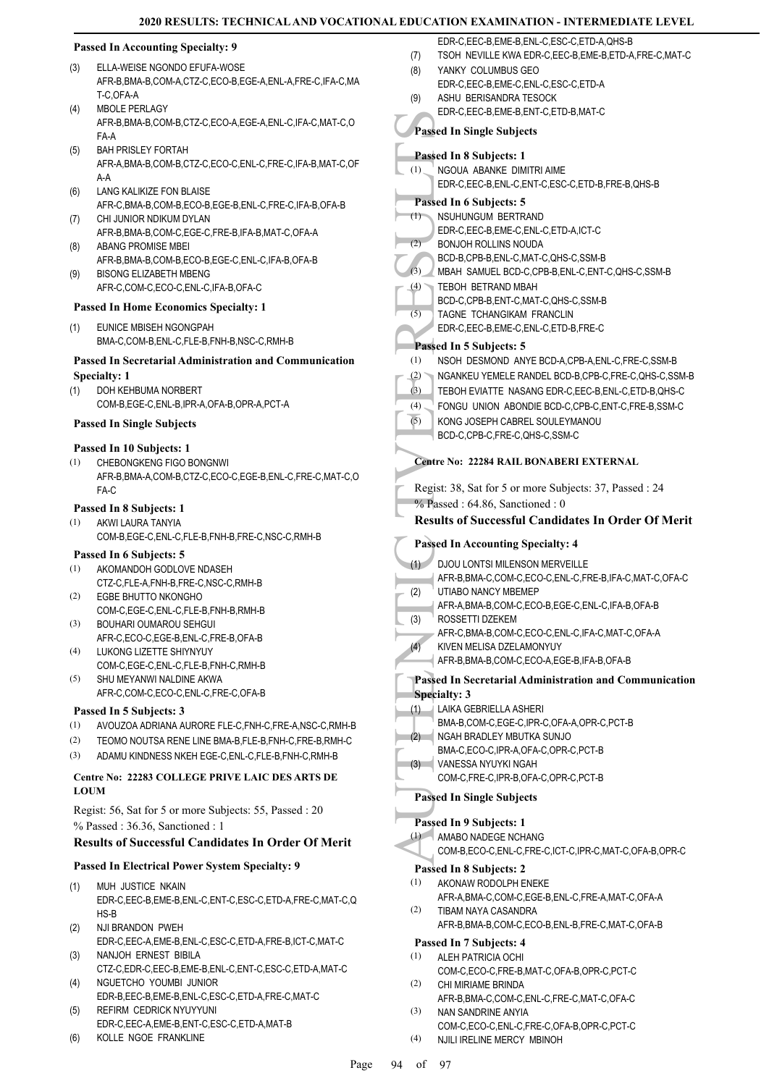#### **Passed In Accounting Specialty: 9**

- ELLA-WEISE NGONDO EFUFA-WOSE AFR-B,BMA-B,COM-A,CTZ-C,ECO-B,EGE-A,ENL-A,FRE-C,IFA-C,MA T-C,OFA-A (3) MBOLE PERLAGY (4)
- AFR-B,BMA-B,COM-B,CTZ-C,ECO-A,EGE-A,ENL-C,IFA-C,MAT-C,O FA-A
- BAH PRISLEY FORTAH AFR-A,BMA-B,COM-B,CTZ-C,ECO-C,ENL-C,FRE-C,IFA-B,MAT-C,OF A-A (5)
- LANG KALIKIZE FON BLAISE AFR-C,BMA-B,COM-B,ECO-B,EGE-B,ENL-C,FRE-C,IFA-B,OFA-B (6)
- CHI JUNIOR NDIKUM DYLAN AFR-B,BMA-B,COM-C,EGE-C,FRE-B,IFA-B,MAT-C,OFA-A (7) ABANG PROMISE MBEI (8)
- AFR-B,BMA-B,COM-B,ECO-B,EGE-C,ENL-C,IFA-B,OFA-B BISONG ELIZABETH MBENG (9)
- AFR-C,COM-C,ECO-C,ENL-C,IFA-B,OFA-C

#### **Passed In Home Economics Specialty: 1**

EUNICE MBISEH NGONGPAH BMA-C,COM-B,ENL-C,FLE-B,FNH-B,NSC-C,RMH-B (1)

#### **Passed In Secretarial Administration and Communication Specialty: 1**

DOH KEHBUMA NORBERT COM-B,EGE-C,ENL-B,IPR-A,OFA-B,OPR-A,PCT-A (1)

#### **Passed In Single Subjects**

#### **Passed In 10 Subjects: 1**

CHEBONGKENG FIGO BONGNWI AFR-B,BMA-A,COM-B,CTZ-C,ECO-C,EGE-B,ENL-C,FRE-C,MAT-C,O FA-C (1)

#### **Passed In 8 Subjects: 1**

AKWI LAURA TANYIA COM-B,EGE-C,ENL-C,FLE-B,FNH-B,FRE-C,NSC-C,RMH-B (1)

#### **Passed In 6 Subjects: 5**

- AKOMANDOH GODLOVE NDASEH CTZ-C,FLE-A,FNH-B,FRE-C,NSC-C,RMH-B (1)
- EGBE BHUTTO NKONGHO COM-C,EGE-C,ENL-C,FLE-B,FNH-B,RMH-B (2)
- BOUHARI OUMAROU SEHGUI AFR-C,ECO-C,EGE-B,ENL-C,FRE-B,OFA-B (3)
- LUKONG LIZETTE SHIYNYUY (4)
- COM-C,EGE-C,ENL-C,FLE-B,FNH-C,RMH-B SHU MEYANWI NALDINE AKWA AFR-C,COM-C,ECO-C,ENL-C,FRE-C,OFA-B (5)

#### **Passed In 5 Subjects: 3**

- (1) AVOUZOA ADRIANA AURORE FLE-C,FNH-C,FRE-A,NSC-C,RMH-B
- (2) TEOMO NOUTSA RENE LINE BMA-B,FLE-B,FNH-C,FRE-B,RMH-C
- (3) ADAMU KINDNESS NKEH EGE-C,ENL-C,FLE-B,FNH-C,RMH-B

## **Centre No: 22283 COLLEGE PRIVE LAIC DES ARTS DE LOUM**

Regist: 56, Sat for 5 or more Subjects: 55, Passed : 20 % Passed : 36.36, Sanctioned : 1

## **Results of Successful Candidates In Order Of Merit**

# **Passed In Electrical Power System Specialty: 9**

- MUH JUSTICE NKAIN EDR-C,EEC-B,EME-B,ENL-C,ENT-C,ESC-C,ETD-A,FRE-C,MAT-C,Q HS-B (1)
- NJI BRANDON PWEH EDR-C,EEC-A,EME-B,ENL-C,ESC-C,ETD-A,FRE-B,ICT-C,MAT-C (2)
- NANJOH ERNEST BIBILA CTZ-C,EDR-C,EEC-B,EME-B,ENL-C,ENT-C,ESC-C,ETD-A,MAT-C (3)
- NGUETCHO YOUMBI JUNIOR EDR-B,EEC-B,EME-B,ENL-C,ESC-C,ETD-A,FRE-C,MAT-C (4) REFIRM CEDRICK NYUYYUNI (5)
- EDR-C,EEC-A,EME-B,ENT-C,ESC-C,ETD-A,MAT-B
- (6) KOLLE NGOE FRANKLINE
- EDR-C,EEC-B,EME-B,ENL-C,ESC-C,ETD-A,QHS-B
- (7) TSOH NEVILLE KWA EDR-C,EEC-B,EME-B,ETD-A,FRE-C,MAT-C
- YANKY COLUMBUS GEO EDR-C,EEC-B,EME-C,ENL-C,ESC-C,ETD-A (8)
- ASHU BERISANDRA TESOCK (9)

# EDR-C,EEC-B,EME-B,ENT-C,ETD-B,MAT-C

**Passed In Single Subjects**

#### **Passed In 8 Subjects: 1** (1)

NGOUA ABANKE DIMITRI AIME EDR-C,EEC-B,ENL-C,ENT-C,ESC-C,ETD-B,FRE-B,QHS-B **Passed In 6 Subjects: 5**

#### NSUHUNGUM BERTRAND (1)

- Fassed In 8<br>
(1) NGOU/<br>
EDR-C,<br>
Passed In 8<br>
(1) NSUHU<br>
EDR-C,<br>
BONJO BCD-B,<br>
BONJO BCD-B,<br>
(3) MBAH<br>
TEBOH<br>
(5) TAGNE<br>
EDR-C,<br>
Passed In 8<br>
(1) NSOH<br>
TEBOH<br>
FONGL (5) NGANK<br>
TEBOH<br>
FONGL (5) NGANK<br>
TEBOH<br>
FONGL (5) NGANK<br> EDR-C,EEC-B,EME-C,ENL-C,ETD-A,ICT-C BONJOH ROLLINS NOUDA BCD-B,CPB-B,ENL-C,MAT-C,QHS-C,SSM-B  $(2)$ MBAH SAMUEL BCD-C,CPB-B,ENL-C,ENT-C,QHS-C,SSM-B TEBOH BETRAND MBAH BCD-C,CPB-B,ENT-C,MAT-C,QHS-C,SSM-B (4)
- TAGNE TCHANGIKAM FRANCLIN EDR-C,EEC-B,EME-C,ENL-C,ETD-B,FRE-C (5)

#### **Passed In 5 Subjects: 5**

- (1) NSOH DESMOND ANYE BCD-A,CPB-A,ENL-C,FRE-C,SSM-B
- (2) NGANKEU YEMELE RANDEL BCD-B,CPB-C,FRE-C,QHS-C,SSM-B
- (3) TEBOH EVIATTE NASANG EDR-C,EEC-B,ENL-C,ETD-B,QHS-C
- (4) FONGU UNION ABONDIE BCD-C,CPB-C,ENT-C,FRE-B,SSM-C
- KONG JOSEPH CABREL SOULEYMANOU (5)
	- BCD-C,CPB-C,FRE-C,QHS-C,SSM-C

#### **Centre No: 22284 RAIL BONABERI EXTERNAL**

- Regist: 38, Sat for 5 or more Subjects: 37, Passed : 24
- % Passed : 64.86, Sanctioned : 0

#### **Results of Successful Candidates In Order Of Merit**

#### **Passed In Accounting Specialty: 4**

- DJOU LONTSI MILENSON MERVEILLE AFR-B,BMA-C,COM-C,ECO-C,ENL-C,FRE-B,IFA-C,MAT-C,OFA-C  $(1)$ UTIABO NANCY MBEMEP (2)
- AFR-A,BMA-B,COM-C,ECO-B,EGE-C,ENL-C,IFA-B,OFA-B ROSSETTI DZEKEM (3)
- AFR-C,BMA-B,COM-C,ECO-C,ENL-C,IFA-C,MAT-C,OFA-A (4)
	- KIVEN MELISA DZELAMONYUY AFR-B,BMA-B,COM-C,ECO-A,EGE-B,IFA-B,OFA-B

# **Passed In Secretarial Administration and Communication**

- **Specialty: 3**
- LAIKA GEBRIELLA ASHERI (1)
- BMA-B,COM-C,EGE-C,IPR-C,OFA-A,OPR-C,PCT-B
- NGAH BRADLEY MBUTKA SUNJO (2)
- BMA-C, ECO-C, IPR-A, OFA-C, OPR-C, PCT-B
- VANESSA NYUYKI NGAH (3)

# COM-C,FRE-C,IPR-B,OFA-C,OPR-C,PCT-B

#### **Passed In Single Subjects**

#### **Passed In 9 Subjects: 1**

- AMABO NADEGE NCHANG (1)
	- COM-B,ECO-C,ENL-C,FRE-C,ICT-C,IPR-C,MAT-C,OFA-B,OPR-C

#### **Passed In 8 Subjects: 2**

- AKONAW RODOLPH ENEKE AFR-A,BMA-C,COM-C,EGE-B,ENL-C,FRE-A,MAT-C,OFA-A (1)
- TIBAM NAYA CASANDRA AFR-B,BMA-B,COM-C,ECO-B,ENL-B,FRE-C,MAT-C,OFA-B (2)

#### **Passed In 7 Subjects: 4**

- ALEH PATRICIA OCHI (1)
- COM-C,ECO-C,FRE-B,MAT-C,OFA-B,OPR-C,PCT-C CHI MIRIAME BRINDA (2)
- AFR-B,BMA-C,COM-C,ENL-C,FRE-C,MAT-C,OFA-C NAN SANDRINE ANYIA (3)
- COM-C,ECO-C,ENL-C,FRE-C,OFA-B,OPR-C,PCT-C (4) NJILI IRELINE MERCY MBINOH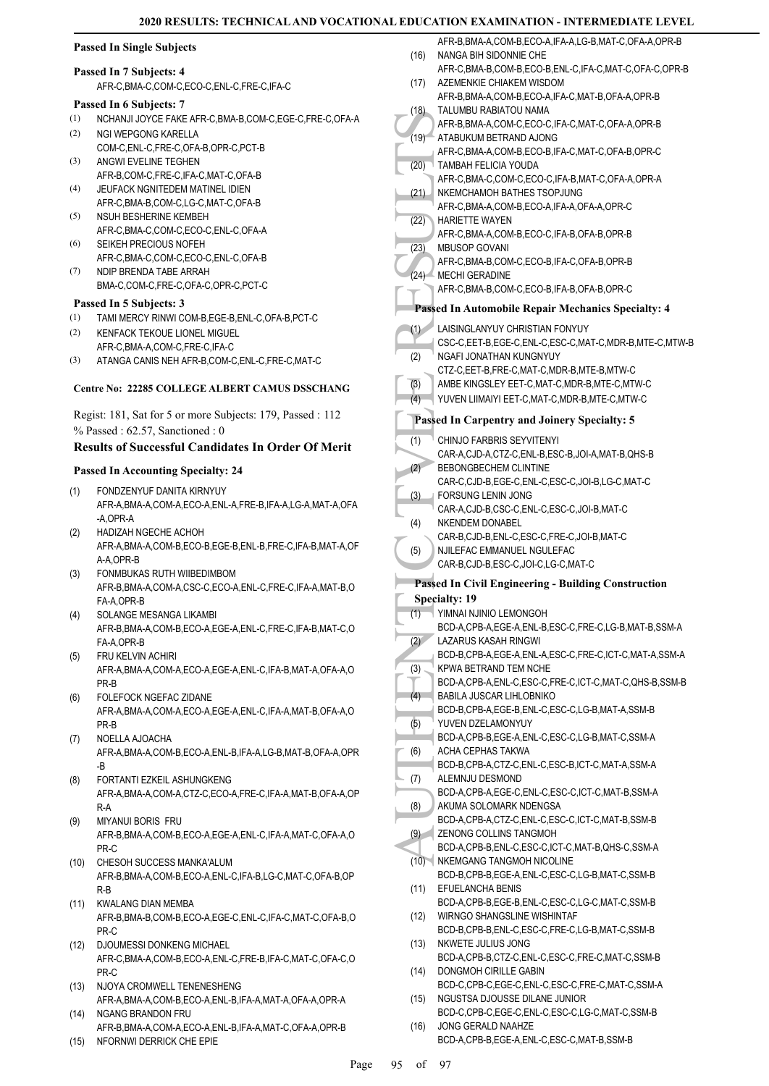#### **Passed In Single Subjects**

#### **Passed In 7 Subjects: 4**

AFR-C,BMA-C,COM-C,ECO-C,ENL-C,FRE-C,IFA-C

#### **Passed In 6 Subjects: 7**

- (1) NCHANJI JOYCE FAKE AFR-C,BMA-B,COM-C,EGE-C,FRE-C,OFA-A
- NGI WEPGONG KARELLA COM-C,ENL-C,FRE-C,OFA-B,OPR-C,PCT-B (2)
- ANGWI EVELINE TEGHEN AFR-B,COM-C,FRE-C,IFA-C,MAT-C,OFA-B (3)
- JEUFACK NGNITEDEM MATINEL IDIEN AFR-C,BMA-B,COM-C,LG-C,MAT-C,OFA-B (4)
- NSUH BESHERINE KEMBEH AFR-C,BMA-C,COM-C,ECO-C,ENL-C,OFA-A (5)
- SEIKEH PRECIOUS NOFEH (6)
- AFR-C,BMA-C,COM-C,ECO-C,ENL-C,OFA-B NDIP BRENDA TABE ARRAH BMA-C,COM-C,FRE-C,OFA-C,OPR-C,PCT-C (7)
- 

## **Passed In 5 Subjects: 3**

- (1) TAMI MERCY RINWI COM-B,EGE-B,ENL-C,OFA-B,PCT-C
- KENFACK TEKOUE LIONEL MIGUEL AFR-C,BMA-A,COM-C,FRE-C,IFA-C (2)
- (3) ATANGA CANIS NEH AFR-B,COM-C,ENL-C,FRE-C,MAT-C

#### **Centre No: 22285 COLLEGE ALBERT CAMUS DSSCHANG**

Regist: 181, Sat for 5 or more Subjects: 179, Passed : 112 % Passed : 62.57, Sanctioned : 0

#### **Results of Successful Candidates In Order Of Merit**

#### **Passed In Accounting Specialty: 24**

- FONDZENYUF DANITA KIRNYUY AFR-A,BMA-A,COM-A,ECO-A,ENL-A,FRE-B,IFA-A,LG-A,MAT-A,OFA -A,OPR-A (1)
- HADIZAH NGECHE ACHOH AFR-A,BMA-A,COM-B,ECO-B,EGE-B,ENL-B,FRE-C,IFA-B,MAT-A,OF A-A,OPR-B (2)
- FONMBUKAS RUTH WIIBEDIMBOM AFR-B,BMA-A,COM-A,CSC-C,ECO-A,ENL-C,FRE-C,IFA-A,MAT-B,O FA-A,OPR-B (3)
- SOLANGE MESANGA LIKAMBI AFR-B,BMA-A,COM-B,ECO-A,EGE-A,ENL-C,FRE-C,IFA-B,MAT-C,O FA-A,OPR-B (4)
- FRU KELVIN ACHIRI AFR-A,BMA-A,COM-A,ECO-A,EGE-A,ENL-C,IFA-B,MAT-A,OFA-A,O PR-B (5)
- FOLEFOCK NGEFAC ZIDANE AFR-A,BMA-A,COM-A,ECO-A,EGE-A,ENL-C,IFA-A,MAT-B,OFA-A,O PR-B (6)
- NOELLA AJOACHA AFR-A,BMA-A,COM-B,ECO-A,ENL-B,IFA-A,LG-B,MAT-B,OFA-A,OPR -B (7)
- FORTANTI EZKEIL ASHUNGKENG AFR-A,BMA-A,COM-A,CTZ-C,ECO-A,FRE-C,IFA-A,MAT-B,OFA-A,OP R-A (8)
- MIYANUI BORIS FRU AFR-B,BMA-A,COM-B,ECO-A,EGE-A,ENL-C,IFA-A,MAT-C,OFA-A,O PR-C (9)
- CHESOH SUCCESS MANKA'ALUM (10) AFR-B,BMA-A,COM-B,ECO-A,ENL-C,IFA-B,LG-C,MAT-C,OFA-B,OP R-B
- (11) KWALANG DIAN MEMBA AFR-B,BMA-B,COM-B,ECO-A,EGE-C,ENL-C,IFA-C,MAT-C,OFA-B,O PR-C
- (12) DJOUMESSI DONKENG MICHAEL AFR-C,BMA-A,COM-B,ECO-A,ENL-C,FRE-B,IFA-C,MAT-C,OFA-C,O PR-C
- (13) NJOYA CROMWELL TENENESHENG AFR-A,BMA-A,COM-B,ECO-A,ENL-B,IFA-A,MAT-A,OFA-A,OPR-A NGANG BRANDON FRU (14)
- AFR-B,BMA-A,COM-A,ECO-A,ENL-B,IFA-A,MAT-C,OFA-A,OPR-B
- (15) NFORNWI DERRICK CHE EPIE

|                  | AFR-B, BMA-A, COM-B, ECO-A, IFA-A, LG-B, MAT-C, OFA-A, OPR-B    |
|------------------|-----------------------------------------------------------------|
| (16)             | NANGA BIH SIDONNIE CHE                                          |
|                  | AFR-C, BMA-B, COM-B, ECO-B, ENL-C, IFA-C, MAT-C, OFA-C, OPR-B   |
|                  |                                                                 |
| (17)             | AZEMENKIE CHIAKEM WISDOM                                        |
|                  | AFR-B, BMA-A, COM-B, ECO-A, IFA-C, MAT-B, OFA-A, OPR-B          |
| (18)             | TALUMBU RABIATOU NAMA                                           |
|                  | AFR-B, BMA-A, COM-C, ECO-C, IFA-C, MAT-C, OFA-A, OPR-B          |
| (19)             | ATABUKUM BETRAND AJONG                                          |
|                  |                                                                 |
|                  | AFR-C, BMA-A, COM-B, ECO-B, IFA-C, MAT-C, OFA-B, OPR-C          |
| (20)             | TAMBAH FELICIA YOUDA                                            |
|                  | AFR-C, BMA-C, COM-C, ECO-C, IFA-B, MAT-C, OFA-A, OPR-A          |
| (21)             | NKEMCHAMOH BATHES TSOPJUNG                                      |
|                  | AFR-C, BMA-A, COM-B, ECO-A, IFA-A, OFA-A, OPR-C                 |
|                  |                                                                 |
| (22)             | <b>HARIETTE WAYEN</b>                                           |
|                  | AFR-C, BMA-A, COM-B, ECO-C, IFA-B, OFA-B, OPR-B                 |
| (23)             | <b>MBUSOP GOVANI</b>                                            |
|                  | AFR-C, BMA-B, COM-C, ECO-B, IFA-C, OFA-B, OPR-B                 |
|                  |                                                                 |
| (24)             | <b>MECHI GERADINE</b>                                           |
|                  | AFR-C, BMA-B, COM-C, ECO-B, IFA-B, OFA-B, OPR-C                 |
|                  |                                                                 |
|                  | <b>Passed In Automobile Repair Mechanics Specialty: 4</b>       |
|                  |                                                                 |
| (1)              | LAISINGLANYUY CHRISTIAN FONYUY                                  |
|                  | CSC-C, EET-B, EGE-C, ENL-C, ESC-C, MAT-C, MDR-B, MTE-C, MTW-B   |
| (2)              | NGAFI JONATHAN KUNGNYUY                                         |
|                  | CTZ-C.EET-B.FRE-C.MAT-C.MDR-B.MTE-B.MTW-C                       |
|                  | AMBE KINGSLEY EET-C, MAT-C, MDR-B, MTE-C, MTW-C                 |
| $\overline{(3)}$ |                                                                 |
| (4)              | YUVEN LIIMAIYI EET-C, MAT-C, MDR-B, MTE-C, MTW-C                |
|                  |                                                                 |
|                  | <b>Passed In Carpentry and Joinery Specialty: 5</b>             |
|                  |                                                                 |
| (1)              | <b>CHINJO FARBRIS SEYVITENYI</b>                                |
|                  | CAR-A,CJD-A,CTZ-C,ENL-B,ESC-B,JOI-A,MAT-B,QHS-B                 |
| (2)              | <b>BEBONGBECHEM CLINTINE</b>                                    |
|                  | CAR-C,CJD-B,EGE-C,ENL-C,ESC-C,JOI-B,LG-C,MAT-C                  |
|                  | FORSUNG LENIN JONG                                              |
| (3)              |                                                                 |
|                  | CAR-A,CJD-B,CSC-C,ENL-C,ESC-C,JOI-B,MAT-C                       |
| (4)              | NKENDEM DONABEL                                                 |
|                  | CAR-B,CJD-B,ENL-C,ESC-C,FRE-C,JOI-B,MAT-C                       |
| (5)              | NJILEFAC EMMANUEL NGULEFAC                                      |
|                  |                                                                 |
|                  |                                                                 |
|                  | CAR-B,CJD-B,ESC-C,JOI-C,LG-C,MAT-C                              |
|                  |                                                                 |
|                  | <b>Passed In Civil Engineering - Building Construction</b>      |
|                  | <b>Specialty: 19</b>                                            |
| (1)              | YIMNAI NJINIO LEMONGOH                                          |
|                  |                                                                 |
|                  | BCD-A,CPB-A,EGE-A,ENL-B,ESC-C,FRE-C,LG-B,MAT-B,SSM-A            |
| (2)              | <b>LAZARUS KASAH RINGWI</b>                                     |
|                  | BCD-B,CPB-A,EGE-A,ENL-A,ESC-C,FRE-C,ICT-C,MAT-A,SSM-A           |
| (3)              | KPWA BETRAND TEM NCHE                                           |
|                  |                                                                 |
|                  | BCD-A,CPB-A,ENL-C,ESC-C,FRE-C,ICT-C,MAT-C,QHS-B,SSM-B           |
| (4)              | <b>BABILA JUSCAR LIHLOBNIKO</b>                                 |
|                  | BCD-B,CPB-A,EGE-B,ENL-C,ESC-C,LG-B,MAT-A,SSM-B                  |
| (5)              | YUVEN DZELAMONYUY                                               |
|                  | BCD-A,CPB-B,EGE-A,ENL-C,ESC-C,LG-B,MAT-C,SSM-A                  |
| (6)              | ACHA CEPHAS TAKWA                                               |
|                  |                                                                 |
|                  | BCD-B,CPB-A,CTZ-C,ENL-C,ESC-B,ICT-C,MAT-A,SSM-A                 |
| (7)              | ALEMNJU DESMOND                                                 |
|                  | BCD-A,CPB-A,EGE-C,ENL-C,ESC-C,ICT-C,MAT-B,SSM-A                 |
| (8)              | AKUMA SOLOMARK NDENGSA                                          |
|                  | BCD-A,CPB-A,CTZ-C,ENL-C,ESC-C,ICT-C,MAT-B,SSM-B                 |
|                  |                                                                 |
| (9)              | ZENONG COLLINS TANGMOH                                          |
|                  | BCD-A,CPB-B,ENL-C,ESC-C,ICT-C,MAT-B,QHS-C,SSM-A                 |
| (10)             | NKEMGANG TANGMOH NICOLINE                                       |
|                  | BCD-B,CPB-B,EGE-A,ENL-C,ESC-C,LG-B,MAT-C,SSM-B                  |
|                  | EFUELANCHA BENIS                                                |
| (11)             |                                                                 |
|                  | BCD-A,CPB-B,EGE-B,ENL-C,ESC-C,LG-C,MAT-C,SSM-B                  |
| (12)             | WIRNGO SHANGSLINE WISHINTAF                                     |
|                  | BCD-B,CPB-B,ENL-C,ESC-C,FRE-C,LG-B,MAT-C,SSM-B                  |
| (13)             | NKWETE JULIUS JONG                                              |
|                  |                                                                 |
|                  | BCD-A,CPB-B,CTZ-C,ENL-C,ESC-C,FRE-C,MAT-C,SSM-B                 |
| (14)             | DONGMOH CIRILLE GABIN                                           |
|                  | BCD-C,CPB-C,EGE-C,ENL-C,ESC-C,FRE-C,MAT-C,SSM-A                 |
| (15)             | NGUSTSA DJOUSSE DILANE JUNIOR                                   |
|                  |                                                                 |
|                  | BCD-C,CPB-C,EGE-C,ENL-C,ESC-C,LG-C,MAT-C,SSM-B                  |
| (16)             | JONG GERALD NAAHZE<br>BCD-A,CPB-B,EGE-A,ENL-C,ESC-C,MAT-B,SSM-B |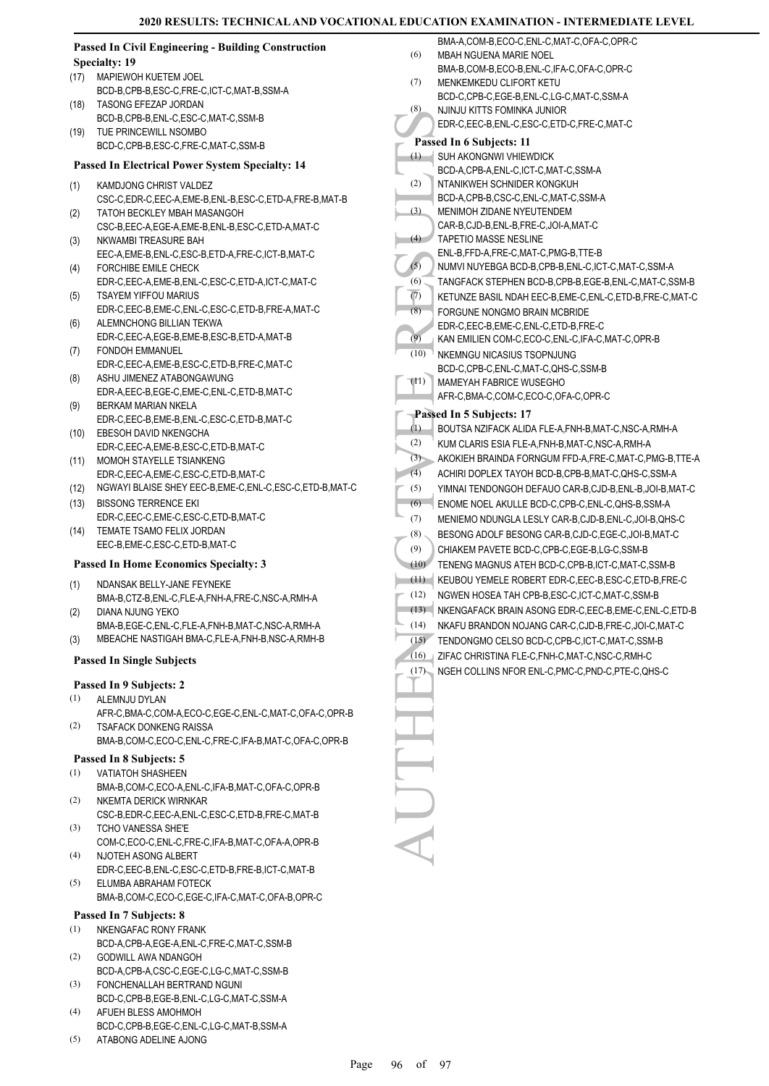|      | <b>Passed In Civil Engineering - Building Construction</b>                                            |         | BMA-A,COM-B,ECO-C,ENL-C,MAT-C,OFA-C,OPR-C                               |
|------|-------------------------------------------------------------------------------------------------------|---------|-------------------------------------------------------------------------|
|      | <b>Specialty: 19</b>                                                                                  | (6)     | <b>MBAH NGUENA MARIE NOEL</b>                                           |
| (17) | MAPIEWOH KUETEM JOEL                                                                                  |         | BMA-B,COM-B,ECO-B,ENL-C,IFA-C,OFA-C,OPR-C                               |
|      | BCD-B,CPB-B,ESC-C,FRE-C,ICT-C,MAT-B,SSM-A                                                             | (7)     | MENKEMKEDU CLIFORT KETU                                                 |
| (18) | TASONG EFEZAP JORDAN                                                                                  | (8)     | BCD-C,CPB-C,EGE-B,ENL-C,LG-C,MAT-C,SSM-A<br>NJINJU KITTS FOMINKA JUNIOR |
|      | BCD-B,CPB-B,ENL-C,ESC-C,MAT-C,SSM-B                                                                   |         | EDR-C,EEC-B,ENL-C,ESC-C,ETD-C,FRE-C,MAT-C                               |
| (19) | TUE PRINCEWILL NSOMBO                                                                                 |         |                                                                         |
|      | BCD-C,CPB-B,ESC-C,FRE-C,MAT-C,SSM-B                                                                   |         | Passed In 6 Subjects: 11                                                |
|      | Passed In Electrical Power System Specialty: 14                                                       |         | $(1)$ SUH AKONGNWI VHIEWDICK                                            |
|      |                                                                                                       |         | BCD-A,CPB-A,ENL-C,ICT-C,MAT-C,SSM-A                                     |
| (1)  | KAMDJONG CHRIST VALDEZ                                                                                | (2)     | NTANIKWEH SCHNIDER KONGKUH                                              |
|      | CSC-C,EDR-C,EEC-A,EME-B,ENL-B,ESC-C,ETD-A,FRE-B,MAT-B                                                 | (3)     | BCD-A,CPB-B,CSC-C,ENL-C,MAT-C,SSM-A                                     |
| (2)  | TATOH BECKLEY MBAH MASANGOH                                                                           |         | MENIMOH ZIDANE NYEUTENDEM<br>CAR-B,CJD-B,ENL-B,FRE-C,JOI-A,MAT-C        |
|      | CSC-B,EEC-A,EGE-A,EME-B,ENL-B,ESC-C,ETD-A,MAT-C                                                       | (4)     | <b>TAPETIO MASSE NESLINE</b>                                            |
| (3)  | NKWAMBI TREASURE BAH                                                                                  |         | ENL-B, FFD-A, FRE-C, MAT-C, PMG-B, TTE-B                                |
| (4)  | EEC-A,EME-B,ENL-C,ESC-B,ETD-A,FRE-C,ICT-B,MAT-C<br>FORCHIBE EMILE CHECK                               | (5)     | NUMVI NUYEBGA BCD-B,CPB-B,ENL-C,ICT-C,MAT-C,SSM-A                       |
|      | EDR-C,EEC-A,EME-B,ENL-C,ESC-C,ETD-A,ICT-C,MAT-C                                                       | (6)     | TANGFACK STEPHEN BCD-B,CPB-B,EGE-B,ENL-C,MAT-C,SSM-B                    |
| (5)  | <b>TSAYEM YIFFOU MARIUS</b>                                                                           | (7)     | KETUNZE BASIL NDAH EEC-B,EME-C,ENL-C,ETD-B,FRE-C,MAT-C                  |
|      | EDR-C,EEC-B,EME-C,ENL-C,ESC-C,ETD-B,FRE-A,MAT-C                                                       | (8)     |                                                                         |
| (6)  | ALEMNCHONG BILLIAN TEKWA                                                                              |         | FORGUNE NONGMO BRAIN MCBRIDE                                            |
|      | EDR-C,EEC-A,EGE-B,EME-B,ESC-B,ETD-A,MAT-B                                                             | (9)     | EDR-C,EEC-B,EME-C,ENL-C,ETD-B,FRE-C                                     |
| (7)  | <b>FONDOH EMMANUEL</b>                                                                                | (10)    | KAN EMILIEN COM-C,ECO-C,ENL-C,IFA-C,MAT-C,OPR-B                         |
|      | EDR-C,EEC-A,EME-B,ESC-C,ETD-B,FRE-C,MAT-C                                                             |         | NKEMNGU NICASIUS TSOPNJUNG                                              |
| (8)  | ASHU JIMENEZ ATABONGAWUNG                                                                             |         | BCD-C,CPB-C,ENL-C,MAT-C,QHS-C,SSM-B                                     |
|      | EDR-A, EEC-B, EGE-C, EME-C, ENL-C, ETD-B, MAT-C                                                       | (11)    | MAMEYAH FABRICE WUSEGHO                                                 |
| (9)  | BERKAM MARIAN NKELA                                                                                   |         | AFR-C, BMA-C, COM-C, ECO-C, OFA-C, OPR-C                                |
|      | EDR-C,EEC-B,EME-B,ENL-C,ESC-C,ETD-B,MAT-C                                                             |         | Passed In 5 Subjects: 17                                                |
| (10) | EBESOH DAVID NKENGCHA                                                                                 | (1)     | BOUTSA NZIFACK ALIDA FLE-A, FNH-B, MAT-C, NSC-A, RMH-A                  |
|      | EDR-C, EEC-A, EME-B, ESC-C, ETD-B, MAT-C                                                              | (2)     | KUM CLARIS ESIA FLE-A, FNH-B, MAT-C, NSC-A, RMH-A                       |
| (11) | MOMOH STAYELLE TSIANKENG                                                                              | (3)     | AKOKIEH BRAINDA FORNGUM FFD-A, FRE-C, MAT-C, PMG-B, TTE-A               |
|      | EDR-C,EEC-A,EME-C,ESC-C,ETD-B,MAT-C                                                                   | (4)     | ACHIRI DOPLEX TAYOH BCD-B,CPB-B,MAT-C,QHS-C,SSM-A                       |
| (12) | NGWAYI BLAISE SHEY EEC-B, EME-C, ENL-C, ESC-C, ETD-B, MAT-C                                           | (5)     | YIMNAI TENDONGOH DEFAUO CAR-B,CJD-B,ENL-B,JOI-B,MAT-C                   |
| (13) | <b>BISSONG TERRENCE EKI</b>                                                                           | (6)     | ENOME NOEL AKULLE BCD-C,CPB-C,ENL-C,QHS-B,SSM-A                         |
|      | EDR-C,EEC-C,EME-C,ESC-C,ETD-B,MAT-C                                                                   | (7)     | MENIEMO NDUNGLA LESLY CAR-B,CJD-B,ENL-C,JOI-B,QHS-C                     |
| (14) | TEMATE TSAMO FELIX JORDAN                                                                             | $(8)$ . | BESONG ADOLF BESONG CAR-B,CJD-C,EGE-C,JOI-B,MAT-C                       |
|      | EEC-B,EME-C,ESC-C,ETD-B,MAT-C                                                                         | (9)     | CHIAKEM PAVETE BCD-C,CPB-C,EGE-B,LG-C,SSM-B                             |
|      | <b>Passed In Home Economics Specialty: 3</b>                                                          | (10)    | TENENG MAGNUS ATEH BCD-C, CPB-B, ICT-C, MAT-C, SSM-B                    |
|      |                                                                                                       |         | (11) KEUBOU YEMELE ROBERT EDR-C, EEC-B, ESC-C, ETD-B, FRE-C             |
| (1)  | NDANSAK BELLY-JANE FEYNEKE                                                                            | (12)    | NGWEN HOSEA TAH CPB-B, ESC-C, ICT-C, MAT-C, SSM-B                       |
|      | BMA-B,CTZ-B,ENL-C,FLE-A,FNH-A,FRE-C,NSC-A,RMH-A                                                       | (13)    | NKENGAFACK BRAIN ASONG EDR-C, EEC-B, EME-C, ENL-C, ETD-B                |
| (2)  | <b>DIANA NJUNG YEKO</b>                                                                               |         |                                                                         |
|      | BMA-B,EGE-C,ENL-C,FLE-A,FNH-B,MAT-C,NSC-A,RMH-A<br>MBEACHE NASTIGAH BMA-C, FLE-A, FNH-B, NSC-A, RMH-B | (14)    | NKAFU BRANDON NOJANG CAR-C,CJD-B,FRE-C,JOI-C,MAT-C                      |
| (3)  |                                                                                                       | (15)    | TENDONGMO CELSO BCD-C,CPB-C,ICT-C,MAT-C,SSM-B                           |
|      | <b>Passed In Single Subjects</b>                                                                      | (16)    | ZIFAC CHRISTINA FLE-C, FNH-C, MAT-C, NSC-C, RMH-C                       |
|      | Passed In 9 Subjects: 2                                                                               |         | (17) NGEH COLLINS NFOR ENL-C, PMC-C, PND-C, PTE-C, QHS-C                |
| (1)  | ALEMNJU DYLAN                                                                                         |         |                                                                         |
|      | AFR-C,BMA-C,COM-A,ECO-C,EGE-C,ENL-C,MAT-C,OFA-C,OPR-B                                                 |         |                                                                         |
| (2)  | <b>TSAFACK DONKENG RAISSA</b>                                                                         |         |                                                                         |
|      | BMA-B,COM-C,ECO-C,ENL-C,FRE-C,IFA-B,MAT-C,OFA-C,OPR-B                                                 |         |                                                                         |
|      |                                                                                                       |         |                                                                         |
|      | Passed In 8 Subjects: 5                                                                               |         |                                                                         |
| (1)  | <b>VATIATOH SHASHEEN</b>                                                                              |         |                                                                         |
|      | BMA-B,COM-C,ECO-A,ENL-C,IFA-B,MAT-C,OFA-C,OPR-B                                                       |         |                                                                         |
| (2)  | NKEMTA DERICK WIRNKAR                                                                                 |         |                                                                         |
| (3)  | CSC-B,EDR-C,EEC-A,ENL-C,ESC-C,ETD-B,FRE-C,MAT-B<br>TCHO VANESSA SHE'E                                 |         |                                                                         |
|      | COM-C,ECO-C,ENL-C,FRE-C,IFA-B,MAT-C,OFA-A,OPR-B                                                       |         |                                                                         |
| (4)  | NJOTEH ASONG ALBERT                                                                                   |         |                                                                         |
|      | EDR-C,EEC-B,ENL-C,ESC-C,ETD-B,FRE-B,ICT-C,MAT-B                                                       |         |                                                                         |
| (5)  | ELUMBA ABRAHAM FOTECK                                                                                 |         |                                                                         |
|      | BMA-B,COM-C,ECO-C,EGE-C,IFA-C,MAT-C,OFA-B,OPR-C                                                       |         |                                                                         |

# **Passed In 7 Subjects: 8**

- (1) NKENGAFAC RONY FRANK
- BCD-A,CPB-A,EGE-A,ENL-C,FRE-C,MAT-C,SSM-B GODWILL AWA NDANGOH (2)
- BCD-A,CPB-A,CSC-C,EGE-C,LG-C,MAT-C,SSM-B FONCHENALLAH BERTRAND NGUNI (3)
- BCD-C,CPB-B,EGE-B,ENL-C,LG-C,MAT-C,SSM-A
- AFUEH BLESS AMOHMOH BCD-C,CPB-B,EGE-C,ENL-C,LG-C,MAT-B,SSM-A (4)
- ATABONG ADELINE AJONG (5)